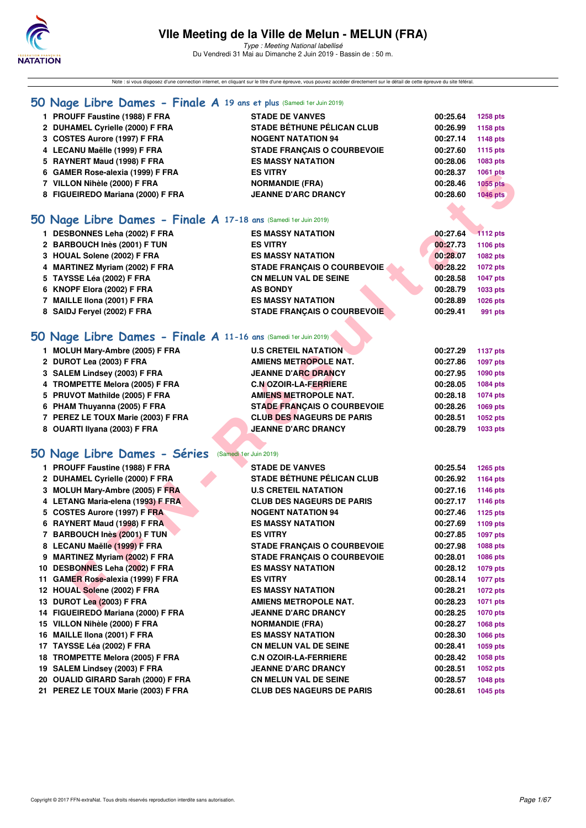

Type : Meeting National labellisé Du Vendredi 31 Mai au Dimanche 2 Juin 2019 - Bassin de : 50 m.

Note : si vous disposez d'une connection internet, en cliquant sur le titre d'une épreuve, vous pouvez accéder directement sur le détail de cette épreuve du site féféral.

### **[50 Nage Libre Dames - Finale A](http://www.ffnatation.fr/webffn/resultats.php?idact=nat&go=epr&idcpt=57771&idepr=1) 19 ans et plus** (Samedi 1er Juin 2019)

| 1 PROUFF Faustine (1988) F FRA    | <b>STADE DE VANVES</b>             | 00:25.64 | 1258 pts        |
|-----------------------------------|------------------------------------|----------|-----------------|
| 2 DUHAMEL Cyrielle (2000) F FRA   | <b>STADE BÉTHUNE PÉLICAN CLUB</b>  | 00:26.99 | 1158 pts        |
| 3 COSTES Aurore (1997) F FRA      | <b>NOGENT NATATION 94</b>          | 00:27.14 | 1148 pts        |
| 4 LECANU Maëlle (1999) F FRA      | <b>STADE FRANCAIS O COURBEVOIE</b> | 00:27.60 | 1115 pts        |
| 5 RAYNERT Maud (1998) F FRA       | <b>ES MASSY NATATION</b>           | 00:28.06 | 1083 pts        |
| 6 GAMER Rose-alexia (1999) F FRA  | <b>ES VITRY</b>                    | 00:28.37 | 1061 pts        |
| 7 VILLON Nihèle (2000) F FRA      | <b>NORMANDIE (FRA)</b>             | 00:28.46 | 1055 pts        |
| 8 FIGUEIREDO Mariana (2000) F FRA | <b>JEANNE D'ARC DRANCY</b>         | 00:28.60 | <b>1046 pts</b> |
|                                   |                                    |          |                 |

### **[50 Nage Libre Dames - Finale A](http://www.ffnatation.fr/webffn/resultats.php?idact=nat&go=epr&idcpt=57771&idepr=1) 17-18 ans** (Samedi 1er Juin 2019)

| 1 DESBONNES Leha (2002) F FRA  | <b>ES MASSY NATATION</b>           | 00:27.64 | <b>1112 pts</b> |
|--------------------------------|------------------------------------|----------|-----------------|
| 2 BARBOUCH Inès (2001) F TUN   | <b>ES VITRY</b>                    | 00:27.73 | 1106 pts        |
| 3 HOUAL Solene (2002) F FRA    | <b>ES MASSY NATATION</b>           | 00:28.07 | 1082 pts        |
| 4 MARTINEZ Myriam (2002) F FRA | <b>STADE FRANCAIS O COURBEVOIE</b> | 00:28.22 | 1072 pts        |
| 5 TAYSSE Léa (2002) F FRA      | <b>CN MELUN VAL DE SEINE</b>       | 00:28.58 | 1047 pts        |
| 6 KNOPF Elora (2002) F FRA     | <b>AS BONDY</b>                    | 00:28.79 | 1033 pts        |
| 7 MAILLE IIona (2001) F FRA    | <b>ES MASSY NATATION</b>           | 00:28.89 | 1026 pts        |
| 8 SAIDJ Fervel (2002) F FRA    | <b>STADE FRANCAIS O COURBEVOIE</b> | 00:29.41 | 991 pts         |
|                                |                                    |          |                 |

# **[50 Nage Libre Dames - Finale A](http://www.ffnatation.fr/webffn/resultats.php?idact=nat&go=epr&idcpt=57771&idepr=1) 11-16 ans** (Samedi 1er Juin 2019)

| 1 MOLUH Mary-Ambre (2005) F FRA    | <b>U.S CRETEIL NATATION</b>        | 00:27.29 | 1137 pts |
|------------------------------------|------------------------------------|----------|----------|
| 2 DUROT Lea (2003) F FRA           | <b>AMIENS METROPOLE NAT.</b>       | 00:27.86 | 1097 pts |
| 3 SALEM Lindsey (2003) F FRA       | <b>JEANNE D'ARC DRANCY</b>         | 00:27.95 | 1090 pts |
| 4 TROMPETTE Melora (2005) F FRA    | <b>C.N OZOIR-LA-FERRIERE</b>       | 00:28.05 | 1084 pts |
| 5 PRUVOT Mathilde (2005) F FRA     | <b>AMIENS METROPOLE NAT.</b>       | 00:28.18 | 1074 pts |
| 6 PHAM Thuyanna (2005) F FRA       | <b>STADE FRANCAIS O COURBEVOIE</b> | 00:28.26 | 1069 pts |
| 7 PEREZ LE TOUX Marie (2003) F FRA | <b>CLUB DES NAGEURS DE PARIS</b>   | 00:28.51 | 1052 pts |
| 8 OUARTI Ilyana (2003) F FRA       | <b>JEANNE D'ARC DRANCY</b>         | 00:28.79 | 1033 pts |
|                                    |                                    |          |          |

# **[50 Nage Libre Dames - Séries](http://www.ffnatation.fr/webffn/resultats.php?idact=nat&go=epr&idcpt=57771&idepr=1)** (Samedi 1er Juin 2019)

| 6 GAMER Rose-alexia (1999) F FRA                               | <b>ES VITRY</b>                    | 00:28.37 | <b>1061 pts</b> |
|----------------------------------------------------------------|------------------------------------|----------|-----------------|
| 7 VILLON Nihèle (2000) F FRA                                   | <b>NORMANDIE (FRA)</b>             | 00:28.46 | 1055 pts        |
| 8 FIGUEIREDO Mariana (2000) F FRA                              | <b>JEANNE D'ARC DRANCY</b>         | 00:28.60 | <b>1046 pts</b> |
|                                                                |                                    |          |                 |
| O Nage Libre Dames - Finale A 17-18 ans (Samedi 1er Juin 2019) |                                    |          |                 |
| 1 DESBONNES Leha (2002) F FRA                                  | <b>ES MASSY NATATION</b>           | 00:27.64 | <b>1112 pts</b> |
| 2 BARBOUCH Inès (2001) F TUN                                   | <b>ES VITRY</b>                    | 00:27.73 | 1106 pts        |
| 3 HOUAL Solene (2002) F FRA                                    | <b>ES MASSY NATATION</b>           | 00:28.07 | 1082 pts        |
| 4 MARTINEZ Myriam (2002) F FRA                                 | <b>STADE FRANÇAIS O COURBEVOIE</b> | 00:28.22 | <b>1072 pts</b> |
| 5 TAYSSE Léa (2002) F FRA                                      | <b>CN MELUN VAL DE SEINE</b>       | 00:28.58 | 1047 pts        |
| 6 KNOPF Elora (2002) F FRA                                     | <b>AS BONDY</b>                    | 00:28.79 | 1033 pts        |
| 7 MAILLE IIona (2001) F FRA                                    | <b>ES MASSY NATATION</b>           | 00:28.89 | 1026 pts        |
| 8 SAIDJ Feryel (2002) F FRA                                    | <b>STADE FRANÇAIS O COURBEVOIE</b> | 00:29.41 |                 |
|                                                                |                                    |          | 991 pts         |
| O Nage Libre Dames - Finale A 11-16 ans (Samedi 1er Juin 2019) |                                    |          |                 |
| 1 MOLUH Mary-Ambre (2005) F FRA                                | <b>U.S CRETEIL NATATION</b>        | 00:27.29 | <b>1137 pts</b> |
| 2 DUROT Lea (2003) F FRA                                       | <b>AMIENS METROPOLE NAT.</b>       | 00:27.86 | 1097 pts        |
| 3 SALEM Lindsey (2003) F FRA                                   | <b>JEANNE D'ARC DRANCY</b>         | 00:27.95 | 1090 pts        |
| 4 TROMPETTE Melora (2005) F FRA                                | <b>C.N OZOIR-LA-FERRIERE</b>       | 00:28.05 | 1084 pts        |
| 5 PRUVOT Mathilde (2005) F FRA                                 | <b>AMIENS METROPOLE NAT.</b>       | 00:28.18 | <b>1074 pts</b> |
| 6 PHAM Thuyanna (2005) F FRA                                   | <b>STADE FRANCAIS O COURBEVOIE</b> | 00:28.26 | 1069 pts        |
| 7 PEREZ LE TOUX Marie (2003) F FRA                             | <b>CLUB DES NAGEURS DE PARIS</b>   | 00:28.51 | 1052 pts        |
| 8 OUARTI Ilyana (2003) F FRA                                   | <b>JEANNE D'ARC DRANCY</b>         | 00:28.79 | 1033 pts        |
|                                                                |                                    |          |                 |
| O Nage Libre Dames - Séries (Samedi 1er Juin 2019)             |                                    |          |                 |
| 1 PROUFF Faustine (1988) F FRA                                 | <b>STADE DE VANVES</b>             | 00:25.54 | <b>1265 pts</b> |
| 2 DUHAMEL Cyrielle (2000) F FRA                                | <b>STADE BÉTHUNE PÉLICAN CLUB</b>  | 00:26.92 | <b>1164 pts</b> |
| 3 MOLUH Mary-Ambre (2005) F FRA                                | <b>U.S CRETEIL NATATION</b>        | 00:27.16 | 1146 pts        |
| 4 LETANG Maria-elena (1993) F FRA                              | <b>CLUB DES NAGEURS DE PARIS</b>   | 00:27.17 | 1146 pts        |
| 5 COSTES Aurore (1997) F FRA                                   | <b>NOGENT NATATION 94</b>          | 00:27.46 | 1125 pts        |
| 6 RAYNERT Maud (1998) F FRA                                    | <b>ES MASSY NATATION</b>           | 00:27.69 | 1109 pts        |
| 7 BARBOUCH Inès (2001) F TUN                                   | <b>ES VITRY</b>                    | 00:27.85 | <b>1097 pts</b> |
| 8 LECANU Maëlle (1999) F FRA                                   | <b>STADE FRANÇAIS O COURBEVOIE</b> | 00:27.98 | 1088 pts        |
| 9 MARTINEZ Myriam (2002) F FRA                                 | <b>STADE FRANÇAIS O COURBEVOIE</b> | 00:28.01 | 1086 pts        |
| 10 DESBONNES Leha (2002) F FRA                                 | <b>ES MASSY NATATION</b>           | 00:28.12 | 1079 pts        |
| 11 GAMER Rose-alexia (1999) F FRA                              | <b>ES VITRY</b>                    | 00:28.14 | <b>1077 pts</b> |
| 12 HOUAL Solene (2002) F FRA                                   | <b>ES MASSY NATATION</b>           | 00:28.21 | <b>1072 pts</b> |
| 13 DUROT Lea (2003) F FRA                                      | <b>AMIENS METROPOLE NAT.</b>       | 00:28.23 | 1071 pts        |
| 14 FIGUEIREDO Mariana (2000) F FRA                             | <b>JEANNE D'ARC DRANCY</b>         | 00:28.25 | <b>1070 pts</b> |
| 15 VILLON Nihèle (2000) F FRA                                  | <b>NORMANDIE (FRA)</b>             | 00:28.27 | 1068 pts        |
| 16 MAILLE Ilona (2001) F FRA                                   | <b>ES MASSY NATATION</b>           | 00:28.30 | 1066 pts        |
| 17 TAYSSE Léa (2002) F FRA                                     | <b>CN MELUN VAL DE SEINE</b>       | 00:28.41 | 1059 pts        |
| 18 TROMPETTE Melora (2005) F FRA                               | <b>C.N OZOIR-LA-FERRIERE</b>       | 00:28.42 | <b>1058 pts</b> |
| 19 SALEM Lindsey (2003) F FRA                                  | <b>JEANNE D'ARC DRANCY</b>         | 00:28.51 |                 |
| 20 OUALID GIRARD Sarah (2000) F FRA                            | <b>CN MELUN VAL DE SEINE</b>       |          | 1052 pts        |
| 21 PEREZ LE TOUX Marie (2003) F FRA                            | <b>CLUB DES NAGEURS DE PARIS</b>   | 00:28.57 | 1048 pts        |
|                                                                |                                    | 00:28.61 | 1045 pts        |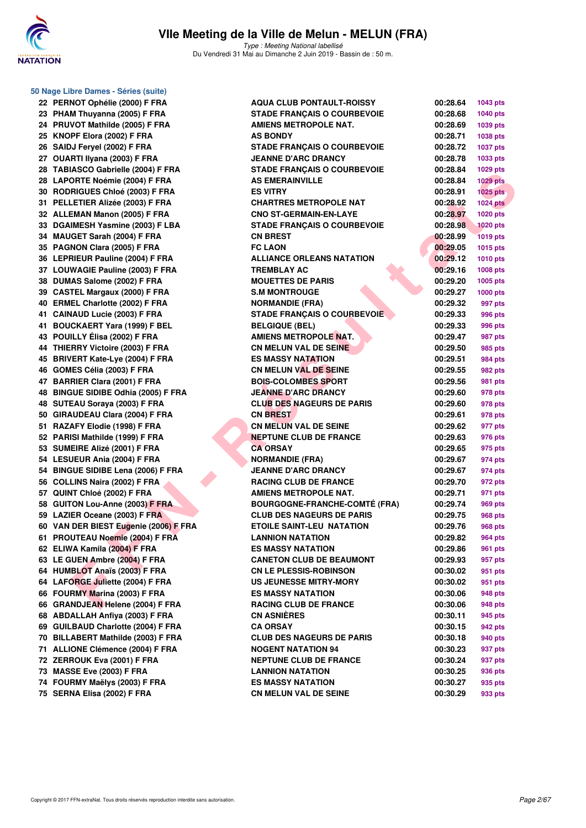

**50 Nage Libre Dames - Séries (suite)**

Type : Meeting National labellisé Du Vendredi 31 Mai au Dimanche 2 Juin 2019 - Bassin de : 50 m.

| 22 | PERNOT Ophélie (2000) F FRA             |
|----|-----------------------------------------|
| 23 | PHAM Thuyanna (2005) F FRA              |
| 24 | PRUVOT Mathilde (2005) F FRA            |
| 25 | KNOPF Elora (2002) F FRA                |
| 26 | SAIDJ Feryel (2002) F FRA               |
|    | 27 OUARTI Ilyana (2003) F FRA           |
| 28 | <b>TABIASCO Gabrielle (2004) F FRA</b>  |
| 28 | LAPORTE Noémie (2004) F FRA             |
| 30 | RODRIGUES Chloé (2003) F FRA            |
| 31 | PELLETIER Alizée (2003) F FRA           |
| 32 | ALLEMAN Manon (2005) F FRA              |
| 33 | DGAIMESH Yasmine (2003) F LBA           |
| 34 |                                         |
|    | <b>MAUGET Sarah (2004) F FRA</b>        |
| 35 | PAGNON Clara (2005) F FRA               |
| 36 | LEPRIEUR Pauline (2004) F FRA           |
| 37 | <b>LOUWAGIE Pauline (2003) F FRA</b>    |
| 38 | DUMAS Salome (2002) F FRA               |
| 39 | <b>CASTEL Margaux (2000) F FRA</b>      |
| 40 | <b>ERMEL Charlotte (2002) F FRA</b>     |
| 41 | CAINAUD Lucie (2003) F FRA              |
| 41 | <b>BOUCKAERT Yara (1999) F BEL</b>      |
| 43 | POUILLY Élisa (2002) F FRA              |
| 44 | THIERRY Victoire (2003) F FRA           |
| 45 | <b>BRIVERT Kate-Lye (2004) F FRA</b>    |
| 46 | GOMES Célia (2003) F FRA                |
| 47 | <b>BARRIER Clara (2001) F FRA</b>       |
| 48 | <b>BINGUE SIDIBE Odhia (2005) F FRA</b> |
| 48 | SUTEAU Soraya (2003) F FRA              |
| 50 | GIRAUDEAU Clara (2004) F FRA            |
| 51 | RAZAFY Elodie (1998) F FRA              |
| 52 | PARISI Mathilde (1999) F FRA            |
| 53 | SUMEIRE Alizé (2001) F FRA              |
| 54 | LESUEUR Ania (2004) F FRA               |
| 54 | <b>BINGUE SIDIBE Lena (2006) F FRA</b>  |
| 56 | COLLINS Naira (2002) F FRA              |
| 57 | QUINT Chloé (2002) F FRA                |
| 58 | <b>GUITON Lou-Anne (2003) F FRA</b>     |
| 59 | LAZIER Oceane (2003) F FRA              |
| 60 | VAN DER BIEST Eugenie (2006) F FR/      |
| 61 | PROUTEAU Noemie (2004) F FRA            |
| 62 | ELIWA Kamila (2004) F FRA               |
| 63 | LE GUEN Ambre (2004) F FRA              |
| 64 | <b>HUMBLOT Anaïs (2003) F FRA</b>       |
| 64 |                                         |
| 66 | LAFORGE Juliette (2004) F FRA           |
|    | FOURMY Marina (2003) F FRA              |
| 66 | <b>GRANDJEAN Helene (2004) F FRA</b>    |
| 68 | <b>ABDALLAH Anfiya (2003) F FRA</b>     |
| 69 | <b>GUILBAUD Charlotte (2004) F FRA</b>  |
| 70 | <b>BILLABERT Mathilde (2003) F FRA</b>  |
| 71 | <b>ALLIONE Clémence (2004) F FRA</b>    |
| 72 | ZERROUK Eva (2001) F FRA                |
| 73 | MASSE Eve (2003) F FRA                  |
| 74 | FOURMY Maëlys (2003) F FRA              |
|    |                                         |

| 22 PERNOT Ophélie (2000) F FRA        | <b>AQUA CLUB PONTAULT-ROISSY</b>     | 00:28.64 | <b>1043 pts</b> |
|---------------------------------------|--------------------------------------|----------|-----------------|
| 23 PHAM Thuyanna (2005) F FRA         | <b>STADE FRANÇAIS O COURBEVOIE</b>   | 00:28.68 | <b>1040 pts</b> |
| 24 PRUVOT Mathilde (2005) F FRA       | <b>AMIENS METROPOLE NAT.</b>         | 00:28.69 | 1039 pts        |
| 25 KNOPF Elora (2002) F FRA           | <b>AS BONDY</b>                      | 00:28.71 | <b>1038 pts</b> |
| 26 SAIDJ Feryel (2002) F FRA          | <b>STADE FRANÇAIS O COURBEVOIE</b>   | 00:28.72 | <b>1037 pts</b> |
| 27 OUARTI Ilyana (2003) F FRA         | <b>JEANNE D'ARC DRANCY</b>           | 00:28.78 | 1033 pts        |
| 28 TABIASCO Gabrielle (2004) F FRA    | <b>STADE FRANÇAIS O COURBEVOIE</b>   | 00:28.84 | 1029 pts        |
| 28 LAPORTE Noémie (2004) F FRA        | <b>AS EMERAINVILLE</b>               | 00:28.84 | <b>1029 pts</b> |
| 30 RODRIGUES Chloé (2003) F FRA       | <b>ES VITRY</b>                      | 00:28.91 | $1025$ pts      |
| 31 PELLETIER Alizée (2003) F FRA      | <b>CHARTRES METROPOLE NAT</b>        | 00:28.92 | <b>1024 pts</b> |
| 32 ALLEMAN Manon (2005) F FRA         | <b>CNO ST-GERMAIN-EN-LAYE</b>        | 00:28.97 | 1020 pts        |
| 33 DGAIMESH Yasmine (2003) F LBA      | <b>STADE FRANÇAIS O COURBEVOIE</b>   | 00:28.98 | <b>1020 pts</b> |
| 34 MAUGET Sarah (2004) F FRA          | <b>CN BREST</b>                      | 00:28.99 | <b>1019 pts</b> |
| 35 PAGNON Clara (2005) F FRA          | <b>FC LAON</b>                       | 00:29.05 | <b>1015 pts</b> |
| 36 LEPRIEUR Pauline (2004) F FRA      | <b>ALLIANCE ORLEANS NATATION</b>     | 00:29.12 | <b>1010 pts</b> |
| 37 LOUWAGIE Pauline (2003) F FRA      | <b>TREMBLAY AC</b>                   | 00:29.16 | <b>1008 pts</b> |
| 38 DUMAS Salome (2002) F FRA          | <b>MOUETTES DE PARIS</b>             | 00:29.20 | <b>1005 pts</b> |
| 39 CASTEL Margaux (2000) F FRA        | <b>S.M MONTROUGE</b>                 | 00:29.27 | <b>1000 pts</b> |
| 40 ERMEL Charlotte (2002) F FRA       | <b>NORMANDIE (FRA)</b>               | 00:29.32 | 997 pts         |
| 41 CAINAUD Lucie (2003) F FRA         | <b>STADE FRANÇAIS O COURBEVOIE</b>   | 00:29.33 | 996 pts         |
| 41 BOUCKAERT Yara (1999) F BEL        | <b>BELGIQUE (BEL)</b>                | 00:29.33 | 996 pts         |
| 43 POUILLY Élisa (2002) F FRA         | AMIENS METROPOLE NAT.                | 00:29.47 | 987 pts         |
| 44 THIERRY Victoire (2003) F FRA      | <b>CN MELUN VAL DE SEINE</b>         | 00:29.50 | 985 pts         |
| 45 BRIVERT Kate-Lye (2004) F FRA      | <b>ES MASSY NATATION</b>             | 00:29.51 | <b>984 pts</b>  |
| 46 GOMES Célia (2003) F FRA           | <b>CN MELUN VAL DE SEINE</b>         | 00:29.55 | 982 pts         |
| 47 BARRIER Clara (2001) F FRA         | <b>BOIS-COLOMBES SPORT</b>           | 00:29.56 | 981 pts         |
| 48 BINGUE SIDIBE Odhia (2005) F FRA   | <b>JEANNE D'ARC DRANCY</b>           | 00:29.60 | 978 pts         |
| 48 SUTEAU Soraya (2003) F FRA         | <b>CLUB DES NAGEURS DE PARIS</b>     | 00:29.60 | 978 pts         |
| 50 GIRAUDEAU Clara (2004) F FRA       | <b>CN BREST</b>                      | 00:29.61 | 978 pts         |
| 51 RAZAFY Elodie (1998) F FRA         | <b>CN MELUN VAL DE SEINE</b>         | 00:29.62 | 977 pts         |
| 52 PARISI Mathilde (1999) F FRA       | <b>NEPTUNE CLUB DE FRANCE</b>        | 00:29.63 | 976 pts         |
| 53 SUMEIRE Alizé (2001) F FRA         | <b>CA ORSAY</b>                      | 00:29.65 | 975 pts         |
| 54 LESUEUR Ania (2004) F FRA          | <b>NORMANDIE (FRA)</b>               | 00:29.67 | 974 pts         |
| 54 BINGUE SIDIBE Lena (2006) F FRA    | <b>JEANNE D'ARC DRANCY</b>           | 00:29.67 | 974 pts         |
| 56 COLLINS Naira (2002) F FRA         | <b>RACING CLUB DE FRANCE</b>         | 00:29.70 | 972 pts         |
| 57 QUINT Chloé (2002) F FRA           | <b>AMIENS METROPOLE NAT.</b>         | 00:29.71 | 971 pts         |
| 58 GUITON Lou-Anne (2003) F FRA       | <b>BOURGOGNE-FRANCHE-COMTÉ (FRA)</b> | 00:29.74 | 969 pts         |
| 59 LAZIER Oceane (2003) F FRA         | <b>CLUB DES NAGEURS DE PARIS</b>     | 00:29.75 | 968 pts         |
| 60 VAN DER BIEST Eugenie (2006) F FRA | ETOILE SAINT-LEU NATATION            | 00:29.76 | 968 pts         |
| 61 PROUTEAU Noemie (2004) F FRA       | <b>LANNION NATATION</b>              | 00:29.82 | 964 pts         |
| 62 ELIWA Kamila (2004) F FRA          | ES MASSY NATATION                    | 00:29.86 | 961 pts         |
| 63 LE GUEN Ambre (2004) F FRA         | <b>CANETON CLUB DE BEAUMONT</b>      | 00:29.93 | 957 pts         |
| 64 HUMBLOT Anaïs (2003) F FRA         | <b>CN LE PLESSIS-ROBINSON</b>        | 00:30.02 | 951 pts         |
| 64 LAFORGE Juliette (2004) F FRA      | <b>US JEUNESSE MITRY-MORY</b>        | 00:30.02 | 951 pts         |
| 66 FOURMY Marina (2003) F FRA         | <b>ES MASSY NATATION</b>             | 00:30.06 | 948 pts         |
| 66 GRANDJEAN Helene (2004) F FRA      | <b>RACING CLUB DE FRANCE</b>         | 00:30.06 | 948 pts         |
| 68 ABDALLAH Anfiya (2003) F FRA       | <b>CN ASNIÈRES</b>                   | 00:30.11 | 945 pts         |
| 69 GUILBAUD Charlotte (2004) F FRA    | <b>CA ORSAY</b>                      | 00:30.15 | 942 pts         |
| 70 BILLABERT Mathilde (2003) F FRA    | <b>CLUB DES NAGEURS DE PARIS</b>     | 00:30.18 | 940 pts         |
| 71 ALLIONE Clémence (2004) F FRA      | <b>NOGENT NATATION 94</b>            | 00:30.23 | 937 pts         |
| 72 ZERROUK Eva (2001) F FRA           | <b>NEPTUNE CLUB DE FRANCE</b>        | 00:30.24 | 937 pts         |
| 73 MASSE Eve (2003) F FRA             | <b>LANNION NATATION</b>              | 00:30.25 | 936 pts         |
| 74 FOURMY Maëlys (2003) F FRA         | <b>ES MASSY NATATION</b>             | 00:30.27 | 935 pts         |
| 75 SERNA Elisa (2002) F FRA           | <b>CN MELUN VAL DE SEINE</b>         | 00:30.29 | 933 pts         |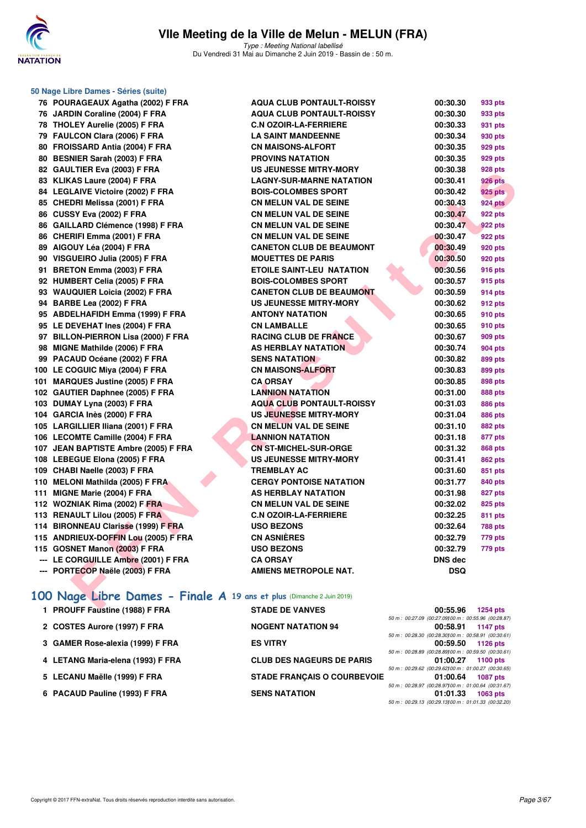

**50 Nage Libre Dames - Séries (suite)**

Type : Meeting National labellisé Du Vendredi 31 Mai au Dimanche 2 Juin 2019 - Bassin de : 50 m.

| 76 POURAGEAUX Agatha (2002) F FRA                                     | <b>AQUA CLUB PONTAULT-ROISSY</b> | 00:30.30       | 933 pts             |
|-----------------------------------------------------------------------|----------------------------------|----------------|---------------------|
| 76 JARDIN Coraline (2004) F FRA                                       | <b>AQUA CLUB PONTAULT-ROISSY</b> | 00:30.30       | 933 pts             |
| 78 THOLEY Aurelie (2005) F FRA                                        | <b>C.N OZOIR-LA-FERRIERE</b>     | 00:30.33       | 931 pts             |
| 79 FAULCON Clara (2006) F FRA                                         | <b>LA SAINT MANDEENNE</b>        | 00:30.34       | 930 pts             |
| 80 FROISSARD Antia (2004) F FRA                                       | <b>CN MAISONS-ALFORT</b>         | 00:30.35       | 929 pts             |
| 80 BESNIER Sarah (2003) F FRA                                         | PROVINS NATATION                 | 00:30.35       | 929 pts             |
| 82 GAULTIER Eva (2003) F FRA                                          | <b>US JEUNESSE MITRY-MORY</b>    | 00:30.38       | 928 pts             |
| 83 KLIKAS Laure (2004) F FRA                                          | <b>LAGNY-SUR-MARNE NATATION</b>  | 00:30.41       | <b>926 pts</b>      |
| 84 LEGLAIVE Victoire (2002) F FRA                                     | <b>BOIS-COLOMBES SPORT</b>       | 00:30.42       | 925 pts             |
| 85 CHEDRI Melissa (2001) F FRA                                        | <b>CN MELUN VAL DE SEINE</b>     | 00:30.43       | <b>924 pts</b>      |
| 86 CUSSY Eva (2002) F FRA                                             | <b>CN MELUN VAL DE SEINE</b>     | 00:30.47       | 922 pts             |
| 86 GAILLARD Clémence (1998) F FRA                                     | <b>CN MELUN VAL DE SEINE</b>     | 00:30.47       | 922 pts             |
| 86 CHERIFI Emma (2001) F FRA                                          | <b>CN MELUN VAL DE SEINE</b>     | 00:30.47       | 922 pts             |
| 89 AIGOUY Léa (2004) F FRA                                            | <b>CANETON CLUB DE BEAUMONT</b>  | 00:30.49       | 920 pts             |
| 90 VISGUEIRO Julia (2005) F FRA                                       | <b>MOUETTES DE PARIS</b>         | 00:30.50       | 920 pts             |
| 91 BRETON Emma (2003) F FRA                                           | <b>ETOILE SAINT-LEU NATATION</b> | 00:30.56       | <b>916 pts</b>      |
| 92 HUMBERT Celia (2005) F FRA                                         | <b>BOIS-COLOMBES SPORT</b>       | 00:30.57       | 915 pts             |
| 93 WAUQUIER Loicia (2002) F FRA                                       | <b>CANETON CLUB DE BEAUMONT</b>  | 00:30.59       | 914 pts             |
| 94 BARBE Lea (2002) F FRA                                             | <b>US JEUNESSE MITRY-MORY</b>    | 00:30.62       | 912 pts             |
| 95 ABDELHAFIDH Emma (1999) F FRA                                      | <b>ANTONY NATATION</b>           | 00:30.65       | 910 pts             |
| 95 LE DEVEHAT Ines (2004) F FRA                                       | <b>CN LAMBALLE</b>               | 00:30.65       | 910 pts             |
| 97 BILLON-PIERRON Lisa (2000) F FRA                                   | <b>RACING CLUB DE FRANCE</b>     | 00:30.67       | 909 pts             |
| 98 MIGNE Mathilde (2006) F FRA                                        | <b>AS HERBLAY NATATION</b>       | 00:30.74       | <b>904 pts</b>      |
| 99 PACAUD Océane (2002) F FRA                                         | <b>SENS NATATION</b>             | 00:30.82       | 899 pts             |
| 100 LE COGUIC Miya (2004) F FRA                                       | <b>CN MAISONS-ALFORT</b>         | 00:30.83       | 899 pts             |
| 101 MARQUES Justine (2005) F FRA                                      | <b>CA ORSAY</b>                  | 00:30.85       | 898 pts             |
| 102 GAUTIER Daphnee (2005) F FRA                                      | <b>LANNION NATATION</b>          | 00:31.00       | <b>888 pts</b>      |
| 103 DUMAY Lyna (2003) F FRA                                           | <b>AQUA CLUB PONTAULT-ROISSY</b> | 00:31.03       | <b>886 pts</b>      |
| 104 GARCIA Inès (2000) F FRA                                          | <b>US JEUNESSE MITRY-MORY</b>    | 00:31.04       | <b>886 pts</b>      |
| 105 LARGILLIER Iliana (2001) F FRA                                    | <b>CN MELUN VAL DE SEINE</b>     | 00:31.10       | 882 pts             |
| 106 LECOMTE Camille (2004) F FRA                                      | <b>LANNION NATATION</b>          | 00:31.18       | 877 pts             |
| 107 JEAN BAPTISTE Ambre (2005) F FRA                                  | <b>CN ST-MICHEL-SUR-ORGE</b>     | 00:31.32       | <b>868 pts</b>      |
| 108 LEBEGUE Elona (2005) F FRA                                        | <b>US JEUNESSE MITRY-MORY</b>    | 00:31.41       | <b>862 pts</b>      |
| 109 CHABI Naelle (2003) F FRA                                         | <b>TREMBLAY AC</b>               | 00:31.60       | 851 pts             |
| 110 MELONI Mathilda (2005) F FRA                                      | <b>CERGY PONTOISE NATATION</b>   | 00:31.77       | 840 pts             |
| 111 MIGNE Marie (2004) F FRA                                          | <b>AS HERBLAY NATATION</b>       | 00:31.98       | 827 pts             |
| 112 WOZNIAK Rima (2002) F FRA                                         | <b>CN MELUN VAL DE SEINE</b>     | 00:32.02       | 825 pts             |
| 113 RENAULT Lilou (2005) F FRA                                        | <b>C.N OZOIR-LA-FERRIERE</b>     | 00:32.25       | 811 pts             |
| 114 BIRONNEAU Clarisse (1999) F FRA                                   | <b>USO BEZONS</b>                | 00:32.64       | <b>788 pts</b>      |
| 115 ANDRIEUX-DOFFIN Lou (2005) F FRA                                  | <b>CN ASNIÈRES</b>               | 00:32.79       | 779 pts             |
| 115 GOSNET Manon (2003) F FRA                                         | <b>USO BEZONS</b>                | 00:32.79       | 779 pts             |
| --- LE CORGUILLE Ambre (2001) F FRA                                   | <b>CA ORSAY</b>                  | <b>DNS dec</b> |                     |
| --- PORTECOP Naële (2003) F FRA                                       | <b>AMIENS METROPOLE NAT.</b>     | <b>DSQ</b>     |                     |
|                                                                       |                                  |                |                     |
| 100 Nage Libre Dames - Finale A 19 ans et plus (Dimanche 2 Juin 2019) |                                  |                |                     |
| $\blacksquare$ DDOUEF Favoring (4000) F FDA                           | CTABE BE VANUES                  | 00.550         | $A$ $A$ $B$ $A$ $A$ |

# **[100 Nage Libre Dames - Finale A](http://www.ffnatation.fr/webffn/resultats.php?idact=nat&go=epr&idcpt=57771&idepr=2) 19 ans et plus** (Dimanche 2 Juin 2019)

| 1 PROUFF Faustine (1988) F FRA    | <b>STADE DE VANVES</b>             | 00:55.96                                                         | <b>1254 pts</b> |
|-----------------------------------|------------------------------------|------------------------------------------------------------------|-----------------|
|                                   |                                    | 50 m : 00:27.09 (00:27.09100 m : 00:55.96 (00:28.87)             |                 |
| 2 COSTES Aurore (1997) F FRA      | <b>NOGENT NATATION 94</b>          | 00:58.91<br>50 m : 00:28.30 (00:28.30100 m : 00:58.91 (00:30.61) | 1147 pts        |
| 3 GAMER Rose-alexia (1999) F FRA  | <b>ES VITRY</b>                    | 00:59.50                                                         | 1126 $pts$      |
| 4 LETANG Maria-elena (1993) F FRA | <b>CLUB DES NAGEURS DE PARIS</b>   | 50 m : 00:28.89 (00:28.89100 m : 00:59.50 (00:30.61)<br>01:00.27 | 1100 $pts$      |
|                                   |                                    | 50 m : 00:29.62 (00:29.62100 m : 01:00.27 (00:30.65)             |                 |
| 5 LECANU Maëlle (1999) F FRA      | <b>STADE FRANCAIS O COURBEVOIE</b> | 01:00.64                                                         | <b>1087 pts</b> |
| 6 PACAUD Pauline (1993) F FRA     | <b>SENS NATATION</b>               | 50 m : 00:28.97 (00:28.97100 m : 01:00.64 (00:31.67)<br>01:01.33 | $1063$ pts      |
|                                   |                                    | 50 m : 00:29.13 (00:29.13100 m : 01:01.33 (00:32.20)             |                 |
|                                   |                                    |                                                                  |                 |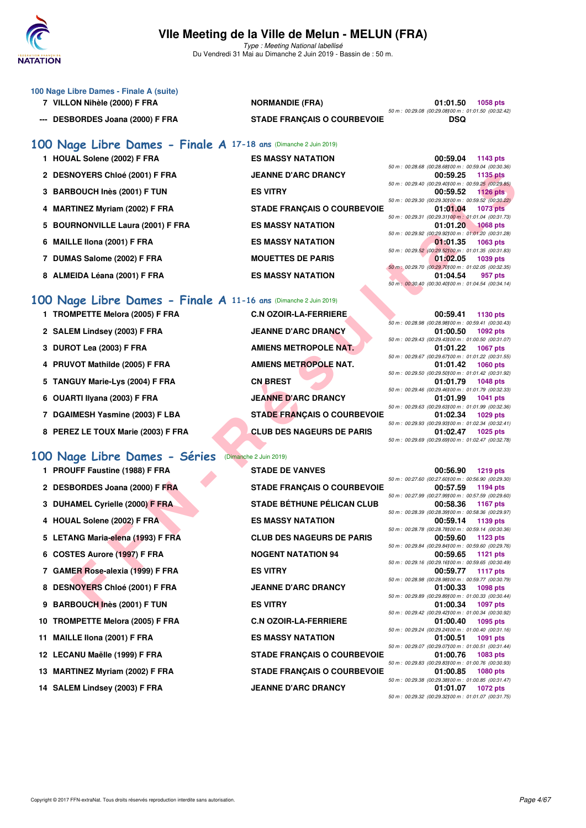

Du Vendredi 31 Mai au Dimanche 2 Juin 2019 - Bassin de : 50 m.

- **100 Nage Libre Dames Finale A (suite)**
	-
	- **--- DESBORDES Joana (2000) F FRA STADE FRANÇAIS O COURBEVOIE DSQ**

# **7 VILLON Nihèle (2000) F FRA NORMANDIE (FRA) 01:01.50 1058 pts**

50 m : 00:29.08 (00:29.08)100 m : 01:01.50 (00:32.42)

50 m : 00:28.68 (00:28.68)100 m : 00:59.04 (00:30.36)

50 m : 00:29.40 (00:29.40)100 m : 00:59.25 (00:29.85)

50 m : 00:29.30 (00:29.30)100 m : 00:59.52 (00:30.22)

50 m : 00:29.31 (00:29.31100 m : 01:01.04 (00:31.73)<br>**01:01.20** 1068 pts

50 m : 00:29.92 (00:29.92)100 m : 01:01.20 (00:31.28)

50 m : 00:29.52 (00:29.52)100 m : 01:01.35 (00:31.83)

50 m : 00:29.70 (00:29.70)100 m : 01:02.05 (00:32.35)

- **[100 Nage Libre Dames Finale A](http://www.ffnatation.fr/webffn/resultats.php?idact=nat&go=epr&idcpt=57771&idepr=2) 17-18 ans** (Dimanche 2 Juin 2019)
	- **1 HOUAL Solene (2002) F FRA ES MASSY NATATION 00:59.04 1143 pts**
	- **2 DESNOYERS Chloé (2001) F FRA JEANNE D'ARC DRANCY 00:59.25 1135 pts**
	- **3 BARBOUCH Inès (2001) F TUN ES VITRY 00:59.52 1126 pts**
	- **4 MARTINEZ Myriam (2002) F FRA STADE FRANÇAIS O COURBEVOIE 01:01.04 1073 pts**
	- 5 BOURNONVILLE Laura (2001) F FRA ES MASSY NATATION
	- **6 MAILLE Ilona (2001) F FRA ES MASSY NATATION 01:01.35 1063 pts**
	- **7 DUMAS Salome (2002) F FRA MOUETTES DE PARIS 01:02.05 1039 pts**
	-

#### **[100 Nage Libre Dames - Finale A](http://www.ffnatation.fr/webffn/resultats.php?idact=nat&go=epr&idcpt=57771&idepr=2) 11-16 ans** (Dimanche 2 Juin 2019)

- 
- 
- 
- **4 PRUVOT Mathilde (2005) F FRA AMIENS METROPOLE NAT. 01:01.42 1060 pts**
- **5 TANGUY Marie-Lys (2004) F FRA CN BREST 01:01.79 1048 pts**
- 6 OUARTI Ilyana (2003) F FRA JEANNE D'ARC DRANCY
- 
- **8 PEREZ LE TOUX Marie (2003) F FRA CLUB DES NAGEURS DE PARIS 01:02.47 1025 pts**

#### **[100 Nage Libre Dames - Séries](http://www.ffnatation.fr/webffn/resultats.php?idact=nat&go=epr&idcpt=57771&idepr=2)** (Dimanche 2 Juin 2019)

- **1 PROUFF Faustine (1988) F FRA STADE DE VANVES 00:56.90 1219 pts**
- 
- **3 DUHAMEL Cyrielle (2000) F FRA STADE BÉTHUNE PÉLICAN CLUB**
- 4 HOUAL Solene (2002) F FRA ES MASSY NATATION
- 
- **6 COSTES Aurore (1997) F FRA NOGENT NATATION 94**
- **7 GAMER Rose-alexia (1999) F FRA ES VITRY 00:59.77 1117 pts**
- 8 DESNOYERS Chloé (2001) F FRA JEANNE D'ARC DRANCY
- **9 BARBOUCH Inès (2001) F TUN ES VITRY**
- 10 TROMPETTE Melora (2005) F FRA **C.N OZOIR-LA-FERRIERE**
- 11 MAILLE IIona (2001) F FRA ES MASSY NATATION
- 
- 
- 14 SALEM Lindsey (2003) F FRA JEANNE D'ARC DRANCY

**1 TROMPETTE Melora (2005) F FRA C.N OZOIR-LA-FERRIERE 00:59.41 1130 pts 2 SALEM Lindsey (2003) F FRA JEANNE D'ARC DRANCY 01:00.50 1092 pts 3 DUROT Lea (2003) F FRA AMIENS METROPOLE NAT.** 01:01.22 1067 pts **7 DGAIMESH Yasmine (2003) F LBA STADE FRANÇAIS O COURBEVOIE 01:02.34 1029 pts**

**FIRIS CHOTI FRANCIS OCOUPRES DE PRANCIS OCOUPRES DE TISBUE DE SANS VANTATION<br>
FROM CHORACH SOUPRES DE PRANCIS OCOUPREVOIE SUR CONSISTENT (SOUPRES DE PRANCIS DE PRANCIS DE PRANCIS DE PRANCIS DE PRANCIS DE PRANCIS DE PRANCI** 2 DESBORDES Joana (2000) F FRA STADE FRANÇAIS O COURBEVOIE 5 LETANG Maria-elena (1993) F FRA CLUB DES NAGEURS DE PARIS **12 LECANU Maëlle (1999) F FRA STADE FRANÇAIS O COURBEVOIE 01:00.76 1083 pts** 13 MARTINEZ Myriam (2002) F FRA STADE FRANÇAIS O COURBEVOIE

# **8 ALMEIDA Léana (2001) F FRA ES MASSY NATATION 01:04.54 957 pts** 50 m : 00:30.40 (00:30.40)100 m : 01:04.54 (00:34.14) 50 m : 00:28.98 (00:28.98)00 m : 00:59.41 (00:30.43)<br>**01:00.50** 1092 pts 50 m : 00:29.43 (00:29.43)100 m : 01:00.50 (00:31.07) 50 m : 00:29.67 (00:29.67)100 m : 01:01.22 (00:31.55)

50 m : 00:29.50 (00:29.50)00 m : 01:01.42 (00:31.92)<br>**01:01.79** 1048 pts 50 m : 00:29.46 (00:29.46)00 m : 01:01.79 (00:32.33)<br>**01:01.99** 1041 pts 50 m : 00:29.63 (00:29.63)100 m : 01:01.99 (00:32.36) 50 m : 00:29.93 (00:29.93)00 m : 01:02.34 (00:32.41)<br>**01:02.47** 1025 pts 50 m : 00:29.69 (00:29.69)100 m : 01:02.47 (00:32.78)

|  | 50 m : 00:27.60 (00:27.60) 00 m : 00:56.90 (00:29.30) |
|--|-------------------------------------------------------|
|  | 00:57.59 1194 pts                                     |
|  | 50 m : 00:27.99 (00:27.99100 m : 00:57.59 (00:29.60)  |
|  | 00:58.36 1167 pts                                     |
|  | 50 m : 00:28.39 (00:28.39) 00 m : 00:58.36 (00:29.97) |
|  | 00:59.14 1139 pts                                     |
|  | 50 m : 00:28.78 (00:28.78100 m : 00:59.14 (00:30.36)  |
|  | 00:59.60 1123 pts                                     |
|  | 50 m : 00:29.84 (00:29.84100 m : 00:59.60 (00:29.76)  |
|  | 00:59.65 1121 pts                                     |
|  | 50 m : 00:29.16 (00:29.16)00 m : 00:59.65 (00:30.49)  |
|  | 00:59.77 1117 pts                                     |
|  | 50 m : 00:28.98 (00:28.98100 m : 00:59.77 (00:30.79)  |
|  | 01:00.33 1098 pts                                     |
|  | 50 m : 00:29.89 (00:29.89) 00 m : 01:00.33 (00:30.44) |
|  | 01:00.34 1097 pts                                     |
|  | 50 m : 00:29.42 (00:29.42) 00 m : 01:00.34 (00:30.92) |
|  | 01:00.40 1095 pts                                     |
|  | 50 m: 00:29.24 (00:29.24)00 m: 01:00.40 (00:31.16)    |
|  | 01:00.51 1091 pts                                     |
|  | 50 m: 00:29.07 (00:29.07)00 m: 01:00.51 (00:31.44)    |
|  | 01:00.76 1083 pts                                     |
|  | 50 m : 00:29.83 (00:29.83) 00 m : 01:00.76 (00:30.93) |
|  | 01:00.85 1080 pts                                     |
|  | 50 m : 00:29.38 (00:29.38) 00 m : 01:00.85 (00:31.47) |
|  | 01:01.07 1072 pts                                     |
|  | 50 m : 00:29.32 (00:29.32) 00 m : 01:01.07 (00:31.75) |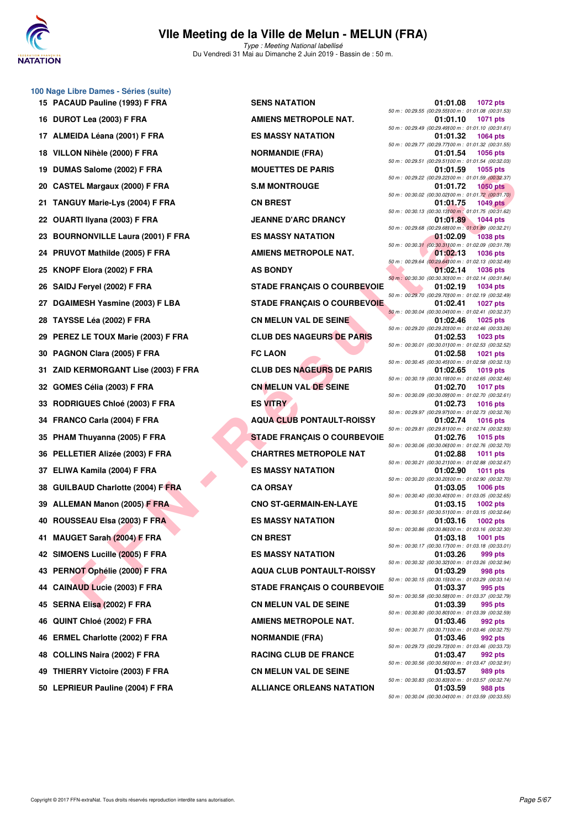

**100 Nage Libre Dames - Séries (suite)**

#### **VIIe Meeting de la Ville de Melun - MELUN (FRA)** Type : Meeting National labellisé

Du Vendredi 31 Mai au Dimanche 2 Juin 2019 - Bassin de : 50 m.

**EN COLUME (2003) F FRANCIS CHORAGE AND CONNECTED AND CONNECTED AND CONNECTED AND CONNECTED AND CONNECTED AND CONNECTED AND CONNECTED AND CONNECTED AND CONNECTED AND CONNECTED AND CONNECTED AND CONNECTED AND CONNECTED AND 15 PACAUD Pauline (1993) F FRA SENS NATATION 01:01.08 1072 pts 16 DUROT Lea (2003) F FRA AMIENS METROPOLE NAT.** 01:01.10 **1071** pts 17 ALMEIDA Léana (2001) F FRA ES MASSY NATATION **18 VILLON Nihèle (2000) F FRA NORMANDIE (FRA) 19 DUMAS Salome (2002) F FRA MOUETTES DE PARIS 01:01.59 1055 pts 20 CASTEL Margaux (2000) F FRA S.M MONTROUGE 01:01.72 1050 pts 21 TANGUY Marie-Lys (2004) F FRA CN BREST 01:01.75 1049 pts 22 OUARTI Ilyana (2003) F FRA JEANNE D'ARC DRANCY 01:01.89 1044 pts 23 BOURNONVILLE Laura (2001) F FRA ES MASSY NATATION 01:02.09 1038 pts 24 PRUVOT Mathilde (2005) F FRA AMIENS METROPOLE NAT. 1036 pts 1036 pts 25 KNOPF Elora (2002) F FRA AS BONDY 01:02.14 1036 pts 26 SAIDJ Feryel (2002) F FRA STADE FRANÇAIS O COURBEVOIE 01:02.19 1034 pts 27 DGAIMESH Yasmine (2003) F LBA STADE FRANÇAIS O COURBEVOIE 01:02.41 1027 pts 28 TAYSSE Léa (2002) F FRA CN MELUN VAL DE SEINE 01:02.46 1025 pts 29 PEREZ LE TOUX Marie (2003) F FRA CLUB DES NAGEURS DE PARIS 01:02.53 1023 pts 30 PAGNON Clara (2005) F FRA FC LAON 01:02.58 1021 pts 31 ZAID KERMORGANT Lise (2003) F FRA CLUB DES NAGEURS DE PARIS 01:02.65 1019 pts 32 GOMES Célia (2003) F FRA CN MELUN VAL DE SEINE 01:02.70 1017 pts 33 RODRIGUES Chloé (2003) F FRA ES VITRY 01:02.73 1016 pts 34 FRANCO Carla (2004) F FRA AQUA CLUB PONTAULT-ROISSY 01:02.74 1016 pts 35 PHAM Thuyanna (2005) F FRA STADE FRANÇAIS O COURBEVOIE 01:02.76 1015 pts 36 PELLETIER Alizée (2003) F FRA CHARTRES METROPOLE NAT 01:02.88 1011 pts 37 ELIWA Kamila (2004) F FRA ES MASSY NATATION 01:02.90 1011 pts 38 GUILBAUD Charlotte (2004) F FRA CA ORSAY 01:03.05 1006 pts 39 ALLEMAN Manon (2005) F FRA CNO ST-GERMAIN-EN-LAYE 01:03.15 1002 pts 40 ROUSSEAU Elsa (2003) F FRA ES MASSY NATATION 01:03.16 1002 pts 41 MAUGET Sarah (2004) F FRA CN BREST 01:03.18 1001 pts 42 SIMOENS Lucille (2005) F FRA ES MASSY NATATION 01:03.26 999 pts 43 PERNOT Ophélie (2000) F FRA AQUA CLUB PONTAULT-ROISSY 01:03.29 998 pts 44 CAINAUD Lucie (2003) F FRA STADE FRANÇAIS O COURBEVOIE 01:03.37 995 pts 45 SERNA Elisa (2002) F FRA CN MELUN VAL DE SEINE 01:03.39 995 pts 46 QUINT Chloé (2002) F FRA AMIENS METROPOLE NAT. 46 ERMEL Charlotte (2002) F FRA NORMANDIE (FRA) 01:03.46 992 pts 48 COLLINS Naira (2002) F FRA RACING CLUB DE FRANCE 01:03.47 992 pts 49 THIERRY Victoire (2003) F FRA CN MELUN VAL DE SEINE 01:03.57 989 pts 50 LEPRIEUR Pauline (2004) F FRA ALLIANCE ORLEANS NATATION 01:03.59 988 pts**

50 m : 00:29.55 (00:29.55)100 m : 01:01.08 (00:31.53) 50 m : 00:29.49 (00:29.49)00 m : 01:01.10 (00:31.61)<br>**01:01.32** 1064 pts 50 m : 00:29.77 (00:29.77)00 m : 01:01.32 (00:31.55)<br>**01:01.54** 1056 pts 50 m : 00:29.51 (00:29.51)100 m : 01:01.54 (00:32.03) 50 m : 00:29.22 (00:29.22)100 m : 01:01.59 (00:32.37) 50 m : 00:30.02 (00:30.02)00 m : 01:01.72 (00:31.70)<br>**01:01.75** 1049 pts 50 m : 00:30.13 (00:30.13)100 m : 01:01.75 (00:31.62) 50 m : 00:29.68 (00:29.68)100 m : 01:01.89 (00:32.21) 50 m : 00:30.31 (00:30.31)100 m : 01:02.09 (00:31.78) 50 m : 00:29.64 (00:29.64)100 m : 01:02.13 (00:32.49) 50 m : 00:30.30 (00:30.30)100 m : 01:02.14 (00:31.84) 50 m : 00:29.70 (00:29.70)100 m : 01:02.19 (00:32.49) 50 m : 00:30.04 (00:30.04)00 m : 01:02.41 (00:32.37)<br>**01:02.46** 1025 pts 50 m : 00:29.20 (00:29.20)100 m : 01:02.46 (00:33.26) 50 m : 00:30.01 (00:30.01)100 m : 01:02.53 (00:32.52) 50 m : 00:30.45 (00:30.45)00 m : 01:02.58 (00:32.13)<br>**01:02.65** 1019 pts 50 m : 00:30.19 (00:30.19)100 m : 01:02.65 (00:32.46) 50 m : 00:30.09 (00:30.09)00 m : 01:02.70 (00:32.61)<br>**01:02.73** 1016 pts 50 m : 00:29.97 (00:29.97)100 m : 01:02.73 (00:32.76) 50 m : 00:29.81 (00:29.81)100 m : 01:02.74 (00:32.93) 50 m : 00:30.06 (00:30.06)100 m : 01:02.76 (00:32.70) 50 m : 00:30.21 (00:30.21)100 m : 01:02.88 (00:32.67) 50 m : 00:30.20 (00:30.20)100 m : 01:02.90 (00:32.70) 50 m : 00:30.40 (00:30.40)100 m : 01:03.05 (00:32.65) 50 m : 00:30.51 (00:30.51)100 m : 01:03.15 (00:32.64) 50 m : 00:30.86 (00:30.86)100 m : 01:03.16 (00:32.30) 50 m : 00:30.17 (00:30.17)100 m : 01:03.18 (00:33.01) 50 m : 00:30.32 (00:30.32)100 m : 01:03.26 (00:32.94) 50 m : 00:30.15 (00:30.15)00 m : 01:03.29 (00:33.14)<br>01:03.37 995 pts 50 m : 00:30.58 (00:30.58)100 m : 01:03.37 (00:32.79) 50 m : 00:30.80 (00:30.80)00 m : 01:03.39 (00:32.59)<br>**01:03.46** 992 pts 50 m : 00:30.71 (00:30.71)100 m : 01:03.46 (00:32.75) 50 m : 00:29.73 (00:29.73)00 m : 01:03.46 (00:33.73)<br>**01:03.47** 992 pts 50 m : 00:30.56 (00:30.56)00 m : 01:03.47 (00:32.91)<br>**01:03.57** 989 pts 50 m : 00:30.83 (00:30.83) 00 m : 01:03.57 (00:32.74)<br>**01:03.59** 988 pts 50 m : 00:30.04 (00:30.04)100 m : 01:03.59 (00:33.55)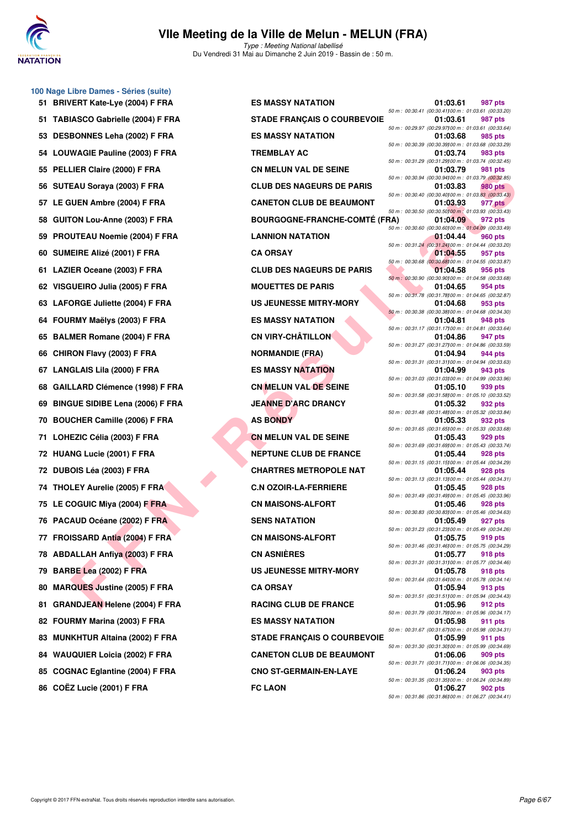

#### **VIIe Meeting de la Ville de Melun - MELUN (FRA)** Type : Meeting National labellisé

Du Vendredi 31 Mai au Dimanche 2 Juin 2019 - Bassin de : 50 m.

|     | 100 Nage Libre Dames - Séries (suite) |                                      |                                                                |                |
|-----|---------------------------------------|--------------------------------------|----------------------------------------------------------------|----------------|
|     | 51 BRIVERT Kate-Lye (2004) F FRA      | <b>ES MASSY NATATION</b>             | 01:03.61                                                       | 987 pts        |
|     | 51 TABIASCO Gabrielle (2004) F FRA    | <b>STADE FRANÇAIS O COURBEVOIE</b>   | 50 m : 00:30.41 (00:30.41100 m : 01:03.61 (00:33.<br>01:03.61  | 987 pts        |
|     | 53 DESBONNES Leha (2002) F FRA        | <b>ES MASSY NATATION</b>             | 50 m : 00:29.97 (00:29.97) 00 m : 01:03.61 (00:33.<br>01:03.68 | 985 pts        |
|     | 54 LOUWAGIE Pauline (2003) F FRA      | <b>TREMBLAY AC</b>                   | 50 m : 00:30.39 (00:30.39)00 m : 01:03.68 (00:33.<br>01:03.74  | 983 pts        |
|     | 55 PELLIER Claire (2000) F FRA        | <b>CN MELUN VAL DE SEINE</b>         | 50 m : 00:31.29 (00:31.29)00 m : 01:03.74 (00:32.<br>01:03.79  | 981 pts        |
|     | 56 SUTEAU Soraya (2003) F FRA         | <b>CLUB DES NAGEURS DE PARIS</b>     | 50 m : 00:30.94 (00:30.94100 m : 01:03.79 (00:32.<br>01:03.83  | <b>980 pts</b> |
|     | 57 LE GUEN Ambre (2004) F FRA         | <b>CANETON CLUB DE BEAUMONT</b>      | 50 m : 00:30.40 (00:30.40) 00 m : 01:03.83 (00:33.<br>01:03.93 | 977 pts        |
|     | 58 GUITON Lou-Anne (2003) F FRA       | <b>BOURGOGNE-FRANCHE-COMTÉ (FRA)</b> | 50 m : 00:30.50 (00:30.50) 00 m : 01:03.93 (00:33.<br>01:04.09 | 972 pts        |
|     | 59 PROUTEAU Noemie (2004) F FRA       | <b>LANNION NATATION</b>              | 50 m : 00:30.60 (00:30.60) 00 m : 01:04.09 (00:33.<br>01:04.44 | 960 pts        |
|     | 60 SUMEIRE Alizé (2001) F FRA         | <b>CA ORSAY</b>                      | 50 m : 00:31.24 (00:31.24100 m : 01:04.44 (00:33.<br>01:04.55  | 957 pts        |
|     | 61 LAZIER Oceane (2003) F FRA         | <b>CLUB DES NAGEURS DE PARIS</b>     | 50 m : 00:30.68 (00:30.68) 00 m : 01:04.55 (00:33.<br>01:04.58 | 956 pts        |
|     | 62 VISGUEIRO Julia (2005) F FRA       | <b>MOUETTES DE PARIS</b>             | 50 m : 00:30.90 (00:30.90)00 m : 01:04.58 (00:33.<br>01:04.65  | 954 pts        |
|     | 63 LAFORGE Juliette (2004) F FRA      | US JEUNESSE MITRY-MORY               | 50 m : 00:31.78 (00:31.78) 00 m : 01:04.65 (00:32.<br>01:04.68 | 953 pts        |
|     | 64 FOURMY Maëlys (2003) F FRA         | <b>ES MASSY NATATION</b>             | 50 m : 00:30.38 (00:30.38)00 m : 01:04.68 (00:34.<br>01:04.81  | 948 pts        |
|     | 65 BALMER Romane (2004) F FRA         | <b>CN VIRY-CHÂTILLON</b>             | 50 m: 00:31.17 (00:31.17)00 m: 01:04.81 (00:33.<br>01:04.86    | 947 pts        |
|     | 66 CHIRON Flavy (2003) F FRA          | <b>NORMANDIE (FRA)</b>               | 50 m : 00:31.27 (00:31.27) 00 m : 01:04.86 (00:33.<br>01:04.94 | 944 pts        |
|     | 67 LANGLAIS Lila (2000) F FRA         | <b>ES MASSY NATATION</b>             | 50 m: 00:31.31 (00:31.31100 m: 01:04.94 (00:33.<br>01:04.99    | 943 pts        |
|     | 68 GAILLARD Clémence (1998) F FRA     | <b>CN MELUN VAL DE SEINE</b>         | 50 m : 00:31.03 (00:31.03)00 m : 01:04.99 (00:33.<br>01:05.10  | 939 pts        |
|     |                                       | <b>JEANNE D'ARC DRANCY</b>           | 50 m: 00:31.58 (00:31.58)00 m: 01:05.10 (00:33.                |                |
|     | 69 BINGUE SIDIBE Lena (2006) F FRA    |                                      | 01:05.32<br>50 m: 00:31.48 (00:31.48)00 m: 01:05.32 (00:33.    | 932 pts        |
|     | 70 BOUCHER Camille (2006) F FRA       | <b>AS BONDY</b>                      | 01:05.33<br>50 m : 00:31.65 (00:31.65) 00 m : 01:05.33 (00:33. | 932 pts        |
|     | 71 LOHEZIC Célia (2003) F FRA         | <b>CN MELUN VAL DE SEINE</b>         | 01:05.43<br>50 m: 00:31.69 (00:31.69) 00 m: 01:05.43 (00:33.   | 929 pts        |
|     | 72 HUANG Lucie (2001) F FRA           | <b>NEPTUNE CLUB DE FRANCE</b>        | 01:05.44<br>50 m : 00:31.15 (00:31.15)00 m : 01:05.44 (00:34.  | 928 pts        |
|     | 72 DUBOIS Léa (2003) F FRA            | <b>CHARTRES METROPOLE NAT</b>        | 01:05.44<br>50 m: 00:31.13 (00:31.13)00 m: 01:05.44 (00:34.    | 928 pts        |
|     | 74 THOLEY Aurelie (2005) F FRA        | <b>C.N OZOIR-LA-FERRIERE</b>         | 01:05.45<br>50 m : 00:31.49 (00:31.49)00 m : 01:05.45 (00:33.  | 928 pts        |
|     | 75 LE COGUIC Miya (2004) F FRA        | <b>CN MAISONS-ALFORT</b>             | 01:05.46<br>50 m : 00:30.83 (00:30.83)00 m : 01:05.46 (00:34.  | 928 pts        |
|     | 76 PACAUD Océane (2002) F FRA         | <b>SENS NATATION</b>                 | 01:05.49<br>50 m : 00:31.23 (00:31.23)00 m : 01:05.49 (00:34.  | 927 pts        |
|     | 77 FROISSARD Antia (2004) F FRA       | <b>CN MAISONS-ALFORT</b>             | 01:05.75<br>50 m : 00:31.46 (00:31.46) 00 m : 01:05.75 (00:34. | 919 pts        |
|     | 78 ABDALLAH Anfiya (2003) F FRA       | <b>CN ASNIÈRES</b>                   | 01:05.77<br>50 m: 00:31.31 (00:31.31100 m: 01:05.77 (00:34.    | 918 pts        |
|     | 79 BARBE Lea (2002) F FRA             | <b>US JEUNESSE MITRY-MORY</b>        | 01:05.78<br>50 m: 00:31.64 (00:31.64)00 m: 01:05.78 (00:34.    | 918 pts        |
|     | 80 MARQUES Justine (2005) F FRA       | <b>CA ORSAY</b>                      | 01:05.94<br>50 m: 00:31.51 (00:31.51100 m: 01:05.94 (00:34.    | 913 pts        |
| 81. | <b>GRANDJEAN Helene (2004) F FRA</b>  | <b>RACING CLUB DE FRANCE</b>         | 01:05.96<br>50 m : 00:31.79 (00:31.79)00 m : 01:05.96 (00:34.  | 912 pts        |
|     | 82 FOURMY Marina (2003) F FRA         | <b>ES MASSY NATATION</b>             | 01:05.98<br>50 m: 00:31.67 (00:31.67) 00 m: 01:05.98 (00:34.   | 911 pts        |
|     | 83 MUNKHTUR Altaina (2002) F FRA      | <b>STADE FRANÇAIS O COURBEVOIE</b>   | 01:05.99<br>50 m : 00:31.30 (00:31.30)00 m : 01:05.99 (00:34.  | 911 pts        |
|     | 84 WAUQUIER Loicia (2002) F FRA       | <b>CANETON CLUB DE BEAUMONT</b>      | 01:06.06<br>50 m : 00:31.71 (00:31.71100 m : 01:06.06 (00:34.  | 909 pts        |
|     | 85 COGNAC Eglantine (2004) F FRA      | <b>CNO ST-GERMAIN-EN-LAYE</b>        | 01:06.24<br>50 m : 00:31.35 (00:31.35)00 m : 01:06.24 (00:34.  | 903 pts        |
|     | 86 COËZ Lucie (2001) F FRA            | <b>FC LAON</b>                       | 01:06.27                                                       | 902 pts        |

| <b>ES MASSY NATATION</b>           |
|------------------------------------|
| <b>STADE FRANÇAIS O COURBEVOIE</b> |
| <b>ES MASSY NATATION</b>           |
| <b>TREMBLAY AC</b>                 |
| <b>CN MELUN VAL DE SEINE</b>       |
| <b>CLUB DES NAGEURS DE PARIS</b>   |
| <b>CANETON CLUB DE BEAUMONT</b>    |
| <b>BOURGOGNE-FRANCHE-COMTÉ (F</b>  |
| <b>LANNION NATATION</b>            |
| <b>CA ORSAY</b>                    |
| <b>CLUB DES NAGEURS DE PARIS</b>   |
| <b>MOUETTES DE PARIS</b>           |
| <b>US JEUNESSE MITRY-MORY</b>      |
| <b>ES MASSY NATATION</b>           |
| <b>CN VIRY-CHÂTILLON</b>           |
| <b>NORMANDIE (FRA)</b>             |
| <b>ES MASSY NATATION</b>           |
| <b>CN MELUN VAL DE SEINE</b>       |
| <b>JEANNE D'ARC DRANCY</b>         |
| <b>AS BONDY</b>                    |
| <b>CN MELUN VAL DE SEINE</b>       |
| <b>NEPTUNE CLUB DE FRANCE</b>      |
| <b>CHARTRES METROPOLE NAT</b>      |
| <b>C.N OZOIR-LA-FERRIERE</b>       |
| <b>CN MAISONS-ALFORT</b>           |
| <b>SENS NATATION</b>               |
| <b>CN MAISONS-ALFORT</b>           |
| <b>CN ASNIÈRES</b>                 |
| <b>US JEUNESSE MITRY-MORY</b>      |
| <b>CA ORSAY</b>                    |
| <b>RACING CLUB DE FRANCE</b>       |
| <b>ES MASSY NATATION</b>           |
| <b>STADE FRANÇAIS O COURBEVOIE</b> |
| <b>CANETON CLUB DE BEAUMONT</b>    |
| <b>CNO ST-GERMAIN-EN-LAYE</b>      |
|                                    |

| <b>'ERT Kate-Lye (2004) F FRA</b>   | <b>ES MASSY NATATION</b>             | 01:03.61                                                          | <b>987 pts</b> |
|-------------------------------------|--------------------------------------|-------------------------------------------------------------------|----------------|
| <b>IASCO Gabrielle (2004) F FRA</b> | <b>STADE FRANÇAIS O COURBEVOIE</b>   | 50 m : 00:30.41 (00:30.41100 m : 01:03.61 (00:33.20)<br>01:03.61  | 987 pts        |
| <b>BONNES Leha (2002) F FRA</b>     | <b>ES MASSY NATATION</b>             | 50 m : 00:29.97 (00:29.97)00 m : 01:03.61 (00:33.64)<br>01:03.68  | 985 pts        |
| WAGIE Pauline (2003) F FRA          | <b>TREMBLAY AC</b>                   | 50 m : 00:30.39 (00:30.39) 00 m : 01:03.68 (00:33.29)<br>01:03.74 | 983 pts        |
| LIER Claire (2000) F FRA            | <b>CN MELUN VAL DE SEINE</b>         | 50 m : 00:31.29 (00:31.29) 00 m : 01:03.74 (00:32.45)<br>01:03.79 | 981 pts        |
| EAU Soraya (2003) F FRA             | <b>CLUB DES NAGEURS DE PARIS</b>     | 50 m : 00:30.94 (00:30.94100 m : 01:03.79 (00:32.85)<br>01:03.83  | <b>980 pts</b> |
| <b>IUEN Ambre (2004) F FRA</b>      | <b>CANETON CLUB DE BEAUMONT</b>      | 50 m : 00:30.40 (00:30.40) 00 m : 01:03.83 (00:33.43)<br>01:03.93 | 977 pts        |
| ON Lou-Anne (2003) F FRA            | <b>BOURGOGNE-FRANCHE-COMTÉ (FRA)</b> | 50 m : 00:30.50 (00:30.50) 00 m : 01:03.93 (00:33.43)<br>01:04.09 | 972 pts        |
|                                     | <b>LANNION NATATION</b>              | 50 m : 00:30.60 (00:30.60) 00 m : 01:04.09 (00:33.49)             |                |
| UTEAU Noemie (2004) F FRA           |                                      | 01:04.44<br>50 m : 00:31.24 (00:31.24)00 m : 01:04.44 (00:33.20)  | 960 pts        |
| EIRE Alizé (2001) F FRA             | <b>CA ORSAY</b>                      | 01:04.55<br>50 m : 00:30.68 (00:30.68) 00 m : 01:04.55 (00:33.87) | 957 pts        |
| ER Oceane (2003) F FRA              | <b>CLUB DES NAGEURS DE PARIS</b>     | 01:04.58<br>50 m : 00:30.90 (00:30.90) 00 m : 01:04.58 (00:33.68) | 956 pts        |
| <b>iUEIRO Julia (2005) F FRA</b>    | <b>MOUETTES DE PARIS</b>             | 01:04.65<br>50 m: 00:31.78 (00:31.78) 00 m: 01:04.65 (00:32.87)   | 954 pts        |
| ORGE Juliette (2004) F FRA          | <b>US JEUNESSE MITRY-MORY</b>        | 01:04.68<br>50 m : 00:30.38 (00:30.38) 00 m : 01:04.68 (00:34.30) | 953 pts        |
| RMY Maëlys (2003) F FRA             | <b>ES MASSY NATATION</b>             | 01:04.81<br>50 m: 00:31.17 (00:31.17) 00 m: 01:04.81 (00:33.64)   | 948 pts        |
| MER Romane (2004) F FRA             | <b>CN VIRY-CHÂTILLON</b>             | 01:04.86<br>50 m : 00:31.27 (00:31.27) 00 m : 01:04.86 (00:33.59) | 947 pts        |
| <b>RON Flavy (2003) F FRA</b>       | <b>NORMANDIE (FRA)</b>               | 01:04.94<br>50 m: 00:31.31 (00:31.31100 m: 01:04.94 (00:33.63)    | 944 pts        |
| GLAIS Lila (2000) F FRA             | <b>ES MASSY NATATION</b>             | 01:04.99                                                          | 943 pts        |
| LARD Clémence (1998) F FRA          | <b>CN MELUN VAL DE SEINE</b>         | 50 m : 00:31.03 (00:31.03) 00 m : 01:04.99 (00:33.96)<br>01:05.10 | 939 pts        |
| <b>iUE SIDIBE Lena (2006) F FRA</b> | <b>JEANNE D'ARC DRANCY</b>           | 50 m : 00:31.58 (00:31.58) 00 m : 01:05.10 (00:33.52)<br>01:05.32 | 932 pts        |
| CHER Camille (2006) F FRA           | <b>AS BONDY</b>                      | 50 m: 00:31.48 (00:31.48) 00 m: 01:05.32 (00:33.84)<br>01:05.33   | 932 pts        |
| EZIC Célia (2003) F FRA             | <b>CN MELUN VAL DE SEINE</b>         | 50 m: 00:31.65 (00:31.65) 00 m: 01:05.33 (00:33.68)<br>01:05.43   | 929 pts        |
| NG Lucie (2001) F FRA               | <b>NEPTUNE CLUB DE FRANCE</b>        | 50 m: 00:31.69 (00:31.69) 00 m: 01:05.43 (00:33.74)<br>01:05.44   | 928 pts        |
| OIS Léa (2003) F FRA                | <b>CHARTRES METROPOLE NAT</b>        | 50 m: 00:31.15 (00:31.15) 00 m: 01:05.44 (00:34.29)<br>01:05.44   | 928 pts        |
| LEY Aurelie (2005) F FRA            | <b>C.N OZOIR-LA-FERRIERE</b>         | 50 m: 00:31.13 (00:31.13) 00 m: 01:05.44 (00:34.31)<br>01:05.45   | 928 pts        |
| OGUIC Miya (2004) F FRA             | <b>CN MAISONS-ALFORT</b>             | 50 m: 00:31.49 (00:31.49) 00 m: 01:05.45 (00:33.96)<br>01:05.46   | 928 pts        |
| AUD Océane (2002) F FRA `           | <b>SENS NATATION</b>                 | 50 m : 00:30.83 (00:30.83) 00 m : 01:05.46 (00:34.63)<br>01:05.49 | 927 pts        |
| ISSARD Antia (2004) F FRA           | <b>CN MAISONS-ALFORT</b>             | 50 m : 00:31.23 (00:31.23) 00 m : 01:05.49 (00:34.26)<br>01:05.75 | 919 pts        |
|                                     | <b>CN ASNIÈRES</b>                   | 50 m: 00:31.46 (00:31.46) 00 m: 01:05.75 (00:34.29)               |                |
| ALLAH Anfiya (2003) F FRA           |                                      | 01:05.77<br>50 m: 00:31.31 (00:31.31100 m: 01:05.77 (00:34.46)    | 918 pts        |
| <b>BE Lea (2002) F FRA</b>          | <b>US JEUNESSE MITRY-MORY</b>        | 01:05.78<br>50 m : 00:31.64 (00:31.64)00 m : 01:05.78 (00:34.14)  | 918 pts        |
| QUES Justine (2005) F FRA           | <b>CA ORSAY</b>                      | 01:05.94<br>50 m: 00:31.51 (00:31.51100 m: 01:05.94 (00:34.43)    | 913 pts        |
| NDJEAN Helene (2004) F FRA          | <b>RACING CLUB DE FRANCE</b>         | 01:05.96<br>50 m : 00:31.79 (00:31.79) 00 m : 01:05.96 (00:34.17) | 912 pts        |
| RMY Marina (2003) F FRA             | <b>ES MASSY NATATION</b>             | 01:05.98<br>50 m: 00:31.67 (00:31.67) 00 m: 01:05.98 (00:34.31)   | 911 pts        |
| KHTUR Altaina (2002) F FRA          | <b>STADE FRANÇAIS O COURBEVOIE</b>   | 01:05.99<br>50 m: 00:31.30 (00:31.30) 00 m: 01:05.99 (00:34.69)   | 911 pts        |
| <b>QUIER Loicia (2002) F FRA</b>    | <b>CANETON CLUB DE BEAUMONT</b>      | 01:06.06<br>50 m : 00:31.71 (00:31.71100 m : 01:06.06 (00:34.35)  | 909 pts        |
| <b>NAC Eglantine (2004) F FRA</b>   | <b>CNO ST-GERMAIN-EN-LAYE</b>        | 01:06.24<br>50 m: 00:31.35 (00:31.35) 00 m: 01:06.24 (00:34.89)   | 903 pts        |
| Z Lucie (2001) F FRA                | <b>FC LAON</b>                       | 01:06.27                                                          | 902 pts        |
|                                     |                                      | 50 m: 00:31.86 (00:31.86) 00 m: 01:06.27 (00:34.41)               |                |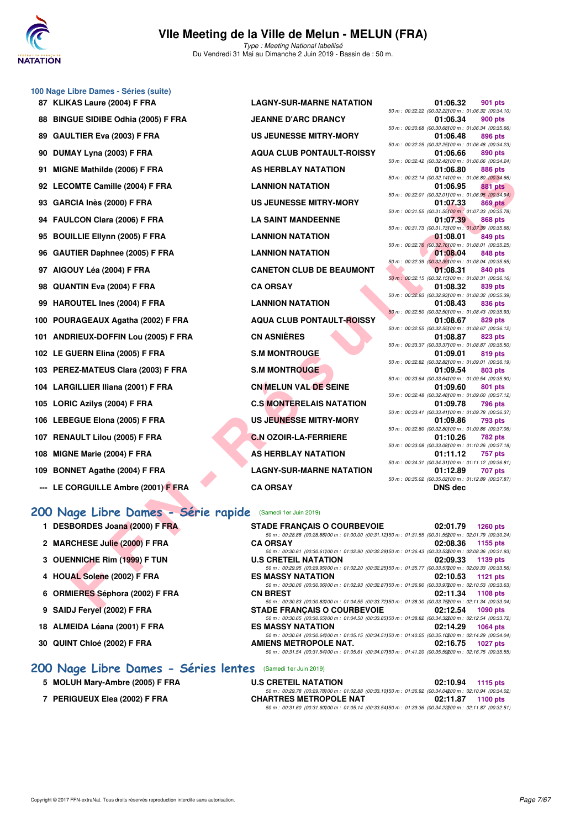

#### **VIIe Meeting de la Ville de Melun - MELUN (FRA)** Type : Meeting National labellisé

Du Vendredi 31 Mai au Dimanche 2 Juin 2019 - Bassin de : 50 m.

# **100 Nage Libre Dames - Séries (suite)**

| 87 KLIKAS Laure (2004) F FRA         | <b>LAGNY-SUR-MARNE NATATION</b>  | 01:06.32<br>901 pts                                                              |
|--------------------------------------|----------------------------------|----------------------------------------------------------------------------------|
|                                      |                                  | 50 m : 00:32.22 (00:32.22) 00 m : 01:06.32 (00:34.                               |
| 88 BINGUE SIDIBE Odhia (2005) F FRA  | <b>JEANNE D'ARC DRANCY</b>       | 900 pts<br>01:06.34<br>50 m: 00:30.68 (00:30.68) 00 m: 01:06.34 (00:35.          |
| 89 GAULTIER Eva (2003) F FRA         | <b>US JEUNESSE MITRY-MORY</b>    | 896 pts<br>01:06.48                                                              |
|                                      |                                  | 50 m: 00:32.25 (00:32.25) 00 m: 01:06.48 (00:34.                                 |
| 90 DUMAY Lyna (2003) F FRA           | <b>AQUA CLUB PONTAULT-ROISSY</b> | 01:06.66<br>890 pts                                                              |
| 91 MIGNE Mathilde (2006) F FRA       | <b>AS HERBLAY NATATION</b>       | 50 m : 00:32.42 (00:32.42) 00 m : 01:06.66 (00:34.<br><b>886 pts</b><br>01:06.80 |
|                                      |                                  | 50 m : 00:32.14 (00:32.14) 00 m : 01:06.80 (00:34.                               |
| 92 LECOMTE Camille (2004) F FRA      | <b>LANNION NATATION</b>          | 01:06.95<br><b>881 pts</b>                                                       |
|                                      |                                  | 50 m : 00:32.01 (00:32.01100 m : 01:06.95 (00:34.                                |
| 93 GARCIA Inès (2000) F FRA          | <b>US JEUNESSE MITRY-MORY</b>    | 01:07.33<br><b>869 pts</b>                                                       |
|                                      |                                  | 50 m: 00:31.55 (00:31.55) 00 m: 01:07.33 (00:35.                                 |
| 94 FAULCON Clara (2006) F FRA        | <b>LA SAINT MANDEENNE</b>        | 01:07.39<br><b>868 pts</b><br>50 m : 00:31.73 (00:31.73)00 m : 01:07.39 (00:35.  |
| 95 BOUILLIE Ellynn (2005) F FRA      | <b>LANNION NATATION</b>          | 849 pts<br>01:08.01                                                              |
|                                      |                                  | 50 m : 00:32.76 (00:32.76) 00 m : 01:08.01 (00:35.                               |
| 96 GAUTIER Daphnee (2005) F FRA      | <b>LANNION NATATION</b>          | 01:08.04<br>848 pts                                                              |
|                                      |                                  | 50 m : 00:32.39 (00:32.39) 00 m : 01:08.04 (00:35.                               |
| 97 AIGOUY Léa (2004) F FRA           | <b>CANETON CLUB DE BEAUMONT</b>  | 01:08.31<br>840 pts                                                              |
| 98 QUANTIN Eva (2004) F FRA          | <b>CA ORSAY</b>                  | 50 m: 00:32.15 (00:32.15) 00 m: 01:08.31 (00:36.<br>01:08.32<br>839 pts          |
|                                      |                                  | 50 m: 00:32.93 (00:32.93)00 m: 01:08.32 (00:35.                                  |
| 99 HAROUTEL Ines (2004) F FRA        | <b>LANNION NATATION</b>          | 01:08.43<br>836 pts                                                              |
|                                      |                                  | 50 m : 00:32.50 (00:32.50) 00 m : 01:08.43 (00:35.                               |
| 100 POURAGEAUX Agatha (2002) F FRA   | <b>AQUA CLUB PONTAULT-ROISSY</b> | 01:08.67<br>829 pts                                                              |
| 101 ANDRIEUX-DOFFIN Lou (2005) F FRA | <b>CN ASNIÈRES</b>               | 50 m: 00:32.55 (00:32.55) 00 m: 01:08.67 (00:36.<br>01:08.87<br>823 pts          |
|                                      |                                  | 50 m : 00:33.37 (00:33.37) 00 m : 01:08.87 (00:35.                               |
| 102 LE GUERN Elina (2005) F FRA      | <b>S.M MONTROUGE</b>             | 819 pts<br>01:09.01                                                              |
|                                      |                                  | 50 m: 00:32.82 (00:32.82) 00 m: 01:09.01 (00:36.                                 |
| 103 PEREZ-MATEUS Clara (2003) F FRA  | <b>S.M MONTROUGE</b>             | 01:09.54<br>803 pts                                                              |
|                                      |                                  | 50 m : 00:33.64 (00:33.64)00 m : 01:09.54 (00:35.                                |
| 104 LARGILLIER Iliana (2001) F FRA   | CN MELUN VAL DE SEINE            | 01:09.60<br>801 pts<br>50 m : 00:32.48 (00:32.48) 00 m : 01:09.60 (00:37.        |
| 105 LORIC Azilys (2004) F FRA        | <b>C.S MONTERELAIS NATATION</b>  | 01:09.78<br><b>796 pts</b>                                                       |
|                                      |                                  | 50 m: 00:33.41 (00:33.41100 m: 01:09.78 (00:36.                                  |
| 106 LEBEGUE Elona (2005) F FRA       | US JEUNESSE MITRY-MORY           | 01:09.86<br><b>793 pts</b>                                                       |
|                                      |                                  | 50 m : 00:32.80 (00:32.80) 00 m : 01:09.86 (00:37.                               |
| 107 RENAULT Lilou (2005) F FRA       | <b>C.N OZOIR-LA-FERRIERE</b>     | <b>782 pts</b><br>01:10.26<br>50 m: 00:33.08 (00:33.08) 00 m: 01:10.26 (00:37.   |
| 108 MIGNE Marie (2004) F FRA         | AS HERBLAY NATATION              | 01:11.12<br>757 pts                                                              |
|                                      |                                  | 50 m: 00:34.31 (00:34.31100 m: 01:11.12 (00:36.                                  |
| 109 BONNET Agathe (2004) F FRA       | <b>LAGNY-SUR-MARNE NATATION</b>  | 01:12.89<br>707 pts                                                              |
|                                      |                                  | 50 m: 00:35.02 (00:35.02) 00 m: 01:12.89 (00:37.                                 |
| --- LE CORGUILLE Ambre (2001) F FRA  | <b>CA ORSAY</b>                  | <b>DNS dec</b>                                                                   |

| .AS Laure (2004) F FRA                                                                                                                                                                                          | <b>LAGNY-SUR-MARNE NATATION</b>      | 01:06.32<br>901 pts                                                                                                                |
|-----------------------------------------------------------------------------------------------------------------------------------------------------------------------------------------------------------------|--------------------------------------|------------------------------------------------------------------------------------------------------------------------------------|
| <b>SUE SIDIBE Odhia (2005) F FRA</b>                                                                                                                                                                            | <b>JEANNE D'ARC DRANCY</b>           | 50 m : 00:32.22 (00:32.22) 00 m : 01:06.32 (00:34.10)<br>01:06.34<br><b>900 pts</b>                                                |
| LTIER Eva (2003) F FRA                                                                                                                                                                                          | <b>US JEUNESSE MITRY-MORY</b>        | 50 m : 00:30.68 (00:30.68) 00 m : 01:06.34 (00:35.66)<br>01:06.48<br>896 pts                                                       |
| IAY Lyna (2003) F FRA                                                                                                                                                                                           | <b>AQUA CLUB PONTAULT-ROISSY</b>     | 50 m : 00:32.25 (00:32.25) 00 m : 01:06.48 (00:34.23)<br>01:06.66<br>890 pts                                                       |
|                                                                                                                                                                                                                 |                                      | 50 m : 00:32.42 (00:32.42) 00 m : 01:06.66 (00:34.24)                                                                              |
| <b>NE Mathilde (2006) F FRA</b>                                                                                                                                                                                 | AS HERBLAY NATATION                  | 01:06.80<br>886 pts<br>50 m : 00:32.14 (00:32.14100 m : 01:06.80 (00:34.66)                                                        |
| OMTE Camille (2004) F FRA                                                                                                                                                                                       | <b>LANNION NATATION</b>              | 01:06.95<br>881 pts                                                                                                                |
| <b>CIA Inès (2000) F FRA</b>                                                                                                                                                                                    | <b>US JEUNESSE MITRY-MORY</b>        | 50 m : 00:32.01 (00:32.01100 m : 01:06.95 (00:34.94)<br>01:07.33<br><b>869 pts</b>                                                 |
| LCON Clara (2006) F FRA                                                                                                                                                                                         | <b>LA SAINT MANDEENNE</b>            | 50 m : 00:31.55 (00:31.55) 00 m : 01:07.33 (00:35.78)<br>01:07.39<br><b>868 pts</b>                                                |
| ILLIE Ellynn (2005) F FRA                                                                                                                                                                                       | <b>LANNION NATATION</b>              | 50 m : 00:31.73 (00:31.73)00 m : 01:07.39 (00:35.66)<br>01:08.01<br>849 pts                                                        |
|                                                                                                                                                                                                                 | <b>LANNION NATATION</b>              | 50 m : 00:32.76 (00:32.76) 00 m : 01:08.01 (00:35.25)                                                                              |
| TIER Daphnee (2005) F FRA                                                                                                                                                                                       |                                      | 01:08.04<br><b>848 pts</b><br>50 m : 00:32.39 (00:32.39) 00 m : 01:08.04 (00:35.65)                                                |
| <b>)UY Léa (2004) F FRA</b>                                                                                                                                                                                     | <b>CANETON CLUB DE BEAUMONT</b>      | 01:08.31<br>840 pts<br>50 m: 00:32.15 (00:32.15100 m: 01:08.31 (00:36.16)                                                          |
| NTIN Eva (2004) F FRA                                                                                                                                                                                           | <b>CA ORSAY</b>                      | 01:08.32<br>839 pts                                                                                                                |
| <b>OUTEL Ines (2004) F FRA</b>                                                                                                                                                                                  | <b>LANNION NATATION</b>              | 50 m : 00:32.93 (00:32.93) 00 m : 01:08.32 (00:35.39)<br>01:08.43                                                                  |
|                                                                                                                                                                                                                 |                                      | 836 pts<br>50 m : 00:32.50 (00:32.50) 00 m : 01:08.43 (00:35.93)                                                                   |
| RAGEAUX Agatha (2002) F FRA                                                                                                                                                                                     | <b>AQUA CLUB PONTAULT-ROISSY</b>     | 01:08.67<br>829 pts<br>50 m : 00:32.55 (00:32.55) 00 m : 01:08.67 (00:36.12)                                                       |
| RIEUX-DOFFIN Lou (2005) F FRA                                                                                                                                                                                   | <b>CN ASNIÈRES</b>                   | 01:08.87<br>823 pts                                                                                                                |
| UERN Elina (2005) F FRA                                                                                                                                                                                         | <b>S.M MONTROUGE</b>                 | 50 m : 00:33.37 (00:33.37) 00 m : 01:08.87 (00:35.50)<br>01:09.01<br>819 pts                                                       |
|                                                                                                                                                                                                                 |                                      | 50 m : 00:32.82 (00:32.82) 00 m : 01:09.01 (00:36.19)                                                                              |
| EZ-MATEUS Clara (2003) F FRA                                                                                                                                                                                    | <b>S.M MONTROUGE</b>                 | 01:09.54<br>803 pts<br>50 m : 00:33.64 (00:33.64)00 m : 01:09.54 (00:35.90)                                                        |
| GILLIER Iliana (2001) F FRA                                                                                                                                                                                     | <b>CN MELUN VAL DE SEINE</b>         | 01:09.60<br>801 pts<br>50 m : 00:32.48 (00:32.48) 00 m : 01:09.60 (00:37.12)                                                       |
| IC Azilys (2004) F FRA                                                                                                                                                                                          | <b>C.S MONTERELAIS NATATION</b>      | 01:09.78<br>796 pts                                                                                                                |
| EGUE Elona (2005) F FRA                                                                                                                                                                                         | US JEUNESSE MITRY-MORY               | 50 m : 00:33.41 (00:33.41100 m : 01:09.78 (00:36.37)<br>01:09.86<br>793 pts                                                        |
|                                                                                                                                                                                                                 |                                      | 50 m : 00:32.80 (00:32.80) 00 m : 01:09.86 (00:37.06)                                                                              |
| <b>AULT Lilou (2005) F FRA</b>                                                                                                                                                                                  | <b>C.N OZOIR-LA-FERRIERE</b>         | 01:10.26<br><b>782 pts</b><br>50 m : 00:33.08 (00:33.08) 00 m : 01:10.26 (00:37.18)                                                |
| <b>NE Marie (2004) F FRA</b>                                                                                                                                                                                    | <b>AS HERBLAY NATATION</b>           | 01:11.12<br>757 pts                                                                                                                |
| NET Agathe (2004) F FRA                                                                                                                                                                                         | <b>LAGNY-SUR-MARNE NATATION</b>      | 50 m: 00:34.31 (00:34.31100 m: 01:11.12 (00:36.81)<br>01:12.89<br><b>707 pts</b>                                                   |
| ORGUILLE Ambre (2001) F FRA                                                                                                                                                                                     | <b>CA ORSAY</b>                      | 50 m : 00:35.02 (00:35.02) 00 m : 01:12.89 (00:37.87)<br><b>DNS</b> dec                                                            |
|                                                                                                                                                                                                                 |                                      |                                                                                                                                    |
| age Libre Dames - Série rapide                                                                                                                                                                                  | (Samedi 1er Juin 2019)               |                                                                                                                                    |
| BORDES Joana (2000) F FRA                                                                                                                                                                                       | <b>STADE FRANCAIS O COURBEVOIE</b>   | 02:01.79<br><b>1260 pts</b>                                                                                                        |
| CHESE Julie (2000) F FRA                                                                                                                                                                                        | <b>CA ORSAY</b>                      | 50 m : 00:28.88 (00:28.88) 00 m : 01:00.00 (00:31.12) 50 m : 01:31.55 (00:31.55200 m : 02:01.79 (00:30.24)<br>02:08.36<br>1155 pts |
| NNICHE Rim (1999) F TUN                                                                                                                                                                                         | <b>U.S CRETEIL NATATION</b>          | 50 m : 00:30.61 (00:30.61)00 m : 01:02.90 (00:32.29)50 m : 01:36.43 (00:33.53200 m : 02:08.36 (00:31.93)<br>02:09.33<br>1139 pts   |
|                                                                                                                                                                                                                 |                                      | 50 m : 00:29.95 (00:29.95)00 m : 01:02.20 (00:32.25)50 m : 01:35.77 (00:33.57)00 m : 02:09.33 (00:33.56)                           |
| AL Solene (2002) F FRA                                                                                                                                                                                          | <b>ES MASSY NATATION</b>             | 02:10.53<br>1121 $pts$<br>50 m : 00:30.06 (00:30.06)00 m : 01:02.93 (00:32.87)50 m : 01:36.90 (00:33.97200 m : 02:10.53 (00:33.63) |
| IIERES Séphora (2002) F FRA                                                                                                                                                                                     | <b>CN BREST</b>                      | 02:11.34<br><b>1108 pts</b>                                                                                                        |
| $\mathbf{H}$ $\mathbf{F}$ $\mathbf{F}$ $\mathbf{F}$ $\mathbf{F}$ $\mathbf{H}$ $\mathbf{H}$ $\mathbf{H}$ $\mathbf{H}$ $\mathbf{H}$ $\mathbf{H}$ $\mathbf{H}$ $\mathbf{H}$ $\mathbf{H}$ $\mathbf{H}$ $\mathbf{H}$ | $CTAPF FDANORORORORORUORF$ $0.40.54$ | 50 m : 00:30.83 (00:30.83) 00 m : 01:04.55 (00:33.72) 50 m : 01:38.30 (00:33.75200 m : 02:11.34 (00:33.04)                         |

|  |                                                       |                                     | 01:06.32       | 901 pts        |  |
|--|-------------------------------------------------------|-------------------------------------|----------------|----------------|--|
|  | 50 m : 00:32.22 (00:32.22) 00 m : 01:06.32 (00:34.10) |                                     |                |                |  |
|  |                                                       |                                     | 01:06.34       | <b>900 pts</b> |  |
|  | 50 m : 00:30.68 (00:30.68) 00 m : 01:06.34 (00:35.66) |                                     |                |                |  |
|  |                                                       |                                     | 01:06.48       | <b>896 pts</b> |  |
|  | 50 m : 00:32.25 (00:32.25)00 m : 01:06.48 (00:34.23)  |                                     |                |                |  |
|  |                                                       |                                     | 01:06.66       | <b>890 pts</b> |  |
|  | 50 m : 00:32.42 (00:32.42) 00 m : 01:06.66 (00:34.24) |                                     |                |                |  |
|  |                                                       |                                     | 01:06.80       | <b>886 pts</b> |  |
|  | 50 m : 00:32.14 (00:32.14)00 m : 01:06.80 (00:34.66)  |                                     |                |                |  |
|  |                                                       |                                     | 01:06.95       | <b>881 pts</b> |  |
|  |                                                       |                                     |                |                |  |
|  | 50 m : 00:32.01                                       | (00:32.01100 m: 01:06.95 (00:34.94) |                |                |  |
|  |                                                       |                                     | 01:07.33       | <b>869 pts</b> |  |
|  | 50 m : 00:31.55 (00:31.55) 00 m : 01:07.33 (00:35.78) |                                     |                |                |  |
|  |                                                       |                                     | 01:07.39       | <b>868 pts</b> |  |
|  | 50 m: 00:31.73 (00:31.73) 00 m: 01:07.39 (00:35.66)   |                                     |                |                |  |
|  |                                                       |                                     | 01:08.01       | 849 pts        |  |
|  | 50 m : 00:32.76 (00:32.76100 m : 01:08.01 (00:35.25)  |                                     |                |                |  |
|  |                                                       |                                     | 01:08.04       | <b>848 pts</b> |  |
|  | 50 m : 00:32.39 (00:32.39) 00 m : 01:08.04 (00:35.65) |                                     |                |                |  |
|  |                                                       |                                     | 01:08.31       | <b>840 pts</b> |  |
|  | 50 m : 00:32.15 (00:32.15) 00 m : 01:08.31 (00:36.16) |                                     |                |                |  |
|  |                                                       |                                     | 01:08.32       | <b>839 pts</b> |  |
|  | 50 m : 00:32.93 (00:32.93) 00 m : 01:08.32 (00:35.39) |                                     |                |                |  |
|  |                                                       |                                     | 01:08.43       | <b>836 pts</b> |  |
|  | 50 m : 00:32.50 (00:32.50) 00 m : 01:08.43 (00:35.93) |                                     |                |                |  |
|  |                                                       |                                     | 01:08.67       | 829 pts        |  |
|  | 50 m : 00:32.55 (00:32.55) 00 m : 01:08.67 (00:36.12) |                                     |                |                |  |
|  |                                                       |                                     | 01:08.87       | <b>823 pts</b> |  |
|  | 50 m : 00:33.37 (00:33.37) 00 m : 01:08.87 (00:35.50) |                                     |                |                |  |
|  |                                                       |                                     |                |                |  |
|  |                                                       |                                     | 01:09.01       | 819 pts        |  |
|  | 50 m : 00:32.82 (00:32.82) 00 m : 01:09.01 (00:36.19) |                                     |                |                |  |
|  |                                                       |                                     | 01:09.54       | <b>803 pts</b> |  |
|  | 50 m : 00:33.64 (00:33.64) 00 m : 01:09.54 (00:35.90) |                                     |                |                |  |
|  |                                                       |                                     | 01:09.60       | <b>801 pts</b> |  |
|  | 50 m: 00:32.48 (00:32.48) 00 m: 01:09.60 (00:37.12)   |                                     |                |                |  |
|  |                                                       |                                     | 01:09.78       | <b>796 pts</b> |  |
|  | 50 m : 00:33.41                                       | (00:33.41100 m: 01:09.78 (00:36.37) |                |                |  |
|  |                                                       |                                     | 01:09.86       | <b>793 pts</b> |  |
|  | 50 m : 00:32.80 (00:32.80) 00 m : 01:09.86 (00:37.06) |                                     |                |                |  |
|  |                                                       |                                     | 01:10.26       | <b>782 pts</b> |  |
|  | 50 m : 00:33.08 (00:33.08) 00 m : 01:10.26 (00:37.18) |                                     |                |                |  |
|  |                                                       |                                     | 01:11.12       | 757 pts        |  |
|  | 50 m : 00:34.31                                       | (00:34.31100 m: 01:11.12 (00:36.81) |                |                |  |
|  |                                                       |                                     | 01:12.89       | <b>707 pts</b> |  |
|  | 50 m : 00:35.02 (00:35.02) 00 m : 01:12.89 (00:37.87) |                                     |                |                |  |
|  |                                                       |                                     | <b>DNS</b> dec |                |  |
|  |                                                       |                                     |                |                |  |

# **[200 Nage Libre Dames - Série rapide](http://www.ffnatation.fr/webffn/resultats.php?idact=nat&go=epr&idcpt=57771&idepr=3)** (Samedi 1er Juin 2019)

| 1 DESBORDES Joana (2000) F FRA                             | <b>STADE FRANCAIS O COURBEVOIE</b>                                                                                     | 02:01.79 | $1260$ pts |
|------------------------------------------------------------|------------------------------------------------------------------------------------------------------------------------|----------|------------|
|                                                            | 50 m : 00:28.88 (00:28.88) 00 m : 01:00.00 (00:31.12) 50 m : 01:31.55 (00:31.55200 m : 02:01.79 (00:30.24)             |          |            |
| 2 MARCHESE Julie (2000) F FRA                              | <b>CA ORSAY</b><br>50 m: 00:30.61 (00:30.61100 m: 01:02.90 (00:32.29150 m: 01:36.43 (00:33.53200 m: 02:08.36 (00:31.93 | 02:08.36 | 1155 pts   |
| 3 OUENNICHE Rim (1999) F TUN                               | <b>U.S CRETEIL NATATION</b>                                                                                            | 02:09.33 | $1139$ pts |
|                                                            | 50 m : 00:29.95 (00:29.95) 00 m : 01:02.20 (00:32.25) 50 m : 01:35.77 (00:33.57200 m : 02:09.33 (00:33.56              |          |            |
| 4 HOUAL Solene (2002) F FRA                                | <b>ES MASSY NATATION</b>                                                                                               | 02:10.53 | 1121 $pts$ |
|                                                            | 50 m: 00:30.06 (00:30.06100 m: 01:02.93 (00:32.87150 m: 01:36.90 (00:33.97200 m: 02:10.53 (00:33.63                    |          |            |
| 6 ORMIERES Séphora (2002) F FRA                            | <b>CN BREST</b>                                                                                                        | 02:11.34 | 1108 pts   |
|                                                            | 50 m : 00:30.83 (00:30.83) 00 m : 01:04.55 (00:33.72) 50 m : 01:38.30 (00:33.75200 m : 02:11.34 (00:33.04              |          |            |
| 9 SAIDJ Feryel (2002) F FRA                                | <b>STADE FRANCAIS O COURBEVOIE</b>                                                                                     | 02:12.54 | $1090$ pts |
|                                                            | 50 m : 00:30.65 (00:30.65) 00 m : 01:04.50 (00:33.85) 50 m : 01:38.82 (00:34.32200 m : 02:12.54 (00:33.72)             |          |            |
| 18 ALMEIDA Léana (2001) F FRA                              | <b>ES MASSY NATATION</b>                                                                                               | 02:14.29 | 1064 pts   |
|                                                            | 50 m: 00:30.64 (00:30.64100 m: 01:05.15 (00:34.51150 m: 01:40.25 (00:35.10200 m: 02:14.29 (00:34.04                    |          |            |
| 30 QUINT Chloé (2002) F FRA                                | AMIENS METROPOLE NAT.                                                                                                  | 02:16.75 | 1027 pts   |
|                                                            | 50 m: 00:31.54 (00:31.54) 00 m: 01:05.61 (00:34.07) 50 m: 01:41.20 (00:35.59200 m: 02:16.75 (00:35.55                  |          |            |
|                                                            |                                                                                                                        |          |            |
| 00 Nage Libre Dames - Séries lentes (Samedi 1er Juin 2019) |                                                                                                                        |          |            |

|  |  |  |  |  |  |  | 200 Nage Libre Dames - Séries lentes (Samedi 1er Juin 2019) |
|--|--|--|--|--|--|--|-------------------------------------------------------------|
|--|--|--|--|--|--|--|-------------------------------------------------------------|

- **5 MOLUH Mary-Ambre (2005) F FRA**
- 7 PERIGUEUX Elea (2002) F FRA

| <b>U.S CRETEIL NATATION</b>                                                                                | 02:10.94 1115 pts |
|------------------------------------------------------------------------------------------------------------|-------------------|
| 50 m : 00:29.78 (00:29.78100 m : 01:02.88 (00:33.10150 m : 01:36.92 (00:34.04200 m : 02:10.94 (00:34.02)   |                   |
| <b>CHARTRES METROPOLE NAT</b>                                                                              | 02:11.87 1100 pts |
| 50 m : 00:31.60 (00:31.60) 00 m : 01:05.14 (00:33.54) 50 m : 01:39.36 (00:34.22200 m : 02:11.87 (00:32.51) |                   |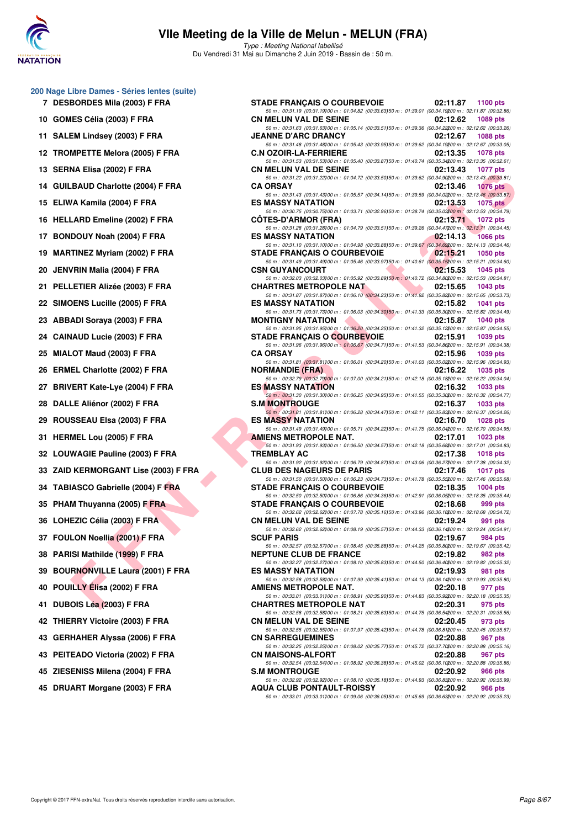

Type : Meeting National labellisé Du Vendredi 31 Mai au Dimanche 2 Juin 2019 - Bassin de : 50 m.

| 200 Nage Libre Dames - Séries lentes (suite) |  |  |  |  |  |
|----------------------------------------------|--|--|--|--|--|
|----------------------------------------------|--|--|--|--|--|

- **7 DESBORDES Mila (2003) F FRA**
- **10 GOMES Célia (2003) F FRA**
- **11 SALEM Lindsey (2003) F FRA**
- **12 TROMPETTE Melora (2005) F FRA**
- **13 SERNA Elisa (2002) F FRA**
- 14 GUILBAUD Charlotte (2004) F FRA
- **15 ELIWA Kamila (2004) F FRA**
- 16 HELLARD Emeline (2002) F FRA
- 17 BONDOUY Noah (2004) F FRA
- 19 **MARTINEZ Myriam (2002) F FRA**
- **20 JENVRIN Malia (2004) F FRA**
- 21 PELLETIER Alizée (2003) F FRA
- 22 SIMOENS Lucille (2005) F FRA
- **23 ABBADI Soraya (2003) F FRA**
- **24 CAINAUD Lucie (2003) F FRA**
- **25 MIALOT Maud (2003) F FRA**
- 26 ERMEL Charlotte (2002) F FRA
- 27 BRIVERT Kate-Lye (2004) F FRA
- **28 DALLE Aliénor (2002) F FRA**
- **29 ROUSSEAU Elsa (2003) F FRA**
- **31 HERMEL Lou (2005) F FRA**
- **32 LOUWAGIE Pauline (2003) F FRA**
- **33 ZAID KERMORGANT Lise (2003) F FRA**
- 34 TABIASCO Gabrielle (2004) F FRA
- 35 PHAM Thuyanna (2005) F FRA
- 36 LOHEZIC Célia (2003) F FRA
- **37 FOULON Noellia (2001) F FRA**
- **38 PARISI Mathilde (1999) F FRA**
- **39 BOURNONVILLE Laura (2001) F FRA**
- **40 POUILLY Élisa (2002) F FRA AMIENS METROPOLE NAT. 02:20.18 977 pts**
- **41 DUBOIS Léa (2003) F FRA CHARTRES METROPOLE NAT 02:20.31 975 pts**
- **42 THIERRY Victoire (2003) F FRA**
- **43 GERHAHER Alyssa (2006) F FRA**
- **43 PEITEADO Victoria (2002) F FRA**
- **45 ZIESENISS Milena (2004) F FRA**
- **45 DRUART Morgane (2003) F FRA**

| lbre Dames - Series lentes (suite).<br><b>BORDES Mila (2003) F FRA</b> | <b>STADE FRANÇAIS O COURBEVOIE</b>                                                                                                                                            | 02:11.87<br>1100 $pts$         |
|------------------------------------------------------------------------|-------------------------------------------------------------------------------------------------------------------------------------------------------------------------------|--------------------------------|
| IES Célia (2003) F FRA                                                 | 50 m : 00:31.19 (00:31.19) 00 m : 01:04.82 (00:33.63) 50 m : 01:39.01 (00:34.19200 m : 02:11.87 (00:32.86)<br><b>CN MELUN VAL DE SEINE</b>                                    | 02:12.62<br>1089 pts           |
|                                                                        | 50 m : 00:31.63 (00:31.63)00 m : 01:05.14 (00:33.51)50 m : 01:39.36 (00:34.22200 m : 02:12.62 (00:33.26)                                                                      | 02:12.67                       |
| EM Lindsey (2003) F FRA                                                | <b>JEANNE D'ARC DRANCY</b><br>50 m : 00:31.48 (00:31.48) 00 m : 01:05.43 (00:33.95) 50 m : 01:39.62 (00:34.19200 m : 02:12.67 (00:33.05)                                      | 1088 pts                       |
| MPETTE Melora (2005) F FRA                                             | <b>C.N OZOIR-LA-FERRIERE</b><br>50 m : 00:31.53 (00:31.53)00 m : 01:05.40 (00:33.87)50 m : 01:40.74 (00:35.34200 m : 02:13.35 (00:32.61)                                      | 02:13.35<br><b>1078 pts</b>    |
| NA Elisa (2002) F FRA                                                  | <b>CN MELUN VAL DE SEINE</b><br>50 m : 00:31.22 (00:31.22)00 m : 01:04.72 (00:33.50)50 m : 01:39.62 (00:34.90200 m : 02:13.43 (00:33.81)                                      | 02:13.43<br>1077 pts           |
| BAUD Charlotte (2004) F FRA.                                           | <b>CA ORSAY</b><br>50 m : 00:31.43 (00:31.43)00 m : 01:05.57 (00:34.14)50 m : 01:39.59 (00:34.02200 m : 02:13.46 (00:33.87)                                                   | 02:13.46<br><b>1076 pts</b>    |
| /A Kamila (2004) F FRA                                                 | <b>ES MASSY NATATION</b><br>50 m : 00:30.75 (00:30.75)00 m : 01:03.71 (00:32.96)50 m : 01:38.74 (00:35.03200 m : 02:13.53 (00:34.79)                                          | 02:13.53<br><b>1075 pts</b>    |
| LARD Emeline (2002) F FRA                                              | <b>COTES-D'ARMOR (FRA)</b>                                                                                                                                                    | $02:13.71$ 1072 pts            |
| DOUY Noah (2004) F FRA                                                 | 50 m : 00:31.28 (00:31.28) 00 m : 01:04.79 (00:33.51) 50 m : 01:39.26 (00:34.47200 m : 02:13.71 (00:34.45)<br><b>ES MASSY NATATION ESTATION</b>                               | $-02:14.13$<br><b>1066 pts</b> |
| TINEZ Myriam (2002) F FRA                                              | 50 m : 00:31.10 (00:31.10)00 m : 01:04.98 (00:33.88)50 m : 01:39.67 (00:34.69200 m : 02:14.13 (00:34.46)<br>STADE FRANÇAIS O COURBEVOIE 202:15.21                             | 1050 $pts$                     |
| /RIN Malia (2004) F FRA                                                | 50 m : 00:31.49 (00:31.49) 00 m : 01:05.46 (00:33.97) 50 m : 01:40.61 (00:35.15200 m : 02:15.21 (00:34.60)<br><b>CSN GUYANCOURT</b>                                           | 02:15.53<br><b>1045 pts</b>    |
| <b>LETIER Alizée (2003) F FRA</b>                                      | 50 m : 00:32.03 (00:32.03) 00 m : 01:05.92 (00:33.89) 50 m : 01:40.72 (00:34.80200 m : 02:15.53 (00:34.81)<br>CHARTRES METROPOLE NAT                                          | 02:15.65<br>1043 $pts$         |
| <b>DENS Lucille (2005) F FRA</b>                                       | 50 m : 00:31.87 (00:31.87)00 m : 01:06.10 (00:34.23)50 m : 01:41.92 (00:35.82200 m : 02:15.65 (00:33.73)<br><b>The Community of the Community</b><br><b>ES MASSY NATATION</b> | 02:15.82<br><b>1041 pts</b>    |
|                                                                        | 50 m : 00:31.73 (00:31.73)00 m : 01:06.03 (00:34.30)50 m : 01:41.33 (00:35.30200 m : 02:15.82 (00:34.49)<br>MONTIGNY NATATION <b>AND AN ALCOHOLY AND ALCOHOLY</b>             | 02:15.87                       |
| ADI Sorava (2003) F FRA                                                | 50 m: 00:31.95 (00:31.95)00 m: 01:06.20 (00:34.25)50 m: 01:41.32 (00:35.12200 m: 02:15.87 (00:34.55)                                                                          | 1040 pts                       |
| <b>IAUD Lucie (2003) F FRA</b>                                         | <b>STADE FRANÇAIS O COURBEVOIE</b><br>50 m : 00:31.96 (00:31.96) 00 m : 01:06.67 (00:34.71) 50 m : 01:41.53 (00:34.86200 m : 02:15.91 (00:34.38)                              | 02:15.91<br>1039 pts           |
| .OT Maud (2003) F FRA                                                  | <b>CA ORSAY</b><br>50 m : 00:31.81 (00:31.81)00 m : 01:06.01 (00:34.20)50 m : 01:41.03 (00:35.02200 m : 02:15.96 (00:34.93)                                                   | 02:15.96<br>1039 pts           |
| EL Charlotte (2002) F FRA                                              | <b>NORMANDIE (FRA)</b><br>50 m : 00:32.79 (00:32.79) 00 m : 01:07.00 (00:34.21) 50 m : 01:42.18 (00:35.18200 m : 02:16.22 (00:34.04)                                          | 02:16.22<br>1035 pts           |
| <b>/ERT Kate-Lye (2004) F FRA</b>                                      | <b>ES MASSY NATATION</b>                                                                                                                                                      | 02:16.32<br>1033 pts           |
| LE Aliénor (2002) F FRA                                                | 50 m: 00:31.30 (00:31.30) 00 m: 01:06.25 (00:34.95) 50 m: 01:41.55 (00:35.30200 m: 02:16.32 (00:34.77)<br><b>S.M MONTROUGE</b>                                                | 02:16.37<br>1033 pts           |
| SSEAU Elsa (2003) F FRA                                                | 50 m : 00:31.81 (00:31.81)00 m : 01:06.28 (00:34.47)50 m : 01:42.11 (00:35.83200 m : 02:16.37 (00:34.26)<br><b>ES MASSY NATATION</b>                                          | 02:16.70<br><b>1028 pts</b>    |
| <b>MEL Lou (2005) F FRA</b>                                            | 50 m : 00:31.49 (00:31.49) 00 m : 01:05.71 (00:34.22) 50 m : 01:41.75 (00:36.04200 m : 02:16.70 (00:34.95)<br><b>AMIENS METROPOLE NAT.</b>                                    | 02:17.01<br>1023 pts           |
| WAGIE Pauline (2003) F FRA                                             | 50 m : 00:31.93 (00:31.93)00 m : 01:06.50 (00:34.57)50 m : 01:42.18 (00:35.68200 m : 02:17.01 (00:34.83)<br><b>TREMBLAY AC</b>                                                | 02:17.38<br>1018 pts           |
| KERMORGANT Lise (2003) F FRA                                           | 50 m : 00:31.92 (00:31.92)00 m : 01:06.79 (00:34.87)50 m : 01:43.06 (00:36.27200 m : 02:17.38 (00:34.32)<br><b>CLUB DES NAGEURS DE PARIS</b>                                  | 02:17.46<br><b>1017 pts</b>    |
| IASCO Gabrielle (2004) F FRA                                           | 50 m : 00:31.50 (00:31.50) 00 m : 01:06.23 (00:34.73) 50 m : 01:41.78 (00:35.55200 m : 02:17.46 (00:35.68)<br><b>STADE FRANÇAIS O COURBEVOIE</b>                              | 02:18.35<br>1004 $pts$         |
|                                                                        | 50 m : 00:32.50 (00:32.50) 00 m : 01:06.86 (00:34.36) 50 m : 01:42.91 (00:36.05200 m : 02:18.35 (00:35.44)                                                                    |                                |
| M Thuyanna (2005) F FRA                                                | <b>STADE FRANÇAIS O COURBEVOIE</b><br>50 m : 00:32.62 (00:32.62) 00 m : 01:07.78 (00:35.16) 50 m : 01:43.96 (00:36.18200 m : 02:18.68 (00:34.72)                              | 02:18.68<br>999 pts            |
| EZIC Célia (2003) F FRA                                                | <b>CN MELUN VAL DE SEINE</b><br>50 m : 00:32.62 (00:32.62) 00 m : 01:08.19 (00:35.57) 50 m : 01:44.33 (00:36.14200 m : 02:19.24 (00:34.91)                                    | 02:19.24<br>991 pts            |
| LON Noellia (2001) F FRA                                               | <b>SCUF PARIS</b><br>50 m : 00:32.57 (00:32.57) 00 m : 01:08.45 (00:35.88) 50 m : 01:44.25 (00:35.80200 m : 02:19.67 (00:35.42)                                               | 02:19.67<br>984 pts            |
| ISI Mathilde (1999) F FRA                                              | <b>NEPTUNE CLUB DE FRANCE</b><br>50 m : 00:32.27 (00:32.27) 00 m : 01:08.10 (00:35.83) 50 m : 01:44.50 (00:36.40200 m : 02:19.82 (00:35.32)                                   | 02:19.82<br>982 pts            |
| RNONVILLE Laura (2001) F FRA                                           | <b>ES MASSY NATATION</b>                                                                                                                                                      | 02:19.93<br>981 pts            |
| ILLY Élisa (2002) F FRA                                                | 50 m : 00:32.58 (00:32.58)00 m : 01:07.99 (00:35.41)50 m : 01:44.13 (00:36.14200 m : 02:19.93 (00:35.80)<br>AMIENS METROPOLE NAT.                                             | 02:20.18<br>977 pts            |
| OIS Léa (2003) F FRA                                                   | 50 m : 00:33.01 (00:33.01) 00 m : 01:08.91 (00:35.90) 50 m : 01:44.83 (00:35.92200 m : 02:20.18 (00:35.35)<br><b>CHARTRES METROPOLE NAT</b>                                   | 02:20.31<br>975 pts            |
| RRY Victoire (2003) F FRA                                              | 50 m : 00:32.58 (00:32.58) 00 m : 01:08.21 (00:35.63) 50 m : 01:44.75 (00:36.54200 m : 02:20.31 (00:35.56)<br><b>CN MELUN VAL DE SEINE</b>                                    | 02:20.45<br>973 pts            |
| HAHER Alyssa (2006) F FRA                                              | 50 m : 00:32.55 (00:32.55)00 m : 01:07.97 (00:35.42)50 m : 01:44.78 (00:36.81200 m : 02:20.45 (00:35.67)<br><b>CN SARREGUEMINES</b>                                           | 02:20.88<br>967 pts            |
| EADO Victoria (2002) F FRA                                             | 50 m : 00:32.25 (00:32.25)00 m : 01:08.02 (00:35.77)50 m : 01:45.72 (00:37.70200 m : 02:20.88 (00:35.16)<br><b>CN MAISONS-ALFORT</b>                                          | 02:20.88<br>967 pts            |
|                                                                        | 50 m : 00:32.54 (00:32.54)00 m : 01:08.92 (00:36.38)50 m : 01:45.02 (00:36.10200 m : 02:20.88 (00:35.86)                                                                      |                                |
| ENISS Milena (2004) F FRA                                              | <b>S.M MONTROUGE</b><br>50 m : 00:32.92 (00:32.92) 00 m : 01:08.10 (00:35.18) 50 m : 01:44.93 (00:36.83200 m : 02:20.92 (00:35.99)                                            | 02:20.92<br>966 pts            |
| ART Morgane (2003) F FRA                                               | <b>AQUA CLUB PONTAULT-ROISSY</b><br>50 m : 00:33.01 (00:33.01) 00 m : 01:09.06 (00:36.05) 50 m : 01:45.69 (00:36.63200 m : 02:20.92 (00:35.23)                                | 02:20.92<br>966 pts            |
|                                                                        |                                                                                                                                                                               |                                |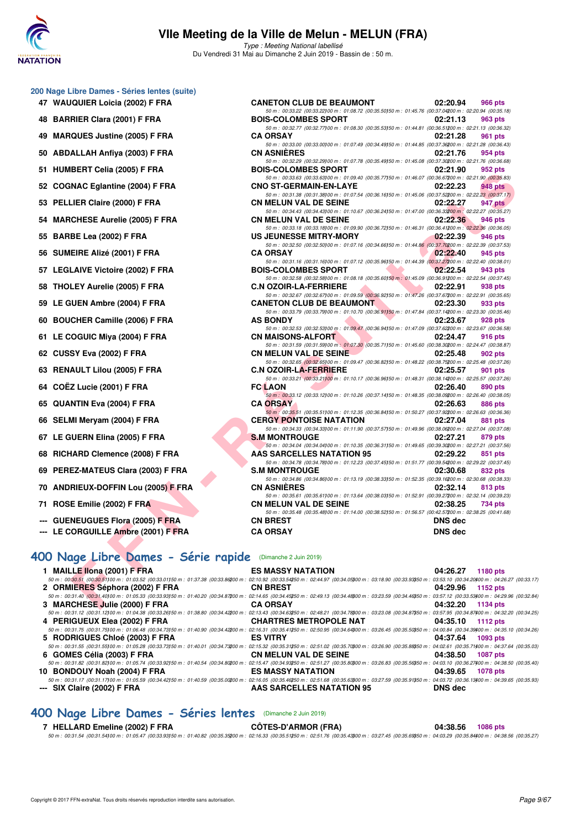

Type : Meeting National labellisé Du Vendredi 31 Mai au Dimanche 2 Juin 2019 - Bassin de : 50 m.

#### **200 Nage Libre Dames - Séries lentes (suite)**

- **47 WAUQUIER Loicia (2002) F FRA CANETON CLUB DE BEAUMONT 02:20.94 966 pts**
- **48 BARRIER Clara (2001) F FRA BOIS-COLOMBES SPORT 02:21.13 963 pts**
- **49 MARQUES Justine (2005) F FRA**
- 50 ABDALLAH Anfiya (2003) F FRA
- 51 HUMBERT Celia (2005) F FRA
- 52 COGNAC Eglantine (2004) F FRA
- 53 PELLIER Claire (2000) F FRA
- 54 MARCHESE Aurelie (2005) F FRA
- **55 BARBE Lea (2002) F FRA**
- **56 SUMEIRE Alizé (2001) F FRA**
- 57 LEGLAIVE Victoire (2002) F FRA
- 58 THOLEY Aurelie (2005) F FRA
- 59 LE GUEN Ambre (2004) F FRA
- **60 BOUCHER Camille (2006) F FRA**
- **61 LE COGUIC Miya (2004) F FRA**
- **62 CUSSY Eva (2002) F FRA**
- **63 RENAULT Lilou (2005) F FRA**
- **64 COËZ Lucie (2001) F FRA FC LAON 02:26.40 890 pts**
- **65 QUANTIN Eva (2004) F FRA**
- 66 SELMI Meryam (2004) F FRA
- **67 LE GUERN Elina (2005) F FRA**
- **68 RICHARD Clemence (2008) F FRA**
- **69 PEREZ-MATEUS Clara (2003) F FRA**
- **70 ANDRIEUX-DOFFIN Lou (2005) F FRA**
- **71 ROSE Emilie (2002) F FRA**
- **--- GUENEUGUES Flora (2005) F FRA**
- **--- LE CORGUILLE Ambre (2001) F FRA**

### **[400 Nage Libre Dames - Série rapide](http://www.ffnatation.fr/webffn/resultats.php?idact=nat&go=epr&idcpt=57771&idepr=4)** (Dimanche 2 Juin 2019)

| 1 MAILLE IIona (2001) F FRA                                                                                                                                                                                                 | <b>ES MASSY NATATION</b>      | 04:26.27 | 1180 pts        |
|-----------------------------------------------------------------------------------------------------------------------------------------------------------------------------------------------------------------------------|-------------------------------|----------|-----------------|
| 50 m : 00:30.51 (00:30.51100 m : 01:03.52 (00:33.01150 m : 01:37.38 (00:33.86200 m : 02:10.92 (00:33.54250 m : 02:44.97 (00:34.05300 m : 03:18.90 (00:33.93350 m : 03:53.10 (00:34.20400 m : 04:26.27 (00:33.17)            |                               |          |                 |
| 2 ORMIERES Séphora (2002) F FRA                                                                                                                                                                                             | <b>CN BREST</b>               | 04:29.96 | 1152 pts        |
| 50 m : 00:31.40 (00:31.40100 m : 01:05.33 (00:33.93150 m : 01:40.20 (00:34.87200 m : 02:14.65 (00:34.45250 m : 02:49.13 (00:34.46300 m : 03:23.59 (00:34.46350 m : 03:57.12 (00:33.53400 m : 04:29.96 (00:32.84)            |                               |          |                 |
| 3 MARCHESE Julie (2000) F FRA                                                                                                                                                                                               | <b>CA ORSAY</b>               | 04:32.20 | 1134 pts        |
| 50 m : 00:31.12 (00:31.12 100:01.12 00 m : 01:04.38 (00:33.26150 m : 01:38.80 (00:34.42200 m : 02:13.43 (00:34.63250 m : 02:48.21 (00:34.78300 m : 03:23.08 (00:34.87350 m : 03:57.95 (00:34.87400 m : 04:32.20 (00:34.875) |                               |          |                 |
| 4 PERIGUEUX Elea (2002) F FRA                                                                                                                                                                                               | <b>CHARTRES METROPOLE NAT</b> | 04:35.10 | 1112 pts        |
| 50 m : 00:31.75 (00:31.75)00 m : 01:06.48 (00:34.73)50 m : 01:40.90 (00:34.42200 m : 02:16.31 (00:35.41250 m : 02:50.95 (00:34.64)00 m : 03:26.45 (00:35.50)50 m : 04:00.84 (00:34.39400 m : 04:35.10 (00:34.26)            |                               |          |                 |
| 5 RODRIGUES Chloé (2003) F FRA                                                                                                                                                                                              | <b>ES VITRY</b>               | 04:37.64 | 1093 pts        |
| 50 m : 00:31.55 (00:31.55100 m : 01:05.28 (00:33.73150 m : 01:40.01 (00:34.73200 m : 02:15.32 (00:35.31250 m : 02:51.02 (00:35.7000 m : 03:26.90 (00:35.88850 m : 04:02.61 (00:35.71400 m : 04:37.64 (00:35.31)             |                               |          |                 |
| 6 GOMES Célia (2003) F FRA                                                                                                                                                                                                  | <b>CN MELUN VAL DE SEINE</b>  | 04:38.50 | <b>1087 pts</b> |
| 50 m : 00:31.82 (00:31.82) 00 m : 01:05.74 (00:33.92) 50 m : 01:40.54 (00:34.80200 m : 02:15.47 (00:34.90250 m : 02:51.27 (00:35.80300 m : 03:26.83 (00:35.56350 m : 04:03.10 (00:36.27400 m : 04:38.50 (00:35.40)          |                               |          |                 |
| 10 BONDOUY Noah (2004) F FRA                                                                                                                                                                                                | <b>ES MASSY NATATION</b>      | 04:39.65 | 1078 pts        |
| 50 m : 00:31.17 (00:31.17 00:31.17 00 m : 01:05.59 (00:34.42150 m : 01:40.59 (00:35.00200 m : 02:16.05 (00:35.46250 m : 02:51.68 (00:35.63300 m : 03:27.59 (00:35.91350 m : 04:03.72 (00:36.13400 m : 04:39.65 (00:35.93)   |                               |          |                 |
| --- SIX Claire (2002) F FRA                                                                                                                                                                                                 | AAS SARCELLES NATATION 95     | DNS dec  |                 |

#### **[400 Nage Libre Dames - Séries lentes](http://www.ffnatation.fr/webffn/resultats.php?idact=nat&go=epr&idcpt=57771&idepr=4)** (Dimanche 2 Juin 2019)

#### **7 HELLARD Emeline (2002) F FRA CÔTES-D'ARMOR (FRA) 04:38.56 1086 pts**

50 m : 00:31.54 (00:31.54)100 m : 01:05.47 (00:33.93)150 m : 01:40.82 (00:35.35)200 m : 02:16.33 (00:35.51)250 m : 02:51.76 (00:35.43)300 m : 03:27.45 (00:35.69)350 m : 04:03.29 (00:35.84)400 m : 04:38.56 (00:35.27)

| <b>QUES Justine (2005) F FRA</b>                      | 50 m : 00:32.77 (00:32.77) 00 m : 01:08.30 (00:35.53) 50 m : 01:44.81 (00:36.51) 00 m : 02:21.13 (00:36.32)<br><b>CA ORSAY</b>                                                                                                                             | 02:21.28<br>961 pts  |
|-------------------------------------------------------|------------------------------------------------------------------------------------------------------------------------------------------------------------------------------------------------------------------------------------------------------------|----------------------|
| ALLAH Anfiya (2003) F FRA                             | 50 m: 00:33.00 (00:33.00) 00 m: 01:07.49 (00:34.49) 50 m: 01:44.85 (00:37.36200 m: 02:21.28 (00:36.43)<br><b>CN ASNIERES</b>                                                                                                                               | 02:21.76<br>954 pts  |
| IBERT Celia (2005) F FRA                              | 50 m : 00:32.29 (00:32.29) 00 m : 01:07.78 (00:35.49) 50 m : 01:45.08 (00:37.30200 m : 02:21.76 (00:36.68)<br><b>BOIS-COLOMBES SPORT</b>                                                                                                                   | 02:21.90<br>952 pts  |
|                                                       | 50 m : 00:33.63 (00:33.63) 00 m : 01:09.40 (00:35.77) 50 m : 01:46.07 (00:36.67200 m : 02:21.90 (00:35.83)                                                                                                                                                 |                      |
| <b>NAC Eglantine (2004) F FRA</b>                     | <b>CNO ST-GERMAIN-EN-LAYE</b>                                                                                                                                                                                                                              | 02:22.23<br>948 pts  |
| LIER Claire (2000) F FRA                              | 50 m : 00:31.38 (00:31.38) 00 m : 01:07.54 (00:36.16) 50 m : 01:45.06 (00:37.52200 m : 02:22.23 (00:37.17)<br><b>CN MELUN VAL DE SEINE</b>                                                                                                                 | 02:22.27<br>947 pts  |
| <b>CHESE Aurelie (2005) F FRA</b>                     | 50 m: 00:34.43 (00:34.43) 00 m: 01:10.67 (00:36.24) 50 m: 01:47.00 (00:36.33200 m: 02:22.27 (00:35.27)<br><b>CN MELUN VAL DE SEINE</b>                                                                                                                     | 02:22.36<br>946 pts  |
| BE Lea (2002) F FRA                                   | 50 m : 00:33.18 (00:33.18)00 m : 01:09.90 (00:36.72)50 m : 01:46.31 (00:36.41200 m : 02:22.36 (00:36.05)<br>US JEUNESSE MITRY-MORY                                                                                                                         | 02:22.39<br>946 pts  |
|                                                       | 50 m : 00:32.50 (00:32.50) 00 m : 01:07.16 (00:34.66) 50 m : 01:44.86 (00:37.70200 m : 02:22.39 (00:37.53)                                                                                                                                                 |                      |
| EIRE Alizé (2001) F FRA                               | <b>CA ORSAY</b><br>50 m : 00:31.16 (00:31.16) 00 m : 01:07.12 (00:35.96) 50 m : 01:44.39 (00:37.27200 m : 02:22.40 (00:38.01)                                                                                                                              | 02:22.40<br>945 pts  |
| <b>LAIVE Victoire (2002) F FRA</b>                    | <b>BOIS-COLOMBES SPORT</b><br><b>Service Construction Construction</b>                                                                                                                                                                                     | 02:22.54<br>943 pts  |
| LEY Aurelie (2005) F FRA                              | 50 m : 00:32.58 (00:32.58)00 m : 01:08.18 (00:35.60)50 m : 01:45.09 (00:36.91200 m : 02:22.54 (00:37.45)<br><b>C.N OZOIR-LA-FERRIERE</b><br><b>The Contract of Street</b>                                                                                  | 02:22.91<br>938 pts  |
|                                                       | 50 m: 00:32.67 (00:32.67) 00 m: 01:09.59 (00:36.92) 50 m: 01:47.26 (00:37.67200 m: 02:22.91 (00:35.65)                                                                                                                                                     |                      |
| iUEN Ambre (2004) F FRA                               | <b>CANETON CLUB DE BEAUMONT</b>                                                                                                                                                                                                                            | 02:23.30<br>933 pts  |
|                                                       | 50 m : 00:33.79 (00:33.79) 00 m : 01:10.70 (00:36.91) 50 m : 01:47.84 (00:37.14200 m : 02:23.30 (00:35.46)                                                                                                                                                 |                      |
| CHER Camille (2006) F FRA                             | <b>AS BONDY</b><br>50 m : 00:32.53 (00:32.53)00 m : 01:09.47 (00:36.94)50 m : 01:47.09 (00:37.62200 m : 02:23.67 (00:36.58)                                                                                                                                | 02:23.67<br>928 pts  |
| OGUIC Miya (2004) F FRA                               | <b>CN MAISONS-ALFORT</b>                                                                                                                                                                                                                                   | 02:24.47<br>916 pts  |
| SY Eva (2002) F FRA                                   | 50 m : 00:31.59 (00:31.59) 00 m : 01:07.30 (00:35.71) 50 m : 01:45.60 (00:38.30200 m : 02:24.47 (00:38.87)<br><b>CN MELUN VAL DE SEINE</b>                                                                                                                 | 02:25.48<br>902 pts  |
|                                                       | 50 m : 00:32.65 (00:32.65) 00 m : 01:09.47 (00:36.82) 50 m : 01:48.22 (00:38.75200 m : 02:25.48 (00:37.26)                                                                                                                                                 |                      |
| AULT Lilou (2005) F FRA                               | C.N OZOIR-LA-FERRIERE<br>50 m : 00:33.21 (00:33.21100 m : 01:10.17 (00:36.96) 50 m : 01:48.31 (00:38.14200 m : 02:25.57 (00:37.26)                                                                                                                         | 02:25.57<br>901 pts  |
| Z Lucie (2001) F FRA                                  | <b>FC LAON</b>                                                                                                                                                                                                                                             | 02:26.40<br>890 pts  |
| NTIN Eva (2004) F FRA                                 | 50 m : 00:33.12 (00:33.12) 00 m : 01:10.26 (00:37.14) 50 m : 01:48.35 (00:38.09200 m : 02:26.40 (00:38.05)<br><b>CA ORSAY</b>                                                                                                                              | 02:26.63<br>886 pts  |
| VII Meryam (2004) F FRA                               | 50 m : 00:35.51 (00:35.51) 00 m : 01:12.35 (00:36.84) 50 m : 01:50.27 (00:37.92200 m : 02:26.63 (00:36.36)<br><b>CERGY PONTOISE NATATION</b>                                                                                                               | 02:27.04<br>881 pts  |
|                                                       | 50 m : 00:34.33 (00:34.33)00 m : 01:11.90 (00:37.57)50 m : 01:49.96 (00:38.06200 m : 02:27.04 (00:37.08)                                                                                                                                                   |                      |
| <b>IUERN Elina (2005) F FRA</b>                       | <b>S.M MONTROUGE</b><br>50 m : 00:34.04 (00:34.04)00 m : 01:10.35 (00:36.31)50 m : 01:49.65 (00:39.30200 m : 02:27.21 (00:37.56)                                                                                                                           | 02:27.21<br>879 pts  |
| IARD Clemence (2008) F FRA                            | <b>AAS SARCELLES NATATION 95</b>                                                                                                                                                                                                                           | 02:29.22<br>851 pts  |
|                                                       | 50 m : 00:34.78 (00:34.78) 00 m : 01:12.23 (00:37.45) 50 m : 01:51.77 (00:39.54200 m : 02:29.22 (00:37.45)                                                                                                                                                 |                      |
| EZ-MATEUS Clara (2003) F FRA                          | <b>S.M MONTROUGE</b>                                                                                                                                                                                                                                       | 02:30.68<br>832 pts  |
|                                                       | 50 m : 00:34.86 (00:34.86) 00 m : 01:13.19 (00:38.33) 50 m : 01:52.35 (00:39.16200 m : 02:30.68 (00:38.33)                                                                                                                                                 |                      |
| RIEUX-DOFFIN Lou (2005) F FRA                         | <b>CN ASNIERES</b>                                                                                                                                                                                                                                         | 02:32.14<br>813 pts  |
| E Emilie (2002) F FRA                                 | 50 m : 00:35.61 (00:35.61) 00 m : 01:13.64 (00:38.03) 50 m : 01:52.91 (00:39.27200 m : 02:32.14 (00:39.23)<br><b>CN MELUN VAL DE SEINE</b>                                                                                                                 | 02:38.25             |
|                                                       | 50 m : 00:35.48 (00:35.48) 00 m : 01:14.00 (00:38.52) 50 m : 01:56.57 (00:42.57200 m : 02:38.25 (00:41.68)                                                                                                                                                 | 734 pts              |
| <b>NEUGUES Flora (2005) F FRA</b>                     | <b>CN BREST</b>                                                                                                                                                                                                                                            | <b>DNS</b> dec       |
| <b>ORGUILLE Ambre (2001) F FRA</b>                    | <b>CA ORSAY</b>                                                                                                                                                                                                                                            | <b>DNS dec</b>       |
|                                                       |                                                                                                                                                                                                                                                            |                      |
|                                                       |                                                                                                                                                                                                                                                            |                      |
| age Libre Dames - Série rapide (Dimanche 2 Juin 2019) |                                                                                                                                                                                                                                                            |                      |
| LE Ilona (2001) F FRA                                 | <b>ES MASSY NATATION</b>                                                                                                                                                                                                                                   | 04:26.27<br>1180 pts |
|                                                       | :30.51 (00:30.51100 m : 01:03.52 (00:33.01150 m : 01:37.38 (00:33.86200 m : 02:10.92 (00:33.54250 m : 02:44.97 (00:34.0500 m : 03:18.90 (00:33.93350 m : 03:53.10 (00:34.20400 m : 04:26.27 (00:3                                                          |                      |
| IIERES Séphora (2002) F FRA                           | <b>CN BREST</b>                                                                                                                                                                                                                                            | 04:29.96<br>1152 pts |
|                                                       | $231.40 (00.31.40100\ m\cdot 01.05.33 (00.33.93150\ m\cdot 01.40.20 (00.34.87200\ m\cdot 02.14.65 (00.34.45250\ m\cdot 02.49.13 (00.34.48300\ m\cdot 03.23.59 (00.34.46350\ m\cdot 03.57.12 (00.33.53400\ m\cdot 04.29.96 (00.34.46350\ m\cdot 04.463.57)$ |                      |
| <b>CHESE Julie (2000) F FRA</b>                       | <b>CA ORSAY</b>                                                                                                                                                                                                                                            | 04:32.20<br>1134 pts |

50 m : 00:33.22 (00:33.22)100 m : 01:08.72 (00:35.50)150 m : 01:45.76 (00:37.04)200 m : 02:20.94 (00:35.18)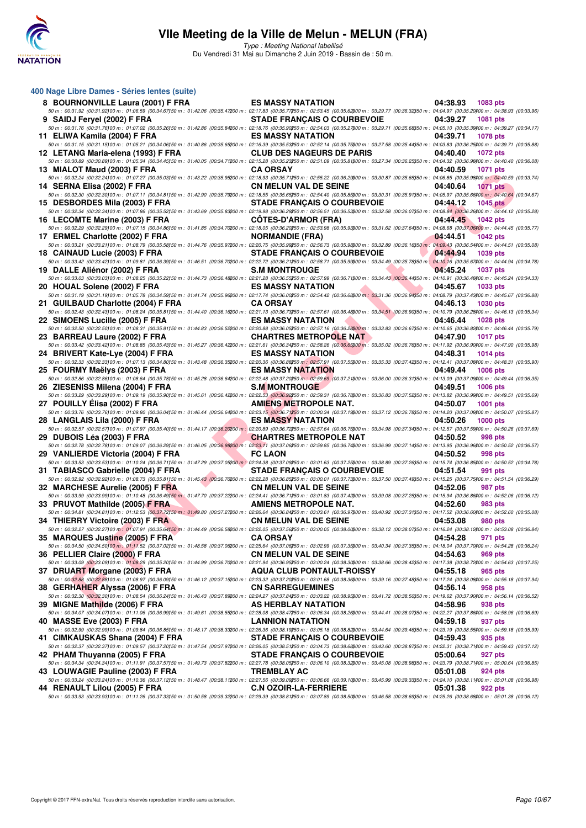

Type : Meeting National labellisé Du Vendredi 31 Mai au Dimanche 2 Juin 2019 - Bassin de : 50 m.

| 400 Nage Libre Dames - Séries lentes (suite)                                                                                                                                                                                                                                                                                                                 |                                                                                                                                                                                                                                                                        |                             |
|--------------------------------------------------------------------------------------------------------------------------------------------------------------------------------------------------------------------------------------------------------------------------------------------------------------------------------------------------------------|------------------------------------------------------------------------------------------------------------------------------------------------------------------------------------------------------------------------------------------------------------------------|-----------------------------|
| 8 BOURNONVILLE Laura (2001) F FRA                                                                                                                                                                                                                                                                                                                            | <b>ES MASSY NATATION</b>                                                                                                                                                                                                                                               | 04:38.93<br>1083 pts        |
| 50 m : 00:31.92 (00:31.92)00 m : 01:06.59 (00:34.67)50 m : 01:42.06 (00:35.47200 m : 02:17.83 (00:35.77250 m : 02:53.45 (00:35.62300 m : 03:29.77 (00:36.32350 m : 04:04.97 (00:35.5230400 m : 04:04.97 (00:35.20400 m : 04:38<br>9 SAIDJ Feryel (2002) F FRA                                                                                                | <b>STADE FRANÇAIS O COURBEVOIE</b>                                                                                                                                                                                                                                     | 04:39.27<br><b>1081 pts</b> |
| 50 m : 00:31.76 (00:31.76)00 m : 01:07.02 (00:35.26)50 m : 01:42.86 (00:35.84200 m : 02:18.76 (00:35.90250 m : 02:54.03 (00:35.2700 m : 03:29.71 (00:35.88350 m : 04:05.10 (00:35.59360 m : 04:39.27 (00:34.17)                                                                                                                                              |                                                                                                                                                                                                                                                                        |                             |
| 11 ELIWA Kamila (2004) F FRA<br>50 m : 00:31.15 (00:31.15)00 m : 01:05.21 (00:34.06)50 m : 01:40.86 (00:35.6200 m : 02:16.39 (00:35.53250 m : 02:52.14 (00:35.75200 m : 03:27.58 (00:35.44350 m : 04:03.83 (00:36.25/00 m : 04:39.71 (00:35.88)                                                                                                              | <b>ES MASSY NATATION</b>                                                                                                                                                                                                                                               | 04:39.71<br><b>1078 pts</b> |
| 12 LETANG Maria-elena (1993) F FRA                                                                                                                                                                                                                                                                                                                           | <b>CLUB DES NAGEURS DE PARIS</b>                                                                                                                                                                                                                                       | 04:40.40<br>1072 pts        |
| 50 m : 00:30.89 (00:30.89)00 m : 01:05.34 (00:34.45)50 m : 01:40.05 (00:34.71200 m : 02:15.28 (00:35.23250 m : 02:51.09 (00:35.81300 m : 03:27.34 (00:36.25350 m : 04:04.32 (00:36.89300 m : 04:04.04 (00:36.08)<br>13 MIALOT Maud (2003) F FRA                                                                                                              | <b>CA ORSAY</b>                                                                                                                                                                                                                                                        | 04:40.59<br><b>1071 pts</b> |
| $50\,m:\,00.32.24\,\,(00.32.24\,00\,m:\,01.07.27\,\,(00.35.03)\\ 50\,m:\,01.43.22\,\,(00.35.95200\,m:\,02.18.93\,\,(00.35.74250\,m:\,02.55.22\,\,(00.36.23900\,m:\,03.30.87\,\,(00.35.65350\,m:\,04.06.85\,\,(00.35.98400\,m:\,04.40.59\,\,(00.35.74)\,\$                                                                                                    |                                                                                                                                                                                                                                                                        |                             |
| 14 SERNA Elisa (2002) F FRA<br>$50\,m:\,00.32.30\,\,(00.32.30)\,00\,m:\,01.07.11\,\,(00.34.81)\,50\,m:\,01.42.90\,\,(00.35.79200\,m:\,02.18.55\,\,(00.35.6550\,m:\,02.54.40\,\,(00.35.85900\,m:\,03.30.31\,\,(00.35.91350\,m:\,04.05.97\,\,(00.35.66400\,m:\,04.40.64\,\,(00.34.67)\,$                                                                       | CN MELUN VAL DE SEINE                                                                                                                                                                                                                                                  | 04:40.64<br><b>1071 pts</b> |
| 15 DESBORDES Mila (2003) F FRA                                                                                                                                                                                                                                                                                                                               | <b>STADE FRANÇAIS O COURBEVOIE</b>                                                                                                                                                                                                                                     | 04:44.12<br>1045 $p$ ts     |
| 50 m : 00:32.34 (00:32.34100 m : 01:07.86 (00:35.52150 m : 01:43.69 (00:35.83200 m : 02:19.98 (00:36.29250 m : 02:56.51 (00:36.5300 m : 03:32.58 (00:36.07350 m : 04:08.84 (00:36.26)00 m : 04:44.12 (00:35.28)                                                                                                                                              |                                                                                                                                                                                                                                                                        | 04:44.45                    |
| 16 LECOMTE Marine (2003) F FRA<br>50 m : 00:32.29 (00:32.29 00 m : 01:07.15 (00:34.86)50 m : 01:41.85 (00:34.7000 m : 02:18.05 (00:36.2050 m : 02:53.98 (00:35.93900 m : 03:31.62 (00:37.64350 m : 04:08.68 (00:37.06400 m : 04:44.45 (00:35.77)                                                                                                             | <b>COTES-D'ARMOR (FRA)</b>                                                                                                                                                                                                                                             | 1042 pts                    |
| 17 ERMEL Charlotte (2002) F FRA                                                                                                                                                                                                                                                                                                                              | <b>NORMANDIE (FRA)</b>                                                                                                                                                                                                                                                 | 04:44.51<br><b>1042 pts</b> |
| 50 m : 00:33.21 (00:33.21100 m : 01:08.79 (00:35.58)50 m : 01:44.76 (00:35.97200 m : 02:20.75 (00:35.99250 m : 02:56.73 (00:35.98300 m : 03:32.89 (00:36.16350 m : 04:09.43 (00:36.54400 m : 04:44.51 (00:35.08)<br>18 CAINAUD Lucie (2003) F FRA                                                                                                            | STADE FRANÇAIS O COURBEVOIE                                                                                                                                                                                                                                            | 04:44.94<br>1039 pts        |
| 50 m : 00:33.42 (00:33.42100 m : 01:09.81 (00:36.39150 m : 01:46.51 (00:36.70200 m : 02:22.72 (00:36.21250 m : 02:58.71 (00:35.9900 m : 03:34.49 (00:35.78950 m : 04:10.16 (00:35.67300 m : 04:44.94 (00:35.78)                                                                                                                                              |                                                                                                                                                                                                                                                                        |                             |
| 19 DALLE Aliénor (2002) F FRA<br>50 m : 00:33.03 (00:33.03)00 m : 01:08.25 (00:35.22)50 m : 01:44.73 (00:36.48200 m : 02:21.28 (00:36.55\$50 m : 02:57.99 (00:36.71300 m : 03:34.43 (00:36.44350 m : 04:10.91 (00:36.48400 m : 04:45.24 (00:34.33)                                                                                                           | <b>Service Contract Contract Contract Contract</b><br><b>S.M MONTROUGE</b>                                                                                                                                                                                             | 04:45.24<br><b>1037 pts</b> |
| 20 HOUAL Solene (2002) F FRA                                                                                                                                                                                                                                                                                                                                 | <b><i>Contract Contract Contract Contract Contract Contract Contract Contract Contract Contract Contract Contract Contract Contract Contract Contract Contract Contract Contract Contract Contract Contract Contract Contract Cont</i></b><br><b>ES MASSY NATATION</b> | 04:45.67<br>1033 pts        |
| $50\,m:\,00.31.19\,(00.31.19) \,00\,m:\,01.05.78\,\,(00.34.59) \,50\,m:\,01.41.74\,\,(00.35.96200\,m:\,02.17.74\,\,(00.36.00250\,m:\,02.54.42\,\,(00.36.68900\,m:\,03.31.36\,\,(00.36.94950\,m:\,04.08.79\,\,(00.37.43400\,m:\,04.45.67\,\,(00.36.89)\,$<br>21 GUILBAUD Charlotte (2004) F FRA                                                               | <b>CA ORSAY</b>                                                                                                                                                                                                                                                        | 04:46.13<br><b>1030 pts</b> |
| $50\,m:\,00.32.43\,\,(00.32.43\,00\,m:\,01.08.24\,\,(00.35.81\,50\,m:\,01.44.40\,\,(00.36.16200\,m:\,02.21.13\,\,(00.36.73250\,m:\,02.57.61\,\,(00.36.48300\,m:\,03.34.51\,\,(00.36.90350\,m:\,04.10.79\,\,(00.36.28400\,m:\,04.46.13\,\,(00.35.34)\,$                                                                                                       |                                                                                                                                                                                                                                                                        |                             |
| 22 SIMOENS Lucille (2005) F FRA<br>$50\,m:\,00.32.50\,(00.32.50)\,00\,m:\,01.08.31\,(00.35.81)\,50\,m:\,01.44.83\,(00.36.52200\,m:\,02.20.88\,(00.36.05250\,m:\,02.57.16\,(00.36.28200\,m:\,03.33.83\,(00.36.67350\,m:\,04.10.65\,(00.36.82400\,m:\,04.46.44\,(00.35.79)\,00.36.67)\$                                                                        | $\blacktriangle$ and $\blacktriangledown$<br><b>ES MASSY NATATION</b>                                                                                                                                                                                                  | 04:46.44<br><b>1028 pts</b> |
| 23 BARREAU Laure (2002) F FRA                                                                                                                                                                                                                                                                                                                                | <b>CHARTRES METROPOLE NAT</b>                                                                                                                                                                                                                                          | 04:47.90<br>1017 pts        |
| $50\,m:\,00.33.42\,\,(00.33.42100\,m:\,01.08.85\,\,(00.35.43)\\ 50\,m:\,01.45.27\,\,(00.36.42200\,m:\,02.21.61\,\,(00.36.34250\,m:\,02.58.26\,\,(00.36.65200\,m:\,03.35.02\,\,(00.36.76350\,m:\,04.11.92\,\,(00.36.90400\,m:\,04.47.90\,\,(00.35.98)\,)\$<br>24 BRIVERT Kate-Lye (2004) F FRA                                                                | <b>ES MASSY NATATION</b>                                                                                                                                                                                                                                               | 04:48.31<br><b>1014 pts</b> |
| 50 m : 00:32.33 (00:32.33) 00 m : 01:07.13 (00:34.80) 50 m : 01:43.48 (00:36.35200 m : 02:20.36 (00:36.85250 m : 02:57.91 (00:37.55300 m : 03:35.33 (00:37.42350 m : 04:12.41 (00:37.08400 m : 04:48.31 (00:35.90)                                                                                                                                           |                                                                                                                                                                                                                                                                        |                             |
| a sa salah sahiji désa di kacamatan Sulawesi.<br>Kacamatan Sulawesi<br>25 FOURMY Maëlys (2003) F FRA<br>$50\,m:\,00.32.86\,\, (00.32.86\,00\,m:\,01.08.64\,\, (00.35.78\,50\,m:\,01.45.28\,\, (00.36.64200\,m:\,02.22.48\,\, (00.37.20450\,m:\,02.59.69\,\, (00.37.21\,900\,m:\,03.36.00\,\, (00.36.31\,950\,m:\,04.13.09\,\, (00.37.09\,000\,m:\,04.49.44\$ | <b>ES MASSY NATATION</b>                                                                                                                                                                                                                                               | 04:49.44<br><b>1006 pts</b> |
| 26 ZIESENISS Milena (2004) F FRA                                                                                                                                                                                                                                                                                                                             | <b>S.M MONTROUGE</b>                                                                                                                                                                                                                                                   | 04:49.51<br><b>1006 pts</b> |
| 50 m : 00:33.29 (00:33.29)00 m : 01:09.19 (00:35.90)50 m : 01:45.61 (00:36.42200 m : 02:22.53 (00:36.92250 m : 03:59.31 (00:36.76300 m : 03:36.83 (00:37.52350 m : 04:13.82 (00:36.99400 m : 04:49.51 (00:35.69)<br>27 POUILLY Elisa (2002) F FRA                                                                                                            | <b>AMIENS METROPOLE NAT.</b>                                                                                                                                                                                                                                           | 04:50.07<br>1001 pts        |
| $50\,m:\,00.33.76\,(00.33.76) \,00\,m:\,01.09.80\,(00.36.04) \,50\,m:\,01.46.44\,(00.36.64200\,m:\,02.23.15\,(00.36.74250\,m:\,03.00.34\,(00.37.19800\,m:\,03.37.12\,(00.36.78950\,m:\,04.14.20\,(00.37.08400\,m:\,04.50.07\,(00.35.87)$                                                                                                                     |                                                                                                                                                                                                                                                                        |                             |
| 28 LANGLAIS Lila (2000) F FRA<br>$50\,m:\,00.32.57\,(00.32.57) \,00\,m:\,01.07.97\,(00.35.40150\,m:\,01.44.17\,(00.36.20200\,m:\,02.20.89\,(00.36.72350\,m:\,02.57.64\,(00.36.75300\,m:\,03.34.98\,(00.37.34350\,m:\,04.12.57\,(00.37.59300\,m:\,04.50.26\,(00.37.69)\,m:\,04.50.$                                                                           | ES MASSY NATATION                                                                                                                                                                                                                                                      | 04:50.26<br><b>1000 pts</b> |
| <b><i>Committee Committee States</i></b><br>29 DUBOIS Léa (2003) F FRA                                                                                                                                                                                                                                                                                       | <b>CHARTRES METROPOLE NAT</b>                                                                                                                                                                                                                                          | 04:50.52<br>998 pts         |
| 50 m : 00:32.78 (00:32.78)00 m : 01:09.07 (00:36.29)50 m : 01:46.05 (00:36.98200 m : 02:23.11 (00:37.06250 m : 02:59.85 (00:36.74800 m : 03:36.99 (00:37.14850 m : 04:13.95 (00:36.6400 m : 04:50.52 (00:36.57)<br>29 VANLIERDE Victoria (2004) F FRA                                                                                                        | <b>FC LAON</b>                                                                                                                                                                                                                                                         | 04:50.52<br>998 pts         |
| $50\,m:\,00.33.53\,\,(00.33.53)\,00\,m:\,01.10.24\,\,(00.36.71)\,50\,m:\,01.47.29\,\,(00.37.058\,00\,m:\,02.24.38\,\,(00.37.09850\,m:\,03.01.63\,\,(00.37.25900\,m:\,03.38.89\,\,(00.37.26950\,m:\,04.15.74\,\,(00.36.85400\,m:\,04.50.52\,\,(00.34.78)\$                                                                                                    |                                                                                                                                                                                                                                                                        |                             |
| <b>Contract Contract Contract</b><br>31 TABIASCO Gabrielle (2004) F FRA<br>50 m : 00:32.92 (00:32.92)00 m : 01:08.73 (00:35.81150 m : 01:45.43 (00:36.70200 m : 02:22.28 (00:36.85250 m : 03:00.01 (00:37.7300 m : 03:7.50 (00:37.49350 m : 04:15.25 (00:37.75400 m : 04:15.25 (00:37.75400 m : 04:51.54                                                     | <b>STADE FRANÇAIS O COURBEVOIE</b>                                                                                                                                                                                                                                     | 04:51.54<br>991 pts         |
| 32 MARCHESE Aurelie (2005) F FRA                                                                                                                                                                                                                                                                                                                             | <b>CN MELUN VAL DE SEINE</b>                                                                                                                                                                                                                                           | 04:52.06<br>987 pts         |
| $50\,m:\,\,00.33.99\,\,(00.33.99100\,m:\,\,01.10.48\,\,(00.36.49150\,m:\,\,01.47.70\,\,(00.37.22200\,m:\,\,02.24.41\,\,(00.36.71250\,m:\,\,03.01.83\,\,(00.37.42300\,m:\,\,03.39.08\,\,(00.37.25350\,m:\,\,04.15.94\,\,(00.36.86400\,m:\,\,04.52.06\,\,(00.36$<br>33 PRUVOT Mathilde (2005) F FRA                                                            | AMIENS METROPOLE NAT.                                                                                                                                                                                                                                                  | 04:52.60<br>983 pts         |
| 50 m : 00:34.81 (00:34.81100 m : 01:12.53 (00:37.72150 m : 01:49.80 (00:37.27200 m : 02:26.64 (00:36.84250 m : 03:03.61 (00:36.97300 m : 03:40.92 (00:37.31350 m : 04:17.52 (00:36.60)00 m : 04:52.60 (00:35.08)                                                                                                                                             |                                                                                                                                                                                                                                                                        |                             |
| 34 THIERRY Victoire (2003) F FRA                                                                                                                                                                                                                                                                                                                             | <b>CN MELUN VAL DE SEINE</b>                                                                                                                                                                                                                                           | 04:53.08<br>980 pts         |
| 50 m : 00:32.27 (00:32.27)00 m : 01:07.91 (00:35.64150 m : 01:44.49 (00:36.58200 m : 02:22.05 (00:37.56250 m : 03:00.05 (00:38.00000 m : 03:38.12 (00:38.07350 m : 04:16.24 (00:38.12400 m : 04:53.08 (00:36.84)<br>35 MARQUES Justine (2005) F FRA                                                                                                          | <b>CA ORSAY</b>                                                                                                                                                                                                                                                        | 04:54.28<br>971 pts         |
| $50\,m:\,00:34.50\,(00:34.50)\,00\,m:\,01:11.52\,\,(00:37.02)\\ 50\,m:\,01:48.58\,\,(00:37.06200\,m:\,02:25.64\,\,(00:37.06250\,m:\,03:02.99\,\,(00:37.35900\,m:\,03:40.34\,\,(00:37.35950\,m:\,04:18.04\,\,(00:37.70400\,m:\,04:54.28\,\,(00:36.24)\,\,($                                                                                                   | <b>CN MELUN VAL DE SEINE</b>                                                                                                                                                                                                                                           | 04:54.63                    |
| 36 PELLIER Claire (2000) F FRA<br>$50\,m:\,00.33.09\,\,00.33.09100\,m:\,01.08.29\,\,(00.35.20150\,m:\,01.44.99\,\,(00.36.70200\,m:\,02.21.94\,\,(00.36.95250\,m:\,03.00.24\,\,(00.38.30300\,m:\,03.38.66\,\,(00.38.42350\,m:\,04.17.38\,\,(00.38.72400\,m:\,04.54.63\,\,(00.37.25)$                                                                          |                                                                                                                                                                                                                                                                        | 969 pts                     |
| 37 DRUART Morgane (2003) F FRA                                                                                                                                                                                                                                                                                                                               | <b>AQUA CLUB PONTAULT-ROISSY</b>                                                                                                                                                                                                                                       | 04:55.18<br>965 pts         |
| 50 m : 00:32.88 (00:32.88)00 m : 01:08.97 (00:36.09)50 m : 01:46.12 (00:37.15200 m : 02:23.32 (00:37.20250 m : 03:01.68 (00:38.36200 m : 03:39.16 (00:37.48350 m : 04:17.24 (00:38.08400 m : 04:55.18 (00:37.94)<br>38 GERHAHER Alyssa (2006) F FRA                                                                                                          | <b>CN SARREGUEMINES</b>                                                                                                                                                                                                                                                | 04:56.14<br>958 pts         |
| $50\,m:\,00.32.30\,\,(00.32.30\,00\,m:\,01.08.54\,\,(00.36.24\,50\,m:\,01.46.43\,\,(00.37.89200\,m:\,02.24.27\,\,(00.37.84250\,m:\,03.03.22\,\,(00.38.95300\,m:\,03.41.72\,\,(00.38.50350\,m:\,04.19.62\,\,(00.37.90400\,m:\,04.56.14\,\,(00.36.52)\,$                                                                                                       |                                                                                                                                                                                                                                                                        |                             |
| 39 MIGNE Mathilde (2006) F FRA<br>50 m : 00:34.07 (00:34.07)00 m : 01:11.06 (00:36.99)50 m : 01:49.61 (00:38.55200 m : 02:28.08 (00:38.47250 m : 03:06.34 (00:38.26300 m : 03:44.41 (00:38.07350 m : 04:22.27 (00:37.06400 m : 04:58.96 (00:36.69)                                                                                                           | AS HERBLAY NATATION                                                                                                                                                                                                                                                    | 04:58.96<br>938 pts         |
| 40 MASSE Eve (2003) F FRA                                                                                                                                                                                                                                                                                                                                    | <b>LANNION NATATION</b>                                                                                                                                                                                                                                                | 04:59.18<br>937 pts         |
| 50 m : 00:32.99 (00:32.99)00 m : 01:09.84 (00:36.85)50 m : 01:48.17 (00:38.33200 m : 02:26.36 (00:38.19250 m : 03:5.18 (00:38.82)00 m : 03:44.64 (00:39.46350 m : 04:23.19 (00:38.55400 m : 04:59.18 (00:35.590)<br>41 CIMKAUSKAS Shana (2004) F FRA                                                                                                         | <b>STADE FRANÇAIS O COURBEVOIE</b>                                                                                                                                                                                                                                     | 04:59.43<br>935 pts         |
| 50 m : 00:32.37 (00:32.37) 00 m : 01:09.57 (00:37.20)50 m : 01:47.54 (00:37.97200 m : 02:26.05 (00:38.51250 m : 03:04.73 (00:38.68800 m : 03:43.60 (00:38.87350 m : 04:22.31 (00:38.51400 m : 04:59.43 (00:37.12)                                                                                                                                            |                                                                                                                                                                                                                                                                        |                             |
| 42 PHAM Thuyanna (2005) F FRA<br>$50\,m:\,00.34.34\,(00.34.34\,000\,m:\,01:11.91\,(00.37.57)\\50\,m:\,01.49.73\,(00.37.82200\,m:\,02.27.78\,(00.38.05250\,m:\,03.06.10\,(00.38.32300\,m:\,03.45.08\,(00.38.98350\,m:\,04.23.79\,(00.38.71400\,m:\,05.00.64\,(00.36.85)\\70.38.98$                                                                            | <b>STADE FRANÇAIS O COURBEVOIE</b>                                                                                                                                                                                                                                     | 05:00.64<br>927 pts         |
| 43 LOUWAGIE Pauline (2003) F FRA                                                                                                                                                                                                                                                                                                                             | <b>TREMBLAY AC</b>                                                                                                                                                                                                                                                     | 05:01.08<br>924 pts         |
| 50 m : 00:33.24 (00:33.24)00 m : 01:10.36 (00:37.12150 m : 01:48.47 (00:38.11200 m : 02:27.56 (00:39.09250 m : 03:06.66 (00:39.10300 m : 03:45.99 (00:39.33350 m : 04:24.10 (00:38.11300 m : 05:01.08 (00:36.98)<br>44 RENAULT Lilou (2005) F FRA                                                                                                            | <b>C.N OZOIR-LA-FERRIERE</b>                                                                                                                                                                                                                                           | 05:01.38<br>922 pts         |
| 50 m : 00:33.93 (00:33.93)00 m : 01:11.26 (00:37.33)50 m : 01:50.58 (00:39.32200 m : 02:29.39 (00:38.81250 m : 03:07.89 (00:38.6300 m : 03:46.58 (00:38.63050 m : 04:25.26 (00:38.6800 m : 05:01.38 (00:36.12)                                                                                                                                               |                                                                                                                                                                                                                                                                        |                             |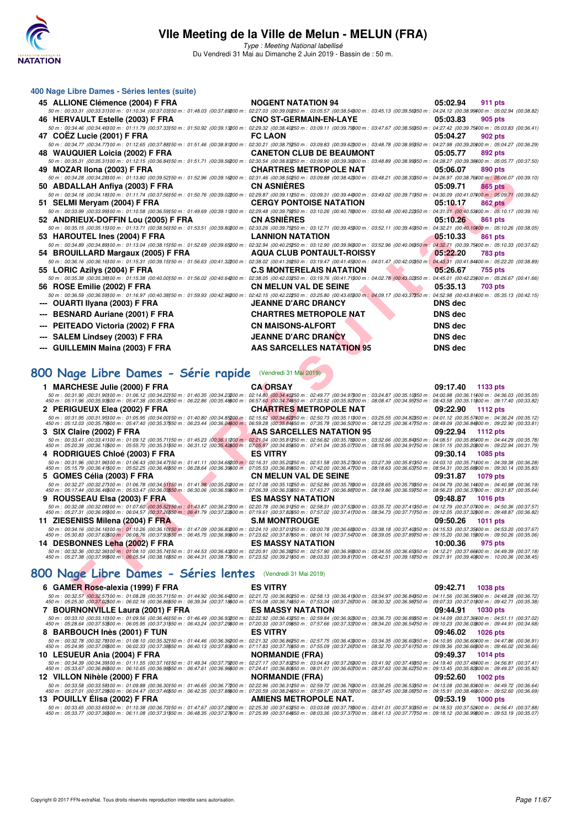

Type : Meeting National labellisé Du Vendredi 31 Mai au Dimanche 2 Juin 2019 - Bassin de : 50 m.

| 400 Nage Libre Dames - Séries lentes (suite)                                                                                                                                                                                                                                                                                                                                                                                                       |                                  |                             |
|----------------------------------------------------------------------------------------------------------------------------------------------------------------------------------------------------------------------------------------------------------------------------------------------------------------------------------------------------------------------------------------------------------------------------------------------------|----------------------------------|-----------------------------|
| 45 ALLIONE Clémence (2004) F FRA                                                                                                                                                                                                                                                                                                                                                                                                                   | <b>NOGENT NATATION 94</b>        | 05:02.94<br>911 pts         |
| 50 m : 00:33.31 (00:33.31100 m : 01:10.34 (00:37.03150 m : 01:48.03 (00:37.69200 m : 02:27.03 (00:39.00250 m : 03:05.57 (00:38.54300 m : 03:45.13 (00:39.56350 m : 04:24.12 (00:38.99400 m : 05:02.94 (00:38.82)                                                                                                                                                                                                                                   |                                  |                             |
| 46 HERVAULT Estelle (2003) F FRA<br>50 m : 00:34.46 (00:34.46)00 m : 01:11.79 (00:37.33)50 m : 01:50.92 (00:39.13200 m : 02:29.32 (00:38.40250 m : 03:09.11 (00:39.7900 m : 03:47.67 (00:38.56350 m : 04:27.42 (00:38.7500 m : 05:03.83 (00:36.41)                                                                                                                                                                                                 | <b>CNO ST-GERMAIN-EN-LAYE</b>    | 05:03.83<br>905 pts         |
| 47 COEZ Lucie (2001) F FRA                                                                                                                                                                                                                                                                                                                                                                                                                         | <b>FC LAON</b>                   | 05:04.27<br>902 pts         |
| 50 m : 00:34.77 (00:34.77)00 m : 01:12.65 (00:37.88)50 m : 01:51.46 (00:38.81200 m : 02:30.21 (00:38.75250 m : 03:09.83 (00:39.62300 m : 03:48.78 (00:38.95550 m : 04:27.98 (00:39.20400 m : 05:04.27 (00:36.29)                                                                                                                                                                                                                                   |                                  |                             |
| 48   WAUQUIER Loicia (2002) F FRA                                                                                                                                                                                                                                                                                                                                                                                                                  | <b>CANETON CLUB DE BEAUMONT</b>  | 05:05.77<br>892 pts         |
| 50 m : 00:35.31 (00:35.31100 m : 01:12.15 (00:36.84150 m : 01:51.71 (00:39.56200 m : 02:30.54 (00:38.83250 m : 03:09.90 (00:39.36300 m : 03:48.89 (00:38.93850 m : 04:28.27 (00:39.38400 m : 05:05.77 (00:37.50)                                                                                                                                                                                                                                   |                                  |                             |
| 49 MOZAR IIona (2003) F FRA<br>50 m : 00:34.28 (00:34.28)00 m : 01:13.80 (00:39.52)50 m : 01:52.96 (00:39.16200 m : 02:31.46 (00:38.50250 m : 03:09.88 (00:38.42300 m : 03:48.21 (00:38.33350 m : 04:26.97 (00:38.76400 m : 05:06.07 (00:39.10)                                                                                                                                                                                                    | <b>CHARTRES METROPOLE NAT</b>    | 05:06.07<br>890 pts         |
| 50 ABDALLAH Anfiya (2003) F FRA                                                                                                                                                                                                                                                                                                                                                                                                                    | <b>CN ASNIERES</b>               | 05:09.71<br>865 pts         |
| $50\,m:\ 00.34.18\,\ (00.34.18\,000\,m:\ 01:11.74\,\ (00.37.56\,50\,m:\ 01:50.76\,\ (00.39.02200\,m:\ 02:29.87\,\ (00.39.11250\,m:\ 03:09.31\,\ (00.39.44300\,m:\ 03:49.02\,\ (00.39.71350\,m:\ 04:30.09\,\ (00.41.07400\,m:\ 05:09.71\,\ (00.39.62)\,$                                                                                                                                                                                            |                                  |                             |
| 51 SELMI Meryam (2004) F FRA                                                                                                                                                                                                                                                                                                                                                                                                                       | <b>CERGY PONTOISE NATATION</b>   | 05:10.17<br>862 pts         |
| 50 m : 00:33.99 (00:33.99)00 m : 01:10.58 (00:36.59)50 m : 01:49.69 (00:39.11200 m : 02:29.48 (00:39.79250 m : 03:10.26 (00:40.78300 m : 03:50.48 (00:40.22350 m : 04:31.01 (00:40.53400 m : 05:10.17 (00:39.16)                                                                                                                                                                                                                                   |                                  |                             |
| 52 ANDRIEUX-DOFFIN Lou (2005) F FRA<br>50 m : 00:35.15 (00:35.15)00 m : 01:13.71 (00:38.56)50 m : 01:53.51 (00:39.80200 m : 02:33.26 (00:39.75250 m : 03:12.71 (00:39.45300 m : 03:52.11 (00:39.40350 m : 04:32.21 (00:40.1000 m : 05:10.26 (00:38.05)                                                                                                                                                                                             | <b>CN ASNIERES</b>               | 05:10.26<br>861 pts         |
| 53 HAROUTEL Ines (2004) F FRA                                                                                                                                                                                                                                                                                                                                                                                                                      | <b>LANNION NATATION</b>          | 05:10.33<br>861 pts         |
| 50 m : 00:34.89 (00:34.89)00 m : 01:13.04 (00:38.15150 m : 01:52.69 (00:39.65200 m : 02:32.94 (00:40.25250 m : 03:12.90 (00:39.96300 m : 03:52.96 (00:40.06350 m : 04:32.71 (00:39.75400 m : 05:10.33 (00:37.62)                                                                                                                                                                                                                                   |                                  |                             |
| 54 BROUILLARD Margaux (2005) F FRA                                                                                                                                                                                                                                                                                                                                                                                                                 | <b>AQUA CLUB PONTAULT-ROISSY</b> | 05:22.20<br>783 pts         |
| 50 m : 00:36.16 (00:36.16)00 m : 01:15.31 (00:39.15150 m : 01:56.63 (00:41.32200 m : 02:38.02 (00:41.39250 m : 03:19.47 (00:41.4500 m : 04:01.47 (00:42.00350 m : 04:43.31 (00:41.8400 m : 05:22.20 (00:38.89)<br>55 LORIC Azilys (2004) F FRA                                                                                                                                                                                                     | <b>C.S MONTERELAIS NATATION</b>  | 05:26.67<br>755 pts         |
| 50 m : 00:35.38 (00:35.38)00 m : 01:15.38 (00:40.00)50 m : 01:56.02 (00:40.64200 m : 02:38.05 (00:42.03250 m : 03:19.76 (00:41.71300 m : 04:02.78 (00:43.02350 m : 04:45.01 (00:42.23400 m : 05:26.67 (00:41.66)                                                                                                                                                                                                                                   |                                  |                             |
| 56 ROSE Emilie (2002) F FRA                                                                                                                                                                                                                                                                                                                                                                                                                        | <b>CN MELUN VAL DE SEINE</b>     | 05:35.13<br><b>703 pts</b>  |
| 50 m : 00:36.59 (00:36.59)00 m : 01:16.97 (00:40.38)50 m : 01:59.93 (00:42.96200 m : 02:42.15 (00:42.22250 m : 03:25.80 (00:43.65000 m : 04:09.17 (00:43.37350 m : 04:52.98 (00:43.81400 m : 05:35.13 (00:42.15)                                                                                                                                                                                                                                   |                                  |                             |
| <b>OUARTI Ilyana (2003) F FRA</b>                                                                                                                                                                                                                                                                                                                                                                                                                  | <b>JEANNE D'ARC DRANCY</b>       | <b>DNS</b> dec              |
| <b>BESNARD Auriane (2001) F FRA</b>                                                                                                                                                                                                                                                                                                                                                                                                                | <b>CHARTRES METROPOLE NAT</b>    | <b>DNS</b> dec              |
| PEITEADO Victoria (2002) F FRA                                                                                                                                                                                                                                                                                                                                                                                                                     | <b>CN MAISONS-ALFORT</b>         | DNS dec                     |
| SALEM Lindsey (2003) F FRA                                                                                                                                                                                                                                                                                                                                                                                                                         | <b>JEANNE D'ARC DRANCY</b>       | DNS dec                     |
|                                                                                                                                                                                                                                                                                                                                                                                                                                                    | AAS SARCELLES NATATION 95        | DNS dec                     |
| <b>GUILLEMIN Maina (2003) F FRA</b>                                                                                                                                                                                                                                                                                                                                                                                                                |                                  |                             |
|                                                                                                                                                                                                                                                                                                                                                                                                                                                    |                                  |                             |
| 800 Nage Libre Dames - Série rapide (Vendredi 31 Mai 2019)                                                                                                                                                                                                                                                                                                                                                                                         |                                  |                             |
| 1 MARCHESE Julie (2000) F FRA                                                                                                                                                                                                                                                                                                                                                                                                                      | <b>CA ORSAY</b>                  | 09:17.40<br>1133 pts        |
| $50\,m:\,00.31.90\,\,(00.31.90100\,m:\,01.06.12\,\,(00.34.22150\,m:\,01.40.35\,\,(00.34.23200\,m:\,02.14.80\,\,(00.34.45250\,m:\,02.49.77\,\,(00.34.97300\,m:\,03.24.87\,(00.35.10350\,m:\,04.00.98\,\,(00.36.11400\,m:\,04.36.03\,00.36.05)\,$                                                                                                                                                                                                    |                                  |                             |
| 450 m : 05:11.96 (00:35.93500 m : 05:47.38 (00:35.42550 m : 06:22.86 (00:35.48500 m : 06:57.60 (00:34.74550 m : 07:33.52 (00:35.92700 m : 08:08.47 (00:34.95750 m : 08:43.58 (00:35.11\$00 m : 09:17.40 (00:33.82)                                                                                                                                                                                                                                 |                                  |                             |
| 2 PERIGUEUX Elea (2002) F FRA<br>$50\,m:\,00.31.95\,\,(00.31.95)\,00\,m:\,01.05.95\,\,(00.34.00)\,50\,m:\,01.40.80\,\,(00.34.82200\,m:\,02.15.62\,\,(00.34.82250\,m:\,02.50.73\,\,(00.35.11300\,m:\,03.25.55\,\,(00.34.82350\,m:\,04.01.12\,\,(00.35.57400\,m:\,04.36.24\,\,(00.35.12350$                                                                                                                                                          | <b>CHARTRES METROPOLE NAT</b>    | 09:22.90<br><b>1112 pts</b> |
| 450 m : 05:12.03 (00:35.79500 m : 05:47.40 (00:35.3750 m : 06:23.44 (00:36.04600 m : 06:59.28 (00:35.84650 m : 07:35.78 (00:36.60700 m : 08:12.25 (00:36.47750 m : 08:49.09 (00:36.84600 m : 09:22.90 (00:33.81)                                                                                                                                                                                                                                   |                                  |                             |
| 3 SIX Claire (2002) F FRA                                                                                                                                                                                                                                                                                                                                                                                                                          | AAS SARCELLES NATATION 95        | 09:22.94<br>1112 pts        |
| $50\,m:\,00:33.41\,(00:33.41100\,m:\,01:09.12\,(00:35.71150\,m:\,01:45.23\,(00:36.11200\,m:\,02:21.04\,(00:35.81250\,m:\,02:5.692\,(00:35.78560\,m:\,03:32.66\,(00:35.84560\,m:\,04:40.692\,m:\,04:44.29\,(00:35.78560\,m:\,04:44.29\,00:35.7$                                                                                                                                                                                                     |                                  |                             |
| 4 RODRIGUES Chloé (2003) F FRA                                                                                                                                                                                                                                                                                                                                                                                                                     | <b>ES VITRY</b>                  | 09:30.14<br><b>1085 pts</b> |
| 50 m : 00:31.96 (00:31.96100 m : 01:06.43 (00:34.47150 m : 01:41.11 (00:34.68200 m : 02:16.31 (00:35.20250 m : 02:51.58 (00:35.27300 m : 03:27.39 (00:35.81350 m : 04:03.10 (00:35.71400 m : 04:39.38 (00:36.28)<br>450 m : 05:15.79 (00:36.41500 m : 05:52.25 (00:36.4650 m : 06:28.64 (00:36.3900 m : 07:05.53 (00:36.8950 m : 07:42.00 (00:36.47700 m : 08:18.63 (00:36.63750 m : 08:54.31 (00:35.6800 m : 09:01.14 (00:35.83)                  |                                  |                             |
| 5 GOMES Célia (2003) F FRA                                                                                                                                                                                                                                                                                                                                                                                                                         | <b>CN MELUN VAL DE SEINE</b>     | 09:31.87<br>1079 pts        |
| $50\,m:\,00:32.27\,(00:32.27)00\,m:\,01:06.78\,(00:34.51)50\,m:\,01:41.98\,(00:35.20200\,m:\,02:17.08\,(00:35.10250\,m:\,02:52.86\,(00:35.78)500\,m:\,03:28.65\,(00:35.78)500\,m:\,04:40.79\,(00:36.59)500\,m:\,04:40.98\,(00:36.59)500\,m:\,0$                                                                                                                                                                                                    |                                  |                             |
| 9 ROUSSEAU Elsa (2003) F FRA                                                                                                                                                                                                                                                                                                                                                                                                                       | <b>ES MASSY NATATION</b>         | 09:48.87<br><b>1016 pts</b> |
|                                                                                                                                                                                                                                                                                                                                                                                                                                                    |                                  |                             |
| $\emph{50 m: 00:32.08~(00:32.08)00 m: 01:07.60~(00:35.52)50 m: 01:43.87~(00:36.27200 m: 02:20.78~(00:36.91250 m: 02:56.31~(00:37.53)00 m: 03:57.72~(00:37.41250 m: 04:12.79~(00:37.02)00 m: 05:47.79~(00:37.41250 m: 05:47.79~(00:37.412$<br>11 ZIESENISS Milena (2004) F FRA                                                                                                                                                                      | <b>S.M MONTROUGE</b>             | 09:50.26<br><b>1011 pts</b> |
| 50 m : 00:34.16 (00:34.16)00 m : 01:10.26 (00:36.10)50 m : 01:47.09 (00:36.83200 m : 02:24.10 (00:37.01250 m : 03:00.78 (00:36.68300 m : 03:38.18 (00:37.40350 m : 04:15.53 (00:37.35400 m : 04:53.20 (00:37.67)                                                                                                                                                                                                                                   |                                  |                             |
| 450 m : 05:30.83 (00:37.63500 m : 06:08.76 (00:37.93550 m : 06:45.75 (00:36.99600 m : 07:23.62 (00:37.87650 m : 08:01.16 (00:37.54700 m : 08:39.05 (00:37.99750 m : 09:15.20 (00:36.15600 m : 09:50.26 (00:35.06)                                                                                                                                                                                                                                  |                                  |                             |
| 14 DESBONNES Leha (2002) F FRA<br>$50\,m:\ 00:32.36\,\ (00:32.36\,000\,m:\ 01:08.10\,\ (00:35.74\,50\,m:\ 01:44.53\,\ (00:36.432\,00\,m:\ 02:20.91\,\ (00:36.362\,50\,m:\ 02:57.90\,\ (00:36.99\,000\,m:\ 03:34.55\,\ (00:36.65\,50\,m:\ 04:12.21\,\ (00:37.66\,000\,m:\ 04:49.39\,\ (0$                                                                                                                                                           | <b>ES MASSY NATATION</b>         | 10:00.36<br>975 pts         |
| 450 m : 05:27.38 (00:37.99500 m : 06:05.54 (00:38.16550 m : 06:44.31 (00:38.77500 m : 07:23.52 (00:39.21550 m : 08:039.33 (00:39.17600 m : 08:42.51 (00:39.18750 m : 09:21.91 (00:39.40500 m : 10:00:36 (00:38.45)                                                                                                                                                                                                                                 |                                  |                             |
| 800 Nage Libre Dames - Séries lentes (Vendredi 31 Mai 2019)                                                                                                                                                                                                                                                                                                                                                                                        |                                  |                             |
| 6 GAMER Rose-alexia (1999) F FRA                                                                                                                                                                                                                                                                                                                                                                                                                   | <b>ES VITRY</b>                  | 09:42.71<br><b>1038 pts</b> |
| 50 m : 00:32.57 (00:32.57)00 m : 01:08.28 (00:35.71150 m : 01:44.92 (00:36.64200 m : 02:21.72 (00:36.80250 m : 02:58.13 (00:36.41300 m : 03:34.97 (00:36.84350 m : 04:11.56 (00:36.59400 m : 04:48.28 (00:36.72)<br>450 m : 05:25.30 (00:37.02500 m : 06:02.16 (00:36.86550 m : 06:39.34 (00:37.18600 m : 07:16.08 (00:36.74650 m : 07:53.34 (00:37.26700 m : 08:30.32 (00:36.98750 m : 09:07.33 (00:37.01800 m : 09:07.33 (00:37.01800 m : 03:42. |                                  |                             |

# **[800 Nage Libre Dames - Série rapide](http://www.ffnatation.fr/webffn/resultats.php?idact=nat&go=epr&idcpt=57771&idepr=5)** (Vendredi 31 Mai 2019)

| 1 MARCHESE Julie (2000) F FRA    | <b>CA ORSAY</b>                                                                                                                                                                                                                                                                                                                                                                                                                                     | 09:17.40<br>1133 pts        |
|----------------------------------|-----------------------------------------------------------------------------------------------------------------------------------------------------------------------------------------------------------------------------------------------------------------------------------------------------------------------------------------------------------------------------------------------------------------------------------------------------|-----------------------------|
|                                  | 50 m : 00:31.90 (00:31.90100 m : 01:06.12 (00:34.22150 m : 01:40.35 (00:34.23200 m : 02:14.80 (00:34.45250 m : 02:49.77 (00:34.97300 m : 03:24.87 (00:35.10350 m : 04:00.98 (00:36.11400 m : 04:36.03 (00:35.103.61)<br>450 m : 05:11.96 (00:35.93500 m : 05:47.38 (00:35.42550 m : 06:22.86 (00:35.48500 m : 06:57.60 (00:34.74650 m : 07:33.52 (00:35.92700 m : 08:08.47 (00:34.95750 m : 08:43.58 (00:35.11800 m : 09:17.40 (00:33.82)           |                             |
| 2 PERIGUEUX Elea (2002) F FRA    | <b>CHARTRES METROPOLE NAT</b>                                                                                                                                                                                                                                                                                                                                                                                                                       | 09:22.90<br>1112 pts        |
|                                  | 50 m : 00:31.95 (00:31.95100 m : 01:05.95 (00:34.00150 m : 01:40.80 (00:34.85200 m : 02:15.62 (00:34.82250 m : 02:50.73 (00:35.11300 m : 03:25.55 (00:34.82350 m : 04:01.12 (00:35.57400 m : 04:36.24 (00:35.57400 m : 04:36.2<br>450 m : 05:12.03 (00:35.79500 m : 05:47.40 (00:35.37550 m : 06:23.44 (00:36.04600 m : 06:59.28 (00:35.84650 m : 07:35.78 (00:36.50700 m : 08:12.25 (00:36.47750 m : 08:49.09 (00:36.84800 m : 09:22.90 (00:33.81) |                             |
| 3 SIX Claire (2002) F FRA        | AAS SARCELLES NATATION 95                                                                                                                                                                                                                                                                                                                                                                                                                           | 09:22.94<br>1112 pts        |
|                                  | 50 m : 00:33.41 (00:33.41100 m : 01:09.12 (00:35.71150 m : 01:45.23 (00:36.11200 m : 02:21.04 (00:35.81250 m : 02:56.82 (00:35.78)00 m : 03:32.66 (00:35.84)50 m : 04:08.51 (00:35.85400 m : 04:44.29 (00:35.78)<br>450 m : 05:20.39 (00:36.10500 m : 05:25.70 (00:35.31550 m : 06:31.12 (00:35.42600 m : 07:05.97 (00:34.85650 m : 07:41.04 (00:35.07700 m : 08:15.95 (00:34.91750 m : 08:51.15 (00:35.20800 m : 09:22.94 (00:31.79)               |                             |
| 4 RODRIGUES Chloé (2003) F FRA   | <b>ES VITRY</b>                                                                                                                                                                                                                                                                                                                                                                                                                                     | 09:30.14<br><b>1085 pts</b> |
|                                  | 50 m : 00:31.96 (00:31.96100 m : 01:06.43 (00:34.47150 m : 01:41.11 (00:34.68200 m : 02:16.31 (00:35.20250 m : 02:51.58 (00:35.27300 m : 03:27.39 (00:35.81350 m : 04:03.10 (00:35.71400 m : 04:39.38 (00:36.28)<br>450 m : 05:15.79 (00:36.41500 m : 05:52.25 (00:36.46550 m : 06:28.64 (00:36.39600 m : 07:05.53 (00:36.89650 m : 07:42.00 (00:36.47700 m : 08:18.63 (00:36.63750 m : 08:54.31 (00:35.68800 m : 09:30.14 (00:35.83)               |                             |
|                                  |                                                                                                                                                                                                                                                                                                                                                                                                                                                     |                             |
| 5 GOMES Célia (2003) F FRA       | <b>CN MELUN VAL DE SEINE</b>                                                                                                                                                                                                                                                                                                                                                                                                                        | 09:31.87<br>1079 pts        |
|                                  | 50 m : 00:32.27 (00:32.27)00 m : 01:06.78 (00:34.51150 m : 01:41.98 (00:35.20200 m : 02:17.08 (00:35.10250 m : 02:52.86 (00:35.78300 m : 03:28.65 (00:35.79350 m : 04:04.79 (00:36.14400 m : 04:40.98 (00:36.19)<br>450 m : 05:17.44 (00:36.46500 m : 05:53.47 (00:36.0350 m : 06:30.06 (00:36.59600 m : 07:06.39 (00:36.33650 m : 07:43.27 (00:36.88700 m : 08:19.86 (00:36.59750 m : 08:56.23 (00:36.37800 m : 03:31.87 (00:36.37800 m) 08:56.23  |                             |
| 9 ROUSSEAU Elsa (2003) F FRA     | <b>ES MASSY NATATION</b>                                                                                                                                                                                                                                                                                                                                                                                                                            | 09:48.87<br><b>1016 pts</b> |
|                                  | 50 m : 00:32.08 (00:32.08100 m : 01:07.60 (00:35.52150 m : 01:43.87 (00:36.27200 m : 02:20.78 (00:36.91250 m : 02:58.31 (00:37.53300 m : 03:35.72 (00:37.41350 m : 04:12.79 (00:37.07400 m : 04:50.36 (00:37.57)<br>450 m : 05:27.31 (00:36.95500 m : 06:04.57 (00:37.26550 m : 06:41.79 (00:37.22600 m : 07:19.61 (00:37.82650 m : 07:57.02 (00:37.41700 m : 08:34.73 (00:37.71750 m : 09:12.05 (00:37.32800 m : 09:48.87 (00:36.82)               |                             |
| 11 ZIESENISS Milena (2004) F FRA | <b>S.M MONTROUGE</b>                                                                                                                                                                                                                                                                                                                                                                                                                                | 09:50.26<br><b>1011 pts</b> |
|                                  | 50 m : 00:34.16 (00:34.16100 m : 01:10.26 (00:36.10150 m : 01:47.09 (00:36.83200 m : 02:24.10 (00:37.01250 m : 03:00.78 (00:36.68300 m : 03:38.18 (00:37.40350 m : 04:15.53 (00:37.35400 m : 04:53.20 (00:37.67)<br>450 m : 05:30.83 (00:37.63500 m : 06:08.76 (00:37.9350 m : 06:45.75 (00:36.99600 m : 07:23.62 (00:37.87650 m : 08:01.16 (00:37.54700 m : 08:39.05 (00:37.89750 m : 09:15.20 (00:36.15800 m : 09:50.26 (00:35.86)                |                             |
| 14 DESBONNES Leha (2002) F FRA   | <b>ES MASSY NATATION</b>                                                                                                                                                                                                                                                                                                                                                                                                                            | 10:00.36<br>975 pts         |

## **[800 Nage Libre Dames - Séries lentes](http://www.ffnatation.fr/webffn/resultats.php?idact=nat&go=epr&idcpt=57771&idepr=5)** (Vendredi 31 Mai 2019)

| 6 GAMER Rose-alexia (1999) F FRA  | <b>ES VITRY</b>                                                                                                                                                                                                                                                                                                                                                                                                                                    | 09:42.71 1038 pts |            |
|-----------------------------------|----------------------------------------------------------------------------------------------------------------------------------------------------------------------------------------------------------------------------------------------------------------------------------------------------------------------------------------------------------------------------------------------------------------------------------------------------|-------------------|------------|
|                                   | 50 m : 00:32.57 (00:32.57100 m : 01:08.28 (00:35.71150 m : 01:44.92 (00:36.64200 m : 02:21.72 (00:36.80250 m : 02:58.13 (00:36.41300 m : 03:34.97 (00:36.84350 m : 04:11.56 (00:36.59400 m : 04:48.28 (00:36.72)<br>450 m : 05:25.30 (00:37.02500 m : 06:02.16 (00:36.86550 m : 06:39.34 (00:37.18600 m : 07:16.08 (00:36.74550 m : 07:53.34 (00:37.26700 m : 08:30.32 (00:36.98750 m : 09:07.33 (00:37.01800 m : 09:42.71 (00:35.38)              |                   |            |
| 7 BOURNONVILLE Laura (2001) F FRA | <b>ES MASSY NATATION</b>                                                                                                                                                                                                                                                                                                                                                                                                                           | 09:44.91 1030 pts |            |
|                                   | 50 m : 00:33.10 (00:33.10100 m : 01:09.56 (00:36.46150 m : 01:46.49 (00:36.93200 m : 02:22.92 (00:36.43250 m : 02:59.84 (00:36.92300 m : 03:36.73 (00:36.89350 m : 04:14.09 (00:37.36400 m : 04:51.11 (00:37.02)<br>450 m : 05:28.64 (00:37.53500 m : 06:05.95 (00:37.31550 m : 06:43.24 (00:37.29600 m : 07:20.33 (00:37.09650 m : 07:57.66 (00:37.33700 m : 08:34.20 (00:36.54750 m : 09:10.23 (00:36.03800 m : 09:44.91 (00:34.68)              |                   |            |
| 8 BARBOUCH Inès (2001) F TUN      | <b>ES VITRY</b>                                                                                                                                                                                                                                                                                                                                                                                                                                    | 09:46.02 1026 pts |            |
|                                   | 50 m : 00:32.78 (00:32.78100 m : 01:08.10 (00:35.32150 m : 01:44.46 (00:36.36200 m : 02:21.32 (00:36.86250 m : 02:57.75 (00:36.43300 m : 03:34.35 (00:36.60350 m : 04:10.95 (00:36.60300 m : 04:47.86 (00:36.91)<br>450 m : 05:24.95 (00:37.09500 m : 06:02.33 (00:37.3850 m : 06:40.13 (00:37.80600 m : 07:17.83 (00:37.70650 m : 07:55.09 (00:37.26700 m : 08:32.70 (00:37.61750 m : 09:09.36 (00:36.66800 m : 09:46.02 (00:36.66)               |                   |            |
|                                   |                                                                                                                                                                                                                                                                                                                                                                                                                                                    |                   |            |
| 10 LESUEUR Ania (2004) F FRA      | <b>NORMANDIE (FRA)</b>                                                                                                                                                                                                                                                                                                                                                                                                                             | 09:49.37 1014 pts |            |
|                                   | 50 m : 00:34.39 (00:34.39100 m : 01:11.55 (00:37.16150 m : 01:49.34 (00:37.79200 m : 02:27.17 (00:37.83250 m : 03:04.43 (00:37.26300 m : 03:41.92 (00:37.49350 m : 04:19.40 (00:37.48400 m : 04:56.81 (00:37.41)<br>450 m : 05:33.67 (00:36.86500 m : 06:10.65 (00:36.9850 m : 06:47.61 (00:36.9650 m : 07:24.41 (00:36.80650 m : 08:01.01 (00:36.60700 m : 08:37.63 (00:36.62750 m : 09:13.45 (00:35.82800 m : 09:49.37 (00:35.82800 m : 09:49.37 |                   |            |
| 12 VILLON Nihèle (2000) F FRA     | <b>NORMANDIE (FRA)</b>                                                                                                                                                                                                                                                                                                                                                                                                                             | 09:52.60 1002 pts |            |
|                                   | 50 m : 00:33.58 (00:33.58100 m : 01:09.88 (00:36.30150 m : 01:46.65 (00:36.77200 m : 02:22.96 (00:36.31250 m : 02:59.72 (00:36.76300 m : 03:36.25 (00:36.53350 m : 04:13.08 (00:36.83400 m : 04:49.72 (00:36.64)<br>450 m : 05:27.01 (00:37.29500 m : 06:04.47 (00:37.46550 m : 06:42.35 (00:37.88600 m : 07:20.59 (00:38.24650 m : 07:59.37 (00:38.78700 m : 08:37.45 (00:38.08750 m : 09:15.91 (00:38.46800 m : 09:52.60 (00:36.69)              |                   |            |
| 13 POUILLY Elisa (2002) F FRA     | <b>AMIENS METROPOLE NAT.</b>                                                                                                                                                                                                                                                                                                                                                                                                                       | 09:53.19          | $1000$ pts |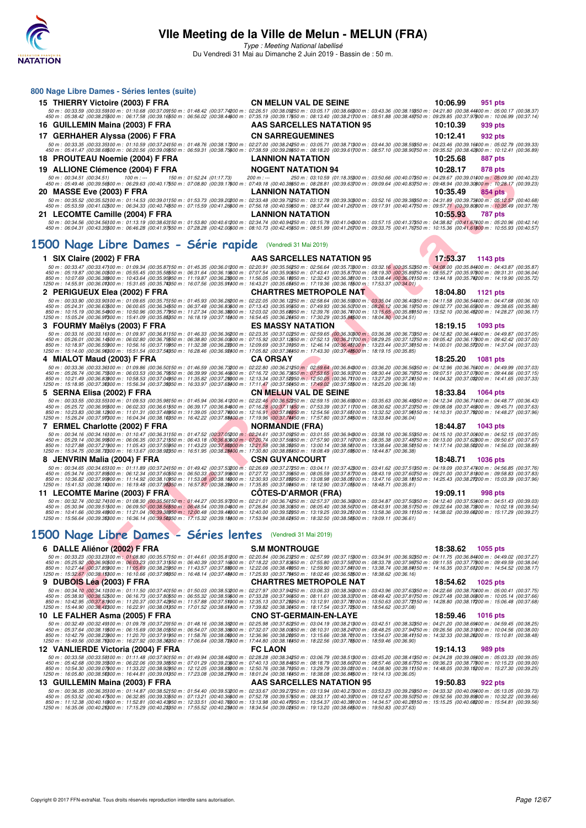

Type : Meeting National labellisé Du Vendredi 31 Mai au Dimanche 2 Juin 2019 - Bassin de : 50 m.

| 800 Nage Libre Dames - Séries lentes (suite)                                                                                                                                                                                                                                                                                                                                                                                                                                                                                                                                                                                                      |                                                                                                                                                                                                                  |                             |
|---------------------------------------------------------------------------------------------------------------------------------------------------------------------------------------------------------------------------------------------------------------------------------------------------------------------------------------------------------------------------------------------------------------------------------------------------------------------------------------------------------------------------------------------------------------------------------------------------------------------------------------------------|------------------------------------------------------------------------------------------------------------------------------------------------------------------------------------------------------------------|-----------------------------|
| 15 THIERRY Victoire (2003) F FRA                                                                                                                                                                                                                                                                                                                                                                                                                                                                                                                                                                                                                  | <b>CN MELUN VAL DE SEINE</b>                                                                                                                                                                                     | 10:06.99<br>951 pts         |
| 50 m : 00:33.59 (00:33.59)00 m : 01:10.68 (00:37.09)50 m : 01:48.42 (00:37.74200 m : 02:26.51 (00:38.09250 m : 03:05.17 (00:38.6600 m : 03:43.36 (00:38.19350 m : 04:21.80 (00:38.44400 m : 05:00.17 (00:38.37)<br>450 m : 05:38.42 (00:38.2500 m : 06:17.58 (00:39.1650 m : 06:56.02 (00:38.44600 m : 07:35.19 (00:39.17650 m : 08:13.40 (00:38.21700 m : 08:51.88 (00:38.45750 m : 09:29.85 (00:37.97600 m : 10:06.99 (00:37.14)                                                                                                                                                                                                                |                                                                                                                                                                                                                  |                             |
| 16 GUILLEMIN Maina (2003) F FRA                                                                                                                                                                                                                                                                                                                                                                                                                                                                                                                                                                                                                   | AAS SARCELLES NATATION 95                                                                                                                                                                                        | 10:10.39<br>939 pts         |
| 17 GERHAHER Alyssa (2006) F FRA                                                                                                                                                                                                                                                                                                                                                                                                                                                                                                                                                                                                                   | <b>CN SARREGUEMINES</b>                                                                                                                                                                                          | 10:12.41<br>932 pts         |
| 50 m : 00:33.35 (00:33.35)00 m : 01:10.59 (00:37.24)50 m : 01:48.76 (00:38.17200 m : 02:27.00 (00:38.24250 m : 03:05.71 (00:38.71300 m : 03:44.30 (00:38.58350 m : 04:23.46 (00:39.16400 m : 05:02.79 (00:39.33)<br>450 m : 05:41.47 (00:38.68500 m : 06:20.56 (00:39.0950 m : 06:59.31 (00:38.75600 m : 07:38.59 (00:39.28550 m : 08:18.20 (00:39.61700 m : 08:57.10 (00:38.90750 m : 09:35.52 (00:38.42600 m : 10:12.41 (00:36.89)                                                                                                                                                                                                              |                                                                                                                                                                                                                  |                             |
| 18 PROUTEAU Noemie (2004) F FRA                                                                                                                                                                                                                                                                                                                                                                                                                                                                                                                                                                                                                   | <b>LANNION NATATION</b>                                                                                                                                                                                          | 10.25.68<br>887 pts         |
| 19 ALLIONE Clémence (2004) F FRA                                                                                                                                                                                                                                                                                                                                                                                                                                                                                                                                                                                                                  | <b>NOGENT NATATION 94</b>                                                                                                                                                                                        | 10:28.17<br>878 pts         |
| 50 m : 00:34.51 (00:34.51)<br>150 m: 01:52.24 (01:17.73)<br>100 m : ---<br>450 m : 05:49.46 (00:39.56500 m : 06:29.63 (00:40.17550 m : 07:08.80 (00:39.17600 m : 07:49.18 (00:40.39650 m : 08:28.81 (00:39.63700 m : 09:09.64 (00:40.83750 m : 09:48.94 (00:39.30600 m : 10:28.17 (00:39.23)                                                                                                                                                                                                                                                                                                                                                      | $200 m : -$<br>250 m : 03:10.59 (01:18.35)00 m : 03:50.66 (00:40.07)50 m : 04:29.67 (00:39.01400 m : 05:09.90 (00:40.23)                                                                                         |                             |
| 20 MASSE Eve (2003) F FRA                                                                                                                                                                                                                                                                                                                                                                                                                                                                                                                                                                                                                         | LANNION NATATION                                                                                                                                                                                                 | 10:35.49<br>854 pts         |
| 50 m : 00:35.52 (00:35.52)00 m : 01:14.53 (00:39.01150 m : 01:53.73 (00:39.20200 m : 02:33.48 (00:39.75250 m : 03:12.78 (00:39.30000 m : 03:52.16 (00:39.38850 m : 04:31.89 (00:39.73400 m : 05:12.57 (00:40.68)<br>450 m : 05:53.59 (00:41.02)00 m : 06:34.33 (00:40.74)50 m : 07:15.59 (00:41.26)00 m : 07:56.18 (00:40.59)50 m : 08:37.44 (00:41.26)00 m : 09:17.91 (00:40.47)50 m : 09:57.71 (00:39.80)00 m : 10:35.49 (00:37.78)                                                                                                                                                                                                             |                                                                                                                                                                                                                  |                             |
| 21 LECOMTE Camille (2004) F FRA                                                                                                                                                                                                                                                                                                                                                                                                                                                                                                                                                                                                                   | LANNION NATATION                                                                                                                                                                                                 | 10:55.93<br>787 pts         |
| 50 m : 00:34.56 (00:34.56)00 m : 01:13.19 (00:38.63)50 m : 01:53.80 (00:40.61200 m : 02:34.74 (00:40.94250 m : 03:15.78 (00:41.04300 m : 03:57.15 (00:41.37350 m : 04:38.82 (00:41.67400 m : 05:20.96 (00:42.14)<br>450 m : 06:04.31 (00:43.35500 m : 06:46.28 (00:41.97550 m : 07:28.28 (00:42.00600 m : 08:10.73 (00:42.45650 m : 08:51.99 (00:41.26700 m : 09:33.75 (00:41.76750 m : 10:15.36 (00:41.61600 m : 10:55.93 (00:40.57)                                                                                                                                                                                                             |                                                                                                                                                                                                                  |                             |
|                                                                                                                                                                                                                                                                                                                                                                                                                                                                                                                                                                                                                                                   |                                                                                                                                                                                                                  |                             |
| 1500 Nage Libre Dames - Série rapide (Vendredi 31 Mai 2019)                                                                                                                                                                                                                                                                                                                                                                                                                                                                                                                                                                                       |                                                                                                                                                                                                                  |                             |
| 1 SIX Claire (2002) F FRA<br>50 m : 00:33.47 (00:33.47)00 m : 01:09.34 (00:35.87)50 m : 01:45.35 (00:36.01200 m : 02:20.91 (00:35.56250 m : 02:56.64 (00:35.52300 m : 03:32.16 (00:35.52350 m : 04:08.00 (00:35.54400 m : 04:43.87 (00:35.87)                                                                                                                                                                                                                                                                                                                                                                                                     | AAS SARCELLES NATATION 95                                                                                                                                                                                        | 17:53.37<br>1143 pts        |
| 450 m : 05:19.87 (00:36.00500 m : 05:55.45 (00:35.58550 m : 06:31.64 (00:36.19600 m : 07:07.54 (00:35.90550 m : 07:43.41 (00:35.87700 m : 08:19.30 (00:35.9750 m : 08:55.27 (00:35.9750 m : 09:35.97 (00:36.97)<br>850 m : 10:07.69 (00:36.38900 m : 10:43.64 (00:35.95950 m : 11:19.87 (00:36.28000 m : 11:56.05 (00:36.18050 m : 12:32.43 (00:36.38)00 m : 13:08.44 (00:36.01150 m : 13:44.18 (00:35.74200 m : 14:19.90 (00:35.72)                                                                                                                                                                                                              |                                                                                                                                                                                                                  |                             |
| 1250 m : 14:55.91 (00:36.01300 m : 15:31.65 (00:35.74350 m : 16:07.56 (00:35.91400 m : 16:43.21 (00:35.65450 m : 17:19.36 (00:36.15500 m : 17:53.37 (00:34.01)                                                                                                                                                                                                                                                                                                                                                                                                                                                                                    |                                                                                                                                                                                                                  |                             |
| 2 PERIGUEUX Elea (2002) F FRA<br>50 m : 00:30.90 (00:33.90)00 m : 01:09.65 (00:36.75)50 m : 01:45.93 (00:36.2000 m : 02:22.05 (00:36.12250 m : 02:58.64 (00:36.59300 m : 03:35.04 (00:36.40350 m : 04:11.58 (00:36.54400 m : 04:47.68 (00:36.10)                                                                                                                                                                                                                                                                                                                                                                                                  | <b>CHARTRES METROPOLE NAT</b>                                                                                                                                                                                    | 18:04.80<br>1121 pts        |
| 450 m : 05:24.31 (00:36.63500 m : 06:00.65 (00:36.34550 m : 06:37.48 (00:36.83500 m : 07:13.43 (00:36.955650 m : 07:49.93 (00:36.50700 m : 08:26.12 (00:36.19750 m : 09:02.77 (00:36.65600 m : 09:38.65 (00:35.88)<br>850 m : 10:15.19 (00:36.54000 m : 10:50.96 (00:35.77950 m : 11:27.34 (00:36.8000 m : 12:03.02 (00:36.56050 m : 12:39.76 (00:36.74)00 m : 13:15.65 (00:35.89)50 m : 13:52.10 (00:36.46200 m : 14:28.27 (00:36.17)                                                                                                                                                                                                            |                                                                                                                                                                                                                  |                             |
| 1250 m : 15:05.24 (00:36.97300 m : 15:41.09 (00:35.85350 m : 16:18.19 (00:37.10400 m : 16:54.45 (00:36.26450 m : 17:30.29 (00:35.84500 m : 18:04.80 (00:34.51)                                                                                                                                                                                                                                                                                                                                                                                                                                                                                    |                                                                                                                                                                                                                  |                             |
| 3 FOURMY Maëlys (2003) F FRA                                                                                                                                                                                                                                                                                                                                                                                                                                                                                                                                                                                                                      | <b>ES MASSY NATATION</b>                                                                                                                                                                                         | 18:19.15<br>1093 pts        |
| 50 m : 00:33.16 (00:33.16)00 m : 01:09.97 (00:36.81150 m : 01:46.33 (00:36.36200 m : 02:23.35 (00:37.02250 m : 02:59.65 (00:36.30000 m : 03:36.38 (00:36.73350 m : 04:12.82 (00:36.44400 m : 04:49.87 (00:37.05)<br>$450\,m:\ 05:26.01\ (00:36.14500\,m:\ 06:02.80\ (00:36.79550\,m:\ 06:38.80\ (00:36.00500\,m:\ 07:15.92\ (00:37.12550\,m:\ 07:52.13\ (00:36.21700\,m:\ 08:29.25\ (00:37.12750\,m:\ 04:00:36.57900\,m:\ 04:37.00)\ (00:37.12750\,m:\ 04:00:37.12$                                                                                                                                                                               |                                                                                                                                                                                                                  |                             |
| 1250 m : 15:14.00 (00:36.96) 00 m : 15:51.54 (00:37.54)50 m : 16:28.46 (00:36.92)00 m : 17:05.82 (00:37.36)50 m : 17:43.30 (00:37.46)50 m : 18:19.15 (00:35.85)                                                                                                                                                                                                                                                                                                                                                                                                                                                                                   |                                                                                                                                                                                                                  |                             |
| 4 MIALOT Maud (2003) F FRA                                                                                                                                                                                                                                                                                                                                                                                                                                                                                                                                                                                                                        | <b>CA ORSAY</b>                                                                                                                                                                                                  | 18:25.20<br>1081 pts        |
| 50 m : 00:33.36 (00:33.36)00 m : 01:09.86 (00:36.50)50 m : 01:46.59 (00:36.73200 m : 02:22.80 (00:36.21250 m : 02:59.64 (00:36.84300 m : 03:36.20 (00:36.56350 m : 04:12.96 (00:36.76400 m : 04:49.99 (00:37.03)<br>450 m : 05:26.74 (00:36.75500 m : 06:03.53 (00:36.7950 m : 06:39.99 (00:36.46600 m : 07:16.72 (00:36.7950 m : 07:53.65 (00:36.93700 m : 08:30.44 (00:36.79750 m : 09:07.51 (00:37.07500 m : 09:44.66 (00:37.15)                                                                                                                                                                                                               |                                                                                                                                                                                                                  |                             |
| 850 m : 10:21.49 (00:36.83900 m : 10:58.53 (00:37.04950 m : 11:35.82 (00:37.20000 m : 12:13.34 (00:37.52050 m : 12:50.05 (00:36.71)00 m : 13:27.29 (00:37.24)50 m : 14:04.32 (00:37.08200 m : 14:41.65 (00:37.33)<br>1250 m : 15:18.95 (00:37.3000 m : 15:56.34 (00:37.38050 m : 16:33.97 (00:37.68400 m : 17:11.47 (00:37.50450 m : 17:49.02 (00:37.56500 m : 18:25.20 (00:36.18)                                                                                                                                                                                                                                                                |                                                                                                                                                                                                                  |                             |
| 5 SERNA Elisa (2002) F FRA                                                                                                                                                                                                                                                                                                                                                                                                                                                                                                                                                                                                                        | <b>CN MELUN VAL DE SEINE</b>                                                                                                                                                                                     | 18:33.84<br>1064 pts        |
|                                                                                                                                                                                                                                                                                                                                                                                                                                                                                                                                                                                                                                                   | 50 m : 00:33.55 (00:33.55)00 m : 01:09.53 (00:35.98)50 m : 01:45.94 (00:36.41200 m : 02:22.46 (00:36.52250 m : 02:59.15 (00:36.69200 m : 03:35.63 (00:36.48350 m : 04:12.34 (00:36.71400 m : 04:48.77 (00:36.43) |                             |
| 450 m : 05:25.72 (00:36.95500 m : 06:02.33 (00:36.61550 m : 06:39.17 (00:36.84600 m : 07:16.28 (00:37.11550 m : 07:53.39 (00:37.11700 m : 08:30.62 (00:37.23750 m : 09:08.08 (00:37.45600 m : 09:08.08 (00:37.45600 m : 09:08.                                                                                                                                                                                                                                                                                                                                                                                                                    |                                                                                                                                                                                                                  |                             |
| 850 m : 10:23.83 (00:38.12)00 m : 11:01.31 (00:37.48)50 m : 11:39.05 (00:37.74)00 m : 12:16.91 (00:37.86)50 m : 12:54.56 (00:37.65)00 m : 13:32.52 (00:37.96)50 m : 14:10.31 (00:37.78)00 m : 14:48.27 (00:37.96)<br>1250 m : 15:26.24 (00:37.91%00 m : 16:04.34 (00:38.10050 m : 16:42.22 (00:37.88400 m : 17:19.96 (00:37.74450 m : 17:57.80 (00:37.84500 m : 18:33.84 (00:36.04)                                                                                                                                                                                                                                                               |                                                                                                                                                                                                                  |                             |
| 7 ERMEL Charlotte (2002) F FRA                                                                                                                                                                                                                                                                                                                                                                                                                                                                                                                                                                                                                    | <b>NORMANDIE (FRA)</b>                                                                                                                                                                                           | 18:44.87<br>1043 pts        |
| 50 m : 00:34.16 (00:34.16)00 m : 01:10.47 (00:36.31150 m : 01:47.52 (00:37.05200 m : 02:24.61 (00:37.09250 m : 03:01.55 (00:36.94300 m : 03:38.10 (00:36.55350 m : 04:15.10 (00:37.00400 m : 04:52.15 (00:37.05)<br>$450\,m:\ 05.29.14\,\ (00.36.99500\,m:\ 06.06.35\,\ (00.37.21550\,m:\ 06.43.18\,\ (00.36.83500\,m:\ 07.20.74\,\ (00.37.56650\,m:\ 07.57.90\,\ (00.37.16700\,m:\ 08.35.38\,\ (00.37.48750\,m:\ 09.13.00\,\ (00.37.62800\,m:\ 08.35.39.48750\,m:\ 09.3$                                                                                                                                                                         |                                                                                                                                                                                                                  |                             |
| 850 m : 10:27.88 (00:37.21900 m : 11:05.43 (00:37.55950 m : 11:43.23 (00:37.80000 m : 12:21.58 (00:38.35050 m : 13:00.14 (00:38.56)00 m : 13:38.64 (00:38.56)50 m : 14:17.14 (00:38.56)200 m : 14:56.03 (00:38.89)<br>1250 m : 15:34.75 (00:38.72300 m : 16:13.67 (00:38.92350 m : 16:51.95 (00:38.22400 m : 17:30.80 (00:38.85450 m : 18:08.49 (00:37.69500 m : 18:44.87 (00:36.38)                                                                                                                                                                                                                                                              |                                                                                                                                                                                                                  |                             |
| 8 JENVRIN Malia (2004) F FRA                                                                                                                                                                                                                                                                                                                                                                                                                                                                                                                                                                                                                      | <b>CSN GUYANCOURT</b>                                                                                                                                                                                            | 18:48.71<br><b>1036 pts</b> |
| 50 50 50 50 50 600 57.47400 m : 01:11.89 (00:37.24)50 m : 01:49.42 (00:37.53200 m : 02:26.69 (00:37.27250 m : 03:04.11 (00:37.42300 m : 03:41.62 (00:37.51350 m : 04:19.09 (00:37.47400 m : 04:56.85 (00:37.76)<br>450 m : 05:34.74 (00:37.89500 m : 06:12.34 (00:37.60550 m : 06:50.33 (00:37.99600 m : 07:27.72 (00:37.39550 m : 08:05.59 (00:37.87700 m : 08:43.19 (00:37.60750 m : 09:21.00 (00:37.81\$00 m : 09:58.83 (00:37.83)                                                                                                                                                                                                             |                                                                                                                                                                                                                  |                             |
| 850 m : 10:36.82 (00:37.99900 m : 11:14.92 (00:38.10950 m : 11:53.08 (00:38.1000 m : 12:30.93 (00:37.85050 m : 13:08.98 (00:38.05100 m : 13:47.16 (00:38.16)50 m : 14:25.43 (00:38.27200 m : 15:03.39 (00:37.96)<br>1250 m : 15:41.53 (00:38.14300 m : 16:19.48 (00:37.96350 m : 16:57.87 (00:38.39400 m : 17:35.85 (00:37.98450 m : 18:12.90 (00:37.06500 m : 18:48.71 (00:35.81)                                                                                                                                                                                                                                                                |                                                                                                                                                                                                                  |                             |
| 11 LECOMTE Marine (2003) F FRA                                                                                                                                                                                                                                                                                                                                                                                                                                                                                                                                                                                                                    | <b>CÔTES-D'ARMOR (FRA)</b>                                                                                                                                                                                       | 19:09.11<br>998 pts         |
| 50 m : 00:32.74 (00:32.74)00 m : 01:08.30 (00:35.56)50 m : 01:44.27 (00:35.97200 m : 02:21.01 (00:36.74250 m : 02:57.37 (00:36.86)00 m : 03:34.87 (00:37.50)50 m : 04:12.40 (00:37.53)00 m : 04:12.40 (00:37.53)00 m : 04:12.4<br>450 m : 05:30.94 (00:39.51500 m : 06:09.50 (00:38.56550 m : 06:48.54 (00:39.04600 m : 07:26.84 (00:38.30650 m : 08:05.40 (00:38.56700 m : 08:43.91 (00:38.51750 m : 09:22.64 (00:38.7750 m : 09:22.64 (00:38.7750 m : 09:22.64                                                                                                                                                                                  |                                                                                                                                                                                                                  |                             |
| 850 m : 10:41.66 (00:39.48900 m : 11:21.04 (00:39.38950 m : 12:00.48 (00:39.44000 m : 12:40.00 (00:39.52050 m : 13:19.25 (00:39.52000 m : 13:58.36 (00:39.11)50 m : 14:38.02 (00:39.66200 m : 15:17.29 (00:39.27)<br>1250 m : 15:56.64 (00:39.35300 m : 16:36.14 (00:39.50350 m : 17:15.32 (00:39.18400 m : 17:53.94 (00:38.62450 m : 18:32.50 (00:38.56500 m : 19:09.11 (00:36.61)                                                                                                                                                                                                                                                               |                                                                                                                                                                                                                  |                             |
|                                                                                                                                                                                                                                                                                                                                                                                                                                                                                                                                                                                                                                                   |                                                                                                                                                                                                                  |                             |
| 1500 Nage Libre Dames - Séries lentes (Vendredi 31 Mai 2019)                                                                                                                                                                                                                                                                                                                                                                                                                                                                                                                                                                                      |                                                                                                                                                                                                                  |                             |
| 6 DALLE Aliénor (2002) F FRA                                                                                                                                                                                                                                                                                                                                                                                                                                                                                                                                                                                                                      | <b>S.M MONTROUGE</b>                                                                                                                                                                                             | 18:38.62<br>1055 pts        |
| 50 m : 00:33.23 (00:33.23)00 m : 01:08.80 (00:35.57)50 m : 01:44.61 (00:35.81200 m : 02:20.84 (00:36.23250 m : 02:57.99 (00:37.15300 m : 03:34.91 (00:36.92350 m : 04:11.75 (00:36.84400 m : 04:49.02 (00:37.27)<br>450 m : 05:25.92 (00:36.90500 m : 06:03.23 (00:37.31550 m : 06:40.39 (00:37.16500 m : 07:18.22 (00:37.3650 m : 07:55.80 (00:37.58700 m : 08:33.78 (00:37.98750 m : 09:11.55 (00:37.77800 m : 09:49.59 (00:38.04)                                                                                                                                                                                                              |                                                                                                                                                                                                                  |                             |
| 850 m : 10:27.44 (00:37.85900 m : 11:05.69 (00:38.25950 m : 11:43.57 (00:37.88000 m : 12:22.06 (00:38.49050 m : 12:59.90 (00:37.84)00 m : 13:38.74 (00:38.84)50 m : 14:16.35 (00:37.8100 m : 14:16.35 (00:37.84)050 m : 14:54.5<br>1250 m : 15:32.67 (00:38.15300 m : 16:10.66 (00:37.99350 m : 16:48.14 (00:37.48400 m : 17:25.93 (00:37.79450 m : 18:02.46 (00:36.52500 m : 18:38.62 (00:36.16)                                                                                                                                                                                                                                                 |                                                                                                                                                                                                                  |                             |
| 9 DUBOIS Léa (2003) F FRA                                                                                                                                                                                                                                                                                                                                                                                                                                                                                                                                                                                                                         | <b>CHARTRES METROPOLE NAT</b>                                                                                                                                                                                    | 18:54.62<br>1025 pts        |
| $\emph{50 m: 00:34.10 (00.34.10) 00 m: 01:11.50 (00.37.40) 50 m: 01:50.03 (00.38.5200 m: 02:27.97 (00.37.94) 50 m: 03:06.33 (00.38.35) 00:38.35) 00:38.480 m: 05:40.37.68) 00:37.490 m: 05:40.37.59 (00.37.67) 00:47.490 m: 05:41.50 (00.37.68$                                                                                                                                                                                                                                                                                                                                                                                                   |                                                                                                                                                                                                                  |                             |
| 850 m : 10:42.95 (00:37.81900 m : 11:20.37 (00:37.42950 m : 11:57.88 (00:37.51000 m : 12:35.13 (00:37.25050 m : 13:12.91 (00:37.78)00 m : 13:50.63 (00:37.72)50 m : 14:28.80 (00:37.8100 m : 14:28.80 (00:37.8100 m : 14:28.80<br>1250 m : 15:44.90 (00:38,42300 m : 16:22.91 (00:38.01350 m : 17:01.52 (00:38.61400 m : 17:39.82 (00:38.30450 m : 18:17.54 (00:37.72500 m : 18:54.62 (00:37.08)                                                                                                                                                                                                                                                  |                                                                                                                                                                                                                  |                             |
| 10 LE FALHER Asma (2005) F FRA                                                                                                                                                                                                                                                                                                                                                                                                                                                                                                                                                                                                                    | <b>CNO ST-GERMAIN-EN-LAYE</b>                                                                                                                                                                                    | 18:59.46<br>1016 pts        |
| 50 m : 00:32.49 (00:32.49100 m : 01:09.78 (00:37.29150 m : 01:48.16 (00:38.38200 m : 02:25.98 (00:37.82250 m : 03:04.19 (00:38.21300 m : 03:42.51 (00:38.32350 m : 04:21.20 (00:38.69400 m : 04:59.45 (00:38.25)<br>450 m : 05:37.64 (00:38.19500 m : 06:15.69 (00:38.0550 m : 06:54.07 (00:38.38600 m : 07:32.07 (00:38.00650 m : 08:10.31 (00:38.24700 m : 08:48.25 (00:37.94750 m : 09:26.56 (00:38.31600 m : 10:04.56 (00:38.00)                                                                                                                                                                                                              |                                                                                                                                                                                                                  |                             |
| 850 m : 10:42.79 (00:38.23)00 m : 11:20.70 (00:37.91950 m : 11:58.76 (00:38.06)00 m : 12:36.96 (00:38.20)50 m : 13:15.66 (00:38.70)00 m : 13:54.07 (00:38.41)50 m : 14:32.33 (00:38.26)20 m : 15:10.81 (00:38.48)<br>1250 m : 15:49.56 (00:38.7500 m : 16:27.92 (00:38.35050 m : 17:06.64 (00:38.72400 m : 17:44.80 (00:38.16450 m : 18:22.56 (00:37.76500 m : 18:59.46 (00:36.90)                                                                                                                                                                                                                                                                |                                                                                                                                                                                                                  |                             |
| 12 VANLIERDE Victoria (2004) F FRA                                                                                                                                                                                                                                                                                                                                                                                                                                                                                                                                                                                                                | <b>FC LAON</b>                                                                                                                                                                                                   | 19:14.13<br>989 pts         |
| 50 m : 00:33.58 (00:33.58)00 m : 01:11.48 (00:37.90150 m : 01:49.94 (00:38.46200 m : 02:28.28 (00:38.4420 m : 03:06.79 (00:38.51300 m : 03:45.20 (00:38.41350 m : 04:24.28 (00:39.08/00 m : 05:03.33 (00:39.05)<br>450 m : 05:42.68 (00:39.35500 m : 06:22.06 (00:39.3650 m : 07:01.29 (00:39.2500 m : 07:40.13 (00:38.8450 m : 08:18.79 (00:38.66700 m : 08:57.46 (00:38.67750 m : 09:36.23 (00:38.77800 m : 10:15.23 (00:39.00)                                                                                                                                                                                                                 |                                                                                                                                                                                                                  |                             |
| 850 m : 10:54.30 (00:39.07000 m : 11:33.22 (00:38.92950 m : 12:12.05 (00:38.82000 m : 12:50.76 (00:38.71050 m : 13:29.79 (00:39.03100 m : 14:08.90 (00:39.11150 m : 14:48.05 (00:39.11520 m : 15:27.30 (00:39.25)<br>1250 m : 16:05.80 (00:38.5000 m : 16:44.81 (00:39.01350 m : 17:23.08 (00:38.27400 m : 18:01.24 (00:38.16450 m : 18:38.08 (00:36.84500 m : 19:14.13 (00:36.05)                                                                                                                                                                                                                                                                |                                                                                                                                                                                                                  |                             |
| 13 GUILLEMIN Maina (2003) F FRA                                                                                                                                                                                                                                                                                                                                                                                                                                                                                                                                                                                                                   | AAS SARCELLES NATATION 95                                                                                                                                                                                        | 19:50.83<br>922 pts         |
| 50 m : 00:36.35 (00:36.35)00 m : 01:14.87 (00:38.52)50 m : 01:54.40 (00:39.53200 m : 02:33.67 (00:39.27250 m : 03:13.94 (00:40.27300 m : 03:53.23 (00:39.23350 m : 04:33.32 (00:40.09400 m : 05:13.05 (00:39.73)<br>450 m : 05:53.52 (00:40.47500 m : 06:32.85 (00:39.3350 m : 07:13.21 (00:40.36600 m : 07:52.78 (00:39.57650 m : 08:33.17 (00:40.39700 m : 09:12.67 (00:39.50750 m : 09:52.56 (00:39.89800 m : 10:32.22 (00:39.66)<br>850 m: 11:12.38 (00:40.16900 m: 11:52.81 (00:40.43950 m: 12:33.51 (00:40.70000 m: 13:13.98 (00:40.47050 m: 13:54.37 (00:40.30)00 m: 14:34.57 (00:40.20)50 m: 15:15.25 (00:40.68200 m: 15:54.81 (00:39.56) |                                                                                                                                                                                                                  |                             |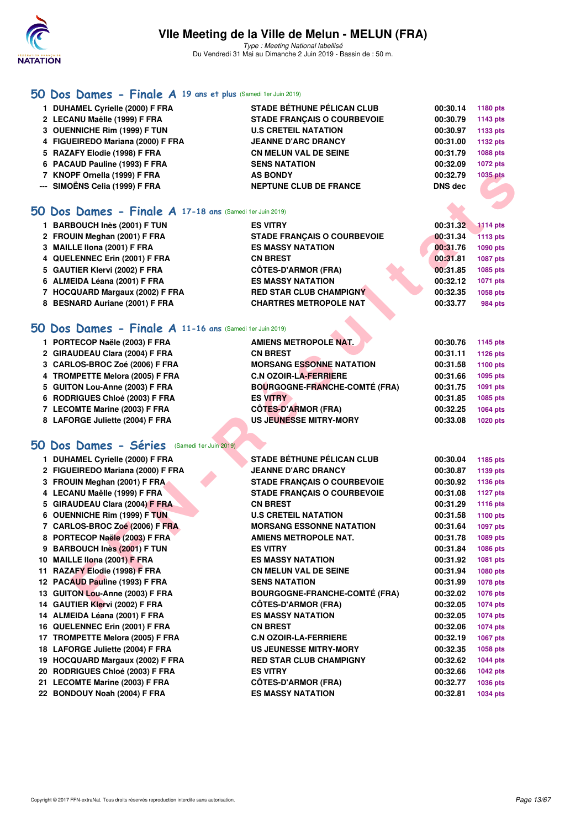

Type : Meeting National labellisé Du Vendredi 31 Mai au Dimanche 2 Juin 2019 - Bassin de : 50 m.

## **[50 Dos Dames - Finale A](http://www.ffnatation.fr/webffn/resultats.php?idact=nat&go=epr&idcpt=57771&idepr=11) 19 ans et plus** (Samedi 1er Juin 2019)

| 1 DUHAMEL Cyrielle (2000) F FRA   | <b>STADE BÉTHUNE PÉLICAN CLUB</b>  | 00:30.14 | 1180 pts        |
|-----------------------------------|------------------------------------|----------|-----------------|
| 2 LECANU Maëlle (1999) F FRA      | <b>STADE FRANCAIS O COURBEVOIE</b> | 00:30.79 | 1143 pts        |
| 3 OUENNICHE Rim (1999) F TUN      | <b>U.S CRETEIL NATATION</b>        | 00:30.97 | 1133 pts        |
| 4 FIGUEIREDO Mariana (2000) F FRA | <b>JEANNE D'ARC DRANCY</b>         | 00:31.00 | 1132 pts        |
| 5 RAZAFY Elodie (1998) F FRA      | <b>CN MELUN VAL DE SEINE</b>       | 00:31.79 | <b>1088 pts</b> |
| 6 PACAUD Pauline (1993) F FRA     | <b>SENS NATATION</b>               | 00:32.09 | <b>1072 pts</b> |
| 7 KNOPF Ornella (1999) F FRA      | <b>AS BONDY</b>                    | 00:32.79 | <b>1035 pts</b> |
| --- SIMOËNS Celia (1999) F FRA    | <b>NEPTUNE CLUB DE FRANCE</b>      | DNS dec  |                 |
|                                   |                                    |          |                 |

#### **[50 Dos Dames - Finale A](http://www.ffnatation.fr/webffn/resultats.php?idact=nat&go=epr&idcpt=57771&idepr=11) 17-18 ans** (Samedi 1er Juin 2019)

| 1 BARBOUCH Inès (2001) F TUN                            | <b>ES VITRY</b>                    | 00:31.32 | <b>1114 pts</b> |
|---------------------------------------------------------|------------------------------------|----------|-----------------|
| 2 FROUIN Meghan (2001) F FRA                            | <b>STADE FRANCAIS O COURBEVOIE</b> | 00:31.34 | <b>1113 pts</b> |
| 3 MAILLE IIona (2001) F FRA                             | <b>ES MASSY NATATION</b>           | 00:31.76 | 1090 pts        |
| 4 QUELENNEC Erin (2001) F FRA                           | <b>CN BREST</b>                    | 00:31.81 | <b>1087 pts</b> |
| 5 GAUTIER Klervi (2002) F FRA                           | <b>CÔTES-D'ARMOR (FRA)</b>         | 00:31.85 | 1085 pts        |
| 6 ALMEIDA Léana (2001) F FRA                            | <b>ES MASSY NATATION</b>           | 00:32.12 | 1071 pts        |
| 7 HOCQUARD Margaux (2002) F FRA                         | <b>RED STAR CLUB CHAMPIGNY</b>     | 00:32.35 | 1058 pts        |
| 8 BESNARD Auriane (2001) F FRA                          | <b>CHARTRES METROPOLE NAT</b>      | 00:33.77 | <b>984 pts</b>  |
| O Dos Dames - Finale A 11-16 ans (Samedi 1er Juin 2019) |                                    |          |                 |

### **[50 Dos Dames - Finale A](http://www.ffnatation.fr/webffn/resultats.php?idact=nat&go=epr&idcpt=57771&idepr=11) 11-16 ans** (Samedi 1er Juin 2019)

|     | 7 KNOPF Ornella (1999) F FRA                             | <b>AS BONDY</b>                      | 00:32.79       | 1035 pts        |
|-----|----------------------------------------------------------|--------------------------------------|----------------|-----------------|
| --- | SIMOËNS Celia (1999) F FRA                               | <b>NEPTUNE CLUB DE FRANCE</b>        | <b>DNS</b> dec |                 |
|     |                                                          |                                      |                |                 |
| 50  | Dos Dames - Finale A 17-18 ans (Samedi 1er Juin 2019)    |                                      |                |                 |
|     | 1 BARBOUCH Inès (2001) F TUN                             | <b>ES VITRY</b>                      | 00:31.32       | <b>1114 pts</b> |
|     | 2 FROUIN Meghan (2001) F FRA                             | <b>STADE FRANCAIS O COURBEVOIE</b>   | 00:31.34       | <b>1113 pts</b> |
|     | 3 MAILLE IIona (2001) F FRA                              | <b>ES MASSY NATATION</b>             | 00:31.76       | 1090 pts        |
|     | 4 QUELENNEC Erin (2001) F FRA                            | <b>CN BREST</b>                      | 00:31.81       | 1087 pts        |
|     | 5 GAUTIER Klervi (2002) F FRA                            | <b>CÔTES-D'ARMOR (FRA)</b>           | 00:31.85       | 1085 pts        |
|     | 6 ALMEIDA Léana (2001) F FRA                             | <b>ES MASSY NATATION</b>             | 00:32.12       | 1071 pts        |
|     | 7 HOCQUARD Margaux (2002) F FRA                          | <b>RED STAR CLUB CHAMPIGNY</b>       | 00:32.35       | 1058 pts        |
|     | 8 BESNARD Auriane (2001) F FRA                           | <b>CHARTRES METROPOLE NAT</b>        | 00:33.77       | 984 pts         |
|     |                                                          |                                      |                |                 |
|     | 50 Dos Dames - Finale A 11-16 ans (Samedi 1er Juin 2019) |                                      |                |                 |
|     | 1 PORTECOP Naële (2003) F FRA                            | <b>AMIENS METROPOLE NAT.</b>         | 00:30.76       | 1145 pts        |
|     | 2 GIRAUDEAU Clara (2004) F FRA                           | <b>CN BREST</b>                      | 00:31.11       | <b>1126 pts</b> |
|     | 3 CARLOS-BROC Zoé (2006) F FRA                           | <b>MORSANG ESSONNE NATATION</b>      | 00:31.58       | 1100 pts        |
|     | 4 TROMPETTE Melora (2005) F FRA                          | <b>C.N OZOIR-LA-FERRIERE</b>         | 00:31.66       | 1095 pts        |
|     | 5 GUITON Lou-Anne (2003) F FRA                           | <b>BOURGOGNE-FRANCHE-COMTÉ (FRA)</b> | 00:31.75       | 1091 pts        |
|     | 6 RODRIGUES Chloé (2003) F FRA                           | <b>ES VITRY</b>                      | 00:31.85       | 1085 pts        |
|     | 7 LECOMTE Marine (2003) F FRA                            | <b>CÔTES-D'ARMOR (FRA)</b>           | 00:32.25       | 1064 pts        |
|     | 8 LAFORGE Juliette (2004) F FRA                          | <b>US JEUNESSE MITRY-MORY</b>        | 00:33.08       | 1020 pts        |
|     |                                                          |                                      |                |                 |
|     | 50 Dos Dames - Séries (Samedi 1er Juin 2019)             |                                      |                |                 |
|     | 1 DUHAMEL Cyrielle (2000) F FRA                          | <b>STADE BÉTHUNE PÉLICAN CLUB</b>    | 00:30.04       | 1185 pts        |
|     | 2 FIGUEIREDO Mariana (2000) F FRA                        | <b>JEANNE D'ARC DRANCY</b>           | 00:30.87       | 1139 pts        |
|     | 3 FROUIN Meghan (2001) F FRA                             | <b>STADE FRANÇAIS O COURBEVOIE</b>   | 00:30.92       | 1136 pts        |
|     | 4 LECANU Maëlle (1999) F FRA                             | <b>STADE FRANÇAIS O COURBEVOIE</b>   | 00:31.08       | <b>1127 pts</b> |
|     | 5 GIRAUDEAU Clara (2004) F FRA                           | <b>CN BREST</b>                      | 00:31.29       | <b>1116 pts</b> |
|     | 6 OUENNICHE Rim (1999) F TUN                             | <b>U.S CRETEIL NATATION</b>          | 00:31.58       | <b>1100 pts</b> |
|     | 7 CARLOS-BROC Zoé (2006) F FRA                           | <b>MORSANG ESSONNE NATATION</b>      | 00:31.64       | 1097 pts        |
|     | 8 PORTECOP Naële (2003) F FRA                            | <b>AMIENS METROPOLE NAT.</b>         | 00:31.78       | 1089 pts        |
|     | 9 BARBOUCH Inès (2001) F TUN                             | <b>ES VITRY</b>                      | 00:31.84       | 1086 pts        |
|     | 10 MAILLE Ilona (2001) F FRA                             | <b>ES MASSY NATATION</b>             | 00:31.92       | 1081 pts        |
|     | 11 RAZAFY Elodie (1998) F FRA                            | <b>CN MELUN VAL DE SEINE</b>         | 00:31.94       | 1080 pts        |
|     | 12 PACAUD Pauline (1993) F FRA                           | <b>SENS NATATION</b>                 | 00:31.99       | 1078 pts        |
|     | 13 GUITON Lou-Anne (2003) F FRA                          | <b>BOURGOGNE-FRANCHE-COMTÉ (FRA)</b> | 00:32.02       | 1076 pts        |
|     | 14 GAUTIER Klervi (2002) F FRA                           | <b>CÔTES-D'ARMOR (FRA)</b>           | 00:32.05       | 1074 pts        |
|     | 14 ALMEIDA Léana (2001) F FRA                            | <b>ES MASSY NATATION</b>             | 00:32.05       | 1074 pts        |
|     | 16 QUELENNEC Erin (2001) F FRA                           | <b>CN BREST</b>                      | 00:32.06       | 1074 pts        |
|     | 17 TROMPETTE Melora (2005) F FRA                         | <b>C.N OZOIR-LA-FERRIERE</b>         | 00:32.19       | 1067 pts        |
|     | 18 LAFORGE Juliette (2004) F FRA                         | <b>US JEUNESSE MITRY-MORY</b>        | 00:32.35       | 1058 pts        |
|     | 19 HOCQUARD Margaux (2002) F FRA                         | <b>RED STAR CLUB CHAMPIGNY</b>       | 00:32.62       | <b>1044 pts</b> |
|     | 20 RODRIGUES Chloé (2003) F FRA                          | <b>ES VITRY</b>                      | 00:32.66       | <b>1042 pts</b> |
|     | 21 LECOMTE Marine (2003) F FRA                           | <b>CÖTES-D'ARMOR (FRA)</b>           | 00:32.77       | 1036 pts        |
|     | 22 BONDOUY Noah (2004) F FRA                             | <b>ES MASSY NATATION</b>             | 00:32.81       | 1034 pts        |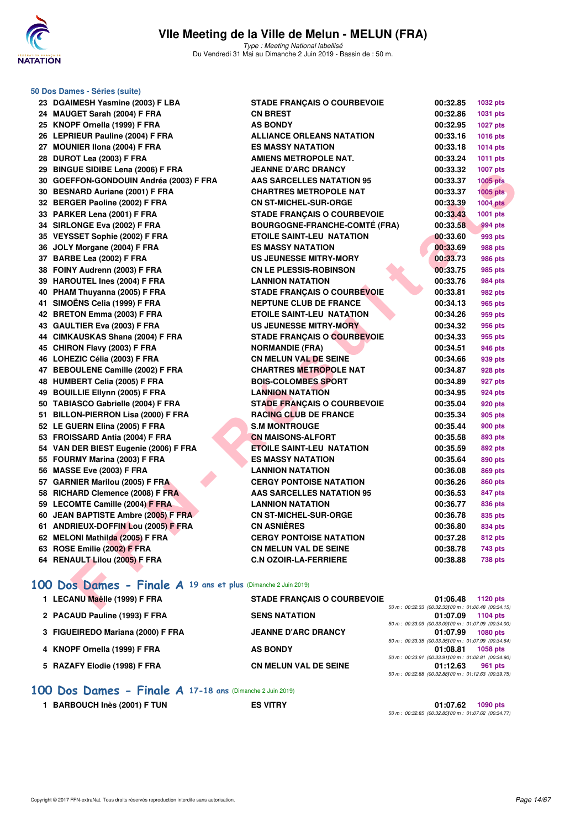

Type : Meeting National labellisé Du Vendredi 31 Mai au Dimanche 2 Juin 2019 - Bassin de : 50 m.

| 50 Dos Dames - Séries (suite)                                  |                                      |                                                                |                 |
|----------------------------------------------------------------|--------------------------------------|----------------------------------------------------------------|-----------------|
| 23 DGAIMESH Yasmine (2003) F LBA                               | <b>STADE FRANÇAIS O COURBEVOIE</b>   | 00:32.85                                                       | 1032 pts        |
| 24 MAUGET Sarah (2004) F FRA                                   | <b>CN BREST</b>                      | 00:32.86                                                       | 1031 pts        |
| 25 KNOPF Ornella (1999) F FRA                                  | <b>AS BONDY</b>                      | 00:32.95                                                       | <b>1027 pts</b> |
| 26 LEPRIEUR Pauline (2004) F FRA                               | <b>ALLIANCE ORLEANS NATATION</b>     | 00:33.16                                                       | 1016 pts        |
| 27 MOUNIER IIona (2004) F FRA                                  | <b>ES MASSY NATATION</b>             | 00:33.18                                                       | 1014 pts        |
| 28 DUROT Lea (2003) F FRA                                      | <b>AMIENS METROPOLE NAT.</b>         | 00:33.24                                                       | 1011 pts        |
| 29 BINGUE SIDIBE Lena (2006) F FRA                             | <b>JEANNE D'ARC DRANCY</b>           | 00:33.32                                                       | <b>1007 pts</b> |
| 30 GOEFFON-GONDOUIN Andréa (2003) F FRA                        | <b>AAS SARCELLES NATATION 95</b>     | 00:33.37                                                       | <b>1005 pts</b> |
| 30 BESNARD Auriane (2001) F FRA                                | <b>CHARTRES METROPOLE NAT</b>        | 00:33.37                                                       | $1005$ pts      |
| 32 BERGER Paoline (2002) F FRA                                 | <b>CN ST-MICHEL-SUR-ORGE</b>         | 00:33.39                                                       | <b>1004 pts</b> |
| 33 PARKER Lena (2001) F FRA                                    | <b>STADE FRANÇAIS O COURBEVOIE</b>   | 00:33.43                                                       | 1001 pts        |
| 34 SIRLONGE Eva (2002) F FRA                                   | <b>BOURGOGNE-FRANCHE-COMTÉ (FRA)</b> | 00:33.58                                                       | 994 pts         |
| 35 VEYSSET Sophie (2002) F FRA                                 | <b>ETOILE SAINT-LEU NATATION</b>     | 00:33.60                                                       | 993 pts         |
| 36 JOLY Morgane (2004) F FRA                                   | <b>ES MASSY NATATION</b>             | 00:33.69                                                       | 988 pts         |
| 37 BARBE Lea (2002) F FRA                                      | <b>US JEUNESSE MITRY-MORY</b>        | 00:33.73                                                       | 986 pts         |
| 38 FOINY Audrenn (2003) F FRA                                  | <b>CN LE PLESSIS-ROBINSON</b>        | 00:33.75                                                       | 985 pts         |
| 39 HAROUTEL Ines (2004) F FRA                                  | <b>LANNION NATATION</b>              | 00:33.76                                                       | <b>984 pts</b>  |
| 40 PHAM Thuyanna (2005) F FRA                                  | STADE FRANÇAIS O COURBEVOIE          | 00:33.81                                                       | 982 pts         |
| 41 SIMOËNS Celia (1999) F FRA                                  | <b>NEPTUNE CLUB DE FRANCE</b>        | 00:34.13                                                       | 965 pts         |
| 42 BRETON Emma (2003) F FRA                                    | <b>ETOILE SAINT-LEU NATATION</b>     | 00:34.26                                                       | 959 pts         |
| 43 GAULTIER Eva (2003) F FRA                                   | US JEUNESSE MITRY-MORY               | 00:34.32                                                       | 956 pts         |
| 44 CIMKAUSKAS Shana (2004) F FRA                               | <b>STADE FRANÇAIS O COURBEVOIE</b>   | 00:34.33                                                       | 955 pts         |
| 45 CHIRON Flavy (2003) F FRA                                   | <b>NORMANDIE (FRA)</b>               | 00:34.51                                                       | 946 pts         |
| 46 LOHEZIC Célia (2003) F FRA                                  | <b>CN MELUN VAL DE SEINE</b>         | 00:34.66                                                       | 939 pts         |
| 47 BEBOULENE Camille (2002) F FRA                              | <b>CHARTRES METROPOLE NAT</b>        | 00:34.87                                                       | 928 pts         |
| 48 HUMBERT Celia (2005) F FRA                                  | <b>BOIS-COLOMBES SPORT</b>           | 00:34.89                                                       | 927 pts         |
| 49 BOUILLIE Ellynn (2005) F FRA                                | <b>LANNION NATATION</b>              | 00:34.95                                                       | 924 pts         |
| 50 TABIASCO Gabrielle (2004) F FRA                             | <b>STADE FRANÇAIS O COURBEVOIE</b>   | 00:35.04                                                       | 920 pts         |
| 51 BILLON-PIERRON Lisa (2000) F FRA                            | <b>RACING CLUB DE FRANCE</b>         | 00:35.34                                                       | 905 pts         |
| 52 LE GUERN Elina (2005) F FRA                                 | <b>S.M MONTROUGE</b>                 | 00:35.44                                                       | <b>900 pts</b>  |
| 53 FROISSARD Antia (2004) F FRA                                | <b>CN MAISONS-ALFORT</b>             | 00:35.58                                                       | 893 pts         |
| 54 VAN DER BIEST Eugenie (2006) F FRA                          | <b>ETOILE SAINT-LEU NATATION</b>     | 00:35.59                                                       | 892 pts         |
| 55 FOURMY Marina (2003) F FRA                                  | <b>ES MASSY NATATION</b>             | 00:35.64                                                       | 890 pts         |
| 56 MASSE Eve (2003) F FRA                                      | <b>LANNION NATATION</b>              | 00:36.08                                                       | 869 pts         |
| 57 GARNIER Marilou (2005) F FRA                                | <b>CERGY PONTOISE NATATION</b>       | 00:36.26                                                       | 860 pts         |
| 58 RICHARD Clemence (2008) F FRA                               | <b>AAS SARCELLES NATATION 95</b>     | 00:36.53                                                       | 847 pts         |
| 59 LECOMTE Camille (2004) F FRA                                | <b>LANNION NATATION</b>              | 00:36.77                                                       | 836 pts         |
| 60 JEAN BAPTISTE Ambre (2005) F FRA                            | <b>CN ST-MICHEL-SUR-ORGE</b>         | 00:36.78                                                       | 835 pts         |
| 61 ANDRIEUX-DOFFIN Lou (2005) F FRA                            | <b>CN ASNIÈRES</b>                   | 00:36.80                                                       | 834 pts         |
| 62 MELONI Mathilda (2005) F FRA                                | <b>CERGY PONTOISE NATATION</b>       | 00:37.28                                                       | <b>812 pts</b>  |
| 63 ROSE Emilie (2002) F FRA                                    | <b>CN MELUN VAL DE SEINE</b>         | 00:38.78                                                       | 743 pts         |
| 64 RENAULT Lilou (2005) F FRA                                  | <b>C.N OZOIR-LA-FERRIERE</b>         | 00:38.88                                                       | <b>738 pts</b>  |
| 100 Dos Dames - Finale A 19 ans et plus (Dimanche 2 Juin 2019) |                                      |                                                                |                 |
| 1 LECANU Maëlle (1999) F FRA                                   | <b>STADE FRANÇAIS O COURBEVOIE</b>   | 01:06.48<br>50 m: 00:32.33 (00:32.33100 m: 01:06.48 (00:34.15) | 1120 pts        |

| 1 LECANU Maëlle (1999) F FRA      | <b>STADE FRANCAIS O COURBEVOIE</b> | 01:06.48<br>1120 $pts$                               |
|-----------------------------------|------------------------------------|------------------------------------------------------|
|                                   |                                    | 50 m : 00:32.33 (00:32.33100 m : 01:06.48 (00:34.15) |
| 2 PACAUD Pauline (1993) F FRA     | <b>SENS NATATION</b>               | 01:07.09<br>1104 pts                                 |
|                                   |                                    | 50 m : 00:33.09 (00:33.09100 m : 01:07.09 (00:34.00) |
| 3 FIGUEIREDO Mariana (2000) F FRA | <b>JEANNE D'ARC DRANCY</b>         | 01:07.99<br><b>1080 pts</b>                          |
|                                   |                                    | 50 m : 00:33.35 (00:33.35100 m : 01:07.99 (00:34.64) |
| 4 KNOPF Ornella (1999) F FRA      | <b>AS BONDY</b>                    | 01:08.81<br>1058 pts                                 |
|                                   |                                    | 50 m: 00:33.91 (00:33.91100 m: 01:08.81 (00:34.90)   |
| 5 RAZAFY Elodie (1998) F FRA      | <b>CN MELUN VAL DE SEINE</b>       | 01:12.63<br>961 pts                                  |
|                                   |                                    | 50 m : 00:32.88 (00:32.88100 m : 01:12.63 (00:39.75) |

**[100 Dos Dames - Finale A](http://www.ffnatation.fr/webffn/resultats.php?idact=nat&go=epr&idcpt=57771&idepr=12) 17-18 ans** (Dimanche 2 Juin 2019)

1 BARBOUCH Inès (2001) F TUN ES VITRY

**01:07.62** 1090 pts<br>50 m : 00:32.85 (00:32.85)00 m : 01:07.62 (00:34.77)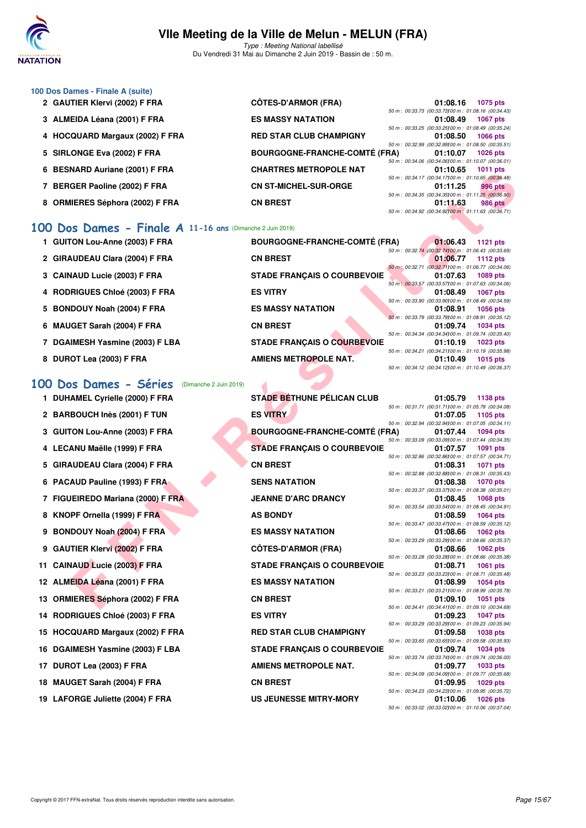

**100 Dos Dames - Finale A (suite)**

# **VIIe Meeting de la Ville de Melun - MELUN (FRA)**

Type : Meeting National labellisé Du Vendredi 31 Mai au Dimanche 2 Juin 2019 - Bassin de : 50 m.

| 2 GAUTIER Klervi (2002) F FRA   | <b>CÔTES-D'ARMOR (FRA)</b>           | 01:08.16                                                        | <b>1075 pts</b> |
|---------------------------------|--------------------------------------|-----------------------------------------------------------------|-----------------|
|                                 |                                      | 50 m : 00:33.73 (00:33.73100 m : 01:08.16 (00:34.43             |                 |
| 3 ALMEIDA Léana (2001) F FRA    | <b>ES MASSY NATATION</b>             | 01:08.49                                                        | <b>1067 pts</b> |
| 4 HOCQUARD Margaux (2002) F FRA | <b>RED STAR CLUB CHAMPIGNY</b>       | 50 m : 00:33.25 (00:33.25100 m : 01:08.49 (00:35.24<br>01:08.50 | <b>1066 pts</b> |
|                                 |                                      | 50 m : 00:32.99 (00:32.99100 m : 01:08.50 (00:35.51             |                 |
| 5 SIRLONGE Eva (2002) F FRA     | <b>BOURGOGNE-FRANCHE-COMTÉ (FRA)</b> | 01:10.07                                                        | $1026$ pts      |
|                                 |                                      | 50 m : 00:34.06 (00:34.06100 m : 01:10.07 (00:36.01             |                 |
| 6 BESNARD Auriane (2001) F FRA  | <b>CHARTRES METROPOLE NAT</b>        | 01:10.65                                                        | 1011 $pts$      |
|                                 |                                      | 50 m : 00:34.17 (00:34.17100 m : 01:10.65 (00:36.48             |                 |
| 7 BERGER Paoline (2002) F FRA   | <b>CN ST-MICHEL-SUR-ORGE</b>         | 01:11.25                                                        | <b>996 pts</b>  |
|                                 |                                      | 50 m : 00:34.35 (00:34.35) 00 m : 01:11.25 (00:36.90)           |                 |
| 8 ORMIERES Séphora (2002) F FRA | <b>CN BREST</b>                      | 01:11.63                                                        | 986 pts         |
|                                 |                                      | 50 m : 00:34.92 (00:34.92100 m : 01:11.63 (00:36.71             |                 |

#### **[100 Dos Dames - Finale A](http://www.ffnatation.fr/webffn/resultats.php?idact=nat&go=epr&idcpt=57771&idepr=12) 11-16 ans** (Dimanche 2 Juin 2019)

| <b>U DESIVAND AUTIQUE (ZUVI) F FRA</b>                     | CIIANINES METNOFOLE NAT              | <b>UI.IU.UJ</b>                                                   | ່ານາານເວ        |
|------------------------------------------------------------|--------------------------------------|-------------------------------------------------------------------|-----------------|
| 7 BERGER Paoline (2002) F FRA                              | <b>CN ST-MICHEL-SUR-ORGE</b>         | 50 m: 00:34.17 (00:34.17) 00 m: 01:10.65 (00:36.48)<br>01:11.25   | <b>996 pts</b>  |
|                                                            |                                      | 50 m : 00:34.35 (00:34.35) 00 m : 01:11.25 (00:36.90)             |                 |
| 8 ORMIERES Séphora (2002) F FRA                            | <b>CN BREST</b>                      | 01:11.63                                                          | 986 pts         |
|                                                            |                                      | 50 m : 00:34.92 (00:34.92) 00 m : 01:11.63 (00:36.71)             |                 |
| 00 Dos Dames - Finale $A$ 11-16 ans (Dimanche 2 Juin 2019) |                                      |                                                                   |                 |
| 1 GUITON Lou-Anne (2003) F FRA                             | <b>BOURGOGNE-FRANCHE-COMTÉ (FRA)</b> | 01:06.43                                                          | <b>1121 pts</b> |
| 2 GIRAUDEAU Clara (2004) F FRA                             | <b>CN BREST</b>                      | 50 m : 00:32.74 (00:32.74100 m : 01:06.43 (00:33.69)<br>01:06.77  | <b>1112 pts</b> |
| 3 CAINAUD Lucie (2003) F FRA                               | <b>STADE FRANÇAIS O COURBEVOIE</b>   | 50 m : 00:32.71 (00:32.71100 m : 01:06.77 (00:34.06)<br>01:07.63  | <b>1089 pts</b> |
|                                                            |                                      | 50 m: 00:33.57 (00:33.57) 00 m: 01:07.63 (00:34.06)               |                 |
| 4 RODRIGUES Chloé (2003) F FRA                             | <b>ES VITRY</b>                      | 01:08.49                                                          | <b>1067 pts</b> |
| 5 BONDOUY Noah (2004) F FRA                                | <b>ES MASSY NATATION</b>             | 50 m : 00:33.90 (00:33.90) 00 m : 01:08.49 (00:34.59)<br>01:08.91 | <b>1056 pts</b> |
|                                                            |                                      | 50 m: 00:33.79 (00:33.79) 00 m: 01:08.91 (00:35.12)               |                 |
| 6 MAUGET Sarah (2004) F FRA                                | <b>CN BREST</b>                      | 01:09.74                                                          | <b>1034 pts</b> |
| 7 DGAIMESH Yasmine (2003) F LBA                            | <b>STADE FRANÇAIS O COURBEVOIE</b>   | 50 m : 00:34.34 (00:34.34)00 m : 01:09.74 (00:35.40)<br>01:10.19  | <b>1023 pts</b> |
|                                                            |                                      | 50 m: 00:34.21 (00:34.21100 m: 01:10.19 (00:35.98)                |                 |
| 8 DUROT Lea (2003) F FRA                                   | <b>AMIENS METROPOLE NAT.</b>         | 01:10.49                                                          | 1015 pts        |
|                                                            |                                      | 50 m : 00:34.12 (00:34.12) 00 m : 01:10.49 (00:36.37)             |                 |
|                                                            |                                      |                                                                   |                 |
| 00 Dos Dames - Séries<br>(Dimanche 2 Juin 2019)            |                                      |                                                                   |                 |
| 1 DUHAMEL Cyrielle (2000) F FRA                            | <b>STADE BÉTHUNE PÉLICAN CLUB</b>    | 01:05.79<br>50 m : 00:31.71 (00:31.71100 m : 01:05.79 (00:34.08)  | 1138 pts        |
| 2 BARBOUCH Inès (2001) F TUN                               | <b>ES VITRY</b>                      | 01:07.05                                                          | 1105 pts        |
|                                                            |                                      | 50 m: 00:32.94 (00:32.94100 m: 01:07.05 (00:34.11)                |                 |
| 3 GUITON Lou-Anne (2003) F FRA                             | <b>BOURGOGNE-FRANCHE-COMTÉ (FRA)</b> | 01:07.44                                                          | <b>1094 pts</b> |
|                                                            |                                      | 50 m : 00:33.09 (00:33.09) 00 m : 01:07.44 (00:34.35)             |                 |
| 4 LECANU Maëlle (1999) F FRA                               | <b>STADE FRANÇAIS O COURBEVOIE</b>   | 01:07.57                                                          | 1091 pts        |
| 5 GIRAUDEAU Clara (2004) F FRA                             | <b>CN BREST</b>                      | 50 m : 00:32.86 (00:32.86) 00 m : 01:07.57 (00:34.71)<br>01:08.31 | <b>1071 pts</b> |
|                                                            |                                      | 50 m : 00:32.88 (00:32.88) 00 m : 01:08.31 (00:35.43)             |                 |
| 6 PACAUD Pauline (1993) F FRA                              | <b>SENS NATATION</b>                 | 01:08.38                                                          | <b>1070 pts</b> |
|                                                            |                                      | 50 m: 00:33.37 (00:33.37) 00 m: 01:08.38 (00:35.01)               |                 |
| 7 FIGUEIREDO Mariana (2000) F FRA                          | <b>JEANNE D'ARC DRANCY</b>           | 01:08.45<br>50 m: 00:33.54 (00:33.54)00 m: 01:08.45 (00:34.91)    | <b>1068 pts</b> |
| 8 KNOPF Ornella (1999) F FRA                               | <b>AS BONDY</b>                      | 01:08.59                                                          | <b>1064 pts</b> |
|                                                            |                                      | 50 m : 00:33.47 (00:33.47) 00 m : 01:08.59 (00:35.12)             |                 |
| 9 BONDOUY Noah (2004) F FRA                                | <b>ES MASSY NATATION</b>             | 01:08.66                                                          | <b>1062 pts</b> |
|                                                            |                                      | 50 m : 00:33.29 (00:33.29) 00 m : 01:08.66 (00:35.37)             |                 |
| 9 GAUTIER Klervi (2002) F FRA                              | <b>CÔTES-D'ARMOR (FRA)</b>           | 01:08.66<br>50 m : 00:33.28 (00:33.28)00 m : 01:08.66 (00:35.38)  | <b>1062 pts</b> |
| 11 CAINAUD Lucie (2003) F FRA                              | <b>STADE FRANÇAIS O COURBEVOIE</b>   | 01:08.71                                                          | <b>1061 pts</b> |
|                                                            |                                      | 50 m : 00:33.23 (00:33.23)00 m : 01:08.71 (00:35.48)              |                 |
| 12 ALMEIDA Léana (2001) F FRA                              | <b>ES MASSY NATATION</b>             | 01:08.99                                                          | <b>1054 pts</b> |
| 13 ORMIERES Séphora (2002) F FRA                           | <b>CN BREST</b>                      | 50 m : 00:33.21 (00:33.21100 m : 01:08.99 (00:35.78)<br>01:09.10  | 1051 pts        |
|                                                            |                                      | 50 m : 00:34.41 (00:34.41100 m : 01:09.10 (00:34.69)              |                 |

#### **[100 Dos Dames - Séries](http://www.ffnatation.fr/webffn/resultats.php?idact=nat&go=epr&idcpt=57771&idepr=12)** (Dimanche 2 Juin 2019)

|  | 1 DUHAMEL Cyrielle (2000) F FRA |  |  |  |  |
|--|---------------------------------|--|--|--|--|
|--|---------------------------------|--|--|--|--|

- 
- 
- 
- 
- 
- 
- 
- 
- 
- 
- 
- 
- 
- 
- 
- 
- 
- **19 LAFORGE Juliette (2004) F FRA US JEUNESSE MITRY-MORY 01:10.06 1026 pts**

**1138 pt FRANK STADE BÉTHUNE PÉLICAN CLUB** 01:05.79 **1138** pts 50 m : 00:31.71 (00:31.71)100 m : 01:05.79 (00:34.08) **2 BARBOUCH Inès (2001) F TUN ES VITRY 01:07.05 1105 pts** 50 m : 00:32.94 (00:32.94)100 m : 01:07.05 (00:34.11) **3 GUITON Lou-Anne (2003) F FRA BOURGOGNE-FRANCHE-COMTÉ (FRA) 01:07.44 1094 pts** 50 m : 00:33.09 (00:33.09)100 m : 01:07.44 (00:34.35) **4 LECANU Maëlle (1999) F FRA STADE FRANÇAIS O COURBEVOIE 01:07.57 1091 pts** 50 m : 00:32.86 (00:32.86)100 m : 01:07.57 (00:34.71) **5 GIRAUDEAU Clara (2004) F FRA CN BREST 01:08.31 1071 pts** 50 m : 00:32.88 (00:32.88)100 m : 01:08.31 (00:35.43) **6 PACAUD Pauline (1993) F FRA SENS NATATION 01:08.38 1070 pts** 50 m : 00:33.37 (00:33.37)100 m : 01:08.38 (00:35.01) **7 FIGUEIREDO Mariana (2000) F FRA JEANNE D'ARC DRANCY 01:08.45 1068 pts** 50 m : 00:33.54 (00:33.54)100 m : 01:08.45 (00:34.91) **8 KNOPF Ornella (1999) F FRA AS BONDY 01:08.59 01:08.59 1064 pts** 50 m : 00:33.47 (00:33.47)100 m : 01:08.59 (00:35.12) **9 BONDOUY Noah (2004) F FRA ES MASSY NATATION 01:08.66 1062 pts** 50 m : 00:33.29 (00:33.29)100 m : 01:08.66 (00:35.37) **9 GAUTIER Klervi (2002) F FRA CÔTES-D'ARMOR (FRA) 01:08.66 1062 pts** 50 m : 00:33.28 (00:33.28)100 m : 01:08.66 (00:35.38) **11 CAINAUD Lucie (2003) F FRA STADE FRANÇAIS O COURBEVOIE 01:08.71 1061 pts** 50 m : 00:33.23 (00:33.23)100 m : 01:08.71 (00:35.48) **12 ALMEIDA Léana (2001) F FRA ES MASSY NATATION 01:08.99 1054 pts** 50 m : 00:33.21 (00:33.21100 m : 01:08.99 (00:35.78)<br>**01:09.10** 1051 pts **13 ORMIERES Séphora (2002) F FRA CN BREST 01:09.10 1051 pts** 50 m : 00:34.41 (00:34.41)100 m : 01:09.10 (00:34.69) **14 RODRIGUES Chloé (2003) F FRA ES VITRY 01:09.23 1047 pts** 50 m : 00:33.29 (00:33.29)100 m : 01:09.23 (00:35.94) **15 HOCQUARD Margaux (2002) F FRA RED STAR CLUB CHAMPIGNY 01:09.58 1038 pts** 50 m : 00:33.65 (00:33.65)100 m : 01:09.58 (00:35.93) **16 DGAIMESH Yasmine (2003) F LBA STADE FRANÇAIS O COURBEVOIE 01:09.74 1034 pts** 50 m : 00:33.74 (00:33.74)100 m : 01:09.74 (00:36.00) **17 DUROT Lea (2003) F FRA AMIENS METROPOLE NAT.** 01:09.77 1033 pts 50 m : 00:34.09 (00:34.09)100 m : 01:09.77 (00:35.68) **18 MAUGET Sarah (2004) F FRA CN BREST 01:09.95 1029 pts** 50 m : 00:34.23  $(00:34.23)00$  m : 01:09.95  $(00:35.72)$ <br>**01:10.06** 1026 pts

50 m : 00:33.02 (00:33.02)100 m : 01:10.06 (00:37.04)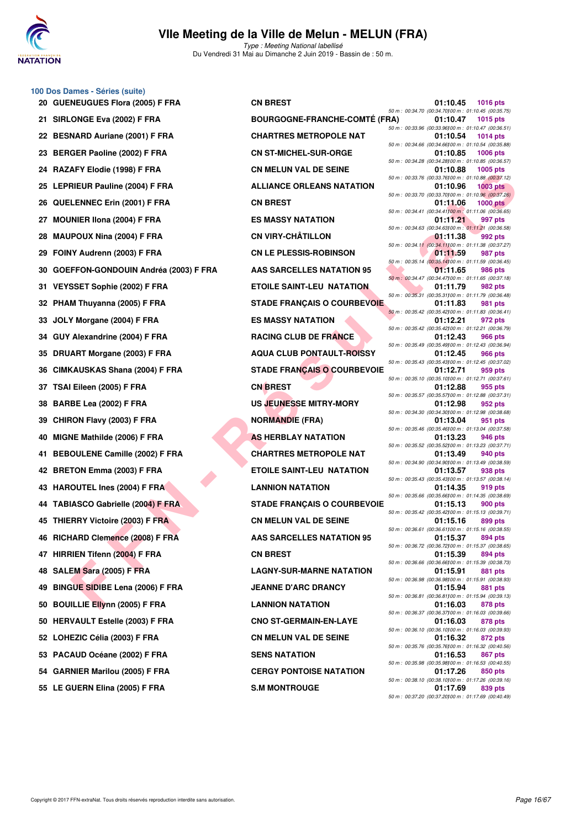

Type : Meeting National labellisé Du Vendredi 31 Mai au Dimanche 2 Juin 2019 - Bassin de : 50 m.

#### **100 Dos Dames - Séries (suite)**

| 20 | <b>GUENEUGUES Flora (2005) F FRA</b>   |
|----|----------------------------------------|
| 21 | SIRLONGE Eva (2002) F FRA              |
| 22 | <b>BESNARD Auriane (2001) F FRA</b>    |
| 23 | BERGER Paoline (2002) F FRA            |
| 24 | RAZAFY Elodie (1998) F FRA             |
| 25 | <b>LEPRIEUR Pauline (2004) F FRA</b>   |
| 26 | QUELENNEC Erin (2001) F FRA            |
| 27 | MOUNIER IIona (2004) F FRA             |
| 28 | <b>MAUPOUX Nina (2004) F FRA</b>       |
| 29 | FOINY Audrenn (2003) F FRA             |
| 30 | GOEFFON-GONDOUIN Andréa (200           |
| 31 | VEYSSET Sophie (2002) F FRA            |
| 32 | PHAM Thuyanna (2005) F FRA             |
| 33 | JOLY Morgane (2004) F FRA              |
| 34 | GUY Alexandrine (2004) F FRA           |
| 35 | <b>DRUART Morgane (2003) F FRA</b>     |
| 36 | CIMKAUSKAS Shana (2004) F FRA          |
| 37 | TSAI Eileen (2005) F FRA               |
| 38 | BARBE Lea (2002) F FRA                 |
| 39 | CHIRON Flavy (2003) F FRA              |
| 40 | MIGNE Mathilde (2006) F FRA            |
| 41 | <b>BEBOULENE Camille (2002) F FRA</b>  |
| 42 | <b>BRETON Emma (2003) F FRA</b>        |
| 43 | <b>HAROUTEL Ines (2004) F FRA</b>      |
| 44 | <b>TABIASCO Gabrielle (2004) F FRA</b> |
| 45 | THIERRY Victoire (2003) F FRA          |
| 46 | RICHARD Clemence (2008) F FRA          |
| 47 | HIRRIEN Tifenn (2004) F FRA            |
| 48 | SALEM Sara (2005) F FRA                |
| 49 | <b>BINGUE SIDIBE Lena (2006) F FRA</b> |
| 50 | <b>BOUILLIE Ellynn (2005) F FRA</b>    |
| 50 | <b>HERVAULT Estelle (2003) F FRA</b>   |
| 52 | LOHEZIC Célia (2003) F FRA             |
|    | 53 PACAUD Océane (2002) F FRA          |
|    | 54 GARNIER Marilou (2005) F FRA        |
|    | 55 LE GUERN Elina (2005) F FRA         |

| 20 GUENEUGUES Flora (2005) F FRA                                     | <b>CN BREST</b>                      | 01:10.45                                                          | <b>1016 pts</b> |
|----------------------------------------------------------------------|--------------------------------------|-------------------------------------------------------------------|-----------------|
| 21 SIRLONGE Eva (2002) F FRA                                         | <b>BOURGOGNE-FRANCHE-COMTÉ (FRA)</b> | 50 m : 00:34.70 (00:34.70) 00 m : 01:10.45 (00:35.75)<br>01:10.47 | <b>1015 pts</b> |
| 22 BESNARD Auriane (2001) F FRA                                      | <b>CHARTRES METROPOLE NAT</b>        | 50 m: 00:33.96 (00:33.96) 00 m: 01:10.47 (00:36.51)<br>01:10.54   | 1014 pts        |
| 23 BERGER Paoline (2002) F FRA                                       | <b>CN ST-MICHEL-SUR-ORGE</b>         | 50 m: 00:34.66 (00:34.66100 m: 01:10.54 (00:35.88)<br>01:10.85    | <b>1006 pts</b> |
| 24 RAZAFY Elodie (1998) F FRA                                        | <b>CN MELUN VAL DE SEINE</b>         | 50 m : 00:34.28 (00:34.28) 00 m : 01:10.85 (00:36.57)<br>01:10.88 | 1005 pts        |
| 25 LEPRIEUR Pauline (2004) F FRA                                     | <b>ALLIANCE ORLEANS NATATION</b>     | 50 m : 00:33.76 (00:33.76) 00 m : 01:10.88 (00:37.12)<br>01:10.96 | $1003$ pts      |
| 26 QUELENNEC Erin (2001) F FRA                                       | <b>CN BREST</b>                      | 50 m : 00:33.70 (00:33.70) 00 m : 01:10.96 (00:37.26)<br>01:11.06 | <b>1000 pts</b> |
| 27 MOUNIER IIona (2004) F FRA                                        | <b>ES MASSY NATATION</b>             | 50 m : 00:34.41 (00:34.41) 00 m : 01:11.06 (00:36.65)<br>01:11.21 | 997 pts         |
| 28 MAUPOUX Nina (2004) F FRA                                         | <b>CN VIRY-CHÂTILLON</b>             | 50 m : 00:34.63 (00:34.63) 00 m : 01:11.21 (00:36.58)<br>01:11.38 | 992 pts         |
| 29 FOINY Audrenn (2003) F FRA                                        | <b>CN LE PLESSIS-ROBINSON</b>        | 50 m: 00:34.11 (00:34.11100 m: 01:11.38 (00:37.27)<br>01:11.59    | 987 pts         |
| 30 GOEFFON-GONDOUIN Andréa (2003) F FRA                              | <b>AAS SARCELLES NATATION 95</b>     | 50 m : 00:35.14 (00:35.14) 00 m : 01:11.59 (00:36.45)<br>01:11.65 | 986 pts         |
| 31 VEYSSET Sophie (2002) F FRA                                       | <b>ETOILE SAINT-LEU NATATION</b>     | 50 m: 00:34.47 (00:34.47) 00 m: 01:11.65 (00:37.18)<br>01:11.79   | 982 pts         |
| 32 PHAM Thuyanna (2005) F FRA                                        | <b>STADE FRANCAIS O COURBEVOIE</b>   | 50 m: 00:35.31 (00:35.31100 m: 01:11.79 (00:36.48)<br>01:11.83    | 981 pts         |
| 33 JOLY Morgane (2004) F FRA                                         | <b>ES MASSY NATATION</b>             | 50 m : 00:35.42 (00:35.42) 00 m : 01:11.83 (00:36.41)<br>01:12.21 | 972 pts         |
| 34 GUY Alexandrine (2004) F FRA                                      | <b>RACING CLUB DE FRANCE</b>         | 50 m : 00:35.42 (00:35.42) 00 m : 01:12.21 (00:36.79)<br>01:12.43 | 966 pts         |
| 35 DRUART Morgane (2003) F FRA                                       | <b>AQUA CLUB PONTAULT-ROISSY</b>     | 50 m: 00:35.49 (00:35.49) 00 m: 01:12.43 (00:36.94)<br>01:12.45   | 966 pts         |
| 36 CIMKAUSKAS Shana (2004) F FRA                                     | <b>STADE FRANÇAIS O COURBEVOIE</b>   | 50 m: 00:35.43 (00:35.43) 00 m: 01:12.45 (00:37.02)<br>01:12.71   | 959 pts         |
| 37   TSAI Eileen (2005) F FRA                                        | <b>CN BREST</b>                      | 50 m : 00:35.10 (00:35.10) 00 m : 01:12.71 (00:37.61)<br>01:12.88 | 955 pts         |
| 38 BARBE Lea (2002) F FRA                                            | <b>US JEUNESSE MITRY-MORY</b>        | 50 m: 00:35.57 (00:35.57)00 m: 01:12.88 (00:37.31)<br>01:12.98    | 952 pts         |
| 39 CHIRON Flavy (2003) F FRA                                         | <b>NORMANDIE (FRA)</b>               | 50 m: 00:34.30 (00:34.30) 00 m: 01:12.98 (00:38.68)<br>01:13.04   | 951 pts         |
| 40 MIGNE Mathilde (2006) F FRA                                       | <b>AS HERBLAY NATATION</b>           | 50 m : 00:35.46 (00:35.46) 00 m : 01:13.04 (00:37.58)<br>01:13.23 | 946 pts         |
| 41 BEBOULENE Camille (2002) F FRA                                    | <b>CHARTRES METROPOLE NAT</b>        | 50 m: 00:35.52 (00:35.52) 00 m: 01:13.23 (00:37.71)<br>01:13.49   | 940 pts         |
| 42 BRETON Emma (2003) F FRA                                          | <b>ETOILE SAINT-LEU NATATION</b>     | 50 m: 00:34.90 (00:34.90) 00 m: 01:13.49 (00:38.59)<br>01:13.57   | 938 pts         |
| 43 HAROUTEL Ines (2004) F FRA                                        | <b>LANNION NATATION</b>              | 50 m: 00:35.43 (00:35.43) 00 m: 01:13.57 (00:38.14)<br>01:14.35   | 919 pts         |
| 44 TABIASCO Gabrielle (2004) F FRA                                   | <b>STADE FRANÇAIS O COURBEVOIE</b>   | 50 m: 00:35.66 (00:35.66) 00 m: 01:14.35 (00:38.69)<br>01:15.13   | 900 pts         |
| 45 THIERRY Victoire (2003) F FRA                                     | <b>CN MELUN VAL DE SEINE</b>         | 50 m : 00:35.42 (00:35.42) 00 m : 01:15.13 (00:39.71)<br>01:15.16 | 899 pts         |
|                                                                      |                                      | 50 m: 00:36.61 (00:36.61100 m: 01:15.16 (00:38.55)                |                 |
| 46   RICHARD Clemence (2008) F FRA<br>47 HIRRIEN Tifenn (2004) F FRA | AAS SARCELLES NATATION 95            | 01:15.37<br>50 m: 00:36.72 (00:36.72) 00 m: 01:15.37 (00:38.65)   | 894 pts         |
|                                                                      | <b>CN BREST</b>                      | 01:15.39<br>50 m : 00:36.66 (00:36.66) 00 m : 01:15.39 (00:38.73) | 894 pts         |
| 48 SALEM Sara (2005) F FRA                                           | <b>LAGNY-SUR-MARNE NATATION</b>      | 01:15.91<br>50 m : 00:36.98 (00:36.98) 00 m : 01:15.91 (00:38.93) | 881 pts         |
| 49   BINGUE SIDIBE Lena (2006) F FRA                                 | <b>JEANNE D'ARC DRANCY</b>           | 01:15.94<br>50 m: 00:36.81 (00:36.81100 m: 01:15.94 (00:39.13)    | 881 pts         |
| 50 BOUILLIE Ellynn (2005) F FRA                                      | <b>LANNION NATATION</b>              | 01:16.03<br>50 m : 00:36.37 (00:36.37) 00 m : 01:16.03 (00:39.66) | 878 pts         |
| 50   HERVAULT Estelle (2003) F FRA                                   | <b>CNO ST-GERMAIN-EN-LAYE</b>        | 01:16.03<br>50 m: 00:36.10 (00:36.10) 00 m: 01:16.03 (00:39.93)   | 878 pts         |
| 52 LOHEZIC Célia (2003) F FRA                                        | <b>CN MELUN VAL DE SEINE</b>         | 01:16.32<br>50 m : 00:35.76 (00:35.76) 00 m : 01:16.32 (00:40.56) | 872 pts         |
| 53 PACAUD Océane (2002) F FRA                                        | <b>SENS NATATION</b>                 | 01:16.53<br>50 m : 00:35.98 (00:35.98) 00 m : 01:16.53 (00:40.55) | 867 pts         |
| 54 GARNIER Marilou (2005) F FRA                                      | <b>CERGY PONTOISE NATATION</b>       | 01:17.26<br>50 m: 00:38.10 (00:38.10) 00 m: 01:17.26 (00:39.16)   | 850 pts         |
| 55 LE GUERN Elina (2005) F FRA                                       | <b>S.M MONTROUGE</b>                 | 01:17.69                                                          | 839 pts         |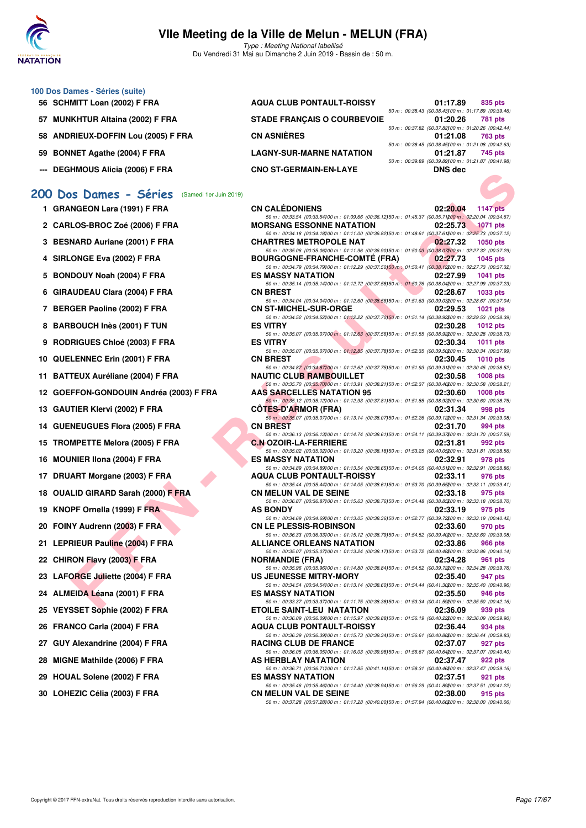

Type : Meeting National labellisé Du Vendredi 31 Mai au Dimanche 2 Juin 2019 - Bassin de : 50 m.

#### **100 Dos Dames - Séries (suite)**

- **56 SCHMITT Loan (2002) F FRA**
- 57 MUNKHTUR Altaina (2002) F FRA
- **58 ANDRIEUX-DOFFIN Lou (2005) F FRA**
- 59 BONNET Agathe (2004) F FRA
- **--- DEGHMOUS Alicia (2006) F FRA**

#### **[200 Dos Dames - Séries](http://www.ffnatation.fr/webffn/resultats.php?idact=nat&go=epr&idcpt=57771&idepr=13)** (Samedi 1er Juin 2019)

| 1 GRANGEON Lara (1991) F FRA |  |
|------------------------------|--|
|                              |  |

- **2 CARLOS-BROC Zoé (2006) F FRA MORSANG ESSONNE NATATION 02:25.73 1071 pts**
- **3 BESNARD Auriane (2001) F FRA**
- **4 SIRLONGE Eva (2002) F FRA**
- 5 BONDOUY Noah (2004) F FRA
- **6 GIRAUDEAU Clara (2004) F FRA**
- **7 BERGER Paoline (2002) F FRA**
- **8 BARBOUCH Inès (2001) F TUN**
- **9 RODRIGUES Chloé (2003) F FRA**
- **10 QUELENNEC Erin (2001) F FRA**
- **11 BATTEUX Auréliane (2004) F FRA**
- **12 GOEFFON-GONDOUIN Andréa (2003) F FRA**
- 13 GAUTIER Klervi (2002) F FRA
- 14 GUENEUGUES Flora (2005) F FRA
- **15 TROMPETTE Melora (2005) F FRA**
- **16 MOUNIER IIona (2004) F FRA**
- 17 DRUART Morgane (2003) F FRA
- **18 OUALID GIRARD Sarah (2000) F FRA**
- **19 KNOPF Ornella (1999) F FRA**
- 20 FOINY Audrenn (2003) F FRA
- 21 LEPRIEUR Pauline (2004) F FRA
- **22 CHIRON Flavy (2003) F FRA**
- **23 LAFORGE Juliette (2004) F FRA**
- 24 ALMEIDA Léana (2001) F FRA
- 25 VEYSSET Sophie (2002) F FRA
- **26 FRANCO Carla (2004) F FRA**
- 27 GUY Alexandrine (2004) F FRA
- **28 MIGNE Mathilde (2006) F FRA**
- 29 HOUAL Solene (2002) **F FRA**
- 30 LOHEZIC Célia (2003) F FRA

| <b>AQUA CLUB PONTAULT-ROISSY</b>   | 01:17.89                                                          | 835 pts        |
|------------------------------------|-------------------------------------------------------------------|----------------|
|                                    | 50 m : 00:38.43 (00:38.43) 00 m : 01:17.89 (00:39.46)             |                |
| <b>STADE FRANCAIS O COURBEVOIE</b> | 01:20.26<br>50 m : 00:37.82 (00:37.82) 00 m : 01:20.26 (00:42.44) | <b>781 pts</b> |
| <b>CN ASNIÈRES</b>                 | 01:21.08                                                          | 763 pts        |
|                                    | 50 m: 00:38.45 (00:38.45) 00 m: 01:21.08 (00:42.63)               |                |
| <b>LAGNY-SUR-MARNE NATATION</b>    | 01:21.87                                                          | 745 pts        |
|                                    | 50 m: 00:39.89 (00:39.89)00 m: 01:21.87 (00:41.98)                |                |
| <b>CNO ST-GERMAIN-EN-LAYE</b>      | <b>DNS</b> dec                                                    |                |

| " DEGITINIOUS AIIUI (2000) F FRA             | <b>UNU 31-GENWAIN-EN-LATE</b>                                                                                                                      | <b>DIAN ACA</b> |                 |
|----------------------------------------------|----------------------------------------------------------------------------------------------------------------------------------------------------|-----------------|-----------------|
| 10 Dos Dames - Séries (Samedi 1er Juin 2019) |                                                                                                                                                    |                 |                 |
|                                              |                                                                                                                                                    |                 |                 |
| 1 GRANGEON Lara (1991) F FRA                 | <b>CN CALEDONIENS</b><br>50 m: 00:33.54 (00:33.54) 00 m: 01:09.66 (00:36.12) 50 m: 01:45.37 (00:35.71200 m: 02:20.04 (00:34.67)                    | 02:20.04        | <b>1147 pts</b> |
| 2 CARLOS-BROC Zoé (2006) F FRA               | <b>MORSANG ESSONNE NATATION</b><br>50 m : 00:34.18 (00:34.18) 00 m : 01:11.00 (00:36.82) 50 m : 01:48.61 (00:37.61200 m : 02:25.73 (00:37.12)      | 02:25.73        | <b>1071 pts</b> |
| 3 BESNARD Auriane (2001) F FRA               | <b>CHARTRES METROPOLE NAT</b>                                                                                                                      | 02:27.32        | <b>1050 pts</b> |
| 4 SIRLONGE Eva (2002) F FRA                  | 50 m : 00:35.06 (00:35.06) 00 m : 01:11.96 (00:36.90) 50 m : 01:50.03 (00:38.07200 m : 02:27.32 (00:37.29)<br><b>BOURGOGNE-FRANCHE-COMTE (FRA)</b> | 02:27.73        | <b>1045 pts</b> |
| 5 BONDOUY Noah (2004) F FRA                  | 50 m : 00:34.79 (00:34.79) 00 m : 01:12.29 (00:37.50) 50 m : 01:50.41 (00:38.12200 m : 02:27.73 (00:37.32)<br><b>ES MASSY NATATION</b>             | 02:27.99        | <b>1041 pts</b> |
| 6 GIRAUDEAU Clara (2004) F FRA               | 50 m : 00:35.14 (00:35.14) 00 m : 01:12.72 (00:37.58) 50 m : 01:50.76 (00:38.04200 m : 02:27.99 (00:37.23)<br><b>CN BREST</b>                      | 02:28.67        | <b>1033 pts</b> |
| 7 BERGER Paoline (2002) F FRA                | 50 m : 00:34.04 (00:34.04) 00 m : 01:12.60 (00:38.56) 50 m : 01:51.63 (00:39.03200 m : 02:28.67 (00:37.04)<br><b>CN ST-MICHEL-SUR-ORGE</b>         | 02:29.53        | <b>1021 pts</b> |
| 8 BARBOUCH Inès (2001) F TUN                 | 50 m : 00:34.52 (00:34.52) 00 m : 01:12.22 (00:37.70) 50 m : 01:51.14 (00:38.92200 m : 02:29.53 (00:38.39)<br><b>ES VITRY</b>                      | 02:30.28        | 1012 $pts$      |
| 9 RODRIGUES Chloé (2003) F FRA               | 50 m : 00:35.07 (00:35.07)00 m : 01:12.63 (00:37.56)50 m : 01:51.55 (00:38.92200 m : 02:30.28 (00:38.73)<br><b>ES VITRY</b>                        | 02:30.34        | 1011 pts        |
| 0 QUELENNEC Erin (2001) F FRA                | 50 m : 00:35.07 (00:35.07)00 m : 01:12.85 (00:37.78)50 m : 01:52.35 (00:39.50200 m : 02:30.34 (00:37.99)<br><b>CN BREST</b>                        | 02:30.45        | 1010 $pts$      |
| 1 BATTEUX Auréliane (2004) F FRA             | 50 m: 00:34.87 (00:34.87)00 m: 01:12.62 (00:37.75)50 m: 01:51.93 (00:39.31200 m: 02:30.45 (00:38.52)<br><b>NAUTIC CLUB RAMBOUILLET</b>             | 02:30.58        | 1008 pts        |
| 2   GOEFFON-GONDOUIN Andréa (2003) F FRA     | 50 m : 00:35.70 (00:35.70) 00 m : 01:13.91 (00:38.21) 50 m : 01:52.37 (00:38.46200 m : 02:30.58 (00:38.21)<br><b>AAS SARCELLES NATATION 95</b>     | 02:30.60        | 1008 pts        |
| 3 GAUTIER Klervi (2002) F FRA                | 50 m : 00:35.12 (00:35.12) 00 m : 01:12.93 (00:37.81) 50 m : 01:51.85 (00:38.92200 m : 02:30.60 (00:38.75)<br><b>COTES-D'ARMOR (FRA)</b>           | 02:31.34        | 998 pts         |
| 4 GUENEUGUES Flora (2005) F FRA              | 50 m : 00:35.07 (00:35.07) 00 m : 01:13.14 (00:38.07) 50 m : 01:52.26 (00:39.12200 m : 02:31.34 (00:39.08)<br><b>CN BREST</b>                      | 02:31.70        | 994 pts         |
| 5 TROMPETTE Melora (2005) F FRA              | 50 m : 00:36.13 (00:36.13) 00 m : 01:14.74 (00:38.61) 50 m : 01:54.11 (00:39.37200 m : 02:31.70 (00:37.59)<br><b>C.N OZOIR-LA-FERRIERE</b>         | 02:31.81        | 992 pts         |
| 6 MOUNIER IIona (2004) F FRA                 | 50 m : 00:35.02 (00:35.02)00 m : 01:13.20 (00:38.18)50 m : 01:53.25 (00:40.05200 m : 02:31.81 (00:38.56)<br><b>ES MASSY NATATION</b>               | 02:32.91        | 978 pts         |
| 7 DRUART Morgane (2003) F FRA                | 50 m : 00:34.89 (00:34.89) 00 m : 01:13.54 (00:38.65) 50 m : 01:54.05 (00:40.51200 m : 02:32.91 (00:38.86)<br><b>AQUA CLUB PONTAULT-ROISSY</b>     | 02:33.11        | 976 pts         |
| 8 OUALID GIRARD Sarah (2000) F FRA           | 50 m : 00:35.44 (00:35.44) 00 m : 01:14.05 (00:38.61) 50 m : 01:53.70 (00:39.65200 m : 02:33.11 (00:39.41)<br><b>CN MELUN VAL DE SEINE</b>         | 02:33.18        | 975 pts         |
| 9 KNOPF Ornella (1999) F FRA                 | 50 m : 00:36.87 (00:36.87)00 m : 01:15.63 (00:38.76)50 m : 01:54.48 (00:38.85200 m : 02:33.18 (00:38.70)<br><b>AS BONDY</b>                        | 02:33.19        | 975 pts         |
|                                              | 50 m : 00:34.69 (00:34.69) 00 m : 01:13.05 (00:38.36) 50 m : 01:52.77 (00:39.72200 m : 02:33.19 (00:40.42)<br><b>CN LE PLESSIS-ROBINSON</b>        | 02:33.60        |                 |
| 0 FOINY Audrenn (2003) F FRA                 | 50 m : 00:36.33 (00:36.33) 00 m : 01:15.12 (00:38.79) 50 m : 01:54.52 (00:39.40200 m : 02:33.60 (00:39.08)                                         |                 | 970 pts         |
| 1 LEPRIEUR Pauline (2004) F FRA              | <b>ALLIANCE ORLEANS NATATION</b><br>50 m : 00:35.07 (00:35.07) 00 m : 01:13.24 (00:38.17) 50 m : 01:53.72 (00:40.48200 m : 02:33.86 (00:40.14)     | 02:33.86        | 966 pts         |
| 2 CHIRON Flavy (2003) F FRA                  | <b>NORMANDIE (FRA)</b><br>50 m : 00:35.96 (00:35.96) 00 m : 01:14.80 (00:38.84) 50 m : 01:54.52 (00:39.72200 m : 02:34.28 (00:39.76)               | 02:34.28        | 961 pts         |
| 3 LAFORGE Juliette (2004) F FRA              | US JEUNESSE MITRY-MORY<br>50 m : 00:34.54 (00:34.54)00 m : 01:13.14 (00:38.60)50 m : 01:54.44 (00:41.30200 m : 02:35.40 (00:40.96)                 | 02:35.40        | 947 pts         |
| 4 ALMEIDA Léana (2001) F FRA                 | <b>ES MASSY NATATION</b><br>50 m: 00:33.37 (00:33.37) 00 m: 01:11.75 (00:38.38) 50 m: 01:53.34 (00:41.59200 m: 02:35.50 (00:42.16)                 | 02:35.50        | 946 pts         |
| 5 VEYSSET Sophie (2002) F FRA                | <b>ETOILE SAINT-LEU NATATION</b><br>50 m : 00:36.09 (00:36.09)00 m : 01:15.97 (00:39.88)50 m : 01:56.19 (00:40.22200 m : 02:36.09 (00:39.90)       | 02:36.09        | 939 pts         |
| 6 FRANCO Carla (2004) F FRA                  | <b>AQUA CLUB PONTAULT-ROISSY</b><br>50 m : 00:36.39 (00:36.39) 00 m : 01:15.73 (00:39.34) 50 m : 01:56.61 (00:40.88200 m : 02:36.44 (00:39.83)     | 02:36.44        | 934 pts         |
| 7 GUY Alexandrine (2004) F FRA               | <b>RACING CLUB DE FRANCE</b><br>50 m : 00:36.05 (00:36.05)00 m : 01:16.03 (00:39.98)50 m : 01:56.67 (00:40.64200 m : 02:37.07 (00:40.40)           | 02:37.07        | 927 pts         |
| 8 MIGNE Mathilde (2006) F FRA                | AS HERBLAY NATATION<br>50 m : 00:36.71 (00:36.71)00 m : 01:17.85 (00:41.14)50 m : 01:58.31 (00:40.46200 m : 02:37.47 (00:39.16)                    | 02:37.47        | 922 pts         |
| 9 HOUAL Solene (2002) F FRA                  | <b>ES MASSY NATATION</b><br>50 m : 00:35.46 (00:35.46) 00 m : 01:14.40 (00:38.94) 50 m : 01:56.29 (00:41.89200 m : 02:37.51 (00:41.22)             | 02:37.51        | 921 pts         |
| 0 LOHEZIC Célia (2003) F FRA                 | <b>CN MELUN VAL DE SEINE</b><br>50 m : 00:37.28 (00:37.28) 00 m : 01:17.28 (00:40.00) 50 m : 01:57.94 (00:40.66200 m : 02:38.00 (00:40.06)         | 02:38.00        | 915 pts         |
|                                              |                                                                                                                                                    |                 |                 |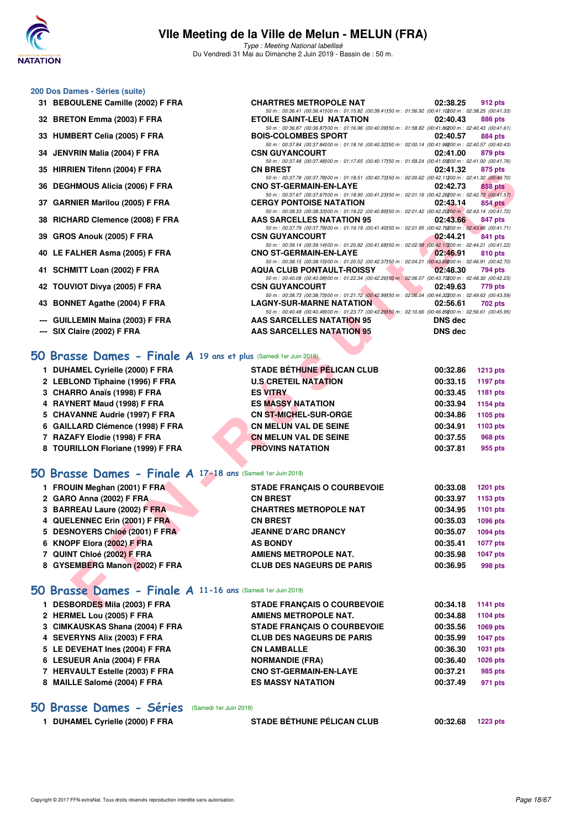

Type : Meeting National labellisé Du Vendredi 31 Mai au Dimanche 2 Juin 2019 - Bassin de : 50 m.

50 m : 00:36.41 (00:36.41)100 m : 01:15.82 (00:39.41)50 m : 01:56.92 (00:41.10200 m : 02:38.25 (00:41.33)<br>**ETOILE SAINT-LEU NATATION** 02:40.43 886 pts

50 m : 00:36.87 (00:36.87)00 m : 01:16.96 (00:40.09)50 m : 01:58.82 (00:41.86)00 m : 02:40.43 (00:41.61)<br> **BOIS-COLOMBES SPORT** 02:40.57 884 pts

50 m : 00:37.48 (00:37.48)<br> **CN BREST** 00:37.48)<sup>00 m : 01:17.65 (00:40.17)50 m : 01:59.24 (00:41.59200 m : 02:41.00 (00:41.76)<br> **CN BREST** 02:41.32 875 pts</sup>

50 m : 00:37.84 (00:37.84)100 m : 01:18.16 (00:40.32)150 m : 02:00.14 (00:41.98)200 m : 02:40.57 (00:40.43)

#### **200 Dos Dames - Séries (suite)**

- **31 BEBOULENE Camille (2002) F FRA CHARTRES METROPOLE NAT 02:38.25 912 pts**
- **32 BRETON Emma (2003) F FRA ETOILE SAINT-LEU NATATION 02:40.43 886 pts**
- **33 HUMBERT Celia (2005) F FRA BOIS-COLOMBES SPORT 02:40.57 884 pts**
- **34 JENVRIN Malia (2004) F FRA CSN GUYANCOURT 02:41.00 879 pts**
- **35 HIRRIEN Tifenn (2004) F FRA CN BREST 02:41.32 875 pts**
- **36 DEGHMOUS Alicia (2006) F FRA CNO ST-GERMAIN-EN-LAYE 02:42.73 858 pts**
- **37 GARNIER Marilou (2005) F FRA CERGY PONTOISE NATATION 02:43.14 854 pts**
- **38 RICHARD Clemence (2008) F FRA AAS SARCELLES NATATION 95 02:43.66 847 pts**
- **39 GROS Anouk (2005) F FRA CSN GUYANCOURT 62:44.21 841 pts**
- **40 LE FALHER Asma (2005) F FRA CNO ST-GERMAIN-EN-LAYE 02:46.91 810 pts**
- **41 SCHMITT Loan (2002) F FRA AQUA CLUB PONTAULT-ROISSY 02:48.30 794 pts**
- **42 TOUVIOT Divya (2005) F FRA CSN GUYANCOURT 02:49.63 779 pts**
- **43 BONNET Agathe (2004) F FRA LAGNY-SUR-MARNE NATATION 02:56.61 702 pts**
- **--- GUILLEMIN Maina (2003) F FRA AAS SARCELLES NATATION 95 DNS dec**
- **--- SIX Claire (2002) F FRA AAS SARCELLES NATATION 95 DNS dec**

#### **[50 Brasse Dames - Finale A](http://www.ffnatation.fr/webffn/resultats.php?idact=nat&go=epr&idcpt=57771&idepr=21) 19 ans et plus** (Samedi 1er Juin 2019)

| <b>DUHAMEL Cyrielle (2000) F FRA</b> | <b>STADE BÉTHUNE PÉLICAN CLUB</b> | 00:32.86 | <b>1213 pts</b> |
|--------------------------------------|-----------------------------------|----------|-----------------|
| 2 LEBLOND Tiphaine (1996) F FRA      | <b>U.S CRETEIL NATATION</b>       | 00:33.15 | 1197 pts        |
| 3 CHARRO Anaïs (1998) F FRA          | <b>ES VITRY</b>                   | 00:33.45 | 1181 pts        |
| 4 RAYNERT Maud (1998) F FRA          | <b>ES MASSY NATATION</b>          | 00:33.94 | 1154 pts        |
| 5 CHAVANNE Audrie (1997) F FRA       | <b>CN ST-MICHEL-SUR-ORGE</b>      | 00:34.86 | 1105 pts        |
| 6 GAILLARD Clémence (1998) F FRA     | <b>CN MELUN VAL DE SEINE</b>      | 00:34.91 | 1103 pts        |
| 7 RAZAFY Elodie (1998) F FRA         | <b>CN MELUN VAL DE SEINE</b>      | 00:37.55 | <b>968 pts</b>  |
| 8 TOURILLON Floriane (1999) F FRA    | <b>PROVINS NATATION</b>           | 00:37.81 | 955 pts         |

#### **[50 Brasse Dames - Finale A](http://www.ffnatation.fr/webffn/resultats.php?idact=nat&go=epr&idcpt=57771&idepr=21) 17-18 ans** (Samedi 1er Juin 2019)

| 33 TIINNIEN TIIGIIII (2004) F FNA                               | vn presi                                                                                                                                      | <b>94.41.94</b> | <b>OIJDIS</b>   |
|-----------------------------------------------------------------|-----------------------------------------------------------------------------------------------------------------------------------------------|-----------------|-----------------|
| 36 DEGHMOUS Alicia (2006) F FRA                                 | 50 m : 00:37.78 (00:37.78) 00 m : 01:18.51 (00:40.73) 50 m : 02:00.62 (00:42.11200 m : 02:41.32 (00:40.70)<br><b>CNO ST-GERMAIN-EN-LAYE</b>   | 02:42.73        | 858 pts         |
|                                                                 | 50 m : 00:37.67 (00:37.67)00 m : 01:18.90 (00:41.23)50 m : 02:01.16 (00:42.26200 m : 02:42.73 (00:41.57)                                      |                 |                 |
| 37 GARNIER Marilou (2005) F FRA                                 | <b>CERGY PONTOISE NATATION</b>                                                                                                                | 02:43.14        | 854 pts         |
| 38 RICHARD Clemence (2008) F FRA                                | 50 m : 00:38.33 (00:38.33) 00 m : 01:19.22 (00:40.89) 50 m : 02:01.42 (00:42.20200 m : 02:43.14 (00:41.72)<br>AAS SARCELLES NATATION 95       | 02:43.66        | 847 pts         |
|                                                                 | 50 m : 00:37.79 (00:37.79) 00 m : 01:19.19 (00:41.40) 50 m : 02:01.95 (00:42.76200 m : 02:43.66 (00:41.71)                                    |                 |                 |
| 39 GROS Anouk (2005) F FRA                                      | <b>CSN GUYANCOURT</b>                                                                                                                         | 02:44.21        | 841 pts         |
|                                                                 | 50 m : 00:39.14 (00:39.14)00 m : 01:20.82 (00:41.68)50 m : 02:02.99 (00:42.17200 m : 02:44.21 (00:41.22)                                      |                 |                 |
| 40 LE FALHER Asma (2005) F FRA                                  | <b>CNO ST-GERMAIN-EN-LAYE</b><br>50 m : 00:38.15 (00:38.15) 00 m : 01:20.52 (00:42.37) 50 m : 02:04.21 (00:43.69200 m : 02:46.91 (00:42.70)   | 02:46.91        | 810 pts         |
| 41 SCHMITT Loan (2002) F FRA                                    | a a control<br><b>AQUA CLUB PONTAULT-ROISSY</b>                                                                                               | 02:48.30        | 794 pts         |
|                                                                 | 50 m : 00:40.08 (00:40.08) 00 m : 01:22.34 (00:42.26) 50 m : 02:06.07 (00:43.73200 m : 02:48.30 (00:42.23)                                    |                 |                 |
| 42 TOUVIOT Divya (2005) F FRA                                   | <b>CSN GUYANCOURT</b>                                                                                                                         | 02:49.63        | 779 pts         |
| 43 BONNET Agathe (2004) F FRA                                   | 50 m : 00:38.73 (00:38.73) 00 m : 01:21.72 (00:42.99) 50 m : 02:06.04 (00:44.32200 m : 02:49.63 (00:43.59)<br><b>LAGNY-SUR-MARNE NATATION</b> | 02:56.61        | 702 pts         |
|                                                                 | 50 m : 00:40.48 (00:40.48) 00 m : 01:23.77 (00:43.29) 50 m : 02:10.66 (00:46.89200 m : 02:56.61 (00:45.95)                                    |                 |                 |
| --- GUILLEMIN Maina (2003) F FRA                                | <b>AAS SARCELLES NATATION 95</b>                                                                                                              | DNS dec         |                 |
| --- SIX Claire (2002) F FRA                                     | <b>AAS SARCELLES NATATION 95</b>                                                                                                              | <b>DNS dec</b>  |                 |
|                                                                 |                                                                                                                                               |                 |                 |
| O Brasse Dames - Finale A 19 ans et plus (Samedi 1er Juin 2019) |                                                                                                                                               |                 |                 |
| 1 DUHAMEL Cyrielle (2000) F FRA                                 | <b>STADE BETHUNE PELICAN CLUB</b>                                                                                                             | 00:32.86        | <b>1213 pts</b> |
| 2 LEBLOND Tiphaine (1996) F FRA                                 | <b>U.S CRETEIL NATATION</b>                                                                                                                   | 00:33.15        | 1197 pts        |
| 3 CHARRO Anaïs (1998) F FRA                                     | <b>ES VITRY</b>                                                                                                                               | 00:33.45        | 1181 pts        |
| 4 RAYNERT Maud (1998) F FRA                                     | <b>ES MASSY NATATION</b>                                                                                                                      | 00:33.94        | 1154 pts        |
| 5 CHAVANNE Audrie (1997) F FRA                                  | <b>CN ST-MICHEL-SUR-ORGE</b>                                                                                                                  | 00:34.86        | 1105 pts        |
| 6 GAILLARD Clémence (1998) F FRA                                | <b>CN MELUN VAL DE SEINE</b>                                                                                                                  | 00:34.91        | 1103 pts        |
| 7 RAZAFY Elodie (1998) F FRA                                    | <b>CN MELUN VAL DE SEINE</b>                                                                                                                  | 00:37.55        | 968 pts         |
| 8 TOURILLON Floriane (1999) F FRA                               | <b>PROVINS NATATION</b>                                                                                                                       | 00:37.81        | 955 pts         |
|                                                                 |                                                                                                                                               |                 |                 |
| O Brasse Dames - Finale A 17-18 ans (Samedi 1er Juin 2019)      |                                                                                                                                               |                 |                 |
| 1 FROUIN Meghan (2001) F FRA                                    | <b>STADE FRANÇAIS O COURBEVOIE</b>                                                                                                            | 00:33.08        | <b>1201 pts</b> |
| 2 GARO Anna (2002) F FRA                                        | <b>CN BREST</b>                                                                                                                               | 00:33.97        | 1153 pts        |
| 3 BARREAU Laure (2002) F FRA                                    | <b>CHARTRES METROPOLE NAT</b>                                                                                                                 | 00:34.95        | <b>1101 pts</b> |
| 4 QUELENNEC Erin (2001) F FRA                                   | <b>CN BREST</b>                                                                                                                               | 00:35.03        | <b>1096 pts</b> |
|                                                                 | <b>JEANNE D'ARC DRANCY</b>                                                                                                                    | 00:35.07        |                 |
| 5 DESNOYERS Chloé (2001) F FRA                                  |                                                                                                                                               |                 | 1094 pts        |
| 6 KNOPF Elora (2002) F FRA                                      | <b>AS BONDY</b>                                                                                                                               | 00:35.41        | 1077 pts        |
| 7 QUINT Chloé (2002) F FRA                                      | AMIENS METROPOLE NAT.                                                                                                                         | 00:35.98        | <b>1047 pts</b> |
| 8 GYSEMBERG Manon (2002) F FRA                                  | <b>CLUB DES NAGEURS DE PARIS</b>                                                                                                              | 00:36.95        | 998 pts         |
|                                                                 |                                                                                                                                               |                 |                 |
| O Brasse Dames - Finale A 11-16 ans (Samedi 1er Juin 2019)      |                                                                                                                                               |                 |                 |
| 1 DESBORDES Mila (2003) F FRA                                   | <b>STADE FRANÇAIS O COURBEVOIE</b>                                                                                                            | 00:34.18        | <b>1141 pts</b> |

#### **[50 Brasse Dames - Finale A](http://www.ffnatation.fr/webffn/resultats.php?idact=nat&go=epr&idcpt=57771&idepr=21) 11-16 ans** (Samedi 1er Juin 2019)

| 1 DESBORDES Mila (2003) F FRA   | <b>STADE FRANCAIS O COURBEVOIE</b> | 00:34.18 | 1141 pts        |
|---------------------------------|------------------------------------|----------|-----------------|
| 2 HERMEL Lou (2005) F FRA       | <b>AMIENS METROPOLE NAT.</b>       | 00:34.88 | 1104 pts        |
| 3 CIMKAUSKAS Shana (2004) F FRA | <b>STADE FRANCAIS O COURBEVOIE</b> | 00:35.56 | 1069 pts        |
| 4 SEVERYNS Alix (2003) F FRA    | <b>CLUB DES NAGEURS DE PARIS</b>   | 00:35.99 | <b>1047 pts</b> |
| 5 LE DEVEHAT Ines (2004) F FRA  | <b>CN LAMBALLE</b>                 | 00:36.30 | <b>1031 pts</b> |
| 6 LESUEUR Ania (2004) F FRA     | <b>NORMANDIE (FRA)</b>             | 00:36.40 | <b>1026 pts</b> |
| 7 HERVAULT Estelle (2003) F FRA | <b>CNO ST-GERMAIN-EN-LAYE</b>      | 00:37.21 | 985 pts         |
| 8 MAILLE Salomé (2004) F FRA    | <b>ES MASSY NATATION</b>           | 00:37.49 | 971 pts         |
|                                 |                                    |          |                 |

#### **[50 Brasse Dames - Séries](http://www.ffnatation.fr/webffn/resultats.php?idact=nat&go=epr&idcpt=57771&idepr=21)** (Samedi 1er Juin 2019)

| 1 DUHAMEL Cyrielle (2000) F FRA | <b>STADE BÉTHUNE PÉLICAN CLUB</b> | 00:32.68 1223 pts |  |
|---------------------------------|-----------------------------------|-------------------|--|
|                                 |                                   |                   |  |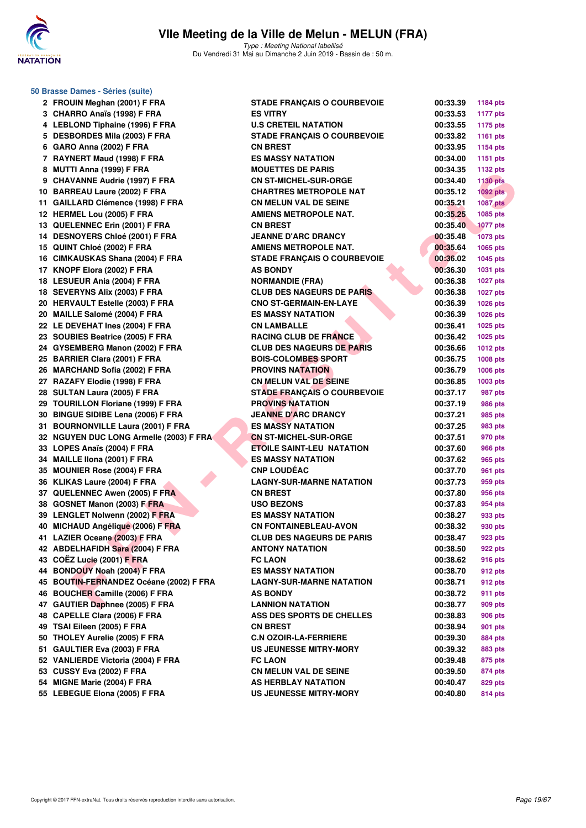

**50 Brasse Dames - Séries (suite)**

Type : Meeting National labellisé Du Vendredi 31 Mai au Dimanche 2 Juin 2019 - Bassin de : 50 m.

| 2 FROUIN Meghan (2001) F FRA            | <b>STADE FRANÇAIS O COURBEVOIE</b> | 00:33.39 | <b>1184 pts</b> |
|-----------------------------------------|------------------------------------|----------|-----------------|
| 3 CHARRO Anaïs (1998) F FRA             | <b>ES VITRY</b>                    | 00:33.53 | <b>1177 pts</b> |
| 4 LEBLOND Tiphaine (1996) F FRA         | <b>U.S CRETEIL NATATION</b>        | 00:33.55 | <b>1175 pts</b> |
| 5 DESBORDES Mila (2003) F FRA           | <b>STADE FRANÇAIS O COURBEVOIE</b> | 00:33.82 | 1161 pts        |
| 6 GARO Anna (2002) F FRA                | <b>CN BREST</b>                    | 00:33.95 | <b>1154 pts</b> |
| 7 RAYNERT Maud (1998) F FRA             | <b>ES MASSY NATATION</b>           | 00:34.00 | 1151 pts        |
| 8 MUTTI Anna (1999) F FRA               | <b>MOUETTES DE PARIS</b>           | 00:34.35 | 1132 pts        |
| 9 CHAVANNE Audrie (1997) F FRA          | <b>CN ST-MICHEL-SUR-ORGE</b>       | 00:34.40 | <b>1130 pts</b> |
| 10 BARREAU Laure (2002) F FRA           | <b>CHARTRES METROPOLE NAT</b>      | 00:35.12 | $1092$ pts      |
| 11 GAILLARD Clémence (1998) F FRA       | <b>CN MELUN VAL DE SEINE</b>       | 00:35.21 | <b>1087 pts</b> |
| 12 HERMEL Lou (2005) F FRA              | <b>AMIENS METROPOLE NAT.</b>       | 00:35.25 | 1085 pts        |
| 13 QUELENNEC Erin (2001) F FRA          | <b>CN BREST</b>                    | 00:35.40 | <b>1077 pts</b> |
| 14 DESNOYERS Chloé (2001) F FRA         | <b>JEANNE D'ARC DRANCY</b>         | 00:35.48 | <b>1073 pts</b> |
| 15 QUINT Chloé (2002) F FRA             | <b>AMIENS METROPOLE NAT.</b>       | 00:35.64 | 1065 pts        |
| 16 CIMKAUSKAS Shana (2004) F FRA        | <b>STADE FRANÇAIS O COURBEVOIE</b> | 00:36.02 | 1045 pts        |
| 17 KNOPF Elora (2002) F FRA             | <b>AS BONDY</b>                    | 00:36.30 | 1031 pts        |
| 18 LESUEUR Ania (2004) F FRA            | <b>NORMANDIE (FRA)</b>             | 00:36.38 | <b>1027 pts</b> |
| 18 SEVERYNS Alix (2003) F FRA           | <b>CLUB DES NAGEURS DE PARIS</b>   | 00:36.38 | <b>1027 pts</b> |
| 20 HERVAULT Estelle (2003) F FRA        | <b>CNO ST-GERMAIN-EN-LAYE</b>      | 00:36.39 | 1026 pts        |
| 20 MAILLE Salomé (2004) F FRA           | <b>ES MASSY NATATION</b>           | 00:36.39 | 1026 pts        |
| 22 LE DEVEHAT Ines (2004) F FRA         | <b>CN LAMBALLE</b>                 | 00:36.41 | 1025 pts        |
| 23 SOUBIES Beatrice (2005) F FRA        | <b>RACING CLUB DE FRANCE</b>       | 00:36.42 | 1025 pts        |
| 24 GYSEMBERG Manon (2002) F FRA         | <b>CLUB DES NAGEURS DE PARIS</b>   | 00:36.66 | <b>1012 pts</b> |
| 25 BARRIER Clara (2001) F FRA           | <b>BOIS-COLOMBES SPORT</b>         | 00:36.75 | 1008 pts        |
| 26 MARCHAND Sofia (2002) F FRA          | <b>PROVINS NATATION</b>            | 00:36.79 | 1006 pts        |
| 27 RAZAFY Elodie (1998) F FRA           | CN MELUN VAL DE SEINE              | 00:36.85 | 1003 pts        |
| 28 SULTAN Laura (2005) F FRA            | <b>STADE FRANÇAIS O COURBEVOIE</b> | 00:37.17 | 987 pts         |
| 29 TOURILLON Floriane (1999) F FRA      | <b>PROVINS NATATION</b>            | 00:37.19 | 986 pts         |
| 30 BINGUE SIDIBE Lena (2006) F FRA      | <b>JEANNE D'ARC DRANCY</b>         | 00:37.21 | 985 pts         |
| 31 BOURNONVILLE Laura (2001) F FRA      | <b>ES MASSY NATATION</b>           | 00:37.25 | 983 pts         |
| 32 NGUYEN DUC LONG Armelle (2003) F FRA | <b>CN ST-MICHEL-SUR-ORGE</b>       | 00:37.51 | 970 pts         |
| 33 LOPES Anaïs (2004) F FRA             | <b>ETOILE SAINT-LEU NATATION</b>   | 00:37.60 | <b>966 pts</b>  |
| 34 MAILLE IIona (2001) F FRA            | <b>ES MASSY NATATION</b>           | 00:37.62 | 965 pts         |
| 35 MOUNIER Rose (2004) F FRA            | <b>CNP LOUDEAC</b>                 | 00:37.70 | 961 pts         |
| 36 KLIKAS Laure (2004) F FRA            | <b>LAGNY-SUR-MARNE NATATION</b>    | 00:37.73 | 959 pts         |
| 37 QUELENNEC Awen (2005) F FRA          | <b>CN BREST</b>                    | 00:37.80 | 956 pts         |
| 38 GOSNET Manon (2003) F FRA            | <b>USO BEZONS</b>                  | 00:37.83 | 954 pts         |
| 39 LENGLET Nolwenn (2002) F FRA         | <b>ES MASSY NATATION</b>           | 00:38.27 | 933 pts         |
| 40 MICHAUD Angélique (2006) F FRA       | <b>CN FONTAINEBLEAU-AVON</b>       | 00:38.32 | 930 pts         |
| 41 LAZIER Oceane (2003) F FRA           | <b>CLUB DES NAGEURS DE PARIS</b>   | 00:38.47 | 923 pts         |
| 42 ABDELHAFIDH Sara (2004) F FRA        | <b>ANTONY NATATION</b>             | 00:38.50 | 922 pts         |
| 43 COËZ Lucie (2001) F FRA              | <b>FC LAON</b>                     | 00:38.62 | 916 pts         |
| 44 BONDOUY Noah (2004) F FRA            | <b>ES MASSY NATATION</b>           | 00:38.70 | 912 pts         |
| 45 BOUTIN-FERNANDEZ Océane (2002) F FRA | <b>LAGNY-SUR-MARNE NATATION</b>    | 00:38.71 | 912 pts         |
| 46 BOUCHER Camille (2006) F FRA         | <b>AS BONDY</b>                    | 00:38.72 | 911 pts         |
| 47 GAUTIER Daphnee (2005) F FRA         | <b>LANNION NATATION</b>            | 00:38.77 | 909 pts         |
| 48 CAPELLE Clara (2006) F FRA           | ASS DES SPORTS DE CHELLES          | 00:38.83 | <b>906 pts</b>  |
| 49 TSAI Eileen (2005) F FRA             | <b>CN BREST</b>                    | 00:38.94 | 901 pts         |
| 50 THOLEY Aurelie (2005) F FRA          | <b>C.N OZOIR-LA-FERRIERE</b>       | 00:39.30 | 884 pts         |
| 51 GAULTIER Eva (2003) F FRA            | <b>US JEUNESSE MITRY-MORY</b>      | 00:39.32 | 883 pts         |
| 52 VANLIERDE Victoria (2004) F FRA      | <b>FC LAON</b>                     | 00:39.48 | 875 pts         |
| 53 CUSSY Eva (2002) F FRA               | <b>CN MELUN VAL DE SEINE</b>       | 00:39.50 | 874 pts         |
| 54 MIGNE Marie (2004) F FRA             | AS HERBLAY NATATION                | 00:40.47 | 829 pts         |
| 55 LEBEGUE Elona (2005) F FRA           | <b>US JEUNESSE MITRY-MORY</b>      | 00:40.80 | 814 pts         |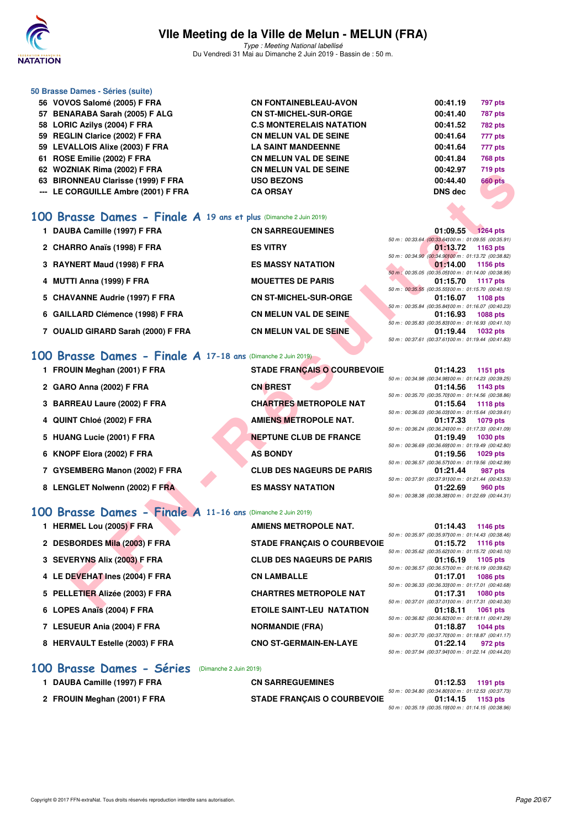

Type : Meeting National labellisé Du Vendredi 31 Mai au Dimanche 2 Juin 2019 - Bassin de : 50 m.

#### **50 Brasse Dames - Séries (suite)**

- **56 VOVOS Salomé (2005) F FRA CN FONTAINEBLEAU-AVON 00:41.19 797 pts 57 BENARABA Sarah (2005) F ALG CN ST-MICHEL-SUR-ORGE 00:41.40 787 pts 58 LORIC Azilys (2004) F FRA C.S MONTERELAIS NATATION 00:41.52 782 pts 59 REGLIN Clarice (2002) F FRA CN MELUN VAL DE SEINE 00:41.64 777 pts 59 LEVALLOIS Alixe (2003) F FRA LA SAINT MANDEENNE 00:41.64 777 pts 61 ROSE Emilie (2002) F FRA CN MELUN VAL DE SEINE 00:41.84 768 pts 62 WOZNIAK Rima (2002) F FRA CN MELUN VAL DE SEINE 00:42.97 719 pts 63 BIRONNEAU Clarisse (1999) F FRA USO BEZONS 00:44.40 660 pts**
- **--- LE CORGUILLE Ambre (2001) F FRA CA ORSAY DNS dec**

#### **[100 Brasse Dames - Finale A](http://www.ffnatation.fr/webffn/resultats.php?idact=nat&go=epr&idcpt=57771&idepr=22) 19 ans et plus** (Dimanche 2 Juin 2019)

| 1 DAUBA Camille (1997) F FRA       | <b>CN SARREGUEMINES</b>       | 01:09.55 1264 pts                                  |
|------------------------------------|-------------------------------|----------------------------------------------------|
|                                    |                               | 50 m : 00:33.64 (00:33.64100 m : 01:09.55 (00:35.9 |
| 2 CHARRO Anaïs (1998) F FRA        | <b>ES VITRY</b>               | 01:13.72<br>1163 pts                               |
|                                    |                               | 50 m : 00:34.90 (00:34.90100 m : 01:13.72 (00:38.8 |
| 3 RAYNERT Maud (1998) F FRA        | <b>ES MASSY NATATION</b>      | 01:14.00 1156 pts                                  |
|                                    |                               | 50 m : 00:35.05 (00:35.05100 m : 01:14.00 (00:38.9 |
| 4 MUTTI Anna (1999) F FRA          | <b>MOUETTES DE PARIS</b>      | 01:15.70<br>1117 pts                               |
|                                    |                               | 50 m : 00:35.55 (00:35.55100 m : 01:15.70 (00:40.1 |
| 5 CHAVANNE Audrie (1997) F FRA     | <b>CN ST-MICHEL-SUR-ORGE</b>  | 01:16.07<br>1108 pts                               |
|                                    |                               | 50 m : 00:35.84 (00:35.84100 m : 01:16.07 (00:40.2 |
| 6 GAILLARD Clémence (1998) F FRA   | <b>CN MELUN VAL DE SEINE.</b> | 01:16.93<br><b>1088 pts</b>                        |
|                                    |                               | 50 m : 00:35.83 (00:35.83100 m : 01:16.93 (00:41.1 |
| 7 OUALID GIRARD Sarah (2000) F FRA | <b>CN MELUN VAL DE SEINE</b>  | 01:19.44<br><b>1032 pts</b>                        |
|                                    |                               | 50 m: 00:37.61 (00:37.61100 m: 01:19.44 (00:41.8   |
|                                    |                               |                                                    |

#### **[100 Brasse Dames - Finale A](http://www.ffnatation.fr/webffn/resultats.php?idact=nat&go=epr&idcpt=57771&idepr=22) 17-18 ans** (Dimanche 2 Juin 2019)

- 
- **2 GARO Anna (2002) F FRA CN BREST 01:14.56 1143 pts**
- 3 BARREAU Laure (2002) F FRA **CHARTRES METROPOLE NAT**
- 4 QUINT Chloé (2002) F FRA **AMIENS METROPOLE NAT.**
- **5 HUANG Lucie (2001) F FRA NEPTUNE CLUB DE FRANCE**
- **6 KNOPF Elora (2002) F FRA AS BONDY**
- **7 GYSEMBERG Manon (2002) F FRA CLUB DES NAGEURS DE PARIS**
- 8 LENGLET Nolwenn (2002) F FRA ES MASSY NATATION

### **[100 Brasse Dames - Finale A](http://www.ffnatation.fr/webffn/resultats.php?idact=nat&go=epr&idcpt=57771&idepr=22) 11-16 ans** (Dimanche 2 Juin 2019)

| UZ WUZIWAN NIIIIA (ZUUZ) F FNA                                   | UN MELUN VAL DE JEINE              | UU.44.JI<br>7 19 pm                                                                  |
|------------------------------------------------------------------|------------------------------------|--------------------------------------------------------------------------------------|
| 63 BIRONNEAU Clarisse (1999) F FRA                               | <b>USO BEZONS</b>                  | 00:44.40<br><b>660 pts</b>                                                           |
| --- LE CORGUILLE Ambre (2001) F FRA                              | <b>CA ORSAY</b>                    | <b>DNS dec</b>                                                                       |
|                                                                  |                                    |                                                                                      |
|                                                                  |                                    |                                                                                      |
| 00 Brasse Dames - Finale A 19 ans et plus (Dimanche 2 Juin 2019) |                                    |                                                                                      |
| 1 DAUBA Camille (1997) F FRA                                     | <b>CN SARREGUEMINES</b>            | 01:09.55<br><b>1264 pts</b>                                                          |
| 2 CHARRO Anaïs (1998) F FRA                                      | <b>ES VITRY</b>                    | 50 m : 00:33.64 (00:33.64) 00 m : 01:09.55 (00:35.91)<br>01:13.72<br>1163 pts        |
|                                                                  |                                    | 50 m : 00:34.90 (00:34.90100 m : 01:13.72 (00:38.82)                                 |
| 3 RAYNERT Maud (1998) F FRA                                      | <b>ES MASSY NATATION</b>           | 01:14.00<br>1156 pts                                                                 |
| 4 MUTTI Anna (1999) F FRA                                        | <b>MOUETTES DE PARIS</b>           | 50 m : 00:35.05 (00:35.05) 00 m : 01:14.00 (00:38.95)<br>01:15.70<br><b>1117 pts</b> |
|                                                                  |                                    | 50 m: 00:35.55 (00:35.55) 00 m: 01:15.70 (00:40.15)                                  |
| 5 CHAVANNE Audrie (1997) F FRA                                   | <b>CN ST-MICHEL-SUR-ORGE</b>       | 01:16.07<br>1108 pts                                                                 |
| 6 GAILLARD Clémence (1998) F FRA                                 | <b>CN MELUN VAL DE SEINE</b>       | 50 m : 00:35.84 (00:35.84)00 m : 01:16.07 (00:40.23)<br>01:16.93<br><b>1088 pts</b>  |
|                                                                  |                                    | 50 m : 00:35.83 (00:35.83) 00 m : 01:16.93 (00:41.10)                                |
| 7 OUALID GIRARD Sarah (2000) F FRA                               | <b>CN MELUN VAL DE SEINE</b>       | 01:19.44<br><b>1032 pts</b>                                                          |
|                                                                  |                                    | 50 m: 00:37.61 (00:37.61100 m: 01:19.44 (00:41.83)                                   |
| 00 Brasse Dames - Finale A 17-18 ans (Dimanche 2 Juin 2019)      |                                    |                                                                                      |
| 1 FROUIN Meghan (2001) F FRA                                     | <b>STADE FRANÇAIS O COURBEVOIE</b> | 01:14.23<br>1151 pts                                                                 |
|                                                                  |                                    | 50 m : 00:34.98 (00:34.98) 00 m : 01:14.23 (00:39.25)                                |
| 2 GARO Anna (2002) F FRA                                         | <b>CN BREST</b>                    | 1143 pts<br>01:14.56                                                                 |
| 3 BARREAU Laure (2002) F FRA                                     | <b>CHARTRES METROPOLE NAT</b>      | 50 m : 00:35.70 (00:35.70) 00 m : 01:14.56 (00:38.86)<br>01:15.64<br>1118 $pts$      |
|                                                                  |                                    | 50 m : 00:36.03 (00:36.03) 00 m : 01:15.64 (00:39.61)                                |
| 4 QUINT Chloé (2002) F FRA                                       | <b>AMIENS METROPOLE NAT.</b>       | 01:17.33<br><b>1079 pts</b>                                                          |
| 5 HUANG Lucie (2001) F FRA                                       | <b>NEPTUNE CLUB DE FRANCE</b>      | 50 m : 00:36.24 (00:36.24) 00 m : 01:17.33 (00:41.09)<br>01:19.49<br>1030 pts        |
|                                                                  |                                    | 50 m : 00:36.69 (00:36.69) 00 m : 01:19.49 (00:42.80)                                |
| 6 KNOPF Elora (2002) F FRA                                       | <b>AS BONDY</b>                    | 01:19.56<br>$1029$ pts                                                               |
| 7 GYSEMBERG Manon (2002) F FRA                                   | <b>CLUB DES NAGEURS DE PARIS</b>   | 50 m : 00:36.57 (00:36.57) 00 m : 01:19.56 (00:42.99)<br>01:21.44<br>987 pts         |
|                                                                  |                                    | 50 m: 00:37.91 (00:37.91100 m: 01:21.44 (00:43.53)                                   |
| 8 LENGLET Nolwenn (2002) F FRA                                   | <b>ES MASSY NATATION</b>           | 01:22.69<br>960 pts                                                                  |
|                                                                  |                                    | 50 m : 00:38.38 (00:38.38) 00 m : 01:22.69 (00:44.31)                                |
| 00 Brasse Dames - Finale A 11-16 ans (Dimanche 2 Juin 2019)      |                                    |                                                                                      |
| 1 HERMEL Lou (2005) F FRA                                        | <b>AMIENS METROPOLE NAT.</b>       | 01:14.43<br><b>1146 pts</b>                                                          |
|                                                                  |                                    | 50 m: 00:35.97 (00:35.97) 00 m: 01:14.43 (00:38.46)                                  |
| 2 DESBORDES Mila (2003) F FRA                                    | <b>STADE FRANÇAIS O COURBEVOIE</b> | 01:15.72<br><b>1116 pts</b>                                                          |
| 3 SEVERYNS Alix (2003) F FRA                                     | <b>CLUB DES NAGEURS DE PARIS</b>   | 50 m : 00:35.62 (00:35.62) 00 m : 01:15.72 (00:40.10)<br>01:16.19<br>1105 pts        |
|                                                                  |                                    | 50 m: 00:36.57 (00:36.57) 00 m: 01:16.19 (00:39.62)                                  |
| 4 LE DEVEHAT Ines (2004) F FRA                                   | <b>CN LAMBALLE</b>                 | 01:17.01<br><b>1086 pts</b>                                                          |
| 5 PELLETIER Alizée (2003) F FRA                                  | <b>CHARTRES METROPOLE NAT</b>      | 50 m : 00:36.33 (00:36.33) 00 m : 01:17.01 (00:40.68)<br>01:17.31<br><b>1080 pts</b> |
|                                                                  |                                    | 50 m: 00:37.01 (00:37.01100 m: 01:17.31 (00:40.30)                                   |
| 6 LOPES Anaïs (2004) F FRA                                       | <b>ETOILE SAINT-LEU NATATION</b>   | 01:18.11<br><b>1061 pts</b>                                                          |
| 7 LESUEUR Ania (2004) F FRA                                      | <b>NORMANDIE (FRA)</b>             | 50 m: 00:36.82 (00:36.82) 00 m: 01:18.11 (00:41.29)<br>01:18.87<br><b>1044 pts</b>   |
|                                                                  |                                    | 50 m: 00:37.70 (00:37.70) 00 m: 01:18.87 (00:41.17)                                  |
| 8 HERVAULT Estelle (2003) F FRA                                  | <b>CNO ST-GERMAIN-EN-LAYE</b>      | 01:22.14<br>972 pts                                                                  |
|                                                                  |                                    | 50 m : 00:37.94 (00:37.94100 m : 01:22.14 (00:44.20)                                 |

#### **[100 Brasse Dames - Séries](http://www.ffnatation.fr/webffn/resultats.php?idact=nat&go=epr&idcpt=57771&idepr=22)** (Dimanche 2 Juin 2019)

| DAUBA Camille (1997) F FRA   | <b>CN SARREGUEMINES</b>            |                                                                  | 01:12.53 1191 pts |
|------------------------------|------------------------------------|------------------------------------------------------------------|-------------------|
| 2 FROUIN Meghan (2001) F FRA | <b>STADE FRANCAIS O COURBEVOIE</b> | 50 m : 00:34.80 (00:34.80100 m : 01:12.53 (00:37.73)<br>01:14.15 | 1153 pts          |
|                              |                                    | 50 m : 00:35.19 (00:35.19100 m : 01:14.15 (00:38.96)             |                   |

|                                                             | --                                 | $5.110112 - 1.00000$                                 |
|-------------------------------------------------------------|------------------------------------|------------------------------------------------------|
|                                                             |                                    | 50 m : 00:34.90 (00:34.90100 m : 01:13.72 (00:38.82) |
| 3 RAYNERT Maud (1998) F FRA                                 | <b>ES MASSY NATATION</b>           | $01:14.00$ 1156 pts                                  |
|                                                             |                                    | 50 m : 00:35.05 (00:35.05100 m : 01:14.00 (00:38.95) |
| 4 MUTTI Anna (1999) F FRA                                   | <b>MOUETTES DE PARIS</b>           | 01:15.70 1117 pts                                    |
|                                                             |                                    | 50 m : 00:35.55 (00:35.55100 m : 01:15.70 (00:40.15) |
| 5 CHAVANNE Audrie (1997) F FRA                              | <b>CN ST-MICHEL-SUR-ORGE</b>       | 01:16.07 1108 pts                                    |
|                                                             |                                    | 50 m : 00:35.84 (00:35.84100 m : 01:16.07 (00:40.23) |
| 6 GAILLARD Clémence (1998) F FRA                            | <b>CN MELUN VAL DE SEINE.</b>      | 01:16.93<br><b>1088 pts</b>                          |
|                                                             |                                    | 50 m : 00:35.83 (00:35.83100 m : 01:16.93 (00:41.10) |
| 7 OUALID GIRARD Sarah (2000) F FRA                          | <b>CN MELUN VAL DE SEINE</b>       | 01:19.44<br>1032 pts                                 |
|                                                             |                                    | 50 m: 00:37.61 (00:37.61100 m: 01:19.44 (00:41.83)   |
|                                                             |                                    |                                                      |
| 00 Brasse Dames - Finale A 17-18 ans (Dimanche 2 Juin 2019) |                                    |                                                      |
|                                                             |                                    |                                                      |
| 1 FROUIN Meghan (2001) F FRA                                | <b>STADE FRANCAIS O COURBEVOIE</b> | 01:14.23<br>1151 $pts$                               |
|                                                             |                                    | 50 m : 00:34.98 (00:34.98100 m : 01:14.23 (00:39.25) |
|                                                             |                                    |                                                      |

|  | 50 m: 00:34.98 (00:34.98100 m: 01:14.23 (00:39.25)   |
|--|------------------------------------------------------|
|  | 01:14.56 1143 pts                                    |
|  | 50 m: 00:35.70 (00:35.70100 m: 01:14.56 (00:38.86)   |
|  | 01:15.64 1118 pts                                    |
|  | 50 m: 00:36.03 (00:36.03) 00 m: 01:15.64 (00:39.61)  |
|  | 01:17.33 1079 pts                                    |
|  | 50 m : 00:36.24 (00:36.24)00 m : 01:17.33 (00:41.09) |
|  | 01:19.49 1030 pts                                    |
|  | 50 m: 00:36.69 (00:36.69100 m: 01:19.49 (00:42.80)   |
|  | 01:19.56 1029 pts                                    |
|  | 50 m: 00:36.57 (00:36.57100 m: 01:19.56 (00:42.99)   |
|  | 01:21.44 987 pts                                     |
|  | 50 m: 00:37.91 (00:37.91100 m: 01:21.44 (00:43.53)   |
|  | 01:22.69 960 pts                                     |
|  | 50 m: 00:38.38 (00:38.38) 00 m: 01:22.69 (00:44.31)  |

|  |  | $01:14.43$ 1146 pts                                 |
|--|--|-----------------------------------------------------|
|  |  | 50 m: 00:35.97 (00:35.97100 m: 01:14.43 (00:38.46)  |
|  |  | 01:15.72 1116 pts                                   |
|  |  | 50 m: 00:35.62 (00:35.62100 m: 01:15.72 (00:40.10)  |
|  |  | 01:16.19 1105 pts                                   |
|  |  | 50 m: 00:36.57 (00:36.57100 m: 01:16.19 (00:39.62)  |
|  |  | 01:17.01 1086 pts                                   |
|  |  | 50 m: 00:36.33 (00:36.33100 m: 01:17.01 (00:40.68)  |
|  |  |                                                     |
|  |  | 01:17.31 1080 pts                                   |
|  |  | 50 m: 00:37.01 (00:37.01100 m: 01:17.31 (00:40.30)  |
|  |  | 01:18.11 1061 pts                                   |
|  |  | 50 m: 00:36.82 (00:36.82) 00 m: 01:18.11 (00:41.29) |
|  |  | 01:18.87 1044 pts                                   |
|  |  | 50 m: 00:37.70 (00:37.70100 m: 01:18.87 (00:41.17)  |
|  |  | 01:22.14 972 pts                                    |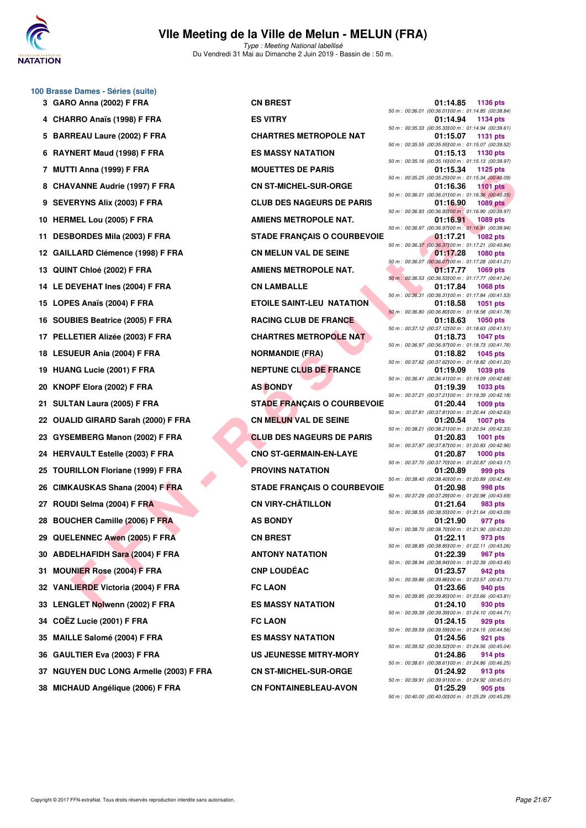

Type : Meeting National labellisé Du Vendredi 31 Mai au Dimanche 2 Juin 2019 - Bassin de : 50 m.

#### **100 Brasse Dames - Séries (suite)**

**4 CHARRO Anaïs (1998) F FRA ES VITRY 01:14.94 1134 pts** 5 BARREAU Laure (2002) F FRA **CHARTRES METROPOLE NAT** 6 RAYNERT Maud (1998) F FRA ES MASSY NATATION **7 MUTTI Anna (1999) F FRA MOUETTES DE PARIS 01:15.34 1125 pts 8 CHAVANNE Audrie (1997) F FRA CN ST-MICHEL-SUR-ORGE 01:16.36 1101 pts** 9 SEVERYNS Alix (2003) F FRA **CLUB DES NAGEURS DE PARIS 10 HERMEL Lou (2005) F FRA AMIENS METROPOLE NAT.** 01:16.91 **01:16.91 1089 pts 11 DESBORDES Mila (2003) F FRA STADE FRANÇAIS O COURBEVOIE 01:17.21 1082 pts 12 GAILLARD Clémence (1998) F FRA CN MELUN VAL DE SEINE 61:17.28 1080 pts 13 QUINT Chloé (2002) F FRA AMIENS METROPOLE NAT.** 01:17.77 **1069 pts 14 LE DEVEHAT Ines (2004) F FRA CN LAMBALLE 01:17.84 1068 pts 15 LOPES Anaïs (2004) F FRA ETOILE SAINT-LEU NATATION 01:18.58 1051 pts 16 SOUBIES Beatrice (2005) F FRA RACING CLUB DE FRANCE 01:18.63 17 PELLETIER Alizée (2003) F FRA CHARTRES METROPOLE NAT 01:18.73 1047 pts 18 LESUEUR Ania (2004) F FRA NORMANDIE (FRA) 01:18.82 1045 pts 19 HUANG Lucie (2001) F FRA NEPTUNE CLUB DE FRANCE 01:19.09** 1039 pts **20 KNOPF Elora (2002) F FRA AS BONDY 01:19.39 1033 pts 21 SULTAN Laura (2005) F FRA STADE FRANÇAIS O COURBEVOIE 01:20.44 1009 pts 22 OUALID GIRARD Sarah (2000) F FRA CN MELUN VAL DE SEINE 01:20.54 1007 pts 23 GYSEMBERG Manon (2002) F FRA CLUB DES NAGEURS DE PARIS 01:20.83 1001 pts 24 HERVAULT Estelle (2003) F FRA CNO ST-GERMAIN-EN-LAYE 01:20.87 1000 pts 25 TOURILLON Floriane (1999) F FRA PROVINS NATATION 01:20.89 999 pts 26 CIMKAUSKAS Shana (2004) F FRA STADE FRANÇAIS O COURBEVOIE 01:20.98 998 pts 27 ROUDI Selma (2004) F FRA CN VIRY-CHÂTILLON CN VIRY-CHÂTILLON** 01:21.64 983 pts **28 BOUCHER Camille (2006) F FRA AS BONDY 01:21.90 01:21.90 977 pts 29 QUELENNEC Awen (2005) F FRA CN BREST 01:22.11 973 pts 30 ABDELHAFIDH Sara (2004) F FRA ANTONY NATATION 01:22.39 967 pts 31 MOUNIER Rose (2004) F FRA CNP LOUDÉAC 01:23.57 942 pts 32 VANLIERDE Victoria (2004) F FRA FC LAON 01:23.66 940 pts 33 LENGLET Nolwenn (2002) F FRA ES MASSY NATATION 01:24.10 930 pts 34 COËZ Lucie (2001) F FRA FC LAON 01:24.15 929 pts 35 MAILLE Salomé (2004) F FRA ES MASSY NATATION 01:24.56 921 pts 36 GAULTIER Eva (2003) F FRA US JEUNESSE MITRY-MORY 01:24.86 914 pts 37 NGUYEN DUC LONG Armelle (2003) F FRA CN ST-MICHEL-SUR-ORGE 01:24.92 913 pts**

**F FRIDADE SAINTENE DE CORRESPANDAMENT (PRIDE SAINT-RESPANDAMENT AND CONSUMERAD CONSUMERAD CONSUMERAD CONSUMER CONSUMER CONSUMERAD CONSUMERAD CONSUMERAD CONSUMERAD CONSUMERAD CONSUMERAD CONSUMERAD CONSUMERAD CONSUMERAD CO 38 MICHAUD Angélique (2006) F FRA CN FONTAINEBLEAU-AVON 01:25.29 905 pts**

**3 GARO Anna (2002) F FRA CN BREST 01:14.85 1136 pts** 50 m : 00:36.01 (00:36.01)100 m : 01:14.85 (00:38.84) 50 m : 00:35.33 (00:35.33)100 m : 01:14.94 (00:39.61)<br>**01:15.07** 1131 pts 50 m : 00:35.55 (00:35.55)00 m : 01:15.07 (00:39.52)<br>**01:15.13** 1130 pts 50 m : 00:35.16 (00:35.16)100 m : 01:15.13 (00:39.97) 50 m : 00:35.25 (00:35.25)100 m : 01:15.34 (00:40.09) 50 m : 00:36.01 (00:36.01100 m : 01:16.36 (00:40.35)<br>**01:16.90** 1089 pts 50 m : 00:36.93 (00:36.93)100 m : 01:16.90 (00:39.97) 50 m : 00:36.97 (00:36.97)100 m : 01:16.91 (00:39.94) 50 m : 00:36.37 (00:36.37)100 m : 01:17.21 (00:40.84) 50 m : 00:36.07 (00:36.07)100 m : 01:17.28 (00:41.21) 50 m : 00:36.53 (00:36.53)100 m : 01:17.77 (00:41.24) 50 m : 00:36.31 (00:36.31)100 m : 01:17.84 (00:41.53) 50 m : 00:36.80 (00:36.80)100 m : 01:18.58 (00:41.78) 50 m : 00:37.12 (00:37.12)100 m : 01:18.63 (00:41.51) 50 m : 00:36.97 (00:36.97)100 m : 01:18.73 (00:41.76) 50 m : 00:37.62 (00:37.62)00 m : 01:18.82 (00:41.20)<br>**01:19.09** 1039 pts 50 m : 00:36.41 (00:36.41)100 m : 01:19.09 (00:42.68) 50 m : 00:37.21 (00:37.21100 m : 01:19.39 (00:42.18)<br>**01:20.44** 1009 pts 50 m : 00:37.81 (00:37.81)100 m : 01:20.44 (00:42.63) 50 m : 00:38.21 (00:38.21)100 m : 01:20.54 (00:42.33) 50 m : 00:37.87 (00:37.87)100 m : 01:20.83 (00:42.96) 50 m : 00:37.70 (00:37.70)100 m : 01:20.87 (00:43.17) 50 m : 00:38.40 (00:38.40)100 m : 01:20.89 (00:42.49) 50 m : 00:37.29 (00:37.29)100 m : 01:20.98 (00:43.69) 50 m : 00:38.55 (00:38.55)100 m : 01:21.64 (00:43.09) 50 m : 00:38.70 (00:38.70)100 m : 01:21.90 (00:43.20) 50 m : 00:38.85 (00:38.85)100 m : 01:22.11 (00:43.26) 50 m : 00:38.94 (00:38.94)100 m : 01:22.39 (00:43.45) 50 m : 00:39.86 (00:39.86)00 m : 01:23.57 (00:43.71)<br>**01:23.66** 940 pts 50 m : 00:39.85 (00:39.85)100 m : 01:23.66 (00:43.81) 50 m : 00:39.39 (00:39.39)00 m : 01:24.10 (00:44.71)<br>**01:24.15** 929 pts 50 m : 00:39.59 (00:39.59)100 m : 01:24.15 (00:44.56) 50 m : 00:39.52 (00:39.52)100 m : 01:24.56 (00:45.04) 50 m : 00:38.61 (00:38.61100 m : 01:24.86 (00:46.25)<br>01:24.92 913 pts 50 m : 00:39.91 (00:39.91100 m : 01:24.92 (00:45.01)<br>**01:25.29** 905 pts 50 m : 00:40.00 (00:40.00)100 m : 01:25.29 (00:45.29)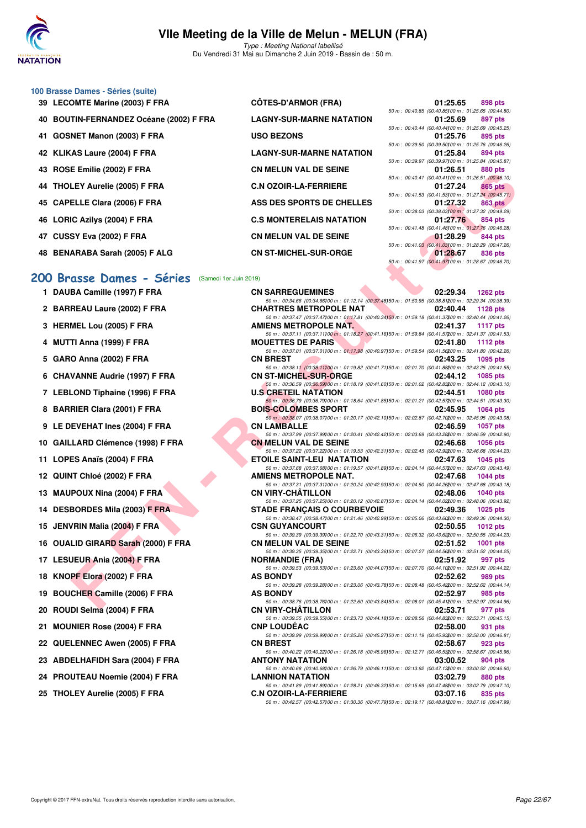

Type : Meeting National labellisé Du Vendredi 31 Mai au Dimanche 2 Juin 2019 - Bassin de : 50 m.

#### **100 Brasse Dames - Séries (suite) 39 LECOMTE Marine (2003) F FRA CÔTES-D'ARMOR (FRA) 01:25.65 898 pts**

| 39 LECOMILE MATTRE (2003) F FRA         | <b>UUTES-D'ARMUR (FRA)</b>      | UI. 20.00                                             | <b>OAO DIS</b> |
|-----------------------------------------|---------------------------------|-------------------------------------------------------|----------------|
|                                         |                                 | 50 m : 00:40.85 (00:40.85) 00 m : 01:25.65 (00:44.80) |                |
| 40 BOUTIN-FERNANDEZ Océane (2002) F FRA | <b>LAGNY-SUR-MARNE NATATION</b> | 01:25.69                                              | 897 pts        |
|                                         |                                 | 50 m : 00:40.44 (00:40.44100 m : 01:25.69 (00:45.25)  |                |
| 41 GOSNET Manon (2003) F FRA            | <b>USO BEZONS</b>               | 01:25.76                                              | 895 pts        |
|                                         |                                 | 50 m : 00:39.50 (00:39.50100 m : 01:25.76 (00:46.26)  |                |
| 42 KLIKAS Laure (2004) F FRA            | <b>LAGNY-SUR-MARNE NATATION</b> | 01:25.84                                              | 894 pts        |
|                                         |                                 | 50 m : 00:39.97 (00:39.97100 m : 01:25.84 (00:45.87)  |                |
| 43 ROSE Emilie (2002) F FRA             | <b>CN MELUN VAL DE SEINE</b>    | 01:26.51                                              | 880 pts        |
|                                         |                                 | 50 m : 00:40.41 (00:40.41100 m : 01:26.51 (00:46.10)  |                |
| 44 THOLEY Aurelie (2005) F FRA          | <b>C.N OZOIR-LA-FERRIERE</b>    | 01:27.24                                              | <b>865 pts</b> |
|                                         |                                 | 50 m : 00:41.53 (00:41.53) 00 m : 01:27.24 (00:45.71) |                |
| 45 CAPELLE Clara (2006) F FRA           | ASS DES SPORTS DE CHELLES       | 01:27.32                                              | 863 pts        |
|                                         |                                 | 50 m : 00:38.03 (00:38.03100 m : 01:27.32 (00:49.29)  |                |
| 46 LORIC Azilys (2004) F FRA            | <b>C.S MONTERELAIS NATATION</b> | 01:27.76                                              | 854 pts        |
|                                         |                                 | 50 m : 00:41.48 (00:41.48) 00 m : 01:27.76 (00:46.28) |                |
| 47 CUSSY Eva (2002) F FRA               | <b>CN MELUN VAL DE SEINE</b>    | 01:28.29                                              | 844 pts        |
|                                         |                                 | 50 m : 00:41.03 (00:41.03100 m : 01:28.29 (00:47.26)  |                |

**48 BENARABA Sarah (2005) F ALG CN ST-MICHEL-SUR-ORGE 01:28.67 836 pts**

**1 DAUBA Camille (1997) F FRA** 

2 BARREAU Laure (2002) F FRA

**3 HERMEL Lou (2005) F FRA** 

**4 MUTTI Anna (1999) F FRA MOUETTES DE PARIS 02:41.80 1112 pts**

**5 GARO Anna (2002) F FRA CN BREST 02:43.25 1095 pts**

**6 CHAVANNE Audrie (1997) F FRA** 

**7 LEBLOND Tiphaine (1996) F FRA** 

**8 BARRIER Clara (2001) F FRA** 

**11 LOPES Anaïs (2004) F FRA** 

**12 QUINT Chloé (2002) F FRA** 

**13 MAUPOUX Nina (2004) F FRA** 

**15 JENVRIN Malia (2004) F FRA** 

**17 LESUEUR Ania (2004) F FRA** 

**19 BOUCHER Camille (2006) F FRA** 

**18 KNOPF Elora (2002) F FRA** 

**20 ROUDI Selma (2004) F FRA** 

**21 MOUNIER Rose (2004) F FRA** 

22 QUELENNEC Awen (2005) **F FRA** 

23 ABDELHAFIDH Sara (2004) F FRA

24 PROUTEAU Noemie (2004) F FRA

25 THOLEY Aurelie (2005) F FRA

**14 DESBORDES Mila (2003) F FRA** 

**16 OUALID GIRARD Sarah (2000) F FRA** 

**9 LE DEVEHAT Ines (2004) F FRA** 

10 GAILLARD Clémence (1998) F FRA

#### **[200 Brasse Dames - Séries](http://www.ffnatation.fr/webffn/resultats.php?idact=nat&go=epr&idcpt=57771&idepr=23)** (Samedi 1er Juin 2019)

| E EIIIIIIG (2002) F FAA                       | <b>CIA MELOIA ANT DE SEIIAE</b>                                                                                                                |          | 000 DIS                                                          |
|-----------------------------------------------|------------------------------------------------------------------------------------------------------------------------------------------------|----------|------------------------------------------------------------------|
| LEY Aurelie (2005) F FRA                      | <b>C.N OZOIR-LA-FERRIERE</b>                                                                                                                   | 01:27.24 | 50 m : 00:40.41 (00:40.41100 m : 01:26.51 (00:46.10)<br>865 pts  |
| ELLE Clara (2006) F FRA                       | ASS DES SPORTS DE CHELLES                                                                                                                      | 01:27.32 | 50 m : 00:41.53 (00:41.53) 00 m : 01:27.24 (00:45.71)<br>863 pts |
| IC Azilys (2004) F FRA                        | <b>C.S MONTERELAIS NATATION</b>                                                                                                                | 01:27.76 | 50 m : 00:38.03 (00:38.03) 00 m : 01:27.32 (00:49.29)<br>854 pts |
| SY Eva (2002) F FRA                           | <b>CN MELUN VAL DE SEINE</b>                                                                                                                   | 01:28.29 | 50 m : 00:41.48 (00:41.48) 00 m : 01:27.76 (00:46.28)<br>844 pts |
|                                               |                                                                                                                                                |          | 50 m : 00:41.03 (00:41.03) 00 m : 01:28.29 (00:47.26)            |
| ARABA Sarah (2005) F ALG                      | <b>CN ST-MICHEL-SUR-ORGE</b>                                                                                                                   | 01:28.67 | 836 pts<br>50 m : 00:41.97 (00:41.97) 00 m : 01:28.67 (00:46.70) |
| asse Dames - Séries<br>(Samedi 1er Juin 2019) |                                                                                                                                                |          |                                                                  |
| BA Camille (1997) F FRA                       | <b>CN SARREGUEMINES</b>                                                                                                                        | 02:29.34 | 1262 $pts$                                                       |
| REAU Laure (2002) F FRA                       | 50 m : 00:34.66 (00:34.66)00 m : 01:12.14 (00:37.48)50 m : 01:50.95 (00:38.81200 m : 02:29.34 (00:38.39)<br><b>CHARTRES METROPOLE NAT</b>      | 02:40.44 | 1128 $pts$                                                       |
| MEL Lou (2005) F FRA                          | 50 m : 00:37.47 (00:37.47) 00 m : 01:17.81 (00:40.34) 50 m : 01:59.18 (00:41.37200 m : 02:40.44 (00:41.26)<br><b>AMIENS METROPOLE NAT.</b>     | 02:41.37 | 1117 $pts$                                                       |
|                                               | 50 m : 00:37.11 (00:37.11)00 m : 01:18.27 (00:41.16)50 m : 01:59.84 (00:41.57200 m : 02:41.37 (00:41.53)                                       |          |                                                                  |
| TI Anna (1999) F FRA                          | <b>MOUETTES DE PARIS</b><br>50 m : 00:37.01 (00:37.01100 m : 01:17.98 (00:40.97150 m : 01:59.54 (00:41.56200 m : 02:41.80 (00:42.26)           | 02:41.80 | 1112 $pts$                                                       |
| O Anna (2002) F FRA                           | <b>CN BREST</b>                                                                                                                                | 02:43.25 | 1095 pts                                                         |
| VANNE Audrie (1997) F FRA                     | 50 m : 00:38.11 (00:38.11) 00 m : 01:19.82 (00:41.71) 50 m : 02:01.70 (00:41.88200 m : 02:43.25 (00:41.55)<br><b>CN ST-MICHEL-SUR-ORGE</b>     | 02:44.12 | <b>1085 pts</b>                                                  |
| LOND Tiphaine (1996) F FRA                    | 50 m : 00:36.59 (00:36.59100 m : 01:18.19 (00:41.60150 m : 02:01.02 (00:42.83200 m : 02:44.12 (00:43.10)<br><b>U.S CRETEIL NATATION</b>        | 02:44.51 | <b>1080 pts</b>                                                  |
| RIER Clara (2001) F FRA                       | 50 m : 00:36.79 (00:36.79) 00 m : 01:18.64 (00:41.85) 50 m : 02:01.21 (00:42.57200 m : 02:44.51 (00:43.30)<br><b>BOIS-COLOMBES SPORT</b>       | 02:45.95 | <b>1064 pts</b>                                                  |
| EVEHAT Ines (2004) F FRA                      | 50 m : 00:38.07 (00:38.07) 00 m : 01:20.17 (00:42.10) 50 m : 02:02.87 (00:42.70200 m : 02:45.95 (00:43.08)<br><b>CN LAMBALLE</b>               | 02:46.59 | <b>1057 pts</b>                                                  |
|                                               | 50 m : 00:37.99 (00:37.99) 00 m : 01:20.41 (00:42.42) 50 m : 02:03.69 (00:43.28200 m : 02:46.59 (00:42.90)                                     |          |                                                                  |
| LARD Clémence (1998) F FRA.                   | <b>CN MELUN VAL DE SEINE</b><br>50 m : 00:37.22 (00:37.22) 00 m : 01:19.53 (00:42.31) 50 m : 02:02.45 (00:42.92200 m : 02:46.68 (00:44.23)     | 02:46.68 | <b>1056 pts</b>                                                  |
| ES Anaïs (2004) F FRA                         | ETOILE SAINT-LEU NATATION<br>50 m : 00:37.68 (00:37.68) 00 m : 01:19.57 (00:41.89) 50 m : 02:04.14 (00:44.57200 m : 02:47.63 (00:43.49)        | 02:47.63 | 1045 pts                                                         |
| IT Chloé (2002) F FRA                         | <b>AMIENS METROPOLE NAT.</b>                                                                                                                   | 02:47.68 | 1044 $pts$                                                       |
| POUX Nina (2004) F FRA                        | 50 m : 00:37.31 (00:37.31) 00 m : 01:20.24 (00:42.93) 50 m : 02:04.50 (00:44.26200 m : 02:47.68 (00:43.18)<br><b>CN VIRY-CHATILLON</b>         | 02:48.06 | <b>1040 pts</b>                                                  |
| BORDES Mila (2003) F FRA                      | 50 m : 00:37.25 (00:37.25)00 m : 01:20.12 (00:42.87)50 m : 02:04.14 (00:44.02200 m : 02:48.06 (00:43.92)<br><b>STADE FRANCAIS O COURBEVOIE</b> | 02:49.36 | $1025$ pts                                                       |
| VRIN Malia (2004) F FRA                       | 50 m : 00:38.47 (00:38.47) 00 m : 01:21.46 (00:42.99) 50 m : 02:05.06 (00:43.60200 m : 02:49.36 (00:44.30)<br><b>CSN GUYANCOURT</b>            | 02:50.55 | 1012 $pts$                                                       |
|                                               | 50 m : 00:39.39 (00:39.39) 00 m : 01:22.70 (00:43.31) 50 m : 02:06.32 (00:43.62200 m : 02:50.55 (00:44.23)                                     |          |                                                                  |
| LID GIRARD Sarah (2000) F FRA                 | <b>CN MELUN VAL DE SEINE</b><br>50 m : 00:39.35 (00:39.35) 00 m : 01:22.71 (00:43.36) 50 m : 02:07.27 (00:44.56200 m : 02:51.52 (00:44.25)     | 02:51.52 | 1001 pts                                                         |
| JEUR Ania (2004) F FRA                        | <b>NORMANDIE (FRA)</b><br>50 m : 00:39.53 (00:39.53)00 m : 01:23.60 (00:44.07)50 m : 02:07.70 (00:44.10200 m : 02:51.92 (00:44.22)             | 02:51.92 | 997 pts                                                          |
| PF Elora (2002) F FRA                         | <b>AS BONDY</b>                                                                                                                                | 02:52.62 | 989 pts                                                          |
| CHER Camille (2006) F FRA                     | 50 m : 00:39.28 (00:39.28)00 m : 01:23.06 (00:43.78)50 m : 02:08.48 (00:45.42200 m : 02:52.62 (00:44.14)<br><b>AS BONDY</b>                    | 02:52.97 | 985 pts                                                          |
| DI Selma (2004) F FRA                         | 50 m : 00:38.76 (00:38.76) 00 m : 01:22.60 (00:43.84) 50 m : 02:08.01 (00:45.41200 m : 02:52.97 (00:44.96)<br>CN VIRY-CHÂTILLON                | 02:53.71 | 977 pts                                                          |
| <b>INIER Rose (2004) F FRA</b>                | 50 m : 00:39.55 (00:39.55)00 m : 01:23.73 (00:44.18)50 m : 02:08.56 (00:44.83200 m : 02:53.71 (00:45.15)<br><b>CNP LOUDEAC</b>                 | 02:58.00 | 931 pts                                                          |
|                                               | 50 m : 00:39.99 (00:39.99)00 m : 01:25.26 (00:45.27)50 m : 02:11.19 (00:45.93200 m : 02:58.00 (00:46.81)                                       |          |                                                                  |
| <b>LENNEC Awen (2005) F FRA</b>               | <b>CN BREST</b><br>50 m : 00:40.22 (00:40.22) 00 m : 01:26.18 (00:45.96) 50 m : 02:12.71 (00:46.53200 m : 02:58.67 (00:45.96)                  | 02:58.67 | 923 pts                                                          |
| ELHAFIDH Sara (2004) F FRA                    | <b>ANTONY NATATION</b><br>50 m : 00:40.68 (00:40.68) 00 m : 01:26.79 (00:46.11) 50 m : 02:13.92 (00:47.13200 m : 03:00.52 (00:46.60)           | 03:00.52 | 904 pts                                                          |
| UTEAU Noemie (2004) F FRA                     | <b>LANNION NATATION</b>                                                                                                                        | 03:02.79 | 880 pts                                                          |
| LEY Aurelie (2005) F FRA                      | 50 m : 00:41.89 (00:41.89) 00 m : 01:28.21 (00:46.32) 50 m : 02:15.69 (00:47.48200 m : 03:02.79 (00:47.10)<br><b>C.N OZOIR-LA-FERRIERE</b>     | 03:07.16 | 835 pts                                                          |
|                                               | 50 m · 00:42 57 (00:42 57100 m · 01:30 36 (00:47 79150 m · 02:19 17 (00:48 81200 m · 03:07 16 (00:47 99)                                       |          |                                                                  |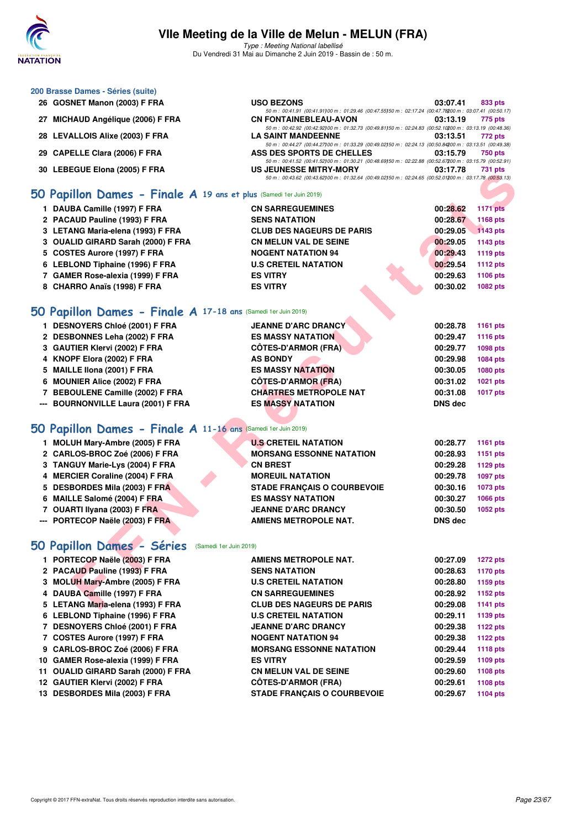

Type : Meeting National labellisé Du Vendredi 31 Mai au Dimanche 2 Juin 2019 - Bassin de : 50 m.

#### **200 Brasse Dames - Séries (suite)**

| 26 GOSNET Manon (2003) F FRA      | <b>USO BEZONS</b>                                                                                          | 03:07.41 | 833 pts        |
|-----------------------------------|------------------------------------------------------------------------------------------------------------|----------|----------------|
|                                   | 50 m: 00:41.91 (00:41.91100 m: 01:29.46 (00:47.55150 m: 02:17.24 (00:47.78200 m: 03:07.41 (00:50.17)       |          |                |
| 27 MICHAUD Angélique (2006) F FRA | <b>CN FONTAINEBLEAU-AVON</b>                                                                               | 03:13.19 | 775 pts        |
|                                   | 50 m: 00:42.92 (00:42.92) 00 m: 01:32.73 (00:49.81150 m: 02:24.83 (00:52.10200 m: 03:13.19 (00:48.36)      |          |                |
| 28 LEVALLOIS Alixe (2003) F FRA   | <b>LA SAINT MANDEENNE</b>                                                                                  | 03:13.51 | 772 pts        |
|                                   | 50 m : 00:44.27 (00:44.27) 00 m : 01:33.29 (00:49.02) 50 m : 02:24.13 (00:50.84200 m : 03:13.51 (00:49.38) |          |                |
| 29 CAPELLE Clara (2006) F FRA     | ASS DES SPORTS DE CHELLES                                                                                  | 03:15.79 | 750 pts        |
|                                   | 50 m : 00:41.52 (00:41.52) 00 m : 01:30.21 (00:48.69) 50 m : 02:22.88 (00:52.67200 m : 03:15.79 (00:52.91) |          |                |
| 30 LEBEGUE Elona (2005) F FRA     | US JEUNESSE MITRY-MORY                                                                                     | 03:17.78 | <b>731 pts</b> |
|                                   | 50 m: 00:43.62 (00:43.62) 00 m: 01:32.64 (00:49.02) 50 m: 02:24.65 (00:52.01200 m: 03:17.78 (00:53.13)     |          |                |

#### **[50 Papillon Dames - Finale A](http://www.ffnatation.fr/webffn/resultats.php?idact=nat&go=epr&idcpt=57771&idepr=31) 19 ans et plus** (Samedi 1er Juin 2019)

| 30 LEBEGUE EIUIIA (2003) F FRA                                            | US JEUNESSE MITRI-MURT<br>50 m : 00:43.62 (00:43.62) 00 m : 01:32.64 (00:49.02) 50 m : 02:24.65 (00:52.01200 m : 03:17.78 (00:53.13) | 731 DIS                     |
|---------------------------------------------------------------------------|--------------------------------------------------------------------------------------------------------------------------------------|-----------------------------|
| <b>iO Papillon Dames - Finale A 19 ans et plus</b> (Samedi 1er Juin 2019) |                                                                                                                                      |                             |
| 1 DAUBA Camille (1997) F FRA                                              | <b>CN SARREGUEMINES</b>                                                                                                              | 00:28.62<br><b>1171 pts</b> |
| 2 PACAUD Pauline (1993) F FRA                                             | <b>SENS NATATION</b>                                                                                                                 | 00:28.67<br>1168 pts        |
| 3 LETANG Maria-elena (1993) F FRA                                         | <b>CLUB DES NAGEURS DE PARIS</b>                                                                                                     | 00:29.05<br>1143 pts        |
| 3 OUALID GIRARD Sarah (2000) F FRA                                        | <b>CN MELUN VAL DE SEINE</b>                                                                                                         | 00:29.05<br>1143 pts        |
| 5 COSTES Aurore (1997) F FRA                                              | <b>NOGENT NATATION 94</b>                                                                                                            | 00:29.43<br>1119 pts        |
| 6 LEBLOND Tiphaine (1996) F FRA                                           | <b>U.S CRETEIL NATATION</b>                                                                                                          | 00:29.54<br>1112 pts        |
| 7 GAMER Rose-alexia (1999) F FRA                                          | <b>ES VITRY</b>                                                                                                                      | 00:29.63<br>1106 pts        |
| 8 CHARRO Anaïs (1998) F FRA                                               | <b>ES VITRY</b>                                                                                                                      | 00:30.02<br>1082 pts        |
| <b>iO Papillon Dames - Finale A 17-18 ans (Samedi 1er Juin 2019)</b>      |                                                                                                                                      |                             |
| 1 DESNOYERS Chloé (2001) F FRA                                            | <b>JEANNE D'ARC DRANCY</b>                                                                                                           | 00:28.78<br>1161 pts        |
| 2 DESBONNES Leha (2002) F FRA                                             | <b>ES MASSY NATATION</b>                                                                                                             | 00:29.47<br>1116 pts        |
| 3 GAUTIER Klervi (2002) F FRA                                             | <b>CÔTES-D'ARMOR (FRA)</b>                                                                                                           | 00:29.77<br>1098 pts        |
| 4 KNOPF Elora (2002) F FRA                                                | <b>AS BONDY</b>                                                                                                                      | 00:29.98<br>1084 pts        |
| 5 MAILLE IIona (2001) F FRA                                               | <b>ES MASSY NATATION</b>                                                                                                             | 00:30.05<br>1080 pts        |
| 6 MOUNIER Alice (2002) F FRA                                              | <b>CÔTES-D'ARMOR (FRA)</b>                                                                                                           | 00:31.02<br>1021 pts        |
| 7 BEBOULENE Camille (2002) F FRA                                          | <b>CHARTRES METROPOLE NAT</b>                                                                                                        | 00:31.08<br><b>1017 pts</b> |
| --- BOURNONVILLE Laura (2001) F FRA                                       | <b>ES MASSY NATATION</b>                                                                                                             | <b>DNS dec</b>              |
|                                                                           |                                                                                                                                      |                             |
| <b>SO Papillon Dames - Finale A 11-16 ans (Samedi 1er Juin 2019)</b>      |                                                                                                                                      |                             |
| 1 MOLUH Mary-Ambre (2005) F FRA                                           | <b>U.S CRETEIL NATATION</b>                                                                                                          | 00:28.77<br>1161 pts        |
| 2 CARLOS-BROC Zoé (2006) F FRA                                            | <b>MORSANG ESSONNE NATATION</b>                                                                                                      | 00:28.93<br>1151 pts        |
| 3 TANGUY Marie-Lys (2004) F FRA                                           | <b>CN BREST</b>                                                                                                                      | 00:29.28<br>1129 pts        |
| 4 MERCIER Coraline (2004) F FRA                                           | <b>MOREUIL NATATION</b>                                                                                                              | 00:29.78<br><b>1097 pts</b> |
| 5 DESBORDES Mila (2003) F FRA                                             | <b>STADE FRANÇAIS O COURBEVOIE</b>                                                                                                   | 00:30.16<br>1073 pts        |
| 6 MAILLE Salomé (2004) F FRA                                              | <b>ES MASSY NATATION</b>                                                                                                             | 00:30.27<br>1066 pts        |
| 7 OUARTI Ilyana (2003) F FRA                                              | <b>JEANNE D'ARC DRANCY</b>                                                                                                           | 00:30.50<br>1052 pts        |
| --- PORTECOP Naële (2003) F FRA                                           | <b>AMIENS METROPOLE NAT.</b>                                                                                                         | <b>DNS dec</b>              |
| <b>iO Papillon Dames - Séries</b> (Samedi 1er Juin 2019)                  |                                                                                                                                      |                             |
| 1 PORTECOP Naële (2003) F FRA                                             | AMIENS METROPOLE NAT.                                                                                                                | 00:27.09<br><b>1272 pts</b> |
| 2 PACAUD Pauline (1993) F FRA                                             | <b>SENS NATATION</b>                                                                                                                 | 1170 pts<br>00:28.63        |
| 3 MOLUH Mary-Ambre (2005) F FRA                                           | <b>U.S CRETEIL NATATION</b>                                                                                                          | 00:28.80<br>1159 pts        |
| 4 DAUBA Camille (1997) F FRA                                              | <b>CN SARREGUEMINES</b>                                                                                                              | 00:28.92<br>1152 pts        |
| 5 LETANG Maria-elena (1993) F FRA                                         | <b>CLUB DES NAGEURS DE PARIS</b>                                                                                                     | 00:29.08<br><b>1141 pts</b> |
|                                                                           |                                                                                                                                      |                             |

## **[50 Papillon Dames - Finale A](http://www.ffnatation.fr/webffn/resultats.php?idact=nat&go=epr&idcpt=57771&idepr=31) 17-18 ans** (Samedi 1er Juin 2019)

| 1 DESNOYERS Chloé (2001) F FRA      | <b>JEANNE D'ARC DRANCY</b>    | 00:28.78       | 1161 pts        |
|-------------------------------------|-------------------------------|----------------|-----------------|
| 2 DESBONNES Leha (2002) F FRA       | <b>ES MASSY NATATION</b>      | 00:29.47       | <b>1116 pts</b> |
| 3 GAUTIER Klervi (2002) F FRA       | <b>CÔTES-D'ARMOR (FRA)</b>    | 00:29.77       | <b>1098 pts</b> |
| 4 KNOPF Elora (2002) F FRA          | <b>AS BONDY</b>               | 00:29.98       | 1084 pts        |
| 5 MAILLE IIona (2001) F FRA         | <b>ES MASSY NATATION</b>      | 00:30.05       | 1080 pts        |
| 6 MOUNIER Alice (2002) F FRA        | <b>CÔTES-D'ARMOR (FRA)</b>    | 00:31.02       | 1021 pts        |
| 7 BEBOULENE Camille (2002) F FRA    | <b>CHARTRES METROPOLE NAT</b> | 00:31.08       | 1017 pts        |
| --- BOURNONVILLE Laura (2001) F FRA | <b>ES MASSY NATATION</b>      | <b>DNS</b> dec |                 |
|                                     |                               |                |                 |

## **[50 Papillon Dames - Finale A](http://www.ffnatation.fr/webffn/resultats.php?idact=nat&go=epr&idcpt=57771&idepr=31) 11-16 ans** (Samedi 1er Juin 2019)

| <b>MOLUH Mary-Ambre (2005) F FRA</b> |  | <b>U.S CRETEIL NATATION</b>        | 00:28.77       | 1161 pts        |
|--------------------------------------|--|------------------------------------|----------------|-----------------|
| 2 CARLOS-BROC Zoé (2006) F FRA       |  | <b>MORSANG ESSONNE NATATION</b>    | 00:28.93       | 1151 pts        |
| 3 TANGUY Marie-Lys (2004) F FRA      |  | <b>CN BREST</b>                    | 00:29.28       | <b>1129 pts</b> |
| 4 MERCIER Coraline (2004) F FRA      |  | <b>MOREUIL NATATION</b>            | 00:29.78       | 1097 pts        |
| 5 DESBORDES Mila (2003) F FRA        |  | <b>STADE FRANCAIS O COURBEVOIE</b> | 00:30.16       | 1073 pts        |
| 6 MAILLE Salomé (2004) F FRA         |  | <b>ES MASSY NATATION</b>           | 00:30.27       | 1066 pts        |
| 7 OUARTI Ilyana (2003) F FRA         |  | <b>JEANNE D'ARC DRANCY</b>         | 00:30.50       | <b>1052 pts</b> |
| --- PORTECOP Naële (2003) F FRA      |  | <b>AMIENS METROPOLE NAT.</b>       | <b>DNS</b> dec |                 |
|                                      |  |                                    |                |                 |

# **[50 Papillon Dames - Séries](http://www.ffnatation.fr/webffn/resultats.php?idact=nat&go=epr&idcpt=57771&idepr=31)** (Samedi 1er Juin 2019)

| 1 PORTECOP Naële (2003) F FRA       | AMIENS METROPOLE NAT.              | 00:27.09 | <b>1272 pts</b> |
|-------------------------------------|------------------------------------|----------|-----------------|
| 2 PACAUD Pauline (1993) F FRA       | <b>SENS NATATION</b>               | 00:28.63 | 1170 pts        |
| 3 MOLUH Mary-Ambre (2005) F FRA     | <b>U.S CRETEIL NATATION</b>        | 00:28.80 | 1159 pts        |
| 4 DAUBA Camille (1997) F FRA        | <b>CN SARREGUEMINES</b>            | 00:28.92 | 1152 pts        |
| 5 LETANG Maria-elena (1993) F FRA   | <b>CLUB DES NAGEURS DE PARIS</b>   | 00:29.08 | 1141 pts        |
| 6 LEBLOND Tiphaine (1996) F FRA     | <b>U.S CRETEIL NATATION</b>        | 00:29.11 | 1139 pts        |
| 7 DESNOYERS Chloé (2001) F FRA      | <b>JEANNE D'ARC DRANCY</b>         | 00:29.38 | 1122 pts        |
| 7 COSTES Aurore (1997) F FRA        | <b>NOGENT NATATION 94</b>          | 00:29.38 | 1122 pts        |
| 9 CARLOS-BROC Zoé (2006) F FRA      | <b>MORSANG ESSONNE NATATION</b>    | 00:29.44 | <b>1118 pts</b> |
| 10 GAMER Rose-alexia (1999) F FRA   | <b>ES VITRY</b>                    | 00:29.59 | 1109 pts        |
| 11 OUALID GIRARD Sarah (2000) F FRA | <b>CN MELUN VAL DE SEINE</b>       | 00:29.60 | 1108 pts        |
| 12 GAUTIER Klervi (2002) F FRA      | <b>CÖTES-D'ARMOR (FRA)</b>         | 00:29.61 | 1108 pts        |
| 13 DESBORDES Mila (2003) F FRA      | <b>STADE FRANÇAIS O COURBEVOIE</b> | 00:29.67 | 1104 pts        |
|                                     |                                    |          |                 |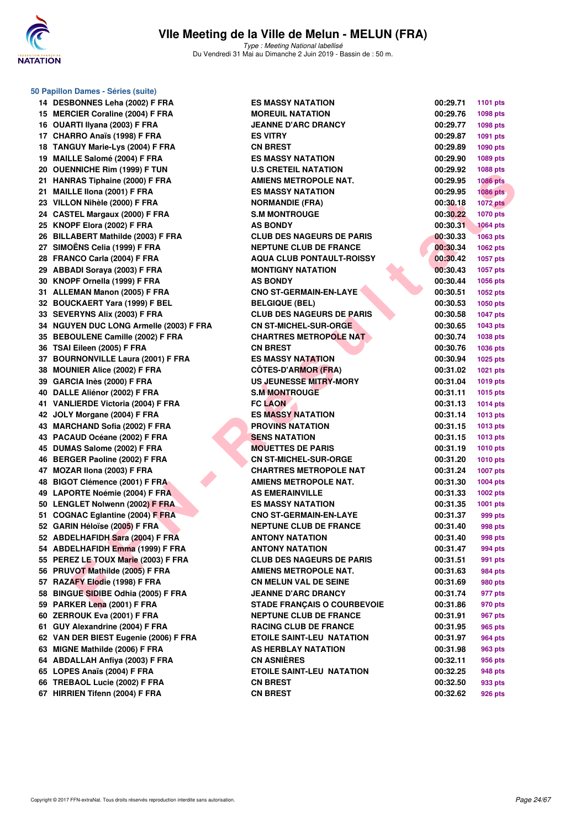

**50 Papillon Dames - Séries (suite)**

Type : Meeting National labellisé Du Vendredi 31 Mai au Dimanche 2 Juin 2019 - Bassin de : 50 m.

14 DESBONNES Leha (2002) F FRA E 15 MERCIER Coraline (2004) F FRA MOREUS 16 OUARTI IIyana (2003) F FRA **J 17 CHARRO Anaïs (1998) F FRA BILLER EXECUTE PTS 18 TANGUY Marie-Lys (2004) F FRA CONSTRUCTED** 19 **MAILLE Salomé (2004) F FRA** E **20 OUENNICHE Rim (1999) F TUN U.S CRETEIL IN A LOST PTS 21 HANRAS Tiphaine (2000) F FRA AMIENS METALLE AMIGNETS 21 MAILLE IIona (2001) F FRA BILLE III 23 VILLON Nihèle (2000) F FRA** NORMANDIE (1007) **N** 24 CASTEL Margaux (2000) F FRA S **25 KNOPF Elora (2002) F FRA A** 26 BILLABERT Mathilde (2003) F FRA C **27 SIMOËNS Celia (1999) F FRA** N **28 FRANCO Carla (2004) F FRA AQUA CLUB PONTAULT ACCLUB PONTAINS POINT A 29 ABBADI Soraya (2003) F FRA MONTIGNY NATAGITS 30 KNOPF Ornella (1999) F FRA ASSEMBLEM 31 ALLEMAN Manon (2005) F FRA CONO STAGERMAN 32 BOUCKAERT Yara (1999) F BEL BEL 33 SEVERYNS Alix (2003) F FRA CLUB DES NAGEURS DE PARIS 00:30.58 1047 pts 34 NGUYEN DUC LONG Armelle (2003) F FRA CONG ASSEMBLEM 35 BEBOULENE Camille (2002) F FRA CHARGE OF STARTING OF STARTING OF STARTS IN STARTS OF STARTS OF STARTS OF STARTS OF STARTS OF STARTS OF STARTS OF STARTS OF STARTS OF STARTS OF STARTS OF STARTS OF STARTS OF STARTS OF STA 36 TSAI Eileen (2005) F FRA CN BREST 00:30.76 1036 pts 37 BOURNONVILLE Laura (2001) F FRA EXECUTE 38 MOUNIER Alice (2002) F FRA C 39 GARCIA Inès (2000) F FRA US JUNESSE MITRY-MORE OF STATE IN THE US OF STATE IN THE US OF STATE IN THE US OF STATE IN THE US OF STATE IN THE US OF STATE IN THE US OF STATE IN THE US OF STATE IN THE US OF STATE IN THE US 40 DALLE Aliénor (2002) F FRA S.M MONTROUGE 00:31.11 1015 pts 41 VANLIERDE Victoria (2004) F FRA FILADA 42 JOLY Morgane (2004) F FRA BILLY MORGANE 43 MARCHAND Sofia (2002) F FRA PROVINS NATALISM 43 PACAUD Océane (2002) F FRA SENS NATA THE SENS NATA THE SENS NATA THE SENSE OF SENSING SERVICE SENSING SENSING SENSING SERVICE SERVICE SERVICE SERVICE SERVICE SERVICE SERVICE SERVICE SERVICE SERVICE SERVICE SERVICE SERV 45 DUMAS Salome (2002) F FRA MODEL PROPERTY OF BUMAS SALOME (2002) PTFRA 46 BERGER Paoline (2002) F FRA CONSUMICHER-SURFERENCE 00:31.2010 pts 47 MOZAR Ilona (2003) F FRA CHARTRES METROPOLE NAT 00:31.24 1007 pts 48 BIGOT Clémence (2001) F FRA AMIENS METROPOLE NATURAL PROPORTION AMIENS METAL 49 LAPORTE Noémie (2004) F FRA ASSEMBLACE DESCRIPTION ASSEMBLACES 50 LENGLET Nolwenn (2002) F FRA BILLET NATALISM 51 COGNAC Eglantine (2004) F FRA COGNET COGNET COGNET COGNET COGNET COGNET COGNET COGNET COGNET COGNET COGNET COGNET COGNET COGNET COGNET COGNET COGNET COGNET COGNET COGNET COGNET COGNET COGNET COGNET COGNET COGNET COGNET 52 GARIN Héloïse (2005) F FRA NEPTUNE CLUB DE FRANCE DE FRANCE DE FRANCE DE FRANCE DE FRANCE DE FRANCE DE FRANCE DE FRANCE DE FRANCE DE FRANCE DE FRANCE DE FRANCE DE FRANCE DE FRANCE DE FRANCE DE FRANCE DE FRANCE DE FRA** 52 ABDELHAFIDH Sara (2004) F FRA **ANTION 54 ABDELHAFIDH Emma (1999) F FRA ANTIONICATE 55 PEREZ LE TOUX Marie (2003) F FRA CLUB DES NAGEWERS DESCRIPTIONS OF PRAISIPIONS OF PRAISIPIONS OF PRAISIPIONS CLUB DESCRIPTIONS OF PRAISIPIONS OF PRAISIPIONS OF PRAISIPIONS OF PRAISIPIONS OF PRAISIPIONS OF PRAISIPIONS O 56 PRUVOT Mathilde (2005) F FRA AMIENS METALLE AMIENS METALLE AMIENS AREA 57 RAZAFY Elodie (1998) F FRA CON CONSUMERS 58 BINGUE SIDIBE Odhia (2005) F FRA JUNE DRANCY DRAMACY DRAMACY DRAMACY OF SIDIRE Odhia (2005) F FRA 59 PARKER Lena (2001) F FRA** STADE 60:41.86 **60 ZERROUK Eva (2001) F FRA** N **61 GUY Alexandrine (2004) F FRA** R **62 VAN DER BIEST Eugenie (2006) F FRA ET LETTER 63 MIGNE Mathilde (2006) F FRA ASSEMBLAY A 64 ABDALLAH Anfiya (2003) F FRA CN ASNIÈRES 00:32.11 956 pts 65 LOPES Anaïs (2004) F FRA EXECUTE SAINT-LEVE SAINT-LEVE SAINT-LEVE SAINT-LEVE SAINT-LEVE SAINT-LEVE SAINT-LEVE SAINT-LEVE SAINT-LEVE SAINT-LEVE SAINT-LEVE SAINT-LEVE SAINT-LEVE SAINT-LEVE SAINT-LEVE SAINT-LEVE SAINT-L 66 TREBAOL Lucie (2002) F FRA C 67 HIRRIEN Tifenn (2004) F FRA CON BREAK BREAK BREAK BREAK BREAK BREAK BREAK BREAK BREAK BREAK BREAK BREAK BREAK BREAK BREAK BREAK BREAK BREAK BREAK BREAK BREAK BREAK BREAK BREAK BREAK BREAK BREAK BREAK BREAK BREAK BREAK** 

| I Danies - Series (Suite)              |                                    |          |                 |
|----------------------------------------|------------------------------------|----------|-----------------|
| <b>BONNES Leha (2002) F FRA</b>        | <b>ES MASSY NATATION</b>           | 00:29.71 | 1101 pts        |
| CIER Coraline (2004) F FRA             | <b>MOREUIL NATATION</b>            | 00:29.76 | 1098 pts        |
| RTI Ilyana (2003) F FRA                | <b>JEANNE D'ARC DRANCY</b>         | 00:29.77 | 1098 pts        |
| RRO Anaïs (1998) F FRA                 | <b>ES VITRY</b>                    | 00:29.87 | 1091 pts        |
| GUY Marie-Lys (2004) F FRA             | <b>CN BREST</b>                    | 00:29.89 | 1090 pts        |
| LE Salomé (2004) F FRA                 | <b>ES MASSY NATATION</b>           | 00:29.90 | 1089 pts        |
| <b>NNICHE Rim (1999) F TUN</b>         | <b>U.S CRETEIL NATATION</b>        | 00:29.92 | 1088 pts        |
| RAS Tiphaine (2000) F FRA              | AMIENS METROPOLE NAT.              | 00:29.95 | <b>1086 pts</b> |
| LE Ilona (2001) F FRA                  | <b>ES MASSY NATATION</b>           | 00:29.95 | <b>1086 pts</b> |
| ON Nihèle (2000) F FRA                 | <b>NORMANDIE (FRA)</b>             | 00:30.18 | <b>1072 pts</b> |
| TEL Margaux (2000) F FRA               | <b>S.M MONTROUGE</b>               | 00:30.22 | <b>1070 pts</b> |
| PF Elora (2002) F FRA                  | <b>AS BONDY</b>                    | 00:30.31 | <b>1064 pts</b> |
| ABERT Mathilde (2003) F FRA            | <b>CLUB DES NAGEURS DE PARIS</b>   | 00:30.33 | <b>1063 pts</b> |
| )ËNS Celia (1999) F FRA                | <b>NEPTUNE CLUB DE FRANCE</b>      | 00:30.34 | 1062 pts        |
| NCO Carla (2004) F FRA                 | <b>AQUA CLUB PONTAULT-ROISSY</b>   | 00:30.42 | 1057 pts        |
| ADI Soraya (2003) F FRA                | <b>MONTIGNY NATATION</b>           | 00:30.43 | 1057 pts        |
| PF Ornella (1999) F FRA                | <b>AS BONDY</b>                    | 00:30.44 | 1056 pts        |
| EMAN Manon (2005) F FRA                | <b>CNO ST-GERMAIN-EN-LAYE</b>      | 00:30.51 | 1052 pts        |
| CKAERT Yara (1999) F BEL               | <b>BELGIQUE (BEL)</b>              | 00:30.53 | 1050 pts        |
| <b>ERYNS Alix (2003) F FRA</b>         | <b>CLUB DES NAGEURS DE PARIS</b>   | 00:30.58 | <b>1047 pts</b> |
| YEN DUC LONG Armelle (2003) F FRA      | <b>CN ST-MICHEL-SUR-ORGE</b>       | 00:30.65 | 1043 pts        |
| OULENE Camille (2002) F FRA            | <b>CHARTRES METROPOLE NAT</b>      | 00:30.74 | 1038 pts        |
| Eileen (2005) F FRA                    | <b>CN BREST</b>                    | 00:30.76 | 1036 pts        |
| RNONVILLE Laura (2001) F FRA           | <b>ES MASSY NATATION</b>           | 00:30.94 | 1025 pts        |
| <b>INIER Alice (2002) F FRA</b>        | <b>CÖTES-D'ARMOR (FRA)</b>         | 00:31.02 | 1021 pts        |
| <b>CIA Inès (2000) F FRA</b>           | US JEUNESSE MITRY-MORY             | 00:31.04 | 1019 pts        |
| LE Aliénor (2002) F FRA                | <b>S.M MONTROUGE</b>               | 00:31.11 | 1015 pts        |
| LIERDE Victoria (2004) F FRA           | <b>FC LAON</b>                     | 00:31.13 | <b>1014 pts</b> |
| Y Morgane (2004) F FRA                 | <b>ES MASSY NATATION</b>           | 00:31.14 | 1013 pts        |
| CHAND Sofia (2002) F FRA               | <b>PROVINS NATATION</b>            | 00:31.15 | 1013 pts        |
| AUD Océane (2002) F FRA                | <b>SENS NATATION</b>               | 00:31.15 | 1013 pts        |
| AS Salome (2002) F FRA                 | <b>MOUETTES DE PARIS</b>           | 00:31.19 | <b>1010 pts</b> |
| GER Paoline (2002) F FRA               | <b>CN ST-MICHEL-SUR-ORGE</b>       | 00:31.20 | <b>1010 pts</b> |
| AR Ilona (2003) F FRA                  | <b>CHARTRES METROPOLE NAT</b>      | 00:31.24 | <b>1007 pts</b> |
| <b>DT Clémence (2001) F FRA</b>        | <b>AMIENS METROPOLE NAT.</b>       | 00:31.30 | 1004 pts        |
| ORTE Noémie (2004) F FRA               | <b>AS EMERAINVILLE</b>             | 00:31.33 | 1002 pts        |
| GLET Nolwenn (2002) F FRA              | <b>ES MASSY NATATION</b>           | 00:31.35 | 1001 pts        |
| NAC Eglantine (2004) F FRA             | <b>CNO ST-GERMAIN-EN-LAYE</b>      | 00:31.37 | 999 pts         |
| IN Héloïse (2005) F FRA                | <b>NEPTUNE CLUB DE FRANCE</b>      | 00:31.40 | 998 pts         |
| ELHAFIDH Sara (2004) F FRA             | <b>ANTONY NATATION</b>             | 00:31.40 | 998 pts         |
| ELHAFIDH Emma (1999) F FRA             | <b>ANTONY NATATION</b>             | 00:31.47 | 994 pts         |
| EZ L <u>E TOUX Marie (</u> 2003) F FRA | <b>CLUB DES NAGEURS DE PARIS</b>   | 00:31.51 | 991 pts         |
| VOT Mathilde (2005) F FRA              | <b>AMIENS METROPOLE NAT.</b>       | 00:31.63 | 984 pts         |
| <b>AFY Elodie (1998) F FRA</b>         | <b>CN MELUN VAL DE SEINE</b>       | 00:31.69 | 980 pts         |
| <b>SUE SIDIBE Odhia (2005) F FRA</b>   | <b>JEANNE D'ARC DRANCY</b>         | 00:31.74 | 977 pts         |
| KER Lena (2001) F FRA                  | <b>STADE FRANÇAIS O COURBEVOIE</b> | 00:31.86 | 970 pts         |
| ROUK Eva (2001) F FRA                  | <b>NEPTUNE CLUB DE FRANCE</b>      | 00:31.91 | 967 pts         |
| Alexandrine (2004) F FRA               | <b>RACING CLUB DE FRANCE</b>       | 00:31.95 | 965 pts         |
| DER BIEST Eugenie (2006) F FRA         | <b>ETOILE SAINT-LEU NATATION</b>   | 00:31.97 | 964 pts         |
| <b>NE Mathilde (2006) F FRA</b>        | AS HERBLAY NATATION                | 00:31.98 | 963 pts         |
| ALLAH Anfiya (2003) F FRA              | <b>CN ASNIÈRES</b>                 | 00:32.11 | 956 pts         |
| ES Anaïs (2004) F FRA                  | <b>ETOILE SAINT-LEU NATATION</b>   | 00:32.25 | 948 pts         |
| <b>BAOL Lucie (2002) F FRA</b>         | <b>CN BREST</b>                    | 00:32.50 | 933 pts         |
| <b>IIEN Tifenn (2004) F FRA</b>        | <b>CN BREST</b>                    | 00:32.62 | 926 pts         |
|                                        |                                    |          |                 |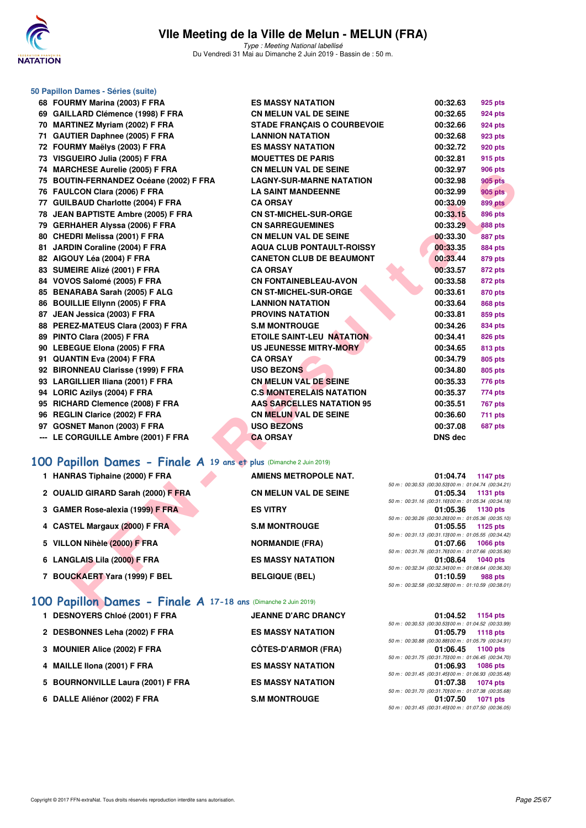

Type : Meeting National labellisé Du Vendredi 31 Mai au Dimanche 2 Juin 2019 - Bassin de : 50 m.

| 68 FOURMY Marina (2003) F FRA                     | <b>ES MASSY NATATION</b>           | 00:32.63       | 925 pts                                            |
|---------------------------------------------------|------------------------------------|----------------|----------------------------------------------------|
| 69 GAILLARD Clémence (1998) F FRA                 | <b>CN MELUN VAL DE SEINE</b>       | 00:32.65       | <b>924 pts</b>                                     |
| 70 MARTINEZ Myriam (2002) F FRA                   | <b>STADE FRANÇAIS O COURBEVOIE</b> | 00:32.66       | <b>924 pts</b>                                     |
| <b>GAUTIER Daphnee (2005) F FRA</b><br>71         | <b>LANNION NATATION</b>            | 00:32.68       | 923 pts                                            |
| 72 FOURMY Maëlys (2003) F FRA                     | <b>ES MASSY NATATION</b>           | 00:32.72       | <b>920 pts</b>                                     |
| 73 VISGUEIRO Julia (2005) F FRA                   | <b>MOUETTES DE PARIS</b>           | 00:32.81       | 915 pts                                            |
| <b>MARCHESE Aurelie (2005) F FRA</b><br>74        | <b>CN MELUN VAL DE SEINE</b>       | 00:32.97       | <b>906 pts</b>                                     |
| <b>BOUTIN-FERNANDEZ Océane (2002) F FRA</b><br>75 | <b>LAGNY-SUR-MARNE NATATION</b>    | 00:32.98       | <b>905 pts</b>                                     |
| 76 FAULCON Clara (2006) F FRA                     | <b>LA SAINT MANDEENNE</b>          | 00:32.99       | <b>905 pts</b>                                     |
| 77 GUILBAUD Charlotte (2004) F FRA                | <b>CA ORSAY</b>                    | 00:33.09       | <b>899 pts</b>                                     |
| JEAN BAPTISTE Ambre (2005) F FRA<br>78            | <b>CN ST-MICHEL-SUR-ORGE</b>       | 00:33.15       | <b>896 pts</b>                                     |
| 79 GERHAHER Alyssa (2006) F FRA                   | <b>CN SARREGUEMINES</b>            | 00:33.29       | <b>888 pts</b>                                     |
| 80 CHEDRI Melissa (2001) F FRA                    | <b>CN MELUN VAL DE SEINE</b>       | 00:33.30       | <b>887 pts</b>                                     |
| 81 JARDIN Coraline (2004) F FRA                   | <b>AQUA CLUB PONTAULT-ROISSY</b>   | 00:33.35       | <b>884 pts</b>                                     |
| 82 AIGOUY Léa (2004) F FRA                        | <b>CANETON CLUB DE BEAUMONT</b>    | 00:33.44       | 879 pts                                            |
| 83 SUMEIRE Alizé (2001) F FRA                     | <b>CA ORSAY</b>                    | 00:33.57       | <b>872 pts</b>                                     |
| 84 VOVOS Salomé (2005) F FRA                      | <b>CN FONTAINEBLEAU-AVON</b>       | 00:33.58       | <b>872 pts</b>                                     |
| 85 BENARABA Sarah (2005) F ALG                    | <b>CN ST-MICHEL-SUR-ORGE</b>       | 00:33.61       | <b>870 pts</b>                                     |
| 86 BOUILLIE Ellynn (2005) F FRA                   | <b>LANNION NATATION</b>            | 00:33.64       | <b>868 pts</b>                                     |
| 87 JEAN Jessica (2003) F FRA                      | <b>PROVINS NATATION</b>            | 00:33.81       | 859 pts                                            |
| 88 PEREZ-MATEUS Clara (2003) F FRA                | <b>S.M MONTROUGE</b>               | 00:34.26       | <b>834 pts</b>                                     |
| 89 PINTO Clara (2005) F FRA                       | <b>ETOILE SAINT-LEU NATATION</b>   | 00:34.41       | <b>826 pts</b>                                     |
| 90 LEBEGUE Elona (2005) F FRA                     | <b>US JEUNESSE MITRY-MORY</b>      | 00:34.65       | 813 pts                                            |
| 91 QUANTIN Eva (2004) F FRA                       | <b>CA ORSAY</b>                    | 00:34.79       | <b>805 pts</b>                                     |
| 92 BIRONNEAU Clarisse (1999) F FRA                | <b>USO BEZONS</b>                  | 00:34.80       | <b>805 pts</b>                                     |
| 93 LARGILLIER Iliana (2001) F FRA                 | <b>CN MELUN VAL DE SEINE</b>       | 00:35.33       | <b>776 pts</b>                                     |
| 94 LORIC Azilys (2004) F FRA                      | <b>C.S. MONTERELAIS NATATION</b>   | 00:35.37       | 774 pts                                            |
| 95 RICHARD Clemence (2008) F FRA                  | <b>AAS SARCELLES NATATION 95</b>   | 00:35.51       | <b>767 pts</b>                                     |
| 96 REGLIN Clarice (2002) F FRA                    | <b>CN MELUN VAL DE SEINE</b>       | 00:36.60       | <b>711 pts</b>                                     |
| 97 GOSNET Manon (2003) F FRA                      | <b>USO BEZONS</b>                  | 00:37.08       | 687 pts                                            |
| --- LE CORGUILLE Ambre (2001) F FRA               | <b>CA ORSAY</b>                    | <b>DNS dec</b> |                                                    |
| <u>MO Debiller Nemas</u><br>Einele                |                                    |                |                                                    |
|                                                   |                                    |                | $\mathbf{A}$ 10 and at plus (Dimension 0 bin 0010) |

**50 Papillon Dames - Séries (suite)**

#### **[100 Papillon Dames - Finale A](http://www.ffnatation.fr/webffn/resultats.php?idact=nat&go=epr&idcpt=57771&idepr=32) 19 ans et plus** (Dimanche 2 Juin 2019)

| <b>14 MARCHESE AUTOR (2003) F FRA</b>                                                                | CN MELON VAL DE SEINE            | 00.32.97<br>ອບບ µເວ                                                                |
|------------------------------------------------------------------------------------------------------|----------------------------------|------------------------------------------------------------------------------------|
| 75 BOUTIN-FERNANDEZ Océane (2002) F FRA                                                              | <b>LAGNY-SUR-MARNE NATATION</b>  | 00:32.98<br>905 pts                                                                |
| 76 FAULCON Clara (2006) F FRA                                                                        | <b>LA SAINT MANDEENNE</b>        | 00:32.99<br>905 pts                                                                |
| 77 GUILBAUD Charlotte (2004) F FRA                                                                   | <b>CA ORSAY</b>                  | 00:33.09<br><b>899 pts</b>                                                         |
| 78 JEAN BAPTISTE Ambre (2005) F FRA                                                                  | <b>CN ST-MICHEL-SUR-ORGE</b>     | 00:33.15<br>896 pts                                                                |
| 79 GERHAHER Alyssa (2006) F FRA                                                                      | <b>CN SARREGUEMINES</b>          | 00:33.29<br>888 pts                                                                |
| 80 CHEDRI Melissa (2001) F FRA                                                                       | <b>CN MELUN VAL DE SEINE</b>     | 00:33.30<br>887 pts                                                                |
| 81 JARDIN Coraline (2004) F FRA                                                                      | <b>AQUA CLUB PONTAULT-ROISSY</b> | 00:33.35<br><b>884 pts</b>                                                         |
| 82 AIGOUY Léa (2004) F FRA                                                                           | <b>CANETON CLUB DE BEAUMONT</b>  | 00:33.44<br>879 pts                                                                |
| 83 SUMEIRE Alizé (2001) F FRA                                                                        | <b>CA ORSAY</b>                  | 00:33.57<br>872 pts                                                                |
| 84 VOVOS Salomé (2005) F FRA                                                                         | <b>CN FONTAINEBLEAU-AVON</b>     | 00:33.58<br>872 pts                                                                |
| 85 BENARABA Sarah (2005) F ALG                                                                       | <b>CN ST-MICHEL-SUR-ORGE</b>     | 00:33.61<br>870 pts                                                                |
| 86 BOUILLIE Ellynn (2005) F FRA                                                                      | <b>LANNION NATATION</b>          | 00:33.64<br>868 pts                                                                |
| 87 JEAN Jessica (2003) F FRA                                                                         | <b>PROVINS NATATION</b>          | 00:33.81<br>859 pts                                                                |
| 88 PEREZ-MATEUS Clara (2003) F FRA                                                                   | <b>S.M MONTROUGE</b>             | 00:34.26<br>834 pts                                                                |
| 89 PINTO Clara (2005) F FRA                                                                          | <b>ETOILE SAINT-LEU NATATION</b> | 00:34.41<br>826 pts                                                                |
| 90 LEBEGUE Elona (2005) F FRA                                                                        | US JEUNESSE MITRY-MORY           | 00:34.65<br>813 pts                                                                |
| 91 QUANTIN Eva (2004) F FRA                                                                          | <b>CA ORSAY</b>                  | 00:34.79<br>805 pts                                                                |
| 92 BIRONNEAU Clarisse (1999) F FRA                                                                   | <b>USO BEZONS</b>                | 00:34.80<br>805 pts                                                                |
| 93 LARGILLIER Iliana (2001) F FRA                                                                    | <b>CN MELUN VAL DE SEINE</b>     | 00:35.33<br>776 pts                                                                |
| 94 LORIC Azilys (2004) F FRA                                                                         | <b>C.S. MONTERELAIS NATATION</b> | 00:35.37<br>774 pts                                                                |
| 95 RICHARD Clemence (2008) F FRA                                                                     | <b>AAS SARCELLES NATATION 95</b> | 00:35.51<br><b>767 pts</b>                                                         |
| 96 REGLIN Clarice (2002) F FRA                                                                       | <b>CN MELUN VAL DE SEINE</b>     | 00:36.60<br>711 pts                                                                |
| 97 GOSNET Manon (2003) F FRA                                                                         | <b>USO BEZONS</b>                | 00:37.08<br>687 pts                                                                |
| --- LE CORGUILLE Ambre (2001) F FRA                                                                  | <b>CA ORSAY</b>                  | <b>DNS dec</b>                                                                     |
| 00 Papillon Dames - Finale A 19 ans et plus (Dimanche 2 Juin 2019)<br>1 HANRAS Tiphaine (2000) F FRA | <b>AMIENS METROPOLE NAT.</b>     | 01:04.74<br><b>1147 pts</b>                                                        |
|                                                                                                      |                                  | 50 m: 00:30.53 (00:30.53) 00 m: 01:04.74 (00:34.21)                                |
| 2 OUALID GIRARD Sarah (2000) F FRA                                                                   | <b>CN MELUN VAL DE SEINE</b>     | 01:05.34<br><b>1131 pts</b>                                                        |
| 3 GAMER Rose-alexia (1999) F FRA                                                                     | <b>ES VITRY</b>                  | 50 m: 00:31.16 (00:31.16) 00 m: 01:05.34 (00:34.18)<br>01:05.36<br>1130 pts        |
|                                                                                                      |                                  | 50 m : 00:30.26 (00:30.26) 00 m : 01:05.36 (00:35.10)                              |
| 4 CASTEL Margaux (2000) F FRA                                                                        | <b>S.M MONTROUGE</b>             | 01:05.55<br>1125 $pts$                                                             |
| 5 VILLON Nihèle (2000) F FRA                                                                         | <b>NORMANDIE (FRA)</b>           | 50 m: 00:31.13 (00:31.13) 00 m: 01:05.55 (00:34.42)<br>01:07.66<br><b>1066 pts</b> |
|                                                                                                      |                                  | 50 m: 00:31.76 (00:31.76100 m: 01:07.66 (00:35.90)                                 |
| 6 LANGLAIS Lila (2000) F FRA                                                                         | <b>ES MASSY NATATION</b>         | 01:08.64<br><b>1040 pts</b>                                                        |
| 7 BOUCKAERT Yara (1999) F BEL                                                                        | <b>BELGIQUE (BEL)</b>            | 50 m: 00:32.34 (00:32.34)00 m: 01:08.64 (00:36.30)<br>01:10.59<br>988 pts          |
|                                                                                                      |                                  | 50 m: 00:32.58 (00:32.58) 00 m: 01:10.59 (00:38.01)                                |
| OO Papillon Dames - Finale A 17-18 ans (Dimanche 2 Juin 2019)                                        |                                  |                                                                                    |
|                                                                                                      |                                  |                                                                                    |

#### **[100 Papillon Dames - Finale A](http://www.ffnatation.fr/webffn/resultats.php?idact=nat&go=epr&idcpt=57771&idepr=32) 17-18 ans** (Dimanche 2 Juin 2019)

| 1 DESNOYERS Chloé (2001) F FRA    | <b>JEANNE D'ARC DRANCY</b> | 01:04.52                                             | 1154 pts            |
|-----------------------------------|----------------------------|------------------------------------------------------|---------------------|
|                                   |                            | 50 m : 00:30.53 (00:30.53100 m : 01:04.52 (00:33.99  |                     |
| 2 DESBONNES Leha (2002) F FRA     | <b>ES MASSY NATATION</b>   |                                                      | 01:05.79 1118 pts   |
|                                   |                            | 50 m : 00:30.88 (00:30.88100 m : 01:05.79 (00:34.91) |                     |
| 3 MOUNIER Alice (2002) F FRA      | <b>CÔTES-D'ARMOR (FRA)</b> |                                                      | $01:06.45$ 1100 pts |
|                                   |                            | 50 m: 00:31.75 (00:31.75100 m: 01:06.45 (00:34.70    |                     |
| 4 MAILLE IIona (2001) F FRA       | <b>ES MASSY NATATION</b>   | 01:06.93                                             | 1086 pts            |
|                                   |                            | 50 m: 00:31.45 (00:31.45100 m: 01:06.93 (00:35.48    |                     |
| 5 BOURNONVILLE Laura (2001) F FRA | <b>ES MASSY NATATION</b>   | 01:07.38                                             | 1074 pts            |
|                                   |                            | 50 m : 00:31.70 (00:31.70100 m : 01:07.38 (00:35.68  |                     |
| 6 DALLE Aliénor (2002) F FRA      | <b>S.M MONTROUGE</b>       | 01:07.50                                             | <b>1071 pts</b>     |
|                                   |                            | 50 m: 00:31.45 (00:31.45100 m: 01:07.50 (00:36.05    |                     |
|                                   |                            |                                                      |                     |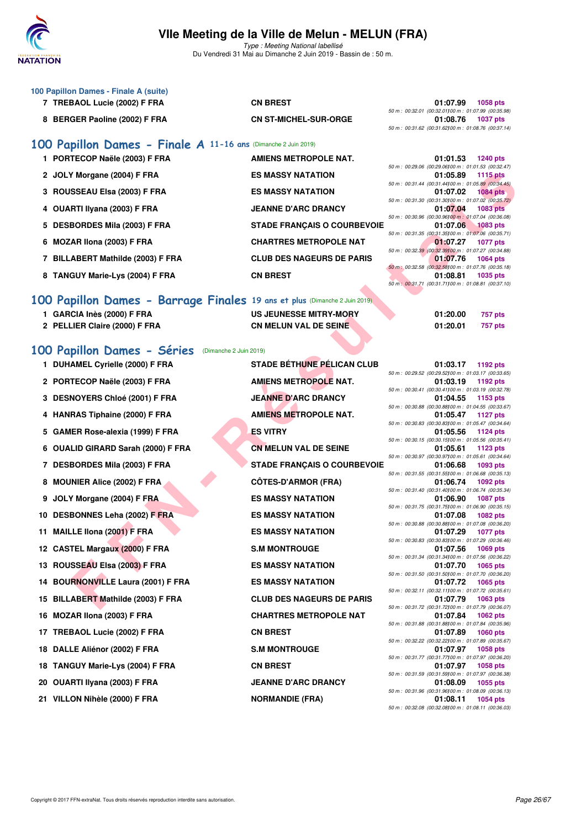

Type : Meeting National labellisé Du Vendredi 31 Mai au Dimanche 2 Juin 2019 - Bassin de : 50 m.

- **100 Papillon Dames Finale A (suite)**
	- **7 TREBAOL Lucie (2002) F FRA CN BREST 01:07.99 1058 pts**
	-

50 m : 00:32.01 (00:32.01)100 m : 01:07.99 (00:35.98) **8 BERGER Paoline (2002) F FRA CN ST-MICHEL-SUR-ORGE 01:08.76 1037 pts** 50 m : 00:31.62 (00:31.62)100 m : 01:08.76 (00:37.14)

01:01.53 **1240 pts** 

#### **[100 Papillon Dames - Finale A](http://www.ffnatation.fr/webffn/resultats.php?idact=nat&go=epr&idcpt=57771&idepr=32) 11-16 ans** (Dimanche 2 Juin 2019)

| 1 PORTECOP Naele (2003) F FRA     | AMIENS METROPOLE NAT.              | 01.01.53 | 1240 pts                                             |
|-----------------------------------|------------------------------------|----------|------------------------------------------------------|
|                                   |                                    |          | 50 m : 00:29.06 (00:29.06100 m : 01:01.53 (00:32.47) |
| 2 JOLY Morgane (2004) F FRA       | <b>ES MASSY NATATION</b>           | 01:05.89 | 1115 $pts$                                           |
|                                   |                                    |          | 50 m : 00:31.44 (00:31.44100 m : 01:05.89 (00:34.45) |
| 3 ROUSSEAU Elsa (2003) F FRA      | <b>ES MASSY NATATION</b>           | 01:07.02 | 1084 pts                                             |
|                                   |                                    |          | 50 m : 00:31.30 (00:31.30100 m : 01:07.02 (00:35.72) |
| 4 OUARTI Ilyana (2003) F FRA      | <b>JEANNE D'ARC DRANCY</b>         | 01:07.04 | 1083 pts                                             |
|                                   |                                    |          | 50 m : 00:30.96 (00:30.96100 m : 01:07.04 (00:36.08) |
| 5 DESBORDES Mila (2003) F FRA     | <b>STADE FRANCAIS O COURBEVOIE</b> | 01:07.06 | $1083$ pts                                           |
|                                   |                                    |          | 50 m : 00:31.35 (00:31.35100 m : 01:07.06 (00:35.71) |
| 6 MOZAR Ilona (2003) F FRA        | <b>CHARTRES METROPOLE NAT</b>      | 01:07.27 | <b>1077 pts</b>                                      |
|                                   |                                    |          | 50 m : 00:32.39 (00:32.39100 m : 01:07.27 (00:34.88) |
| 7 BILLABERT Mathilde (2003) F FRA | <b>CLUB DES NAGEURS DE PARIS</b>   | 01:07.76 | $1064$ pts                                           |
|                                   |                                    |          | 50 m : 00:32.58 (00:32.58100 m : 01:07.76 (00:35.18) |
| 8 TANGUY Marie-Lys (2004) F FRA   | <b>CN BREST</b>                    | 01:08.81 | <b>1035 pts</b>                                      |
|                                   |                                    |          | 50 m : 00:31.71 (00:31.71100 m : 01:08.81 (00:37.10) |
|                                   |                                    |          |                                                      |

## **[100 Papillon Dames - Barrage Finales](http://www.ffnatation.fr/webffn/resultats.php?idact=nat&go=epr&idcpt=57771&idepr=32) 19 ans et plus** (Dimanche 2 Juin 2019)

- 
- 2 PELLIER Claire (2000) F FRA CN MELUN VAL DE SEINE
- 1 GARCIA Inès (2000) F FRA US JEUNESSE MITRY-MORY

| 01:20.00 | 757 pts |
|----------|---------|
| 01:20.01 | 757 pts |

#### **[100 Papillon Dames - Séries](http://www.ffnatation.fr/webffn/resultats.php?idact=nat&go=epr&idcpt=57771&idepr=32)** (Dimanche 2 Juin 2019)

| 2 JOLY Morgane (2004) F FRA                                               | <b>ES MASSY NATATION</b>           | 01:05.89                                                                                                                   | 1115 pts        |
|---------------------------------------------------------------------------|------------------------------------|----------------------------------------------------------------------------------------------------------------------------|-----------------|
| 3 ROUSSEAU Elsa (2003) F FRA                                              | <b>ES MASSY NATATION</b>           | 50 m: 00:31.44 (00:31.44)00 m: 01:05.89 (00:34.45)<br>01:07.02                                                             | <b>1084 pts</b> |
| 4 OUARTI Ilyana (2003) F FRA                                              | <b>JEANNE D'ARC DRANCY</b>         | 50 m : 00:31.30 (00:31.30) 00 m : 01:07.02 (00:35.72)<br>01:07.04                                                          | 1083 pts        |
| 5 DESBORDES Mila (2003) F FRA                                             | <b>STADE FRANÇAIS O COURBEVOIE</b> | 50 m : 00:30.96 (00:30.96) 00 m : 01:07.04 (00:36.08)<br>01:07.06                                                          | <b>1083 pts</b> |
| 6 MOZAR Ilona (2003) F FRA                                                | <b>CHARTRES METROPOLE NAT</b>      | 50 m : 00:31.35 (00:31.35) 00 m : 01:07.06 (00:35.71)<br>01:07.27                                                          | <b>1077 pts</b> |
| 7 BILLABERT Mathilde (2003) F FRA                                         | <b>CLUB DES NAGEURS DE PARIS</b>   | 50 m : 00:32.39 (00:32.39100 m : 01:07.27 (00:34.88)<br>01:07.76                                                           | 1064 pts        |
| 8 TANGUY Marie-Lys (2004) F FRA                                           | <b>CN BREST</b>                    | 50 m : 00:32.58 (00:32.58) 00 m : 01:07.76 (00:35.18)<br>01:08.81<br>50 m: 00:31.71 (00:31.71100 m: 01:08.81 (00:37.10)    | 1035 pts        |
| 00 Papillon Dames - Barrage Finales 19 ans et plus (Dimanche 2 Juin 2019) |                                    |                                                                                                                            |                 |
|                                                                           |                                    |                                                                                                                            |                 |
| 1 GARCIA Inès (2000) F FRA                                                | <b>US JEUNESSE MITRY-MORY</b>      | 01:20.00                                                                                                                   | <b>757 pts</b>  |
| 2 PELLIER Claire (2000) F FRA                                             | <b>CN MELUN VAL DE SEINE</b>       | 01:20.01                                                                                                                   | <b>757 pts</b>  |
|                                                                           |                                    |                                                                                                                            |                 |
| 00 Papillon Dames - Séries<br>(Dimanche 2 Juin 2019)                      |                                    |                                                                                                                            |                 |
| 1 DUHAMEL Cyrielle (2000) F FRA                                           | <b>STADE BÉTHUNE PÉLICAN CLUB</b>  | 01:03.17                                                                                                                   | 1192 pts        |
|                                                                           |                                    | 50 m : 00:29.52 (00:29.52) 00 m : 01:03.17 (00:33.65)                                                                      |                 |
| 2 PORTECOP Naële (2003) F FRA                                             | <b>AMIENS METROPOLE NAT.</b>       | 01:03.19<br>50 m: 00:30.41 (00:30.41100 m: 01:03.19 (00:32.78)                                                             | 1192 pts        |
| 3 DESNOYERS Chloé (2001) F FRA                                            | <b>JEANNE D'ARC DRANCY</b>         | 01:04.55                                                                                                                   | 1153 pts        |
| 4 HANRAS Tiphaine (2000) F FRA                                            | <b>AMIENS METROPOLE NAT.</b>       | 50 m : 00:30.88 (00:30.88) 00 m : 01:04.55 (00:33.67)<br>01:05.47                                                          | <b>1127 pts</b> |
|                                                                           |                                    | 50 m : 00:30.83 (00:30.83)00 m : 01:05.47 (00:34.64)                                                                       |                 |
| 5 GAMER Rose-alexia (1999) F FRA                                          | <b>ES VITRY</b>                    | 01:05.56                                                                                                                   | <b>1124 pts</b> |
| 6 OUALID GIRARD Sarah (2000) F FRA                                        | <b>CN MELUN VAL DE SEINE</b>       | 50 m : 00:30.15 (00:30.15) 00 m : 01:05.56 (00:35.41)<br>01:05.61                                                          | <b>1123 pts</b> |
|                                                                           |                                    | 50 m : 00:30.97 (00:30.97) 00 m : 01:05.61 (00:34.64)                                                                      |                 |
| 7 DESBORDES Mila (2003) F FRA                                             | <b>STADE FRANÇAIS O COURBEVOIE</b> | 01:06.68<br>50 m: 00:31.55 (00:31.55) 00 m: 01:06.68 (00:35.13)                                                            | 1093 pts        |
| 8 MOUNIER Alice (2002) F FRA                                              | <b>CÖTES-D'ARMOR (FRA)</b>         | 01:06.74<br>50 m: 00:31.40 (00:31.40) 00 m: 01:06.74 (00:35.34)                                                            | 1092 pts        |
| 9 JOLY Morgane (2004) F FRA                                               | <b>ES MASSY NATATION</b>           | 01:06.90<br>50 m : 00:31.75 (00:31.75100 m : 01:06.90 (00:35.15)                                                           | <b>1087 pts</b> |
| 10 DESBONNES Leha (2002) F FRA                                            | <b>ES MASSY NATATION</b>           | 01:07.08                                                                                                                   | <b>1082 pts</b> |
| 11 MAILLE IIona (2001) F FRA                                              | <b>ES MASSY NATATION</b>           | 50 m : 00:30.88 (00:30.88100 m : 01:07.08 (00:36.20)<br>01:07.29                                                           | <b>1077 pts</b> |
| 12 CASTEL Margaux (2000) F FRA                                            | <b>S.M MONTROUGE</b>               | 50 m: 00:30.83 (00:30.83100 m: 01:07.29 (00:36.46)<br>01:07.56                                                             | 1069 pts        |
| 13 ROUSSEAU Elsa (2003) F FRA                                             | <b>ES MASSY NATATION</b>           | 50 m : 00:31.34 (00:31.34)00 m : 01:07.56 (00:36.22)<br>01:07.70                                                           | 1065 pts        |
| 14 BOURNONVILLE Laura (2001) F FRA                                        | <b>ES MASSY NATATION</b>           | 50 m : 00:31.50 (00:31.50) 00 m : 01:07.70 (00:36.20)<br>01:07.72                                                          | 1065 pts        |
|                                                                           | <b>CLUB DES NAGEURS DE PARIS</b>   | 50 m: 00:32.11 (00:32.11100 m: 01:07.72 (00:35.61)                                                                         | <b>1063 pts</b> |
| 15 BILLABERT Mathilde (2003) F FRA                                        |                                    | 01:07.79<br>50 m : 00:31.72 (00:31.72) 00 m : 01:07.79 (00:36.07)                                                          |                 |
| 16 MOZAR Ilona (2003) F FRA                                               | <b>CHARTRES METROPOLE NAT</b>      | 01:07.84<br>50 m: 00:31.88 (00:31.88) 00 m: 01:07.84 (00:35.96)                                                            | <b>1062 pts</b> |
| 17 TREBAOL Lucie (2002) F FRA                                             | <b>CN BREST</b>                    | 01:07.89<br>50 m : 00:32.22 (00:32.22)00 m : 01:07.89 (00:35.67)                                                           | <b>1060 pts</b> |
| 18 DALLE Aliénor (2002) F FRA                                             | <b>S.M MONTROUGE</b>               | 01:07.97<br>50 m : 00:31.77 (00:31.77) 00 m : 01:07.97 (00:36.20)                                                          | 1058 pts        |
| 18 TANGUY Marie-Lys (2004) F FRA                                          | <b>CN BREST</b>                    | 01:07.97                                                                                                                   | <b>1058 pts</b> |
| 20 OUARTI Ilyana (2003) F FRA                                             | <b>JEANNE D'ARC DRANCY</b>         | 50 m : 00:31.59 (00:31.59) 00 m : 01:07.97 (00:36.38)<br>01:08.09<br>50 m : 00:31.96 (00:31.96) 00 m : 01:08.09 (00:36.13) | 1055 pts        |
| 21 VILLON Nihèle (2000) F FRA                                             | <b>NORMANDIE (FRA)</b>             | 01:08.11                                                                                                                   | <b>1054 pts</b> |

| 01:03.17                                                          | <b>1192 pts</b> |
|-------------------------------------------------------------------|-----------------|
| 50 m : 00:29.52 (00:29.52) 00 m : 01:03.17 (00:33.65)             |                 |
| 01:03.19                                                          | 1192 pts        |
| 50 m: 00:30.41 (00:30.41100 m: 01:03.19 (00:32.78)                |                 |
| 01:04.55                                                          | 1153 pts        |
| 50 m : 00:30.88 (00:30.88) 00 m : 01:04.55 (00:33.67)             |                 |
| 01:05.47                                                          | 1127 pts        |
| 50 m: 00:30.83 (00:30.83100 m: 01:05.47 (00:34.64)                |                 |
| 01:05.56                                                          | <b>1124 pts</b> |
| 50 m : 00:30.15 (00:30.15) 00 m : 01:05.56 (00:35.41)             |                 |
| 01:05.61 1123 pts                                                 |                 |
| 50 m : 00:30.97 (00:30.97) 00 m : 01:05.61 (00:34.64)             |                 |
| 01:06.68                                                          | <b>1093 pts</b> |
| 50 m : 00:31.55 (00:31.55) 00 m : 01:06.68 (00:35.13)             |                 |
| 01:06.74 1092 pts                                                 |                 |
| 50 m: 00:31.40 (00:31.40) 00 m: 01:06.74 (00:35.34)               |                 |
| 01:06.90                                                          | 1087 pts        |
| 50 m: 00:31.75 (00:31.75) 00 m: 01:06.90 (00:35.15)               |                 |
| 01:07.08 1082 pts                                                 |                 |
| 50 m: 00:30.88 (00:30.88100 m: 01:07.08 (00:36.20)                |                 |
| 01:07.29 1077 pts                                                 |                 |
| 50 m : 00:30.83 (00:30.83) 00 m : 01:07.29 (00:36.46)             |                 |
| 01:07.56 1069 pts                                                 |                 |
| 50 m: 00:31.34 (00:31.34) 00 m: 01:07.56 (00:36.22)               |                 |
| 01:07.70<br>50 m : 00:31.50 (00:31.50) 00 m : 01:07.70 (00:36.20) | 1065 pts        |
| 01:07.72 1065 pts                                                 |                 |
| 50 m: 00:32.11 (00:32.11)00 m: 01:07.72 (00:35.61)                |                 |
| 01:07.79 1063 pts                                                 |                 |
| 50 m : 00:31.72 (00:31.72) 00 m : 01:07.79 (00:36.07)             |                 |
| 01:07.84 1062 pts                                                 |                 |
| 50 m: 00:31.88 (00:31.88100 m: 01:07.84 (00:35.96)                |                 |
| 01:07.89                                                          | <b>1060 pts</b> |
| 50 m : 00:32.22 (00:32.22) 00 m : 01:07.89 (00:35.67)             |                 |
| 01:07.97 1058 pts                                                 |                 |
| 50 m: 00:31.77 (00:31.77)00 m: 01:07.97 (00:36.20)                |                 |
| 01:07.97                                                          | 1058 pts        |
| 50 m: 00:31.59 (00:31.59100 m: 01:07.97 (00:36.38)                |                 |
| 01:08.09 1055 pts                                                 |                 |
| 50 m : 00:31.96 (00:31.96) 00 m : 01:08.09 (00:36.13)             |                 |
| 01:08.11 1054 pts                                                 |                 |
| 50 m : 00:32.08 (00:32.08) 00 m : 01:08.11 (00:36.03)             |                 |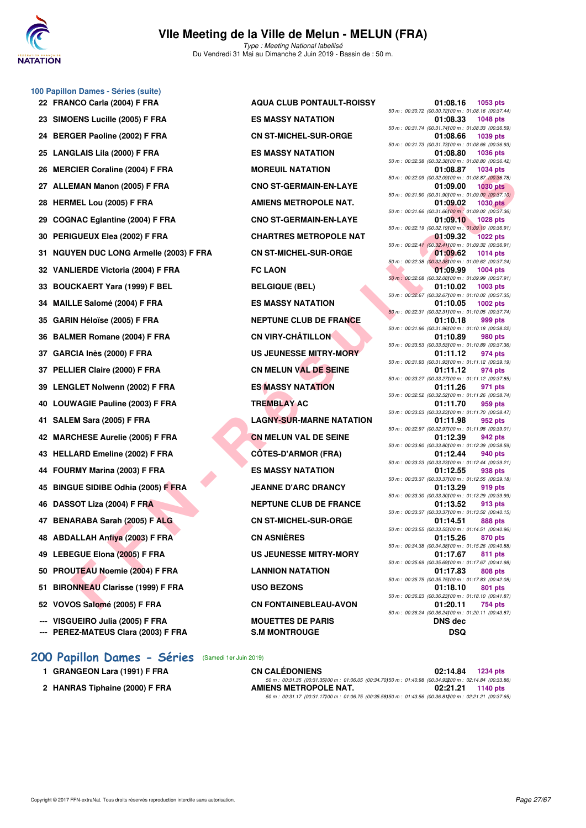

Du Vendredi 31 Mai au Dimanche 2 Juin 2019 - Bassin de : 50 m.

# 23 SIMOENS Lucille (2005) F FRA ES MASSY NATATION 24 BERGER Paoline (2002) F FRA CN ST-MICHEL-SUR-ORGE 25 LANGLAIS Lila (2000) F FRA ES MASSY NATATION 26 MERCIER Coraline (2004) F FRA MOREUIL NATATION 27 ALLEMAN Manon (2005) F FRA CNO ST-GERMAIN-EN-LAYE **28 HERMEL Lou (2005) F FRA AMIENS METROPOLE NAT.** 29 COGNAC Eglantine (2004) F FRA CNO ST-GERMAIN-EN-LAYE **30 PERIGUEUX Elea (2002) F FRA CHARTRES METROPOLE NAT 31 NGUYEN DUC LONG Armelle (2003) F FRA CN ST-MICHEL-SUR-ORGE 32 VANLIERDE Victoria (2004) F FRA FC LAON 01:09.99 1004 pts** 33 BOUCKAERT Yara (1999) F BEL BELGIQUE (BEL) **34 MAILLE Salomé (2004) F FRA ES MASSY NATATION 35 GARIN Héloïse (2005) F FRA NEPTUNE CLUB DE FRANCE 36 BALMER Romane (2004) F FRA CN VIRY-CHÂTILLON 37 GARCIA Inès (2000) F FRA US JEUNESSE MITRY-MORY 37 PELLIER Claire (2000) F FRA CN MELUN VAL DE SEINE 39 LENGLET Nolwenn (2002) F FRA ES MASSY NATATION 40 LOUWAGIE Pauline (2003) F FRA TREMBLAY AC 01:11.70 959 pts 41 SALEM Sara (2005) F FRA LAGNY-SUR-MARNE NATATION** 42 MARCHESE Aurelie (2005) F FRA **CN MELUN VAL DE SEINE** 43 HELLARD Emeline (2002) F FRA CÔTES-D'ARMOR (FRA) **44 FOURMY Marina (2003) F FRA ES MASSY NATATION**

**100 Papillon Dames - Séries (suite)**

- **46 DASSOT Liza (2004) F FRA NEPTUNE CLUB DE FRANCE**
- 47 BENARABA Sarah (2005) F ALG CN ST-MICHEL-SUR-ORGE
- **48 ABDALLAH Anfiya (2003) F FRA CN ASNIÈRES 01:15.26 870 pts**
- 
- **50 PROUTEAU Noemie (2004) F FRA LANNION NATATION**
- **51 BIRONNEAU Clarisse (1999) F FRA USO BEZONS 01:18.10 801 pts**
- 
- --- VISGUEIRO Julia (2005) F FRA MOUETTES DE PARIS
- **--- PEREZ-MATEUS Clara (2003) F FRA S.M MONTROUGE DSQ**

|  |  |  |  |  | 200 Papillon Dames - Séries (Samedi 1er Juin 2019) |
|--|--|--|--|--|----------------------------------------------------|
|--|--|--|--|--|----------------------------------------------------|

- 
- 2 HANRAS Tiphaine (2000) F FRA

22 FRANCO Carla (2004) F FRA AQUA CLUB PONTAULT-ROISSY **45 BINGUE SIDIBE Odhia (2005) F FRA JEANNE D'ARC DRANCY 01:13.29 919 pts** 49 LEBEGUE Elona (2005) F FRA US JEUNESSE MITRY-MORY **52 VOVOS Salomé (2005) F FRA CN FONTAINEBLEAU-AVON** 

| NCO Carla (2004) F FRA               | <b>AQUA CLUB PONTAULT-ROISSY</b> | 01:08.16<br>1053 pts                                                                 |
|--------------------------------------|----------------------------------|--------------------------------------------------------------------------------------|
| <b>DENS Lucille (2005) F FRA</b>     | <b>ES MASSY NATATION</b>         | 50 m : 00:30.72 (00:30.72) 00 m : 01:08.16 (00:37.44)<br>01:08.33<br><b>1048 pts</b> |
| GER Paoline (2002) F FRA             | <b>CN ST-MICHEL-SUR-ORGE</b>     | 50 m: 00:31.74 (00:31.74100 m: 01:08.33 (00:36.59)<br>01:08.66<br>1039 pts           |
| GLAIS Lila (2000) F FRA              | <b>ES MASSY NATATION</b>         | 50 m : 00:31.73 (00:31.73) 00 m : 01:08.66 (00:36.93)<br>01:08.80<br><b>1036 pts</b> |
| CIER Coraline (2004) F FRA           | <b>MOREUIL NATATION</b>          | 50 m : 00:32.38 (00:32.38) 00 m : 01:08.80 (00:36.42)<br><b>1034 pts</b><br>01:08.87 |
| EMAN Manon (2005) F FRA              | <b>CNO ST-GERMAIN-EN-LAYE</b>    | 50 m : 00:32.09 (00:32.09) 00 m : 01:08.87 (00:36.78)<br>01:09.00<br><b>1030 pts</b> |
| <b>MEL Lou (2005) F FRA</b>          | <b>AMIENS METROPOLE NAT.</b>     | 50 m : 00:31.90 (00:31.90) 00 m : 01:09.00 (00:37.10)<br>01:09.02<br>$1030$ pts      |
| NAC Eglantine (2004) F FRA           | <b>CNO ST-GERMAIN-EN-LAYE</b>    | 50 m : 00:31.66 (00:31.66) 00 m : 01:09.02 (00:37.36)<br>01:09.10<br>1028 pts        |
| <b>IGUEUX Elea (2002) F FRA</b>      | <b>CHARTRES METROPOLE NAT</b>    | 50 m : 00:32.19 (00:32.19)00 m : 01:09.10 (00:36.91)<br><b>1022 pts</b>              |
|                                      |                                  | 01:09.32<br>50 m : 00:32.41 (00:32.41100 m : 01:09.32 (00:36.91)                     |
| YEN DUC LONG Armelle (2003) F FRA    | <b>CN ST-MICHEL-SUR-ORGE</b>     | 01:09.62<br>1014 $pts$<br>50 m : 00:32.38 (00:32.38) 00 m : 01:09.62 (00:37.24)      |
| LIERDE Victoria (2004) F FRA         | <b>FC LAON</b>                   | 01:09.99<br>$1004$ pts                                                               |
| CKAERT Yara (1999) F BEL             | <b>BELGIQUE (BEL)</b>            | 50 m : 00:32.08 (00:32.08) 00 m : 01:09.99 (00:37.91)<br>01:10.02<br>$1003$ pts      |
| LE Salomé (2004) F FRA               | <b>ES MASSY NATATION</b>         | 50 m : 00:32.67 (00:32.67) 00 m : 01:10.02 (00:37.35)<br>01:10.05<br>1002 pts        |
| IN Héloïse (2005) F FRA              | <b>NEPTUNE CLUB DE FRANCE</b>    | 50 m: 00:32.31 (00:32.31100 m: 01:10.05 (00:37.74)<br>01:10.18<br>999 pts            |
| MER Romane (2004) F FRA              | <b>CN VIRY-CHÂTILLON</b>         | 50 m: 00:31.96 (00:31.96) 00 m: 01:10.18 (00:38.22)<br>01:10.89<br>980 pts           |
| CIA Inès (2000) F FRA                | US JEUNESSE MITRY-MORY           | 50 m : 00:33.53 (00:33.53) 00 m : 01:10.89 (00:37.36)<br>01:11.12<br>974 pts         |
| LIER Claire (2000) F FRA             | <b>CN MELUN VAL DE SEINE</b>     | 50 m : 00:31.93 (00:31.93)00 m : 01:11.12 (00:39.19)<br>974 pts                      |
|                                      |                                  | 01:11.12<br>50 m: 00:33.27 (00:33.27) 00 m: 01:11.12 (00:37.85)                      |
| <b>GLET Nolwenn (2002) F FRA</b>     | <b>ES MASSY NATATION</b>         | 01:11.26<br>971 pts<br>50 m : 00:32.52 (00:32.52) 00 m : 01:11.26 (00:38.74)         |
| WAGIE Pauline (2003) F FRA           | <b>TREMBLAY AC</b>               | 01:11.70<br>959 pts                                                                  |
| EM Sara (2005) F FRA                 | <b>LAGNY-SUR-MARNE NATATION</b>  | 50 m: 00:33.23 (00:33.23) 00 m: 01:11.70 (00:38.47)<br>01:11.98<br>952 pts           |
| CHESE Aurelie (2005) F FRA           | <b>CN MELUN VAL DE SEINE</b>     | 50 m: 00:32.97 (00:32.97) 00 m: 01:11.98 (00:39.01)<br>01:12.39<br>942 pts           |
| LARD Emeline (2002) F FRA            | <b>CÔTES-D'ARMOR (FRA)</b>       | 50 m : 00:33.80 (00:33.80) 00 m : 01:12.39 (00:38.59)<br>01:12.44<br>940 pts         |
| RMY Marina (2003) F FRA              | <b>ES MASSY NATATION</b>         | 50 m: 00:33.23 (00:33.23)00 m: 01:12.44 (00:39.21)<br>01:12.55<br>938 pts            |
| <b>SUE SIDIBE Odhia (2005) F FRA</b> | <b>JEANNE D'ARC DRANCY</b>       | 50 m : 00:33.37 (00:33.37) 00 m : 01:12.55 (00:39.18)<br>01:13.29<br>919 pts         |
| SOT Liza (2004) F FRA                | <b>NEPTUNE CLUB DE FRANCE</b>    | 50 m : 00:33.30 (00:33.30) 00 m : 01:13.29 (00:39.99)<br>01:13.52<br>913 pts         |
| ARABA Sarah (2005) F ALG             | <b>CN ST-MICHEL-SUR-ORGE</b>     | 50 m: 00:33.37 (00:33.37) 00 m: 01:13.52 (00:40.15)<br>01:14.51<br>888 pts           |
|                                      | <b>CN ASNIÈRES</b>               | 50 m: 00:33.55 (00:33.55) 00 m: 01:14.51 (00:40.96)                                  |
| ALLAH Anfiya (2003) F FRA            |                                  | 01:15.26<br>870 pts<br>50 m : 00:34.38 (00:34.38) 00 m : 01:15.26 (00:40.88)         |
| EGUE Elona (2005) F FRA              | <b>US JEUNESSE MITRY-MORY</b>    | 01:17.67<br>811 pts<br>50 m : 00:35.69 (00:35.69) 00 m : 01:17.67 (00:41.98)         |
| UTEAU Noemie (2004) F FRA            | <b>LANNION NATATION</b>          | 01:17.83<br>808 pts<br>50 m: 00:35.75 (00:35.75) 00 m: 01:17.83 (00:42.08)           |
| <b>NNEAU Clarisse (1999) F FRA</b>   | <b>USO BEZONS</b>                | 01:18.10<br>801 pts                                                                  |
| OS Salomé (2005) F FRA               | <b>CN FONTAINEBLEAU-AVON</b>     | 50 m : 00:36.23 (00:36.23) 00 m : 01:18.10 (00:41.87)<br>01:20.11<br>754 pts         |
| <b>iUEIRO Julia (2005) F FRA</b>     | <b>MOUETTES DE PARIS</b>         | 50 m : 00:36.24 (00:36.24)00 m : 01:20.11 (00:43.87)<br><b>DNS</b> dec               |
| $-7.1117711001 (000017701)$          | <b>MIMMITBOUAE</b>               | $\mathbf{R}$                                                                         |

**1 GRANGEON Lara (1991) F FRA CN CALÉDONIENS 02:14.84 1234 pts** 50 m : 00:31.35 (00:31.35)00 m : 01:06.05 (00:34.70)50 m : 01:40.98 (00:34.93200 m : 02:14.84 (00:33.86)<br>**AMIENS METROPOLE NAT.** 02:21.21 1140 pts 50 m : 00:31.17 (00:31.17)100 m : 01:06.75 (00:35.58)150 m : 01:43.56 (00:36.81)200 m : 02:21.21 (00:37.65)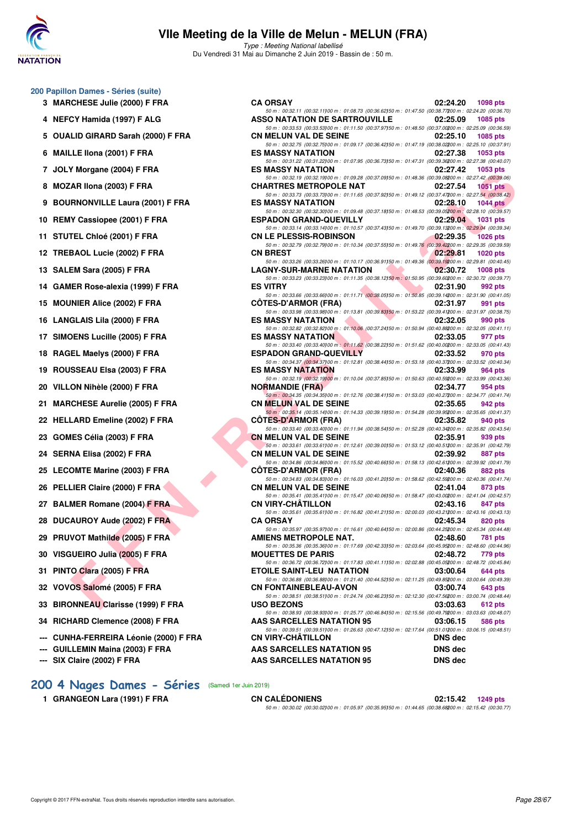

Type : Meeting National labellisé Du Vendredi 31 Mai au Dimanche 2 Juin 2019 - Bassin de : 50 m.

|  | 200 Papillon Dames - Séries (suite) |  |  |
|--|-------------------------------------|--|--|
|--|-------------------------------------|--|--|

- **3 MARCHESE Julie (2000) F FRA CA ORSAY 02:24.20 1098 pts**
- **4 NEFCY Hamida (1997) F ALG**
- 5 OUALID GIRARD Sarah (2000) F FRA
- **6 MAILLE Ilona (2001) F FRA**
- 7 JOLY Morgane (2004) F FRA **8 MOZAR Ilona (2003) F FRA**
- 
- **9 BOURNONVILLE Laura (2001) F FRA**
- 10 REMY Cassiopee (2001) F FRA
- 11 STUTEL Chloé (2001) F FRA
- **12 TREBAOL Lucie (2002) F FRA**
- **13 SALEM Sara (2005) F FRA**
- 14 GAMER Rose-alexia (1999) F FRA
- 15 **MOUNIER Alice (2002) F FRA**
- **16 LANGLAIS Lila (2000) F FRA**
- 17 SIMOENS Lucille (2005) F FRA
- **18 RAGEL Maelys (2000) F FRA**
- **19 ROUSSEAU Elsa (2003) F FRA**
- **20 VILLON Nihèle (2000) F FRA**
- 21 MARCHESE Aurelie (2005) F FRA
- 22 HELLARD Emeline (2002) F FRA
- **23 GOMES Célia (2003) F FRA**
- 24 SERNA Elisa (2002) F FRA
- 25 LECOMTE Marine (2003) F FRA
- 26 PELLIER Claire (2000) F FRA
- 27 BALMER Romane (2004) **F FRA**
- **28 DUCAUROY Aude (2002) F FRA**
- 29 PRUVOT Mathilde (2005) F FRA
- 30 VISGUEIRO Julia (2005) F FRA
- **31 PINTO Clara (2005) F FRA**
- **32 VOVOS Salomé (2005) F FRA**
- **33 BIRONNEAU Clarisse (1999) F FRA**
- 34 RICHARD Clemence (2008) F FRA
- --- CUNHA-FERREIRA Léonie (2000) F FRA
- **--- GUILLEMIN Maina (2003) F FRA AAS SARCELLES NATATION 95 DNS dec**
- **--- SIX Claire (2002) F FRA AAS SARCELLES NATATION 95 DNS dec**

| $\frac{1}{2}$                       |                                                                                                                                                                                 |                                |
|-------------------------------------|---------------------------------------------------------------------------------------------------------------------------------------------------------------------------------|--------------------------------|
| CY Hamida (1997) F ALG              | 50 m : 00:32.11 (00:32.11)00 m : 01:08.73 (00:36.62)50 m : 01:47.50 (00:38.77200 m : 02:24.20 (00:36.70)<br>ASSO NATATION DE SARTROUVILLE 02:25.09                              | <b>1085 pts</b>                |
| LID GIRARD Sarah (2000) F FRA       | 50 m : 00:33.53 (00:33.53)00 m : 01:11.50 (00:37.97)50 m : 01:48.50 (00:37.00200 m : 02:25.09 (00:36.59)<br><b>CN MELUN VAL DE SEINE</b>                                        | 02:25.10<br>1085 pts           |
| LE Ilona (2001) F FRA               | 50 m : 00:32.75 (00:32.75)00 m : 01:09.17 (00:36.42)50 m : 01:47.19 (00:38.02200 m : 02:25.10 (00:37.91)<br>ES MASSY NATATION 02:27.38                                          | 1053 pts                       |
| Y Morgane (2004) F FRA              | 50 m : 00:31.22 (00:31.22)00 m : 01:07.95 (00:36.73)50 m : 01:47.31 (00:39.36200 m : 02:27.38 (00:40.07)<br>ES MASSY NATATION                                                   | 02:27.42<br>1053 pts           |
|                                     | 50 m : 00:32.19 (00:32.19)00 m : 01:09.28 (00:37.09)50 m : 01:48.36 (00:39.08200 m : 02:27.42 (00:39.06)                                                                        |                                |
| AR Ilona (2003) F FRA               | CHARTRES METROPOLE NAT 02:27.54<br>50 m : 00:33.73 (00:33.73) 00 m : 01:11.65 (00:37.92) 50 m : 01:49.12 (00:37.47200 m : 02:27.54 (00:38.42)                                   | 1051 pts                       |
| RNONVILLE Laura (2001) F FRA        | ES MASSY NATATION 02:28.10<br>50 m : 00:32.30 (00:32.30) 00 m : 01:09.48 (00:37.18) 50 m : 01:48.53 (00:39.05200 m : 02:28.10 (00:39.57)                                        | 1044 pts                       |
| Y Cassiopee (2001) F FRA            | <b>ESPADON GRAND-QUEVILLY</b>                                                                                                                                                   | 02:29.04 1031 pts              |
| TEL Chloé (2001) F FRA              | 50 m : 00:33.14 (00:33.14)00 m : 01:10.57 (00:37.43)50 m : 01:49.70 (00:39.13200 m : 02:29.04 (00:39.34)<br><b>CN LE PLESSIS-ROBINSON</b>                                       | $-02:29.35$<br><b>1026 pts</b> |
| BAOL Lucie (2002) F FRA             | 50 m : 00:32.79 (00:32.79) 00 m : 01:10.34 (00:37.55) 50 m : 01:49.76 (00:39.42200 m : 02:29.35 (00:39.59)<br>02:29.81<br><b>CN BREST</b>                                       | 1020 $pts$                     |
| EM Sara (2005) F FRA                | 50 m : 00:33.26 (00:33.26) 00 m : 01:10.17 (00:36.91) 50 m : 01:49.36 (00:39.19200 m : 02:29.81 (00:40.45)<br>LAGNY-SUR-MARNE NATATION                                          | 02:30.72<br>1008 pts           |
| IER Rose-alexia (1999) F FRA        | 50 m : 00:33.23 (00:33.23) 00 m : 01:11.35 (00:38.12) 50 m : 01:50.95 (00:39.60200 m : 02:30.72 (00:39.77)<br><b>ES VITRY</b>                                                   | 02:31.90<br>992 pts            |
| <b>NIER Alice (2002) F FRA</b>      | 50 m : 00:33.66 (00:33.66) 00 m : 01:11.71 (00:38.05) 50 m : 01:50.85 (00:39.14200 m : 02:31.90 (00:41.05)<br><b>COTES-D'ARMOR (FRA)</b><br>02:31.97                            | 991 pts                        |
| GLAIS Lila (2000) F FRA             | 50 m : 00:33.98 (00:33.98)00 m : 01:13.81 (00:39.83)50 m : 01:53.22 (00:39.41200 m : 02:31.97 (00:38.75)<br><b>ES MASSY NATATION AND RESIDENT</b>                               | 02:32.05<br>990 pts            |
| <b>DENS Lucille (2005) F FRA</b>    | 50 m : 00:32.82 (00:32.82) 00 m : 01:10.06 (00:37.24) 50 m : 01:50.94 (00:40.88200 m : 02:32.05 (00:41.11)<br><b>The Community of the Community</b><br><b>ES MASSY NATATION</b> | 02:33.05<br>977 pts            |
| EL Maelys (2000) F FRA              | 50 m : 00:33.40 (00:33.40) 00 m : 01:11.62 (00:38.22) 50 m : 01:51.62 (00:40.00200 m : 02:33.05 (00:41.43)<br>ESPADON GRAND-QUEVILLY 02:33.52                                   | 970 pts                        |
|                                     | 50 m : 00:34.37 (00:34.37)00 m : 01:12.81 (00:38.44)50 m : 01:53.18 (00:40.37200 m : 02:33.52 (00:40.34)                                                                        |                                |
| SSEAU Elsa (2003) F FRA             | <b>ES MASSY NATATION</b><br>50 m : 00:32.19 (00:32.19) 00 m : 01:10.04 (00:37.85) 50 m : 01:50.63 (00:40.59200 m : 02:33.99 (00:43.36)                                          | 02:33.99<br>964 pts            |
| ON Nihèle (2000) F FRA              | 02:34.77<br><b>NORMANDIE (FRA)</b><br>50 m: 00:34.35 (00:34.35) 00 m: 01:12.76 (00:38.41) 50 m: 01:53.03 (00:40.27200 m: 02:34.77 (00:41.74)                                    | 954 pts                        |
| <b>CHESE Aurelie (2005) F FRA</b>   | CN MELUN VAL DE SEINE 02:35.65                                                                                                                                                  | 942 pts                        |
| LARD Emeline (2002) F FRA           | 50 m · 00:35.14 (00:35.14)00 m · 01:14.33 (00:39.19)50 m · 01:54.28 (00:39.95200 m · 02:35.65 (00:41.37)<br><b>COTES-D'ARMOR (FRA)</b>                                          | 02:35.82<br>940 pts            |
| IES Célia (2003) F FRA              | 50 m : 00:33.40 (00:33.40) 00 m : 01:11.94 (00:38.54) 50 m : 01:52.28 (00:40.34200 m : 02:35.82 (00:43.54)<br><b>CN MELUN VAL DE SEINE</b>                                      | 02:35.91<br>939 pts            |
| NA Elisa (2002) F FRA               | 50 m : 00:33.61 (00:33.61)00 m : 01:12.61 (00:39.00)50 m : 01:53.12 (00:40.51200 m : 02:35.91 (00:42.79)<br>02:39.92<br><b>CN MELUN VAL DE SEINE</b>                            | 887 pts                        |
| OMTE Marine (2003) F FRA            | 50 m : 00:34.86 (00:34.86) 00 m : 01:15.52 (00:40.66) 50 m : 01:58.13 (00:42.61200 m : 02:39.92 (00:41.79)<br>CÖTES-D'ARMOR (FRA) 02:40.36                                      | 882 pts                        |
| LIER Claire (2000) F FRA            | 50 m : 00:34.83 (00:34.83) 00 m : 01:16.03 (00:41.20) 50 m : 01:58.62 (00:42.59200 m : 02:40.36 (00:41.74)<br>CN MELUN VAL DE SEINE                                             | 02:41.04<br>873 pts            |
|                                     | 50 m : 00:35.41 (00:35.41)00 m : 01:15.47 (00:40.06)50 m : 01:58.47 (00:43.00200 m : 02:41.04 (00:42.57)                                                                        |                                |
| MER Romane (2004) F FRA             | <b>CN VIRY-CHATILLON</b><br>02:43.16<br>50 m : 00:35.61 (00:35.61)00 m : 01:16.82 (00:41.21)50 m : 02:00.03 (00:43.21200 m : 02:43.16 (00:43.13)                                | 847 pts                        |
| AUROY Aude (2002) F FRA             | <b>CA ORSAY</b><br>50 m : 00:35.97 (00:35.97)00 m : 01:16.61 (00:40.64)50 m : 02:00.86 (00:44.25200 m : 02:45.34 (00:44.48)                                                     | 02:45.34<br>820 pts            |
| VOT Mathilde (2005) F FRA           | AMIENS METROPOLE NAT.<br>50 m : 00:35.36 (00:35.36)00 m : 01:17.69 (00:42.33)50 m : 02:03.64 (00:45.95200 m : 02:48.60 (00:44.96)                                               | 02:48.60<br>781 pts            |
| <b>IUEIRO Julia (2005) F FRA</b>    | <b>MOUETTES DE PARIS</b><br>50 m : 00:36.72 (00:36.72) 00 m : 01:17.83 (00:41.11) 50 m : 02:02.88 (00:45.05200 m : 02:48.72 (00:45.84)                                          | 02:48.72<br>779 pts            |
| O Clara (2005) F FRA                | <b>ETOILE SAINT-LEU NATATION</b>                                                                                                                                                | 03:00.64<br>644 pts            |
| OS Salomé (2005) F FRA              | 50 m : 00:36.88 (00:36.88) 00 m : 01:21.40 (00:44.52) 50 m : 02:11.25 (00:49.85200 m : 03:00.64 (00:49.39)<br><b>CN FONTAINEBLEAU-AVON</b>                                      | 03:00.74<br>643 pts            |
| <b>)NNEAU Clarisse (1999) F FRA</b> | 50 m : 00:38.51 (00:38.51)00 m : 01:24.74 (00:46.23)50 m : 02:12.30 (00:47.56200 m : 03:00.74 (00:48.44)<br><b>USO BEZONS</b>                                                   | 03:03.63<br>612 pts            |
| <b>IARD Clemence (2008) F FRA</b>   | 50 m : 00:38.93 (00:38.93) 00 m : 01:25.77 (00:46.84) 50 m : 02:15.56 (00:49.79200 m : 03:03.63 (00:48.07)<br>AAS SARCELLES NATATION 95                                         | 03:06.15<br>586 pts            |
| HA-FERREIRA Léonie (2000) F FRA     | 50 m : 00:39.51 (00:39.51) 00 m : 01:26.63 (00:47.12) 50 m : 02:17.64 (00:51.01200 m : 03:06.15 (00:48.51)<br><b>CN VIRY-CHATILLON</b>                                          | <b>DNS</b> dec                 |
|                                     |                                                                                                                                                                                 |                                |

- **[200 4 Nages Dames Séries](http://www.ffnatation.fr/webffn/resultats.php?idact=nat&go=epr&idcpt=57771&idepr=41)** (Samedi 1er Juin 2019)
	-

**1 GRANGEON Lara (1991) F FRA CN CALÉDONIENS 02:15.42 1249 pts** 50 m : 00:30.02 (00:30.02)100 m : 01:05.97 (00:35.95)150 m : 01:44.65 (00:38.68)200 m : 02:15.42 (00:30.77)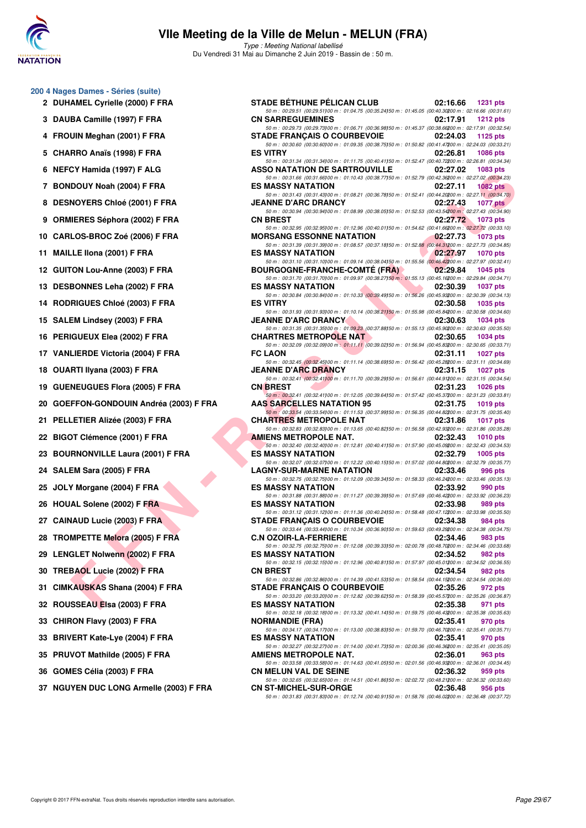

**200 4 Nages Dames - Séries (suite)** 2 DUHAMEL Cyrielle (2000) F FRA

## **VIIe Meeting de la Ville de Melun - MELUN (FRA)**

Type : Meeting National labellisé Du Vendredi 31 Mai au Dimanche 2 Juin 2019 - Bassin de : 50 m.

|    | 4<br>FROUIN Meghan (2001) F FRA                  |
|----|--------------------------------------------------|
|    | CHARRO Anaïs (1998) F FRA<br>5                   |
|    | 6<br>NEFCY Hamida (1997) F ALG                   |
|    | <b>BONDOUY Noah (2004) F FRA</b><br>7            |
|    | DESNOYERS Chloé (2001) F FRA<br>8                |
|    | <b>ORMIERES Séphora (2002) F FRA</b><br>9        |
|    | CARLOS-BROC Zoé (2006) F FRA<br>10               |
| 11 | MAILLE IIona (2001) F FRA                        |
|    | 12 <sup>12</sup><br>GUITON Lou-Anne (2003) F FRA |
|    | 13<br><b>DESBONNES Leha (2002) F FRA</b>         |
|    | 14 RODRIGUES Chloé (2003) F FRA                  |
|    | SALEM Lindsey (2003) F FRA<br>15                 |
| 16 | PERIGUEUX Elea (2002) F FRA                      |
|    | 17<br><b>VANLIERDE Victoria (2004) F FRA</b>     |
|    | 18 OUARTI Ilyana (2003) F FRA                    |
|    | <b>GUENEUGUES Flora (2005) F FRA</b><br>19       |
|    | 20 GOEFFON-GONDOUIN Andréa (2003) F FR.          |
| 21 | PELLETIER Alizée (2003) F FRA                    |
|    | 22 BIGOT Clémence (2001) F FRA                   |
|    | <b>BOURNONVILLE Laura (2001) F FRA</b><br>23     |
|    | SALEM Sara (2005) F FRA<br>24                    |
|    | JOLY Morgane (2004) F FRA<br>25                  |
|    | 26 HOUAL Solene (2002) F FRA                     |
|    | <b>CAINAUD Lucie (2003) F FRA</b><br>27          |
| 28 | <b>TROMPETTE Melora (2005) F FRA</b>             |
|    | 29 LENGLET Nolwenn (2002) F FRA                  |
|    | TREBAOL Lucie (2002) F FRA<br>30                 |
| 31 | CIMKAUSKAS Shana (2004) F FRA                    |
|    | 32 ROUSSEAU Elsa (2003) F FRA                    |
|    | 33<br>CHIRON Flavy (2003) F FRA                  |

| u 4 Nages Danies - Series (Suite)       |                                                                                                                                                                                   |
|-----------------------------------------|-----------------------------------------------------------------------------------------------------------------------------------------------------------------------------------|
| 2 DUHAMEL Cyrielle (2000) F FRA         | <b>STADE BÉTHUNE PÉLICAN CLUB</b><br>02:16.66<br><b>1231 pts</b>                                                                                                                  |
| 3 DAUBA Camille (1997) F FRA            | 50 m : 00:29.51 (00:29.51) 00 m : 01:04.75 (00:35.24) 50 m : 01:45.05 (00:40.30200 m : 02:16.66 (00:31.61)<br><b>CN SARREGUEMINES</b><br>02:17.91<br><b>1212 pts</b>              |
| 4 FROUIN Meghan (2001) F FRA            | 50 m : 00:29.73 (00:29.73)00 m : 01:06.71 (00:36.98)50 m : 01:45.37 (00:38.66200 m : 02:17.91 (00:32.54)<br><b>STADE FRANÇAIS O COURBEVOIE</b><br>02:24.03<br>1125 pts            |
| 5 CHARRO Anaïs (1998) F FRA             | 50 m : 00:30.60 (00:30.60) 00 m : 01:09.35 (00:38.75) 50 m : 01:50.82 (00:41.47200 m : 02:24.03 (00:33.21)<br><b>ES VITRY</b><br>02:26.81<br>1086 pts                             |
|                                         | 50 m : 00:31.34 (00:31.34)00 m : 01:11.75 (00:40.41)50 m : 01:52.47 (00:40.72200 m : 02:26.81 (00:34.34)                                                                          |
| 6 NEFCY Hamida (1997) F ALG             | ASSO NATATION DE SARTROUVILLE<br>02:27.02<br><b>1083 pts</b><br>50 m : 00:31.66 (00:31.66) 00 m : 01:10.43 (00:38.77) 50 m : 01:52.79 (00:42.36200 m : 02:27.02 (00:34.23)        |
| 7 BONDOUY Noah (2004) F FRA             | <b>ES MASSY NATATION</b><br>02:27.11<br><b>1082 pts</b><br>50 m : 00:31.43 (00:31.43) 00 m : 01:08.21 (00:36.78) 50 m : 01:52.41 (00:44.20200 m : 02:27.11 (00:34.70)             |
| 8 DESNOYERS Chloé (2001) F FRA          | 02:27.43<br><b>JEANNE D'ARC DRANCY</b><br><b>1077 pts</b>                                                                                                                         |
| 9 ORMIERES Séphora (2002) F FRA         | 50 m : 00:30.94 (00:30.94)00 m : 01:08.99 (00:38.05)50 m : 01:52.53 (00:43.54200 m : 02:27.43 (00:34.90)<br><b>CN BREST</b><br>02:27.72<br>1073 pts                               |
| 10 CARLOS-BROC Zoé (2006) F FRA         | 50 m : 00:32.95 (00:32.95) 00 m : 01:12.96 (00:40.01) 50 m : 01:54.62 (00:41.66200 m : 02:27.72 (00:33.10)<br><b>MORSANG ESSONNE NATATION</b><br>02:27.73<br><b>1073 pts</b>      |
| 11 MAILLE IIona (2001) F FRA            | 50 m : 00:31.39 (00:31.39) 00 m : 01:08.57 (00:37.18) 50 m : 01:52.88 (00:44.31200 m : 02:27.73 (00:34.85)<br><b>ES MASSY NATATION</b><br>02:27.97<br><b>1070 pts</b>             |
| 12 GUITON Lou-Anne (2003) F FRA         | 50 m : 00:31.10 (00:31.10) 00 m : 01:09.14 (00:38.04) 50 m : 01:55.56 (00:46.42200 m : 02:27.97 (00:32.41)<br><b>BOURGOGNE-FRANCHE-COMTE (FRA)</b><br>02:29.84<br><b>1045 pts</b> |
| 13 DESBONNES Leha (2002) F FRA          | 50 m : 00:31.70 (00:31.70) 00 m : 01:09.97 (00:38.27) 50 m : 01:55.13 (00:45.16200 m : 02:29.84 (00:34.71)<br><b>ES MASSY NATATION</b><br>02:30.39<br><b>1037 pts</b>             |
| 14 RODRIGUES Chloé (2003) F FRA         | 50 m : 00:30.84 (00:30.84)00 m : 01:10.33 (00:39.49)50 m : 01:56.26 (00:45.93200 m : 02:30.39 (00:34.13)<br><b>ES VITRY</b><br>02:30.58<br>1035 pts                               |
|                                         | 50 m : 00:31.93 (00:31.93)00 m : 01:10.14 (00:38.21)50 m : 01:55.98 (00:45.84200 m : 02:30.58 (00:34.60)                                                                          |
| 15 SALEM Lindsey (2003) F FRA           | <b>JEANNE D'ARC DRANCY</b><br>02:30.63<br><b>1034 pts</b><br>50 m : 00:31.35 (00:31.35)00 m : 01:09.23 (00:37.88)50 m : 01:55.13 (00:45.90200 m : 02:30.63 (00:35.50)             |
| 16 PERIGUEUX Elea (2002) F FRA          | <b>CHARTRES METROPOLE NAT</b><br>02:30.65<br><b>1034 pts</b><br>50 m : 00:32.09 (00:32.09) 00 m : 01:11.11 (00:39.02) 50 m : 01:56.94 (00:45.83200 m : 02:30.65 (00:33.71)        |
| 17 VANLIERDE Victoria (2004) F FRA      | <b>FC LAON</b><br>02:31.11<br><b>1027 pts</b>                                                                                                                                     |
| 18 OUARTI Ilyana (2003) F FRA           | 50 m : 00:32.45 (00:32.45) 00 m : 01:11.14 (00:38.69) 50 m : 01:56.42 (00:45.28200 m : 02:31.11 (00:34.69)<br><b>JEANNE D'ARC DRANCY</b><br>02:31.15<br><b>1027 pts</b>           |
| 19 GUENEUGUES Flora (2005) F FRA        | 50 m : 00:32.41 (00:32.41100 m : 01:11.70 (00:39.29150 m : 01:56.61 (00:44.91200 m : 02:31.15 (00:34.54)<br><b>CN BREST</b><br>02:31.23<br><b>1026 pts</b>                        |
| 20 GOEFFON-GONDOUIN Andréa (2003) F FRA | 50 m : 00:32.41 (00:32.41) 00 m : 01:12.05 (00:39.64) 50 m : 01:57.42 (00:45.37200 m : 02:31.23 (00:33.81)<br><b>AAS SARCELLES NATATION 95</b><br>02:31.75<br>1019 pts            |
| 21 PELLETIER Alizée (2003) F FRA        | 50 m : 00:33.54 (00:33.54) 00 m : 01:11.53 (00:37.99) 50 m : 01:56.35 (00:44.82200 m : 02:31.75 (00:35.40)<br><b>CHARTRES METROPOLE NAT</b><br>02:31.86<br><b>1017 pts</b>        |
| 22 BIGOT Clémence (2001) F FRA          | 50 m : 00:32.83 (00:32.83) 00 m : 01:13.65 (00:40.82) 50 m : 01:56.58 (00:42.93200 m : 02:31.86 (00:35.28)<br>AMIENS METROPOLE NAT.<br>02:32.43<br><b>1010 pts</b>                |
| 23 BOURNONVILLE Laura (2001) F FRA      | 50 m : 00:32.40 (00:32.40) 00 m : 01:12.81 (00:40.41) 50 m : 01:57.90 (00:45.09200 m : 02:32.43 (00:34.53)<br><b>ES MASSY NATATION</b><br>02:32.79<br>1005 pts                    |
| 24 SALEM Sara (2005) F FRA              | 50 m : 00:32.07 (00:32.07) 00 m : 01:12.22 (00:40.15) 50 m : 01:57.02 (00:44.80200 m : 02:32.79 (00:35.77)<br><b>LAGNY-SUR-MARNE NATATION</b><br>02:33.46<br>996 pts              |
| 25 JOLY Morgane (2004) F FRA            | 50 m : 00:32.75 (00:32.75)00 m : 01:12.09 (00:39.34)50 m : 01:58.33 (00:46.24200 m : 02:33.46 (00:35.13)<br><b>ES MASSY NATATION</b><br>02:33.92<br>990 pts                       |
| 26 HOUAL Solene (2002) F FRA            | 50 m : 00:31.88 (00:31.88) 00 m : 01:11.27 (00:39.39) 50 m : 01:57.69 (00:46.42200 m : 02:33.92 (00:36.23)<br><b>ES MASSY NATATION</b><br>02:33.98<br>989 pts                     |
|                                         | 50 m : 00:31.12 (00:31.12) 00 m : 01:11.36 (00:40.24) 50 m : 01:58.48 (00:47.12200 m : 02:33.98 (00:35.50)                                                                        |
| 27 CAINAUD Lucie (2003) F FRA           | <b>STADE FRANCAIS O COURBEVOIE</b><br>02:34.38<br>984 pts<br>50 m : 00:33.44 (00:33.44) 00 m : 01:10.34 (00:36.90) 50 m : 01:59.63 (00:49.29200 m : 02:34.38 (00:34.75)           |
| 28 TROMPETTE Melora (2005) F FRA        | <b>C.N OZOIR-LA-FERRIERE</b><br>02:34.46<br>983 pts<br>50 m : 00:32.75 (00:32.75) 00 m : 01:12.08 (00:39.33) 50 m : 02:00.78 (00:48.70200 m : 02:34.46 (00:33.68)                 |
| 29 LENGLET Nolwenn (2002) F FRA         | <b>ES MASSY NATATION</b><br>02:34.52<br>982 pts                                                                                                                                   |
| 30 TREBAOL Lucie (2002) F FRA           | 50 m : 00:32.15 (00:32.15) 00 m : 01:12.96 (00:40.81) 50 m : 01:57.97 (00:45.01200 m : 02:34.52 (00:36.55)<br><b>CN BREST</b><br>02:34.54<br>982 pts                              |
| 31 CIMKAUSKAS Shana (2004) F FRA        | 50 m : 00:32.86 (00:32.86) 00 m : 01:14.39 (00:41.53) 50 m : 01:58.54 (00:44.15200 m : 02:34.54 (00:36.00)<br><b>STADE FRANÇAIS O COURBEVOIE</b><br>02:35.26<br>972 pts           |
| 32 ROUSSEAU Elsa (2003) F FRA           | 50 m : 00:33.20 (00:33.20) 00 m : 01:12.82 (00:39.62) 50 m : 01:58.39 (00:45.57200 m : 02:35.26 (00:36.87)<br><b>ES MASSY NATATION</b><br>02:35.38<br>971 pts                     |
| 33 CHIRON Flavy (2003) F FRA            | 50 m : 00:32.18 (00:32.18) 00 m : 01:13.32 (00:41.14) 50 m : 01:59.75 (00:46.43200 m : 02:35.38 (00:35.63)<br><b>NORMANDIE (FRA)</b><br>02:35.41<br>970 pts                       |
| 33 BRIVERT Kate-Lye (2004) F FRA        | 50 m : 00:34.17 (00:34.17) 00 m : 01:13.00 (00:38.83) 50 m : 01:59.70 (00:46.70200 m : 02:35.41 (00:35.71)<br><b>ES MASSY NATATION</b><br>02:35.41<br>970 pts                     |
| 35 PRUVOT Mathilde (2005) F FRA         | 50 m : 00:32.27 (00:32.27)00 m : 01:14.00 (00:41.73)50 m : 02:00.36 (00:46.36200 m : 02:35.41 (00:35.05)<br>AMIENS METROPOLE NAT.<br>02:36.01<br>963 pts                          |
| 36   GOMES Célia (2003) F FRA           | 50 m : 00:33.58 (00:33.58) 00 m : 01:14.63 (00:41.05) 50 m : 02:01.56 (00:46.93200 m : 02:36.01 (00:34.45)<br><b>CN MELUN VAL DE SEINE</b><br>02:36.32<br>959 pts                 |
| 37 NGUYEN DUC LONG Armelle (2003) F FRA | 50 m : 00:32.65 (00:32.65)00 m : 01:14.51 (00:41.86)50 m : 02:02.72 (00:48.21200 m : 02:36.32 (00:33.60)<br><b>CN ST-MICHEL-SUR-ORGE</b><br>02:36.48<br>956 pts                   |
|                                         | 50 m : 00:31.83 (00:31.83) 00 m : 01:12.74 (00:40.91) 50 m : 01:58.76 (00:46.02200 m : 02:36.48 (00:37.72)                                                                        |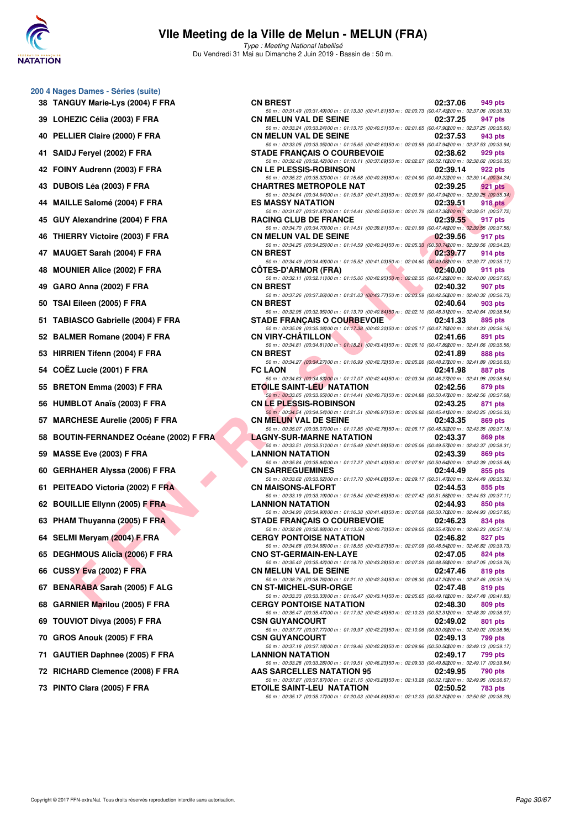

**200 4 Nages Dames - Séries (suite)**

## **VIIe Meeting de la Ville de Melun - MELUN (FRA)**

Type : Meeting National labellisé Du Vendredi 31 Mai au Dimanche 2 Juin 2019 - Bassin de : 50 m.

| TANGUY Marie-Lys (2004) F FRA<br>38              |  |
|--------------------------------------------------|--|
| LOHEZIC Célia (2003) F FRA<br>39                 |  |
| PELLIER Claire (2000) F FRA<br>40                |  |
| SAIDJ Feryel (2002) F FRA<br>41                  |  |
| FOINY Audrenn (2003) F FRA<br>42                 |  |
| 43<br>DUBOIS Léa (2003) F FRA                    |  |
| MAILLE Salomé (2004) F FRA<br>44                 |  |
| GUY Alexandrine (2004) F FRA<br>45               |  |
| THIERRY Victoire (2003) F FRA<br>46              |  |
| MAUGET Sarah (2004) F FRA<br>47                  |  |
| <b>MOUNIER Alice (2002) F FRA</b><br>48          |  |
| GARO Anna (2002) F FRA<br>49                     |  |
| 50 TSAI Eileen (2005) F FRA                      |  |
| TABIASCO Gabrielle (2004) F FRA<br>51            |  |
| <b>BALMER Romane (2004) F FRA</b><br>52          |  |
| 53<br>HIRRIEN Tifenn (2004) F FRA                |  |
| COËZ Lucie (2001) F FRA<br>54                    |  |
| 55<br><b>BRETON Emma (2003) F FRA</b>            |  |
| 56 HUMBLOT Anaïs (2003) F FRA                    |  |
| 57 MARCHESE Aurelie (2005) F FRA                 |  |
| <b>BOUTIN-FERNANDEZ Océane (2002) F FR</b><br>58 |  |
| 59<br>MASSE Eve (2003) F FRA                     |  |
| 60<br><b>GERHAHER Alyssa (2006) F FRA</b>        |  |
| PEITEADO Victoria (2002) F FRA<br>61             |  |
| 62 BOUILLIE Ellynn (2005) F FRA<br>D             |  |
| PHAM Thuyanna (2005) F FRA<br>63                 |  |
| 64 SELMI Meryam (2004) F FRA                     |  |
| <b>DEGHMOUS Alicia (2006) F FRA</b><br>65        |  |
| 66 CUSSY Eva (2002) F FRA                        |  |
| <b>BENARABA Sarah (2005) F ALG</b><br>67         |  |
| 68<br><b>GARNIER Marilou (2005) F FRA</b>        |  |
| TOUVIOT Divya (2005) F FRA<br>69                 |  |
| 70<br>GROS Anouk (2005) F FRA                    |  |
| 71<br><b>GAUTIER Daphnee (2005) F FRA</b>        |  |
| RICHARD Clemence (2008) F FRA<br>72              |  |

| 38   TANGUY Marie-Lys (2004) F FRA | <b>CN BREST</b>                                                                                                                                                                                                                                                                                                                                                                                                                                                                                                                                                                                                                                                                                                                                                                                                                                                                                                                                                                                                                                                                                                                                                                                  | 02:37.06                                                                                                                                                                                                                                                                                                                                                                                                                                                                                                                           | 949 pts                                                                                                                                                                                                                                                                                                                                                                                                                                                                                                                                                                                                                                                                                                                                                                                                                                                                                                                                                                                                                                                                                                                                                                                                                                                                                                                                                                                                                                                                                                                                                                                                                                                                                                                                                                                                                                                                                                                                                                                                                                                                                                                                                                                                                                                                                                                                                                                                                                                                                                                                                                                                                                                                                                                                                                                                                                                                                                                                                                                                                                                                                                                                                                                                                                                                                                                                                                                                                                                                                                                                                                                                                                                                                                                                                                                                                                                                                                                                                                                                                                                                                                |
|------------------------------------|--------------------------------------------------------------------------------------------------------------------------------------------------------------------------------------------------------------------------------------------------------------------------------------------------------------------------------------------------------------------------------------------------------------------------------------------------------------------------------------------------------------------------------------------------------------------------------------------------------------------------------------------------------------------------------------------------------------------------------------------------------------------------------------------------------------------------------------------------------------------------------------------------------------------------------------------------------------------------------------------------------------------------------------------------------------------------------------------------------------------------------------------------------------------------------------------------|------------------------------------------------------------------------------------------------------------------------------------------------------------------------------------------------------------------------------------------------------------------------------------------------------------------------------------------------------------------------------------------------------------------------------------------------------------------------------------------------------------------------------------|--------------------------------------------------------------------------------------------------------------------------------------------------------------------------------------------------------------------------------------------------------------------------------------------------------------------------------------------------------------------------------------------------------------------------------------------------------------------------------------------------------------------------------------------------------------------------------------------------------------------------------------------------------------------------------------------------------------------------------------------------------------------------------------------------------------------------------------------------------------------------------------------------------------------------------------------------------------------------------------------------------------------------------------------------------------------------------------------------------------------------------------------------------------------------------------------------------------------------------------------------------------------------------------------------------------------------------------------------------------------------------------------------------------------------------------------------------------------------------------------------------------------------------------------------------------------------------------------------------------------------------------------------------------------------------------------------------------------------------------------------------------------------------------------------------------------------------------------------------------------------------------------------------------------------------------------------------------------------------------------------------------------------------------------------------------------------------------------------------------------------------------------------------------------------------------------------------------------------------------------------------------------------------------------------------------------------------------------------------------------------------------------------------------------------------------------------------------------------------------------------------------------------------------------------------------------------------------------------------------------------------------------------------------------------------------------------------------------------------------------------------------------------------------------------------------------------------------------------------------------------------------------------------------------------------------------------------------------------------------------------------------------------------------------------------------------------------------------------------------------------------------------------------------------------------------------------------------------------------------------------------------------------------------------------------------------------------------------------------------------------------------------------------------------------------------------------------------------------------------------------------------------------------------------------------------------------------------------------------------------------------------------------------------------------------------------------------------------------------------------------------------------------------------------------------------------------------------------------------------------------------------------------------------------------------------------------------------------------------------------------------------------------------------------------------------------------------------------------------|
|                                    | <b>CN MELUN VAL DE SEINE</b>                                                                                                                                                                                                                                                                                                                                                                                                                                                                                                                                                                                                                                                                                                                                                                                                                                                                                                                                                                                                                                                                                                                                                                     | 02:37.25                                                                                                                                                                                                                                                                                                                                                                                                                                                                                                                           | 947 pts                                                                                                                                                                                                                                                                                                                                                                                                                                                                                                                                                                                                                                                                                                                                                                                                                                                                                                                                                                                                                                                                                                                                                                                                                                                                                                                                                                                                                                                                                                                                                                                                                                                                                                                                                                                                                                                                                                                                                                                                                                                                                                                                                                                                                                                                                                                                                                                                                                                                                                                                                                                                                                                                                                                                                                                                                                                                                                                                                                                                                                                                                                                                                                                                                                                                                                                                                                                                                                                                                                                                                                                                                                                                                                                                                                                                                                                                                                                                                                                                                                                                                                |
|                                    | <b>CN MELUN VAL DE SEINE</b>                                                                                                                                                                                                                                                                                                                                                                                                                                                                                                                                                                                                                                                                                                                                                                                                                                                                                                                                                                                                                                                                                                                                                                     | 02:37.53                                                                                                                                                                                                                                                                                                                                                                                                                                                                                                                           | 943 pts                                                                                                                                                                                                                                                                                                                                                                                                                                                                                                                                                                                                                                                                                                                                                                                                                                                                                                                                                                                                                                                                                                                                                                                                                                                                                                                                                                                                                                                                                                                                                                                                                                                                                                                                                                                                                                                                                                                                                                                                                                                                                                                                                                                                                                                                                                                                                                                                                                                                                                                                                                                                                                                                                                                                                                                                                                                                                                                                                                                                                                                                                                                                                                                                                                                                                                                                                                                                                                                                                                                                                                                                                                                                                                                                                                                                                                                                                                                                                                                                                                                                                                |
|                                    | <b>STADE FRANÇAIS O COURBEVOIE</b>                                                                                                                                                                                                                                                                                                                                                                                                                                                                                                                                                                                                                                                                                                                                                                                                                                                                                                                                                                                                                                                                                                                                                               | 02:38.62                                                                                                                                                                                                                                                                                                                                                                                                                                                                                                                           | 929 pts                                                                                                                                                                                                                                                                                                                                                                                                                                                                                                                                                                                                                                                                                                                                                                                                                                                                                                                                                                                                                                                                                                                                                                                                                                                                                                                                                                                                                                                                                                                                                                                                                                                                                                                                                                                                                                                                                                                                                                                                                                                                                                                                                                                                                                                                                                                                                                                                                                                                                                                                                                                                                                                                                                                                                                                                                                                                                                                                                                                                                                                                                                                                                                                                                                                                                                                                                                                                                                                                                                                                                                                                                                                                                                                                                                                                                                                                                                                                                                                                                                                                                                |
|                                    | <b>CN LE PLESSIS-ROBINSON</b>                                                                                                                                                                                                                                                                                                                                                                                                                                                                                                                                                                                                                                                                                                                                                                                                                                                                                                                                                                                                                                                                                                                                                                    | 02:39.14                                                                                                                                                                                                                                                                                                                                                                                                                                                                                                                           | 922 pts                                                                                                                                                                                                                                                                                                                                                                                                                                                                                                                                                                                                                                                                                                                                                                                                                                                                                                                                                                                                                                                                                                                                                                                                                                                                                                                                                                                                                                                                                                                                                                                                                                                                                                                                                                                                                                                                                                                                                                                                                                                                                                                                                                                                                                                                                                                                                                                                                                                                                                                                                                                                                                                                                                                                                                                                                                                                                                                                                                                                                                                                                                                                                                                                                                                                                                                                                                                                                                                                                                                                                                                                                                                                                                                                                                                                                                                                                                                                                                                                                                                                                                |
|                                    | <b>CHARTRES METROPOLE NAT</b>                                                                                                                                                                                                                                                                                                                                                                                                                                                                                                                                                                                                                                                                                                                                                                                                                                                                                                                                                                                                                                                                                                                                                                    | 02:39.25                                                                                                                                                                                                                                                                                                                                                                                                                                                                                                                           | <b>921 pts</b>                                                                                                                                                                                                                                                                                                                                                                                                                                                                                                                                                                                                                                                                                                                                                                                                                                                                                                                                                                                                                                                                                                                                                                                                                                                                                                                                                                                                                                                                                                                                                                                                                                                                                                                                                                                                                                                                                                                                                                                                                                                                                                                                                                                                                                                                                                                                                                                                                                                                                                                                                                                                                                                                                                                                                                                                                                                                                                                                                                                                                                                                                                                                                                                                                                                                                                                                                                                                                                                                                                                                                                                                                                                                                                                                                                                                                                                                                                                                                                                                                                                                                         |
|                                    | <b>ES MASSY NATATION</b>                                                                                                                                                                                                                                                                                                                                                                                                                                                                                                                                                                                                                                                                                                                                                                                                                                                                                                                                                                                                                                                                                                                                                                         | 02:39.51                                                                                                                                                                                                                                                                                                                                                                                                                                                                                                                           | 918 pts                                                                                                                                                                                                                                                                                                                                                                                                                                                                                                                                                                                                                                                                                                                                                                                                                                                                                                                                                                                                                                                                                                                                                                                                                                                                                                                                                                                                                                                                                                                                                                                                                                                                                                                                                                                                                                                                                                                                                                                                                                                                                                                                                                                                                                                                                                                                                                                                                                                                                                                                                                                                                                                                                                                                                                                                                                                                                                                                                                                                                                                                                                                                                                                                                                                                                                                                                                                                                                                                                                                                                                                                                                                                                                                                                                                                                                                                                                                                                                                                                                                                                                |
|                                    |                                                                                                                                                                                                                                                                                                                                                                                                                                                                                                                                                                                                                                                                                                                                                                                                                                                                                                                                                                                                                                                                                                                                                                                                  |                                                                                                                                                                                                                                                                                                                                                                                                                                                                                                                                    | 917 pts                                                                                                                                                                                                                                                                                                                                                                                                                                                                                                                                                                                                                                                                                                                                                                                                                                                                                                                                                                                                                                                                                                                                                                                                                                                                                                                                                                                                                                                                                                                                                                                                                                                                                                                                                                                                                                                                                                                                                                                                                                                                                                                                                                                                                                                                                                                                                                                                                                                                                                                                                                                                                                                                                                                                                                                                                                                                                                                                                                                                                                                                                                                                                                                                                                                                                                                                                                                                                                                                                                                                                                                                                                                                                                                                                                                                                                                                                                                                                                                                                                                                                                |
|                                    |                                                                                                                                                                                                                                                                                                                                                                                                                                                                                                                                                                                                                                                                                                                                                                                                                                                                                                                                                                                                                                                                                                                                                                                                  |                                                                                                                                                                                                                                                                                                                                                                                                                                                                                                                                    | 917 pts                                                                                                                                                                                                                                                                                                                                                                                                                                                                                                                                                                                                                                                                                                                                                                                                                                                                                                                                                                                                                                                                                                                                                                                                                                                                                                                                                                                                                                                                                                                                                                                                                                                                                                                                                                                                                                                                                                                                                                                                                                                                                                                                                                                                                                                                                                                                                                                                                                                                                                                                                                                                                                                                                                                                                                                                                                                                                                                                                                                                                                                                                                                                                                                                                                                                                                                                                                                                                                                                                                                                                                                                                                                                                                                                                                                                                                                                                                                                                                                                                                                                                                |
|                                    |                                                                                                                                                                                                                                                                                                                                                                                                                                                                                                                                                                                                                                                                                                                                                                                                                                                                                                                                                                                                                                                                                                                                                                                                  |                                                                                                                                                                                                                                                                                                                                                                                                                                                                                                                                    |                                                                                                                                                                                                                                                                                                                                                                                                                                                                                                                                                                                                                                                                                                                                                                                                                                                                                                                                                                                                                                                                                                                                                                                                                                                                                                                                                                                                                                                                                                                                                                                                                                                                                                                                                                                                                                                                                                                                                                                                                                                                                                                                                                                                                                                                                                                                                                                                                                                                                                                                                                                                                                                                                                                                                                                                                                                                                                                                                                                                                                                                                                                                                                                                                                                                                                                                                                                                                                                                                                                                                                                                                                                                                                                                                                                                                                                                                                                                                                                                                                                                                                        |
|                                    |                                                                                                                                                                                                                                                                                                                                                                                                                                                                                                                                                                                                                                                                                                                                                                                                                                                                                                                                                                                                                                                                                                                                                                                                  |                                                                                                                                                                                                                                                                                                                                                                                                                                                                                                                                    | 914 pts                                                                                                                                                                                                                                                                                                                                                                                                                                                                                                                                                                                                                                                                                                                                                                                                                                                                                                                                                                                                                                                                                                                                                                                                                                                                                                                                                                                                                                                                                                                                                                                                                                                                                                                                                                                                                                                                                                                                                                                                                                                                                                                                                                                                                                                                                                                                                                                                                                                                                                                                                                                                                                                                                                                                                                                                                                                                                                                                                                                                                                                                                                                                                                                                                                                                                                                                                                                                                                                                                                                                                                                                                                                                                                                                                                                                                                                                                                                                                                                                                                                                                                |
|                                    |                                                                                                                                                                                                                                                                                                                                                                                                                                                                                                                                                                                                                                                                                                                                                                                                                                                                                                                                                                                                                                                                                                                                                                                                  |                                                                                                                                                                                                                                                                                                                                                                                                                                                                                                                                    | 911 pts                                                                                                                                                                                                                                                                                                                                                                                                                                                                                                                                                                                                                                                                                                                                                                                                                                                                                                                                                                                                                                                                                                                                                                                                                                                                                                                                                                                                                                                                                                                                                                                                                                                                                                                                                                                                                                                                                                                                                                                                                                                                                                                                                                                                                                                                                                                                                                                                                                                                                                                                                                                                                                                                                                                                                                                                                                                                                                                                                                                                                                                                                                                                                                                                                                                                                                                                                                                                                                                                                                                                                                                                                                                                                                                                                                                                                                                                                                                                                                                                                                                                                                |
|                                    |                                                                                                                                                                                                                                                                                                                                                                                                                                                                                                                                                                                                                                                                                                                                                                                                                                                                                                                                                                                                                                                                                                                                                                                                  | 02:40.32                                                                                                                                                                                                                                                                                                                                                                                                                                                                                                                           | 907 pts                                                                                                                                                                                                                                                                                                                                                                                                                                                                                                                                                                                                                                                                                                                                                                                                                                                                                                                                                                                                                                                                                                                                                                                                                                                                                                                                                                                                                                                                                                                                                                                                                                                                                                                                                                                                                                                                                                                                                                                                                                                                                                                                                                                                                                                                                                                                                                                                                                                                                                                                                                                                                                                                                                                                                                                                                                                                                                                                                                                                                                                                                                                                                                                                                                                                                                                                                                                                                                                                                                                                                                                                                                                                                                                                                                                                                                                                                                                                                                                                                                                                                                |
|                                    | <b>CN BREST</b>                                                                                                                                                                                                                                                                                                                                                                                                                                                                                                                                                                                                                                                                                                                                                                                                                                                                                                                                                                                                                                                                                                                                                                                  | 02:40.64                                                                                                                                                                                                                                                                                                                                                                                                                                                                                                                           | 903 pts                                                                                                                                                                                                                                                                                                                                                                                                                                                                                                                                                                                                                                                                                                                                                                                                                                                                                                                                                                                                                                                                                                                                                                                                                                                                                                                                                                                                                                                                                                                                                                                                                                                                                                                                                                                                                                                                                                                                                                                                                                                                                                                                                                                                                                                                                                                                                                                                                                                                                                                                                                                                                                                                                                                                                                                                                                                                                                                                                                                                                                                                                                                                                                                                                                                                                                                                                                                                                                                                                                                                                                                                                                                                                                                                                                                                                                                                                                                                                                                                                                                                                                |
|                                    | <b>STADE FRANÇAIS O COURBEVOIE</b>                                                                                                                                                                                                                                                                                                                                                                                                                                                                                                                                                                                                                                                                                                                                                                                                                                                                                                                                                                                                                                                                                                                                                               | 02:41.33                                                                                                                                                                                                                                                                                                                                                                                                                                                                                                                           | 895 pts                                                                                                                                                                                                                                                                                                                                                                                                                                                                                                                                                                                                                                                                                                                                                                                                                                                                                                                                                                                                                                                                                                                                                                                                                                                                                                                                                                                                                                                                                                                                                                                                                                                                                                                                                                                                                                                                                                                                                                                                                                                                                                                                                                                                                                                                                                                                                                                                                                                                                                                                                                                                                                                                                                                                                                                                                                                                                                                                                                                                                                                                                                                                                                                                                                                                                                                                                                                                                                                                                                                                                                                                                                                                                                                                                                                                                                                                                                                                                                                                                                                                                                |
|                                    | <b>CN VIRY-CHATILLON</b>                                                                                                                                                                                                                                                                                                                                                                                                                                                                                                                                                                                                                                                                                                                                                                                                                                                                                                                                                                                                                                                                                                                                                                         | 02:41.66                                                                                                                                                                                                                                                                                                                                                                                                                                                                                                                           | 891 pts                                                                                                                                                                                                                                                                                                                                                                                                                                                                                                                                                                                                                                                                                                                                                                                                                                                                                                                                                                                                                                                                                                                                                                                                                                                                                                                                                                                                                                                                                                                                                                                                                                                                                                                                                                                                                                                                                                                                                                                                                                                                                                                                                                                                                                                                                                                                                                                                                                                                                                                                                                                                                                                                                                                                                                                                                                                                                                                                                                                                                                                                                                                                                                                                                                                                                                                                                                                                                                                                                                                                                                                                                                                                                                                                                                                                                                                                                                                                                                                                                                                                                                |
|                                    | <b>CN BREST</b>                                                                                                                                                                                                                                                                                                                                                                                                                                                                                                                                                                                                                                                                                                                                                                                                                                                                                                                                                                                                                                                                                                                                                                                  | 02:41.89                                                                                                                                                                                                                                                                                                                                                                                                                                                                                                                           | 888 pts                                                                                                                                                                                                                                                                                                                                                                                                                                                                                                                                                                                                                                                                                                                                                                                                                                                                                                                                                                                                                                                                                                                                                                                                                                                                                                                                                                                                                                                                                                                                                                                                                                                                                                                                                                                                                                                                                                                                                                                                                                                                                                                                                                                                                                                                                                                                                                                                                                                                                                                                                                                                                                                                                                                                                                                                                                                                                                                                                                                                                                                                                                                                                                                                                                                                                                                                                                                                                                                                                                                                                                                                                                                                                                                                                                                                                                                                                                                                                                                                                                                                                                |
|                                    | <b>FC LAON</b>                                                                                                                                                                                                                                                                                                                                                                                                                                                                                                                                                                                                                                                                                                                                                                                                                                                                                                                                                                                                                                                                                                                                                                                   | 02:41.98                                                                                                                                                                                                                                                                                                                                                                                                                                                                                                                           | 887 pts                                                                                                                                                                                                                                                                                                                                                                                                                                                                                                                                                                                                                                                                                                                                                                                                                                                                                                                                                                                                                                                                                                                                                                                                                                                                                                                                                                                                                                                                                                                                                                                                                                                                                                                                                                                                                                                                                                                                                                                                                                                                                                                                                                                                                                                                                                                                                                                                                                                                                                                                                                                                                                                                                                                                                                                                                                                                                                                                                                                                                                                                                                                                                                                                                                                                                                                                                                                                                                                                                                                                                                                                                                                                                                                                                                                                                                                                                                                                                                                                                                                                                                |
|                                    | <b>ETOILE SAINT-LEU NATATION</b>                                                                                                                                                                                                                                                                                                                                                                                                                                                                                                                                                                                                                                                                                                                                                                                                                                                                                                                                                                                                                                                                                                                                                                 | 02:42.56                                                                                                                                                                                                                                                                                                                                                                                                                                                                                                                           | 879 pts                                                                                                                                                                                                                                                                                                                                                                                                                                                                                                                                                                                                                                                                                                                                                                                                                                                                                                                                                                                                                                                                                                                                                                                                                                                                                                                                                                                                                                                                                                                                                                                                                                                                                                                                                                                                                                                                                                                                                                                                                                                                                                                                                                                                                                                                                                                                                                                                                                                                                                                                                                                                                                                                                                                                                                                                                                                                                                                                                                                                                                                                                                                                                                                                                                                                                                                                                                                                                                                                                                                                                                                                                                                                                                                                                                                                                                                                                                                                                                                                                                                                                                |
|                                    | <b>CN LE PLESSIS-ROBINSON</b>                                                                                                                                                                                                                                                                                                                                                                                                                                                                                                                                                                                                                                                                                                                                                                                                                                                                                                                                                                                                                                                                                                                                                                    | 02:43.25                                                                                                                                                                                                                                                                                                                                                                                                                                                                                                                           | 871 pts                                                                                                                                                                                                                                                                                                                                                                                                                                                                                                                                                                                                                                                                                                                                                                                                                                                                                                                                                                                                                                                                                                                                                                                                                                                                                                                                                                                                                                                                                                                                                                                                                                                                                                                                                                                                                                                                                                                                                                                                                                                                                                                                                                                                                                                                                                                                                                                                                                                                                                                                                                                                                                                                                                                                                                                                                                                                                                                                                                                                                                                                                                                                                                                                                                                                                                                                                                                                                                                                                                                                                                                                                                                                                                                                                                                                                                                                                                                                                                                                                                                                                                |
|                                    | <b>CN MELUN VAL DE SEINE</b>                                                                                                                                                                                                                                                                                                                                                                                                                                                                                                                                                                                                                                                                                                                                                                                                                                                                                                                                                                                                                                                                                                                                                                     | 02:43.35                                                                                                                                                                                                                                                                                                                                                                                                                                                                                                                           | 869 pts                                                                                                                                                                                                                                                                                                                                                                                                                                                                                                                                                                                                                                                                                                                                                                                                                                                                                                                                                                                                                                                                                                                                                                                                                                                                                                                                                                                                                                                                                                                                                                                                                                                                                                                                                                                                                                                                                                                                                                                                                                                                                                                                                                                                                                                                                                                                                                                                                                                                                                                                                                                                                                                                                                                                                                                                                                                                                                                                                                                                                                                                                                                                                                                                                                                                                                                                                                                                                                                                                                                                                                                                                                                                                                                                                                                                                                                                                                                                                                                                                                                                                                |
|                                    | <b>LAGNY-SUR-MARNE NATATION</b>                                                                                                                                                                                                                                                                                                                                                                                                                                                                                                                                                                                                                                                                                                                                                                                                                                                                                                                                                                                                                                                                                                                                                                  | 02:43.37                                                                                                                                                                                                                                                                                                                                                                                                                                                                                                                           | 869 pts                                                                                                                                                                                                                                                                                                                                                                                                                                                                                                                                                                                                                                                                                                                                                                                                                                                                                                                                                                                                                                                                                                                                                                                                                                                                                                                                                                                                                                                                                                                                                                                                                                                                                                                                                                                                                                                                                                                                                                                                                                                                                                                                                                                                                                                                                                                                                                                                                                                                                                                                                                                                                                                                                                                                                                                                                                                                                                                                                                                                                                                                                                                                                                                                                                                                                                                                                                                                                                                                                                                                                                                                                                                                                                                                                                                                                                                                                                                                                                                                                                                                                                |
|                                    | LANNION NATATION                                                                                                                                                                                                                                                                                                                                                                                                                                                                                                                                                                                                                                                                                                                                                                                                                                                                                                                                                                                                                                                                                                                                                                                 | 02:43.39                                                                                                                                                                                                                                                                                                                                                                                                                                                                                                                           | 869 pts                                                                                                                                                                                                                                                                                                                                                                                                                                                                                                                                                                                                                                                                                                                                                                                                                                                                                                                                                                                                                                                                                                                                                                                                                                                                                                                                                                                                                                                                                                                                                                                                                                                                                                                                                                                                                                                                                                                                                                                                                                                                                                                                                                                                                                                                                                                                                                                                                                                                                                                                                                                                                                                                                                                                                                                                                                                                                                                                                                                                                                                                                                                                                                                                                                                                                                                                                                                                                                                                                                                                                                                                                                                                                                                                                                                                                                                                                                                                                                                                                                                                                                |
|                                    |                                                                                                                                                                                                                                                                                                                                                                                                                                                                                                                                                                                                                                                                                                                                                                                                                                                                                                                                                                                                                                                                                                                                                                                                  |                                                                                                                                                                                                                                                                                                                                                                                                                                                                                                                                    | 855 pts                                                                                                                                                                                                                                                                                                                                                                                                                                                                                                                                                                                                                                                                                                                                                                                                                                                                                                                                                                                                                                                                                                                                                                                                                                                                                                                                                                                                                                                                                                                                                                                                                                                                                                                                                                                                                                                                                                                                                                                                                                                                                                                                                                                                                                                                                                                                                                                                                                                                                                                                                                                                                                                                                                                                                                                                                                                                                                                                                                                                                                                                                                                                                                                                                                                                                                                                                                                                                                                                                                                                                                                                                                                                                                                                                                                                                                                                                                                                                                                                                                                                                                |
|                                    |                                                                                                                                                                                                                                                                                                                                                                                                                                                                                                                                                                                                                                                                                                                                                                                                                                                                                                                                                                                                                                                                                                                                                                                                  |                                                                                                                                                                                                                                                                                                                                                                                                                                                                                                                                    | 855 pts                                                                                                                                                                                                                                                                                                                                                                                                                                                                                                                                                                                                                                                                                                                                                                                                                                                                                                                                                                                                                                                                                                                                                                                                                                                                                                                                                                                                                                                                                                                                                                                                                                                                                                                                                                                                                                                                                                                                                                                                                                                                                                                                                                                                                                                                                                                                                                                                                                                                                                                                                                                                                                                                                                                                                                                                                                                                                                                                                                                                                                                                                                                                                                                                                                                                                                                                                                                                                                                                                                                                                                                                                                                                                                                                                                                                                                                                                                                                                                                                                                                                                                |
|                                    |                                                                                                                                                                                                                                                                                                                                                                                                                                                                                                                                                                                                                                                                                                                                                                                                                                                                                                                                                                                                                                                                                                                                                                                                  |                                                                                                                                                                                                                                                                                                                                                                                                                                                                                                                                    |                                                                                                                                                                                                                                                                                                                                                                                                                                                                                                                                                                                                                                                                                                                                                                                                                                                                                                                                                                                                                                                                                                                                                                                                                                                                                                                                                                                                                                                                                                                                                                                                                                                                                                                                                                                                                                                                                                                                                                                                                                                                                                                                                                                                                                                                                                                                                                                                                                                                                                                                                                                                                                                                                                                                                                                                                                                                                                                                                                                                                                                                                                                                                                                                                                                                                                                                                                                                                                                                                                                                                                                                                                                                                                                                                                                                                                                                                                                                                                                                                                                                                                        |
|                                    |                                                                                                                                                                                                                                                                                                                                                                                                                                                                                                                                                                                                                                                                                                                                                                                                                                                                                                                                                                                                                                                                                                                                                                                                  |                                                                                                                                                                                                                                                                                                                                                                                                                                                                                                                                    | 850 pts                                                                                                                                                                                                                                                                                                                                                                                                                                                                                                                                                                                                                                                                                                                                                                                                                                                                                                                                                                                                                                                                                                                                                                                                                                                                                                                                                                                                                                                                                                                                                                                                                                                                                                                                                                                                                                                                                                                                                                                                                                                                                                                                                                                                                                                                                                                                                                                                                                                                                                                                                                                                                                                                                                                                                                                                                                                                                                                                                                                                                                                                                                                                                                                                                                                                                                                                                                                                                                                                                                                                                                                                                                                                                                                                                                                                                                                                                                                                                                                                                                                                                                |
|                                    |                                                                                                                                                                                                                                                                                                                                                                                                                                                                                                                                                                                                                                                                                                                                                                                                                                                                                                                                                                                                                                                                                                                                                                                                  |                                                                                                                                                                                                                                                                                                                                                                                                                                                                                                                                    | 834 pts                                                                                                                                                                                                                                                                                                                                                                                                                                                                                                                                                                                                                                                                                                                                                                                                                                                                                                                                                                                                                                                                                                                                                                                                                                                                                                                                                                                                                                                                                                                                                                                                                                                                                                                                                                                                                                                                                                                                                                                                                                                                                                                                                                                                                                                                                                                                                                                                                                                                                                                                                                                                                                                                                                                                                                                                                                                                                                                                                                                                                                                                                                                                                                                                                                                                                                                                                                                                                                                                                                                                                                                                                                                                                                                                                                                                                                                                                                                                                                                                                                                                                                |
|                                    |                                                                                                                                                                                                                                                                                                                                                                                                                                                                                                                                                                                                                                                                                                                                                                                                                                                                                                                                                                                                                                                                                                                                                                                                  |                                                                                                                                                                                                                                                                                                                                                                                                                                                                                                                                    | 827 pts                                                                                                                                                                                                                                                                                                                                                                                                                                                                                                                                                                                                                                                                                                                                                                                                                                                                                                                                                                                                                                                                                                                                                                                                                                                                                                                                                                                                                                                                                                                                                                                                                                                                                                                                                                                                                                                                                                                                                                                                                                                                                                                                                                                                                                                                                                                                                                                                                                                                                                                                                                                                                                                                                                                                                                                                                                                                                                                                                                                                                                                                                                                                                                                                                                                                                                                                                                                                                                                                                                                                                                                                                                                                                                                                                                                                                                                                                                                                                                                                                                                                                                |
|                                    | <b>CNO ST-GERMAIN-EN-LAYE</b>                                                                                                                                                                                                                                                                                                                                                                                                                                                                                                                                                                                                                                                                                                                                                                                                                                                                                                                                                                                                                                                                                                                                                                    | 02:47.05                                                                                                                                                                                                                                                                                                                                                                                                                                                                                                                           | 824 pts                                                                                                                                                                                                                                                                                                                                                                                                                                                                                                                                                                                                                                                                                                                                                                                                                                                                                                                                                                                                                                                                                                                                                                                                                                                                                                                                                                                                                                                                                                                                                                                                                                                                                                                                                                                                                                                                                                                                                                                                                                                                                                                                                                                                                                                                                                                                                                                                                                                                                                                                                                                                                                                                                                                                                                                                                                                                                                                                                                                                                                                                                                                                                                                                                                                                                                                                                                                                                                                                                                                                                                                                                                                                                                                                                                                                                                                                                                                                                                                                                                                                                                |
|                                    | <b>CN MELUN VAL DE SEINE</b>                                                                                                                                                                                                                                                                                                                                                                                                                                                                                                                                                                                                                                                                                                                                                                                                                                                                                                                                                                                                                                                                                                                                                                     | 02:47.46                                                                                                                                                                                                                                                                                                                                                                                                                                                                                                                           | 819 pts                                                                                                                                                                                                                                                                                                                                                                                                                                                                                                                                                                                                                                                                                                                                                                                                                                                                                                                                                                                                                                                                                                                                                                                                                                                                                                                                                                                                                                                                                                                                                                                                                                                                                                                                                                                                                                                                                                                                                                                                                                                                                                                                                                                                                                                                                                                                                                                                                                                                                                                                                                                                                                                                                                                                                                                                                                                                                                                                                                                                                                                                                                                                                                                                                                                                                                                                                                                                                                                                                                                                                                                                                                                                                                                                                                                                                                                                                                                                                                                                                                                                                                |
|                                    | <b>CN ST-MICHEL-SUR-ORGE</b>                                                                                                                                                                                                                                                                                                                                                                                                                                                                                                                                                                                                                                                                                                                                                                                                                                                                                                                                                                                                                                                                                                                                                                     | 02:47.48                                                                                                                                                                                                                                                                                                                                                                                                                                                                                                                           | 819 pts                                                                                                                                                                                                                                                                                                                                                                                                                                                                                                                                                                                                                                                                                                                                                                                                                                                                                                                                                                                                                                                                                                                                                                                                                                                                                                                                                                                                                                                                                                                                                                                                                                                                                                                                                                                                                                                                                                                                                                                                                                                                                                                                                                                                                                                                                                                                                                                                                                                                                                                                                                                                                                                                                                                                                                                                                                                                                                                                                                                                                                                                                                                                                                                                                                                                                                                                                                                                                                                                                                                                                                                                                                                                                                                                                                                                                                                                                                                                                                                                                                                                                                |
|                                    | <b>CERGY PONTOISE NATATION</b>                                                                                                                                                                                                                                                                                                                                                                                                                                                                                                                                                                                                                                                                                                                                                                                                                                                                                                                                                                                                                                                                                                                                                                   | 02:48.30                                                                                                                                                                                                                                                                                                                                                                                                                                                                                                                           | <b>809 pts</b>                                                                                                                                                                                                                                                                                                                                                                                                                                                                                                                                                                                                                                                                                                                                                                                                                                                                                                                                                                                                                                                                                                                                                                                                                                                                                                                                                                                                                                                                                                                                                                                                                                                                                                                                                                                                                                                                                                                                                                                                                                                                                                                                                                                                                                                                                                                                                                                                                                                                                                                                                                                                                                                                                                                                                                                                                                                                                                                                                                                                                                                                                                                                                                                                                                                                                                                                                                                                                                                                                                                                                                                                                                                                                                                                                                                                                                                                                                                                                                                                                                                                                         |
|                                    | <b>CSN GUYANCOURT</b>                                                                                                                                                                                                                                                                                                                                                                                                                                                                                                                                                                                                                                                                                                                                                                                                                                                                                                                                                                                                                                                                                                                                                                            | 02:49.02                                                                                                                                                                                                                                                                                                                                                                                                                                                                                                                           | 801 pts                                                                                                                                                                                                                                                                                                                                                                                                                                                                                                                                                                                                                                                                                                                                                                                                                                                                                                                                                                                                                                                                                                                                                                                                                                                                                                                                                                                                                                                                                                                                                                                                                                                                                                                                                                                                                                                                                                                                                                                                                                                                                                                                                                                                                                                                                                                                                                                                                                                                                                                                                                                                                                                                                                                                                                                                                                                                                                                                                                                                                                                                                                                                                                                                                                                                                                                                                                                                                                                                                                                                                                                                                                                                                                                                                                                                                                                                                                                                                                                                                                                                                                |
|                                    | <b>CSN GUYANCOURT</b>                                                                                                                                                                                                                                                                                                                                                                                                                                                                                                                                                                                                                                                                                                                                                                                                                                                                                                                                                                                                                                                                                                                                                                            | 02:49.13                                                                                                                                                                                                                                                                                                                                                                                                                                                                                                                           | 799 pts                                                                                                                                                                                                                                                                                                                                                                                                                                                                                                                                                                                                                                                                                                                                                                                                                                                                                                                                                                                                                                                                                                                                                                                                                                                                                                                                                                                                                                                                                                                                                                                                                                                                                                                                                                                                                                                                                                                                                                                                                                                                                                                                                                                                                                                                                                                                                                                                                                                                                                                                                                                                                                                                                                                                                                                                                                                                                                                                                                                                                                                                                                                                                                                                                                                                                                                                                                                                                                                                                                                                                                                                                                                                                                                                                                                                                                                                                                                                                                                                                                                                                                |
|                                    | <b>LANNION NATATION</b>                                                                                                                                                                                                                                                                                                                                                                                                                                                                                                                                                                                                                                                                                                                                                                                                                                                                                                                                                                                                                                                                                                                                                                          | 02:49.17                                                                                                                                                                                                                                                                                                                                                                                                                                                                                                                           | 799 pts                                                                                                                                                                                                                                                                                                                                                                                                                                                                                                                                                                                                                                                                                                                                                                                                                                                                                                                                                                                                                                                                                                                                                                                                                                                                                                                                                                                                                                                                                                                                                                                                                                                                                                                                                                                                                                                                                                                                                                                                                                                                                                                                                                                                                                                                                                                                                                                                                                                                                                                                                                                                                                                                                                                                                                                                                                                                                                                                                                                                                                                                                                                                                                                                                                                                                                                                                                                                                                                                                                                                                                                                                                                                                                                                                                                                                                                                                                                                                                                                                                                                                                |
|                                    | AAS SARCELLES NATATION 95                                                                                                                                                                                                                                                                                                                                                                                                                                                                                                                                                                                                                                                                                                                                                                                                                                                                                                                                                                                                                                                                                                                                                                        | 02:49.95                                                                                                                                                                                                                                                                                                                                                                                                                                                                                                                           | 790 pts                                                                                                                                                                                                                                                                                                                                                                                                                                                                                                                                                                                                                                                                                                                                                                                                                                                                                                                                                                                                                                                                                                                                                                                                                                                                                                                                                                                                                                                                                                                                                                                                                                                                                                                                                                                                                                                                                                                                                                                                                                                                                                                                                                                                                                                                                                                                                                                                                                                                                                                                                                                                                                                                                                                                                                                                                                                                                                                                                                                                                                                                                                                                                                                                                                                                                                                                                                                                                                                                                                                                                                                                                                                                                                                                                                                                                                                                                                                                                                                                                                                                                                |
| 73 PINTO Clara (2005) F FRA        | ETOILE SAINT-LEU NATATION                                                                                                                                                                                                                                                                                                                                                                                                                                                                                                                                                                                                                                                                                                                                                                                                                                                                                                                                                                                                                                                                                                                                                                        | 02:50.52                                                                                                                                                                                                                                                                                                                                                                                                                                                                                                                           | <b>783 pts</b>                                                                                                                                                                                                                                                                                                                                                                                                                                                                                                                                                                                                                                                                                                                                                                                                                                                                                                                                                                                                                                                                                                                                                                                                                                                                                                                                                                                                                                                                                                                                                                                                                                                                                                                                                                                                                                                                                                                                                                                                                                                                                                                                                                                                                                                                                                                                                                                                                                                                                                                                                                                                                                                                                                                                                                                                                                                                                                                                                                                                                                                                                                                                                                                                                                                                                                                                                                                                                                                                                                                                                                                                                                                                                                                                                                                                                                                                                                                                                                                                                                                                                         |
|                                    | 39   LOHEZIC Célia (2003) F FRA<br>40 PELLIER Claire (2000) F FRA<br>41 SAIDJ Feryel (2002) F FRA<br>42 FOINY Audrenn (2003) F FRA<br>43 DUBOIS Léa (2003) F FRA<br>44 MAILLE Salomé (2004) F FRA<br>45 GUY Alexandrine (2004) F FRA<br>46 THIERRY Victoire (2003) F FRA<br>47   MAUGET Sarah (2004) F FRA<br><b>48 MOUNIER Alice (2002) F FRA</b><br>49   GARO Anna (2002) F FRA<br>50 TSAI Eileen (2005) F FRA<br>51 TABIASCO Gabrielle (2004) F FRA<br>52 BALMER Romane (2004) F FRA<br>53 HIRRIEN Tifenn (2004) F FRA<br>54   COËZ Lucie (2001) F FRA<br>55 BRETON Emma (2003) F FRA<br>56 HUMBLOT Anaïs (2003) F FRA<br>57 MARCHESE Aurelie (2005) F FRA<br>58 BOUTIN-FERNANDEZ Océane (2002) F FRA<br>59   MASSE Eve (2003) F FRA<br>60   GERHAHER Alyssa (2006) F FRA<br>61 PEITEADO Victoria (2002) F FRA<br>62 BOUILLIE EIlynn (2005) F FRA<br>63 PHAM Thuyanna (2005) F FRA<br>64 SELMI Mervam (2004) F FRA<br>65 DEGHMOUS Alicia (2006) F FRA<br>66 CUSSY Eva (2002) F FRA<br>67 BENARABA Sarah (2005) F ALG<br>68 GARNIER Marilou (2005) F FRA<br>69 TOUVIOT Divya (2005) F FRA<br>70 GROS Anouk (2005) F FRA<br>71 GAUTIER Daphnee (2005) F FRA<br>72 RICHARD Clemence (2008) F FRA | <b>RACING CLUB DE FRANCE</b><br><b>CN MELUN VAL DE SEINE</b><br><b>CN BREST</b><br><u>and the state of the state of the state of the state of the state of the state of the state of the state of the state of the state of the state of the state of the state of the state of the state of the state of the state</u><br><b>COTES-D'ARMOR (FRA)</b><br><b>CN BREST</b><br><b>CN SARREGUEMINES</b><br><b>CN MAISONS-ALFORT</b><br><b>LANNION NATATION</b><br><b>STADE FRANCAIS O COURBEVOIE</b><br><b>CERGY PONTOISE NATATION</b> | 50 m : 00:31.49 (00:31.49) 00 m : 01:13.30 (00:41.81) 50 m : 02:00.73 (00:47.43200 m : 02:37.06 (00:36.33)<br>50 m : 00:33.24 (00:33.24) 00 m : 01:13.75 (00:40.51) 50 m : 02:01.65 (00:47.90200 m : 02:37.25 (00:35.60)<br>50 m : 00:33.05 (00:33.05) 00 m : 01:15.65 (00:42.60) 50 m : 02:03.59 (00:47.94200 m : 02:37.53 (00:33.94)<br>50 m : 00:32.42 (00:32.42) 00 m : 01:10.11 (00:37.69) 50 m : 02:02.27 (00:52.16200 m : 02:38.62 (00:36.35)<br>50 m : 00:35.32 (00:35.32) 00 m : 01:15.68 (00:40.36) 50 m : 02:04.90 (00:49.22200 m : 02:39.14 (00:34.24)<br>50 m : 00:34.64 (00:34.64) 00 m : 01:15.97 (00:41.33) 50 m : 02:03.91 (00:47.94200 m : 02:39.25 (00:35.34)<br>50 m : 00:31.87 (00:31.87) 00 m : 01:14.41 (00:42.54) 50 m : 02:01.79 (00:47.38200 m : 02:39.51 (00:37.72)<br>02:39.55<br>50 m : 00:34.70 (00:34.70) 00 m : 01:14.51 (00:39.81) 50 m : 02:01.99 (00:47.48200 m : 02:39.55 (00:37.56)<br>02:39.56<br>50 m : 00:34.25 (00:34.25) 00 m : 01:14.59 (00:40.34) 50 m : 02:05.33 (00:50.74200 m : 02:39.56 (00:34.23)<br>02:39.77<br>50 m : 00:34.49 (00:34.49) 00 m : 01:15.52 (00:41.03) 50 m : 02:04.60 (00:49.08200 m : 02:39.77 (00:35.17)<br>02:40.00<br>50 m : 00:32.11 (00:32.11) 00 m : 01:15.06 (00:42.95) 50 m : 02:02.35 (00:47.29200 m : 02:40.00 (00:37.65)<br>50 m : 00:37.26 (00:37.26)00 m : 01:21.03 (00:43.77)50 m : 02:03.59 (00:42.56200 m : 02:40.32 (00:36.73)<br>50 m : 00:32.95 (00:32.95) 00 m : 01:13.79 (00:40.84) 50 m : 02:02.10 (00:48.31200 m : 02:40.64 (00:38.54)<br>50 m : 00:35.08 (00:35.08) 00 m : 01:17.38 (00:42.30) 50 m : 02:05.17 (00:47.79200 m : 02:41.33 (00:36.16)<br>50 m : 00:34.81 (00:34.81) 00 m : 01:18.21 (00:43.40) 50 m : 02:06.10 (00:47.89200 m : 02:41.66 (00:35.56)<br>50 m : 00:34.27 (00:34.27100 m : 01:16.99 (00:42.72150 m : 02:05.26 (00:48.27200 m : 02:41.89 (00:36.63)<br>50 m : 00:34.63 (00:34.63) 00 m : 01:17.07 (00:42.44) 50 m : 02:03.34 (00:46.27200 m : 02:41.98 (00:38.64)<br>50 m : 00:33.65 (00:33.65) 00 m : 01:14.41 (00:40.76) 50 m : 02:04.88 (00:50.47200 m : 02:42.56 (00:37.68)<br>50 m : 00:34.54 (00:34.54)00 m : 01:21.51 (00:46.97)50 m : 02:06.92 (00:45.41200 m : 02:43.25 (00:36.33)<br>50 m : 00:35.07 (00:35.07) 00 m : 01:17.85 (00:42.78) 50 m : 02:06.17 (00:48.32200 m : 02:43.35 (00:37.18)<br>50 m : 00:33.51 (00:33.51) 00 m : 01:15.49 (00:41.98) 50 m : 02:05.06 (00:49.57200 m : 02:43.37 (00:38.31)<br>50 m : 00:35.84 (00:35.84) 00 m : 01:17.27 (00:41.43) 50 m : 02:07.91 (00:50.64200 m : 02:43.39 (00:35.48)<br>02:44.49<br>50 m : 00:33.62 (00:33.62) 00 m : 01:17.70 (00:44.08) 50 m : 02:09.17 (00:51.47200 m : 02:44.49 (00:35.32)<br>02:44.53<br>50 m : 00:33.19 (00:33.19) 00 m : 01:15.84 (00:42.65) 50 m : 02:07.42 (00:51.58200 m : 02:44.53 (00:37.11)<br>02:44.93<br>50 m : 00:34.90 (00:34.90) 00 m : 01:16.38 (00:41.48) 50 m : 02:07.08 (00:50.70200 m : 02:44.93 (00:37.85)<br>02:46.23<br>50 m : 00:32.88 (00:32.88) 00 m : 01:13.58 (00:40.70) 50 m : 02:09.05 (00:55.47200 m : 02:46.23 (00:37.18)<br>02:46.82<br>50 m : 00:34.68 (00:34.68)00 m : 01:18.55 (00:43.87)50 m : 02:07.09 (00:48.54200 m : 02:46.82 (00:39.73)<br>50 m : 00:35.42 (00:35.42) 00 m : 01:18.70 (00:43.28) 50 m : 02:07.29 (00:48.59200 m : 02:47.05 (00:39.76)<br>50 m : 00:38.76 (00:38.76) 00 m : 01:21.10 (00:42.34) 50 m : 02:08.30 (00:47.20200 m : 02:47.46 (00:39.16)<br>50 m : 00:33.33 (00:33.33) 00 m : 01:16.47 (00:43.14) 50 m : 02:05.65 (00:49.18200 m : 02:47.48 (00:41.83)<br>50 m : 00:35.47 (00:35.47) 00 m : 01:17.92 (00:42.45) 50 m : 02:10.23 (00:52.31200 m : 02:48.30 (00:38.07)<br>50 m : 00:37.77 (00:37.77)00 m : 01:19.97 (00:42.20)50 m : 02:10.06 (00:50.09200 m : 02:49.02 (00:38.96)<br>50 m : 00:37.18 (00:37.18)00 m : 01:19.46 (00:42.28)50 m : 02:09.96 (00:50.50200 m : 02:49.13 (00:39.17)<br>50 m : 00:33.28 (00:33.28) 00 m : 01:19.51 (00:46.23) 50 m : 02:09.33 (00:49.82200 m : 02:49.17 (00:39.84)<br>50 m : 00:37.87 (00:37.87) 00 m : 01:21.15 (00:43.28) 50 m : 02:13.28 (00:52.13200 m : 02:49.95 (00:36.67) |

**73 PINTO Clara (2005) F FRA**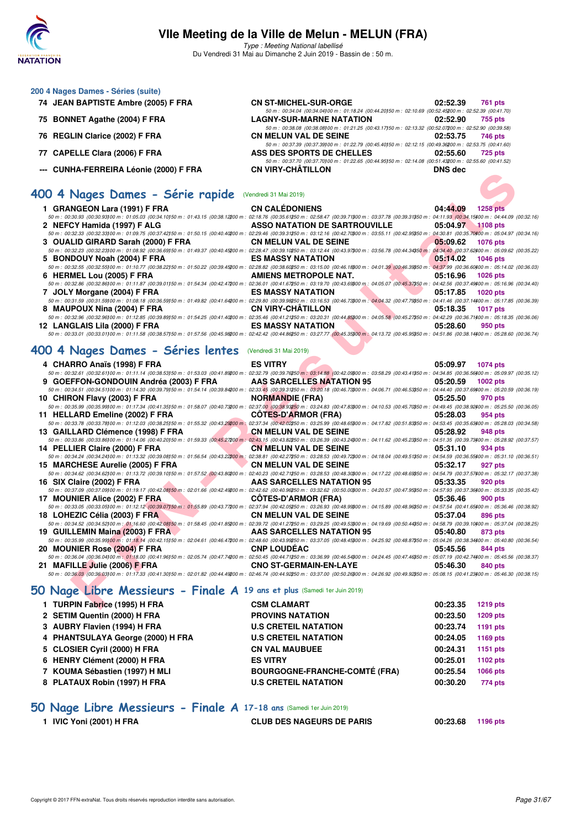

Type : Meeting National labellisé Du Vendredi 31 Mai au Dimanche 2 Juin 2019 - Bassin de : 50 m.

| 200 4 Nages Dames - Séries (suite)     |                                                                                                        |          |         |
|----------------------------------------|--------------------------------------------------------------------------------------------------------|----------|---------|
| 74 JEAN BAPTISTE Ambre (2005) F FRA    | <b>CN ST-MICHEL-SUR-ORGE</b>                                                                           | 02:52.39 | 761 pts |
|                                        | 50 m: 00:34.04 (00:34.04100 m: 01:18.24 (00:44.20150 m: 02:10.69 (00:52.45200 m: 02:52.39 (00:41.70    |          |         |
| 75 BONNET Agathe (2004) F FRA          | <b>LAGNY-SUR-MARNE NATATION</b>                                                                        | 02:52.90 | 755 pts |
|                                        | 50 m: 00:38.08 (00:38.08100 m: 01:21.25 (00:43.17150 m: 02:13.32 (00:52.07200 m: 02:52.90 (00:39.58)   |          |         |
| 76 REGLIN Clarice (2002) F FRA         | <b>CN MELUN VAL DE SEINE</b>                                                                           | 02:53.75 | 746 pts |
|                                        | 50 m: 00:37.39 (00:37.39) 00 m: 01:22.79 (00:45.40) 50 m: 02:12.15 (00:49.36200 m: 02:53.75 (00:41.60) |          |         |
| 77 CAPELLE Clara (2006) F FRA          | ASS DES SPORTS DE CHELLES                                                                              | 02:55.60 | 725 pts |
|                                        | 50 m: 00:37.70 (00:37.70) 00 m: 01:22.65 (00:44.95) 50 m: 02:14.08 (00:51.43200 m: 02:55.60 (00:41.52) |          |         |
| --- CUNHA-FERREIRA Léonie (2000) F FRA | <b>CN VIRY-CHÂTILLON</b>                                                                               | DNS dec  |         |
|                                        |                                                                                                        |          |         |

## **[400 4 Nages Dames - Série rapide](http://www.ffnatation.fr/webffn/resultats.php?idact=nat&go=epr&idcpt=57771&idepr=42)** (Vendredi 31 Mai 2019)

| 1 GRANGEON Lara (1991) F FRA                                                                                                                                                                                             | <b>CN CALÉDONIENS</b>         | 04:44.09 | <b>1258 pts</b>   |  |
|--------------------------------------------------------------------------------------------------------------------------------------------------------------------------------------------------------------------------|-------------------------------|----------|-------------------|--|
| 50 m : 00:30.93 (00:30.93100 m : 01:05.03 (00:34.10150 m : 01:43.15 (00:38.12200 m : 02:18.76 (00:35.61250 m : 02:58.47 (00:39.71300 m : 03:37.78 (00:39.31350 m : 04:11.93 (00:34.15400 m : 04:44.09 (00:32.16)         |                               |          |                   |  |
| 2 NEFCY Hamida (1997) F ALG                                                                                                                                                                                              | ASSO NATATION DE SARTROUVILLE |          | 05:04.97 1108 pts |  |
| 50 m : 00:32.33 (00:32.33)00 m : 01:09.75 (00:37.42)50 m : 01:50.15 (00:40.40200 m : 02:29.46 (00:39.31250 m : 03:12.16 (00:42.7000 m : 03:55.11 (00:42.95050 m : 04:30.81 (00:35.70)00 m : 05:04.97 (00:34.16)          |                               |          |                   |  |
| 3 OUALID GIRARD Sarah (2000) F FRA                                                                                                                                                                                       | <b>CN MELUN VAL DE SEINE</b>  | 05:09.62 | <b>1076 pts</b>   |  |
| 50 m : 00:32.23 (00:32.23 00 m : 01:08.92 (00:36.69) 50 m : 01:49.37 (00:40.45200 m : 02:28.47 (00:39.10250 m : 03:12.44 (00:43.97\$00 m : 03:56.78 (00:44.34350 m : 04:34.40 (00:37.62400 m : 05:09.62 (00:35.22)       |                               |          |                   |  |
| 5 BONDOUY Noah (2004) F FRA                                                                                                                                                                                              | <b>ES MASSY NATATION</b>      |          | 05:14.02 1046 pts |  |
| 50 m : 00:32.55 (00:32.55)00 m : 01:10.77 (00:38.22)50 m : 01:50.22 (00:39.45200 m : 02:28.82 (00:38.60250 m : 03:15.00 (00:46.1800 m : 04:01.39 (00:46.39350 m : 04:37.99 (00:36.60400 m : 05:14.02 (00:36.03)          |                               |          |                   |  |
| 6 HERMEL Lou (2005) F FRA                                                                                                                                                                                                | AMIENS METROPOLE NAT.         | 05:16.96 | $1026$ pts        |  |
| 50 m : 00:32.86 (00:32.86)00 m : 01:11.87 (00:39.01150 m : 01:54.34 (00:42.47200 m : 02:36.01 (00:41.67250 m : 03:19.70 (00:43.6300 m : 04:05.07 (00:45.37350 m : 04:42.56 (00:37.49400 m : 05:16.96 (00:34.40)          |                               |          |                   |  |
| 7 JOLY Morgane (2004) F FRA                                                                                                                                                                                              | <b>ES MASSY NATATION</b>      | 05:17.85 | <b>1020 pts</b>   |  |
| 50 m : 00:31.59 (00:31.59)00 m : 01:08.18 (00:36.59)50 m : 01:49.82 (00:41.64200 m : 02:29.80 (00:39.98250 m : 03:16.53 (00:46.7300 m : 04:04.32 (00:47.79350 m : 04:14.46 (00:37.14400 m : 05:17.85 (00:36.39)          |                               |          |                   |  |
| 8 MAUPOUX Nina (2004) F FRA                                                                                                                                                                                              | <b>CN VIRY-CHÂTILLON</b>      | 05:18.35 | <b>1017 pts</b>   |  |
| 50 m : 00:32.96 (00:32.96100 m : 01:12.85 (00:39.89150 m : 01:54.25 (00:41.40200 m : 02:35.46 (00:41.21250 m : 03:20.31 (00:44.85300 m : 04:05.58 (00:45.27350 m : 04:42.29 (00:36.71400 m : 05:18.35 (00:36.06)         |                               |          |                   |  |
| 12 LANGLAIS Lila (2000) F FRA                                                                                                                                                                                            | <b>ES MASSY NATATION</b>      | 05:28.60 | 950 pts           |  |
| 50 50 50 50 50 60.33.01 (00:33.01100 m : 01:11.58 (00:38.57150 m : 01:57.56 (00:45.98200 m : 02:42.42 (00:44.86250 m : 03:27.77 (00:45.35300 m : 04:13.72 (00:45.95350 m : 04:51.86 (00:38.14400 m : 05:28.60 (00:36.74) |                               |          |                   |  |
|                                                                                                                                                                                                                          |                               |          |                   |  |

## **[400 4 Nages Dames - Séries lentes](http://www.ffnatation.fr/webffn/resultats.php?idact=nat&go=epr&idcpt=57771&idepr=42)** (Vendredi 31 Mai 2019)

| -- CONTA-FERREIRA LEGIIE (2000) F FRA                                                                                                                                                                                                                        | <b>VIRT-VIIMILLUN</b>                | <b>DIAS AGC</b> |                 |
|--------------------------------------------------------------------------------------------------------------------------------------------------------------------------------------------------------------------------------------------------------------|--------------------------------------|-----------------|-----------------|
|                                                                                                                                                                                                                                                              |                                      |                 |                 |
| 100 4 Nages Dames - Série rapide (Vendredi 31 Mai 2019)                                                                                                                                                                                                      |                                      |                 |                 |
|                                                                                                                                                                                                                                                              |                                      |                 |                 |
| 1 GRANGEON Lara (1991) F FRA                                                                                                                                                                                                                                 | <b>CN CALÉDONIENS</b>                | 04:44.09        | <b>1258 pts</b> |
| 50 m : 00:30.93 (00:30.93)00 m : 01:05.03 (00:34.10)50 m : 01:43.15 (00:38.12200 m : 02:18.76 (00:35.61250 m : 02:58.47 (00:39.71300 m : 03:37.78 (00:39.31350 m : 04:11.93 (00:34.15)00 m : 04:44.09 (00:32.16)                                             |                                      |                 |                 |
| 2 NEFCY Hamida (1997) F ALG                                                                                                                                                                                                                                  | <b>ASSO NATATION DE SARTROUVILLE</b> | 05:04.97        | <b>1108 pts</b> |
| 50 m : 00:32.33 (00:32.33)00 m : 01:09.75 (00:37.42)50 m : 01:50.15 (00:40.40200 m : 02:29.46 (00:39.31250 m : 03:12.16 (00:42.7000 m : 03:55.11 (00:42.95350 m : 04:30.81 (00:35.70400 m : 05:04.97 (00:34.16)                                              |                                      |                 |                 |
| 3 OUALID GIRARD Sarah (2000) F FRA                                                                                                                                                                                                                           | <b>CN MELUN VAL DE SEINE</b>         | 05:09.62        | <b>1076 pts</b> |
| 50 m : 00:32.23 (00:32.23) 00 m : 01:08.92 (00:36.69) 50 m : 01:49.37 (00:40.45200 m : 02:28.47 (00:33.10250 m : 03:12.44 (00:43.97300 m : 03:56.78 (00:44.34350 m : 04:34.40 (00:37.62400 m : 05:09.62 (00:37.528)                                          |                                      |                 |                 |
| 5 BONDOUY Noah (2004) F FRA<br>50 m : 00:32.55 (00:32.55)00 m : 01:10.77 (00:38.22)50 m : 01:50.22 (00:39.45200 m : 02:28.82 (00:38.60250 m : 03:15.00 (00:46.18300 m : 04:01.39 (00:46.39350 m : 04:37.99 (00:36.60400 m : 05:14.02 (00:36.03)              | <b>ES MASSY NATATION</b>             | 05:14.02        | <b>1046 pts</b> |
| 6 HERMEL Lou (2005) F FRA                                                                                                                                                                                                                                    | AMIENS METROPOLE NAT.                | 05:16.96        | <b>1026 pts</b> |
| $50\,m:\,00.32.86\,\,(00.32.86) \,00\,m:\,01:11.87\,\,(00.39.01) \,50\,m:\,01.54.34\,\,(00.42.47200\,m:\,02.36.01\,\,(00.41.67250\,m:\,03:19.70\,\,(00.43.63300\,m:\,04.05.07\,\,(00.45.37350\,m:\,04.42.56\,\,(00.37.49400\,m:\,05.16.96\,\,(00.44.40)\$    |                                      |                 |                 |
| 7 JOLY Morgane (2004) F FRA                                                                                                                                                                                                                                  | <b>ES MASSY NATATION</b>             | 05:17.85        | <b>1020 pts</b> |
| 50 m : 00:31.59 (00:31.59)00 m : 01:08.18 (00:36.59)50 m : 01:49.82 (00:41.64200 m : 02:29.80 (00:39.98250 m : 03:16.53 (00:46.73300 m : 04:04.32 (00:47.73350 m : 04:41.46 (00:37.14300 m : 05:17.85 (00:36.39)                                             |                                      |                 |                 |
| 8 MAUPOUX Nina (2004) F FRA                                                                                                                                                                                                                                  | <b>CN VIRY-CHATILLON</b>             | 05:18.35        | <b>1017 pts</b> |
| 50 m : 00:32.96 (00:32.96)00 m : 01:12.85 (00:39.89)50 m : 01:54.25 (00:41.40200 m : 02:35.46 (00:41.21250 m : 03:20.31 (00:44.85200 m : 04:05.58 (00:45.27350 m : 04:42.29 (00:36.71400 m : 05:18.35 (00:36.06)                                             |                                      |                 |                 |
| 12 LANGLAIS Lila (2000) F FRA                                                                                                                                                                                                                                | <b>ES MASSY NATATION</b>             | 05:28.60        | 950 pts         |
| 50 m : 00:33.01 (00:33.01100 m : 01:11.58 (00:38.57)50 m : 01:57.56 (00:45.98200 m : 02:42.42 (00:44.86250 m : 03:27.77 (00:45.35200 m : 04:13.72 (00:45.95350 m : 04:51.86 (00:38.14)00 m : 05:28.60 (00:36.74)                                             |                                      |                 |                 |
|                                                                                                                                                                                                                                                              |                                      |                 |                 |
| 100 4 Nages Dames - Séries lentes (Vendredi 31 Mai 2019)                                                                                                                                                                                                     |                                      |                 |                 |
|                                                                                                                                                                                                                                                              |                                      |                 |                 |
| 4 CHARRO Anaïs (1998) F FRA<br>50 m : 00:32.61 (00:32.61)00 m : 01:11.14 (00:38.53150 m : 01:53.03 (00:41.89200 m : 02:32.79 (00:39.76250 m : 03:14.88 (00:42.09300 m : 03:58.29 (00:43.41350 m : 04:34.85 (00:36.56400 m : 05:09.97 (00:35.12)              | <b>ES VITRY</b>                      | 05:09.97        | <b>1074 pts</b> |
| 9 GOEFFON-GONDOUIN Andréa (2003) F FRA                                                                                                                                                                                                                       | <b>AAS SARCELLES NATATION 95</b>     | 05:20.59        | <b>1002 pts</b> |
| 50 m : 00:34.51 (00:34.51)00 m : 01:14.30 (00:39.79150 m : 01:54.14 (00:39.84200 m : 02:33.45 (00:39.31250 m : 03:20.18 (00:46.73300 m : 04:06.71 (00:46.53350 m : 04:44.40 (00:37.69400 m : 05:20.59 (00:36.19)                                             |                                      |                 |                 |
| 10 CHIRON Flavy (2003) F FRA                                                                                                                                                                                                                                 | <b>NORMANDIE (FRA)</b>               | 05:25.50        | 970 pts         |
| $50\,m:\,00.35.99\,(00.35.99)\\ 00\,m:\,01.17.34\,\,(00.41.35)\\ 50\,m:\,01.58.07\,\,(00.40.73200\,m:\,02.37.00\,\,(00.38.93250\,m:\,03.24.83\,\,(00.47.83300\,m:\,04.10.53\,\,(00.45.70350\,m:\,04.49.45\,\,(00.38.92400\,m:\,05.25.50\,\,(00.36.05)\,$     |                                      |                 |                 |
| 11 HELLARD Emeline (2002) F FRA                                                                                                                                                                                                                              | <b>COTES-D'ARMOR (FRA)</b>           | 05:28.03        | 954 pts         |
| 50 m : 00:33.78 (00:33.78)00 m : 01:12.03 (00:38.25)50 m : 01:55.32 (00:43.29200 m : 02:37.34 (00:42.02250 m : 03:25.99 (00:48.6500 m : 04:17.82 (00:51.83350 m : 04:53.45 (00:35.63400 m : 05:28.03 (00:34.58)                                              |                                      |                 |                 |
| 13 GAILLARD Clémence (1998) F FRA                                                                                                                                                                                                                            | <b>CN MELUN VAL DE SEINE</b>         | 05:28.92        | 948 pts         |
| $50\,m:\,00.33.86\,\,(00.33.86) \,00\,m:\,01.14.06\,\,(00.40.20) \,50\,m:\,01.59.33\,\,(00.45.27200\,m:\,02.43.15\,\,(00.43.82250\,m:\,03.26.39\,\,(00.43.24900\,m:\,04.11.62\,\,(00.45.23950\,m:\,04.51.35\,\,(00.39.73400\,m:\,05.28.92\,\,(00.37.57)\$    |                                      |                 |                 |
| 14 PELLIER Claire (2000) F FRA                                                                                                                                                                                                                               | <b>CN MELUN VAL DE SEINE</b>         | 05:31.10        | 934 pts         |
| 50 m : 00:34.24 (00:34.24)00 m : 01:13.32 (00:39.08)50 m : 01:56.54 (00:43.22200 m : 02:38.81 (00:42.27250 m : 03:28.53 (00:49.72300 m : 04:18.04 (00:49.51350 m : 04:54.59 (00:36.55400 m : 05:31.10 (00:36.51)                                             |                                      |                 |                 |
| 15 MARCHESE Aurelie (2005) F FRA                                                                                                                                                                                                                             | <b>CN MELUN VAL DE SEINE</b>         | 05:32.17        | 927 pts         |
| $50\,m:\,00.34.62\,(00.34.62)\\ 00\,m:\,01.13.72\,\,(00.39.10)\\ 50\,m:\,01.57.52\,\,(00.43.80\\ 200\,m:\,02.40.23\,\,(00.42.71\\ 250\,m:\,03.28.53\,\,(00.48.30\\ 900\,m:\,04.17.22\,\,(00.48.63\\ 950\,m:\,04.54.79\,\,(00.37.57\\ 900\,m:\,01.54.22\,\,($ |                                      |                 |                 |
| 16 SIX Claire (2002) F FRA                                                                                                                                                                                                                                   | <b>AAS SARCELLES NATATION 95</b>     | 05:33.35        | 920 pts         |
| $50\,m:\,00.37.09\,\,(00.37.09) \,00\,m:\,01.19.17\,\,(00.42.08) \,50\,m:\,02.01.66\,\,(00.42.49200\,m:\,02.42.62\,\,(00.40.96250\,m:\,03.32.62\,\,(00.50.00300\,m:\,04.20.57\,\,(00.47.95350\,m:\,04.57.93\,\,(00.37.36400\,m:\,05.33.35\,\,(00.35.42)$     |                                      |                 |                 |
| 17 MOUNIER Alice (2002) F FRA                                                                                                                                                                                                                                | <b>COTES-D'ARMOR (FRA)</b>           | 05:36.46        | 900 pts         |
| $50\,m:\,00.33.05\,\,(00.33.05\,00\,m:\,01.12.12\,\,(00.39.07)\,\,50\,m:\,01.55.89\,\,(00.43.772\,00\,m:\,02.37.94\,\,(00.42.052\,50\,m:\,03.26.93\,\,(00.48.939\,00\,m:\,04.15.89\,\,(00.48.963\,50\,m:\,04.57.54\,\,(00.41.654\,00\,m:\,05.36.46\,\,($     |                                      |                 |                 |
| 18 LOHEZIC Célia (2003) F FRA                                                                                                                                                                                                                                | <b>CN MELUN VAL DE SEINE</b>         | 05:37.04        | 896 pts         |
| 50 m : 00:34.52 (00:34.52)00 m : 01:16.60 (00:42.08)50 m : 01:58.45 (00:41.85200 m : 02:39.72 (00:41.27250 m : 03:29.25 (00:49.5300 m : 04:19.69 (00:50.44350 m : 04:58.79 (00:39.10400 m : 05:37.04 (00:38.25)                                              |                                      |                 |                 |
| 19 GUILLEMIN Maina (2003) F FRA<br>50 m : 00:35.99 (00:35.99)00 m : 01:18.14 (00:42.15150 m : 02:04.61 (00:46.47200 m : 02:48.60 (00:43.99250 m : 03:37.05 (00:48.45)00 m : 04:25.92 (00:48.87)50 m : 05:04.26 (00:38.34400 m : 05:40.80 (00:36.54)          | AAS SARCELLES NATATION 95            | 05:40.80        | 873 pts         |
|                                                                                                                                                                                                                                                              | <b>CNP LOUDEAC</b>                   |                 |                 |
| 20 MOUNIER Rose (2004) F FRA<br>50 m : 00:36.04 (00:36.04100 m : 01:18.00 (00:41.96)50 m : 02:05.74 (00:47.74200 m : 02:50.45 (00:44.71250 m : 03:36.99 (00:46.54300 m : 04:24.45 (00:47.46350 m : 05:07.19 (00:42.74400 m : 05:45.56 (00:38.37)             |                                      | 05:45.56        | 844 pts         |
| 21 MAFILLE Julie (2006) F FRA                                                                                                                                                                                                                                | <b>CNO ST-GERMAIN-EN-LAYE</b>        | 05:46.30        | 840 pts         |
| 50 m : 00:36.03 (00:36.03100 m : 01:17.33 (00:41.30150 m : 02:01.82 (00:44.49200 m : 02:46.74 (00:44.92250 m : 03:37.00 (00:50.26)00 m : 04:26.92 (00:49.92)50 m : 05:08.15 (00:41.23)00 m : 05:08.15                                                        |                                      |                 |                 |
|                                                                                                                                                                                                                                                              |                                      |                 |                 |
| <b>iO Nage Libre Messieurs - Finale A 19 ans et plus (Samedi 1er Juin 2019)</b>                                                                                                                                                                              |                                      |                 |                 |
|                                                                                                                                                                                                                                                              |                                      |                 |                 |
| 1 TURPIN Fabrice (1995) H FRA                                                                                                                                                                                                                                | <b>CSM CLAMART</b>                   | 00:23.35        | <b>1219 pts</b> |

## **[50 Nage Libre Messieurs - Finale A](http://www.ffnatation.fr/webffn/resultats.php?idact=nat&go=epr&idcpt=57771&idepr=51) 19 ans et plus** (Samedi 1er Juin 2019)

| 1 TURPIN Fabrice (1995) H FRA     | <b>CSM CLAMART</b>                   | 00:23.35 | <b>1219 pts</b> |
|-----------------------------------|--------------------------------------|----------|-----------------|
| 2 SETIM Quentin (2000) H FRA      | <b>PROVINS NATATION</b>              | 00:23.50 | <b>1209 pts</b> |
| 3 AUBRY Flavien (1994) H FRA      | <b>U.S CRETEIL NATATION</b>          | 00:23.74 | 1191 pts        |
| 4 PHANTSULAYA George (2000) H FRA | <b>U.S CRETEIL NATATION</b>          | 00:24.05 | 1169 pts        |
| 5 CLOSIER Cyril (2000) H FRA      | <b>CN VAL MAUBUEE</b>                | 00:24.31 | 1151 pts        |
| 6 HENRY Clément (2000) H FRA      | <b>ES VITRY</b>                      | 00:25.01 | 1102 pts        |
| 7 KOUMA Sébastien (1997) H MLI    | <b>BOURGOGNE-FRANCHE-COMTÉ (FRA)</b> | 00:25.54 | <b>1066 pts</b> |
| 8 PLATAUX Robin (1997) H FRA      | <b>U.S CRETEIL NATATION</b>          | 00:30.20 | 774 pts         |
|                                   |                                      |          |                 |

## **[50 Nage Libre Messieurs - Finale A](http://www.ffnatation.fr/webffn/resultats.php?idact=nat&go=epr&idcpt=57771&idepr=51) 17-18 ans** (Samedi 1er Juin 2019)

**1 IVIC Yoni (2001) H FRA CLUB DES NAGEURS DE PARIS 00:23.68 1196 pts**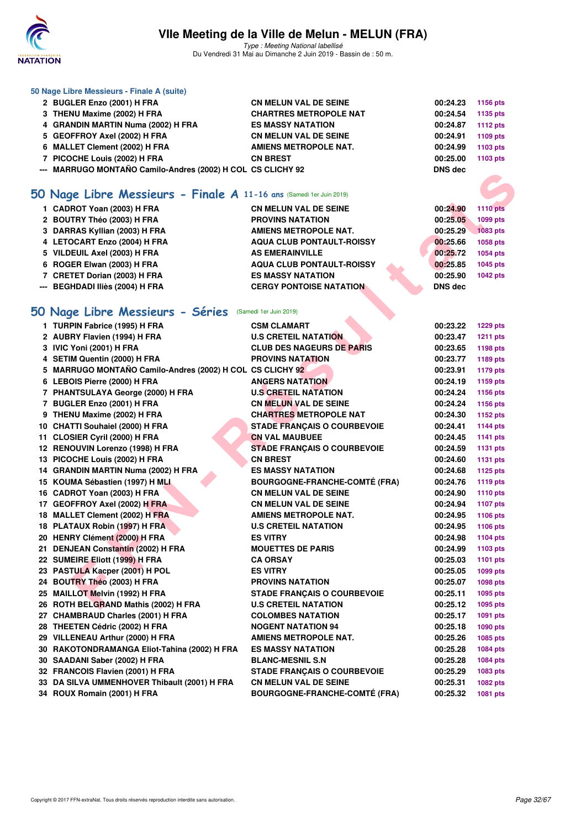

Type : Meeting National labellisé Du Vendredi 31 Mai au Dimanche 2 Juin 2019 - Bassin de : 50 m.

|    | 50 Nage Libre Messieurs - Finale A (suite)                          |                                      |                |                 |
|----|---------------------------------------------------------------------|--------------------------------------|----------------|-----------------|
|    | 2 BUGLER Enzo (2001) H FRA                                          | <b>CN MELUN VAL DE SEINE</b>         | 00:24.23       | 1156 pts        |
|    | 3 THENU Maxime (2002) H FRA                                         | <b>CHARTRES METROPOLE NAT</b>        | 00:24.54       | 1135 pts        |
|    | 4 GRANDIN MARTIN Numa (2002) H FRA                                  | <b>ES MASSY NATATION</b>             | 00:24.87       | <b>1112 pts</b> |
|    | 5 GEOFFROY Axel (2002) H FRA                                        | <b>CN MELUN VAL DE SEINE</b>         | 00:24.91       | 1109 pts        |
|    | 6 MALLET Clement (2002) H FRA                                       | <b>AMIENS METROPOLE NAT.</b>         | 00:24.99       | 1103 pts        |
|    | 7 PICOCHE Louis (2002) H FRA                                        | <b>CN BREST</b>                      | 00:25.00       | 1103 pts        |
|    | --- MARRUGO MONTAÑO Camilo-Andres (2002) H COL CS CLICHY 92         |                                      | <b>DNS dec</b> |                 |
|    |                                                                     |                                      |                |                 |
|    | 50 Nage Libre Messieurs - Finale A 11-16 ans (Samedi 1er Juin 2019) |                                      |                |                 |
|    | 1 CADROT Yoan (2003) H FRA                                          | <b>CN MELUN VAL DE SEINE</b>         | 00:24.90       | <b>1110 pts</b> |
|    | 2 BOUTRY Théo (2003) H FRA                                          | <b>PROVINS NATATION</b>              | 00:25.05       | 1099 pts        |
|    | 3 DARRAS Kyllian (2003) H FRA                                       | <b>AMIENS METROPOLE NAT.</b>         | 00:25.29       | <b>1083 pts</b> |
|    | 4 LETOCART Enzo (2004) H FRA                                        | <b>AQUA CLUB PONTAULT-ROISSY</b>     | 00:25.66       | 1058 pts        |
|    |                                                                     |                                      |                |                 |
|    | 5 VILDEUIL Axel (2003) H FRA                                        | <b>AS EMERAINVILLE</b>               | 00:25.72       | 1054 pts        |
|    | 6 ROGER Elwan (2003) H FRA                                          | <b>AQUA CLUB PONTAULT-ROISSY</b>     | 00:25.85       | 1045 pts        |
|    | 7 CRETET Dorian (2003) H FRA                                        | <b>ES MASSY NATATION</b>             | 00:25.90       | <b>1042 pts</b> |
|    | --- BEGHDADI Iliès (2004) H FRA                                     | <b>CERGY PONTOISE NATATION</b>       | DNS dec        |                 |
|    |                                                                     |                                      |                |                 |
|    | 50 Nage Libre Messieurs - Séries (Samedi 1er Juin 2019)             |                                      |                |                 |
|    | 1 TURPIN Fabrice (1995) H FRA                                       | <b>CSM CLAMART</b>                   | 00:23.22       | <b>1229 pts</b> |
|    | 2 AUBRY Flavien (1994) H FRA                                        | <b>U.S CRETEIL NATATION</b>          | 00:23.47       | <b>1211 pts</b> |
|    | 3 IVIC Yoni (2001) H FRA                                            | <b>CLUB DES NAGEURS DE PARIS</b>     | 00:23.65       | 1198 pts        |
|    | 4 SETIM Quentin (2000) H FRA                                        | <b>PROVINS NATATION</b>              | 00:23.77       | 1189 pts        |
|    | 5 MARRUGO MONTAÑO Camilo-Andres (2002) H COL CS CLICHY 92           |                                      | 00:23.91       | <b>1179 pts</b> |
|    | 6 LEBOIS Pierre (2000) H FRA                                        | <b>ANGERS NATATION</b>               | 00:24.19       | 1159 pts        |
|    | 7 PHANTSULAYA George (2000) H FRA                                   | <b>U.S CRETEIL NATATION</b>          | 00:24.24       | 1156 pts        |
|    | 7 BUGLER Enzo (2001) H FRA                                          | <b>CN MELUN VAL DE SEINE</b>         | 00:24.24       | 1156 pts        |
|    | 9 THENU Maxime (2002) H FRA                                         | <b>CHARTRES METROPOLE NAT</b>        | 00:24.30       | 1152 pts        |
|    | 10 CHATTI Souhaiel (2000) H FRA                                     | <b>STADE FRANÇAIS O COURBEVOIE</b>   | 00:24.41       | <b>1144 pts</b> |
|    | 11 CLOSIER Cyril (2000) H FRA                                       | <b>CN VAL MAUBUEE</b>                | 00:24.45       | <b>1141 pts</b> |
|    | 12 RENOUVIN Lorenzo (1998) H FRA                                    | <b>STADE FRANÇAIS O COURBEVOIE</b>   | 00:24.59       | 1131 pts        |
|    | 13 PICOCHE Louis (2002) H FRA                                       | <b>CN BREST</b>                      | 00:24.60       | 1131 pts        |
|    | 14 GRANDIN MARTIN Numa (2002) H FRA                                 | <b>ES MASSY NATATION</b>             | 00:24.68       | 1125 pts        |
|    | 15 KOUMA Sébastien (1997) H MLI                                     | <b>BOURGOGNE-FRANCHE-COMTÉ (FRA)</b> | 00:24.76       | <b>1119 pts</b> |
|    | 16 CADROT Yoan (2003) H FRA                                         | <b>CN MELUN VAL DE SEINE</b>         | 00:24.90       | 1110 pts        |
|    | 17 GEOFFROY Axel (2002) H FRA                                       | <b>CN MELUN VAL DE SEINE</b>         | 00:24.94       | <b>1107 pts</b> |
|    | 18 MALLET Clement (2002) H FRA                                      | <b>AMIENS METROPOLE NAT.</b>         | 00:24.95       | 1106 pts        |
|    | 18 PLATAUX Robin (1997) H FRA                                       | <b>U.S CRETEIL NATATION</b>          | 00:24.95       | 1106 pts        |
|    | 20 HENRY Clément (2000) H FRA                                       | <b>ES VITRY</b>                      | 00:24.98       | <b>1104 pts</b> |
| 21 | <b>DENJEAN Constantin (2002) H FRA</b>                              | <b>MOUETTES DE PARIS</b>             | 00:24.99       | 1103 pts        |
|    | 22 SUMEIRE Eliott (1999) H FRA                                      | <b>CA ORSAY</b>                      | 00:25.03       | <b>1101 pts</b> |
|    | 23 PASTULA Kacper (2001) H POL                                      | <b>ES VITRY</b>                      | 00:25.05       | 1099 pts        |
|    | 24 BOUTRY Théo (2003) H FRA                                         | <b>PROVINS NATATION</b>              | 00:25.07       | 1098 pts        |
|    | 25 MAILLOT Melvin (1992) H FRA                                      | <b>STADE FRANÇAIS O COURBEVOIE</b>   | 00:25.11       | 1095 pts        |
|    | 26 ROTH BELGRAND Mathis (2002) H FRA                                | <b>U.S CRETEIL NATATION</b>          | 00:25.12       | 1095 pts        |
|    | 27 CHAMBRAUD Charles (2001) H FRA                                   | <b>COLOMBES NATATION</b>             | 00:25.17       | 1091 pts        |
|    | 28 THEETEN Cédric (2002) H FRA                                      | <b>NOGENT NATATION 94</b>            | 00:25.18       | 1090 pts        |
|    | 29 VILLENEAU Arthur (2000) H FRA                                    | <b>AMIENS METROPOLE NAT.</b>         | 00:25.26       | 1085 pts        |
|    | 30 RAKOTONDRAMANGA Eliot-Tahina (2002) H FRA                        | <b>ES MASSY NATATION</b>             | 00:25.28       | 1084 pts        |
|    | 30 SAADANI Saber (2002) H FRA                                       | <b>BLANC-MESNIL S.N</b>              | 00:25.28       | 1084 pts        |
|    | 32 FRANCOIS Flavien (2001) H FRA                                    | <b>STADE FRANÇAIS O COURBEVOIE</b>   | 00:25.29       | 1083 pts        |
|    |                                                                     |                                      |                |                 |
|    | 33 DA SILVA UMMENHOVER Thibault (2001) H FRA                        | <b>CN MELUN VAL DE SEINE</b>         | 00:25.31       | 1082 pts        |
|    | 34 ROUX Romain (2001) H FRA                                         | <b>BOURGOGNE-FRANCHE-COMTÉ (FRA)</b> | 00:25.32       | 1081 pts        |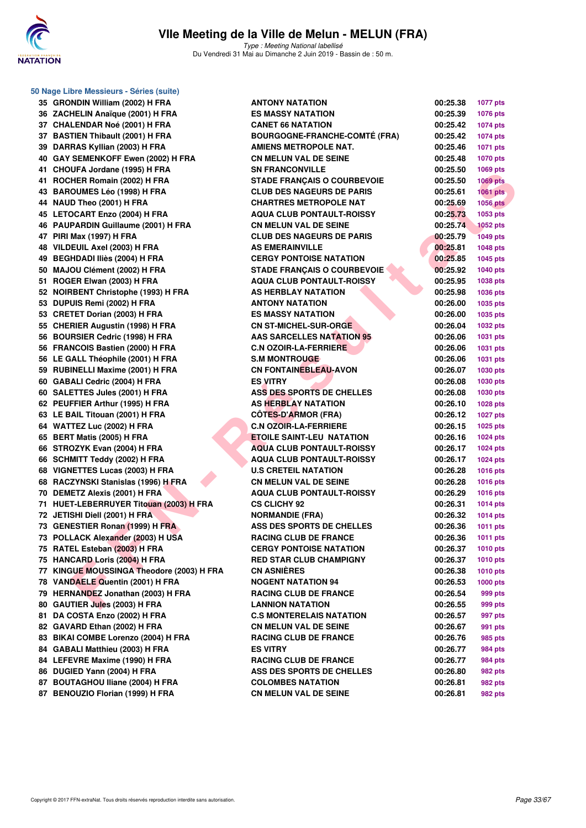

**50 Nage Libre Messieurs - Séries (suite)**

## **VIIe Meeting de la Ville de Melun - MELUN (FRA)**

Type : Meeting National labellisé Du Vendredi 31 Mai au Dimanche 2 Juin 2019 - Bassin de : 50 m.

| 35 GRONDIN William (2002) H FRA           | <b>ANTONY NATA</b>        |
|-------------------------------------------|---------------------------|
| 36 ZACHELIN Anaïque (2001) H FRA          | ES MASSY NA               |
| 37 CHALENDAR Noé (2001) H FRA             | <b>CANET 66 NA1</b>       |
| 37 BASTIEN Thibault (2001) H FRA          | <b>BOURGOGNE-</b>         |
| 39 DARRAS Kyllian (2003) H FRA            | <b>AMIENS METR</b>        |
| 40 GAY SEMENKOFF Ewen (2002) H FRA        | <b>CN MELUN VA</b>        |
| 41 CHOUFA Jordane (1995) H FRA            | <b>SN FRANCON'</b>        |
| 41 ROCHER Romain (2002) H FRA             | <b>STADE FRANC</b>        |
| 43 BAROUMES Léo (1998) H FRA              | <b>CLUB DES NA</b>        |
| 44 NAUD Theo (2001) H FRA                 | <b>CHARTRES MI</b>        |
| 45 LETOCART Enzo (2004) H FRA             | <b>AQUA CLUB P</b>        |
| 46 PAUPARDIN Guillaume (2001) H FRA       | <b>CN MELUN VA</b>        |
| 47 PIRI Max (1997) H FRA                  | <b>CLUB DES NA</b>        |
| 48 VILDEUIL Axel (2003) H FRA             | <b>AS EMERAINV</b>        |
| 49 BEGHDADI Iliès (2004) H FRA            | <b>CERGY PONT</b>         |
| 50 MAJOU Clément (2002) H FRA             | <b>STADE FRANC</b>        |
| 51 ROGER Elwan (2003) H FRA               | <b>AQUA CLUB P</b>        |
| 52 NOIRBENT Christophe (1993) H FRA       | <b>AS HERBLAY</b>         |
| 53 DUPUIS Remi (2002) H FRA               | <b>ANTONY NATA</b>        |
| 53 CRETET Dorian (2003) H FRA             | <b>ES MASSY NA</b>        |
| 55 CHERIER Augustin (1998) H FRA          | <b>CN ST-MICHEL</b>       |
| 56 BOURSIER Cedric (1998) H FRA           | <b>AAS SARCELL</b>        |
| 56 FRANCOIS Bastien (2000) H FRA          | <b>C.N OZOIR-LA</b>       |
| 56 LE GALL Théophile (2001) H FRA         | <b>S.M MONTROL</b>        |
| 59 RUBINELLI Maxime (2001) H FRA          | <b>CN FONTAINE</b>        |
| 60 GABALI Cedric (2004) H FRA             | <b>ES VITRY</b>           |
| 60 SALETTES Jules (2001) H FRA            | <b>ASS DES SPO</b>        |
| 62 PEUFFIER Arthur (1995) H FRA           | <b>AS HERBLAY</b>         |
| 63 LE BAIL Titouan (2001) H FRA           | <b>COTES-D'ARM</b>        |
| 64 WATTEZ Luc (2002) H FRA                | <b>C.N OZOIR-LA</b>       |
| 65 BERT Matis (2005) H FRA                | <b>ETOILE SAINT</b>       |
| 66 STROZYK Evan (2004) H FRA              | <b>AQUA CLUB P</b>        |
| 66 SCHMITT Teddy (2002) H FRA             | <b>AQUA CLUB P</b>        |
| 68 VIGNETTES Lucas (2003) H FRA           | <b>U.S CRETEIL N</b>      |
| 68 RACZYNSKI Stanislas (1996) H FRA       | <b>CN MELUN VA</b>        |
| 70 DEMETZ Alexis (2001) H FRA             | <b>AQUA CLUB P</b>        |
| 71 HUET-LEBERRUYER Titouan (2003) H FRA   | <b>CS CLICHY 92</b>       |
| 72 JETISHI Diell (2001) H FRA             | <b>NORMANDIE (I</b>       |
| 73 GENESTIER Ronan (1999) H FRA           | <b>ASS DES SPO</b>        |
| 73 POLLACK Alexander (2003) H USA         | <b>RACING CLUB</b>        |
| 75 RATEL Esteban (2003) H FRA             | <b>CERGY PONT</b>         |
| 75 HANCARD Loris (2004) H FRA             | <b>RED STAR CLI</b>       |
| 77 KINGUE MOUSSINGA Theodore (2003) H FRA | <b>CN ASNIÈRES</b>        |
| 78 VANDAELE Quentin (2001) H FRA          | <b>NOGENT NATA</b>        |
| 79 HERNANDEZ Jonathan (2003) H FRA        | <b>RACING CLUB</b>        |
| 80 GAUTIER Jules (2003) H FRA             | <b>LANNION NAT</b>        |
| 81 DA COSTA Enzo (2002) H FRA             | <b>C.S MONTERE</b>        |
| 82 GAVARD Ethan (2002) H FRA              | <b>CN MELUN VA</b>        |
| 83 BIKAI COMBE Lorenzo (2004) H FRA       | <b>RACING CLUB</b>        |
| 84 GABALI Matthieu (2003) H FRA           | <b>ES VITRY</b>           |
| 84 LEFEVRE Maxime (1990) H FRA            | <b>RACING CLUB</b>        |
| 86 DUGIED Yann (2004) H FRA               | <b>ASS DES SPO</b>        |
| 87 BOUTAGHOU Iliane (2004) H FRA          | <b>COLOMBES N.</b>        |
| <b>BEHAUTIA EL 11 MARCHI</b>              | . . <b>.</b> <i>. .</i> . |

| 35 GRONDIN William (2002) H FRA           | <b>ANTONY NATATION</b>               | 00:25.38 | <b>1077 pts</b> |
|-------------------------------------------|--------------------------------------|----------|-----------------|
| 36 ZACHELIN Anaïque (2001) H FRA          | <b>ES MASSY NATATION</b>             | 00:25.39 | <b>1076 pts</b> |
| 37 CHALENDAR Noé (2001) H FRA             | <b>CANET 66 NATATION</b>             | 00:25.42 | <b>1074 pts</b> |
| 37 BASTIEN Thibault (2001) H FRA          | <b>BOURGOGNE-FRANCHE-COMTÉ (FRA)</b> | 00:25.42 | <b>1074 pts</b> |
| 39 DARRAS Kyllian (2003) H FRA            | <b>AMIENS METROPOLE NAT.</b>         | 00:25.46 | <b>1071 pts</b> |
| 40 GAY SEMENKOFF Ewen (2002) H FRA        | <b>CN MELUN VAL DE SEINE</b>         | 00:25.48 | <b>1070 pts</b> |
| 41 CHOUFA Jordane (1995) H FRA            | <b>SN FRANCONVILLE</b>               | 00:25.50 | 1069 pts        |
| 41 ROCHER Romain (2002) H FRA             | <b>STADE FRANÇAIS O COURBEVOIE</b>   | 00:25.50 | <b>1069 pts</b> |
| 43 BAROUMES Léo (1998) H FRA              | <b>CLUB DES NAGEURS DE PARIS</b>     | 00:25.61 | <b>1061 pts</b> |
| 44 NAUD Theo (2001) H FRA                 | <b>CHARTRES METROPOLE NAT</b>        | 00:25.69 | <b>1056 pts</b> |
| 45 LETOCART Enzo (2004) H FRA             | <b>AQUA CLUB PONTAULT-ROISSY</b>     | 00:25.73 | 1053 pts        |
| 46 PAUPARDIN Guillaume (2001) H FRA       | <b>CN MELUN VAL DE SEINE</b>         | 00:25.74 | <b>1052 pts</b> |
| 47 PIRI Max (1997) H FRA                  | <b>CLUB DES NAGEURS DE PARIS</b>     | 00:25.79 | <b>1049 pts</b> |
|                                           | <b>AS EMERAINVILLE</b>               | 00:25.81 |                 |
| 48 VILDEUIL Axel (2003) H FRA             |                                      |          | <b>1048 pts</b> |
| 49 BEGHDADI Iliès (2004) H FRA            | <b>CERGY PONTOISE NATATION</b>       | 00:25.85 | <b>1045 pts</b> |
| 50 MAJOU Clément (2002) H FRA             | <b>STADE FRANÇAIS O COURBEVOIE</b>   | 00:25.92 | <b>1040 pts</b> |
| 51 ROGER Elwan (2003) H FRA               | <b>AQUA CLUB PONTAULT-ROISSY</b>     | 00:25.95 | 1038 pts        |
| 52 NOIRBENT Christophe (1993) H FRA       | AS HERBLAY NATATION                  | 00:25.98 | 1036 pts        |
| 53 DUPUIS Remi (2002) H FRA               | ANTONY NATATION                      | 00:26.00 | 1035 pts        |
| 53 CRETET Dorian (2003) H FRA             | <b>ES MASSY NATATION</b>             | 00:26.00 | 1035 pts        |
| 55 CHERIER Augustin (1998) H FRA          | <b>CN ST-MICHEL-SUR-ORGE</b>         | 00:26.04 | <b>1032 pts</b> |
| 56 BOURSIER Cedric (1998) H FRA           | <b>AAS SARCELLES NATATION 95</b>     | 00:26.06 | <b>1031 pts</b> |
| 56 FRANCOIS Bastien (2000) H FRA          | <b>C.N OZOIR-LA-FERRIERE</b>         | 00:26.06 | <b>1031 pts</b> |
| 56 LE GALL Théophile (2001) H FRA         | <b>S.M MONTROUGE</b>                 | 00:26.06 | <b>1031 pts</b> |
| 59 RUBINELLI Maxime (2001) H FRA          | <b>CN FONTAINEBLEAU-AVON</b>         | 00:26.07 | <b>1030 pts</b> |
| 60 GABALI Cedric (2004) H FRA             | <b>ES VITRY</b>                      | 00:26.08 | 1030 pts        |
| 60 SALETTES Jules (2001) H FRA            | <b>ASS DES SPORTS DE CHELLES</b>     | 00:26.08 | <b>1030 pts</b> |
| 62 PEUFFIER Arthur (1995) H FRA           | <b>AS HERBLAY NATATION</b>           | 00:26.10 | 1028 pts        |
| 63 LE BAIL Titouan (2001) H FRA           | <b>CÖTES-D'ARMOR (FRA)</b>           | 00:26.12 | <b>1027 pts</b> |
| 64 WATTEZ Luc (2002) H FRA                | <b>C.N OZOIR-LA-FERRIERE</b>         | 00:26.15 | 1025 pts        |
| 65 BERT Matis (2005) H FRA                | <b>ETOILE SAINT-LEU NATATION</b>     | 00:26.16 | <b>1024 pts</b> |
| 66 STROZYK Evan (2004) H FRA              | <b>AQUA CLUB PONTAULT-ROISSY</b>     | 00:26.17 | <b>1024 pts</b> |
| 66 SCHMITT Teddy (2002) H FRA             | <b>AQUA CLUB PONTAULT-ROISSY</b>     | 00:26.17 | <b>1024 pts</b> |
| 68 VIGNETTES Lucas (2003) H FRA           | <b>U.S CRETEIL NATATION</b>          | 00:26.28 | <b>1016 pts</b> |
| 68 RACZYNSKI Stanislas (1996) H FRA       | <b>CN MELUN VAL DE SEINE</b>         | 00:26.28 | <b>1016 pts</b> |
| 70 DEMETZ Alexis (2001) H FRA             | <b>AQUA CLUB PONTAULT-ROISSY</b>     | 00:26.29 | 1016 pts        |
| 71 HUET-LEBERRUYER Titouan (2003) H FRA   | <b>CS CLICHY 92</b>                  | 00:26.31 | <b>1014 pts</b> |
| 72 JETISHI Diell (2001) H FRA             | <b>NORMANDIE (FRA)</b>               | 00:26.32 | <b>1014 pts</b> |
| 73 GENESTIER Ronan (1999) H FRA           | ASS DES SPORTS DE CHELLES            | 00:26.36 | 1011 pts        |
| 73 POLLACK Alexander (2003) H USA         | <b>RACING CLUB DE FRANCE</b>         | 00:26.36 | 1011 pts        |
| 75 RATEL Esteban (2003) H FRA             | <b>CERGY PONTOISE NATATION</b>       | 00:26.37 | <b>1010 pts</b> |
| 75 HANCARD Loris (2004) H FRA             | <b>RED STAR CLUB CHAMPIGNY</b>       | 00:26.37 | 1010 pts        |
| 77 KINGUE MOUSSINGA Theodore (2003) H FRA | <b>CN ASNIÈRES</b>                   | 00:26.38 | <b>1010 pts</b> |
| 78 VANDAELE Quentin (2001) H FRA          | <b>NOGENT NATATION 94</b>            | 00:26.53 | 1000 pts        |
| 79 HERNANDEZ Jonathan (2003) H FRA        | <b>RACING CLUB DE FRANCE</b>         | 00:26.54 | 999 pts         |
| 80 GAUTIER Jules (2003) H FRA             | LANNION NATATION                     | 00:26.55 | 999 pts         |
| 81 DA COSTA Enzo (2002) H FRA             | <b>C.S MONTERELAIS NATATION</b>      | 00:26.57 | 997 pts         |
| 82 GAVARD Ethan (2002) H FRA              | <b>CN MELUN VAL DE SEINE</b>         | 00:26.67 | 991 pts         |
| 83 BIKAI COMBE Lorenzo (2004) H FRA       | <b>RACING CLUB DE FRANCE</b>         | 00:26.76 | 985 pts         |
| 84 GABALI Matthieu (2003) H FRA           | ES VITRY                             | 00:26.77 | 984 pts         |
| 84 LEFEVRE Maxime (1990) H FRA            | <b>RACING CLUB DE FRANCE</b>         | 00:26.77 | 984 pts         |
| 86 DUGIED Yann (2004) H FRA               | <b>ASS DES SPORTS DE CHELLES</b>     | 00:26.80 | 982 pts         |
| 87 BOUTAGHOU Iliane (2004) H FRA          | <b>COLOMBES NATATION</b>             | 00:26.81 | 982 pts         |
| 87 BENOUZIO Florian (1999) H FRA          | <b>CN MELUN VAL DE SEINE</b>         | 00:26.81 | 982 pts         |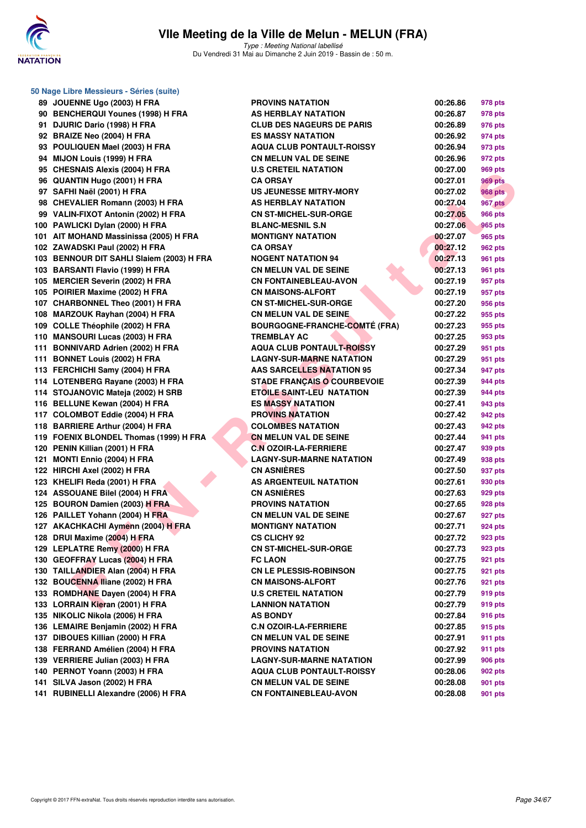

Type : Meeting National labellisé Du Vendredi 31 Mai au Dimanche 2 Juin 2019 - Bassin de : 50 m.

|     | 50 Nage Libre Messieurs - Séries (suite)  |        |
|-----|-------------------------------------------|--------|
| 89. | JOUENNE Ugo (2003) H FRA                  | P      |
|     | 90 BENCHERQUI Younes (1998) H FRA         | A      |
| 91  | DJURIC Dario (1998) H FRA                 | C      |
|     | 92 BRAIZE Neo (2004) H FRA                | E      |
|     | 93 POULIQUEN Mael (2003) H FRA            | Α      |
| 94  | MIJON Louis (1999) H FRA                  | C      |
| 95  | <b>CHESNAIS Alexis (2004) H FRA</b>       | U      |
| 96  | <b>QUANTIN Hugo (2001) H FRA</b>          | C      |
| 97  | SAFHI Naël (2001) H FRA                   | U      |
|     | 98 CHEVALIER Romann (2003) H FRA          | A      |
|     | 99 VALIN-FIXOT Antonin (2002) H FRA       | C      |
|     | 100 PAWLICKI Dylan (2000) H FRA           | в      |
|     | 101 AIT MOHAND Massinissa (2005) H FRA    | M      |
|     | 102 ZAWADSKI Paul (2002) H FRA            | c      |
|     | 103 BENNOUR DIT SAHLI Slaiem (2003) H FRA | Ν      |
|     | 103 BARSANTI Flavio (1999) H FRA          | C      |
|     | 105 MERCIER Severin (2002) H FRA          | C      |
|     | 105 POIRIER Maxime (2002) H FRA           | C      |
|     | 107 CHARBONNEL Theo (2001) H FRA          | c      |
|     | 108 MARZOUK Rayhan (2004) H FRA           | c      |
|     | 109 COLLE Théophile (2002) H FRA          | в      |
| 110 | <b>MANSOURI Lucas (2003) H FRA</b>        | т      |
|     | 111 BONNIVARD Adrien (2002) H FRA         | Α      |
|     | 111 BONNET Louis (2002) H FRA             | L,     |
|     |                                           |        |
|     | 113 FERCHICHI Samy (2004) H FRA           | A<br>s |
|     | 114 LOTENBERG Rayane (2003) H FRA         |        |
|     | 114 STOJANOVIC Mateja (2002) H SRB        | Е      |
|     | 116 BELLUNE Kewan (2004) H FRA            | E      |
|     | 117 COLOMBOT Eddie (2004) H FRA           | P      |
|     | 118 BARRIERE Arthur (2004) H FRA          | C      |
|     | 119 FOENIX BLONDEL Thomas (1999) H FRA    | C      |
|     | 120 PENIN Killian (2001) H FRA            | C      |
| 121 | <b>MONTI Ennio (2004) H FRA</b>           | L,     |
|     | 122 HIRCHI Axel (2002) H FRA              | C      |
|     | 123 KHELIFI Reda (2001) H FRA             | Α      |
|     | 124 ASSOUANE Bilel (2004) H FRA           | c      |
|     | 125 BOURON Damien (2003) H FRA            | Ρ      |
|     | 126 PAILLET Yohann (2004) H FRA           | C      |
|     | 127 AKACHKACHI Aymenn (2004) H FRA        | M      |
|     | 128 DRUI Maxime (2004) H FRA              | C      |
| 129 | LEPLATRE Remy (2000) H FRA                | C      |
|     | 130 GEOFFRAY Lucas (2004) H FRA           | F      |
| 130 | TAILLANDIER Alan (2004) H FRA             | C      |
|     | 132 BOUCENNA Iliane (2002) H FRA          | c      |
|     | 133 ROMDHANE Dayen (2004) H FRA           | U      |
|     | 133 LORRAIN Kieran (2001) H FRA           | L,     |
| 135 | NIKOLIC Nikola (2006) H FRA               | A      |
|     | 136 LEMAIRE Benjamin (2002) H FRA         | c      |
| 137 | DIBOUES Killian (2000) H FRA              | C      |
|     | 138 FERRAND Amélien (2004) H FRA          | P      |
|     | 139 VERRIERE Julian (2003) H FRA          | L.     |
|     | 140 PERNOT Yoann (2003) H FRA             | Α      |
|     | 141 SILVA Jason (2002) H FRA              | C      |
| 141 | RUBINELLI Alexandre (2006) H FRA          | C      |

| 89 JOUENNE Ugo (2003) H FRA               | <b>PROVINS NATATION</b>              | 00:26.86 | 978 pts        |
|-------------------------------------------|--------------------------------------|----------|----------------|
| 90 BENCHERQUI Younes (1998) H FRA         | <b>AS HERBLAY NATATION</b>           | 00:26.87 | 978 pts        |
| 91 DJURIC Dario (1998) H FRA              | <b>CLUB DES NAGEURS DE PARIS</b>     | 00:26.89 | 976 pts        |
| 92 BRAIZE Neo (2004) H FRA                | <b>ES MASSY NATATION</b>             | 00:26.92 | 974 pts        |
| 93 POULIQUEN Mael (2003) H FRA            | <b>AQUA CLUB PONTAULT-ROISSY</b>     | 00:26.94 | 973 pts        |
| 94 MIJON Louis (1999) H FRA               | <b>CN MELUN VAL DE SEINE</b>         | 00:26.96 | 972 pts        |
| 95 CHESNAIS Alexis (2004) H FRA           | <b>U.S CRETEIL NATATION</b>          | 00:27.00 | 969 pts        |
| 96 QUANTIN Hugo (2001) H FRA              | <b>CA ORSAY</b>                      | 00:27.01 | <b>969 pts</b> |
| 97 SAFHI Naël (2001) H FRA                | US JEUNESSE MITRY-MORY               | 00:27.02 | <b>968 pts</b> |
| 98 CHEVALIER Romann (2003) H FRA          | <b>AS HERBLAY NATATION</b>           | 00:27.04 | <b>967 pts</b> |
| 99 VALIN-FIXOT Antonin (2002) H FRA       | <b>CN ST-MICHEL-SUR-ORGE</b>         | 00:27.05 | 966 pts        |
| 100 PAWLICKI Dylan (2000) H FRA           | <b>BLANC-MESNIL S.N</b>              | 00:27.06 | 965 pts        |
| 101 AIT MOHAND Massinissa (2005) H FRA    | <b>MONTIGNY NATATION</b>             | 00:27.07 | 965 pts        |
| 102 ZAWADSKI Paul (2002) H FRA            | <b>CA ORSAY</b>                      | 00:27.12 | 962 pts        |
| 103 BENNOUR DIT SAHLI Slaiem (2003) H FRA | <b>NOGENT NATATION 94</b>            | 00:27.13 | 961 pts        |
| 103 BARSANTI Flavio (1999) H FRA          | <b>CN MELUN VAL DE SEINE</b>         | 00:27.13 | 961 pts        |
| 105 MERCIER Severin (2002) H FRA          | <b>CN FONTAINEBLEAU-AVON</b>         | 00:27.19 | 957 pts        |
| 105 POIRIER Maxime (2002) H FRA           | <b>CN MAISONS-ALFORT</b>             | 00:27.19 | 957 pts        |
| 107 CHARBONNEL Theo (2001) H FRA          | <b>CN ST-MICHEL-SUR-ORGE</b>         | 00:27.20 | 956 pts        |
| 108 MARZOUK Rayhan (2004) H FRA           | <b>CN MELUN VAL DE SEINE.</b>        | 00:27.22 | 955 pts        |
| 109 COLLE Théophile (2002) H FRA          | <b>BOURGOGNE-FRANCHE-COMTÉ (FRA)</b> | 00:27.23 | 955 pts        |
| 110 MANSOURI Lucas (2003) H FRA           | <b>TREMBLAY AC</b>                   | 00:27.25 | 953 pts        |
| 111 BONNIVARD Adrien (2002) H FRA         | <b>AQUA CLUB PONTAULT-ROISSY</b>     | 00:27.29 | 951 pts        |
| 111 BONNET Louis (2002) H FRA             | <b>LAGNY-SUR-MARNE NATATION</b>      | 00:27.29 | 951 pts        |
| 113 FERCHICHI Samy (2004) H FRA           | <b>AAS SARCELLES NATATION 95</b>     | 00:27.34 | 947 pts        |
| 114 LOTENBERG Rayane (2003) H FRA         | <b>STADE FRANÇAIS O COURBEVOIE</b>   | 00:27.39 | 944 pts        |
| 114 STOJANOVIC Mateja (2002) H SRB        | <b>ETOILE SAINT-LEU NATATION</b>     | 00:27.39 | 944 pts        |
| 116 BELLUNE Kewan (2004) H FRA            | <b>ES MASSY NATATION</b>             | 00:27.41 | 943 pts        |
| 117 COLOMBOT Eddie (2004) H FRA           | <b>PROVINS NATATION</b>              | 00:27.42 | 942 pts        |
| 118 BARRIERE Arthur (2004) H FRA          | <b>COLOMBES NATATION</b>             | 00:27.43 | 942 pts        |
| 119 FOENIX BLONDEL Thomas (1999) H FRA    | <b>CN MELUN VAL DE SEINE</b>         | 00:27.44 | 941 pts        |
| 120 PENIN Killian (2001) H FRA            | <b>C.N OZOIR-LA-FERRIERE</b>         | 00:27.47 | 939 pts        |
| 121 MONTI Ennio (2004) H FRA              | <b>LAGNY-SUR-MARNE NATATION</b>      | 00:27.49 | 938 pts        |
| 122 HIRCHI Axel (2002) H FRA              | <b>CN ASNIÈRES</b>                   | 00:27.50 | 937 pts        |
| 123 KHELIFI Reda (2001) H FRA             | AS ARGENTEUIL NATATION               | 00:27.61 | 930 pts        |
| 124 ASSOUANE Bilel (2004) H FRA           | <b>CN ASNIÈRES</b>                   | 00:27.63 | 929 pts        |
| 125 BOURON Damien (2003) H FRA            | <b>PROVINS NATATION</b>              | 00:27.65 | 928 pts        |
| 126 PAILLET Yohann (2004) H FRA           | <b>CN MELUN VAL DE SEINE</b>         | 00:27.67 | 927 pts        |
| 127 AKACHKACHI Aymenn (2004) H FRA        | <b>MONTIGNY NATATION</b>             | 00:27.71 | 924 pts        |
| 128 DRUI Maxime (2004) H FRA              | <b>CS CLICHY 92</b>                  | 00:27.72 | 923 pts        |
| 129 LEPLATRE Remy (2000) H FRA            | <b>CN ST-MICHEL-SUR-ORGE</b>         | 00:27.73 | 923 pts        |
| 130 GEOFFRAY Lucas (2004) H FRA           | <b>FC LAON</b>                       | 00:27.75 | 921 pts        |
| 130 TAILLANDIER Alan (2004) H FRA         | <b>CN LE PLESSIS-ROBINSON</b>        | 00:27.75 | 921 pts        |
| 132 BOUCENNA Iliane (2002) H FRA          | <b>CN MAISONS-ALFORT</b>             | 00:27.76 | 921 pts        |
| 133 ROMDHANE Dayen (2004) H FRA           | <b>U.S CRETEIL NATATION</b>          | 00:27.79 | 919 pts        |
| 133 LORRAIN Kieran (2001) H FRA           | <b>LANNION NATATION</b>              | 00:27.79 | 919 pts        |
| 135 NIKOLIC Nikola (2006) H FRA           | <b>AS BONDY</b>                      | 00:27.84 | 916 pts        |
| 136 LEMAIRE Benjamin (2002) H FRA         | <b>C.N OZOIR-LA-FERRIERE</b>         | 00:27.85 | 915 pts        |
| 137 DIBOUES Killian (2000) H FRA          | <b>CN MELUN VAL DE SEINE</b>         | 00:27.91 | 911 pts        |
| 138 FERRAND Amélien (2004) H FRA          | <b>PROVINS NATATION</b>              | 00:27.92 | 911 pts        |
| 139 VERRIERE Julian (2003) H FRA          | <b>LAGNY-SUR-MARNE NATATION</b>      | 00:27.99 | 906 pts        |
| 140 PERNOT Yoann (2003) H FRA             | <b>AQUA CLUB PONTAULT-ROISSY</b>     | 00:28.06 | 902 pts        |
| 141 SILVA Jason (2002) H FRA              | <b>CN MELUN VAL DE SEINE</b>         | 00:28.08 | 901 pts        |
| 141 RUBINELLI Alexandre (2006) H FRA      | <b>CN FONTAINEBLEAU-AVON</b>         | 00:28.08 | 901 pts        |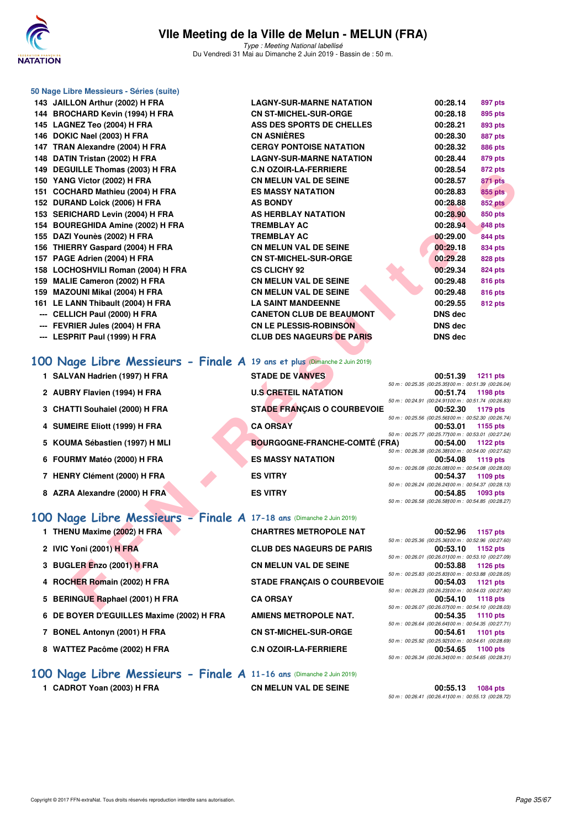

Type : Meeting National labellisé Du Vendredi 31 Mai au Dimanche 2 Juin 2019 - Bassin de : 50 m.

| 50 Nage Libre Messieurs - Séries (suite)                                  |                                                                 |                                                                                                                                      |
|---------------------------------------------------------------------------|-----------------------------------------------------------------|--------------------------------------------------------------------------------------------------------------------------------------|
| 143 JAILLON Arthur (2002) H FRA                                           | <b>LAGNY-SUR-MARNE NATATION</b>                                 | 00:28.14<br>897 pts                                                                                                                  |
| 144 BROCHARD Kevin (1994) H FRA                                           | <b>CN ST-MICHEL-SUR-ORGE</b>                                    | 00:28.18<br>895 pts                                                                                                                  |
| 145 LAGNEZ Teo (2004) H FRA                                               | ASS DES SPORTS DE CHELLES                                       | 00:28.21<br>893 pts                                                                                                                  |
| 146 DOKIC Nael (2003) H FRA                                               | <b>CN ASNIERES</b>                                              | 00:28.30<br>887 pts                                                                                                                  |
| 147 TRAN Alexandre (2004) H FRA                                           | <b>CERGY PONTOISE NATATION</b>                                  | 00:28.32<br>886 pts                                                                                                                  |
| 148 DATIN Tristan (2002) H FRA<br>149 DEGUILLE Thomas (2003) H FRA        | <b>LAGNY-SUR-MARNE NATATION</b><br><b>C.N OZOIR-LA-FERRIERE</b> | 00:28.44<br>879 pts<br>00:28.54<br>872 pts                                                                                           |
| 150 YANG Victor (2002) H FRA                                              | <b>CN MELUN VAL DE SEINE</b>                                    | 00:28.57<br>871 pts                                                                                                                  |
| 151 COCHARD Mathieu (2004) H FRA                                          | <b>ES MASSY NATATION</b>                                        | <b>855 pts</b><br>00:28.83                                                                                                           |
| 152 DURAND Loick (2006) H FRA                                             | <b>AS BONDY</b>                                                 | 00:28.88<br><b>852 pts</b>                                                                                                           |
| 153 SERICHARD Levin (2004) H FRA                                          | <b>AS HERBLAY NATATION</b>                                      | 00:28.90<br>850 pts                                                                                                                  |
| 154 BOUREGHIDA Amine (2002) H FRA                                         | <b>TREMBLAY AC</b>                                              | 00:28.94<br><b>848 pts</b>                                                                                                           |
| 155 DAZI Younès (2002) H FRA                                              | <b>TREMBLAY AC</b>                                              | 00:29.00<br>844 pts                                                                                                                  |
| 156 THIERRY Gaspard (2004) H FRA                                          | <b>CN MELUN VAL DE SEINE</b>                                    | 00:29.18<br>834 pts                                                                                                                  |
| 157 PAGE Adrien (2004) H FRA                                              | <b>CN ST-MICHEL-SUR-ORGE</b>                                    | 00:29.28<br>828 pts                                                                                                                  |
| 158 LOCHOSHVILI Roman (2004) H FRA<br>159 MALIE Cameron (2002) H FRA      | <b>CS CLICHY 92</b><br><b>CN MELUN VAL DE SEINE</b>             | 00:29.34<br>824 pts<br>00:29.48                                                                                                      |
| 159 MAZOUNI Mikal (2004) H FRA                                            | <b>CN MELUN VAL DE SEINE</b>                                    | 816 pts<br>00:29.48<br>816 pts                                                                                                       |
| 161 LE LANN Thibault (2004) H FRA                                         | <b>LA SAINT MANDEENNE</b>                                       | 00:29.55<br>812 pts                                                                                                                  |
| --- CELLICH Paul (2000) H FRA                                             | <b>CANETON CLUB DE BEAUMONT</b>                                 | DNS dec                                                                                                                              |
| <b>FEVRIER Jules (2004) H FRA</b>                                         | <b>CN LE PLESSIS-ROBINSON</b>                                   | <b>DNS dec</b>                                                                                                                       |
| --- LESPRIT Paul (1999) H FRA                                             | <b>CLUB DES NAGEURS DE PARIS</b>                                | <b>DNS dec</b>                                                                                                                       |
|                                                                           |                                                                 |                                                                                                                                      |
| 100 Nage Libre Messieurs - Finale A 19 ans et plus (Dimanche 2 Juin 2019) |                                                                 |                                                                                                                                      |
| 1 SALVAN Hadrien (1997) H FRA                                             | <b>STADE DE VANVES</b>                                          | 00:51.39<br><b>1211 pts</b>                                                                                                          |
| 2 AUBRY Flavien (1994) H FRA                                              | <b>U.S CRETEIL NATATION</b>                                     | 50 m : 00:25.35 (00:25.35) 00 m : 00:51.39 (00:26.04)<br>1198 pts<br>00:51.74                                                        |
| 3 CHATTI Souhaiel (2000) H FRA                                            | <b>STADE FRANÇAIS O COURBEVOIE</b>                              | 50 m : 00:24.91 (00:24.91100 m : 00:51.74 (00:26.83)<br>00:52.30<br>1179 pts                                                         |
| 4 SUMEIRE Eliott (1999) H FRA                                             | <b>CA ORSAY</b>                                                 | 50 m : 00:25.56 (00:25.56) 00 m : 00:52.30 (00:26.74)<br>00:53.01<br>1155 pts                                                        |
| 5 KOUMA Sébastien (1997) H MLI                                            | <b>BOURGOGNE-FRANCHE-COMTÉ (FRA)</b>                            | 50 m : 00:25.77 (00:25.77) 00 m : 00:53.01 (00:27.24)<br>00:54.00<br>1122 pts                                                        |
| 6 FOURMY Matéo (2000) H FRA                                               | <b>ES MASSY NATATION</b>                                        | 50 m : 00:26.38 (00:26.38) 00 m : 00:54.00 (00:27.62)<br>00:54.08<br>1119 pts                                                        |
|                                                                           |                                                                 | 50 m : 00:26.08 (00:26.08) 00 m : 00:54.08 (00:28.00)                                                                                |
| 7 HENRY Clément (2000) H FRA                                              | <b>ES VITRY</b>                                                 | 00:54.37<br>1109 pts                                                                                                                 |
| 8 AZRA Alexandre (2000) H FRA                                             | <b>ES VITRY</b>                                                 | 50 m : 00:26.24 (00:26.24)00 m : 00:54.37 (00:28.13)<br>00:54.85<br>1093 pts                                                         |
|                                                                           |                                                                 | 50 m : 00:26.58 (00:26.58) 00 m : 00:54.85 (00:28.27)                                                                                |
| 100 Nage Libre Messieurs - Finale A 17-18 ans (Dimanche 2 Juin 2019)      |                                                                 |                                                                                                                                      |
| 1 THENU Maxime (2002) H FRA                                               | <b>CHARTRES METROPOLE NAT</b>                                   | 00:52.96<br>1157 pts                                                                                                                 |
|                                                                           |                                                                 | 50 m : 00:25.36 (00:25.36) 00 m : 00:52.96 (00:27.60)                                                                                |
| 2 IVIC Yoni (2001) H FRA                                                  | <b>CLUB DES NAGEURS DE PARIS</b>                                | 00:53.10<br>1152 pts<br>50 m : 00:26.01 (00:26.01100 m : 00:53.10 (00:27.09)                                                         |
| 3 BUGLER Enzo (2001) H FRA                                                | <b>CN MELUN VAL DE SEINE</b>                                    | 00:53.88<br>1126 pts<br>50 m: 00:25.83 (00:25.83) 00 m: 00:53.88 (00:28.05)                                                          |
| 4 ROCHER Romain (2002) H FRA                                              | <b>STADE FRANÇAIS O COURBEVOIE</b>                              | 00:54.03<br>1121 pts<br>50 m: 00:26.23 (00:26.23)00 m: 00:54.03 (00:27.80)                                                           |
| 5 BERINGUE Raphael (2001) H FRA                                           | <b>CA ORSAY</b>                                                 | 00:54.10<br><b>1118 pts</b>                                                                                                          |
| 6 DE BOYER D'EGUILLES Maxime (2002) H FRA                                 | <b>AMIENS METROPOLE NAT.</b>                                    | 50 m : 00:26.07 (00:26.07) 00 m : 00:54.10 (00:28.03)<br>00:54.35<br><b>1110 pts</b>                                                 |
| 7 BONEL Antonyn (2001) H FRA                                              | <b>CN ST-MICHEL-SUR-ORGE</b>                                    | 50 m : 00:26.64 (00:26.64) 00 m : 00:54.35 (00:27.71)<br>00:54.61<br><b>1101 pts</b>                                                 |
| 8 WATTEZ Pacôme (2002) H FRA                                              | <b>C.N OZOIR-LA-FERRIERE</b>                                    | 50 m : 00:25.92 (00:25.92)00 m : 00:54.61 (00:28.69)<br>00:54.65<br>1100 pts<br>50 m : 00:26.34 (00:26.34)00 m : 00:54.65 (00:28.31) |
| 100 Nage Libre Messieurs - Finale A 11-16 ans (Dimanche 2 Juin 2019)      |                                                                 |                                                                                                                                      |

**1 CADROT Yoan (2003) H FRA CN MELUN VAL DE SEINE 00:55.13 1084 pts** 50 m : 00:26.41 (00:26.41)100 m : 00:55.13 (00:28.72)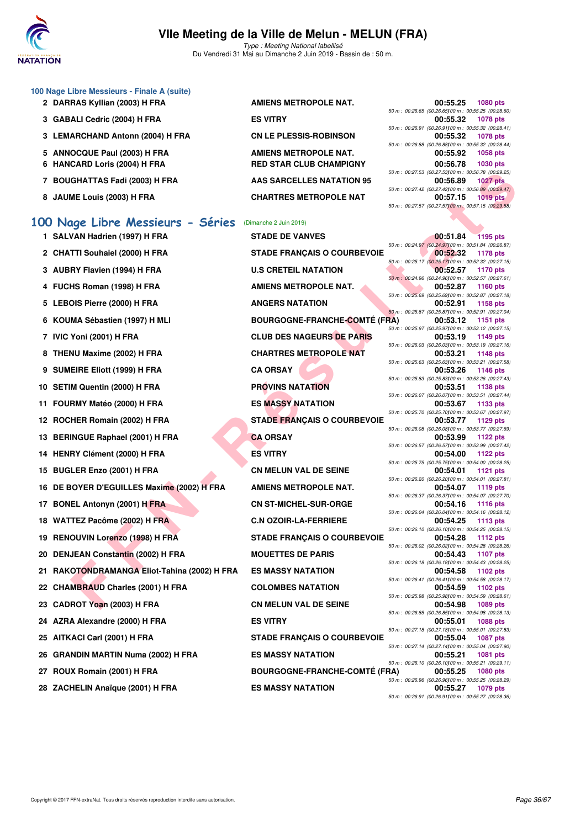

Type : Meeting National labellisé Du Vendredi 31 Mai au Dimanche 2 Juin 2019 - Bassin de : 50 m.

|   | 100 Nage Libre Messieurs - Finale A (suite)  |                                      |  |                                                                   |                 |
|---|----------------------------------------------|--------------------------------------|--|-------------------------------------------------------------------|-----------------|
|   | 2 DARRAS Kyllian (2003) H FRA                | <b>AMIENS METROPOLE NAT.</b>         |  | 00:55.25<br>50 m : 00:26.65 (00:26.65) 00 m : 00:55.25 (00:28.60) | 1080 pts        |
|   | 3 GABALI Cedric (2004) H FRA                 | <b>ES VITRY</b>                      |  | 00:55.32<br>50 m : 00:26.91 (00:26.91100 m : 00:55.32 (00:28.41)  | 1078 pts        |
|   | 3 LEMARCHAND Antonn (2004) H FRA             | <b>CN LE PLESSIS-ROBINSON</b>        |  | 00:55.32                                                          | 1078 pts        |
|   | 5 ANNOCQUE Paul (2003) H FRA                 | AMIENS METROPOLE NAT.                |  | 50 m : 00:26.88 (00:26.88) 00 m : 00:55.32 (00:28.44)<br>00:55.92 | 1058 pts        |
| 6 | <b>HANCARD Loris (2004) H FRA</b>            | <b>RED STAR CLUB CHAMPIGNY</b>       |  | 00:56.78<br>50 m : 00:27.53 (00:27.53)00 m : 00:56.78 (00:29.25)  | 1030 pts        |
|   | 7 BOUGHATTAS Fadi (2003) H FRA               | <b>AAS SARCELLES NATATION 95</b>     |  | 00:56.89                                                          | <b>1027 pts</b> |
|   | 8 JAUME Louis (2003) H FRA                   | <b>CHARTRES METROPOLE NAT</b>        |  | 50 m : 00:27.42 (00:27.42) 00 m : 00:56.89 (00:29.47)<br>00:57.15 | <b>1019 pts</b> |
|   |                                              |                                      |  | 50 m : 00:27.57 (00:27.57) 00 m : 00:57.15 (00:29.58)             |                 |
|   | 100 Nage Libre Messieurs - Séries            | (Dimanche 2 Juin 2019)               |  |                                                                   |                 |
|   | 1 SALVAN Hadrien (1997) H FRA                | <b>STADE DE VANVES</b>               |  | 00:51.84<br>50 m : 00:24.97 (00:24.97) 00 m : 00:51.84 (00:26.87) | <b>1195 pts</b> |
|   | 2 CHATTI Souhaiel (2000) H FRA               | <b>STADE FRANÇAIS O COURBEVOIE</b>   |  | 00:52.32                                                          | 1178 pts        |
|   | 3 AUBRY Flavien (1994) H FRA                 | <b>U.S CRETEIL NATATION</b>          |  | 50 m : 00:25.17 (00:25.17) 00 m : 00:52.32 (00:27.15)<br>00:52.57 | 1170 pts        |
|   | 4 FUCHS Roman (1998) H FRA                   | <b>AMIENS METROPOLE NAT.</b>         |  | 50 m: 00:24.96 (00:24.96100 m: 00:52.57 (00:27.61)<br>00:52.87    | <b>1160 pts</b> |
|   | 5 LEBOIS Pierre (2000) H FRA                 | <b>ANGERS NATATION</b>               |  | 50 m : 00:25.69 (00:25.69) 00 m : 00:52.87 (00:27.18)<br>00:52.91 | 1158 pts        |
|   | 6 KOUMA Sébastien (1997) H MLI               | <b>BOURGOGNE-FRANCHE-COMTÉ (FRA)</b> |  | 50 m : 00:25.87 (00:25.87) 00 m : 00:52.91 (00:27.04)<br>00:53.12 | 1151 pts        |
|   |                                              | <b>CLUB DES NAGEURS DE PARIS</b>     |  | 50 m : 00:25.97 (00:25.97) 00 m : 00:53.12 (00:27.15)             |                 |
|   | 7 IVIC Yoni (2001) H FRA                     |                                      |  | 00:53.19<br>50 m : 00:26.03 (00:26.03) 00 m : 00:53.19 (00:27.16) | 1149 pts        |
|   | 8 THENU Maxime (2002) H FRA                  | <b>CHARTRES METROPOLE NAT</b>        |  | 00:53.21<br>50 m : 00:25.63 (00:25.63) 00 m : 00:53.21 (00:27.58) | 1148 pts        |
| 9 | <b>SUMEIRE Eliott (1999) H FRA</b>           | <b>CA ORSAY</b>                      |  | 00:53.26<br>50 m : 00:25.83 (00:25.83) 00 m : 00:53.26 (00:27.43) | 1146 pts        |
|   | 10 SETIM Quentin (2000) H FRA                | <b>PROVINS NATATION</b>              |  | 00:53.51<br>50 m : 00:26.07 (00:26.07) 00 m : 00:53.51 (00:27.44) | 1138 pts        |
|   | 11 FOURMY Matéo (2000) H FRA                 | <b>ES MASSY NATATION</b>             |  | 00:53.67                                                          | 1133 pts        |
|   | 12 ROCHER Romain (2002) H FRA                | <b>STADE FRANÇAIS O COURBEVOIE</b>   |  | 50 m : 00:25.70 (00:25.70) 00 m : 00:53.67 (00:27.97)<br>00:53.77 | 1129 pts        |
|   | 13 BERINGUE Raphael (2001) H FRA             | <b>CA ORSAY</b>                      |  | 50 m : 00:26.08 (00:26.08)00 m : 00:53.77 (00:27.69)<br>00:53.99  | 1122 pts        |
|   | 14 HENRY Clément (2000) H FRA                | <b>ES VITRY</b>                      |  | 50 m : 00:26.57 (00:26.57) 00 m : 00:53.99 (00:27.42)<br>00:54.00 | 1122 pts        |
|   | 15 BUGLER Enzo (2001) H FRA                  | <b>CN MELUN VAL DE SEINE</b>         |  | 50 m : 00:25.75 (00:25.75) 00 m : 00:54.00 (00:28.25)             | 1121 pts        |
|   |                                              |                                      |  | 00:54.01<br>50 m: 00:26.20 (00:26.20100 m: 00:54.01 (00:27.81)    |                 |
|   | 16 DE BOYER D'EGUILLES Maxime (2002) H FRA   | <b>AMIENS METROPOLE NAT.</b>         |  | 00:54.07<br>50 m : 00:26.37 (00:26.37) 00 m : 00:54.07 (00:27.70) | 1119 pts        |
|   | 17 BONEL Antonyn (2001) H FRA                | <b>CN ST-MICHEL-SUR-ORGE</b>         |  | 00:54.16<br>50 m : 00:26.04 (00:26.04) 00 m : 00:54.16 (00:28.12) | 1116 pts        |
|   | 18 WATTEZ Pacôme (2002) H FRA                | <b>C.N OZOIR-LA-FERRIERE</b>         |  | 00:54.25<br>50 m : 00:26.10 (00:26.10) 00 m : 00:54.25 (00:28.15) | 1113 pts        |
|   | 19 RENOUVIN Lorenzo (1998) H FRA             | <b>STADE FRANÇAIS O COURBEVOIE</b>   |  | 00:54.28                                                          | <b>1112 pts</b> |
|   | 20 DENJEAN Constantin (2002) H FRA           | <b>MOUETTES DE PARIS</b>             |  | 50 m : 00:26.02 (00:26.02) 00 m : 00:54.28 (00:28.26)<br>00:54.43 | <b>1107 pts</b> |
|   | 21 RAKOTONDRAMANGA Eliot-Tahina (2002) H FRA | <b>ES MASSY NATATION</b>             |  | 50 m : 00:26.18 (00:26.18) 00 m : 00:54.43 (00:28.25)<br>00:54.58 | 1102 pts        |
|   | 22 CHAMBRAUD Charles (2001) H FRA            | <b>COLOMBES NATATION</b>             |  | 50 m : 00:26.41 (00:26.41100 m : 00:54.58 (00:28.17)<br>00:54.59  | 1102 pts        |
|   | 23 CADROT Yoan (2003) H FRA                  | <b>CN MELUN VAL DE SEINE</b>         |  | 50 m: 00:25.98 (00:25.98) 00 m: 00:54.59 (00:28.61)<br>00:54.98   | <b>1089 pts</b> |
|   |                                              |                                      |  | 50 m : 00:26.85 (00:26.85) 00 m : 00:54.98 (00:28.13)             |                 |
|   | 24 AZRA Alexandre (2000) H FRA               | <b>ES VITRY</b>                      |  | 00:55.01<br>50 m : 00:27.18 (00:27.18)00 m : 00:55.01 (00:27.83)  | <b>1088 pts</b> |
|   | 25 AITKACI Carl (2001) H FRA                 | <b>STADE FRANÇAIS O COURBEVOIE</b>   |  | 00:55.04<br>50 m : 00:27.14 (00:27.14100 m : 00:55.04 (00:27.90)  | 1087 pts        |
|   | 26 GRANDIN MARTIN Numa (2002) H FRA          | <b>ES MASSY NATATION</b>             |  | 00:55.21<br>50 m: 00:26.10 (00:26.10) 00 m: 00:55.21 (00:29.11)   | 1081 pts        |
|   | 27 ROUX Romain (2001) H FRA                  | <b>BOURGOGNE-FRANCHE-COMTÉ (FRA)</b> |  | 00:55.25                                                          | 1080 pts        |

28 ZACHELIN Anaïque (2001) H FRA ES MASSY NATATION

50 m : 00:26.96 (00:26.96)100 m : 00:55.25 (00:28.29)

50 m : 00:26.91 (00:26.91)100 m : 00:55.27 (00:28.36)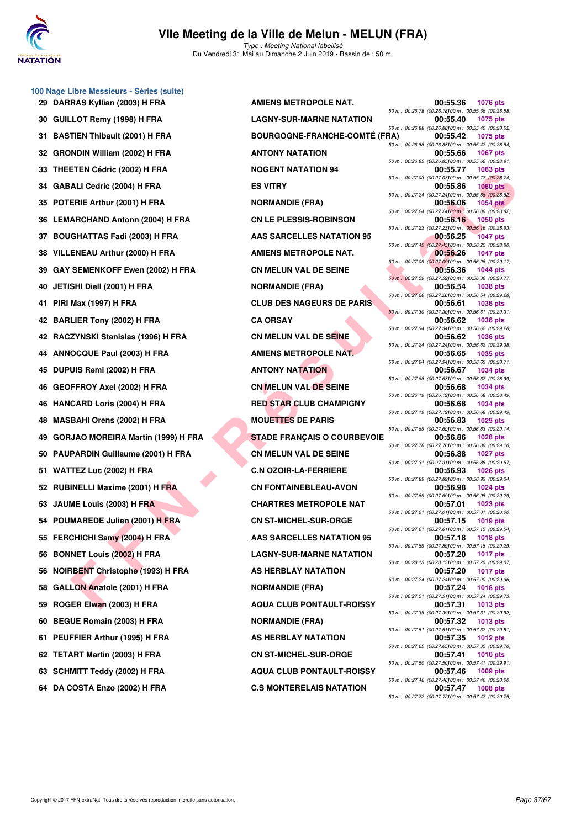

#### **VIIe Meeting de la Ville de Melun - MELUN (FRA)** Type : Meeting National labellisé

Du Vendredi 31 Mai au Dimanche 2 Juin 2019 - Bassin de : 50 m.

|    | 100 Nage Libre Messieurs - Séries (suite) |                                      |                                                                |                 |
|----|-------------------------------------------|--------------------------------------|----------------------------------------------------------------|-----------------|
|    | 29 DARRAS Kyllian (2003) H FRA            | <b>AMIENS METROPOLE NAT.</b>         | 00:55.36<br>50 m : 00:26.78 (00:26.78) 00 m : 00:55.36 (00:28. | 1076 pts        |
|    | 30 GUILLOT Remy (1998) H FRA              | <b>LAGNY-SUR-MARNE NATATION</b>      | 00:55.40                                                       | 1075 pts        |
| 31 | <b>BASTIEN Thibault (2001) H FRA</b>      | <b>BOURGOGNE-FRANCHE-COMTÉ (FRA)</b> | 50 m : 00:26.88 (00:26.88) 00 m : 00:55.40 (00:28.<br>00:55.42 | 1075 pts        |
|    | 32 GRONDIN William (2002) H FRA           | <b>ANTONY NATATION</b>               | 50 m : 00:26.88 (00:26.88)00 m : 00:55.42 (00:28.<br>00:55.66  | 1067 pts        |
|    | 33 THEETEN Cédric (2002) H FRA            | <b>NOGENT NATATION 94</b>            | 50 m : 00:26.85 (00:26.85) 00 m : 00:55.66 (00:28.<br>00:55.77 | 1063 pts        |
|    | 34 GABALI Cedric (2004) H FRA             | <b>ES VITRY</b>                      | 50 m : 00:27.03 (00:27.03) 00 m : 00:55.77 (00:28.<br>00:55.86 | <b>1060 pts</b> |
|    | 35 POTERIE Arthur (2001) H FRA            | <b>NORMANDIE (FRA)</b>               | 50 m : 00:27.24 (00:27.24100 m : 00:55.86 (00:28.<br>00:56.06  | 1054 pts        |
|    | 36 LEMARCHAND Antonn (2004) H FRA         | <b>CN LE PLESSIS-ROBINSON</b>        | 50 m : 00:27.24 (00:27.24)00 m : 00:56.06 (00:28.<br>00:56.16  | 1050 pts        |
|    | 37 BOUGHATTAS Fadi (2003) H FRA           | <b>AAS SARCELLES NATATION 95</b>     | 50 m : 00:27.23 (00:27.23)00 m : 00:56.16 (00:28.<br>00:56.25  | <b>1047 pts</b> |
|    | 38 VILLENEAU Arthur (2000) H FRA          | <b>AMIENS METROPOLE NAT.</b>         | 50 m : 00:27.45 (00:27.45)00 m : 00:56.25 (00:28.<br>00:56.26  | 1047 pts        |
|    | 39 GAY SEMENKOFF Ewen (2002) H FRA        | <b>CN MELUN VAL DE SEINE</b>         | 50 m : 00:27.09 (00:27.09) 00 m : 00:56.26 (00:29.<br>00:56.36 | 1044 pts        |
| 40 | JETISHI Diell (2001) H FRA                | <b>NORMANDIE (FRA)</b>               | 50 m : 00:27.59 (00:27.59) 00 m : 00:56.36 (00:28.<br>00:56.54 | 1038 pts        |
|    |                                           |                                      | 50 m : 00:27.26 (00:27.26) 00 m : 00:56.54 (00:29.             |                 |
|    | 41 PIRI Max (1997) H FRA                  | <b>CLUB DES NAGEURS DE PARIS</b>     | 00:56.61<br>50 m : 00:27.30 (00:27.30) 00 m : 00:56.61 (00:29. | <b>1036 pts</b> |
|    | 42 BARLIER Tony (2002) H FRA              | <b>CA ORSAY</b>                      | 00:56.62<br>50 m : 00:27.34 (00:27.34)00 m : 00:56.62 (00:29.  | <b>1036 pts</b> |
|    | 42 RACZYNSKI Stanislas (1996) H FRA       | CN MELUN VAL DE SEINE                | 00:56.62<br>50 m : 00:27.24 (00:27.24)00 m : 00:56.62 (00:29.  | 1036 pts        |
|    | 44 ANNOCQUE Paul (2003) H FRA             | <b>AMIENS METROPOLE NAT.</b>         | 00:56.65<br>50 m : 00:27.94 (00:27.94) 00 m : 00:56.65 (00:28. | 1035 pts        |
| 45 | DUPUIS Remi (2002) H FRA                  | <b>ANTONY NATATION</b>               | 00:56.67<br>50 m : 00:27.68 (00:27.68) 00 m : 00:56.67 (00:28. | 1034 pts        |
| 46 | <b>GEOFFROY Axel (2002) H FRA</b>         | <b>CN MELUN VAL DE SEINE</b>         | 00:56.68<br>50 m : 00:26.19 (00:26.19)00 m : 00:56.68 (00:30.  | 1034 pts        |
|    | 46 HANCARD Loris (2004) H FRA             | <b>RED STAR CLUB CHAMPIGNY</b>       | 00:56.68<br>50 m : 00:27.19 (00:27.19)00 m : 00:56.68 (00:29.  | 1034 pts        |
| 48 | <b>MASBAHI Orens (2002) H FRA</b>         | <b>MOUETTES DE PARIS</b>             | 00:56.83                                                       | 1029 pts        |
|    | 49 GORJAO MOREIRA Martin (1999) H FRA     | <b>STADE FRANÇAIS O COURBEVOIE</b>   | 50 m : 00:27.69 (00:27.69)00 m : 00:56.83 (00:29.<br>00:56.86  | 1028 pts        |
|    | 50 PAUPARDIN Guillaume (2001) H FRA       | <b>CN MELUN VAL DE SEINE</b>         | 50 m : 00:27.76 (00:27.76) 00 m : 00:56.86 (00:29.<br>00:56.88 | 1027 pts        |
|    | 51 WATTEZ Luc (2002) H FRA                | <b>C.N OZOIR-LA-FERRIERE</b>         | 50 m : 00:27.31 (00:27.31100 m : 00:56.88 (00:29.<br>00:56.93  | 1026 pts        |
|    | 52 RUBINELLI Maxime (2001) H FRA          | <b>CN FONTAINEBLEAU-AVON</b>         | 50 m : 00:27.89 (00:27.89)00 m : 00:56.93 (00:29.<br>00:56.98  | 1024 pts        |
|    | 53 JAUME Louis (2003) H FRA               | <b>CHARTRES METROPOLE NAT</b>        | 50 m : 00:27.69 (00:27.69) 00 m : 00:56.98 (00:29.<br>00:57.01 | 1023 pts        |
|    | 54 POUMAREDE Julien (2001) H FRA          | <b>CN ST-MICHEL-SUR-ORGE</b>         | 50 m : 00:27.01 (00:27.01100 m : 00:57.01 (00:30.<br>00:57.15  | 1019 pts        |
|    | 55 FERCHICHI Samy (2004) H FRA            | <b>AAS SARCELLES NATATION 95</b>     | 50 m : 00:27.61 (00:27.61100 m : 00:57.15 (00:29.<br>00:57.18  | 1018 pts        |
|    | 56 BONNET Louis (2002) H FRA              | <b>LAGNY-SUR-MARNE NATATION</b>      | 50 m : 00:27.89 (00:27.89) 00 m : 00:57.18 (00:29.<br>00:57.20 | 1017 pts        |
| 56 | <b>NOIRBENT Christophe (1993) H FRA</b>   | AS HERBLAY NATATION                  | 50 m : 00:28.13 (00:28.13) 00 m : 00:57.20 (00:29.<br>00:57.20 | <b>1017 pts</b> |
| 58 | GALLON Anatole (2001) H FRA               | <b>NORMANDIE (FRA)</b>               | 50 m : 00:27.24 (00:27.24)00 m : 00:57.20 (00:29.<br>00:57.24  | <b>1016 pts</b> |
| 59 | ROGER Elwan (2003) H FRA                  | <b>AQUA CLUB PONTAULT-ROISSY</b>     | 50 m: 00:27.51 (00:27.51100 m: 00:57.24 (00:29.<br>00:57.31    | 1013 pts        |
|    |                                           |                                      | 50 m : 00:27.39 (00:27.39) 00 m : 00:57.31 (00:29.             |                 |
| 60 | <b>BEGUE Romain (2003) H FRA</b>          | <b>NORMANDIE (FRA)</b>               | 00:57.32<br>50 m: 00:27.51 (00:27.51100 m: 00:57.32 (00:29.    | 1013 pts        |
|    | 61 PEUFFIER Arthur (1995) H FRA           | <b>AS HERBLAY NATATION</b>           | 00:57.35<br>50 m : 00:27.65 (00:27.65) 00 m : 00:57.35 (00:29. | <b>1012 pts</b> |
|    | 62 TETART Martin (2003) H FRA             | <b>CN ST-MICHEL-SUR-ORGE</b>         | 00:57.41<br>50 m : 00:27.50 (00:27.50) 00 m : 00:57.41 (00:29. | <b>1010 pts</b> |
|    | 63 SCHMITT Teddy (2002) H FRA             | <b>AQUA CLUB PONTAULT-ROISSY</b>     | 00:57.46<br>50 m : 00:27.46 (00:27.46) 00 m : 00:57.46 (00:30. | 1009 pts        |
|    | 64 DA COSTA Enzo (2002) H FRA             | <b>C.S MONTERELAIS NATATION</b>      | 00:57.47                                                       | 1008 pts        |

ENEAL MONDEAN SURE (2003) HTRA **FIRE DE STATE CONDENSION CONDENSION** CONDENSION CONDENSION CONDENSION CONDENSION CONDENSION CONDENSION CONDENSION CONDENSION CONDENSION CONDENSION CONDENSION CONDENSION CONDENSION CONDENSION **29 DRAMIENS METROPOLE NAT. 12 GUILBON FRAME NATATION BOURGOGNE-FRANCHE-COMTÉ ( 32 GRAND MATATION NOGENT NATATION 94 35 NORMANDIE (FRA) CN LE PLESSIS-ROBINSON 35 BOUGHAMER SARCELLES NATATION 95 AMIENS METROPOLE NAT. 39 ABCAY SERIE CON MELUN VAL DE SEINE 40 ADEL (FRA) 41 BUR DES NAGEURS DE PARIS 42 RACCIO B FRANCISCO MELUN VAL DE SEINE 44 AMIENS METROPOLE NAT. 45 DUPUTE 103 DUPUTE 104 DUPUTE 46 GEORGIA CONDUCTS RED STAR CLUB CHAMPIGNY MOUETTES DE PARIS 49 GORDAN STADE FRANÇAIS O COURBEVOIL CN MELUN VAL DE SEINE 51 WATTEZ Luc (2002) H FRA C.N OZOIR-LA-FERRIERE 00:56.93 1026 pts**  $CN$  FONTAINEBLEAU-AVON **CHARTRES METROPOLE NAT CN ST-MICHEL-SUR-ORGE 55 AAS SARCELLES NATATION 95 56 BUNNET LAGNY-SUR-MARNE NATATION 66 NOISY EXPLAY NATATION 58 BACKLON ANDIE (FRA) 69 B ROGER ELUB PONTAULT-ROISSY 60 BBG ROMANDIE** (FRA) **61 BERBLAY NATATION 62 CN ST-MICHEL-SUR-ORGE 63 AQUA CLUB PONTAULT-ROISSY 6.5 MONTERELAIS NATATION** 

|   |       |                 | 00:55.36 | <b>1076 pts</b>                                                          |
|---|-------|-----------------|----------|--------------------------------------------------------------------------|
|   |       |                 |          | 50 m : 00:26.78 (00:26.78)00 m : 00:55.36 (00:28.58)                     |
|   |       |                 | 00:55.40 | 1075 pts                                                                 |
|   |       |                 |          | 50 m : 00:26.88 (00:26.88) 00 m : 00:55.40 (00:28.52)                    |
|   | (FRA) |                 | 00:55.42 | 1075 pts<br>50 m : 00:26.88 (00:26.88) 00 m : 00:55.42 (00:28.54)        |
|   |       |                 | 00:55.66 | <b>1067 pts</b>                                                          |
|   |       |                 |          | 50 m : 00:26.85 (00:26.85) 00 m : 00:55.66 (00:28.81)                    |
|   |       |                 | 00:55.77 | 1063 pts                                                                 |
|   |       |                 |          | 50 m : 00:27.03 (00:27.03) 00 m : 00:55.77 (00:28.74)                    |
|   |       |                 | 00:55.86 | <b>1060 pts</b>                                                          |
|   |       |                 |          | 50 m : 00:27.24 (00:27.24)00 m : 00:55.86 (00:28.62)                     |
|   |       |                 | 00:56.06 | <b>1054 pts</b><br>50 m : 00:27.24 (00:27.24) 00 m : 00:56.06 (00:28.82) |
|   |       |                 | 00:56.16 | 1050 pts                                                                 |
|   |       |                 |          | 50 m : 00:27.23 (00:27.23) 00 m : 00:56.16 (00:28.93)                    |
|   |       |                 | 00:56.25 | <b>1047 pts</b>                                                          |
|   |       |                 |          | 50 m : 00:27.45 (00:27.45100 m : 00:56.25 (00:28.80)                     |
|   |       |                 | 00:56.26 | 1047 pts                                                                 |
|   |       |                 | 00:56.36 | 50 m : 00:27.09 (00:27.09) 00 m : 00:56.26 (00:29.17)<br>1044 pts        |
|   |       |                 |          | 50 m : 00:27.59 (00:27.59) 00 m : 00:56.36 (00:28.77)                    |
|   |       |                 | 00:56.54 | <b>1038 pts</b>                                                          |
|   |       |                 |          | 50 m : 00:27.26 (00:27.26) 00 m : 00:56.54 (00:29.28)                    |
|   |       |                 | 00:56.61 | 1036 pts                                                                 |
|   |       |                 |          | 50 m : 00:27.30 (00:27.30) 00 m : 00:56.61 (00:29.31)                    |
|   |       |                 | 00:56.62 | 1036 pts<br>50 m : 00:27.34 (00:27.34)00 m : 00:56.62 (00:29.28)         |
|   |       |                 | 00:56.62 | 1036 pts                                                                 |
|   |       |                 |          | 50 m : 00:27.24 (00:27.24)00 m : 00:56.62 (00:29.38)                     |
|   |       |                 | 00:56.65 | 1035 pts                                                                 |
|   |       |                 |          | 50 m : 00:27.94 (00:27.94)00 m : 00:56.65 (00:28.71)                     |
|   |       |                 | 00:56.67 | 1034 pts                                                                 |
|   |       |                 | 00:56.68 | 50 m : 00:27.68 (00:27.68) 00 m : 00:56.67 (00:28.99)<br>1034 pts        |
|   |       |                 |          | 50 m : 00:26.19 (00:26.19)00 m : 00:56.68 (00:30.49)                     |
|   |       |                 | 00:56.68 | 1034 pts                                                                 |
|   |       |                 |          | 50 m : 00:27.19 (00:27.19)00 m : 00:56.68 (00:29.49)                     |
|   |       |                 | 00:56.83 | 1029 pts                                                                 |
| Е |       |                 | 00:56.86 | 50 m : 00:27.69 (00:27.69) 00 m : 00:56.83 (00:29.14)<br>1028 pts        |
|   |       |                 |          | 50 m : 00:27.76 (00:27.76) 00 m : 00:56.86 (00:29.10)                    |
|   |       |                 | 00:56.88 | <b>1027 pts</b>                                                          |
|   |       | 50 m : 00:27.31 |          | (00:27.31100 m: 00:56.88 (00:29.57)                                      |
|   |       |                 | 00:56.93 | 1026 pts                                                                 |
|   |       |                 | 00:56.98 | 50 m : 00:27.89 (00:27.89) 00 m : 00:56.93 (00:29.04)<br>1024 pts        |
|   |       |                 |          | 50 m : 00:27.69 (00:27.69) 00 m : 00:56.98 (00:29.29)                    |
|   |       |                 | 00:57.01 | <b>1023 pts</b>                                                          |
|   |       |                 |          | 50 m : 00:27.01 (00:27.01100 m : 00:57.01 (00:30.00)                     |
|   |       |                 | 00:57.15 | 1019 pts                                                                 |
|   |       | 50 m : 00:27.61 |          | (00:27.61100 m: 00:57.15 (00:29.54)<br>00:57.18 1018 pts                 |
|   |       |                 |          | 50 m : 00:27.89 (00:27.89) 00 m : 00:57.18 (00:29.29)                    |
|   |       |                 | 00:57.20 | <b>1017 pts</b>                                                          |
|   |       |                 |          | 50 m : 00:28.13 (00:28.13) 00 m : 00:57.20 (00:29.07)                    |
|   |       |                 | 00:57.20 | 1017 pts                                                                 |
|   |       |                 | 00:57.24 | 50 m : 00:27.24 (00:27.24)00 m : 00:57.20 (00:29.96)<br>1016 pts         |
|   |       |                 |          | 50 m : 00:27.51 (00:27.51100 m : 00:57.24 (00:29.73)                     |
|   |       |                 | 00:57.31 | 1013 pts                                                                 |
|   |       |                 |          | 50 m : 00:27.39 (00:27.39) 00 m : 00:57.31 (00:29.92)                    |
|   |       |                 | 00:57.32 | <b>1013 pts</b>                                                          |
|   |       |                 |          | 50 m : 00:27.51 (00:27.51100 m : 00:57.32 (00:29.81)                     |
|   |       |                 | 00:57.35 | <b>1012 pts</b><br>50 m : 00:27.65 (00:27.65) 00 m : 00:57.35 (00:29.70) |
|   |       |                 | 00:57.41 | <b>1010 pts</b>                                                          |
|   |       |                 |          | 50 m : 00:27.50 (00:27.50) 00 m : 00:57.41 (00:29.91)                    |
|   |       |                 | 00:57.46 | 1009 pts                                                                 |
|   |       |                 |          | 50 m : 00:27.46 (00:27.46) 00 m : 00:57.46 (00:30.00)                    |
|   |       |                 | 00:57.47 | 1008 pts<br>50 m: 00:27.72 (00:27.72) 00 m: 00:57.47 (00:29.75)          |
|   |       |                 |          |                                                                          |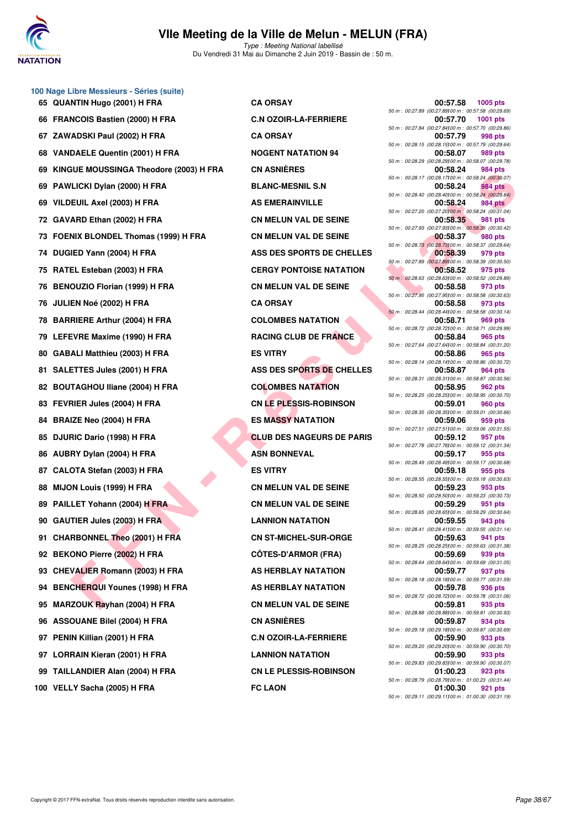

Type : Meeting National labellisé Du Vendredi 31 Mai au Dimanche 2 Juin 2019 - Bassin de : 50 m.

**FUIL ARICH IDENTIFIED AND THE SET INTERNATION COMPUTER AND THE SET IN A SEMINATION CONTEST ON THE SET IS NOT A THE SET IN A SEMINATION CONTEST ON THE SET IS NOT A THE SET IS NOT A THE SET IS NOT A THE SET IS NOT A THE SE 65 QUANTIN Hugo (2001) H FRA CA ORSAY 00:57.58 1005 pts 66 FRANCOIS Bastien (2000) H FRA C.N OZOIR-LA-FERRIERE 00:57.70 1001 pts 67 ZAWADSKI Paul (2002) H FRA CA ORSAY 00:57.79 998 pts 68 VANDAELE Quentin (2001) H FRA NOGENT NATATION 94 00:58.07 989 pts 69 KINGUE MOUSSINGA Theodore (2003) H FRA CN ASNIÈRES 00:58.24 984 pts 69 PAWLICKI Dylan (2000) H FRA BLANC-MESNIL S.N 00:58.24 984 pts 69 VILDEUIL Axel (2003) H FRA AS EMERAINVILLE 00:58.24 984 pts 72 GAVARD Ethan (2002) H FRA CN MELUN VAL DE SEINE 00:58.35 981 pts 73 FOENIX BLONDEL Thomas (1999) H FRA CN MELUN VAL DE SEINE 00:58.37 980 pts 74 DUGIED Yann (2004) H FRA ASS DES SPORTS DE CHELLES** 979 pts **75 RATEL Esteban (2003) H FRA CERGY PONTOISE NATATION 00:58.52 975 pts 76 BENOUZIO Florian (1999) H FRA CN MELUN VAL DE SEINE 00:58.58 973 pts 76 JULIEN Noé (2002) H FRA CA ORSAY 00:58.58 973 pts 78 BARRIERE Arthur (2004) H FRA COLOMBES NATATION 60:58.71 <b>900:58.71 79 LEFEVRE Maxime (1990) H FRA RACING CLUB DE FRANCE 00:58.84 965 pts 80 GABALI Matthieu (2003) H FRA ES VITRY 00:58.86 965 pts 81 SALETTES Jules (2001) H FRA ASS DES SPORTS DE CHELLES 00:58.87 964 pts** 82 BOUTAGHOU Iliane (2004) H FRA **COLOMBES NATATION** 90:58.95 **83 FEVRIER Jules (2004) H FRA CN LE PLESSIS-ROBINSON 00:59.01 960 pts 84 BRAIZE Neo (2004) H FRA ES MASSY NATATION 00:59.06 959 pts 85 DJURIC Dario (1998) H FRA CLUB DES NAGEURS DE PARIS 00:59.12 957 pts 86 AUBRY Dylan (2004) H FRA ASN BONNEVAL ASN BONNEVAL 60:59.17 955 pts 87 CALOTA Stefan (2003) H FRA ES VITRY 00:59.18 955 pts 88 MIJON Louis (1999) H FRA CN MELUN VAL DE SEINE 00:59.23 953 pts 89 PAILLET Yohann (2004) H FRA CN MELUN VAL DE SEINE 00:59.29** 951 pts **90 GAUTIER Jules (2003) H FRA LANNION NATATION 00:59.55 943 pts 91 CHARBONNEL Theo (2001) H FRA CN ST-MICHEL-SUR-ORGE 00:59.63 941 pts 92 BEKONO Pierre (2002) H FRA CÔTES-D'ARMOR (FRA) 00:59.69 939 pts 93 CHEVALIER Romann (2003) H FRA AS HERBLAY NATATION 00:59.77 937 pts** 94 BENCHERQUI Younes (1998) H FRA AS HERBLAY NATATION **95 MARZOUK Rayhan (2004) H FRA CN MELUN VAL DE SEINE 00:59.81 935 pts 96 ASSOUANE Bilel (2004) H FRA CN ASNIÈRES 97 PENIN Killian (2001) H FRA C.N OZOIR-LA-FERRIERE 00:59.90 933 pts 97 LORRAIN Kieran (2001) H FRA LANNION NATATION 00:59.90 933 pts 99 TAILLANDIER Alan (2004) H FRA CN LE PLESSIS-ROBINSON 01:00.23 923 pts**

**100 Nage Libre Messieurs - Séries (suite)**

50 m : 00:27.89 (00:27.89)100 m : 00:57.58 (00:29.69) 50 m : 00:27.84 (00:27.84100 m : 00:57.70 (00:29.86)<br>**00:57.79** 998 pts 50 m : 00:28.15 (00:28.15)100 m : 00:57.79 (00:29.64) 50 m : 00:28.29 (00:28.29)100 m : 00:58.07 (00:29.78) 50 m : 00:28.17 (00:28.17)100 m : 00:58.24 (00:30.07) 50 m : 00:28.40 (00:28.40)100 m : 00:58.24 (00:29.84) 50 m : 00:27.20 (00:27.20)100 m : 00:58.24 (00:31.04) 50 m : 00:27.93 (00:27.93)100 m : 00:58.35 (00:30.42) 50 m : 00:28.73 (00:28.73)100 m : 00:58.37 (00:29.64) 50 m : 00:27.89 (00:27.89)100 m : 00:58.39 (00:30.50) 50 m : 00:28.63 (00:28.63)100 m : 00:58.52 (00:29.89) 50 m : 00:27.95 (00:27.95)100 m : 00:58.58 (00:30.63) 50 m : 00:28.44 (00:28.44100 m : 00:58.58 (00:30.14)<br>**00:58.71** 969 pts 50 m : 00:28.72 (00:28.72)100 m : 00:58.71 (00:29.99) 50 m : 00:27.64 (00:27.64)00 m : 00:58.84 (00:31.20)<br>**00:58.86** 965 pts 50 m : 00:28.14 (00:28.14100 m : 00:58.86 (00:30.72)<br>**00:58.87** 964 pts 50 m : 00:28.31 (00:28.31100 m : 00:58.87 (00:30.56)<br>**00:58.95** 962 pts 50 m : 00:28.25 (00:28.25)00 m : 00:58.95 (00:30.70)<br>**00:59.01** 960 pts 50 m : 00:28.35 (00:28.35)100 m : 00:59.01 (00:30.66) 50 m : 00:27.51 (00:27.51)100 m : 00:59.06 (00:31.55) 50 m : 00:27.78 (00:27.78)100 m : 00:59.12 (00:31.34) 50 m : 00:28.49 (00:28.49)100 m : 00:59.17 (00:30.68) 50 m : 00:28.55 (00:28.55)100 m : 00:59.18 (00:30.63) 50 m : 00:28.50 (00:28.50)100 m : 00:59.23 (00:30.73) 50 m : 00:28.65 (00:28.65)100 m : 00:59.29 (00:30.64) 50 m : 00:28.41 (00:28.41)100 m : 00:59.55 (00:31.14) 50 m : 00:28.25 (00:28.25)100 m : 00:59.63 (00:31.38) 50 m : 00:28.64 (00:28.64)100 m : 00:59.69 (00:31.05) 50 m : 00:28.18 (00:28.18)00 m : 00:59.77 (00:31.59)<br>**00:59.78** 936 pts 50 m : 00:28.72 (00:28.72)100 m : 00:59.78 (00:31.06) 50 m : 00:28.88 (00:28.88)00 m : 00:59.81 (00:30.93)<br>**00:59.87** 934 pts 50 m : 00:29.18 (00:29.18)100 m : 00:59.87 (00:30.69) 50 m : 00:29.20 (00:29.20)100 m : 00:59.90 (00:30.70) 50 m : 00:29.83 (00:29.83)100 m : 00:59.90 (00:30.07) 50 m : 00:28.79 (00:28.79)00 m : 01:00.23 (00:31.44)<br>**01:00.30** 921 pts **100 VELLY Sacha (2005) H FRA FC LAON 01:00.30 921 pts** 50 m : 00:29.11 (00:29.11)100 m : 01:00.30 (00:31.19)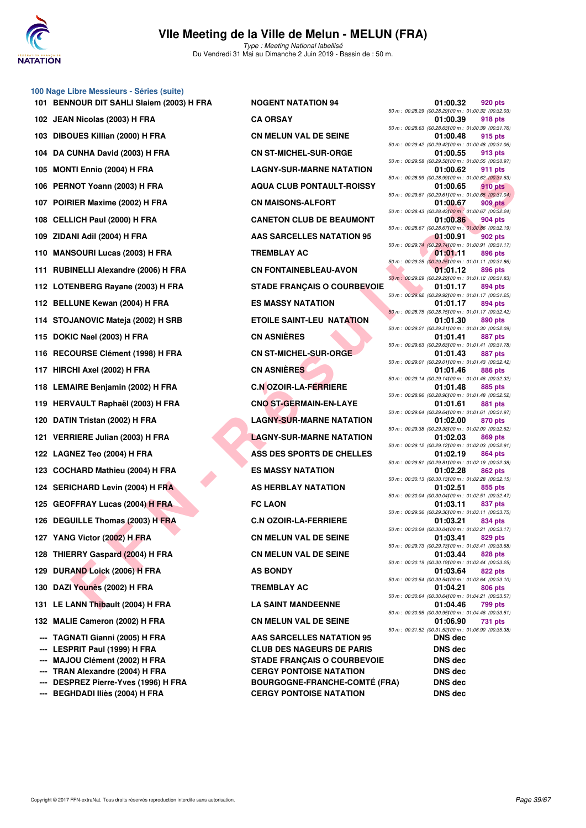

#### **100 Nage Libre Messieurs - Séries (suite)**

- **102 JEAN Nicolas (2003) H FRA CA ORSAY 01:00.39 918 pts** 103 DIBOUES Killian (2000) H FRA **CN MELUN VAL DE SEINE 104 DA CUNHA David (2003) H FRA CN ST-MICHEL-SUR-ORGE 01:00.55 913 pts** 105 MONTI Ennio (2004) H FRA LAGNY-SUR-MARNE NATATION 106 PERNOT Yoann (2003) H FRA AQUA CLUB PONTAULT-ROISSY 107 POIRIER Maxime (2002) H FRA **CN MAISONS-ALFORT** 108 CELLICH Paul (2000) H FRA CANETON CLUB DE BEAUMONT 109 ZIDANI Adil (2004) H FRA **AAS SARCELLES NATATION 95** 110 MANSOURI Lucas (2003) H FRA **TREMBLAY AC** 111 RUBINELLI Alexandre (2006) H FRA **CN FONTAINEBLEAU-AVON 112 LOTENBERG Rayane (2003) H FRA STADE FRANÇAIS O COURBEVOIE** 112 BELLUNE Kewan (2004) H FRA ES MASSY NATATION **114 STOJANOVIC Mateja (2002) H SRB ETOILE SAINT-LEU NATATION 01:01.30 890 pts** 115 DOKIC Nael (2003) H FRA **CN ASNIÈRES 116 RECOURSE Clément (1998) H FRA CN ST-MICHEL-SUR-ORGE 01:01.43 887 pts 117 HIRCHI Axel (2002) H FRA CN ASNIÈRES** 118 LEMAIRE Benjamin (2002) H FRA **C.N OZOIR-LA-FERRIERE** 119 **HERVAULT Raphaël (2003) H FRA** CNO ST-GERMAIN-EN-LAYE 120 DATIN Tristan (2002) H FRA LAGNY-SUR-MARNE NATATION **121 VERRIERE Julian (2003) H FRA LAGNY-SUR-MARNE NATATION** 122 LAGNEZ Teo (2004) H FRA **ASS DES SPORTS DE CHELLES** 123 COCHARD Mathieu (2004) H FRA **ES MASSY NATATION 124 SERICHARD Levin (2004) H FRA AS HERBLAY NATATION 125 GEOFFRAY Lucas (2004) H FRA <b>PHONE CONSERVANCE CLAON** 126 DEGUILLE Thomas (2003) H FRA C.N OZOIR-LA-FERRIERE **127 YANG Victor (2002) H FRA CN MELUN VAL DE SEINE** 128 THIERRY Gaspard (2004) H FRA **CN MELUN VAL DE SEINE 129 DURAND Loick (2006) H FRA AS BONDY** 130 DAZI Younès (2002) H FRA TREMBLAY AC **131 LE LANN Thibault (2004) H FRA LA SAINT MANDEENNE** 132 MALIE Cameron (2002) H FRA **CN MELUN VAL DE SEINE --- TAGNATI Gianni (2005) H FRA AAS SARCELLES NATATION 95 --- LESPRIT Paul (1999) H FRA CLUB DES NAGEURS DE PARIS --- MAJOU Clément (2002) H FRA STADE FRANÇAIS O COURBEVOIE --- TRAN Alexandre (2004) H FRA CERGY PONTOISE NATATION**
- 

**FIND HERE USE THE SAME CONDUCTION DESCRIPTION AND CONDUCT AND A SECURE AND ANNOUNCED CONDUCT AND A SECURE AND MANUSCRIPTION AND THE SAME CONDUCT AND THE SAME CONDUCT AND A SECURE AND MANUSCRIPTION DESCRIPTION DESCRIPTION 101 BENNOUR DIT SAHLI Slaiem (2003) H FRA NOGENT NATATION 94** 

**--- DESPREZ Pierre-Yves (1996) H FRA BOURGOGNE-FRANCHE-COMTÉ (FRA) DNS dec --- BEGHDADI Iliès (2004) H FRA CERGY PONTOISE NATATION DNS dec**

|                 | 01:00.32      | 920 pts                                                                 |
|-----------------|---------------|-------------------------------------------------------------------------|
|                 | 01:00.39      | 50 m : 00:28.29 (00:28.29) 00 m : 01:00.32 (00:32.03)<br><b>918 pts</b> |
|                 |               | 50 m : 00:28.63 (00:28.63) 00 m : 01:00.39 (00:31.76)                   |
|                 | 01:00.48      | 915 pts<br>50 m : 00:29.42 (00:29.42) 00 m : 01:00.48 (00:31.06)        |
|                 | 01:00.55      | <b>913 pts</b>                                                          |
| 50 m : 00:29.58 |               | (00:29.58)00 m: 01:00.55 (00:30.97)                                     |
|                 | 01:00.62      | 911 pts<br>50 m : 00:28.99 (00:28.99) 00 m : 01:00.62 (00:31.63)        |
|                 | 01:00.65      | <b>910 pts</b>                                                          |
| 50 m : 00:29.61 |               | (00:29.61100 m: 01:00.65 (00:31.04)                                     |
|                 | 01:00.67      | 909 pts<br>50 m : 00:28.43 (00:28.43100 m : 01:00.67 (00:32.24)         |
|                 | 01:00.86      | <b>904 pts</b>                                                          |
|                 |               | 50 m : 00:28.67 (00:28.67) 00 m : 01:00.86 (00:32.19)                   |
| 50 m : 00:29.74 | 01:00.91      | 902 pts<br>(00:29.74100 m: 01:00.91 (00:31.17)                          |
|                 | 01:01.11      | <b>896 pts</b>                                                          |
|                 |               | 50 m : 00:29.25 (00:29.25) 00 m : 01:01.11 (00:31.86)                   |
|                 | 01:01.12      | <b>896 pts</b><br>50 m : 00:29.29 (00:29.29) 00 m : 01:01.12 (00:31.83) |
|                 | 01:01.17      | <b>894 pts</b>                                                          |
|                 | 01:01.17      | 50 m : 00:29.92 (00:29.92) 00 m : 01:01.17 (00:31.25)<br><b>894 pts</b> |
|                 |               | 50 m: 00:28.75 (00:28.75) 00 m: 01:01.17 (00:32.42)                     |
|                 | 01:01.30      | 890 pts                                                                 |
| 50 m : 00:29.21 | 01:01.41      | (00:29.21100 m: 01:01.30 (00:32.09)<br>887 pts                          |
| 50 m : 00:29.63 |               | (00:29.63100 m: 01:01.41 (00:31.78)                                     |
| 50 m : 00:29.01 | 01:01.43      | 887 pts<br>(00:29.01100 m: 01:01.43 (00:32.42)                          |
|                 | 01:01.46      | <b>886 pts</b>                                                          |
|                 |               | 50 m : 00:29.14 (00:29.14) 00 m : 01:01.46 (00:32.32)                   |
|                 | 01:01.48      | <b>885 pts</b><br>50 m : 00:28.96 (00:28.96) 00 m : 01:01.48 (00:32.52) |
|                 | 01:01.61      | <b>881 pts</b>                                                          |
|                 |               | 50 m : 00:29.64 (00:29.64) 00 m : 01:01.61 (00:31.97)                   |
| 50 m : 00:29.38 | 01:02.00      | <b>870 pts</b><br>(00:29.38)00 m: 01:02.00 (00:32.62)                   |
|                 | 01:02.03      | <b>869 pts</b>                                                          |
|                 | 01:02.19      | 50 m : 00:29.12 (00:29.12) 00 m : 01:02.03 (00:32.91)<br><b>864 pts</b> |
| 50 m : 00:29.81 |               | (00:29.81100 m: 01:02.19 (00:32.38)                                     |
|                 | 01:02.28      | <b>862 pts</b>                                                          |
|                 | 01:02.51      | 50 m : 00:30.13 (00:30.13)00 m : 01:02.28 (00:32.15)<br>855 pts         |
|                 |               | 50 m : 00:30.04 (00:30.04) 00 m : 01:02.51 (00:32.47)                   |
|                 | 01:03.11      | 837 pts<br>50 m : 00:29.36 (00:29.36) 00 m : 01:03.11 (00:33.75)        |
|                 | 01:03.21      | <b>834 pts</b>                                                          |
|                 |               | $50\ m:\ 00:30.04\ \ (00:30.04) \ 00\ m:\ 01:03.21\ \ (00:33.17)$       |
|                 | 01:03.41      | 829 pts<br>50 m : 00:29.73 (00:29.73100 m : 01:03.41 (00:33.68)         |
|                 | 01:03.44      | <b>828 pts</b>                                                          |
|                 | 01:03.64      | 50 m : 00:30.19 (00:30.19100 m : 01:03.44 (00:33.25)<br>822 pts         |
|                 |               | 50 m : 00:30.54 (00:30.54) 00 m : 01:03.64 (00:33.10)                   |
|                 | 01:04.21      | 806 pts                                                                 |
|                 | 01:04.46      | 50 m : 00:30.64 (00:30.64) 00 m : 01:04.21 (00:33.57)<br>799 pts        |
|                 |               | 50 m : 00:30.95 (00:30.95) 00 m : 01:04.46 (00:33.51)                   |
|                 | 01:06.90      | 731 pts                                                                 |
|                 | DNS dec       | 50 m : 00:31.52 (00:31.52) 00 m : 01:06.90 (00:35.38)                   |
|                 | DNS dec       |                                                                         |
|                 | DNS dec       |                                                                         |
|                 | DNS dec       |                                                                         |
|                 | <b>DNC 44</b> |                                                                         |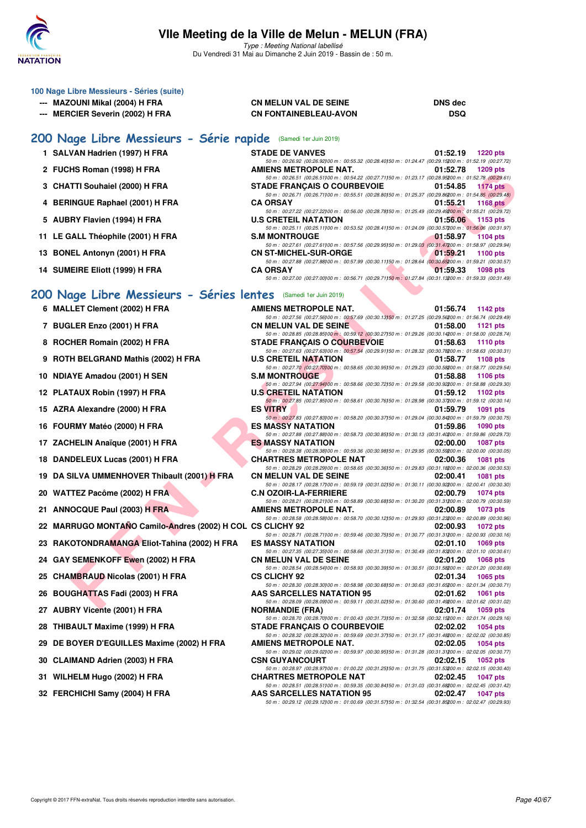

Type : Meeting National labellisé Du Vendredi 31 Mai au Dimanche 2 Juin 2019 - Bassin de : 50 m.

| 100 Nage Libre Messieurs - Séries (suite)                       |                                                                                                                                                                                                                                                              |                             |  |  |  |  |  |  |
|-----------------------------------------------------------------|--------------------------------------------------------------------------------------------------------------------------------------------------------------------------------------------------------------------------------------------------------------|-----------------------------|--|--|--|--|--|--|
| --- MAZOUNI Mikal (2004) H FRA                                  | <b>CN MELUN VAL DE SEINE</b>                                                                                                                                                                                                                                 | <b>DNS dec</b>              |  |  |  |  |  |  |
| --- MERCIER Severin (2002) H FRA                                | <b>CN FONTAINEBLEAU-AVON</b>                                                                                                                                                                                                                                 | DSQ                         |  |  |  |  |  |  |
| 200 Nage Libre Messieurs - Série rapide (Samedi 1er Juin 2019)  |                                                                                                                                                                                                                                                              |                             |  |  |  |  |  |  |
| 1 SALVAN Hadrien (1997) H FRA                                   | <b>STADE DE VANVES</b>                                                                                                                                                                                                                                       | 01:52.19<br><b>1220 pts</b> |  |  |  |  |  |  |
| 2 FUCHS Roman (1998) H FRA                                      | 50 m : 00:26.92 (00:26.92) 00 m : 00:55.32 (00:28.40) 50 m : 01:24.47 (00:29.15200 m : 01:52.19 (00:27.72)<br>AMIENS METROPOLE NAT.                                                                                                                          | 01:52.78<br>1209 pts        |  |  |  |  |  |  |
| 3 CHATTI Souhaiel (2000) H FRA                                  | 50 m : 00:26.51 (00:26.51) 00 m : 00:54.22 (00:27.71) 50 m : 01:23.17 (00:28.95200 m : 01:52.78 (00:29.61)<br><b>STADE FRANCAIS O COURBEVOIE</b><br>50 m : 00:26.71 (00:26.71)00 m : 00:55.51 (00:28.80)50 m : 01:25.37 (00:29.86200 m : 01:54.85 (00:29.48) | 01:54.85<br><b>1174 pts</b> |  |  |  |  |  |  |
| 4 BERINGUE Raphael (2001) H FRA                                 | <b>CA ORSAY</b><br>50 m : 00:27.22 (00:27.22) 00 m : 00:56.00 (00:28.78) 50 m : 01:25.49 (00:29.49200 m : 01:55.21 (00:29.72)                                                                                                                                | 01:55.21<br><b>1168 pts</b> |  |  |  |  |  |  |
| 5 AUBRY Flavien (1994) H FRA                                    | <b>U.S CRETEIL NATATION</b><br>50 m : 00:25.11 (00:25.11) 00 m : 00:53.52 (00:28.41) 50 m : 01:24.09 (00:30.57200 m : 01:56.06 (00:31.97)                                                                                                                    | 01:56.06<br>1153 pts        |  |  |  |  |  |  |
| 11 LE GALL Théophile (2001) H FRA                               | <b>S.M MONTROUGE</b><br>50 m : 00:27.61 (00:27.61) 00 m : 00:57.56 (00:29.95) 50 m : 01:29.03 (00:31.47200 m : 01:58.97 (00:29.94)                                                                                                                           | 01:58.97<br><b>1104 pts</b> |  |  |  |  |  |  |
| 13 BONEL Antonyn (2001) H FRA                                   | <b>CN ST-MICHEL-SUR-ORGE</b><br>50 m : 00:27.88 (00:27.88) 00 m : 00:57.99 (00:30.11) 50 m : 01:28.64 (00:30.65200 m : 01:59.21 (00:30.57)                                                                                                                   | 01:59.21<br>1100 pts        |  |  |  |  |  |  |
| 14 SUMEIRE Eliott (1999) H FRA                                  | <b>CA ORSAY</b><br>50 m : 00:27.00 (00:27.00) 00 m : 00:56.71 (00:29.71) 50 m : 01:27.84 (00:31.13200 m : 01:59.33 (00:31.49)                                                                                                                                | 01:59.33<br>1098 pts        |  |  |  |  |  |  |
|                                                                 |                                                                                                                                                                                                                                                              |                             |  |  |  |  |  |  |
| 200 Nage Libre Messieurs - Séries lentes (Samedi 1er Juin 2019) |                                                                                                                                                                                                                                                              |                             |  |  |  |  |  |  |
| 6 MALLET Clement (2002) H FRA                                   | AMIENS METROPOLE NAT.<br>50 m : 00:27.56 (00:27.56) 00 m : 00:57.69 (00:30.13) 50 m : 01:27.25 (00:29.56200 m : 01:56.74 (00:29.49)                                                                                                                          | 01:56.74<br>1142 pts        |  |  |  |  |  |  |
| 7 BUGLER Enzo (2001) H FRA                                      | <b>CN MELUN VAL DE SEINE</b><br>50 m : 00:28.85 (00:28.85)00 m : 00:59.12 (00:30.27)50 m : 01:29.26 (00:30.14200 m : 01:58.00 (00:28.74)                                                                                                                     | 01:58.00<br>1121 $pts$      |  |  |  |  |  |  |
| 8 ROCHER Romain (2002) H FRA                                    | <b>STADE FRANÇAIS O COURBEVOIE</b><br>50 m : 00:27.63 (00:27.63) 00 m : 00:57.54 (00:29.91) 50 m : 01:28.32 (00:30.78200 m : 01:58.63 (00:30.31)                                                                                                             | 01:58.63<br><b>1110 pts</b> |  |  |  |  |  |  |
| 9 ROTH BELGRAND Mathis (2002) H FRA                             | <b>U.S CRETEIL NATATION</b><br>50 m : 00:27.70 (00:27.70) 00 m : 00:58.65 (00:30.95) 50 m : 01:29.23 (00:30.58200 m : 01:58.77 (00:29.54)                                                                                                                    | 01:58.77<br>1108 pts        |  |  |  |  |  |  |
| 10 NDIAYE Amadou (2001) H SEN                                   | <b>S.M MONTROUGE</b><br>50 m : 00:27.94 (00:27.94100 m : 00:58.66 (00:30.72150 m : 01:29.58 (00:30.92200 m : 01:58.88 (00:29.30)                                                                                                                             | 01:58.88<br>1106 pts        |  |  |  |  |  |  |
| 12 PLATAUX Robin (1997) H FRA                                   | <b>U.S CRETEIL NATATION</b>                                                                                                                                                                                                                                  | 01:59.12<br>1102 pts        |  |  |  |  |  |  |
| 15 AZRA Alexandre (2000) H FRA                                  | 50 m : 00:27.85 (00:27.85)00 m : 00:58.61 (00:30.76)50 m : 01:28.98 (00:30.37200 m : 01:59.12 (00:30.14)<br><b>ES VITRY</b><br>50 m : 00:27.83 (00:27.83) 00 m : 00:58.20 (00:30.37) 50 m : 01:29.04 (00:30.84200 m : 01:59.79 (00:30.75)                    | 01:59.79<br>1091 pts        |  |  |  |  |  |  |
| 16 FOURMY Matéo (2000) H FRA                                    | <b>ES MASSY NATATION</b><br>50 m : 00:27.88 (00:27.88)00 m : 00:58.73 (00:30.85)50 m : 01:30.13 (00:31.40200 m : 01:59.86 (00:29.73)                                                                                                                         | 01:59.86<br>1090 pts        |  |  |  |  |  |  |
| 17 ZACHELIN Anaïque (2001) H FRA                                | <b>ES MASSY NATATION</b><br>50 m : 00:28.38 (00:28.38)00 m : 00:59.36 (00:30.98)50 m : 01:29.95 (00:30.59200 m : 02:00.00 (00:30.05)                                                                                                                         | 02:00.00<br><b>1087 pts</b> |  |  |  |  |  |  |
| 18 DANDELEUX Lucas (2001) H FRA                                 | <b>CHARTRES METROPOLE NAT</b><br>50 m : 00:28.29 (00:28.29)00 m : 00:58.65 (00:30.36)50 m : 01:29.83 (00:31.18200 m : 02:00.36 (00:30.53)                                                                                                                    | 02:00.36<br>1081 pts        |  |  |  |  |  |  |
| 19 DA SILVA UMMENHOVER Thibault (2001) H FRA                    | <b>CN MELUN VAL DE SEINE</b><br>50 m : 00:28.17 (00:28.17) 00 m : 00:59.19 (00:31.02) 50 m : 01:30.11 (00:30.92200 m : 02:00.41 (00:30.30)                                                                                                                   | 02:00.41<br>1081 pts        |  |  |  |  |  |  |
| 20 WATTEZ Pacôme (2002) H FRA                                   | <b>C.N OZOIR-LA-FERRIERE</b><br>50 m : 00:28.21 (00:28.21)00 m : 00:58.89 (00:30.68)50 m : 01:30.20 (00:31.31200 m : 02:00.79 (00:30.59)                                                                                                                     | 02:00.79<br>1074 pts        |  |  |  |  |  |  |
| 21 ANNOCQUE Paul (2003) H FRA                                   | AMIENS METROPOLE NAT.                                                                                                                                                                                                                                        | 02:00.89<br><b>1073 pts</b> |  |  |  |  |  |  |
| 22 MARRUGO MONTAÑO Camilo-Andres (2002) H COL CS CLICHY 92      | 50 m : 00:28.58 (00:28.58)00 m : 00:58.70 (00:30.12)50 m : 01:29.93 (00:31.23200 m : 02:00.89 (00:30.96)                                                                                                                                                     | 02:00.93<br>1072 pts        |  |  |  |  |  |  |
| 23 RAKOTONDRAMANGA Eliot-Tahina (2002) H FRA                    | 50 m : 00:28.71 (00:28.71100 m : 00:59.46 (00:30.75150 m : 01:30.77 (00:31.31200 m : 02:00.93 (00:30.16)<br><b>ES MASSY NATATION</b>                                                                                                                         | 02:01.10<br><b>1069 pts</b> |  |  |  |  |  |  |
| 24 GAY SEMENKOFF Ewen (2002) H FRA                              | 50 m : 00:27.35 (00:27.35) 00 m : 00:58.66 (00:31.31) 50 m : 01:30.49 (00:31.83200 m : 02:01.10 (00:30.61)<br><b>CN MELUN VAL DE SEINE</b>                                                                                                                   | 02:01.20<br>1068 pts        |  |  |  |  |  |  |
| 25 CHAMBRAUD Nicolas (2001) H FRA                               | 50 m : 00:28.54 (00:28.54) 00 m : 00:58.93 (00:30.39) 50 m : 01:30.51 (00:31.58200 m : 02:01.20 (00:30.69)<br><b>CS CLICHY 92</b><br>50 m : 00:28.30 (00:28.30) 00 m : 00:58.98 (00:30.68) 50 m : 01:30.63 (00:31.65200 m : 02:01.34 (00:30.71)              | 02:01.34<br>1065 pts        |  |  |  |  |  |  |
| 26 BOUGHATTAS Fadi (2003) H FRA                                 | <b>AAS SARCELLES NATATION 95</b>                                                                                                                                                                                                                             | 02:01.62<br>1061 pts        |  |  |  |  |  |  |
| 27 AUBRY Vicente (2001) H FRA                                   | 50 m : 00:28.09 (00:28.09) 00 m : 00:59.11 (00:31.02) 50 m : 01:30.60 (00:31.49200 m : 02:01.62 (00:31.02)<br><b>NORMANDIE (FRA)</b><br>50 m : 00:28.70 (00:28.70) 00 m : 01:00.43 (00:31.73) 50 m : 01:32.58 (00:32.15200 m : 02:01.74 (00:29.16)           | 02:01.74<br>1059 pts        |  |  |  |  |  |  |
| 28 THIBAULT Maxime (1999) H FRA                                 | <b>STADE FRANÇAIS O COURBEVOIE</b><br>50 m : 00:28.32 (00:28.32) 00 m : 00:59.69 (00:31.37) 50 m : 01:31.17 (00:31.48200 m : 02:02.02 (00:30.85)                                                                                                             | 02:02.02<br><b>1054 pts</b> |  |  |  |  |  |  |
| 29 DE BOYER D'EGUILLES Maxime (2002) H FRA                      | AMIENS METROPOLE NAT.<br>50 m : 00:29.02 (00:29.02) 00 m : 00:59.97 (00:30.95) 50 m : 01:31.28 (00:31.31200 m : 02:02.05 (00:30.77)                                                                                                                          | 02:02.05<br>1054 pts        |  |  |  |  |  |  |
| 30 CLAIMAND Adrien (2003) H FRA                                 | <b>CSN GUYANCOURT</b><br>50 m : 00:28.97 (00:28.97)00 m : 01:00.22 (00:31.25)50 m : 01:31.75 (00:31.53200 m : 02:02.15 (00:30.40)                                                                                                                            | 02:02.15<br><b>1052 pts</b> |  |  |  |  |  |  |
| 31 WILHELM Hugo (2002) H FRA                                    | <b>CHARTRES METROPOLE NAT</b><br>50 m : 00:28.51 (00:28.51) 00 m : 00:59.35 (00:30.84) 50 m : 01:31.03 (00:31.68200 m : 02:02.45 (00:31.42)                                                                                                                  | 02:02.45<br><b>1047 pts</b> |  |  |  |  |  |  |
| 32 FERCHICHI Samy (2004) H FRA                                  | <b>AAS SARCELLES NATATION 95</b>                                                                                                                                                                                                                             | 02:02.47<br><b>1047 pts</b> |  |  |  |  |  |  |
|                                                                 | 50 m : 00:29.12 (00:29.12)00 m : 01:00.69 (00:31.57)50 m : 01:32.54 (00:31.85200 m : 02:02.47 (00:29.93)                                                                                                                                                     |                             |  |  |  |  |  |  |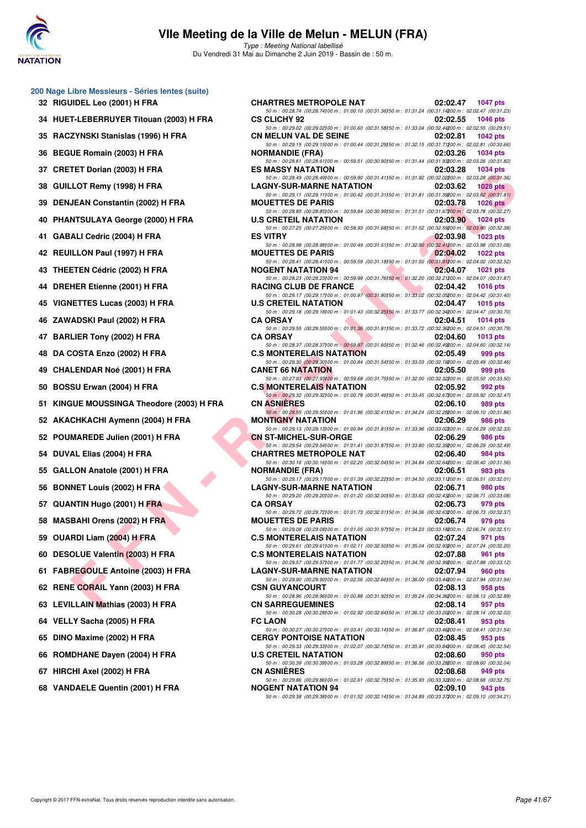

Type : Meeting National labellisé Du Vendredi 31 Mai au Dimanche 2 Juin 2019 - Bassin de : 50 m.

| 32 | 200 Nage Libre Messieurs - Séries lentes (suite)<br>RIGUIDEL Leo (2001) H FRA |
|----|-------------------------------------------------------------------------------|
| 34 | HUET-LEBERRUYER Titouan (2003) H FRA                                          |
| 35 | RACZYNSKI Stanislas (1996) H FRA                                              |
| 36 | <b>BEGUE Romain (2003) H FRA</b>                                              |
| 37 | <b>CRETET Dorian (2003) H FRA</b>                                             |
| 38 | GUILLOT Remy (1998) H FRA                                                     |
| 39 | <b>DENJEAN Constantin (2002) H FRA</b>                                        |
| 40 | PHANTSULAYA George (2000) H FRA                                               |
| 41 | <b>GABALI Cedric (2004) H FRA</b>                                             |
| 42 | REUILLON Paul (1997) H FRA                                                    |
| 43 | <b>THEETEN Cédric (2002) H FRA</b>                                            |
| 44 | DREHER Etienne (2001) H FRA                                                   |
| 45 | <b>VIGNETTES Lucas (2003) H FRA</b>                                           |
| 46 | ZAWADSKI Paul (2002) H FRA                                                    |
| 47 | <b>BARLIER Tony (2002) H FRA</b>                                              |
| 48 | DA COSTA Enzo (2002) H FRA                                                    |
| 49 | <b>CHALENDAR Noé (2001) H FRA</b>                                             |
| 50 | BOSSU Erwan (2004) H FRA                                                      |
| 51 | KINGUE MOUSSINGA Theodore (2003) H F                                          |
| 52 | <b>AKACHKACHI Aymenn (2004) H FRA</b>                                         |
| 52 | POUMAREDE Julien (2001) H FRA                                                 |
| 54 | DUVAL Elias (2004) H FRA                                                      |
| 55 | GALLON Anatole (2001) H FRA                                                   |
| 56 | <b>BONNET Louis (2002) H FRA</b>                                              |
| 57 | QUANTIN Hugo (2001) H FRA                                                     |
| 58 | <b>MASBAHI Orens (2002) H FRA</b>                                             |
| 59 | OUARDI Liam (2004) H FRA                                                      |
| 60 | DESOLUE Valentin (2003) H FRA                                                 |
| 61 | FABREGOULE Antoine (2003) H FRA                                               |
| 62 | RENE CORAIL Yann (2003) H FRA                                                 |
| 63 | LEVILLAIN Mathias (2003) H FRA                                                |
| 64 | VELLY Sacha (2005) H FRA                                                      |
| 65 | DINO Maxime (2002) H FRA                                                      |
|    | 66 ROMDHANE Dayen (2004) H FRA                                                |
|    | 67 HIRCHI Axel (2002) H FRA                                                   |
|    |                                                                               |

| 0 Nage Libre Messieurs - Series lentes (suite) |                                                                                                                                                                                                                                                                                                                                                                                                                      |
|------------------------------------------------|----------------------------------------------------------------------------------------------------------------------------------------------------------------------------------------------------------------------------------------------------------------------------------------------------------------------------------------------------------------------------------------------------------------------|
| <b>32 RIGUIDEL Leo (2001) H FRA</b>            | <b>CHARTRES METROPOLE NAT</b><br>02:02.47<br><b>1047 pts</b><br>50 m : 00:28.74 (00:28.74) 00 m : 01:00.10 (00:31.36) 50 m : 01:31.24 (00:31.14200 m : 02:02.47 (00:31.23)                                                                                                                                                                                                                                           |
| 34 HUET-LEBERRUYER Titouan (2003) H FRA        | <b>CS CLICHY 92</b><br>02:02.55<br><b>1046 pts</b>                                                                                                                                                                                                                                                                                                                                                                   |
| 35 RACZYNSKI Stanislas (1996) H FRA            | 50 m : 00:29.02 (00:29.02) 00 m : 01:00.60 (00:31.58) 50 m : 01:33.04 (00:32.44200 m : 02:02.55 (00:29.51)<br><b>CN MELUN VAL DE SEINE</b><br>02:02.81<br>1042 $pts$                                                                                                                                                                                                                                                 |
| 36 BEGUE Romain (2003) H FRA                   | 50 m : 00:29.15 (00:29.15)00 m : 01:00.44 (00:31.29)50 m : 01:32.15 (00:31.71200 m : 02:02.81 (00:30.66)<br><b>NORMANDIE (FRA)</b><br>02:03.26<br><b>1034 pts</b>                                                                                                                                                                                                                                                    |
| 37 CRETET Dorian (2003) H FRA                  | 50 m : 00:28.61 (00:28.61) 00 m : 00:59.51 (00:30.90) 50 m : 01:31.44 (00:31.93200 m : 02:03.26 (00:31.82)<br><b>ES MASSY NATATION</b><br>02:03.28<br>1034 pts                                                                                                                                                                                                                                                       |
| 38 GUILLOT Remy (1998) H FRA                   | 50 m : 00:28.49 (00:28.49) 00 m : 00:59.90 (00:31.41) 50 m : 01:31.92 (00:32.02200 m : 02:03.28 (00:31.36)<br><b>LAGNY-SUR-MARNE NATATION</b><br>02:03.62<br><b>1028 pts</b>                                                                                                                                                                                                                                         |
| 39 DENJEAN Constantin (2002) H FRA             | 50 m : 00:29.11 (00:29.11)00 m : 01:00.42 (00:31.31)50 m : 01:31.81 (00:31.39200 m : 02:03.62 (00:31.81)<br><b>MOUETTES DE PARIS</b><br>02:03.78<br>1026 pts                                                                                                                                                                                                                                                         |
| 40 PHANTSULAYA George (2000) H FRA             | 50 m : 00:28.85 (00:28.85) 00 m : 00:59.84 (00:30.99) 50 m : 01:31.51 (00:31.67200 m : 02:03.78 (00:32.27)<br>$1024$ pts                                                                                                                                                                                                                                                                                             |
|                                                | <b>U.S CRETEIL NATATION</b><br>02:03.90<br>50 m : 00:27.25 (00:27.25)00 m : 00:58.93 (00:31.68)50 m : 01:31.52 (00:32.59200 m : 02:03.90 (00:32.38)                                                                                                                                                                                                                                                                  |
| 41 GABALI Cedric (2004) H FRA                  | <b>ES VITRY</b><br>02:03.98<br><b>1023 pts</b><br>50 m : 00:28.98 (00:28.98)00 m : 01:00.49 (00:31.51)50 m : 01:32.90 (00:32.41200 m : 02:03.98 (00:31.08)                                                                                                                                                                                                                                                           |
| 42 REUILLON Paul (1997) H FRA                  | <b>MOUETTES DE PARIS</b><br>02:04.02<br>1022 pts<br>50 m: 00:28.41 (00:28.41)00 m: 00:59.59 (00:31.18)50 m: 01:31.50 (00:31.91200 m: 02:04.02 (00:32.52)                                                                                                                                                                                                                                                             |
| 43   THEETEN Cédric (2002) H FRA               | <b><i>Contract Contract Contract Contract Contract Contract Contract Contract Contract Contract Contract Contract Contract Contract Contract Contract Contract Contract Contract Contract Contract Contract Contract Contract Cont</i></b><br><b>NOGENT NATATION 94</b><br>02:04.07<br><b>1021 pts</b><br>50 m : 00:28.23 (00:28.23) 00 m : 00:59.99 (00:31.76) 50 m : 01:32.20 (00:32.21200 m : 02:04.07 (00:31.87) |
| 44 DREHER Etienne (2001) H FRA                 | RACING CLUB DE FRANCE<br>02:04.42<br><b>1016 pts</b>                                                                                                                                                                                                                                                                                                                                                                 |
| 45   VIGNETTES Lucas (2003) H FRA              | 50 m : 00:29.17 (00:29.17) 00 m : 01:00.97 (00:31.80) 50 m : 01:33.02 (00:32.05200 m : 02:04.42 (00:31.40)<br><b>U.S CRETEIL NATATION</b><br>02:04.47<br>$1015$ pts                                                                                                                                                                                                                                                  |
| 46   ZAWADSKI Paul (2002) H FRA                | 50 m : 00:29.18 (00:29.18) 00 m : 01:01.43 (00:32.25) 50 m : 01:33.77 (00:32.34200 m : 02:04.47 (00:30.70)<br><b>CA ORSAY</b><br>02:04.51<br>1014 pts                                                                                                                                                                                                                                                                |
| 47 BARLIER Tony (2002) H FRA                   | 50 m : 00:29.55 (00:29.55)00 m : 01:01.36 (00:31.81)50 m : 01:33.72 (00:32.36200 m : 02:04.51 (00:30.79)<br><b>CA ORSAY</b><br>02:04.60<br>$1013$ pts                                                                                                                                                                                                                                                                |
| 48   DA COSTA Enzo (2002) H FRA                | 50 m : 00:28.37 (00:28.37) 00 m : 00:59.97 (00:31.60) 50 m : 01:32.46 (00:32.49200 m : 02:04.60 (00:32.14)<br><b>C.S MONTERELAIS NATATION</b><br>02:05.49<br>999 pts                                                                                                                                                                                                                                                 |
| 49   CHALENDAR Noé (2001) H FRA                | 50 m : 00:29.30 (00:29.30) 00 m : 01:00.84 (00:31.54) 50 m : 01:33.03 (00:32.19200 m : 02:05.49 (00:32.46)<br><b>CANET 66 NATATION</b><br>02:05.50<br>999 pts                                                                                                                                                                                                                                                        |
|                                                | 50 m : 00:27.93 (00:27.93) 00 m : 00:59.68 (00:31.75) 50 m : 01:32.00 (00:32.32200 m : 02:05.50 (00:33.50)                                                                                                                                                                                                                                                                                                           |
| 50 BOSSU Erwan (2004) H FRA                    | <b>C.S MONTERELAIS NATATION</b><br>02:05.92<br>992 pts<br>50 m : 00:29.32 (00:29.32)00 m : 01:00.78 (00:31.46)50 m : 01:33.45 (00:32.67200 m : 02:05.92 (00:32.47)                                                                                                                                                                                                                                                   |
| 51   KINGUE MOUSSINGA Theodore (2003) H FRA    | <b>CN ASNIERES</b><br>02:06.10<br>989 pts<br>50 m : 00:29.55 (00:29.55) 00 m : 01:01.96 (00:32.41) 50 m : 01:34.24 (00:32.28200 m : 02:06.10 (00:31.86)                                                                                                                                                                                                                                                              |
| 52   AKACHKACHI Aymenn (2004) H FRA            | <b>MONTIGNY NATATION</b><br>02:06.29<br>986 pts<br>50 m : 00:29.13 (00:29.13) 00 m : 01:00.94 (00:31.81) 50 m : 01:33.96 (00:33.02200 m : 02:06.29 (00:32.33)                                                                                                                                                                                                                                                        |
| 52 POUMAREDE Julien (2001) H FRA               | <b>CN ST-MICHEL-SUR-ORGE</b><br>02:06.29<br>986 pts<br>50 m : 00:29.54 (00:29.54)00 m : 01:01.41 (00:31.87)50 m : 01:33.80 (00:32.39200 m : 02:06.29 (00:32.49)                                                                                                                                                                                                                                                      |
| 54 DUVAL Elias (2004) H FRA                    | <b>CHARTRES METROPOLE NAT</b><br>02:06.40<br>984 pts<br>50 m : 00:30.16 (00:30.16)00 m : 01:02.20 (00:32.04)50 m : 01:34.84 (00:32.64200 m : 02:06.40 (00:31.56)                                                                                                                                                                                                                                                     |
| 55 GALLON Anatole (2001) H FRA                 | <b>NORMANDIE (FRA)</b><br>02:06.51<br>983 pts                                                                                                                                                                                                                                                                                                                                                                        |
| 56 BONNET Louis (2002) H FRA                   | 50 m : 00:29.17 (00:29.17) 00 m : 01:01.39 (00:32.22) 50 m : 01:34.50 (00:33.11200 m : 02:06.51 (00:32.01)<br><b>LAGNY-SUR-MARNE NATATION</b><br>02:06.71<br>980 pts                                                                                                                                                                                                                                                 |
| 57 QUANTIN Hugo (2001) H FRA                   | 50 m : 00:29.20 (00:29.20) 00 m : 01:01.20 (00:32.00) 50 m : 01:33.63 (00:32.43200 m : 02:06.71 (00:33.08)<br><b>CA ORSAY</b><br>02:06.73<br>979 pts                                                                                                                                                                                                                                                                 |
| 58   MASBAHI Orens (2002) H FRA                | 50 m : 00:29.72 (00:29.72)00 m : 01:01.73 (00:32.01)50 m : 01:34.36 (00:32.63200 m : 02:06.73 (00:32.37)<br><b>MOUETTES DE PARIS</b><br>02:06.74<br>979 pts                                                                                                                                                                                                                                                          |
| 59 OUARDI Liam (2004) H FRA                    | 50 m : 00:29.08 (00:29.08)00 m : 01:01.05 (00:31.97)50 m : 01:34.23 (00:33.18200 m : 02:06.74 (00:32.51)<br><b>C.S MONTERELAIS NATATION</b><br>02:07.24<br>971 pts                                                                                                                                                                                                                                                   |
| 60 DESOLUE Valentin (2003) H FRA               | 50 m : 00:29.61 (00:29.61) 00 m : 01:02.11 (00:32.50) 50 m : 01:35.04 (00:32.93200 m : 02:07.24 (00:32.20)<br><b>C.S MONTERELAIS NATATION</b><br>02:07.88<br>961 pts                                                                                                                                                                                                                                                 |
| 61 FABREGOULE Antoine (2003) H FRA             | 50 m : 00:29.57 (00:29.57) 00 m : 01:01.77 (00:32.20) 50 m : 01:34.76 (00:32.99200 m : 02:07.88 (00:33.12)<br><b>LAGNY-SUR-MARNE NATATION</b><br>02:07.94<br><b>960 pts</b>                                                                                                                                                                                                                                          |
|                                                | 50 m : 00:29.90 (00:29.90) 00 m : 01:02.56 (00:32.66) 50 m : 01:36.00 (00:33.44200 m : 02:07.94 (00:31.94)                                                                                                                                                                                                                                                                                                           |
| 62 RENE CORAIL Yann (2003) H FRA               | <b>CSN GUYANCOURT</b><br>02:08.13<br>958 pts<br>50 m : 00:28.96 (00:28.96)00 m : 01:00.88 (00:31.92)50 m : 01:35.24 (00:34.36200 m : 02:08.13 (00:32.89)                                                                                                                                                                                                                                                             |
| 63 LEVILLAIN Mathias (2003) H FRA              | <b>CN SARREGUEMINES</b><br>02:08.14<br>957 pts<br>50 m : 00:30.28 (00:30.28)00 m : 01:02.92 (00:32.64)50 m : 01:36.12 (00:33.20200 m : 02:08.14 (00:32.02)                                                                                                                                                                                                                                                           |
| 64 VELLY Sacha (2005) H FRA                    | <b>FC LAON</b><br>02:08.41<br>953 pts<br>50 m : 00:30.27 (00:30.27) 00 m : 01:03.41 (00:33.14) 50 m : 01:36.87 (00:33.46200 m : 02:08.41 (00:31.54)                                                                                                                                                                                                                                                                  |
| 65 DINO Maxime (2002) H FRA                    | <b>CERGY PONTOISE NATATION</b><br>02:08.45<br>953 pts<br>50 m : 00:29.33 (00:29.33) 00 m : 01:02.07 (00:32.74) 50 m : 01:35.91 (00:33.84200 m : 02:08.45 (00:32.54)                                                                                                                                                                                                                                                  |
| 66 ROMDHANE Dayen (2004) H FRA                 | <b>U.S CRETEIL NATATION</b><br>02:08.60<br>950 pts                                                                                                                                                                                                                                                                                                                                                                   |
| 67 HIRCHI Axel (2002) H FRA                    | 50 m : 00:30.39 (00:30.39) 00 m : 01:03.28 (00:32.89) 50 m : 01:36.56 (00:32.28200 m : 02:08.60 (00:32.04)<br><b>CN ASNIERES</b><br>02:08.68<br>949 pts                                                                                                                                                                                                                                                              |
| 68 VANDAELE Quentin (2001) H FRA               | 50 m : 00:29.86 (00:29.86) 00 m : 01:02.61 (00:32.75) 50 m : 01:35.93 (00:33.32200 m : 02:08.68 (00:32.75)<br><b>NOGENT NATATION 94</b><br>02:09.10<br>943 pts                                                                                                                                                                                                                                                       |
|                                                | 50 m : 00:29.38 (00:29.38) 00 m : 01:01.52 (00:32.14) 50 m : 01:34.89 (00:33.37200 m : 02:09.10 (00:34.21)                                                                                                                                                                                                                                                                                                           |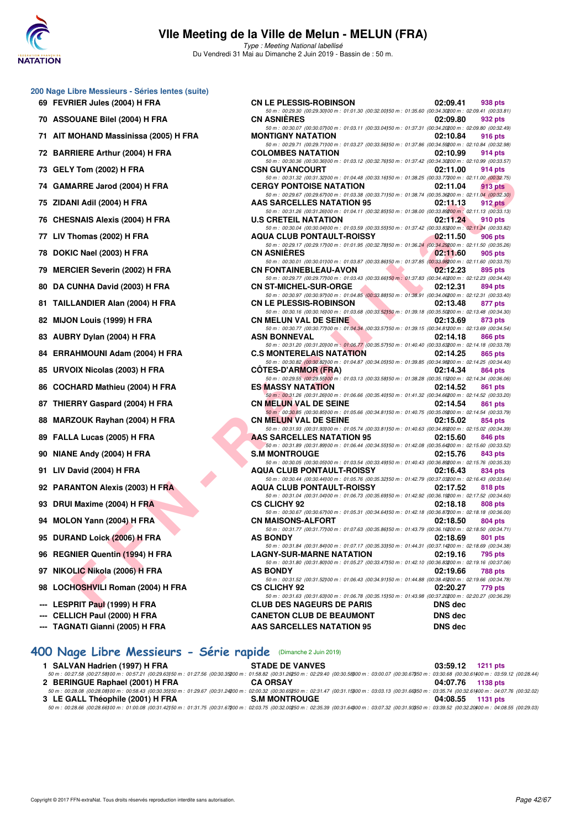

Type : Meeting National labellisé Du Vendredi 31 Mai au Dimanche 2 Juin 2019 - Bassin de : 50 m.

|  |  |  | 200 Nage Libre Messieurs - Séries lentes (suite) |  |  |  |
|--|--|--|--------------------------------------------------|--|--|--|
|--|--|--|--------------------------------------------------|--|--|--|

- **69 FEVRIER Jules (2004) H FRA CN LE PLESSIS-ROBINSON 02:09.41 938 pts**
- **70 ASSOUANE Bilel (2004) H FRA CN ASNIÈRES 02:09.80 932 pts**
- **71 AIT MOHAND Massinissa (2005) H FRA**
- 72 BARRIERE Arthur (2004) H FRA
- 73 GELY Tom (2002) **H FRA**
- 74 GAMARRE Jarod (2004) H FRA
- **75 ZIDANI Adil (2004) H FRA**
- **76 CHESNAIS Alexis (2004) H FRA**
- **77 LIV Thomas (2002) H FRA**
- **78 DOKIC Nael (2003) H FRA**
- 79 MERCIER Severin (2002) H FRA
- 80 DA CUNHA David (2003) H FRA
- 81 TAILLANDIER Alan (2004) H FRA
- **82 MIJON Louis (1999) H FRA**
- **83 AUBRY Dylan (2004) H FRA**
- 84 ERRAHMOUNI Adam (2004) H FRA
- 85 URVOIX Nicolas (2003) H FRA
- 86 COCHARD Mathieu (2004) H FRA
- 87 THIERRY Gaspard (2004) H FRA
- 88 MARZOUK Rayhan (2004) H FRA
- 89 FALLA Lucas (2005) H FRA
- **90 NIANE Andy (2004) H FRA**
- **91 LIV David (2004) H FRA**
- **92 PARANTON Alexis (2003) H FRA**
- **93 DRUI Maxime (2004) H FRA**
- **94 MOLON Yann (2004) H FRA**
- **95 DURAND Loick (2006) H FRA**
- **96 REGNIER Quentin (1994) H FRA**
- **97 NIKOLIC Nikola (2006) H FRA**
- **98 LOCHOSHVILI Roman (2004) H FRA**
- 
- **--- CELLICH Paul (2000) H FRA CANETON CLUB DE BEAUMONT DNS dec**
- **--- TAGNATI Gianni (2005) H FRA AAS SARCELLES NATATION 95 DNS dec**

|                                       | 50 m :  00:30.07  (00:30.07)00 m :  01:03.11  (00:33.04)50 m :  01:37.31  (00:34.20200 m :  02:09.80  (00:32.49)                                                      |
|---------------------------------------|-----------------------------------------------------------------------------------------------------------------------------------------------------------------------|
| 71 AIT MOHAND Massinissa (2005) H FRA | <b>MONTIGNY NATATION</b><br>02:10.84<br>916 pts                                                                                                                       |
| 72 BARRIERE Arthur (2004) H FRA       | 50 m : 00:29.71 (00:29.71) 00 m : 01:03.27 (00:33.56) 50 m : 01:37.86 (00:34.59200 m : 02:10.84 (00:32.98)<br><b>COLOMBES NATATION</b><br>02:10.99<br>914 pts         |
|                                       | 50 m : 00:30.36 (00:30.36) 00 m : 01:03.12 (00:32.76) 50 m : 01:37.42 (00:34.30200 m : 02:10.99 (00:33.57)                                                            |
| 73   GELY Tom (2002) H FRA            | <b>CSN GUYANCOURT</b><br>02:11.00<br>914 pts                                                                                                                          |
| 74 GAMARRE Jarod (2004) H FRA         | 50 m : 00:31.32 (00:31.32) 00 m : 01:04.48 (00:33.16) 50 m : 01:38.25 (00:33.77200 m : 02:11.00 (00:32.75)<br><b>CERGY PONTOISE NATATION</b><br>02:11.04<br>913 pts   |
|                                       | 50 m : 00:29.67 (00:29.67) 00 m : 01:03.38 (00:33.71) 50 m : 01:38.74 (00:35.36200 m : 02:11.04 (00:32.30)                                                            |
| 75   ZIDANI Adil (2004) H FRA         | <b>AAS SARCELLES NATATION 95</b><br>02:11.13<br>912 pts                                                                                                               |
|                                       | 50 m: 00:31.26 (00:31.26) 00 m: 01:04.11 (00:32.85) 50 m: 01:38.00 (00:33.89200 m: 02:11.13 (00:33.13)                                                                |
| 76 CHESNAIS Alexis (2004) H FRA       | <b>U.S CRETEIL NATATION</b><br>02:11.24<br>910 pts<br>50 m : 00:30.04 (00:30.04)00 m : 01:03.59 (00:33.55)50 m : 01:37.42 (00:33.83200 m : 02:11.24 (00:33.82)        |
| 77 LIV Thomas (2002) H FRA            | <b>AQUA CLUB PONTAULT-ROISSY</b><br>02:11.50<br>906 pts                                                                                                               |
|                                       | 50 m : 00:29.17 (00:29.17) 00 m : 01:01.95 (00:32.78) 50 m : 01:36.24 (00:34.29200 m : 02:11.50 (00:35.26)                                                            |
| 78 DOKIC Nael (2003) H FRA            | <b>CN ASNIERES</b><br>02:11.60<br>905 pts<br>50 m: 00:30.01 (00:30.01) 00 m: 01:03.87 (00:33.86) 50 m: 01:37.85 (00:33.98200 m: 02:11.60 (00:33.75)                   |
| 79 MERCIER Severin (2002) H FRA       | CN FONTAINEBLEAU-AVON<br>02:12.23<br>895 pts                                                                                                                          |
|                                       | 50 m : 00:29.77 (00:29.77) 00 m : 01:03.43 (00:33.66) 50 m : 01:37.83 (00:34.40) 00 m : 02:12.23 (00:34.40)                                                           |
| 80 DA CUNHA David (2003) H FRA        | <b>CN ST-MICHEL-SUR-ORGE</b><br>02:12.31<br>894 pts                                                                                                                   |
| 81 TAILLANDIER Alan (2004) H FRA      | 50 m : 00:30.97 (00:30.97)00 m : 01:04.85 (00:33.88)50 m : 01:38.91 (00:34.06200 m : 02:12.31 (00:33.40)<br><b>CN LE PLESSIS-ROBINSON</b><br>02:13.48<br>877 pts      |
|                                       | 50 m : 00:30.16 (00:30.16)00 m : 01:03.68 (00:33.52)50 m : 01:39.18 (00:35.50200 m : 02:13.48 (00:34.30)                                                              |
| 82 MIJON Louis (1999) H FRA           | <b>CN MELUN VAL DE SEINE</b><br>02:13.69<br>873 pts                                                                                                                   |
| 83 AUBRY Dylan (2004) H FRA           | 50 m : 00:30.77 (00:30.77)00 m : 01:04.34 (00:33.57)50 m : 01:39.15 (00:34.81200 m : 02:13.69 (00:34.54)<br><b>ASN BONNEVAL</b><br>02:14.18<br>866 pts                |
|                                       | 50 m : 00:31.20 (00:31.20) 00 m : 01:06.77 (00:35.57) 50 m : 01:40.40 (00:33.63200 m : 02:14.18 (00:33.78)                                                            |
| 84 ERRAHMOUNI Adam (2004) H FRA       | C.S MONTERELAIS NATATION<br>02:14.25<br>865 pts                                                                                                                       |
|                                       | 50 m : 00:30.82 (00:30.82) 00 m : 01:04.87 (00:34.05) 50 m : 01:39.85 (00:34.98200 m : 02:14.25 (00:34.40)                                                            |
| 85   URVOIX Nicolas (2003) H FRA      | <b>COTES-D'ARMOR (FRA)</b><br>02:14.34<br>864 pts<br>50 m : 00:29.55 (00:29.55) 00 m : 01:03.13 (00:33.58) 50 m : 01:38.28 (00:35.15200 m : 02:14.34 (00:36.06)       |
| 86 COCHARD Mathieu (2004) H FRA       | <b>ES MASSY NATATION</b><br>02:14.52<br>861 pts                                                                                                                       |
|                                       | 50 m : 00:31.26 (00:31.26) 00 m : 01:06.66 (00:35.40) 50 m : 01:41.32 (00:34.66200 m : 02:14.52 (00:33.20)                                                            |
| 87 THIERRY Gaspard (2004) H FRA       | CN MELUN VAL DE SEINE<br>02:14.54<br>861 pts<br>50 m : 00:30.85 (00:30.85)00 m : 01:05.66 (00:34.81)50 m : 01:40.75 (00:35.09200 m : 02:14.54 (00:33.79)              |
| 88 MARZOUK Rayhan (2004) H FRA        | <b>CN MELUN VAL DE SEINE</b><br>02:15.02<br>854 pts                                                                                                                   |
|                                       | 50 m : 00:31.93 (00:31.93) 00 m : 01:05.74 (00:33.81) 50 m : 01:40.63 (00:34.89200 m : 02:15.02 (00:34.39)                                                            |
| 89 FALLA Lucas (2005) H FRA           | AAS SARCELLES NATATION 95<br>02:15.60<br>846 pts<br>50 m : 00:31.89 (00:31.89) 00 m : 01:06.44 (00:34.55) 50 m : 01:42.08 (00:35.64200 m : 02:15.60 (00:33.52)        |
| 90 NIANE Andy (2004) H FRA            | <b>S.M MONTROUGE</b><br>02:15.76<br>843 pts                                                                                                                           |
|                                       | 50 m : 00:30.05 (00:30.05)00 m : 01:03.54 (00:33.49)50 m : 01:40.43 (00:36.89200 m : 02:15.76 (00:35.33)                                                              |
| 91 LIV David (2004) H FRA             | <b>AQUA CLUB PONTAULT-ROISSY</b><br>02:16.43<br>834 pts                                                                                                               |
| 92 PARANTON Alexis (2003) H FRA       | 50 m : 00:30.44 (00:30.44) 00 m : 01:05.76 (00:35.32) 50 m : 01:42.79 (00:37.03200 m : 02:16.43 (00:33.64)<br><b>AQUA CLUB PONTAULT-ROISSY</b><br>02:17.52<br>818 pts |
|                                       | 50 m : 00:31.04 (00:31.04)00 m : 01:06.73 (00:35.69)50 m : 01:42.92 (00:36.19200 m : 02:17.52 (00:34.60)                                                              |
| 93 DRUI Maxime (2004) H FRA           | <b>CS CLICHY 92</b><br>02:18.18<br><b>808 pts</b>                                                                                                                     |
| 94 MOLON Yann (2004) H FRA            | 50 m : 00:30.67 (00:30.67) 00 m : 01:05.31 (00:34.64) 50 m : 01:42.18 (00:36.87200 m : 02:18.18 (00:36.00)<br><b>CN MAISONS-ALFORT</b><br>02:18.50<br>804 pts         |
|                                       | 50 m : 00:31.77 (00:31.77) 00 m : 01:07.63 (00:35.86) 50 m : 01:43.79 (00:36.16200 m : 02:18.50 (00:34.71)                                                            |
| 95 DURAND Loick (2006) H FRA          | <b>AS BONDY</b><br>02:18.69<br>801 pts                                                                                                                                |
|                                       | 50 m: 00:31.84 (00:31.84)00 m: 01:07.17 (00:35.33)50 m: 01:44.31 (00:37.14200 m: 02:18.69 (00:34.38)                                                                  |
| 96 REGNIER Quentin (1994) H FRA       | <b>LAGNY-SUR-MARNE NATATION</b><br>02:19.16<br>795 pts<br>50 m : 00:31.80 (00:31.80) 00 m : 01:05.27 (00:33.47) 50 m : 01:42.10 (00:36.83200 m : 02:19.16 (00:37.06)  |
| 97   NIKOLIC Nikola (2006) H FRA      | <b>AS BONDY</b><br>02:19.66<br>788 pts                                                                                                                                |
|                                       | 50 m : 00:31.52 (00:31.52)00 m : 01:06.43 (00:34.91)50 m : 01:44.88 (00:38.45200 m : 02:19.66 (00:34.78)                                                              |
| 98 LOCHOSHVILI Roman (2004) H FRA     | <b>CS CLICHY 92</b><br>02:20.27<br>779 pts<br>50 m : 00:31.63 (00:31.63) 00 m : 01:06.78 (00:35.15) 50 m : 01:43.98 (00:37.20200 m : 02:20.27 (00:36.29)              |
| --- LESPRIT Paul (1999) H FRA         | <b>CLUB DES NAGEURS DE PARIS</b><br><b>DNS</b> dec                                                                                                                    |
|                                       |                                                                                                                                                                       |

50 m : 00:29.30 (00:29.30)00 m : 01:01.30 (00:32.00)50 m : 01:35.60 (00:34.30200 m : 02:09.41 (00:33.81)<br>**ASNIÈRES** 02:09.80 932 pts

#### **[400 Nage Libre Messieurs - Série rapide](http://www.ffnatation.fr/webffn/resultats.php?idact=nat&go=epr&idcpt=57771&idepr=54)** (Dimanche 2 Juin 2019)

| 1 SALVAN Hadrien (1997) H FRA                                                                                                                                                                                                                      | <b>STADE DE VANVES</b> | 03:59.12 1211 pts |  |
|----------------------------------------------------------------------------------------------------------------------------------------------------------------------------------------------------------------------------------------------------|------------------------|-------------------|--|
| 50 m : 00:27.58 (00:27.58) 00 m : 00:57.21 (00:29.63) 50 m : 01:27.56 (00:30.35200 m : 01:58.82 (00:31.26250 m : 02:29.40 (00:30.56300 m : 03:00.07 (00:30.67350 m : 03:30.68 (00:30.61400 m : 03:59.12 (00:28.44)                                 |                        |                   |  |
| 2 BERINGUE Raphael (2001) H FRA                                                                                                                                                                                                                    | <b>CA ORSAY</b>        | 04:07.76 1138 pts |  |
| $50 m: 00:28.08 (00:28.08100 m: 00:58.43 (00:30.35150 m: 01:29.67 (00:31.24200 m: 02:00.32 (00:30.65250 m: 02:31.47 (00:31.15300 m: 03:03.13 (00:31.66350 m: 03:35.74 (00:32.61400 m: 04:07.76 (00:32.620 m: 04.07.76 (00:32.620 m: 04.07.76 (00:$ |                        |                   |  |
| 3 LE GALL Théophile (2001) H FRA                                                                                                                                                                                                                   | <b>S.M MONTROUGE</b>   | 04:08.55 1131 pts |  |
| $50 m : 00:28.66 (00:28.66) 00 m : 01:00.08 (00:31.42) 50 m : 01:31.75 (00:31.67200 m : 02:03.75 (00:32.00250 m : 02:35.39 (00:31.64300 m : 03:07.32 (00:31.93350 m : 03:39.52 (00:32.20400 m : 04:08.55 (00:29.03))$                              |                        |                   |  |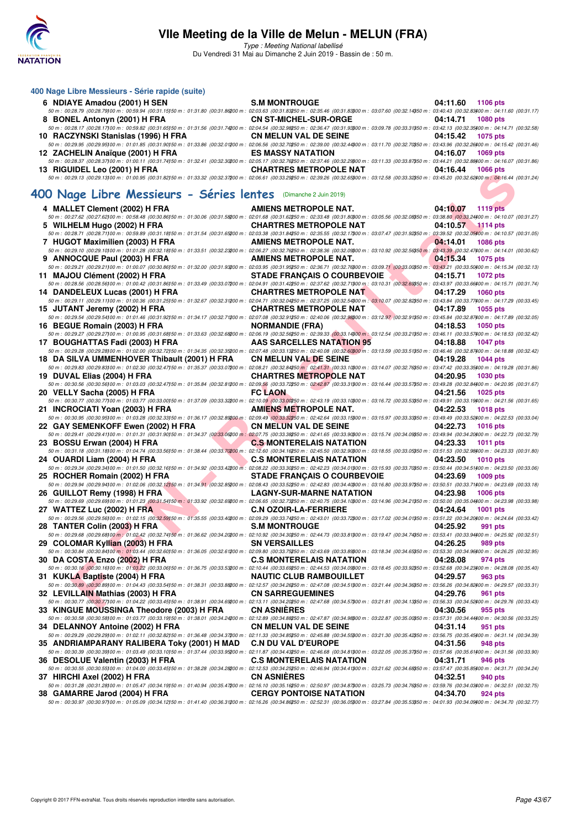

Type : Meeting National labellisé Du Vendredi 31 Mai au Dimanche 2 Juin 2019 - Bassin de : 50 m.

#### **400 Nage Libre Messieurs - Série rapide (suite) 6 NDIAYE Amadou (2001) H SEN S.M MONTROUGE 04:11.60 1106 pts** 50 m : 00:28.79 (00:28.79)100 m : 00:59.94 (00:31.15)150 m : 01:31.80 (00:31.86)200 m : 02:03.63 (00:31.83)250 m : 02:35.46 (00:31.83)300 m : 03:07.60 (00:32.14)350 m : 03:40.43 (00:32.83)400 m : 04:11.60 (00:31.17) **8 BONEL Antonyn (2001) H FRA CN ST-MICHEL-SUR-ORGE 04:14.71 1080 pts** 50 m : 00:28.17 (00:28.17100 m : 00:59.82 (00:31.6550 m : 01:31.56 (00:31.74200 m : 02:04.54 (00:32.98850 m : 02:36.47 (00:31.93300 m : 03:09.78 (00:33.31)350 m : 03:42.13 (00:32.35)400 m : 04:14.71 (00:32.58)<br>RACZYNSKI St **10 RACZYNSKI Stanislas (1996) H FRA** 50 m : 00:29.95 (00:29.95)00 m : 01:01.85 (00:31.90)50 m : 01:33.86 (00:32.01200 m : 02:06.56 (00:32.70350 m : 03:11.70 (00:32.70350 m : 03:43.96 (00:32.26)00 m : 04:15.42 (00:31.46)<br>**ES MASSY NATATION** density of the CALL 12 ZACHELIN Anaïque (2001) H FRA 50 m : 00:28.37 (00:28.37) 00 m : 01:00.11 (00:31.74)50 m : 01:32.41 (00:32.30200 m : 02:05.17 (00:31.26)<br>50 m : 02:05.37 (00:32.3900 m : 01:00.11 (00:31.74)50 m : 01:32.41 (00:32.30200 m : 02:05.17 (00:32.2500 m : 0<br>**13 R 13 RIGUIDEL Leo (2001) H FRA CHARTRES METROPOLE NAT 04:16.44 1066 pts** 50 m : 00:29.13 (00:29.13)100 m : 01:00.95 (00:31.82)150 m : 01:33.32 (00:32.37)200 m : 02:06.61 (00:33.29)250 m : 02:39.26 (00:32.65)300 m : 03:12.58 (00:33.32)350 m : 03:45.20 (00:32.62)400 m : 04:16.44 (00:31.24)

#### **[400 Nage Libre Messieurs - Séries lentes](http://www.ffnatation.fr/webffn/resultats.php?idact=nat&go=epr&idcpt=57771&idepr=54)** (Dimanche 2 Juin 2019)

| <b>13 NIGUIDEL LEU (ZUUT) IT FRA</b><br>50 m : 00:29.13 (00:29.13)00 m : 01:00.95 (00:31.82)50 m : 01:33.32 (00:32.37200 m : 02:06.61 (00:33.29250 m : 02:39.26 (00:32.65300 m : 03:12.58 (00:33.32350 m : 03:45.20 (00:32.62400 m : 04:16.44 (00:31.24)                                                                                  | CHARTINES METHOP OLE NAT                                                    | $0 + 10.4 + 1000$ pm        |
|-------------------------------------------------------------------------------------------------------------------------------------------------------------------------------------------------------------------------------------------------------------------------------------------------------------------------------------------|-----------------------------------------------------------------------------|-----------------------------|
|                                                                                                                                                                                                                                                                                                                                           |                                                                             |                             |
| OO Nage Libre Messieurs - Séries lentes (Dimanche 2 Juin 2019)                                                                                                                                                                                                                                                                            |                                                                             |                             |
| 4 MALLET Clement (2002) H FRA                                                                                                                                                                                                                                                                                                             | AMIENS METROPOLE NAT.                                                       | 04:10.07<br>$1119$ pts      |
| 50 m : 00:27.62 (00:27.62)00 m : 00:58.48 (00:30.86)50 m : 01:30.06 (00:31.58200 m : 02:01.68 (00:31.62250 m : 02:33.48 (00:31.8000 m : 03:05.56 (00:32.08)50 m : 03:38.80 (00:32.04)60 m : 03:38.80 (00:32.24)00 m : 04:10.07                                                                                                            |                                                                             |                             |
| 5 WILHELM Hugo (2002) H FRA                                                                                                                                                                                                                                                                                                               | <b>CHARTRES METROPOLE NAT</b>                                               | 04:10.57<br><b>1114 pts</b> |
| 50 m : 00:28.71 (00:28.71100 m : 00:59.89 (00:31.18150 m : 01:31.54 (00:31.65200 m : 02:03.38 (00:31.84250 m : 02:35.55 (00:32.17300 m : 03:07.47 (00:31.92350 m : 02:39.52 (00:32.05400 m : 04:10.57 (00:31.05)                                                                                                                          |                                                                             |                             |
| 7 HUGOT Maximilien (2003) H FRA                                                                                                                                                                                                                                                                                                           | <b>AMIENS METROPOLE NAT.</b>                                                | 04:14.01<br><b>1086 pts</b> |
| $50\,m:\,00.29.10\,\,(00.29.10)\,00\,m:\,01.01.28\,\,(00.32.18)\,50\,m:\,01.33.51\,\,(00.32.23200\,m:\,02.06.27\,\,(00.32.76250\,m:\,02.38.36\,\,(00.32.03900\,m:\,03.10.92\,\,(00.32.56350\,m:\,03.43.39\,\,(00.32.47400\,m:\,04.14.01\,\,(00.30.62)\,$                                                                                  |                                                                             |                             |
| 9 ANNOCQUE Paul (2003) H FRA<br>50 m : 00:29.21 (00:29.21100 m : 01:00.07 (00:30.86150 m : 01:32.00 (00:31.93200 m : 02:03.95 (00:31.95350 m : 02:36.71 (00:32.76300 m : 03:09.71 (00:33.00350 m : 03:43.21 (00:33.50300 m : 03:43.21 (00:33.50300 m : 04:15.34                                                                           | AMIENS METROPOLE NAT.                                                       | 04:15.34<br>1075 pts        |
| 11 MAJOU Clément (2002) H FRA                                                                                                                                                                                                                                                                                                             | STADE FRANÇAIS O COURBEVOIE                                                 | 04:15.71<br><b>1072 pts</b> |
| $50\,m:\,00.28.56\,\,(00.28.56) \,00\,m:\,01.00.42\,\,(00.31.86) \,50\,m:\,01.33.49\,\,(00.33.07200\,m:\,02.04.91\,\,(00.31.42250\,m:\,02.37.62\,\,(00.32.71300\,m:\,03.10.31\,\,(00.32.63950\,m:\,03.43.97\,\,(00.33.68400\,m:\,04.15.71\,\,(00.31.74)\$                                                                                 |                                                                             |                             |
| 14 DANDELEUX Lucas (2001) H FRA                                                                                                                                                                                                                                                                                                           | <b>Contract Contract Contract Contract</b><br><b>CHARTRES METROPOLE NAT</b> | 04:17.29<br>1060 pts        |
|                                                                                                                                                                                                                                                                                                                                           |                                                                             |                             |
| 15 JUTANT Jeremy (2002) H FRA                                                                                                                                                                                                                                                                                                             | <b>The Common</b><br><b>CHARTRES METROPOLE NAT</b>                          | 04:17.89<br>1055 pts        |
| $50\,m:\,00.29.54\,(\text{00.29.54})\,00\,m:\,01.01.46\,\,(\text{00.31.92150}\,m:\,01.34.17\,\,(\text{00.32.71200}\,m:\,02.07.08\,\,(\text{00.32.91250}\,m:\,02.40.06\,\,(\text{00.32.98900}\,m:\,03.12.97\,\,(\text{00.32.91350}\,m:\,03.45.84\,\,(\text{00.32.87400}\,m:\,04$                                                           |                                                                             |                             |
| 16 BEGUE Romain (2003) H FRA                                                                                                                                                                                                                                                                                                              | <b>Contract Contract Contract Contract</b><br><b>NORMANDIE (FRA)</b>        | 04:18.53<br><b>1050 pts</b> |
| $50\,m:\,00.29.27\,\,(00.29.27) \,00\,m:\,01.00.95\,\,(00.31.68) \,50\,m:\,01.33.63\,\,(00.32.68200\,m:\,02.06.19\,\,(00.32.56250\,m:\,02.39.33\,\,(00.33.14800\,m):\,03.12.54\,\,(00.33.21350\,m:\,03.46.11\,\,(00.33.57400\,m:\,04.18.53\,\,(00.32.42)$                                                                                 | <b>AAS SARCELLES NATATION 95</b>                                            | <b>1047 pts</b>             |
| 17 BOUGHATTAS Fadi (2003) H FRA<br>50 m : 00:29.28 (00:29.28)00 m : 01:02.00 (00:32.72)50 m : 01:34.35 (00:32.3500 m : 02:07.48 (00:33.13250 m : 02:40.08 (00:32.60000 m : 03:13.59 (00:33.51350 m : 03:46.46 (00:32.87400 m : 04:18.88 (00:32.42)                                                                                        |                                                                             | 04:18.88                    |
| 18 DA SILVA UMMENHOVER Thibault (2001) H FRA                                                                                                                                                                                                                                                                                              | <b>CN MELUN VAL DE SEINE</b>                                                | 04:19.28<br><b>1044 pts</b> |
| $50\,m:\,00.29.83\,(00.29.83) \,00\,m:\,01.02.30\,(00.32.47) \,50\,m:\,01.35.37\,(00.33.07200\,m:\,02.08.21\,(00.32.84250\,m:\,02.41.31\,(00.33.10300\,m:\,03.14.07\,(00.32.76350\,m:\,03.47.42\,(00.33.5300\,m:\,04.19.28\,(00.31.86)$                                                                                                   |                                                                             |                             |
| 19 DUVAL Elias (2004) H FRA                                                                                                                                                                                                                                                                                                               | <b>CHARTRES METROPOLE NAT</b>                                               | 04:20.95<br>1030 pts        |
| $50\,m:\,00.30.56\,(00.30.56)00\,m:\,01.03.03\,(00.32.47)50\,m:\,01.35.84\,(00.32.81200\,m:\,02.09.56\,(00.33.72250\,m:\,02.42.87\,(00.33.31300\,m:\,03.16.44\,(00.33.57350\,m:\,03.49.28\,(00.32.84400\,m:\,04.20.95\,00.31.67)$                                                                                                         |                                                                             |                             |
| 20 VELLY Sacha (2005) H FRA                                                                                                                                                                                                                                                                                                               | <b>FC LAON</b>                                                              | 04:21.56<br><b>1025 pts</b> |
| 50 m : 00:30.77 (00:30.77) 00 m : 01:03.77 (00:33.00)50 m : 01:37.09 (00:33.32200 m : 02:10.09 (00:33.00250 m : 02:43.19 (00:33.10300 m : 03:16.72 (00:33.53350 m : 03:49.91 (00:33.19300 m : 04:21.56 (00:31.65)                                                                                                                         |                                                                             |                             |
| 21 INCROCIATI Yoan (2003) H FRA<br>$50\,m:\,00.30.95\,(00.30.95100\,m:\,01.03.28\,(00.32.33150\,m:\,01.36.17\,(00.32.89200\,m:\,02.09.49\,(00.33.32250\,m:\,02.42.64\,(00.33.15300\,m:\,03.15.97\,(00.33.33350\,m:\,03.49.49\,(00.33.52400\,m:\,04.22.53\,(00.33.04)$                                                                     | AMIENS METROPOLE NAT.                                                       | 04:22.53<br><b>1018 pts</b> |
| 22 GAY SEMENKOFF Ewen (2002) H FRA                                                                                                                                                                                                                                                                                                        | <b>CN MELUN VAL DE SEINE</b>                                                | 04:22.73<br><b>1016 pts</b> |
| 50 m : 00:29.41 (00:29.41100 m : 01:01.31 (00:31.90150 m : 01:34.37 (00:33.06200 m : 02:07.75 (00:33.36250 m : 02:41.65 (00:33.90300 m : 03:15.74 (00:34.09350 m : 03:49.94 (00:34.20400 m : 04:22.73 (00:32.79)                                                                                                                          |                                                                             |                             |
| BOSSU Erwan (2004) H FRA COS MONTERELAIS NATATION 04:23.33 1011 pts<br>23 BOSSU Erwan (2004) H FRA                                                                                                                                                                                                                                        |                                                                             |                             |
|                                                                                                                                                                                                                                                                                                                                           |                                                                             |                             |
| <u>and the state of the state of the state of the state of the state of the state of the state of the state of the state of the state of the state of the state of the state of the state of the state of the state of the state</u><br>24 OUARDI Liam (2004) H FRA                                                                       | <b>C.S MONTERELAIS NATATION</b>                                             | 04:23.50<br>1010 $pts$      |
| $50\,m:\,00.29.34\,\,(00.29.34\,00\,m:\,01.01.50\,\,(00.32.16)\\ 50\,m:\,01.34.92\,\,(00.33.422\,00.33.422\,00.39.22\,\,(00.33.30\\250\,m:\,02.42.23\,\,(00.34.01\\300\,m:\,03.15.93\,\,(00.33.70\\350\,m:\,03.50.44\,\,(00.34.51\\300\,m:\,04.23.50\,\,($                                                                                |                                                                             |                             |
| <b>Contract Contract Contract Contract</b><br>25 ROCHER Romain (2002) H FRA<br>$50\,m:\,00.29.94\,\,(00.29.94\,00\,m:\,01.02.06\,\,(00.32.12)\,\,50\,m:\,01.34.91\,\,(00.32.85200\,m:\,02.08.43\,\,(00.33.52250\,m:\,02.42.83\,\,(00.34.40300\,m:\,03.16.80\,\,(00.33.97350\,m:\,03.50.51\,\,(00.33.71400\,m:\,04.23.69\,\,(00.33.18)\,\$ | <b>STADE FRANÇAIS O COURBEVOIE</b>                                          | 04:23.69<br>1009 pts        |
| 26 GUILLOT Remy (1998) H FRA                                                                                                                                                                                                                                                                                                              |                                                                             |                             |
| GUILLOT Remy (1998) H FRA LAGNY-SUR-MARNE NATATION 04:23.98 1006 pts 1006 pts 1006 pts 0.23.69 1006 pts 0.23.69 1006 pts                                                                                                                                                                                                                  |                                                                             |                             |
| 27 WATTEZ Luc (2002) H FRA                                                                                                                                                                                                                                                                                                                | <b>C.N OZOIR-LA-FERRIERE</b>                                                | 04:24.64<br>1001 pts        |
| $50\,m:\,00.29.56\,\, (00.29.56) \,00\,m:\,01.02.15\,\,(00.32.59) \,50\,m:\,01.35.55\,\,(00.33.40200\,m:\,02.09.29\,\,(00.33.74250\,m:\,02.43.01\,\,(00.33.72200\,m:\,03.17.02\,\,(00.34.01350\,m:\,03.51.22\,\,(00.34.20300\,m:\,04.24.64\,\,(00.33.42$                                                                                  |                                                                             |                             |
| TANTER Colin (2003) H FRA S.M MONTROUGE 03:3.847 (00:34.7450 m: 02:5.92 991 pts 04:25.92 991 pts<br>28 TANTER Colin (2003) H FRA                                                                                                                                                                                                          |                                                                             |                             |
|                                                                                                                                                                                                                                                                                                                                           |                                                                             |                             |
| 29 COLOMAR Kyllian (2003) H FRA<br>50 m : 00:30.84 (00:30.84)00 m : 01:03.44 (00:32.60150 m : 01:36.05 (00:32.61200 m : 02:09.80 (00:33.75250 m : 02:43.69 (00:33.83300 m : 03:18.34 (00:34.65350 m : 03:53.30 (00:34.86360 m : 04:26.25 (00:32.95)                                                                                       | <b>SN VERSAILLES</b>                                                        | 04:26.25<br>989 pts         |
| 30 DA COSTA Enzo (2002) H FRA                                                                                                                                                                                                                                                                                                             |                                                                             |                             |
| <b>DA COSTA Enzo (2002) H FRA</b> C.S MONTERELAIS NATATION 04:28.08 974 pts 6.6 m = 0.93.16 (00:30.15 pm = 0.93.16 (00:30.15 pm = 0.93.16 (00:30.15 pm = 0.1.03.22 (00:33.025 m = 0.1.03.22 (00:33.025 m = 0.1.03.22 (00:33.025 m =                                                                                                       |                                                                             |                             |
| 31 KUKLA Baptiste (2004) H FRA                                                                                                                                                                                                                                                                                                            | <b>NAUTIC CLUB RAMBOUILLET</b>                                              | 04:29.57<br>963 pts         |
| $50\,m:\,00.30.89\,\, (00.30.89100\,m:\,01.04.43\,\,(00.33.54150\,m:\,01.38.31\,\,(00.33.82900\,m:\,02.12.57\,\,(00.34.26250\,m:\,02.47.08\,\,(00.34.51900\,m:\,03.21.44\,\,(00.34.36350\,m:\,03.56.26\,\,(00.34.82900\,m:\,04.29.57\,\,(00.33.31)\,$                                                                                     |                                                                             |                             |
| 32 LEVILLAIN Mathias (2003) H FRA                                                                                                                                                                                                                                                                                                         | <b>CN SARREGUEMINES</b>                                                     | 04:29.76<br>961 pts         |
| 50 m : 00:30.77 (00:30.77)00 m : 01:04.22 (00:33.45)50 m : 01:38.91 (00:34.69200 m : 02:13.11 (00:34.20250 m : 02:47.68 (00:34.57300 m : 03:21.81 (00:34.13350 m : 03:56.33 (00:34.52400 m : 04:29.76 (00:33.43)                                                                                                                          |                                                                             |                             |
|                                                                                                                                                                                                                                                                                                                                           |                                                                             |                             |
| 33 KINGUE MOUSSINGA Theodore (2003) H FRA                                                                                                                                                                                                                                                                                                 | <b>CN ASNIÈRES</b>                                                          | 04:30.56<br>955 pts         |
| $50\,m:\,00.30.58\,\, (00.30.58\,000\,m:\,01.03.77\,\,(00.33.19\,50\,m:\,01.38.01\,\,(00.34.24200\,m:\,02.12.89\,\,(00.34.88\,50\,m:\,02.47.87\,\,(00.34.98\,900\,m:\,03.22.87\,\,(00.35.00\,850\,m:\,03.57.31\,\,(00.34.44400\,m:\,04.30.56\,\,(00.3$                                                                                    |                                                                             |                             |
| 34 DELANNOY Antoine (2002) H FRA                                                                                                                                                                                                                                                                                                          | <b>CN MELUN VAL DE SEINE</b>                                                | 04:31.14<br>951 pts         |
| $50\,m:\,00.29.29\,\,(00.29.29\,100\,m:\,01.02.11\,\,(00.32.82\,50\,m:\,01.36.48\,\,(00.34.372\,00\,m:\,02:11.33\,\,(00.34.85250\,m:\,02.45.88\,\,(00.34.553\,00\,m:\,03.21.30\,\,(00.35.42350\,m:\,03.56.75\,\,(00.35.454\,00\,m:\,04.31.14\,\,(00.3$                                                                                    |                                                                             | 04:31.56                    |
| 35 ANDRIAMPARANY RALIBERA Toky (2001) H MAD<br>$50\,m:\,\,00.30.39\,\,(00.30.39\,\,00\,m:\,\,01.03.49\,\,(00.33.10\,\,50\,m:\,\,01.37.44\,\,(00.33.952\,\,00\,m:\,\,02.11.87\,\,(00.34.43250\,m:\,\,02.46.68\,\,(00.34.813\,\,00\,m:\,\,03.22.05\,\,(00.35.37350\,m:\,\,03.57.66\,\,(00.35.614\,\,00\,m:\,\,04.$                          | <b>C.N DU VAL D'EUROPE</b>                                                  | 948 pts                     |
| 36 DESOLUE Valentin (2003) H FRA                                                                                                                                                                                                                                                                                                          | <b>C.S MONTERELAIS NATATION</b>                                             | 04:31.71<br>946 pts         |
| $50\,m:\,00.30.55\,(00.30.55) \,00\,m:\,01.04.00\,\,(00.33.45) \,50\,m:\,01.38.28\,\,(00.34.28200\,m:\,02.12.53\,\,(00.34.25250\,m:\,02.4694\,\,(00.34.41300\,m:\,03.21.62\,\,(00.34.68350\,m:\,03.57.47\,\,(00.35.85300\,m:\,04.31.71\,\,(00.34.24) \,$                                                                                  |                                                                             |                             |
| 37 HIRCHI Axel (2002) H FRA                                                                                                                                                                                                                                                                                                               | <b>CN ASNIERES</b>                                                          | 04:32.51<br>940 pts         |
| 50 m : 00:31.28 (00:31.28)00 m : 01:05.47 (00:34.19)50 m : 01:40.94 (00:35.47200 m : 02:16.10 (00:35.16250 m : 02:50.97 (00:34.87300 m : 03:52 (00:34.76350 m : 03:59.76 (00:34.03400 m : 04:32.51 (00:32.75)<br>38 GAMARRE Jarod (2004) H FRA                                                                                            | <b>CERGY PONTOISE NATATION</b>                                              | 04:34.70<br>924 pts         |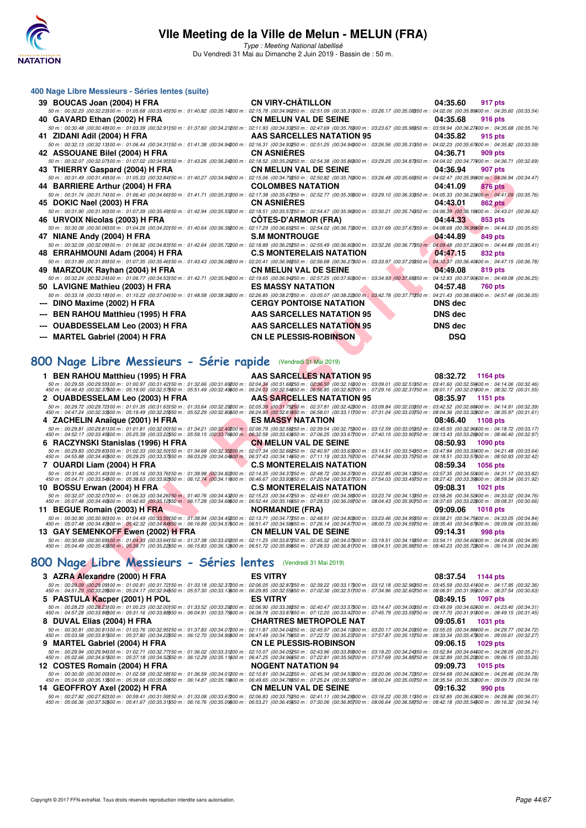

Type : Meeting National labellisé Du Vendredi 31 Mai au Dimanche 2 Juin 2019 - Bassin de : 50 m.

| 400 Nage Libre Messieurs - Séries lentes (suite)                                                                                                                                                                                                          |                                                                    |                     |
|-----------------------------------------------------------------------------------------------------------------------------------------------------------------------------------------------------------------------------------------------------------|--------------------------------------------------------------------|---------------------|
| 39 BOUCAS Joan (2004) H FRA CN VIRY-CHÂTILLON                                                                                                                                                                                                             |                                                                    | 04:35.60<br>917 pts |
| 50 m : 00:32.23 (00:32.23)00 m : 01:05.68 (00:33.45)50 m : 01:40.82 (00:35.14200 m : 02:15.78 (00:34.96250 m : 02:51.09 (00:35.31300 m : 03:26.17 (00:35.08350 m : 04:02.06 (00:35.89400 m : 04:35.60 (00:33.54)                                          |                                                                    |                     |
| 40 GAVARD Ethan (2002) H FRA CN MELUN VAL DE SEINE 04:35.68                                                                                                                                                                                               |                                                                    | 916 pts             |
| $50\,m:\,00.30.48\,\,(00.30.48) \,00\,m:\,01.03.39\,\,(00.32.91) \,50\,n:\,01.37.60\,\,(00.34.21200\,m:\,02.11.93\,\,(00.34.33250\,m:\,02.47.69\,\,(00.35.76300\,m:\,03.23.67\,\,(00.35.98550\,m:\,03.59.94\,\,(00.36.27400\,m:\,04.35.68\,\,(00.36.74)\$ |                                                                    |                     |
| 41 ZIDANI Adil (2004) H FRA                                                                                                                                                                                                                               | <b>AAS SARCELLES NATATION 95 04:35.82</b>                          | 915 pts             |
| $50\,m:\,00.32.13\,(00.32.13100\,m:\,01.06.44\,\,(00.34.31150\,m:\,01.41.38\,\,(00.34.94200\,m:\,02.16.31\,\,(00.34.93250\,m:\,02.51.25\,\,(00.34.94200\,m:\,03.26.56\,\,(00.35.31350\,m:\,04.02.23\,\,(00.35.67400\,m:\,04.35.82\,\,(00.35.93)\,$        |                                                                    |                     |
| 42 ASSOUANE Bilel (2004) H FRA CN ASNIÈRES                                                                                                                                                                                                                | 04:36.71                                                           | 909 pts             |
| 50 m : 00:32.07 (00:32.07)00 m : 01:07.02 (00:34.95)50 m : 01:43.26 (00:36.24200 m : 02:18.52 (00:35.26250 m : 02:54.38 (00:35.86300 m : 03:29.25 (00:34.87350 m : 04:04.02 (00:34.77400 m : 04:36.71 (00:32.69)                                          |                                                                    |                     |
| 43 THIERRY Gaspard (2004) H FRA <b>CN MELUN VAL DE SEINE</b> 04:36.94                                                                                                                                                                                     |                                                                    | 907 pts             |
| 50 m : 00:31.49 (00:31.49)00 m : 01:05.33 (00:33.84)50 m : 01:40.27 (00:34.94200 m : 02:15.06 (00:34.79250 m : 02:50.82 (00:35.76300 m : 03:26.48 (00:35.66350 m : 04:02.47 (00:35.99400 m : 04:02.47                                                     |                                                                    |                     |
| 44 BARRIERE Arthur (2004) H FRA COLOMBES NATATION 04:41.09                                                                                                                                                                                                |                                                                    | 876 pts             |
| 50 m : 00:31.74 (00:31.74100 m : 01:06.40 (00:34.66)50 m : 01:41.71 (00:35.31200 m : 02:17.38 (00:35.67250 m : 02:52.77 (00:35.33800 m : 03:29.10 (00:36.33850 m : 04:05.33 (00:36.323400 m : 04:41.09 (00:35.76)                                         |                                                                    |                     |
| 45 DOKIC Nael (2003) H FRA CN ASNIËRES                                                                                                                                                                                                                    | 04:43.01                                                           | <b>862 pts</b>      |
| 50 m : 00:31.90 (00:31.90)00 m : 01:07.39 (00:35.49)50 m : 01:42.94 (00:35.55200 m : 02:18.51 (00:35.57250 m : 02:54.47 (00:35.9600 m : 03:30.21 (00:35.74350 m : 04:06.39 (00:36.18400 m : 04:43.01 (00:36.62)                                           |                                                                    |                     |
|                                                                                                                                                                                                                                                           |                                                                    | 853 pts             |
| 50 m : 00:30.06 (00:30.06)00 m : 01:04.26 (00:34.20)50 m : 01:40.64 (00:36.38200 m : 02:17.29 (00:36.65250 m : 02:54.02 (00:36.73300 m : 03:31.69 (00:37.67350 m : 04:08.68 (00:36 9900 m : 04:44.33 (00:35.65)                                           |                                                                    |                     |
| 47 NIANE Andy (2004) H FRA                                                                                                                                                                                                                                | S.M. MONTROUGE THE RESIDENCE ON 144.89                             | 849 pts             |
| 50 m : 00:32.09 (00:32.09)00 m : 01:06.92 (00:34.83)50 m : 01:42.64 (00:35.72200 m : 02:18.89 (00:36.25250 m : 02:55.49 (00:36.60300 m : 03:32.26 (00:36.7750 m : 04:09.48 (00:37.22300 m : 04:44.89 (00:35.41)                                           |                                                                    |                     |
| 48 ERRAHMOUNI Adam (2004) H FRA C.S MONTERELAIS NATATION 64:47.15                                                                                                                                                                                         |                                                                    | 832 pts             |
| 50 m : 00:31.89 (00:31.89)00 m : 01:07.35 (00:35.46)50 m : 01:43.43 (00:36.08200 m : 02:20.41 (00:36.98250 m : 02:56.68 (00:36.27300 m : 03:33.97 (00:37.29350 m : 04:10.37 (00:36.40)00 m : 04:47.15 (00:36.78)                                          |                                                                    |                     |
| 49 MARZOUK Rayhan (2004) H FRA CN MELUN VAL DE SEINE                                                                                                                                                                                                      |                                                                    | 04:49.08<br>819 pts |
| 50 m : 00:32.24 (00:32.24100 m : 01:06.77 (00:34.53150 m : 01:42.71 (00:35.94200 m : 02:19.65 (00:36.94250 m : 02:57.25 (00:37.60300 m : 03:34.93 (00:37.68350 m : 04:12.83 (00:37.90400 m : 04:49.08 (00:36.25)                                          |                                                                    |                     |
| 50 LAVIGNE Mathieu (2003) H FRA                                                                                                                                                                                                                           | <b>ES MASSY NATATION</b><br>04.57.48                               | <b>760 pts</b>      |
| 50 m : 00:33.18 (00:33.18)00 m : 01:10.22 (00:37.04)50 m : 01:48.58 (00:38.36200 m : 02:26.85 (00:38.27250 m : 03:05.07 (00:38.22300 m : 03:42.78 (00:37.71350 m : 04:21.43 (00:38.65400 m : 04:57.48 (00:38.65400 m : 04:57.4                            |                                                                    |                     |
| --- DINO Maxime (2002) H FRA                                                                                                                                                                                                                              | <b>CERGY PONTOISE NATATION<br/>THERA RAS SARCELLES NATATION 95</b> | <b>DNS</b> dec      |
|                                                                                                                                                                                                                                                           |                                                                    | DNS dec             |
|                                                                                                                                                                                                                                                           |                                                                    | <b>DNS</b> dec      |
|                                                                                                                                                                                                                                                           |                                                                    | <b>DSQ</b>          |

## **[800 Nage Libre Messieurs - Série rapide](http://www.ffnatation.fr/webffn/resultats.php?idact=nat&go=epr&idcpt=57771&idepr=55)** (Vendredi 31 Mai 2019)

| THERRY Gaspard (2004) IT FRA                                                                                                                                                                                                                                                                                                                                                                                                                                                  | <b>CIVIMELOIV VAL DE SEINE</b>   | U4.JU.J4                    |
|-------------------------------------------------------------------------------------------------------------------------------------------------------------------------------------------------------------------------------------------------------------------------------------------------------------------------------------------------------------------------------------------------------------------------------------------------------------------------------|----------------------------------|-----------------------------|
| 50 m : 00:31.49 (00:31.49)00 m : 01:05.33 (00:33.84)50 m : 01:40.27 (00:34.94200 m : 02:15.06 (00:34.79250 m : 02:50.82 (00:35.76300 m : 03:26.48 (00:35.66350 m : 04:02.47 (00:35.99400 m : 04:36.94 (00:34.47)                                                                                                                                                                                                                                                              |                                  |                             |
| 44 BARRIERE Arthur (2004) H FRA                                                                                                                                                                                                                                                                                                                                                                                                                                               | <b>COLOMBES NATATION</b>         | 04:41.09<br>876 pts         |
| 50 m : 00:31.74 (00:31.74)00 m : 01:06.40 (00:34.66)50 m : 01:41.71 (00:35.31200 m : 02:17.38 (00:35.67250 m : 02:52.77 (00:35.33800 m : 03:29.10 (00:36.33850 m : 04:05.33 (00:36.23800 m : 04:41.09 (00:35.76)                                                                                                                                                                                                                                                              | <b>CN ASNIERES</b>               |                             |
| 45 DOKIC Nael (2003) H FRA<br>50 m : 00:31.90 (00:31.90)00 m : 01:07.39 (00:35.49)50 m : 01:42.94 (00:35.55200 m : 02:18.51 (00:35.57250 m : 02:54.47 (00:35.9500 m : 03:30.21 (00:35.74850 m : 04:45.01 (00:36.18400 m : 04:43.01 (00:36.62)                                                                                                                                                                                                                                 |                                  | 04:43.01<br><b>862 pts</b>  |
| 46   URVOIX Nicolas (2003) H FRA                                                                                                                                                                                                                                                                                                                                                                                                                                              | <b>COTES-D'ARMOR (FRA)</b>       | 04:44.33<br>853 pts         |
| 50 m : 00:30.06 (00:30.06)00 m : 01:04.26 (00:34.20)50 m : 01:40.64 (00:36.38200 m : 02:17.29 (00:36.65250 m : 02:54.02 (00:36.7300 m : 03:31.69 (00:37.67350 m : 04:08.68 (00:36.99400 m : 04:44.33 (00:35.65)                                                                                                                                                                                                                                                               |                                  |                             |
| 47 NIANE Andy (2004) H FRA                                                                                                                                                                                                                                                                                                                                                                                                                                                    | <b>S.M MONTROUGE</b>             | 04:44.89<br>849 pts         |
| 50 m : 00:32.09 (00:32.09)00 m : 01:06.92 (00:34.83)50 m : 01:42.64 (00:35.72200 m : 02:18.89 (00:36.25250 m : 02:55.49 (00:36.60300 m : 03:32.26 (00:36.77350 m : 04:09.48 (00:37.22400 m : 04:44.89 (00:35.41)                                                                                                                                                                                                                                                              |                                  |                             |
| 48 ERRAHMOUNI Adam (2004) H FRA                                                                                                                                                                                                                                                                                                                                                                                                                                               | <b>C.S MONTERELAIS NATATION</b>  | 04:47.15<br>832 pts         |
| 50 m : 00:31.89 (00:31.89)00 m : 01:07.35 (00:35.46)50 m : 01:43.43 (00:36.08200 m : 02:20.41 (00:36.98250 m : 02:56.68 (00:36.27)00 m : 03:33.97 (00:37.29)50 m : 04:10.37 (00:36.40400 m : 04:47.15 (00:36.78)                                                                                                                                                                                                                                                              |                                  |                             |
| 49 MARZOUK Rayhan (2004) H FRA                                                                                                                                                                                                                                                                                                                                                                                                                                                | <b>CN MELUN VAL DE SEINE</b>     | 04:49.08<br>819 pts         |
| 50 m : 00:32.24 (00:32.24)00 m : 01:06.77 (00:34.53)50 m : 01:42.71 (00:35.9420 m : 02:19.65 (00:36.94250 m : 02:57.25 (00:37.60000 m : 03:34.93 (00:37.66050 m : 04:12.83 (00:37.9000 m : 04:49.08 (00:36.25)                                                                                                                                                                                                                                                                |                                  |                             |
| 50 LAVIGNE Mathieu (2003) H FRA<br>50 m : 00:33.18 (00:33.18)00 m : 01:10.22 (00:37.04150 m : 01:48.58 (00:38.36200 m : 02:26.85 (00:38.27250 m : 03:05.07 (00:38.22300 m : 03:42.78 (00:37.71350 m : 04:21.43 (00:38.65400 m : 04:57.48 (00:36.05)                                                                                                                                                                                                                           | <b>ES MASSY NATATION</b>         | 04:57.48<br>760 pts         |
| DINO Maxime (2002) H FRA                                                                                                                                                                                                                                                                                                                                                                                                                                                      | <b>CERGY PONTOISE NATATION</b>   | <b>DNS dec</b>              |
| --- BEN RAHOU Matthieu (1995) H FRA                                                                                                                                                                                                                                                                                                                                                                                                                                           | AAS SARCELLES NATATION 95        | <b>DNS</b> dec              |
|                                                                                                                                                                                                                                                                                                                                                                                                                                                                               |                                  |                             |
| --- OUABDESSELAM Leo (2003) H FRA                                                                                                                                                                                                                                                                                                                                                                                                                                             | <b>AAS SARCELLES NATATION 95</b> | <b>DNS dec</b>              |
| --- MARTEL Gabriel (2004) H FRA                                                                                                                                                                                                                                                                                                                                                                                                                                               | <b>CN LE PLESSIS-ROBINSON</b>    | <b>DSQ</b>                  |
|                                                                                                                                                                                                                                                                                                                                                                                                                                                                               |                                  |                             |
| 00 Nage Libre Messieurs - Série rapide (Vendredi 31 Mai 2019)                                                                                                                                                                                                                                                                                                                                                                                                                 |                                  |                             |
|                                                                                                                                                                                                                                                                                                                                                                                                                                                                               |                                  |                             |
| 1 BEN RAHOU Matthieu (1995) H FRA                                                                                                                                                                                                                                                                                                                                                                                                                                             | <b>AAS SARCELLES NATATION 95</b> | 08:32.72<br>1164 pts        |
| $50\,m:\,00.29.55\,\,(00.29.55)\,00\,m:\,01.00.97\,\,(00.31.42)\,50\,m:\,01.32.66\,\,(00.31.682\,00\,m:\,02.04.34\,\,(00.31.682\,50\,m:\,02.36.50\,\,(00.32.163\,00\,m:\,03.09.01\,\,(00.32.513\,50\,m:\,03.41.60\,\,(00.32.59\,00\,m:\,04.14.06\,\,(00$<br>450 m : 04:46.43 (00:32.37500 m : 05:19.00 (00:32.57550 m : 05:51.49 (00:32.49600 m : 06:24.03 (00:32.54650 m : 06:56.85 (00:32.82700 m : 07:29.16 (00:32.31750 m : 08:01.17 (00:32.01800 m : 08:32.72 (00:31.55) |                                  |                             |
| 2 OUABDESSELAM Leo (2003) H FRA                                                                                                                                                                                                                                                                                                                                                                                                                                               | AAS SARCELLES NATATION 95        | 08:35.97<br><b>1151 pts</b> |
| 50 m : 00:29.72 (00:29.72)00 m : 01:01.35 (00:31.63)50 m : 01:33.64 (00:32.29200 m : 02:05.39 (00:31.75250 m : 02:37.81 (00:32.42300 m : 03:09.84 (00:32.03350 m : 03:42.52 (00:32.03350 m : 03:42.52 (00:32.68400 m : 04:14.9                                                                                                                                                                                                                                                |                                  |                             |
| 450 m : 04:47.24 (00:32.33500 m : 05:19.49 (00:32.25550 m : 05:52.29 (00:32.80600 m : 06:24.90 (00:32.61650 m : 06:58.01 (00:33.11700 m : 07:31.04 (00:33.03750 m : 08:04.36 (00:33.32800 m : 08:05.37 (00:31.61)<br>4 ZACHELIN Anaïque (2001) H FRA                                                                                                                                                                                                                          | <b>ES MASSY NATATION</b>         | 08:46.40<br>1108 pts        |
|                                                                                                                                                                                                                                                                                                                                                                                                                                                                               |                                  |                             |
|                                                                                                                                                                                                                                                                                                                                                                                                                                                                               |                                  |                             |
| $\begin{array}{l} 50\,m:\ 00:29.81\,(00:29.81100\,m:\ 01:01.81\,(00:32.00150\,m:\ 01:34.21\,(00:32.40200\,m:\ 02:06.79\,(00:32.58250\,m:\ 02:30.5450\,m:\ 03:12.59\,(00:33.6850\,m:\ 04:52.17\,00:33.4860\,m:\ 04:52.17\,00.33.48600\,m:\ 04:52.17\,$                                                                                                                                                                                                                         |                                  |                             |
| 6 RACZYNSKI Stanislas (1996) H FRA                                                                                                                                                                                                                                                                                                                                                                                                                                            | <b>CN MELUN VAL DE SEINE</b>     | 08:50.93<br><b>1090 pts</b> |
|                                                                                                                                                                                                                                                                                                                                                                                                                                                                               |                                  |                             |
| $\emph{50 m: 00:29.83 (00:29.83) 00 m: 01:02.33 (00:32.50) 50 m: 01:34.68 (00:32.85200 m: 02:07.34 (00:32.66) 50 m: 02:40.47 (00:30.64) 50 m: 03:14.51 (00:30.54) 50 m: 04:31.48 (00:31.47) 50 m: 04:51.69 (00:32.64) 50 m: 04:51.60 (00:32.67) 5$<br>7 OUARDI Liam (2004) H FRA                                                                                                                                                                                              | C.S MONTERELAIS NATATION         | 08:59.34<br><b>1056 pts</b> |
|                                                                                                                                                                                                                                                                                                                                                                                                                                                                               |                                  |                             |
| $\begin{array}{l} 50\,m:\ 00:31.40\,\,(00:31.40100\,m:\ 01:05.16\,\,(00:33.76150\,m:\ 01:39.88\,\,(00:34.82200\,m:\ 02:14.35\,\,(00:34.37250\,m:\ 02:48.72\,\,(00:34.37200\,m:\ 03:22.85\,\,(00:34.13950\,m:\ 03:57.35\,\,(00:33.69800\,m:\ 01:31.7\,\,(00:33.$                                                                                                                                                                                                               |                                  |                             |
| 10 BOSSU Erwan (2004) H FRA                                                                                                                                                                                                                                                                                                                                                                                                                                                   | <b>C.S MONTERELAIS NATATION</b>  | 09:08.31<br><b>1021 pts</b> |
| $\emph{50 m: 00:32.07 (00:32.07)00 m: 01:06.33 (00:34.26)50 m: 01:40.76 (00:34.43200 m: 02:15.23 (00:34.47250 m: 02:49.61 (00:34.38200 m: 03:23.74 (00:34.13850 m: 03:58.26 (00:34.5200 m: 04:33.02 (00:34.76) )\newline \emph{60 m: 04:33.02 (00:34.76) (00$                                                                                                                                                                                                                 |                                  |                             |
| 11 BEGUE Romain (2003) H FRA                                                                                                                                                                                                                                                                                                                                                                                                                                                  | <b>NORMANDIE (FRA)</b>           | 09:09.06<br><b>1018 pts</b> |
|                                                                                                                                                                                                                                                                                                                                                                                                                                                                               |                                  |                             |
| $\emph{50 m: 00:30.90 (00:30.90)00 m: 01:04.49 (00:33.59)50 m: 01:38.94 (00:34.45200 m: 02:13.71 (00:34.77250 m: 02:48.51 (00:34.86000 m: 03:23.46 (00:34.5550 m: 03:58.21 (00:34.75400 m: 04:33.05 (00:34.84) )\newline \emph{60 m: 04.33.05 (00:34.8450 m:$                                                                                                                                                                                                                 | <b>CN MELUN VAL DE SEINE</b>     | 09:14.31<br>998 pts         |
| 13 GAY SEMENKOFF Ewen (2002) H FRA                                                                                                                                                                                                                                                                                                                                                                                                                                            |                                  |                             |
| $\begin{array}{l} 50\,m:\ 00:30.69\,(00:30.69100\,m:\ 01:04.38\,\,(00:33.64150\,m:\ 01:37.38\,\,(00:33.05200\,m:\ 02:11.25\,\,(00:33.87250\,m:\ 02:45.32\,\,(00:34.07300\,m:\ 03:19.51\,\,(00:35.9950\,m:\ 03:54.11\,\,(00:35.4950\,m:\ 04:29.06\,\,(00:36.49$                                                                                                                                                                                                                |                                  |                             |
|                                                                                                                                                                                                                                                                                                                                                                                                                                                                               |                                  |                             |
| 00 Nage Libre Messieurs - Séries lentes (Vendredi 31 Mai 2019)                                                                                                                                                                                                                                                                                                                                                                                                                |                                  |                             |
| 3 AZRA Alexandre (2000) H FRA                                                                                                                                                                                                                                                                                                                                                                                                                                                 | <b>ES VITRY</b>                  | 08:37.54<br>1144 pts        |
|                                                                                                                                                                                                                                                                                                                                                                                                                                                                               |                                  |                             |
| $\begin{array}{l} 50\,m:\ 00:29.09\,\ (00:29.09100\,m:\ 01:00.81\,\ (00:31.72150\,m:\ 01:33.18\,\ (00:32.37200\,m:\ 02:06.05\,\ (00:32.87250\,m:\ 02:30.27250\,m:\ 03:17.90\,m:\ 03:12.18\,\ (00:32.96850\,m:\ 03:45.59\,\ (00:33.41400\,m:\ 04:17.95\,\ (00:$<br>5 PASTULA Kacper (2001) H POL                                                                                                                                                                               | <b>ES VITRY</b>                  | 08:49.15<br>1097 pts        |

## **[800 Nage Libre Messieurs - Séries lentes](http://www.ffnatation.fr/webffn/resultats.php?idact=nat&go=epr&idcpt=57771&idepr=55)** (Vendredi 31 Mai 2019)

| 3 AZRA Alexandre (2000) H FRA | <b>ES VITRY</b>                                                                                                                                                                                                                                                                                                                                                                                                                       | 08:37.54 1144 pts   |
|-------------------------------|---------------------------------------------------------------------------------------------------------------------------------------------------------------------------------------------------------------------------------------------------------------------------------------------------------------------------------------------------------------------------------------------------------------------------------------|---------------------|
|                               | 50 m : 00:29.09 (00:29.09100 m : 01:00.81 (00:31.72150 m : 01:33.18 (00:32.37200 m : 02:06.05 (00:32.87250 m : 02:39.22 (00:33.17300 m : 03:12.18 (00:32.96350 m : 03:45.59 (00:33.41400 m : 04:17.95 (00:32.36)<br>450 m : 04:51.23 (00:33.28500 m : 05:24.17 (00:32.94550 m : 05:57.30 (00:33.13600 m : 06:29.85 (00:32.55550 m : 07:02.36 (00:32.51700 m : 07:34.96 (00:32.60750 m : 08:06.91 (00:31.95800 m : 08:37.54 (00:30.63) |                     |
| 5 PASTULA Kacper (2001) H POL | <b>ES VITRY</b>                                                                                                                                                                                                                                                                                                                                                                                                                       | 08:49.15 1097 pts   |
|                               | 50 m : 00:28.23 (00:28.23100 m : 01:00.23 (00:32.00150 m : 01:33.52 (00:33.29200 m : 02:06.90 (00:33.38250 m : 02:40.47 (00:33.57300 m : 03:14.47 (00:34.00350 m : 03:49.09 (00:34.62400 m : 04:23.40 (00:34.51)<br>450 m : 04:57.28 (00:33.88500 m : 05:31.16 (00:33.88550 m : 06:04.91 (00:33.75600 m : 06:38.78 (00:33.87550 m : 07:12.20 (00:33.42700 m : 07:45.79 (00:33.59750 m : 08:17.70 (00:31.91800 m : 08:49.15 (00:31.45) |                     |
| 8 DUVAL Elias (2004) H FRA    | <b>CHARTRES METROPOLE NAT 69:05.61 1031 pts</b>                                                                                                                                                                                                                                                                                                                                                                                       |                     |
|                               | 50 m : 00:30.81 (00:30.81100 m : 01:03.76 (00:32.95150 m : 01:37.83 (00:34.07200 m : 02:11.87 (00:34.04250 m : 02:45.97 (00:34.10300 m : 03:20.17 (00:34.20350 m : 03:55.05 (00:34.88400 m : 04:29.77 (00:34.72)<br>450 m : 05:03.58 (00:33.81500 m : 05:37.80 (00:34.22550 m : 06:12.70 (00:34.90600 m : 06:47.49 (00:34.79650 m : 07:22.72 (00:35.23700 m : 07:57.87 (00:35.15750 m : 08:33.34 (00:35.47800 m : 09:05.61 (00:32.27) |                     |
| 9 MARTEL Gabriel (2004) H FRA | <b>CN LE PLESSIS-ROBINSON</b>                                                                                                                                                                                                                                                                                                                                                                                                         | 09:06.15 1029 pts   |
|                               |                                                                                                                                                                                                                                                                                                                                                                                                                                       |                     |
|                               | 50 m : 00:29.94 (00:29.94100 m : 01:02.71 (00:32.77150 m : 01:36.02 (00:33.31200 m : 02:10.07 (00:34.05250 m : 02:43.96 (00:33.89300 m : 03:18.20 (00:34.24350 m : 03:52.84 (00:34.64400 m : 04:28.05 (00:35.21)<br>450 m : 05:02.66 (00:34.61500 m : 05:37.18 (00:34.52550 m : 06:12.29 (00:35.11600 m : 06:47.25 (00:34.96650 m : 07:22.81 (00:35.56700 m : 07:57.69 (00:34.88750 m : 08:32.89 (00:35.2000 m : 09:06.15 (00:33.26)  |                     |
| 12 COSTES Romain (2004) H FRA | NOGENT NATATION 94                                                                                                                                                                                                                                                                                                                                                                                                                    | 09:09.73 1015 pts   |
|                               | 50 m : 00:30.00 (00:30.00100 m : 01:02.58 (00:32.58150 m : 01:36.59 (00:34.01200 m : 02:10.81 (00:34.22250 m : 02:45.34 (00:34.53300 m : 03:20.06 (00:34.72350 m : 03:54.68 (00:34.52400 m : 04:29.46 (00:34.78)<br>450 m : 05:04.59 (00:35.13500 m : 05:39.68 (00:35.09550 m : 06:14.87 (00:35.19600 m : 06:49.65 (00:34.78650 m : 07:25.24 (00:35.59700 m : 08:00.24 (00:35.00750 m : 08:35.54 (00:35.30800 m : 09:09.73 (00:34.19) |                     |
| 14 GEOFFROY Axel (2002) H FRA | <b>CN MELUN VAL DE SEINE</b>                                                                                                                                                                                                                                                                                                                                                                                                          | 09:16.32<br>990 pts |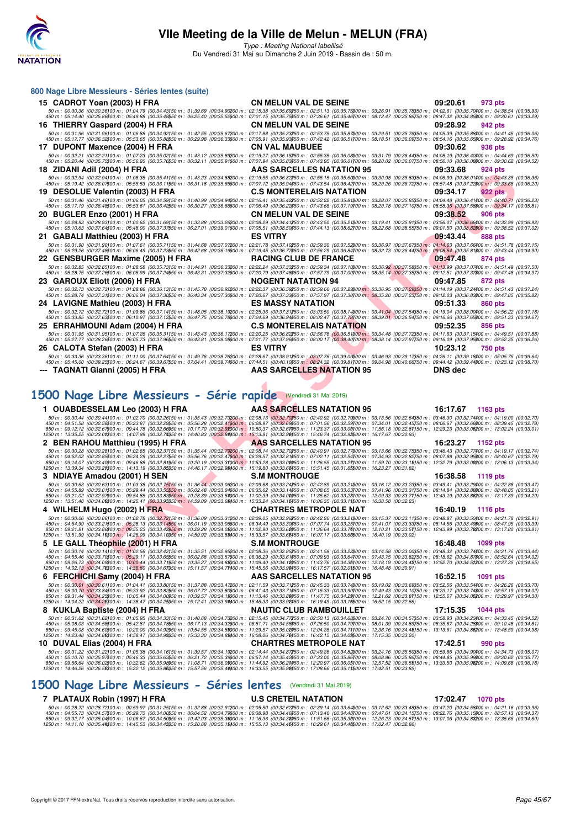

Type : Meeting National labellisé Du Vendredi 31 Mai au Dimanche 2 Juin 2019 - Bassin de : 50 m.

| 800 Nage Libre Messieurs - Séries lentes (suite)                                                                                                                                                                                                                                                                                                                                                                                                                                                                                                                                                          |                                  |                            |
|-----------------------------------------------------------------------------------------------------------------------------------------------------------------------------------------------------------------------------------------------------------------------------------------------------------------------------------------------------------------------------------------------------------------------------------------------------------------------------------------------------------------------------------------------------------------------------------------------------------|----------------------------------|----------------------------|
| 15 CADROT Yoan (2003) H FRA                                                                                                                                                                                                                                                                                                                                                                                                                                                                                                                                                                               | <b>CN MELUN VAL DE SEINE</b>     | 09:20.61<br>973 pts        |
| $\emph{50 m: 00:30.36 (00:30.36)00 m: 01:04.79 (00:34.43)50 m: 01:39.69 (00:34.90200 m: 02:15.38 (00:35.69250 m: 02:51.13 (00:35.75900 m: 03:26.91 (00:35.79800 m: 04:02.51 (00:35.79800 m: 04:02.51) (04:35.79800 m: 04:36.86) (05.79800 m: 05.79$                                                                                                                                                                                                                                                                                                                                                       |                                  |                            |
| 16 THIERRY Gaspard (2004) H FRA                                                                                                                                                                                                                                                                                                                                                                                                                                                                                                                                                                           | <b>CN MELUN VAL DE SEINE</b>     | 09:28.92<br>942 pts        |
| 50 m : 00:31.96 (00:31.96)00 m : 01:06.88 (00:34.92)50 m : 01:42.55 (00:35.67200 m : 02:17.88 (00:35.32250 m : 02:53.75 (00:35.87200 m : 03:29.51 (00:35.78050 m : 04:05.39 (00:35.88400 m : 04:41.45 (00:36.06)<br>450 m : 05:17.77 (00:36.32500 m : 05:53.65 (00:35.88550 m : 06:29.98 (00:36.33600 m : 07:05.91 (00:35.83650 m : 07:42.42 (00:36.51700 m : 08:16.51 (00:36.09750 m : 08:54.16 (00:36.56500 m : 09:28.92 (00:34.76)                                                                                                                                                                     |                                  |                            |
| 17 DUPONT Maxence (2004) H FRA                                                                                                                                                                                                                                                                                                                                                                                                                                                                                                                                                                            | <b>CN VAL MAUBUEE</b>            | 09:30.62<br>936 pts        |
| 50 m : 00:32.21 (00:32.21100 m : 01:07.23 (00:36.02)50 m : 01:43.12 (00:35.89200 m : 02:19.27 (00:36.15250 m : 02:55.35 (00:36.08000 m : 03:31.79 (00:36.44350 m : 04:08.19 (00:36.44400 m : 04:44.69 (00:36.50)                                                                                                                                                                                                                                                                                                                                                                                          |                                  |                            |
| 450 m : 05:20.44 (00:35.75500 m : 05:56.20 (00:35.76550 m : 06:32.11 (00:35.91600 m : 07:07.94 (00:35.83650 m : 07:43.95 (00:36.01700 m : 08:20.02 (00:36.07750 m : 08:56.10 (00:36.08600 m : 09:30.62 (00:34.52)<br>18 ZIDANI Adil (2004) H FRA                                                                                                                                                                                                                                                                                                                                                          | AAS SARCELLES NATATION 95        | 09:33.68<br>924 pts        |
| 50 m : 00:32.94 (00:32.94)00 m : 01:08.35 (00:35.41150 m : 01:43.23 (00:34.88200 m : 02:19.55 (00:36.32250 m : 02:55.15 (00:35.6000 m : 03:30.98 (00:35.83050 m : 04:06.99 (00:36.01400 m : 04:43.35 (00:36.36)                                                                                                                                                                                                                                                                                                                                                                                           |                                  |                            |
| 450 m : 05:19.42 (00:36.07500 m : 05:55.53 (00:36.11550 m : 06:31.18 (00:35.65600 m : 07:07.12 (00:35.94650 m : 07:43.54 (00:36.42700 m : 08:20.26 (00:36.72750 m : 08:20.26 (00:36.72750 m : 08:57.48 (00:37.22800 m : 09:33.<br>19 DESOLUE Valentin (2003) H FRA                                                                                                                                                                                                                                                                                                                                        | <b>C.S MONTERELAIS NATATION</b>  | 09:34.17<br><b>922 pts</b> |
| 50 m : 00:31.46 (00:31.46)00 m : 01:06.05 (00:34.59)50 m : 01:40.99 (00:34.9420 m : 02:16.41 (00:35.42250 m : 02:52.22 (00:35.81300 m : 03:28.07 (00:35.85350 m : 04:04.48 (00:36.41400 m : 04:40.71 (00:36.23)                                                                                                                                                                                                                                                                                                                                                                                           |                                  |                            |
| 450 m : 05:17.19 (00:36.48500 m : 05:53.61 (00:36.42550 m : 06:30.27 (00:36.68600 m : 07:06.49 (00:36.22550 m : 07:43.68 (00:37.19700 m : 08:20.78 (00:37.10750 m : 08:58.36 (00:37.5800 m : 09:34.17 (00:35.81)                                                                                                                                                                                                                                                                                                                                                                                          | <b>CN MELUN VAL DE SEINE</b>     | 09:38.52<br>906 pts        |
| 20 BUGLER Enzo (2001) H FRA<br>50 m : 00:28.93 (00:28.93)00 m : 01:00.62 (00:31.69)50 m : 01:33.88 (00:33.26200 m : 02:08.29 (00:34.41250 m : 02:43.50 (00:35.21300 m : 03:19.41 (00:35.91350 m : 03:56.07 (00:36.66400 m : 04:32.99 (00:36.92)                                                                                                                                                                                                                                                                                                                                                           |                                  |                            |
| 450 m : 05:10.63 (00:37.64500 m : 05:48.00 (00:37.37550 m : 06:27.01 (00:39.01600 m : 07:05.51 (00:38.50550 m : 07:44.13 (00:38.62700 m : 08:22.68 (00:38.55750 m : 09:01.50 (00:38.82600 m : 09:38.52 (00:37.02)                                                                                                                                                                                                                                                                                                                                                                                         |                                  |                            |
| 21 GABALI Matthieu (2003) H FRA<br>50 m : 00:31.90 (00:31.90)00 m : 01:07.61 (00:35.71150 m : 01:44.68 (00:37.07200 m : 02:21.78 (00:37.10250 m : 02:59.30 (00:37.52300 m : 03:36.97 (00:37.67350 m : 04:14.63 (00:37.67400 m : 04:51.78 (00:37.15)                                                                                                                                                                                                                                                                                                                                                       | <b>ES VITRY</b>                  | 09:43.44<br>888 pts        |
| 450 m : 05:29.26 (00:37.48500 m : 06:06.49 (00:37.2350 m : 06:42.68 (00:36.19600 m : 07:19.45 (00:36.77650 m : 07:56.29 (00:36.84700 m : 08:32.73 (00:36.44750 m : 09:08.54 (00:35.81600 m : 09:43.44 (00:34.90)                                                                                                                                                                                                                                                                                                                                                                                          |                                  |                            |
| 22 GENSBURGER Maxime (2005) H FRA<br>50 m : 00:32.85 (00:32.85)00 m : 01:08.58 (00:35.73)50 m : 01:44.91 (00:36.33200 m : 02:22.24 (00:37.33250 m : 02:59.34 (00:37.1000 m : 03:36.92 (00:37.58)50 m : 04:13.99 (00:37.07/00 m : 04:13.99 (00:37.07/00 m : 04:51.49                                                                                                                                                                                                                                                                                                                                       | <b>RACING CLUB DE FRANCE</b>     | 09:47.48<br>874 pts        |
| 450 m : 05:28.75 (00:37.26500 m : 06:05.99 (00:37.24550 m : 06:43.31 (00:37.32600 m : 07:20.79 (00:37.4850 m : 07:57.79 (00:37.00700 m : 08:35.14 (00:37.3550 m : 09:12.51 (00:37.37600 m : 09:47.48 (00:34.97)                                                                                                                                                                                                                                                                                                                                                                                           |                                  |                            |
| 23 GAROUX Eliott (2006) H FRA<br>50 m : 00:32.73 (00:32.73)00 m : 01:08.86 (00:36.13)50 m : 01:45.78 (00:36.92200 m : 02:22.37 (00:36.9250 m : 02:59.66 (00:37.29300 m : 03:36.95 (00:37.29300 m : 04:14.19 (00:37.24350 m : 04:14.19 (00:37.24300 m : 04:51.43                                                                                                                                                                                                                                                                                                                                           | <b>NOGENT NATATION 94</b>        | 09:47.85<br>872 pts        |
| 450 m : 05:28.74 (00:37.31500 m : 06:06.04 (00:37.30550 m : 06:43.34 (00:37.30500 m : 07:20.67 (00:37.33550 m : 07:57.97 (00:37.30700 m : 08:35.20 (00:37.23750 m : 09:12.03 (00:36.83600 m : 09:47.85 (00:35.82)                                                                                                                                                                                                                                                                                                                                                                                         |                                  |                            |
| 24 LAVIGNE Mathieu (2003) H FRA                                                                                                                                                                                                                                                                                                                                                                                                                                                                                                                                                                           | <b>ES MASSY NATATION</b>         | 09:51.33<br><b>860 pts</b> |
| 50 m : 00:32.72 (00:32.72)00 m : 01:09.86 (00:37.14)50 m : 01:48.05 (00:38.19200 m : 02:25.36 (00:37.31250 m : 03:03.50 (00:38.14300 m : 03:41.04 (00:37.54350 m : 04:19.04 (00:38.00400 m : 04:56.22 (00:37.18)<br>450 m : 05:33.85 (00:37.63\$00 m : 06:10.97 (00:37.12\$50 m : 06:47.75 (00:36.78\$00 m : 07:24.69 (00:36.94\$50 m : 08:02.47 (00:37.78700 m : 08:39.01 (00:36.54750 m : 09:16.66 (00:37.65\$00 m : 09:16.36 (00:37.65\$00 m : 09:16.                                                                                                                                                  |                                  |                            |
| 25 ERRAHMOUNI Adam (2004) H FRA                                                                                                                                                                                                                                                                                                                                                                                                                                                                                                                                                                           | <b>C.S MONTERELAIS NATATION</b>  | 09:52.35<br>856 pts        |
| 50 m : 00:31.95 (00:31.95)00 m : 01:07.26 (00:35.31)50 m : 01:43.43 (00:36.17200 m : 02:20.25 (00:36.82250 m : 02:56.76 (00:36.51)00 m : 03:34.48 (00:37.72)50 m : 04:11.63 (00:37.5400 m : 04:49.51 (00:37.88)<br>450 m : 05:27.77 (00:38.26500 m : 06:05.73 (00:37.96550 m : 06:43.81 (00:38.0860 m : 07:21.77 (00:37.96650 m : 08:00.17 (00:38.40700 m : 08:38.14 (00:37.97750 m : 09:16.09 (00:37.95600 m : 09:52.35 (00:36.26)                                                                                                                                                                       |                                  |                            |
| 26 CALOTA Stefan (2003) H FRA                                                                                                                                                                                                                                                                                                                                                                                                                                                                                                                                                                             | <b>ES VITRY</b>                  | 10:23.12<br>750 pts        |
|                                                                                                                                                                                                                                                                                                                                                                                                                                                                                                                                                                                                           |                                  |                            |
| $50\,m:\,00.33.36\,\,(00.33.36\,000\,m:\,01.11.00\,\,(00.37.64\,550\,m:\,01.49.76\,\,(00.38.76200\,m:\,02.28.67\,\,(00.38.91250\,m:\,03.07.76\,\,(00.39.08900\,m:\,03.46.93\,\,(00.39.17350\,m:\,04.26.11\,\,(00.39.18400\,m:\,05.05.76\,00.039.64)\$<br>450 m : 05:45.00 (00:39.25500 m : 06:24.67 (00:39.67550 m : 07:04.41 (00:39.74600 m : 07:44.51 (00:40.10650 m : 08:24.32 (00:39.81700 m : 09:04.98 (00:40.66750 m : 09:44.42 (00:39.44600 m : 10:23.12 (00:38.70)                                                                                                                                |                                  |                            |
| TAGNATI Gianni (2005) H FRA                                                                                                                                                                                                                                                                                                                                                                                                                                                                                                                                                                               | AAS SARCELLES NATATION 95        | <b>DNS</b> dec             |
|                                                                                                                                                                                                                                                                                                                                                                                                                                                                                                                                                                                                           |                                  |                            |
| 1500 Nage Libre Messieurs - Série rapide (Vendredi 31 Mai 2019)                                                                                                                                                                                                                                                                                                                                                                                                                                                                                                                                           |                                  |                            |
| 1 OUABDESSELAM Leo (2003) H FRA                                                                                                                                                                                                                                                                                                                                                                                                                                                                                                                                                                           | AAS SARCELLES NATATION 95        | 16:17.67<br>1163 pts       |
| 50 m : 00:30.44 (00:30.44100 m : 01:02.70 (00:32.26150 m : 01:35.43 (00:32.73200 m : 02:08.13 (00:32.70250 m : 02:40.92 (00:32.79300 m : 03:13.56 (00:32.64350 m : 03:46.30 (00:32.74400 m : 04:19.00 (00:32.70)<br>450 m : 04:51.58 (00:32.56500 m : 05:23.87 (00:32.29550 m : 05:56.28 (00:32.41600 m : 06:28.97 (00:32.6950 m : 07:01.56 (00:32.59700 m : 07:34.01 (00:32.45750 m : 08:06.67 (00:32.66600 m : 08:39.45 (00:32.687)                                                                                                                                                                     |                                  |                            |
| 850 m : 09:12.12 (00:32.6700 m : 09:44.78 (00:32.66950 m : 10:17.70 (00:32.92000 m : 10:50.37 (00:32.67050 m : 11:23.37 (00:32.0000 m : 11:56.18 (00:32.81)50 m : 12:29.23 (00:33.05200 m : 13:02.24 (00:33.01)<br>1250 m : 13:35.25 (00:33.01300 m : 14:07.99 (00:32.74350 m : 14:40.83 (00:32.84400 m : 15:13.81 (00:32.98450 m : 15:46.74 (00:32.98500 m : 16:17.67 (00:30.93)                                                                                                                                                                                                                         |                                  |                            |
| 2 BEN RAHOU Matthieu (1995) H FRA                                                                                                                                                                                                                                                                                                                                                                                                                                                                                                                                                                         | AAS SARCELLES NATATION 95        | 16:23.27<br>1152 pts       |
|                                                                                                                                                                                                                                                                                                                                                                                                                                                                                                                                                                                                           |                                  |                            |
| $\begin{array}{c} 50\,m:\, 00\cdot 30.28\,100\cdot 30.28100\,m:\, 01\cdot 02.65\,\,(00\cdot 32.27150\,m:\, 01\cdot 35.44\,\,(00\cdot 32.72200\,m:\, 02\cdot 02.544\,\,(00\cdot 32.72200\,m:\, 02\cdot 02.544\,\,(00\cdot 32.72200\,m:\, 02\cdot 02.546\,002.54700\,m:\, 02\cdot 02.544\,0$                                                                                                                                                                                                                                                                                                                |                                  |                            |
| 1250 m : 13:39.34 (00:33.21300 m : 14:13.19 (00:33.85350 m : 14:46.17 (00:32.98400 m : 15:19.80 (00:33.63450 m : 15:51.45 (00:31.65500 m : 16:23.27 (00:31.82)<br>3 NDIAYE Amadou (2001) H SEN                                                                                                                                                                                                                                                                                                                                                                                                            | <b>S.M MONTROUGE</b>             | 16:38.58<br>1119 pts       |
| $50\,m:\,00.30.687\,(00.30.63)\,000\,m:\,01.03.38\,\,(00.32.75)\,50\,m:\,01.36.44\,\,(00.33.06200\,m:\,02.09.68\,\,(00.33.24250\,m:\,02.42.89\,\,(00.33.21\,000\,m:\,03.16.12\,\,(00.33.23\,50\,m:\,03.49.41\,\,(00.33.29\,00\,m:\,03.47)\,$                                                                                                                                                                                                                                                                                                                                                              |                                  |                            |
|                                                                                                                                                                                                                                                                                                                                                                                                                                                                                                                                                                                                           |                                  |                            |
| 450 m : 04:55.89 (00:33.01500 m : 05:244 (00:33.5550 m : 06:02.48 (00:33.0460 m : 06:35.62 (00:33.1460 m : 07:08.65 (00:33.03700 m : 07:41.96 (00:33.31750 m : 08:14.84 (00:32.89500 m : 08:44.06 (00:33.21)<br>850 m : 04:55.89<br>4 WILHELM Hugo (2002) H FRA                                                                                                                                                                                                                                                                                                                                           | <b>CHARTRES METROPOLE NAT</b>    | 16:40.19<br>1116 pts       |
| $50\,m:\,00.30.06\,\,(00.30.06\,000\,m:\,01.02.78\,\,(00.32.72\,50\,m:\,01.36.09\,\,(00.33.31200\,m:\,02.09.05\,\,(00.32.96250\,m:\,02.42.26\,\,(00.33.21300\,m:\,03.15.37\,\,(00.33.11350\,m:\,03.48.87\,\,(00.33.50400\,m:\,04.21.78\,\,(00.32.91)\,$                                                                                                                                                                                                                                                                                                                                                   |                                  |                            |
| 450 m : 04:54.99 (00:33.21500 m : 05:28.13 (00:33.14550 m : 06:01.19 (00:33.06600 m : 06:34.49 (00:33.30650 m : 07:07.74 (00:33.25700 m : 07:41.07 (00:33.33750 m : 08:14.56 (00:33.49800 m : 08:47.95 (00:33.39)<br>850 m : 09:21.81 (00:33.86900 m : 09:55.23 (00:33.42950 m : 10:29.28 (00:34.05000 m : 11:02.90 (00:33.62050 m : 11:36.64 (00:33.74)00 m : 12:10.21 (00:33.57)50 m : 12:43.99 (00:33.74200 m : 13:17.80 (00:33.81)                                                                                                                                                                    |                                  |                            |
| 1250 m : 13:51.99 (00:34.18800 m : 14:26.09 (00:34.10850 m : 14:59.92 (00:33.88400 m : 15:33.57 (00:33.65450 m : 16:07.17 (00:33.60\$00 m : 16:40.19 (00:33.02)                                                                                                                                                                                                                                                                                                                                                                                                                                           | <b>S.M MONTROUGE</b>             | 16:48.48                   |
| 5 LE GALL Théophile (2001) H FRA<br>50 m : 00:30.14 (00:30.14)00 m : 01:02.56 (00:32.42)50 m : 01:35.51 (00:32.95200 m : 02:08.36 (00:32.85250 m : 02:41.58 (00:33.22)00 m : 03:14.58 (00:33.00050 m : 03:48.32 (00:33.7400 m : 04:21.76 (00:33.44)                                                                                                                                                                                                                                                                                                                                                       |                                  | 1099 pts                   |
| 450 m : 04:55.46 (00:33.70500 m : 05:29.11 (00:33.6550 m : 06:02.68 (00:33.57600 m : 06:36.29 (00:33.61560 m : 07:09.93 (00:33.64700 m : 07:43.75 (00:33.82750 m : 08:18.62 (00:34.87500 m : 08:52.64 (00:34.02)<br>850 m : 09:26.73 (00:34.09900 m : 10:00.44 (00:33.71950 m : 10:35.27 (00:34.88000 m : 11:09.40 (00:34.18050 m : 11:43.76 (00:34.36)00 m : 12:18.19 (00:34.48)50 m : 12:252.70 (00:34.51200 m : 13:27.35 (00:34.65)                                                                                                                                                                    |                                  |                            |
| 1250 m : 14:02.13 (00:34.78300 m : 14:36.80 (00:34.67350 m : 15:11.57 (00:34.77400 m : 15:45.56 (00:33.99450 m : 16:17.57 (00:32.01500 m : 16:48.48 (00:30.91)                                                                                                                                                                                                                                                                                                                                                                                                                                            |                                  |                            |
| 6 FERCHICHI Samy (2004) H FRA<br>50 m : 00:30.61 (00:30.61100 m : 01:04.41 (00:33.80150 m : 01:37.88 (00:33.47200 m : 02:11.59 (00:33.71250 m : 02:45.33 (00:33.74800 m : 03:19.02 (00:33.69850 m : 03:52.56 (00:33.54400 m : 04:26.26 (00:33.70)                                                                                                                                                                                                                                                                                                                                                         | <b>AAS SARCELLES NATATION 95</b> | 16:52.15<br>1091 pts       |
| 450 m : 05:00.10 (00:33.84500 m : 05:33.92 (00:33.82550 m : 06:07.72 (00:33.80600 m : 06:41.43 (00:33.71650 m : 07:15.33 (00:33.90700 m : 07:49.43 (00:34.10750 m : 08:23.17 (00:33.774800 m : 08:57.19 (00:34.02)<br>850 m : 09:31.44 (00:34.25000 m : 10:05.44 (00:34.00050 m : 10:39.57 (00:34.12000 m : 11:13.46 (00:33.82050 m : 11:47.75 (00:34.22100 m : 12:21.62 (00:33.81150 m : 12:55.67 (00:34.05200 m : 13:29.97 (00:34.30)<br>1250 m : 14:04.22 (00:34.25300 m : 14:38.47 (00:34.25350 m : 15:12.41 (00:33.9#400 m : 15:46.33 (00:33.92450 m : 16:19.49 (00:33.16500 m : 16:52.15 (00:32.66) |                                  |                            |

# **[1500 Nage Libre Messieurs - Série rapide](http://www.ffnatation.fr/webffn/resultats.php?idact=nat&go=epr&idcpt=57771&idepr=56)** (Vendredi 31 Mai 2019)

| 1 OUABDESSELAM Leo (2003) H FRA                                                                                                                                                                                                                                                                                                                                                                                                        | AAS SARCELLES NATATION 95      | 16:17.67<br>1163 pts        |
|----------------------------------------------------------------------------------------------------------------------------------------------------------------------------------------------------------------------------------------------------------------------------------------------------------------------------------------------------------------------------------------------------------------------------------------|--------------------------------|-----------------------------|
| 50 m : 00:30.44 (00:30.44100 m : 01:02.70 (00:32.26150 m : 01:35.43 (00:32.73200 m : 02:08.13 (00:32.70250 m : 02:40.92 (00:32.79300 m : 03:13.56 (00:32.64350 m : 03:46.30 (00:32.74400 m : 04:19.00 (00:32.70)                                                                                                                                                                                                                       |                                |                             |
| 450 m : 04:51.58 (00:32.58500 m : 05:23.87 (00:32.2950 m : 05:56.28 (00:32.41600 m : 06:28.97 (00:32.69650 m : 07:01.56 (00:32.59700 m : 07:34.01 (00:32.45750 m : 08:06.67 (00:32.66800 m : 08:39.45 (00:32.78)<br>850 m: 09:12.12 (00:32.67000 m: 09:44.78 (00:32.66050 m: 10:17.70 (00:32.92000 m: 10:50.37 (00:32.67050 m: 11:23.37 (00:32.00000 m: 11:56.18 (00:32.81150 m: 12:29.23 (00:33.05200 m: 13:02.24 (00:33.01)          |                                |                             |
| 1250 m : 13:35.25 (00:33.01300 m : 14:07.99 (00:32.74350 m : 14:40.83 (00:32.84400 m : 15:13.81 (00:32.98450 m : 15:46.74 (00:32.98500 m : 16:17.67 (00:30.93)                                                                                                                                                                                                                                                                         |                                |                             |
| 2 BEN RAHOU Matthieu (1995) H FRA                                                                                                                                                                                                                                                                                                                                                                                                      | AAS SARCELLES NATATION 95      | 16:23.27<br>1152 pts        |
| 50 m : 00:30.28 (00:30.28) 00 m : 01:02.65 (00:32.37150 m : 01:35.44 (00:32.79200 m : 02:08.14 (00:32.70250 m : 02:40.91 (00:32.77300 m : 03:13.66 (00:32.75350 m : 03:46.43 (00:32.77400 m : 04:19.17 (00:32.74)                                                                                                                                                                                                                      |                                |                             |
| 450 m : 04:52.02 (00:32.85500 m : 05:44.29 (00:32.27550 m : 05:56.76 (00:32.47600 m : 06:29.57 (00:32.81650 m : 07:02.11 (00:32.54700 m : 07:34.93 (00:32.82750 m : 08:07.88 (00:32.95800 m : 08:40.67 (00:32.79)                                                                                                                                                                                                                      |                                |                             |
| 850 m : 09:14.07 (00:33.40000 m : 09:46.88 (00:32.81950 m : 10:20.19 (00:33.31000 m : 10:53.28 (00:33.00050 m : 11:26.55 (00:327100 m : 11:59.70 (00:33.15150 m : 12:32.79 (00:33.00020 m : 13:06.13 (00:33.34)<br>1250 m : 13:39.34 (00:33.21300 m : 14:13.19 (00:33.85350 m : 14:46.17 (00:32.98400 m : 15:19.80 (00:33.68450 m : 15:51.45 (00:31.65500 m : 16:23.27 (00:31.82)                                                      |                                |                             |
| 3 NDIAYE Amadou (2001) H SEN                                                                                                                                                                                                                                                                                                                                                                                                           | <b>S.M MONTROUGE</b>           | 16:38.58<br>1119 pts        |
| 50 m : 00:30.63 (00:30.63100 m : 01:03.38 (00:32.75150 m : 01:36.44 (00:33.06200 m : 02:09.68 (00:33.24250 m : 02:42.89 (00:33.21300 m : 03:16.12 (00:33.23350 m : 03:49.41 (00:33.23300 m : 04:22.88 (00:33.47)                                                                                                                                                                                                                       |                                |                             |
| 450 m : 04:55.89 (00:32.88800 m : 05:29.44 (00:33.5550 m : 06:02.48 (00:33.04600 m : 06:05.62 (00:33.14650 m : 07:08.65 (00:33.03700 m : 07:41.96 (00:33.31750 m : 08:14.84 (00:32.88800 m : 08:48.05 (00:32.11)                                                                                                                                                                                                                       |                                |                             |
| 850 m : 09:21.02 (00:32.97900 m : 09:54.85 (00:33.83950 m : 10:28.39 (00:33.54000 m : 11:02.39 (00:34.00050 m : 11:35.62 (00:32.2000 m : 12:09.33 (00:33.71150 m : 12:43.19 (00:33.86200 m : 13:17.39 (00:34.20)                                                                                                                                                                                                                       |                                |                             |
| 1250 m : 13:51.48 (00:34.09300 m : 14:25.41 (00:33.93350 m : 14:59.09 (00:33.68400 m : 15:33.24 (00:34.15450 m : 16:06.35 (00:33.11500 m : 16:38.58 (00:32.23)                                                                                                                                                                                                                                                                         |                                |                             |
| 4 WILHELM Hugo (2002) H FRA                                                                                                                                                                                                                                                                                                                                                                                                            | <b>CHARTRES METROPOLE NAT</b>  | 16:40.19<br>1116 pts        |
| 50 m : 00:30.06 (00:30.06) 00 m : 01:02.78 (00:32.72150 m : 01:36.09 (00:33.31200 m : 02:09.05 (00:32.96250 m : 02:42.26 (00:32.1200 m : 03:15.37 (00:33.11250 m : 03:48.87 (00:33.512400 m : 04:21.78 (00:32.91)<br>450 m : 04:54.99 (00:33.21500 m : 05:28.13 (00:33.14550 m : 06:01.19 (00:33.06600 m : 06:34.49 (00:33.30650 m : 07:07.74 (00:33.25700 m : 07:41.07 (00:33.33750 m : 08:14.56 (00:33.49600 m : 08:47.95 (00:33.39) |                                |                             |
| 850 m : 09:21.81 (00:33.86900 m : 09:55.23 (00:33.42950 m : 10:29.28 (00:34.05000 m : 11:02.90 (00:33.62050 m : 11:36.64 (00:33.74100 m : 12:10.21 (00:33.57150 m : 12:43.99 (00:33.78200 m : 13:17.80 (00:33.52050 m)                                                                                                                                                                                                                 |                                |                             |
| 1250 m : 13:51.99 (00:34.19300 m : 14:26.09 (00:34.10350 m : 14:59.92 (00:33.88400 m : 15:33.57 (00:33.65450 m : 16:07.17 (00:33.60500 m : 16:40.19 (00:33.02)                                                                                                                                                                                                                                                                         |                                |                             |
| 5 LE GALL Théophile (2001) H FRA                                                                                                                                                                                                                                                                                                                                                                                                       | <b>S.M MONTROUGE</b>           | 16:48.48<br>1099 pts        |
| 50 m : 00:30.14 (00:30.14100 m : 01:02.56 (00:32.42150 m : 01:35.51 (00:32.95200 m : 02:08.36 (00:32.85250 m : 02:41.58 (00:32.2200 m : 03:14.58 (00:33.00350 m : 03:48.32 (00:33.74400 m : 04:21.76 (00:33.44)                                                                                                                                                                                                                        |                                |                             |
| 450 m : 04:55.46 (00:33.70500 m : 05:29.11 (00:33.65550 m : 06:02.68 (00:33.57600 m : 06:06.29 (00:33.61650 m : 07:09.93 (00:33.64700 m : 07:43.75 (00:33.82750 m : 08:18.62 (00:34.87800 m : 08:52.64 (00:34.82)<br>850 m : 09:26.73 (00:34.09900 m : 10:00.44 (00:33.71950 m : 10:35.27 (00:34.88000 m : 11:09.40 (00:34.18050 m : 11:43.76 (00:34.36100 m : 12:18.19 (00:34.48150 m : 12:52.70 (00:34.51200 m : 13:27.35 (00:34.65) |                                |                             |
| 1250 m : 14:02.13 (00:34.78300 m : 14:36.80 (00:34.67350 m : 15:11.57 (00:34.77400 m : 15:45.56 (00:33.99450 m : 16:17.57 (00:32.01500 m : 16:48.48 (00:30.91)                                                                                                                                                                                                                                                                         |                                |                             |
| 6 FERCHICHI Samy (2004) H FRA                                                                                                                                                                                                                                                                                                                                                                                                          | AAS SARCELLES NATATION 95      | 16:52.15<br>1091 pts        |
| 50 m : 00:30.61 (00:30.61100 m : 01:04.41 (00:33.80150 m : 01:37.88 (00:33.47200 m : 02:11.59 (00:33.71250 m : 02:45.33 (00:33.74800 m : 03:19.02 (00:33.69850 m : 03:52.56 (00:33.54400 m : 04:26.26 (00:33.70)                                                                                                                                                                                                                       |                                |                             |
| 450 m : 05:00.10 (00:33.84500 m : 05:33.92 (00:33.82550 m : 06:07.72 (00:33.80600 m : 06:41.43 (00:33.71650 m : 07:15.33 (00:33.90700 m : 07:49.43 (00:34.10750 m : 08:23.17 (00:33.74800 m : 08:57.19 (00:34.02)                                                                                                                                                                                                                      |                                |                             |
| 850 m : 09:31.44 (00:34.25900 m : 10:05.44 (00:34.00950 m : 10:39.57 (00:34.18000 m : 11:13.46 (00:33.89050 m : 11:47.75 (00:34.29100 m : 12:21.62 (00:33.87150 m : 12:55.67 (00:34.05200 m : 13:29.97 (00:34.08)<br>1250 m : 14:04.22 (00:34.25300 m : 14:38.47 (00:34.25350 m : 15:12.41 (00:33.9#400 m : 15:46.33 (00:33.92450 m : 16:19.49 (00:33.16500 m : 16:52.15 (00:32.66)                                                    |                                |                             |
| 8 KUKLA Baptiste (2004) H FRA                                                                                                                                                                                                                                                                                                                                                                                                          | <b>NAUTIC CLUB RAMBOUILLET</b> | 17:15.35<br><b>1044 pts</b> |
| 50 50 50 50 60:31.62 (00:31.62 (00:31.62) 00:31.62 (00:34.33 60 m : 01:40.68 (00:34.73200 m : 02:50.5 (00:34.77250 m : 02:50.13 (00:34.68300 m : 03:24.70 (00:34.57350 m : 03:58.93 (00:34.52300 m : 04:33.45 (00:34.52)                                                                                                                                                                                                               |                                |                             |
| 450 m : 05:08.03 (00:34.58500 m : 05:42.81 (00:34.78550 m : 06:17.13 (00:34.32600 m : 06:51.71 (00:34.58650 m : 07:26.50 (00:34.79700 m : 08:01.39 (00:34.89750 m : 08:35.67 (00:34.28600 m : 09:10.48 (00:34.81)                                                                                                                                                                                                                      |                                |                             |
| 850 m : 09:45.08 (00:34.60000 m : 10:20.00 (00:34.92050 m : 10:54.55 (00:34.55000 m : 11:29.57 (00:35.02050 m : 12:04.28 (00:34.71100 m : 12:38.76 (00:34.48150 m : 13:13.61 (00:34.65200 m : 13:48.59 (00:34.98)<br>1250 m : 14:23.48 (00:34.89300 m : 14:58.47 (00:34.99350 m : 15:33.30 (00:34.88400 m : 16:08.06 (00:34.76450 m : 16:42.15 (00:34.09500 m : 17:15.35 (00:33.20)                                                    |                                |                             |
| 10 DUVAL Elias (2004) H FRA                                                                                                                                                                                                                                                                                                                                                                                                            | <b>CHARTRES METROPOLE NAT</b>  | 17:42.51<br>990 pts         |
| 50 m : 00:31.22 (00:31.22) 00 m : 01:05.38 (00:34.16150 m : 01:39.57 (00:34.19200 m : 02:14.44 (00:34.87250 m : 02:49.26 (00:34.82300 m : 03:24.76 (00:35.50350 m : 03:59.66 (00:34.90400 m : 04:34.73 (00:35.50)                                                                                                                                                                                                                      |                                |                             |
| 450 m : 05:10.70 (00:35.97500 m : 05:46.33 (00:35.63550 m : 06:21.72 (00:35.39600 m : 06:57.14 (00:35.42650 m : 07:33.00 (00:35.86700 m : 08:08.86 (00:35.86750 m : 08:44.85 (00:35.99600 m : 09:20.62 (00:35.77)                                                                                                                                                                                                                      |                                |                             |
| 850 m : 09:56.64 (00:36.02)00 m : 10:32.62 (00:35.98950 m : 11:08.71 (00:36.00000 m : 11:44.92 (00:36.21050 m : 12:20.97 (00:36.05100 m : 12:57.52 (00:36.55150 m : 13:33.50 (00:35.98200 m : 14:09.68 (00:36.18)                                                                                                                                                                                                                      |                                |                             |
| 1250 m : 14:46.26 (00:36.58300 m : 15:22.12 (00:35.86350 m : 15:57.56 (00:35.44400 m : 16:33.55 (00:35.99450 m : 17:08.66 (00:35.11500 m : 17:42.51 (00:33.85)                                                                                                                                                                                                                                                                         |                                |                             |
|                                                                                                                                                                                                                                                                                                                                                                                                                                        |                                |                             |

#### **[1500 Nage Libre Messieurs - Séries lentes](http://www.ffnatation.fr/webffn/resultats.php?idact=nat&go=epr&idcpt=57771&idepr=56)** (Vendredi 31 Mai 2019)

7 PLATAUX Robin (1997) H FRA U.S CRETEIL NATATION 17:02.47 1070 pts<br>50 m : 00:28.72 (00:28.72)00 m : 00:59.97 (00:31.25550 m : 01:32.88 (00:32.91200 m : 02:05.50 (00:32.62250 m : 02:33.14 (00:33.64200 m : 03:12.62 (00:33.4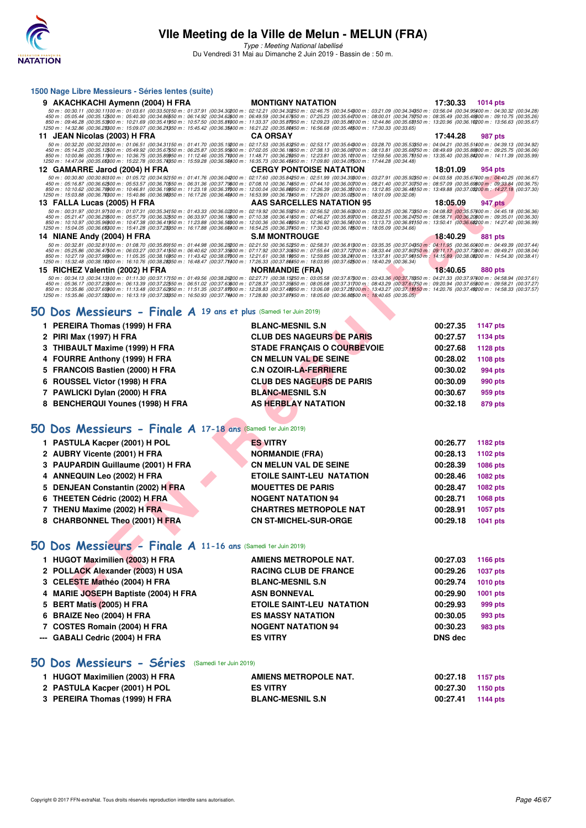

Type : Meeting National labellisé

Du Vendredi 31 Mai au Dimanche 2 Juin 2019 - Bassin de : 50 m.

|    | 1500 Nage Libre Messieurs - Séries lentes (suite)                                                                                                                                                                                                                                                                                                                                                                                                                                                                                                                                                                                                                                                                                                                                                                                                                  |                                    |          |                 |
|----|--------------------------------------------------------------------------------------------------------------------------------------------------------------------------------------------------------------------------------------------------------------------------------------------------------------------------------------------------------------------------------------------------------------------------------------------------------------------------------------------------------------------------------------------------------------------------------------------------------------------------------------------------------------------------------------------------------------------------------------------------------------------------------------------------------------------------------------------------------------------|------------------------------------|----------|-----------------|
|    | 9 AKACHKACHI Aymenn (2004) H FRA                                                                                                                                                                                                                                                                                                                                                                                                                                                                                                                                                                                                                                                                                                                                                                                                                                   | <b>MONTIGNY NATATION</b>           | 17:30.33 | <b>1014 pts</b> |
|    | 50 m : 00:30.11 (00:30.11100 m : 01:03.61 (00:33.50150 m : 01:37.91 (00:34.30200 m : 02:12.21 (00:34.30250 m : 02:46.75 (00:34.54300 m : 03:21.09 (00:34.34350 m : 03:56.04 (00:34.94350 m : 03:56.04 (00:34.94350 m : 04:30.3<br>450 m : 05:05.44 (00:35.12500 m : 05:40.30 (00:34.86550 m : 06:14.92 (00:34.62600 m : 06:49.59 (00:34.67650 m : 07:25.23 (00:35.64700 m : 08:00.01 (00:34.78750 m : 08:35.49 (00:35.48800 m : 09:10.75 (00:35.26)<br>850 m : 09:46.28 (00:35.5300 m : 10:21.69 (00:35.41950 m : 10:57.50 (00:35.81000 m : 11:33.37 (00:35.81050 m : 12:09.23 (00:35.8100 m : 12:44.86 (00:35.63150 m : 13:20.96 (00:36.10200 m : 13:56.63 (00:35.67)<br>1250 m : 14:32                                                                                                                                                                           |                                    |          |                 |
|    | 11 JEAN Nicolas (2003) H FRA                                                                                                                                                                                                                                                                                                                                                                                                                                                                                                                                                                                                                                                                                                                                                                                                                                       | <b>CA ORSAY</b>                    | 17:44.28 | 987 pts         |
|    | $50\,m:\ 00:32.20\,\ (00:32.201\,00\,m:\ 01:06.51\,\ (00:34.31150\,m:\ 01:41.70\,\ (00:35.19200\,m:\ 02:17.53\,\ (00:35.83250\,m:\ 02:53.17\,\ (00:35.64300\,m:\ 03:28.70\,\ (00:35.53350\,m:\ 04:44.21\,\ (00:35.51400\,m:\ 04:39.13\,\ (00:34.92)\,m$<br>450 m : 05:14.25 (00:35.12500 m : 05:49.92 (00:35.67550 m : 06:25.87 (00:35.95600 m : 07:02.05 (00:36.18650 m : 07:38.13 (00:36.08700 m : 08:13.81 (00:35.68750 m : 08:49.69 (00:35.8800 m : 09:25.75 (00:36.06)<br>850 m : 10:00.86 (00:35.11900 m : 10:36.75 (00:35.89950 m : 11:12.46 (00:35.71000 m : 11:48.71 (00:36.25050 m : 12:23.81 (00:35.10)00 m : 12:59.56 (00:35.75)50 m : 13:35.40 (00:35.84200 m : 14:11.39 (00:35.99)<br>1250 m : 14:47.04 (00:35.65000 m : 15:22.78 (00:35.74050 m : 15:59.28 (00:36.50400 m : 16:35.73 (00:36.45450 m : 17:09.80 (00:34.07500 m : 17:44.28 (00:34.48) |                                    |          |                 |
|    | 12 GAMARRE Jarod (2004) H FRA                                                                                                                                                                                                                                                                                                                                                                                                                                                                                                                                                                                                                                                                                                                                                                                                                                      | <b>CERGY PONTOISE NATATION</b>     | 18:01.09 | 954 pts         |
|    | $\begin{array}{l} 50\,m:\ 00\cdot 30.80\ 00\cdot 30.80\, 00\,m:\ 01\cdot 05.72\,\,(00\cdot 34.92\,50\,m:\ 01\cdot 41.76\,\,(00\cdot 36.04\, 00\,m:\ 02\cdot 17.60\,\,(00\cdot 37.79\,00\,m:\ 02\cdot 17.60\,\,(00\cdot 35.84\,50\,m:\ 02\cdot 51.99\,\,(00\cdot 34.39\,00\,m:\ 03\cdot 27.91\,\$<br>850 m : 10:10.62 (00:36.76900 m : 10:46.81 (00:36.19950 m : 11:23.18 (00:36.31000 m : 12:00.04 (00:36.86050 m : 12:36.39 (00:36.35)00 m : 13:12.85 (00:36.46)50 m : 13:49.88 (00:37.08200 m : 14:27.18 (00:37.30)<br>1250 m : 15:03.88 (00:36.7000 m : 15:40.86 (00:36.960 m : 16:17.26 (00:36.40400 m : 16:53.99 (00:36.70450 m : 17:29.01 (00:35.02500 m : 18:01.09 (00:32.08)                                                                                                                                                                               |                                    |          |                 |
|    | 13 FALLA Lucas (2005) H FRA                                                                                                                                                                                                                                                                                                                                                                                                                                                                                                                                                                                                                                                                                                                                                                                                                                        | AAS SARCELLES NATATION 95          | 18:05.09 | 947 pts         |
|    | 50 m : 00:31.97 (00:31.97)00 m : 01:07.31 (00:35.34)50 m : 01:43.33 (00:36.02200 m : 02:19.92 (00:36.52550 m : 02:56.52 (00:36.60300 m : 03:33.25 (00:36.73350 m : 04:08.82 (00:35.57400 m : 04:45.18 (00:36.36)<br>450 m : 05:21<br>850 m : 10:10.97 (00:35.9600 m : 10:47.38 (00:36.41950 m : 11:23.88 (00:36.50000 m : 12:00.36.40050 m : 12:36.92 (00:36.56)00 m : 13:13.73 (00:36.81)50 m : 13:50.41 (00:36.6200 m : 14:27.40 (00:36.99)<br>1250 m : 15:04.05 (00:36.65300 m : 15:41.28 (00:37.23350 m : 16:17.88 (00:36.60400 m : 16:54.25 (00:36.37450 m : 17:30.43 (00:36.18500 m : 18:05.09 (00:34.66)                                                                                                                                                                                                                                                    |                                    |          |                 |
|    | 14 NIANE Andy (2004) H FRA                                                                                                                                                                                                                                                                                                                                                                                                                                                                                                                                                                                                                                                                                                                                                                                                                                         | <b>S.M MONTROUGE</b>               | 18:40.29 | 881 pts         |
|    | $50\,m:\ 00:32.81\,\ (00:32.811\,000\,m:\ 01:08.70\,\ (00:35.89)\\ 50\,m:\ 01:44.98\,\ (00:36.282\,00\,m:\ 02:21.50\,\ (00:36.522\,50\,m:\ 02:58.31\,\ (00:36.81\,000\,m:\ 03:35.35\,\ (00:37.04\,350\,m:\ 04:11.95\,\ (00:36.60\,400\,m:\ 04:49.39\$<br>450 m : 05:25.86 (00:36.47500 m : 06:03.27 (00:37.41550 m : 06:40.62 (00:37.35600 m : 07:17.92 (00:37.30650 m : 07:55.64 (00:37.72700 m : 08:33.44 (00:37.80750 m : 09:11.17 (00:37.7800 m : 09:14.21 (00:38.44)<br>850 m : 10:27.19 (00:37.98900 m : 11:05.35 (00:38.16950 m : 11:43.42 (00:38.01000 m : 12:21.61 (00:38.19050 m : 12:59.85 (00:38.24)00 m : 13:37.81 (00:37.96)50 m : 14:15.89 (00:38.0200 m : 14:54.30 (00:38.41)<br>1250 m : 15:32.48 (00:38.18300 m : 16:10.76 (00:38.28350 m : 16:48.47 (00:37.71400 m : 17:26.33 (00:37.88450 m : 18:03.95 (00:37.62500 m : 18:40.29 (00:36.34)    |                                    |          |                 |
|    | 15 RICHEZ Valentin (2002) H FRA                                                                                                                                                                                                                                                                                                                                                                                                                                                                                                                                                                                                                                                                                                                                                                                                                                    | <b>NORMANDIE (FRA)</b>             | 18:40.65 | 880 pts         |
|    | 50 m : 00:34.13 (00:34.13100 m : 01:11:30 (00:37.17150 m : 01:49.56 (00:38.2200 m : 02:27.71 (00:38.18250 m : 03:45.58 (00:37.87800 m : 04:21.33 (00:37.8780 m : 04:58.94 (00:37.61)<br>450 m : 05:36.17 (00:37.25600 m : 06:37.2<br>1250 m : 15:35.86 (00:37.5800 m : 16:13.19 (00:37.38050 m : 16:50.93 (00:37.74)00 m : 17:28.80 (00:37.87)50 m : 18:05.60 (00:36.80)500 m : 18:40.65 (00:36.05)                                                                                                                                                                                                                                                                                                                                                                                                                                                                |                                    |          |                 |
|    | $50$ Dos Messieurs - Finale $A$ 19 ans et plus (Samedi 1er Juin 2019)                                                                                                                                                                                                                                                                                                                                                                                                                                                                                                                                                                                                                                                                                                                                                                                              |                                    |          |                 |
|    | 1 PEREIRA Thomas (1999) H FRA                                                                                                                                                                                                                                                                                                                                                                                                                                                                                                                                                                                                                                                                                                                                                                                                                                      | <b>BLANC-MESNIL S.N</b>            | 00:27.35 | <b>1147 pts</b> |
|    | 2 PIRI Max (1997) H FRA                                                                                                                                                                                                                                                                                                                                                                                                                                                                                                                                                                                                                                                                                                                                                                                                                                            | <b>CLUB DES NAGEURS DE PARIS</b>   | 00:27.57 | 1134 pts        |
| З  | THIBAULT Maxime (1999) H FRA                                                                                                                                                                                                                                                                                                                                                                                                                                                                                                                                                                                                                                                                                                                                                                                                                                       | <b>STADE FRANÇAIS O COURBEVOIE</b> | 00:27.68 | <b>1128 pts</b> |
| 4  | FOURRE Anthony (1999) H FRA                                                                                                                                                                                                                                                                                                                                                                                                                                                                                                                                                                                                                                                                                                                                                                                                                                        | <b>CN MELUN VAL DE SEINE</b>       | 00:28.02 | <b>1108 pts</b> |
| 5  | <b>FRANCOIS Bastien (2000) H FRA</b>                                                                                                                                                                                                                                                                                                                                                                                                                                                                                                                                                                                                                                                                                                                                                                                                                               | <b>C.N OZOIR-LA-FERRIERE</b>       | 00:30.02 | 994 pts         |
| 6  | ROUSSEL Victor (1998) H FRA                                                                                                                                                                                                                                                                                                                                                                                                                                                                                                                                                                                                                                                                                                                                                                                                                                        | <b>CLUB DES NAGEURS DE PARIS</b>   | 00:30.09 | 990 pts         |
|    | 7 PAWLICKI Dylan (2000) H FRA                                                                                                                                                                                                                                                                                                                                                                                                                                                                                                                                                                                                                                                                                                                                                                                                                                      | <b>BLANC-MESNIL S.N</b>            | 00:30.67 | 959 pts         |
|    | 8 BENCHERQUI Younes (1998) H FRA                                                                                                                                                                                                                                                                                                                                                                                                                                                                                                                                                                                                                                                                                                                                                                                                                                   | AS HERBLAY NATATION                | 00:32.18 | 879 pts         |
|    |                                                                                                                                                                                                                                                                                                                                                                                                                                                                                                                                                                                                                                                                                                                                                                                                                                                                    |                                    |          |                 |
|    | 50 Dos Messieurs - Finale A 17-18 ans (Samedi 1er Juin 2019)                                                                                                                                                                                                                                                                                                                                                                                                                                                                                                                                                                                                                                                                                                                                                                                                       |                                    |          |                 |
| 1. | <b>PASTULA Kacper (2001) H POL</b>                                                                                                                                                                                                                                                                                                                                                                                                                                                                                                                                                                                                                                                                                                                                                                                                                                 | <b>ES VITRY</b>                    | 00:26.77 | <b>1182 pts</b> |
|    | 2 AUBRY Vicente (2001) H FRA                                                                                                                                                                                                                                                                                                                                                                                                                                                                                                                                                                                                                                                                                                                                                                                                                                       | <b>NORMANDIE (FRA)</b>             | 00:28.13 | 1102 pts        |
| З  | PAUPARDIN Guillaume (2001) H FRA                                                                                                                                                                                                                                                                                                                                                                                                                                                                                                                                                                                                                                                                                                                                                                                                                                   | <b>CN MELUN VAL DE SEINE</b>       | 00:28.39 | 1086 pts        |
| 4  | ANNEQUIN Leo (2002) H FRA                                                                                                                                                                                                                                                                                                                                                                                                                                                                                                                                                                                                                                                                                                                                                                                                                                          | <b>ETOILE SAINT-LEU NATATION</b>   | 00:28.46 | 1082 pts        |
| 5  | DENJEAN Constantin (2002) H FRA                                                                                                                                                                                                                                                                                                                                                                                                                                                                                                                                                                                                                                                                                                                                                                                                                                    | <b>MOUETTES DE PARIS</b>           | 00:28.47 | <b>1082 pts</b> |
| 6  | THEETEN Cédric (2002) H FRA                                                                                                                                                                                                                                                                                                                                                                                                                                                                                                                                                                                                                                                                                                                                                                                                                                        | <b>NOGENT NATATION 94</b>          | 00:28.71 | 1068 pts        |
|    | 7 THENU Maxime (2002) H FRA                                                                                                                                                                                                                                                                                                                                                                                                                                                                                                                                                                                                                                                                                                                                                                                                                                        | <b>CHARTRES METROPOLE NAT</b>      | 00:28.91 | <b>1057 pts</b> |
|    | 8 CHARBONNEL Theo (2001) H FRA                                                                                                                                                                                                                                                                                                                                                                                                                                                                                                                                                                                                                                                                                                                                                                                                                                     | <b>CN ST-MICHEL-SUR-ORGE</b>       | 00:29.18 | 1041 pts        |
|    | 50 Dos Messieurs - Finale A 11-16 ans (Samedi 1er Juin 2019)                                                                                                                                                                                                                                                                                                                                                                                                                                                                                                                                                                                                                                                                                                                                                                                                       |                                    |          |                 |
|    | 1 HUGOT Maximilien (2003) H FRA                                                                                                                                                                                                                                                                                                                                                                                                                                                                                                                                                                                                                                                                                                                                                                                                                                    | <b>AMIENS METROPOLE NAT.</b>       | 00:27.03 | 1166 pts        |
|    | 2 POLLACK Alexander (2003) H USA                                                                                                                                                                                                                                                                                                                                                                                                                                                                                                                                                                                                                                                                                                                                                                                                                                   | <b>RACING CLUB DE FRANCE</b>       | 00:29.26 | <b>1037 pts</b> |
|    | 3 CELESTE Mathéo (2004) H FRA                                                                                                                                                                                                                                                                                                                                                                                                                                                                                                                                                                                                                                                                                                                                                                                                                                      | <b>BLANC-MESNIL S.N</b>            | 00:29.74 | <b>1010 pts</b> |
|    | 4 MARIE JOSEPH Baptiste (2004) H FRA                                                                                                                                                                                                                                                                                                                                                                                                                                                                                                                                                                                                                                                                                                                                                                                                                               | <b>ASN BONNEVAL</b>                | 00:29.90 | 1001 pts        |
|    | 5 BERT Matis (2005) H FRA                                                                                                                                                                                                                                                                                                                                                                                                                                                                                                                                                                                                                                                                                                                                                                                                                                          | ETOILE SAINT-LEU NATATION          | 00:29.93 | 999 pts         |

#### **[50 Dos Messieurs - Finale A](http://www.ffnatation.fr/webffn/resultats.php?idact=nat&go=epr&idcpt=57771&idepr=61) 19 ans et plus** (Samedi 1er Juin 2019)

| 1 PEREIRA Thomas (1999) H FRA    | <b>BLANC-MESNIL S.N</b>            | 00:27.35 | 1147 pts       |
|----------------------------------|------------------------------------|----------|----------------|
| 2 PIRI Max (1997) H FRA          | <b>CLUB DES NAGEURS DE PARIS</b>   | 00:27.57 | 1134 pts       |
| 3 THIBAULT Maxime (1999) H FRA   | <b>STADE FRANCAIS O COURBEVOIE</b> | 00:27.68 | 1128 pts       |
| 4 FOURRE Anthony (1999) H FRA    | <b>CN MELUN VAL DE SEINE</b>       | 00:28.02 | 1108 pts       |
| 5 FRANCOIS Bastien (2000) H FRA  | <b>C.N OZOIR-LA-FERRIERE</b>       | 00:30.02 | 994 pts        |
| 6 ROUSSEL Victor (1998) H FRA    | <b>CLUB DES NAGEURS DE PARIS</b>   | 00:30.09 | <b>990 pts</b> |
| 7 PAWLICKI Dylan (2000) H FRA    | <b>BLANC-MESNIL S.N</b>            | 00:30.67 | 959 pts        |
| 8 BENCHERQUI Younes (1998) H FRA | AS HERBLAY NATATION                | 00:32.18 | 879 pts        |

#### **[50 Dos Messieurs - Finale A](http://www.ffnatation.fr/webffn/resultats.php?idact=nat&go=epr&idcpt=57771&idepr=61) 17-18 ans** (Samedi 1er Juin 2019)

| 1 PASTULA Kacper (2001) H POL      |  | <b>ES VITRY</b>                  | 00:26.77 | 1182 pts |
|------------------------------------|--|----------------------------------|----------|----------|
| 2 AUBRY Vicente (2001) H FRA       |  | <b>NORMANDIE (FRA)</b>           | 00:28.13 | 1102 pts |
| 3 PAUPARDIN Guillaume (2001) H FRA |  | <b>CN MELUN VAL DE SEINE</b>     | 00:28.39 | 1086 pts |
| 4 ANNEQUIN Leo (2002) H FRA        |  | <b>ETOILE SAINT-LEU NATATION</b> | 00:28.46 | 1082 pts |
| 5 DENJEAN Constantin (2002) H FRA  |  | <b>MOUETTES DE PARIS</b>         | 00:28.47 | 1082 pts |
| 6 THEETEN Cédric (2002) H FRA      |  | <b>NOGENT NATATION 94</b>        | 00:28.71 | 1068 pts |
| 7 THENU Maxime (2002) H FRA        |  | <b>CHARTRES METROPOLE NAT</b>    | 00:28.91 | 1057 pts |
| 8 CHARBONNEL Theo (2001) H FRA     |  | <b>CN ST-MICHEL-SUR-ORGE</b>     | 00:29.18 | 1041 pts |
|                                    |  |                                  |          |          |

## **[50 Dos Messieurs - Finale A](http://www.ffnatation.fr/webffn/resultats.php?idact=nat&go=epr&idcpt=57771&idepr=61) 11-16 ans** (Samedi 1er Juin 2019)

| 1 HUGOT Maximilien (2003) H FRA      | AMIENS METROPOLE NAT.            | 00:27.03       | 1166 pts |
|--------------------------------------|----------------------------------|----------------|----------|
|                                      |                                  |                |          |
| 2 POLLACK Alexander (2003) H USA     | <b>RACING CLUB DE FRANCE</b>     | 00:29.26       | 1037 pts |
| 3 CELESTE Mathéo (2004) H FRA        | <b>BLANC-MESNIL S.N</b>          | 00:29.74       | 1010 pts |
| 4 MARIE JOSEPH Baptiste (2004) H FRA | <b>ASN BONNEVAL</b>              | 00:29.90       | 1001 pts |
| 5 BERT Matis (2005) H FRA            | <b>ETOILE SAINT-LEU NATATION</b> | 00:29.93       | 999 pts  |
| 6 BRAIZE Neo (2004) H FRA            | <b>ES MASSY NATATION</b>         | 00:30.05       | 993 pts  |
| 7 COSTES Romain (2004) H FRA         | <b>NOGENT NATATION 94</b>        | 00:30.23       | 983 pts  |
| --- GABALI Cedric (2004) H FRA       | <b>ES VITRY</b>                  | <b>DNS</b> dec |          |
|                                      |                                  |                |          |

#### **[50 Dos Messieurs - Séries](http://www.ffnatation.fr/webffn/resultats.php?idact=nat&go=epr&idcpt=57771&idepr=61)** (Samedi 1er Juin 2019)

| 1 HUGOT Maximilien (2003) H FRA | AMIENS METROPOLE NAT.   | 00:27.18          | 1157 pts |
|---------------------------------|-------------------------|-------------------|----------|
| 2 PASTULA Kacper (2001) H POL   | <b>ES VITRY</b>         | 00:27.30 1150 pts |          |
| 3 PEREIRA Thomas (1999) H FRA   | <b>BLANC-MESNIL S.N</b> | 00:27.41          | 1144 pts |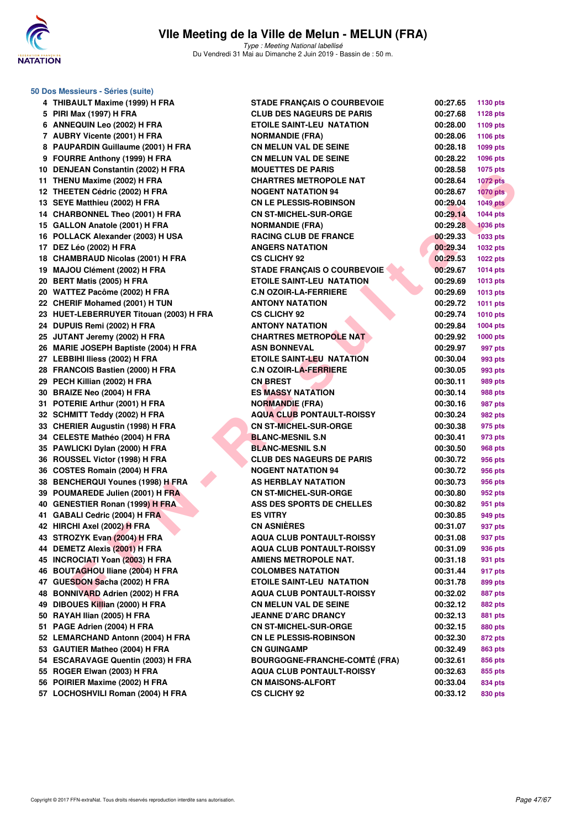

Type : Meeting National labellisé Du Vendredi 31 Mai au Dimanche 2 Juin 2019 - Bassin de : 50 m.

| 50 Dos Messieurs - Séries (suite)       |                                      |          |                 |
|-----------------------------------------|--------------------------------------|----------|-----------------|
| 4 THIBAULT Maxime (1999) H FRA          | <b>STADE FRANÇAIS O COURBEVOIE</b>   | 00:27.65 | 1130 pts        |
| 5 PIRI Max (1997) H FRA                 | <b>CLUB DES NAGEURS DE PARIS</b>     | 00:27.68 | <b>1128 pts</b> |
| 6 ANNEQUIN Leo (2002) H FRA             | <b>ETOILE SAINT-LEU NATATION</b>     | 00:28.00 | 1109 pts        |
| 7 AUBRY Vicente (2001) H FRA            | <b>NORMANDIE (FRA)</b>               | 00:28.06 | 1106 pts        |
| 8 PAUPARDIN Guillaume (2001) H FRA      | <b>CN MELUN VAL DE SEINE</b>         | 00:28.18 | 1099 pts        |
| 9 FOURRE Anthony (1999) H FRA           | <b>CN MELUN VAL DE SEINE</b>         | 00:28.22 | 1096 pts        |
| 10 DENJEAN Constantin (2002) H FRA      | <b>MOUETTES DE PARIS</b>             | 00:28.58 | 1075 pts        |
| 11 THENU Maxime (2002) H FRA            | <b>CHARTRES METROPOLE NAT</b>        | 00:28.64 | <b>1072 pts</b> |
| 12 THEETEN Cédric (2002) H FRA          | <b>NOGENT NATATION 94</b>            | 00:28.67 | <b>1070 pts</b> |
| 13 SEYE Matthieu (2002) H FRA           | <b>CN LE PLESSIS-ROBINSON</b>        | 00:29.04 | <b>1049 pts</b> |
| 14 CHARBONNEL Theo (2001) H FRA         | <b>CN ST-MICHEL-SUR-ORGE</b>         | 00:29.14 | 1044 pts        |
| 15 GALLON Anatole (2001) H FRA          | <b>NORMANDIE (FRA)</b>               | 00:29.28 | <b>1036 pts</b> |
| 16 POLLACK Alexander (2003) H USA       | <b>RACING CLUB DE FRANCE</b>         | 00:29.33 | <b>1033 pts</b> |
| 17 DEZ Léo (2002) H FRA                 | <b>ANGERS NATATION</b>               | 00:29.34 | 1032 pts        |
| 18 CHAMBRAUD Nicolas (2001) H FRA       | <b>CS CLICHY 92</b>                  | 00:29.53 | <b>1022 pts</b> |
| 19 MAJOU Clément (2002) H FRA           | <b>STADE FRANÇAIS O COURBEVOIE</b>   | 00:29.67 | <b>1014 pts</b> |
| 20 BERT Matis (2005) H FRA              | <b>ETOILE SAINT-LEU NATATION</b>     | 00:29.69 | 1013 pts        |
| 20 WATTEZ Pacôme (2002) H FRA           | <b>C.N OZOIR-LA-FERRIERE</b>         | 00:29.69 | 1013 pts        |
| 22 CHERIF Mohamed (2001) H TUN          | <b>ANTONY NATATION</b>               | 00:29.72 | 1011 pts        |
| 23 HUET-LEBERRUYER Titouan (2003) H FRA | <b>CS CLICHY 92</b>                  | 00:29.74 | <b>1010 pts</b> |
| 24 DUPUIS Remi (2002) H FRA             | <b>ANTONY NATATION</b>               | 00:29.84 | 1004 pts        |
| 25 JUTANT Jeremy (2002) H FRA           | <b>CHARTRES METROPOLE NAT</b>        | 00:29.92 | <b>1000 pts</b> |
| 26 MARIE JOSEPH Baptiste (2004) H FRA   | <b>ASN BONNEVAL</b>                  | 00:29.97 | 997 pts         |
| 27 LEBBIHI Iliess (2002) H FRA          | <b>ETOILE SAINT-LEU NATATION</b>     | 00:30.04 | 993 pts         |
| 28 FRANCOIS Bastien (2000) H FRA        | <b>C.N OZOIR-LA-FERRIERE</b>         | 00:30.05 | 993 pts         |
| 29 PECH Killian (2002) H FRA            | <b>CN BREST</b>                      | 00:30.11 | 989 pts         |
| 30 BRAIZE Neo (2004) H FRA              | <b>ES MASSY NATATION</b>             | 00:30.14 | 988 pts         |
| 31 POTERIE Arthur (2001) H FRA          | <b>NORMANDIE (FRA)</b>               | 00:30.16 | 987 pts         |
| 32 SCHMITT Teddy (2002) H FRA           | <b>AQUA CLUB PONTAULT-ROISSY</b>     | 00:30.24 | 982 pts         |
| 33 CHERIER Augustin (1998) H FRA        | <b>CN ST-MICHEL-SUR-ORGE</b>         | 00:30.38 | 975 pts         |
| 34 CELESTE Mathéo (2004) H FRA          | <b>BLANC-MESNIL S.N</b>              | 00:30.41 | 973 pts         |
| 35 PAWLICKI Dylan (2000) H FRA          | <b>BLANC-MESNIL S.N</b>              | 00:30.50 | 968 pts         |
| 36 ROUSSEL Victor (1998) H FRA          | <b>CLUB DES NAGEURS DE PARIS</b>     | 00:30.72 | 956 pts         |
| 36 COSTES Romain (2004) H FRA           | <b>NOGENT NATATION 94</b>            | 00:30.72 | 956 pts         |
| 38 BENCHERQUI Younes (1998) H FRA       | AS HERBLAY NATATION                  | 00:30.73 | 956 pts         |
| 39 POUMAREDE Julien (2001) H FRA        | <b>CN ST-MICHEL-SUR-ORGE</b>         | 00:30.80 | 952 pts         |
| 40 GENESTIER Ronan (1999) H FRA         | ASS DES SPORTS DE CHELLES            | 00:30.82 | 951 pts         |
| 41 GABALI Cedric (2004) H FRA           | <b>ES VITRY</b>                      | 00:30.85 | 949 pts         |
| 42 HIRCHI Axel (2002) H FRA             | <b>CN ASNIÈRES</b>                   | 00:31.07 | 937 pts         |
| 43 STROZYK Evan (2004) H FRA            | <b>AQUA CLUB PONTAULT-ROISSY</b>     | 00:31.08 | 937 pts         |
| 44 DEMETZ Alexis (2001) H FRA           | <b>AQUA CLUB PONTAULT-ROISSY</b>     | 00:31.09 | 936 pts         |
| 45 INCROCIATI Yoan (2003) H FRA         | <b>AMIENS METROPOLE NAT.</b>         | 00:31.18 | 931 pts         |
| 46 BOUTAGHOU Iliane (2004) H FRA        | <b>COLOMBES NATATION</b>             | 00:31.44 | 917 pts         |
| 47 GUESDON Sacha (2002) H FRA           | ETOILE SAINT-LEU NATATION            | 00:31.78 | 899 pts         |
| 48 BONNIVARD Adrien (2002) H FRA        | <b>AQUA CLUB PONTAULT-ROISSY</b>     | 00:32.02 | 887 pts         |
| 49 DIBOUES Killian (2000) H FRA         | <b>CN MELUN VAL DE SEINE</b>         | 00:32.12 | 882 pts         |
| 50 RAYAH Ilian (2005) H FRA             | <b>JEANNE D'ARC DRANCY</b>           | 00:32.13 | 881 pts         |
| 51 PAGE Adrien (2004) H FRA             | <b>CN ST-MICHEL-SUR-ORGE</b>         | 00:32.15 | 880 pts         |
| 52 LEMARCHAND Antonn (2004) H FRA       | <b>CN LE PLESSIS-ROBINSON</b>        | 00:32.30 | 872 pts         |
| 53 GAUTIER Matheo (2004) H FRA          | <b>CN GUINGAMP</b>                   | 00:32.49 | 863 pts         |
| 54 ESCARAVAGE Quentin (2003) H FRA      | <b>BOURGOGNE-FRANCHE-COMTÉ (FRA)</b> | 00:32.61 | 856 pts         |
| 55 ROGER Elwan (2003) H FRA             | <b>AQUA CLUB PONTAULT-ROISSY</b>     | 00:32.63 | 855 pts         |
| 56 POIRIER Maxime (2002) H FRA          | <b>CN MAISONS-ALFORT</b>             | 00:33.04 | 834 pts         |
| 57 LOCHOSHVILI Roman (2004) H FRA       | <b>CS CLICHY 92</b>                  | 00:33.12 | 830 pts         |
|                                         |                                      |          |                 |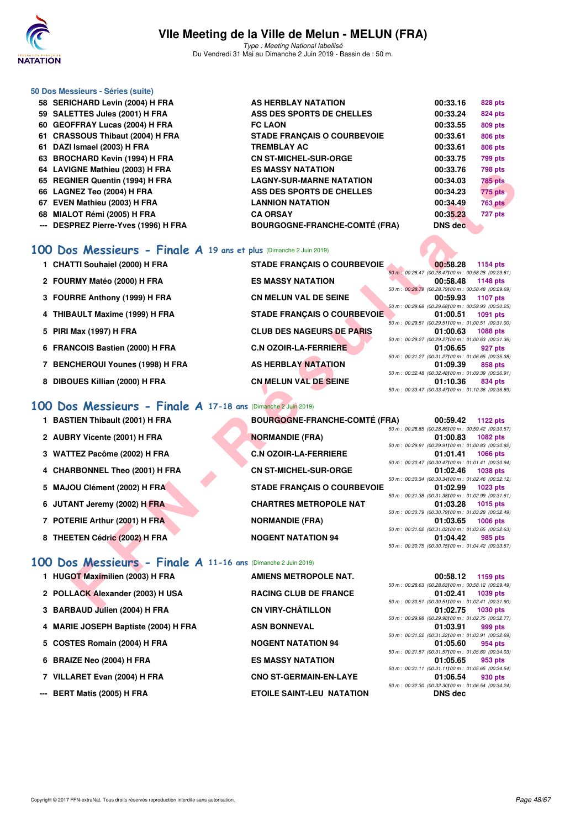

Type : Meeting National labellisé Du Vendredi 31 Mai au Dimanche 2 Juin 2019 - Bassin de : 50 m.

|     | 50 Dos Messieurs - Séries (suite)       |                                      |          |                |
|-----|-----------------------------------------|--------------------------------------|----------|----------------|
|     | 58 SERICHARD Levin (2004) H FRA         | AS HERBLAY NATATION                  | 00:33.16 | 828 pts        |
|     | 59 SALETTES Jules (2001) H FRA          | ASS DES SPORTS DE CHELLES            | 00:33.24 | <b>824 pts</b> |
|     | 60 GEOFFRAY Lucas (2004) H FRA          | <b>FC LAON</b>                       | 00:33.55 | 809 pts        |
|     | 61 CRASSOUS Thibaut (2004) H FRA        | <b>STADE FRANÇAIS O COURBEVOIE</b>   | 00:33.61 | 806 pts        |
| 61  | DAZI Ismael (2003) H FRA                | <b>TREMBLAY AC</b>                   | 00:33.61 | 806 pts        |
|     | 63 BROCHARD Kevin (1994) H FRA          | <b>CN ST-MICHEL-SUR-ORGE</b>         | 00:33.75 | <b>799 pts</b> |
|     | 64 LAVIGNE Mathieu (2003) H FRA         | <b>ES MASSY NATATION</b>             | 00:33.76 | 798 pts        |
|     | 65 REGNIER Quentin (1994) H FRA         | <b>LAGNY-SUR-MARNE NATATION</b>      | 00:34.03 | <b>785 pts</b> |
|     | 66 LAGNEZ Teo (2004) H FRA              | ASS DES SPORTS DE CHELLES            | 00:34.23 | <b>775 pts</b> |
| 67  | EVEN Mathieu (2003) H FRA               | <b>LANNION NATATION</b>              | 00:34.49 | <b>763 pts</b> |
| 68  | MIALOT Rémi (2005) H FRA                | <b>CA ORSAY</b>                      | 00:35.23 | 727 pts        |
| --- | <b>DESPREZ Pierre-Yves (1996) H FRA</b> | <b>BOURGOGNE-FRANCHE-COMTÉ (FRA)</b> | DNS dec  |                |
|     |                                         |                                      |          |                |

#### **[100 Dos Messieurs - Finale A](http://www.ffnatation.fr/webffn/resultats.php?idact=nat&go=epr&idcpt=57771&idepr=62) 19 ans et plus** (Dimanche 2 Juin 2019)

| 04 LAVIGNE MAILIEU (2003) II FRA                                   | EJ MAJJI NATATIVN                    | UU.JJ.IU<br><i>i</i> ao his                                                     |
|--------------------------------------------------------------------|--------------------------------------|---------------------------------------------------------------------------------|
| 65 REGNIER Quentin (1994) H FRA                                    | <b>LAGNY-SUR-MARNE NATATION</b>      | 00:34.03<br><b>785 pts</b>                                                      |
| 66 LAGNEZ Teo (2004) H FRA                                         | ASS DES SPORTS DE CHELLES            | 00:34.23<br>775 pts                                                             |
| 67 EVEN Mathieu (2003) H FRA                                       | <b>LANNION NATATION</b>              | 00:34.49<br><b>763 pts</b>                                                      |
| 68 MIALOT Rémi (2005) H FRA                                        | <b>CA ORSAY</b>                      | 00:35.23<br>727 pts                                                             |
| --- DESPREZ Pierre-Yves (1996) H FRA                               | <b>BOURGOGNE-FRANCHE-COMTÉ (FRA)</b> | <b>DNS</b> dec                                                                  |
| 100 Dos Messieurs - Finale A 19 ans et plus (Dimanche 2 Juin 2019) |                                      |                                                                                 |
|                                                                    |                                      |                                                                                 |
| 1 CHATTI Souhaiel (2000) H FRA                                     | <b>STADE FRANÇAIS O COURBEVOIE</b>   | 00:58.28<br>1154 pts<br>50 m : 00:28.47 (00:28.47) 00 m : 00:58.28 (00:29.81)   |
| 2 FOURMY Matéo (2000) H FRA                                        | <b>ES MASSY NATATION</b>             | 00:58.48<br>1148 pts<br>50 m : 00:28.79 (00:28.79) 00 m : 00:58.48 (00:29.69)   |
| 3 FOURRE Anthony (1999) H FRA                                      | <b>CN MELUN VAL DE SEINE</b>         | 00:59.93<br>1107 pts<br>50 m : 00:29.68 (00:29.68) 00 m : 00:59.93 (00:30.25)   |
| 4 THIBAULT Maxime (1999) H FRA                                     | <b>STADE FRANÇAIS O COURBEVOIE</b>   | 01:00.51<br>1091 pts<br>50 m: 00:29.51 (00:29.51100 m: 01:00.51 (00:31.00)      |
| 5 PIRI Max (1997) H FRA                                            | <b>CLUB DES NAGEURS DE PARIS</b>     | 01:00.63<br>1088 pts<br>50 m : 00:29.27 (00:29.27)00 m : 01:00.63 (00:31.36)    |
| 6 FRANCOIS Bastien (2000) H FRA                                    | <b>C.N OZOIR-LA-FERRIERE</b>         | 01:06.65<br>927 pts                                                             |
| 7 BENCHERQUI Younes (1998) H FRA                                   | <b>AS HERBLAY NATATION</b>           | 50 m: 00:31.27 (00:31.27)00 m: 01:06.65 (00:35.38)<br>01:09.39<br>858 pts       |
| 8 DIBOUES Killian (2000) H FRA                                     | <b>CN MELUN VAL DE SEINE</b>         | 50 m : 00:32.48 (00:32.48) 00 m : 01:09.39 (00:36.91)<br>01:10.36<br>834 pts    |
|                                                                    |                                      | 50 m: 00:33.47 (00:33.47) 00 m: 01:10.36 (00:36.89)                             |
| 100 Dos Messieurs - Finale A 17-18 ans (Dimanche 2 Juin 2019)      |                                      |                                                                                 |
| 1 BASTIEN Thibault (2001) H FRA                                    | <b>BOURGOGNE-FRANCHE-COMTÉ (FRA)</b> | 00:59.42<br>1122 pts                                                            |
|                                                                    |                                      | 50 m : 00:28.85 (00:28.85) 00 m : 00:59.42 (00:30.57)                           |
| 2 AUBRY Vicente (2001) H FRA                                       | <b>NORMANDIE (FRA)</b>               | 01:00.83<br>1082 pts<br>50 m : 00:29.91 (00:29.91100 m : 01:00.83 (00:30.92)    |
| 3 WATTEZ Pacôme (2002) H FRA                                       | <b>C.N OZOIR-LA-FERRIERE</b>         | 1066 pts<br>01:01.41                                                            |
|                                                                    |                                      | 50 m : 00:30.47 (00:30.47) 00 m : 01:01.41 (00:30.94)                           |
| 4 CHARBONNEL Theo (2001) H FRA                                     | <b>CN ST-MICHEL-SUR-ORGE</b>         | 01:02.46<br>1038 pts<br>50 m : 00:30.34 (00:30.34) 00 m : 01:02.46 (00:32.12)   |
| 5 MAJOU Clément (2002) H FRA                                       | <b>STADE FRANÇAIS O COURBEVOIE</b>   | 01:02.99<br>1023 pts                                                            |
|                                                                    |                                      | 50 m: 00:31.38 (00:31.38) 00 m: 01:02.99 (00:31.61)                             |
| 6 JUTANT Jeremy (2002) H FRA                                       | <b>CHARTRES METROPOLE NAT</b>        | 01:03.28<br>$1015$ pts<br>50 m : 00:30.79 (00:30.79) 00 m : 01:03.28 (00:32.49) |
| 7 POTERIE Arthur (2001) H FRA                                      | <b>NORMANDIE (FRA)</b>               | 1006 pts<br>01:03.65                                                            |
|                                                                    |                                      | 50 m : 00:31.02 (00:31.02) 00 m : 01:03.65 (00:32.63)                           |
| 8 THEETEN Cédric (2002) H FRA                                      | <b>NOGENT NATATION 94</b>            | 01:04.42<br>985 pts<br>50 m: 00:30.75 (00:30.75100 m: 01:04.42 (00:33.67)       |
|                                                                    |                                      |                                                                                 |
| 100 Dos Messieurs - Finale A 11-16 ans (Dimanche 2 Juin 2019)      |                                      |                                                                                 |
| 1 HUGOT Maximilien (2003) H FRA                                    | AMIENS METROPOLE NAT.                | 00:58.12<br>1159 pts                                                            |
|                                                                    |                                      | 50 m : 00:28.63 (00:28.63) 00 m : 00:58.12 (00:29.49)                           |
| 2 POLLACK Alexander (2003) H USA                                   | <b>RACING CLUB DE FRANCE</b>         | 01:02.41<br>1039 pts<br>50 m : 00:30.51 (00:30.51100 m : 01:02.41 (00:31.90)    |
| $2.5400410 \frac{1}{10}$                                           | CH VIDY CHÂTILL ON                   | $0.4 - 0.07 = 40.20 + 1.5$                                                      |

- 1 BASTIEN Thibault (2001) H FRA BOURGOGNE-FRANCHE-COMTÉ (FRA) 00:59.42 **1122**
- 2 AUBRY Vicente (2001) H FRA **NORMANDIE** (FRA)
- **3 WATTEZ Pacôme (2002) H FRA C.N OZOIR-LA-FERRIERE**
- 4 CHARBONNEL Theo (2001) H FRA CN ST-MICHEL-SUR-ORGE
- **5 MAJOU Clément (2002) H FRA STADE FRANÇAIS O COURBEVOIE**
- **6 JUTANT Jeremy (2002) H FRA CHARTRES METROPOLE NAT**
- **7 POTERIE Arthur (2001) H FRA NORMANDIE (FRA)**
- 8 THEETEN Cédric (2002) H FRA NOGENT NATATION 94

| 100 Dos Messieurs - Finale A 11-16 ans (Dimanche 2 Juin 2019) |  |  |  |  |  |
|---------------------------------------------------------------|--|--|--|--|--|
|---------------------------------------------------------------|--|--|--|--|--|

- 
- 2 POLLACK Alexander (2003) H USA RACING CLUB DE FRANCE
- **3 BARBAUD Julien (2004) H FRA CN VIRY-CHÂTILLON**
- 4 MARIE JOSEPH Baptiste (2004) H FRA ASN BONNEVAL
- 5 COSTES Romain (2004) H FRA NOGENT NATATION 94
- 6 BRAIZE Neo (2004) H FRA ES MASSY NATATION
- 
- --- BERT Matis (2005) H FRA **ETOILE SAINT-LEU NATATION**

1 HUGOT Maximilien (2003) H FRA **AMIENS METROPOLE NAT.** 7 VILLARET Evan (2004) H FRA CNO ST-GERMAIN-EN-LAYE

| 'HA) |                                                       | 00:59.42 1122 pts |
|------|-------------------------------------------------------|-------------------|
|      | 50 m: 00:28.85 (00:28.85100 m: 00:59.42 (00:30.57)    |                   |
|      | 01:00.83 1082 pts                                     |                   |
|      | 50 m: 00:29.91 (00:29.91100 m: 01:00.83 (00:30.92)    |                   |
|      |                                                       | 01:01.41 1066 pts |
|      | 50 m: 00:30.47 (00:30.47100 m: 01:01.41 (00:30.94)    |                   |
|      |                                                       | 01:02.46 1038 pts |
|      | 50 m: 00:30.34 (00:30.34100 m: 01:02.46 (00:32.12)    |                   |
|      |                                                       | 01:02.99 1023 pts |
|      | 50 m: 00:31.38 (00:31.38100 m: 01:02.99 (00:31.61)    |                   |
|      |                                                       | 01:03.28 1015 pts |
|      | 50 m: 00:30.79 (00:30.79100 m: 01:03.28 (00:32.49)    |                   |
|      | 01:03.65 1006 pts                                     |                   |
|      | 50 m : 00:31.02 (00:31.02) 00 m : 01:03.65 (00:32.63) |                   |
|      | 01:04.42 985 pts                                      |                   |
|      | 50 m : 00:30.75 (00:30.75) 00 m : 01:04.42 (00:33.67) |                   |

|                | 00:58.12 1159 pts                                  |
|----------------|----------------------------------------------------|
|                | 50 m: 00:28.63 (00:28.63100 m: 00:58.12 (00:29.49) |
|                | 01:02.41 1039 pts                                  |
|                | 50 m: 00:30.51 (00:30.51100 m: 01:02.41 (00:31.90) |
|                | 01:02.75 1030 pts                                  |
|                | 50 m: 00:29.98 (00:29.98100 m: 01:02.75 (00:32.77) |
|                | 01:03.91 999 pts                                   |
|                | 50 m: 00:31.22 (00:31.22100 m: 01:03.91 (00:32.69) |
|                | 01:05.60 954 pts                                   |
|                | 50 m: 00:31.57 (00:31.57100 m: 01:05.60 (00:34.03) |
|                | 01:05.65 953 pts                                   |
|                | 50 m: 00:31.11 (00:31.11100 m: 01:05.65 (00:34.54) |
|                | 01:06.54 930 pts                                   |
|                | 50 m: 00:32.30 (00:32.30100 m: 01:06.54 (00:34.24) |
| <b>DNS</b> dec |                                                    |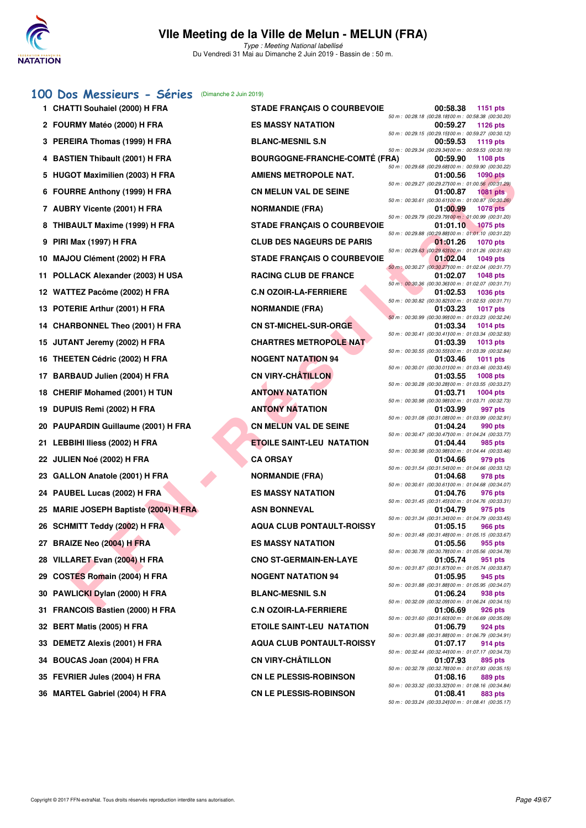

Type : Meeting National labellisé Du Vendredi 31 Mai au Dimanche 2 Juin 2019 - Bassin de : 50 m.

### **[100 Dos Messieurs - Séries](http://www.ffnatation.fr/webffn/resultats.php?idact=nat&go=epr&idcpt=57771&idepr=62)** (Dimanche 2 Juin 2019)

|     | $\sim$                                    |                                      |                                                                                      |
|-----|-------------------------------------------|--------------------------------------|--------------------------------------------------------------------------------------|
|     | 1 CHATTI Souhaiel (2000) H FRA            | <b>STADE FRANÇAIS O COURBEVOIE</b>   | 00:58.38<br><b>1151 pts</b>                                                          |
|     | 2 FOURMY Matéo (2000) H FRA               | <b>ES MASSY NATATION</b>             | 50 m : 00:28.18 (00:28.18) 00 m : 00:58.38 (00:30.20)<br>00:59.27<br>1126 pts        |
| з   | PEREIRA Thomas (1999) H FRA               | <b>BLANC-MESNIL S.N</b>              | 50 m : 00:29.15 (00:29.15) 00 m : 00:59.27 (00:30.12)<br>00:59.53<br>1119 pts        |
| 4   | <b>BASTIEN Thibault (2001) H FRA</b>      | <b>BOURGOGNE-FRANCHE-COMTÉ (FRA)</b> | 50 m : 00:29.34 (00:29.34) 00 m : 00:59.53 (00:30.19)<br>00:59.90<br>1108 pts        |
|     | 5 HUGOT Maximilien (2003) H FRA           | <b>AMIENS METROPOLE NAT.</b>         | 50 m : 00:29.68 (00:29.68100 m : 00:59.90 (00:30.22)<br>01:00.56<br><b>1090 pts</b>  |
| 6   | <b>FOURRE Anthony (1999) H FRA</b>        | <b>CN MELUN VAL DE SEINE</b>         | 50 m : 00:29.27 (00:29.27)00 m : 01:00.56 (00:31.29)<br>01:00.87<br><b>1081 pts</b>  |
|     | 7 AUBRY Vicente (2001) H FRA              | <b>NORMANDIE (FRA)</b>               | 50 m : 00:30.61 (00:30.61100 m : 01:00.87 (00:30.26)<br>01:00.99<br><b>1078 pts</b>  |
| 8   | THIBAULT Maxime (1999) H FRA              | <b>STADE FRANÇAIS O COURBEVOIE</b>   | 50 m : 00:29.79 (00:29.79100 m : 01:00.99 (00:31.20)<br>01:01.10<br>$1075$ pts       |
| 9   | <b>PIRI Max (1997) H FRA</b>              | <b>CLUB DES NAGEURS DE PARIS</b>     | 50 m : 00:29.88 (00:29.88100 m : 01:01.10 (00:31.22)<br>01:01.26<br><b>1070 pts</b>  |
| 10  | MAJOU Clément (2002) H FRA                | <b>STADE FRANÇAIS O COURBEVOIE</b>   | 50 m : 00:29.63 (00:29.63100 m : 01:01.26 (00:31.63)<br>01:02.04<br><b>1049 pts</b>  |
| 11  | POLLACK Alexander (2003) H USA            | <b>RACING CLUB DE FRANCE</b>         | 50 m : 00:30.27 (00:30.27) 00 m : 01:02.04 (00:31.77)<br>01:02.07<br><b>1048 pts</b> |
|     | 12 WATTEZ Pacôme (2002) H FRA             | <b>C.N OZOIR-LA-FERRIERE</b>         | 50 m: 00:30.36 (00:30.36) 00 m: 01:02.07 (00:31.71)<br>01:02.53<br><b>1036 pts</b>   |
| 13. | POTERIE Arthur (2001) H FRA               | <b>NORMANDIE (FRA)</b>               | 50 m: 00:30.82 (00:30.82)00 m: 01:02.53 (00:31.71)<br>01:03.23<br><b>1017 pts</b>    |
|     | 14 CHARBONNEL Theo (2001) H FRA           | <b>CN ST-MICHEL-SUR-ORGE</b>         | 50 m : 00:30.99 (00:30.99100 m : 01:03.23 (00:32.24)<br>01:03.34<br>1014 pts         |
| 15  | JUTANT Jeremy (2002) H FRA                | <b>CHARTRES METROPOLE NAT</b>        | 50 m : 00:30.41 (00:30.41)00 m : 01:03.34 (00:32.93)<br>01:03.39<br>1013 pts         |
|     | 16 THEETEN Cédric (2002) H FRA            | <b>NOGENT NATATION 94</b>            | 50 m: 00:30.55 (00:30.55) 00 m: 01:03.39 (00:32.84)<br>01:03.46<br>1011 pts          |
| 17  | <b>BARBAUD Julien (2004) H FRA</b>        | <b>CN VIRY-CHÂTILLON</b>             | 50 m : 00:30.01 (00:30.01100 m : 01:03.46 (00:33.45)<br>01:03.55<br>1008 pts         |
|     | 18 CHERIF Mohamed (2001) H TUN            | <b>ANTONY NATATION</b>               | 50 m : 00:30.28 (00:30.28) 00 m : 01:03.55 (00:33.27)<br>01:03.71<br>1004 pts        |
| 19. | DUPUIS Remi (2002) H FRA                  | <b>ANTONY NATATION</b>               | 50 m : 00:30.98 (00:30.98) 00 m : 01:03.71 (00:32.73)<br>01:03.99<br>997 pts         |
| 20  | PAUPARDIN Guillaume (2001) H FRA          | <b>CN MELUN VAL DE SEINE</b>         | 50 m: 00:31.08 (00:31.08) 00 m: 01:03.99 (00:32.91)<br>01:04.24<br>990 pts           |
|     | 21 LEBBIHI Iliess (2002) H FRA            | <b>ETOILE SAINT-LEU NATATION</b>     | 50 m: 00:30.47 (00:30.47) 00 m: 01:04.24 (00:33.77)<br>01:04.44<br>985 pts           |
|     | 22 JULIEN Noé (2002) H FRA                | <b>CA ORSAY</b>                      | 50 m : 00:30.98 (00:30.98) 00 m : 01:04.44 (00:33.46)<br>979 pts<br>01:04.66         |
|     | 23 GALLON Anatole (2001) H FRA            | <b>NORMANDIE (FRA)</b>               | 50 m : 00:31.54 (00:31.54) 00 m : 01:04.66 (00:33.12)<br>01:04.68<br>978 pts         |
|     | 24 PAUBEL Lucas (2002) H FRA              | <b>ES MASSY NATATION</b>             | 50 m: 00:30.61 (00:30.61100 m: 01:04.68 (00:34.07)<br>01:04.76<br>976 pts            |
| 25  | <b>MARIE JOSEPH Baptiste (2004) H FRA</b> | <b>ASN BONNEVAL</b>                  | 50 m: 00:31.45 (00:31.45) 00 m: 01:04.76 (00:33.31)<br>01:04.79<br>975 pts           |
|     | 26 SCHMITT Teddy (2002) H FRA             | <b>AQUA CLUB PONTAULT-ROISSY</b>     | 50 m: 00:31.34 (00:31.34100 m: 01:04.79 (00:33.45)<br>01:05.15<br>966 pts            |
| 27  | BRAIZE Neo (2004) H FRA                   | ES MASSY NATATION                    | 50 m : 00:31.48 (00:31.48) 00 m : 01:05.15 (00:33.67)<br>01:05.56<br>955 pts         |
| 28  | VILLARET Evan (2004) H FRA                | <b>CNO ST-GERMAIN-EN-LAYE</b>        | 50 m : 00:30.78 (00:30.78)00 m : 01:05.56 (00:34.78)<br>01:05.74<br>951 pts          |
| 29  | <b>COSTES Romain (2004) H FRA</b>         | <b>NOGENT NATATION 94</b>            | 50 m: 00:31.87 (00:31.87) 00 m: 01:05.74 (00:33.87)<br>01:05.95<br>945 pts           |
| 30  | PAWLICKI Dylan (2000) H FRA               | <b>BLANC-MESNIL S.N</b>              | 50 m : 00:31.88 (00:31.88)00 m : 01:05.95 (00:34.07)<br>01:06.24<br>938 pts          |
| 31  | <b>FRANCOIS Bastien (2000) H FRA</b>      | <b>C.N OZOIR-LA-FERRIERE</b>         | 50 m : 00:32.09 (00:32.09) 00 m : 01:06.24 (00:34.15)<br>01:06.69<br>926 pts         |
| 32  | <b>BERT Matis (2005) H FRA</b>            | <b>ETOILE SAINT-LEU NATATION</b>     | 50 m: 00:31.60 (00:31.60) 00 m: 01:06.69 (00:35.09)<br>01:06.79<br>924 pts           |
| 33  | DEMETZ Alexis (2001) H FRA                | <b>AQUA CLUB PONTAULT-ROISSY</b>     | 50 m : 00:31.88 (00:31.88) 00 m : 01:06.79 (00:34.91)<br>01:07.17<br>914 pts         |
| 34  | BOUCAS Joan (2004) H FRA                  | <b>CN VIRY-CHÂTILLON</b>             | 50 m : 00:32.44 (00:32.44) 00 m : 01:07.17 (00:34.73)<br>01:07.93<br>895 pts         |
| 35  | FEVRIER Jules (2004) H FRA                | <b>CN LE PLESSIS-ROBINSON</b>        | 50 m : 00:32.78 (00:32.78) 00 m : 01:07.93 (00:35.15)<br>01:08.16<br>889 pts         |
| 36  | <b>MARTEL Gabriel (2004) H FRA</b>        | <b>CN LE PLESSIS-ROBINSON</b>        | 50 m : 00:33.32 (00:33.32) 00 m : 01:08.16 (00:34.84)<br>01:08.41<br>883 pts         |
|     |                                           |                                      | 50 m: 00:33.24 (00:33.24)00 m: 01:08.41 (00:35.17)                                   |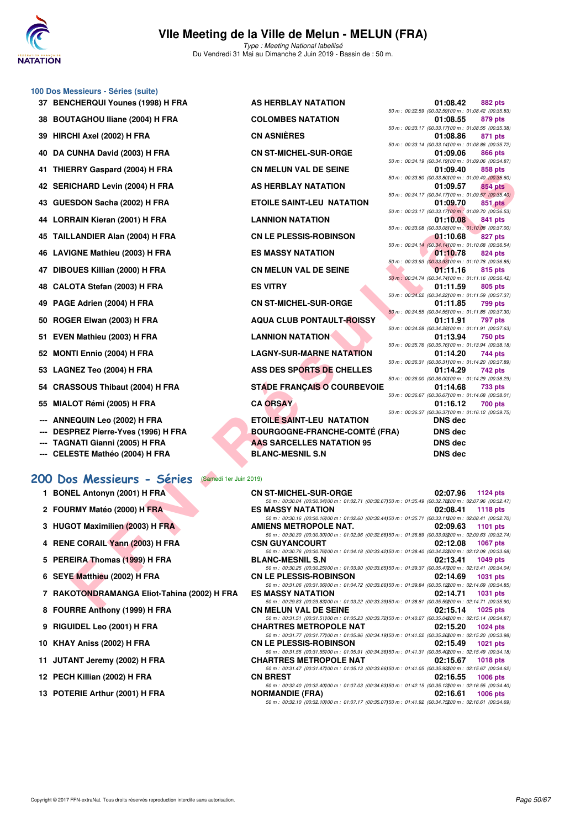

#### **100 Dos Messieurs - Séries (suite)**

- 
- **39 HIRCHI Axel (2002) H FRA**
- 
- 
- 
- 
- 
- 
- 
- 
- 
- 
- 
- 
- **52 MONTI Ennio (2004) H FRA**
- **53 LAGNEZ Teo (2004) H FRA**
- 54 CRASSOUS Thibaut (2004) H FRA
- **55 MIALOT Rémi (2005) H FRA**
- **--- ANNEQUIN Leo (2002) H FRA**
- **--- DESPREZ Pierre-Yves (1996) H FRA**
- **--- TAGNATI Gianni (2005) H FRA**
- --- CELESTE Mathéo (2004) H FRA

#### **[200 Dos Messieurs - Séries](http://www.ffnatation.fr/webffn/resultats.php?idact=nat&go=epr&idcpt=57771&idepr=63)** (Samedi 1er Juin 2019)

- 1 BONEL Antonyn (2001) H FRA **CN ST-MI**
- 2 FOURMY Matéo (2000) H FRA **ES MASS**
- **3 HUGOT Maximilien (2003) H FRA AMIENS I**
- 4 RENE CORAIL Yann (2003) H FRA CSN GUY
- **5 PEREIRA Thomas (1999) H FRA BLANC-M**<br>50 m i 0
- **6 SEYE Matthieu (2002) H FRA CN LE PL**<br>  $\frac{50 \text{ m} \cdot \text{0}}{50 \text{ m} \cdot \text{0}}$
- **7 RAKOTONDRAMANGA Eliot-Tahina (2002) H FRA ES MASS**
- **8 FOURRE Anthony (1999) H FRA CN MELU**<br>  $\frac{50 \text{ m} \cdot \theta}{20 \text{ m} \cdot \theta}$
- **9 RIGUIDEL Leo (2001) H FRA CHARTRI**
- 10 KHAY Aniss (2002) H FRA **CN LE PL**
- **11 JUTANT Jeremy (2002) H FRA CHARTRES METALLY REPORT OF SOME 10**
- 12 PECH Killian (2002) H FRA **CN BRES**
- **13 POTERIE Arthur (2001) H FRA NORMANDIE (FRA) 02:16.61 <b>1006 pts**

|     | 37 BENCHERQUI Younes (1998) H FRA | AS HERBLAY NATATION                  | 01:08.42                                                         | <b>882 pts</b> |
|-----|-----------------------------------|--------------------------------------|------------------------------------------------------------------|----------------|
|     |                                   | <b>COLOMBES NATATION</b>             | 50 m: 00:32.59 (00:32.59) 00 m: 01:08.42 (00:35.83               |                |
|     | 38 BOUTAGHOU Iliane (2004) H FRA  |                                      | 01:08.55<br>50 m : 00:33.17 (00:33.17) 00 m : 01:08.55 (00:35.38 | 879 pts        |
|     | 39 HIRCHI Axel (2002) H FRA       | <b>CN ASNIÈRES</b>                   | 01:08.86                                                         | 871 pts        |
|     |                                   |                                      | 50 m : 00:33.14 (00:33.14)00 m : 01:08.86 (00:35.72              |                |
|     | 40 DA CUNHA David (2003) H FRA    | <b>CN ST-MICHEL-SUR-ORGE</b>         | 01:09.06                                                         | 866 pts        |
|     |                                   |                                      | 50 m : 00:34.19 (00:34.19)00 m : 01:09.06 (00:34.87              |                |
|     | 41 THIERRY Gaspard (2004) H FRA   | <b>CN MELUN VAL DE SEINE</b>         | 01:09.40<br>50 m : 00:33.80 (00:33.80) 00 m : 01:09.40 (00:35.60 | 858 pts        |
|     | 42 SERICHARD Levin (2004) H FRA   | AS HERBLAY NATATION                  | 01:09.57                                                         | 854 pts        |
|     |                                   |                                      | 50 m: 00:34.17 (00:34.17) 00 m: 01:09.57 (00:35.40               |                |
|     | 43 GUESDON Sacha (2002) H FRA     | <b>ETOILE SAINT-LEU NATATION</b>     | 01:09.70                                                         | 851 pts        |
|     |                                   |                                      | 50 m : 00:33.17 (00:33.17) 00 m : 01:09.70 (00:36.53             |                |
|     | 44 LORRAIN Kieran (2001) H FRA    | <b>LANNION NATATION</b>              | 01:10.08                                                         | 841 pts        |
|     | 45 TAILLANDIER Alan (2004) H FRA  | <b>CN LE PLESSIS-ROBINSON</b>        | 50 m: 00:33.08 (00:33.08) 00 m: 01:10.08 (00:37.00<br>01:10.68   | 827 pts        |
|     |                                   |                                      | 50 m: 00:34.14 (00:34.14100 m: 01:10.68 (00:36.54                |                |
|     | 46 LAVIGNE Mathieu (2003) H FRA   | <b>ES MASSY NATATION</b>             | 01:10.78                                                         | 824 pts        |
|     |                                   |                                      | 50 m : 00:33.93 (00:33.93) 00 m : 01:10.78 (00:36.85             |                |
|     | 47 DIBOUES Killian (2000) H FRA   | <b>CN MELUN VAL DE SEINE</b>         | 01:11.16                                                         | 815 pts        |
|     |                                   |                                      | 50 m : 00:34.74 (00:34.74)00 m : 01:11.16 (00:36.42              |                |
|     | 48 CALOTA Stefan (2003) H FRA     | <b>ES VITRY</b>                      | 01:11.59<br>50 m: 00:34.22 (00:34.22) 00 m: 01:11.59 (00:37.37   | 805 pts        |
|     | 49 PAGE Adrien (2004) H FRA       | <b>CN ST-MICHEL-SUR-ORGE</b>         | 01:11.85                                                         | <b>799 pts</b> |
|     |                                   |                                      | 50 m: 00:34.55 (00:34.55) 00 m: 01:11.85 (00:37.30               |                |
|     | 50 ROGER Elwan (2003) H FRA       | <b>AQUA CLUB PONTAULT-ROISSY</b>     | 01:11.91                                                         | 797 pts        |
|     |                                   |                                      | 50 m: 00:34.28 (00:34.28) 00 m: 01:11.91 (00:37.63               |                |
|     | 51 EVEN Mathieu (2003) H FRA      | <b>LANNION NATATION</b>              | 01:13.94                                                         | <b>750 pts</b> |
|     | 52 MONTI Ennio (2004) H FRA       | <b>LAGNY-SUR-MARNE NATATION</b>      | 50 m: 00:35.76 (00:35.76) 00 m: 01:13.94 (00:38.18<br>01:14.20   | 744 pts        |
|     |                                   |                                      | 50 m: 00:36.31 (00:36.31100 m: 01:14.20 (00:37.89                |                |
|     | 53 LAGNEZ Teo (2004) H FRA        | ASS DES SPORTS DE CHELLES            | 01:14.29                                                         | 742 pts        |
|     |                                   |                                      | 50 m: 00:36.00 (00:36.00) 00 m: 01:14.29 (00:38.29               |                |
|     | 54 CRASSOUS Thibaut (2004) H FRA  | <b>STADE FRANÇAIS O COURBEVOIE</b>   | 01:14.68                                                         | <b>733 pts</b> |
|     |                                   |                                      | 50 m : 00:36.67 (00:36.67) 00 m : 01:14.68 (00:38.01             |                |
|     | 55 MIALOT Rémi (2005) H FRA       | <b>CA ORSAY</b>                      | 01:16.12<br>50 m : 00:36.37 (00:36.37) 00 m : 01:16.12 (00:39.75 | <b>700 pts</b> |
|     | <b>ANNEQUIN Leo (2002) H FRA</b>  | <b>ETOILE SAINT-LEU NATATION</b>     | <b>DNS</b> dec                                                   |                |
| --- | DESPREZ Pierre-Yves (1996) H FRA  | <b>BOURGOGNE-FRANCHE-COMTÉ (FRA)</b> | <b>DNS dec</b>                                                   |                |
|     |                                   |                                      |                                                                  |                |
|     | --- TAGNATI Gianni (2005) H FRA   | <b>AAS SARCELLES NATATION 95</b>     | <b>DNS dec</b>                                                   |                |
|     | CELESTE Mathéo (2004) H ERA       | RI ANC MECNII C N                    | DNS dec                                                          |                |

| nn i Gaspaiu (2004) li Frim                              | UN MELUN VAL DE JEINE                | 01.09.40<br><b>OJO PIS</b>                                                                                                                |
|----------------------------------------------------------|--------------------------------------|-------------------------------------------------------------------------------------------------------------------------------------------|
| <b>ICHARD Levin (2004) H FRA</b>                         | AS HERBLAY NATATION                  | 50 m : 00:33.80 (00:33.80) 00 m : 01:09.40 (00:35.60)<br>01:09.57<br>854 pts                                                              |
| SDON Sacha (2002) H FRA                                  | <b>ETOILE SAINT-LEU NATATION</b>     | 50 m : 00:34.17 (00:34.17) 00 m : 01:09.57 (00:35.40)<br>01:09.70<br>851 pts                                                              |
| RAIN Kieran (2001) H FRA                                 | <b>LANNION NATATION</b>              | 50 m : 00:33.17 (00:33.17) 00 m : 01:09.70 (00:36.53)<br>841 pts<br>01:10.08                                                              |
| LANDIER Alan (2004) H FRA                                | <b>CN LE PLESSIS-ROBINSON</b>        | 50 m : 00:33.08 (00:33.08) 00 m : 01:10.08 (00:37.00)<br>01:10.68<br>827 pts                                                              |
|                                                          |                                      | 50 m : 00:34.14 (00:34.14100 m : 01:10.68 (00:36.54)                                                                                      |
| <b>GNE Mathieu (2003) H FRA</b>                          | <b>ES MASSY NATATION</b>             | 01:10.78<br>824 pts<br>50 m : 00:33.93 (00:33.93) 00 m : 01:10.78 (00:36.85)                                                              |
| <b>OUES Killian (2000) H FRA</b>                         | <b>CN MELUN VAL DE SEINE</b>         | 01:11.16<br>815 pts<br>50 m: 00:34.74 (00:34.74100 m: 01:11.16 (00:36.42)                                                                 |
| OTA Stefan (2003) H FRA                                  | <b>ES VITRY</b>                      | 01:11.59<br>805 pts<br>50 m : 00:34.22 (00:34.22) 00 m : 01:11.59 (00:37.37)                                                              |
| E Adrien (2004) H FRA                                    | <b>CN ST-MICHEL-SUR-ORGE</b>         | 01:11.85<br>799 pts                                                                                                                       |
| ER Elwan (2003) H FRA                                    | <b>AQUA CLUB PONTAULT-ROISSY</b>     | 50 m : 00:34.55 (00:34.55) 00 m : 01:11.85 (00:37.30)<br>01:11.91<br>797 pts                                                              |
| N Mathieu (2003) H FRA                                   | <b>LANNION NATATION</b>              | 50 m: 00:34.28 (00:34.28) 00 m: 01:11.91 (00:37.63)<br>01:13.94<br>750 pts                                                                |
| ITI Ennio (2004) H FRA                                   | <b>LAGNY-SUR-MARNE NATATION</b>      | 50 m : 00:35.76 (00:35.76) 00 m : 01:13.94 (00:38.18)<br>01:14.20<br>744 pts                                                              |
| <b>NEZ Teo (2004) H FRA</b>                              | ASS DES SPORTS DE CHELLES            | 50 m: 00:36.31 (00:36.31100 m: 01:14.20 (00:37.89)                                                                                        |
|                                                          |                                      | 01:14.29<br>742 pts<br>50 m : 00:36.00 (00:36.00) 00 m : 01:14.29 (00:38.29)                                                              |
| SSOUS Thibaut (2004) H FRA                               | <b>STADE FRANCAIS O COURBEVOIE</b>   | 01:14.68<br>733 pts<br>50 m : 00:36.67 (00:36.67) 00 m : 01:14.68 (00:38.01)                                                              |
| .OT Rémi (2005) H FRA                                    | <b>CA ORSAY</b>                      | 01:16.12<br>700 pts                                                                                                                       |
| EQUIN Leo (2002) H FRA                                   | <b>ETOILE SAINT-LEU NATATION</b>     | 50 m : 00:36.37 (00:36.37) 00 m : 01:16.12 (00:39.75)<br><b>DNS</b> dec                                                                   |
| PREZ Pierre-Yves (1996) H FRA                            | <b>BOURGOGNE-FRANCHE-COMTÉ (FRA)</b> | DNS dec                                                                                                                                   |
| NATI Gianni (2005) H FRA                                 | AAS SARCELLES NATATION 95            | <b>DNS dec</b>                                                                                                                            |
| ESTE Mathéo (2004) H FRA                                 | <b>BLANC-MESNIL S.N</b>              | <b>DNS dec</b>                                                                                                                            |
| os Messieurs - Séries<br>(Samedi 1er Juin 2019)          |                                      |                                                                                                                                           |
| EL Antonyn (2001) H FRA                                  | <b>CN ST-MICHEL-SUR-ORGE</b>         | 02:07.96<br>1124 $pts$                                                                                                                    |
| RMY Matéo (2000) H FRA                                   | <b>ES MASSY NATATION</b>             | 50 m : 00:30.04 (00:30.04) 00 m : 01:02.71 (00:32.67) 50 m : 01:35.49 (00:32.78200 m : 02:07.96 (00:32.47)                                |
|                                                          |                                      | 02:08.41<br>1118 $pts$<br>50 m : 00:30.16 (00:30.16) 00 m : 01:02.60 (00:32.44) 50 m : 01:35.71 (00:33.11200 m : 02:08.41 (00:32.70)      |
| OT Maximilien (2003) H FRA                               | AMIENS METROPOLE NAT.                | 02:09.63<br><b>1101 pts</b><br>50 m : 00:30.30 (00:30.30) 00 m : 01:02.96 (00:32.66) 50 m : 01:36.89 (00:33.93200 m : 02:09.63 (00:32.74) |
| E CORAIL Yann (2003) H FRA                               | <b>CSN GUYANCOURT</b>                | 02:12.08<br><b>1067 pts</b>                                                                                                               |
| EIRA Thomas (1999) H FRA                                 | <b>BLANC-MESNIL S.N</b>              | 50 m : 00:30.76 (00:30.76) 00 m : 01:04.18 (00:33.42) 50 m : 01:38.40 (00:34.22200 m : 02:12.08 (00:33.68)<br>02:13.41<br><b>1049 pts</b> |
| E Matthieu (2002) H FRA                                  | <b>CN LE PLESSIS-ROBINSON</b>        | 50 m: 00:30.25 (00:30.25)00 m: 01:03.90 (00:33.65)50 m: 01:39.37 (00:35.47200 m: 02:13.41 (00:34.04)<br>02:14.69<br><b>1031 pts</b>       |
|                                                          |                                      | 50 m : 00:31.06 (00:31.06) 00 m : 01:04.72 (00:33.66) 50 m : 01:39.84 (00:35.12200 m : 02:14.69 (00:34.85)                                |
| OTONDRAMANGA Eliot-Tahina (2002) H FRA                   | <b>ES MASSY NATATION</b>             | 02:14.71<br><b>1031 pts</b><br>50 m : 00:29.83 (00:29.83) 00 m : 01:03.22 (00:33.39) 50 m : 01:38.81 (00:35.59200 m : 02:14.71 (00:35.90) |
| RRE Anthony (1999) H FRA                                 | <b>CN MELUN VAL DE SEINE</b>         | 02:15.14 1025 pts<br>50 m: 00:31.51 (00:31.51100 m: 01:05.23 (00:33.72150 m: 01:40.27 (00:35.04200 m: 02:15.14 (00:34.87)                 |
| <b>JIDEL Leo (2001) H FRA</b>                            | <b>CHARTRES METROPOLE NAT</b>        | 02:15.20<br><b>1024 pts</b>                                                                                                               |
| Y Aniss (2002) H FRA                                     | <b>CN LE PLESSIS-ROBINSON</b>        | 50 m : 00:31.77 (00:31.77)00 m : 01:05.96 (00:34.19)50 m : 01:41.22 (00:35.26200 m : 02:15.20 (00:33.98)<br>02:15.49<br><b>1021 pts</b>   |
|                                                          |                                      |                                                                                                                                           |
|                                                          |                                      | 50 m : 00:31.55 (00:31.55)00 m : 01:05.91 (00:34.36)50 m : 01:41.31 (00:35.40200 m : 02:15.49 (00:34.18)                                  |
|                                                          | <b>CHARTRES METROPOLE NAT</b>        | 02:15.67<br><b>1018 pts</b><br>50 m : 00:31.47 (00:31.47) 00 m : 01:05.13 (00:33.66) 50 m : 01:41.05 (00:35.92200 m : 02:15.67 (00:34.62) |
| <b>ANT Jeremy (2002) H FRA</b><br>H Killian (2002) H FRA | <b>CN BREST</b>                      | 02:16.55<br>1006 pts<br>50 m : 00:32.40 (00:32.40) 00 m : 01:07.03 (00:34.63) 50 m : 01:42.15 (00:35.12200 m : 02:16.55 (00:34.40)        |

50 m : 00:32.10 (00:32.10)100 m : 01:07.17 (00:35.07)150 m : 01:41.92 (00:34.75)200 m : 02:16.61 (00:34.69)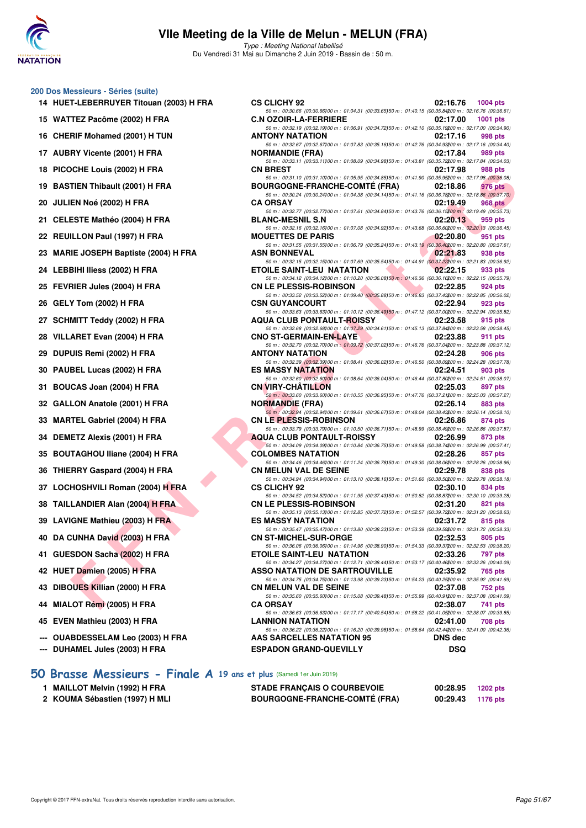

Type : Meeting National labellisé Du Vendredi 31 Mai au Dimanche 2 Juin 2019 - Bassin de : 50 m.

#### **200 Dos Messieurs - Séries (suite)**

- **14 HUET-LEBERRUYER Titouan (2003) H FRA CS CLICHY 92 02:16.76 1004 pts**
- 15 WATTEZ Pacôme (2002) H FRA **C.**
- 16 CHERIF Mohamed (2001) H TUN **ANTION**
- **17 AUBRY Vicente (2001) H FRA** NORMAN **NO**
- **18 PICOCHE Louis (2002) H FRA CONSTRUMENT CONSTRUCTS**
- 19 BASTIEN Thibault (2001) H FRA BOODS
- **20 JULIEN Noé (2002) H FRA CA ORSAY PROPERTY OR AN ORIGINAL CA OR AN ORIGINAL CA OR AN ORIGINAL CA OR AN ORIGINAL CA OR AN ORIGINAL CA OR AN ORIGINAL CA ORIGINAL CA ORIGINAL CA ORIGINAL CA ORIGINAL CA ORIGINAL CA ORIGINAL**
- **21 CELESTE Mathéo (2004) H FRA BI**
- **22 REUILLON Paul (1997) H FRA MODE PROPERTY**
- **23 MARIE JOSEPH Baptiste (2004) H FRA ASSAURATE**
- **24 LEBBIHI Iliess (2002) H FRA BILLET BET**
- **25 FEVRIER Jules (2004) H FRA CONSERVANCE**
- **26 GELY Tom (2002) H FRA CSN GUYANCOURT 02:32.94 PTS**
- **27 SCHMITT Teddy (2002) H FRA AQUA CLUB PONTAULT**
- **28 VILLARET Evan (2004) H FRA CONO STAGERMAN BUSICAL CONTRACT CONTRACT CONTRACT CONTRACT CONTRACT CONTRACT CONTRACT CONTRACT CONTRACT CONTRACT CONTRACT CONTRACT CONTRACT CONTRACT CONTRACT CONTRACT CONTRACT CONTRACT CONTRA**
- **29 DUPUIS Remi (2002) H FRA ANTIONY AND ANTIOXY**
- **30 PAUBEL Lucas (2002) H FRA BILLER ES**
- **31 BOUCAS Joan (2004) H FRA CONSERVANCE**
- **32 GALLON Anatole (2001) H FRA** NORMAN ROLL
- **33 MARTEL Gabriel (2004) H FRA CN LE PLESSIS-ROBINSON 02:26.86 874 pts**
- **34 DEMETZ Alexis (2001) H FRA BURG PONTAULT POINTS**
- **35 BOUTAGHOU Iliane (2004) H FRA COLOMBER 12:38.26**
- **36 THIERRY Gaspard (2004) H FRA CN MELUN VALUE OF SEINE ORIGINAL DE SEINE OF SEINE ORIGINAL DE SEINE OF SEINE ORIGINAL DE SEINE ORIGINAL DE SEINE ORIGINAL DE SEINE ORIGINAL DE SEINE ORIGINAL DE SEINE ORIGINAL DE SEINE ORI**
- **37 LOCHOSHVILI Roman (2004) H FRA CS**
- **38 TAILLANDIER Alan (2004) H FRA CONSERVATION OF STATE OF STATE OF STATE OF STATE OF STATE OF STATE OF STATE OF STATE OF STATE OF STATE OF STATE OF STATE OF STATE OF STATE OF STATE OF STATE OF STATE OF STATE OF STATE OF S**
- **39 LAVIGNE Mathieu (2003) H FRA BILANG BEST RESERVED BY A BILANG BEST PUBLIC BEST PUBLIC BEST PUBLIC BEST PUBLIC BEST PUBLIC BEST PUBLIC BEST PUBLIC BEST PUBLIC BEST PUBLIC BEST PUBLIC BEST PUBLIC BEST PUBLIC BEST PUBLIC**
- **40 DA CUNHA David (2003) H FRA CONSTRUCTED ON STATE OF STATE OF STATE OF STATE OF STATE OF STATE OF STATE OF ST**
- **41 GUESDON Sacha (2002) H FRA ETOILE SAINT-LEU NATATION 02:33.26 797 pts**
- **42 HUET Damien (2005) H FRA ASSO NATATION DE SARTROUVILLE 02:35.92 765 pts**
- **43 DIBOUES Killian (2000) H FRA CN MELUN VAL DE SEINE 02:37.08 752 pts**
- **44 MIALOT Rémi (2005) H FRA CA ORSAY 02:38.07 741 pts**
- **45 EVEN Mathieu (2003) H FRA LANNION NATATION 02:41.00 708 pts**
- **--- OUABDESSELAM Leo (2003) H FRA AAS SARCELLES NATATION 95 DNS dec**
- **--- DUHAMEL Jules (2003) H FRA ESPADON GRAND-QUEVILLY DSQ**

| VV VLIVIII VL                        | $U = 10.10 - 100 + 100$                                                                                                                                                                                                                                                                                                                                                                                                                                                                                                                                            |                                                                                                                                                                                                                                                                                                                                                                                                                                                                                                                                                                                                                                                                                                                                                                                                                                                                                                                                                                                                                                                                                                                                                                                                                                                                                                                                                                                                                                                                                                                                                                                                                                                                                                                                                                                                                                                                                                                                                                                                                                                                                                                                                                                                                                                                                                                                                                                                                                                                                                                                                                                                                                                                                                                                                                                                                                                                                                                                                                                                                                                                                                                                                                                                                                                                                                                                                                                                                                                                                                                                                                                                                                                                        |
|--------------------------------------|--------------------------------------------------------------------------------------------------------------------------------------------------------------------------------------------------------------------------------------------------------------------------------------------------------------------------------------------------------------------------------------------------------------------------------------------------------------------------------------------------------------------------------------------------------------------|------------------------------------------------------------------------------------------------------------------------------------------------------------------------------------------------------------------------------------------------------------------------------------------------------------------------------------------------------------------------------------------------------------------------------------------------------------------------------------------------------------------------------------------------------------------------------------------------------------------------------------------------------------------------------------------------------------------------------------------------------------------------------------------------------------------------------------------------------------------------------------------------------------------------------------------------------------------------------------------------------------------------------------------------------------------------------------------------------------------------------------------------------------------------------------------------------------------------------------------------------------------------------------------------------------------------------------------------------------------------------------------------------------------------------------------------------------------------------------------------------------------------------------------------------------------------------------------------------------------------------------------------------------------------------------------------------------------------------------------------------------------------------------------------------------------------------------------------------------------------------------------------------------------------------------------------------------------------------------------------------------------------------------------------------------------------------------------------------------------------------------------------------------------------------------------------------------------------------------------------------------------------------------------------------------------------------------------------------------------------------------------------------------------------------------------------------------------------------------------------------------------------------------------------------------------------------------------------------------------------------------------------------------------------------------------------------------------------------------------------------------------------------------------------------------------------------------------------------------------------------------------------------------------------------------------------------------------------------------------------------------------------------------------------------------------------------------------------------------------------------------------------------------------------------------------------------------------------------------------------------------------------------------------------------------------------------------------------------------------------------------------------------------------------------------------------------------------------------------------------------------------------------------------------------------------------------------------------------------------------------------------------------------------------|
| <b>C.N OZOIR-LA-FERRIERE</b>         | 02:17.00                                                                                                                                                                                                                                                                                                                                                                                                                                                                                                                                                           | 1001 pts                                                                                                                                                                                                                                                                                                                                                                                                                                                                                                                                                                                                                                                                                                                                                                                                                                                                                                                                                                                                                                                                                                                                                                                                                                                                                                                                                                                                                                                                                                                                                                                                                                                                                                                                                                                                                                                                                                                                                                                                                                                                                                                                                                                                                                                                                                                                                                                                                                                                                                                                                                                                                                                                                                                                                                                                                                                                                                                                                                                                                                                                                                                                                                                                                                                                                                                                                                                                                                                                                                                                                                                                                                                               |
|                                      |                                                                                                                                                                                                                                                                                                                                                                                                                                                                                                                                                                    | 998 pts                                                                                                                                                                                                                                                                                                                                                                                                                                                                                                                                                                                                                                                                                                                                                                                                                                                                                                                                                                                                                                                                                                                                                                                                                                                                                                                                                                                                                                                                                                                                                                                                                                                                                                                                                                                                                                                                                                                                                                                                                                                                                                                                                                                                                                                                                                                                                                                                                                                                                                                                                                                                                                                                                                                                                                                                                                                                                                                                                                                                                                                                                                                                                                                                                                                                                                                                                                                                                                                                                                                                                                                                                                                                |
|                                      |                                                                                                                                                                                                                                                                                                                                                                                                                                                                                                                                                                    | 989 pts                                                                                                                                                                                                                                                                                                                                                                                                                                                                                                                                                                                                                                                                                                                                                                                                                                                                                                                                                                                                                                                                                                                                                                                                                                                                                                                                                                                                                                                                                                                                                                                                                                                                                                                                                                                                                                                                                                                                                                                                                                                                                                                                                                                                                                                                                                                                                                                                                                                                                                                                                                                                                                                                                                                                                                                                                                                                                                                                                                                                                                                                                                                                                                                                                                                                                                                                                                                                                                                                                                                                                                                                                                                                |
|                                      |                                                                                                                                                                                                                                                                                                                                                                                                                                                                                                                                                                    |                                                                                                                                                                                                                                                                                                                                                                                                                                                                                                                                                                                                                                                                                                                                                                                                                                                                                                                                                                                                                                                                                                                                                                                                                                                                                                                                                                                                                                                                                                                                                                                                                                                                                                                                                                                                                                                                                                                                                                                                                                                                                                                                                                                                                                                                                                                                                                                                                                                                                                                                                                                                                                                                                                                                                                                                                                                                                                                                                                                                                                                                                                                                                                                                                                                                                                                                                                                                                                                                                                                                                                                                                                                                        |
| <b>CN BREST</b>                      | 02:17.98                                                                                                                                                                                                                                                                                                                                                                                                                                                                                                                                                           | 988 pts                                                                                                                                                                                                                                                                                                                                                                                                                                                                                                                                                                                                                                                                                                                                                                                                                                                                                                                                                                                                                                                                                                                                                                                                                                                                                                                                                                                                                                                                                                                                                                                                                                                                                                                                                                                                                                                                                                                                                                                                                                                                                                                                                                                                                                                                                                                                                                                                                                                                                                                                                                                                                                                                                                                                                                                                                                                                                                                                                                                                                                                                                                                                                                                                                                                                                                                                                                                                                                                                                                                                                                                                                                                                |
|                                      |                                                                                                                                                                                                                                                                                                                                                                                                                                                                                                                                                                    | 976 pts                                                                                                                                                                                                                                                                                                                                                                                                                                                                                                                                                                                                                                                                                                                                                                                                                                                                                                                                                                                                                                                                                                                                                                                                                                                                                                                                                                                                                                                                                                                                                                                                                                                                                                                                                                                                                                                                                                                                                                                                                                                                                                                                                                                                                                                                                                                                                                                                                                                                                                                                                                                                                                                                                                                                                                                                                                                                                                                                                                                                                                                                                                                                                                                                                                                                                                                                                                                                                                                                                                                                                                                                                                                                |
|                                      |                                                                                                                                                                                                                                                                                                                                                                                                                                                                                                                                                                    | 968 pts                                                                                                                                                                                                                                                                                                                                                                                                                                                                                                                                                                                                                                                                                                                                                                                                                                                                                                                                                                                                                                                                                                                                                                                                                                                                                                                                                                                                                                                                                                                                                                                                                                                                                                                                                                                                                                                                                                                                                                                                                                                                                                                                                                                                                                                                                                                                                                                                                                                                                                                                                                                                                                                                                                                                                                                                                                                                                                                                                                                                                                                                                                                                                                                                                                                                                                                                                                                                                                                                                                                                                                                                                                                                |
|                                      |                                                                                                                                                                                                                                                                                                                                                                                                                                                                                                                                                                    |                                                                                                                                                                                                                                                                                                                                                                                                                                                                                                                                                                                                                                                                                                                                                                                                                                                                                                                                                                                                                                                                                                                                                                                                                                                                                                                                                                                                                                                                                                                                                                                                                                                                                                                                                                                                                                                                                                                                                                                                                                                                                                                                                                                                                                                                                                                                                                                                                                                                                                                                                                                                                                                                                                                                                                                                                                                                                                                                                                                                                                                                                                                                                                                                                                                                                                                                                                                                                                                                                                                                                                                                                                                                        |
|                                      |                                                                                                                                                                                                                                                                                                                                                                                                                                                                                                                                                                    | 959 pts                                                                                                                                                                                                                                                                                                                                                                                                                                                                                                                                                                                                                                                                                                                                                                                                                                                                                                                                                                                                                                                                                                                                                                                                                                                                                                                                                                                                                                                                                                                                                                                                                                                                                                                                                                                                                                                                                                                                                                                                                                                                                                                                                                                                                                                                                                                                                                                                                                                                                                                                                                                                                                                                                                                                                                                                                                                                                                                                                                                                                                                                                                                                                                                                                                                                                                                                                                                                                                                                                                                                                                                                                                                                |
| <b>MOUETTES DE PARIS</b>             | 02:20.80                                                                                                                                                                                                                                                                                                                                                                                                                                                                                                                                                           | 951 pts                                                                                                                                                                                                                                                                                                                                                                                                                                                                                                                                                                                                                                                                                                                                                                                                                                                                                                                                                                                                                                                                                                                                                                                                                                                                                                                                                                                                                                                                                                                                                                                                                                                                                                                                                                                                                                                                                                                                                                                                                                                                                                                                                                                                                                                                                                                                                                                                                                                                                                                                                                                                                                                                                                                                                                                                                                                                                                                                                                                                                                                                                                                                                                                                                                                                                                                                                                                                                                                                                                                                                                                                                                                                |
| <b>ASN BONNEVAL</b>                  | 02:21.83                                                                                                                                                                                                                                                                                                                                                                                                                                                                                                                                                           | 938 pts                                                                                                                                                                                                                                                                                                                                                                                                                                                                                                                                                                                                                                                                                                                                                                                                                                                                                                                                                                                                                                                                                                                                                                                                                                                                                                                                                                                                                                                                                                                                                                                                                                                                                                                                                                                                                                                                                                                                                                                                                                                                                                                                                                                                                                                                                                                                                                                                                                                                                                                                                                                                                                                                                                                                                                                                                                                                                                                                                                                                                                                                                                                                                                                                                                                                                                                                                                                                                                                                                                                                                                                                                                                                |
|                                      |                                                                                                                                                                                                                                                                                                                                                                                                                                                                                                                                                                    | 933 pts                                                                                                                                                                                                                                                                                                                                                                                                                                                                                                                                                                                                                                                                                                                                                                                                                                                                                                                                                                                                                                                                                                                                                                                                                                                                                                                                                                                                                                                                                                                                                                                                                                                                                                                                                                                                                                                                                                                                                                                                                                                                                                                                                                                                                                                                                                                                                                                                                                                                                                                                                                                                                                                                                                                                                                                                                                                                                                                                                                                                                                                                                                                                                                                                                                                                                                                                                                                                                                                                                                                                                                                                                                                                |
|                                      |                                                                                                                                                                                                                                                                                                                                                                                                                                                                                                                                                                    |                                                                                                                                                                                                                                                                                                                                                                                                                                                                                                                                                                                                                                                                                                                                                                                                                                                                                                                                                                                                                                                                                                                                                                                                                                                                                                                                                                                                                                                                                                                                                                                                                                                                                                                                                                                                                                                                                                                                                                                                                                                                                                                                                                                                                                                                                                                                                                                                                                                                                                                                                                                                                                                                                                                                                                                                                                                                                                                                                                                                                                                                                                                                                                                                                                                                                                                                                                                                                                                                                                                                                                                                                                                                        |
|                                      | 02:22.85                                                                                                                                                                                                                                                                                                                                                                                                                                                                                                                                                           | 924 pts                                                                                                                                                                                                                                                                                                                                                                                                                                                                                                                                                                                                                                                                                                                                                                                                                                                                                                                                                                                                                                                                                                                                                                                                                                                                                                                                                                                                                                                                                                                                                                                                                                                                                                                                                                                                                                                                                                                                                                                                                                                                                                                                                                                                                                                                                                                                                                                                                                                                                                                                                                                                                                                                                                                                                                                                                                                                                                                                                                                                                                                                                                                                                                                                                                                                                                                                                                                                                                                                                                                                                                                                                                                                |
| <b>CSN GUYANCOURT</b>                | 02:22.94                                                                                                                                                                                                                                                                                                                                                                                                                                                                                                                                                           | 923 pts                                                                                                                                                                                                                                                                                                                                                                                                                                                                                                                                                                                                                                                                                                                                                                                                                                                                                                                                                                                                                                                                                                                                                                                                                                                                                                                                                                                                                                                                                                                                                                                                                                                                                                                                                                                                                                                                                                                                                                                                                                                                                                                                                                                                                                                                                                                                                                                                                                                                                                                                                                                                                                                                                                                                                                                                                                                                                                                                                                                                                                                                                                                                                                                                                                                                                                                                                                                                                                                                                                                                                                                                                                                                |
|                                      |                                                                                                                                                                                                                                                                                                                                                                                                                                                                                                                                                                    |                                                                                                                                                                                                                                                                                                                                                                                                                                                                                                                                                                                                                                                                                                                                                                                                                                                                                                                                                                                                                                                                                                                                                                                                                                                                                                                                                                                                                                                                                                                                                                                                                                                                                                                                                                                                                                                                                                                                                                                                                                                                                                                                                                                                                                                                                                                                                                                                                                                                                                                                                                                                                                                                                                                                                                                                                                                                                                                                                                                                                                                                                                                                                                                                                                                                                                                                                                                                                                                                                                                                                                                                                                                                        |
|                                      |                                                                                                                                                                                                                                                                                                                                                                                                                                                                                                                                                                    | 915 pts                                                                                                                                                                                                                                                                                                                                                                                                                                                                                                                                                                                                                                                                                                                                                                                                                                                                                                                                                                                                                                                                                                                                                                                                                                                                                                                                                                                                                                                                                                                                                                                                                                                                                                                                                                                                                                                                                                                                                                                                                                                                                                                                                                                                                                                                                                                                                                                                                                                                                                                                                                                                                                                                                                                                                                                                                                                                                                                                                                                                                                                                                                                                                                                                                                                                                                                                                                                                                                                                                                                                                                                                                                                                |
| CNO ST-GERMAIN-EN-LAYE               | 02:23.88                                                                                                                                                                                                                                                                                                                                                                                                                                                                                                                                                           | 911 pts                                                                                                                                                                                                                                                                                                                                                                                                                                                                                                                                                                                                                                                                                                                                                                                                                                                                                                                                                                                                                                                                                                                                                                                                                                                                                                                                                                                                                                                                                                                                                                                                                                                                                                                                                                                                                                                                                                                                                                                                                                                                                                                                                                                                                                                                                                                                                                                                                                                                                                                                                                                                                                                                                                                                                                                                                                                                                                                                                                                                                                                                                                                                                                                                                                                                                                                                                                                                                                                                                                                                                                                                                                                                |
| <b>ANTONY NATATION</b>               | 02:24.28                                                                                                                                                                                                                                                                                                                                                                                                                                                                                                                                                           | 906 pts                                                                                                                                                                                                                                                                                                                                                                                                                                                                                                                                                                                                                                                                                                                                                                                                                                                                                                                                                                                                                                                                                                                                                                                                                                                                                                                                                                                                                                                                                                                                                                                                                                                                                                                                                                                                                                                                                                                                                                                                                                                                                                                                                                                                                                                                                                                                                                                                                                                                                                                                                                                                                                                                                                                                                                                                                                                                                                                                                                                                                                                                                                                                                                                                                                                                                                                                                                                                                                                                                                                                                                                                                                                                |
|                                      |                                                                                                                                                                                                                                                                                                                                                                                                                                                                                                                                                                    | 903 pts                                                                                                                                                                                                                                                                                                                                                                                                                                                                                                                                                                                                                                                                                                                                                                                                                                                                                                                                                                                                                                                                                                                                                                                                                                                                                                                                                                                                                                                                                                                                                                                                                                                                                                                                                                                                                                                                                                                                                                                                                                                                                                                                                                                                                                                                                                                                                                                                                                                                                                                                                                                                                                                                                                                                                                                                                                                                                                                                                                                                                                                                                                                                                                                                                                                                                                                                                                                                                                                                                                                                                                                                                                                                |
|                                      |                                                                                                                                                                                                                                                                                                                                                                                                                                                                                                                                                                    |                                                                                                                                                                                                                                                                                                                                                                                                                                                                                                                                                                                                                                                                                                                                                                                                                                                                                                                                                                                                                                                                                                                                                                                                                                                                                                                                                                                                                                                                                                                                                                                                                                                                                                                                                                                                                                                                                                                                                                                                                                                                                                                                                                                                                                                                                                                                                                                                                                                                                                                                                                                                                                                                                                                                                                                                                                                                                                                                                                                                                                                                                                                                                                                                                                                                                                                                                                                                                                                                                                                                                                                                                                                                        |
| <b>CN VIRY-CHATILLON</b>             | 02:25.03                                                                                                                                                                                                                                                                                                                                                                                                                                                                                                                                                           | 897 pts                                                                                                                                                                                                                                                                                                                                                                                                                                                                                                                                                                                                                                                                                                                                                                                                                                                                                                                                                                                                                                                                                                                                                                                                                                                                                                                                                                                                                                                                                                                                                                                                                                                                                                                                                                                                                                                                                                                                                                                                                                                                                                                                                                                                                                                                                                                                                                                                                                                                                                                                                                                                                                                                                                                                                                                                                                                                                                                                                                                                                                                                                                                                                                                                                                                                                                                                                                                                                                                                                                                                                                                                                                                                |
|                                      |                                                                                                                                                                                                                                                                                                                                                                                                                                                                                                                                                                    | 883 pts                                                                                                                                                                                                                                                                                                                                                                                                                                                                                                                                                                                                                                                                                                                                                                                                                                                                                                                                                                                                                                                                                                                                                                                                                                                                                                                                                                                                                                                                                                                                                                                                                                                                                                                                                                                                                                                                                                                                                                                                                                                                                                                                                                                                                                                                                                                                                                                                                                                                                                                                                                                                                                                                                                                                                                                                                                                                                                                                                                                                                                                                                                                                                                                                                                                                                                                                                                                                                                                                                                                                                                                                                                                                |
|                                      |                                                                                                                                                                                                                                                                                                                                                                                                                                                                                                                                                                    |                                                                                                                                                                                                                                                                                                                                                                                                                                                                                                                                                                                                                                                                                                                                                                                                                                                                                                                                                                                                                                                                                                                                                                                                                                                                                                                                                                                                                                                                                                                                                                                                                                                                                                                                                                                                                                                                                                                                                                                                                                                                                                                                                                                                                                                                                                                                                                                                                                                                                                                                                                                                                                                                                                                                                                                                                                                                                                                                                                                                                                                                                                                                                                                                                                                                                                                                                                                                                                                                                                                                                                                                                                                                        |
|                                      |                                                                                                                                                                                                                                                                                                                                                                                                                                                                                                                                                                    | 874 pts                                                                                                                                                                                                                                                                                                                                                                                                                                                                                                                                                                                                                                                                                                                                                                                                                                                                                                                                                                                                                                                                                                                                                                                                                                                                                                                                                                                                                                                                                                                                                                                                                                                                                                                                                                                                                                                                                                                                                                                                                                                                                                                                                                                                                                                                                                                                                                                                                                                                                                                                                                                                                                                                                                                                                                                                                                                                                                                                                                                                                                                                                                                                                                                                                                                                                                                                                                                                                                                                                                                                                                                                                                                                |
| <b>AQUA CLUB PONTAULT-ROISSY</b>     | 02:26.99                                                                                                                                                                                                                                                                                                                                                                                                                                                                                                                                                           | 873 pts                                                                                                                                                                                                                                                                                                                                                                                                                                                                                                                                                                                                                                                                                                                                                                                                                                                                                                                                                                                                                                                                                                                                                                                                                                                                                                                                                                                                                                                                                                                                                                                                                                                                                                                                                                                                                                                                                                                                                                                                                                                                                                                                                                                                                                                                                                                                                                                                                                                                                                                                                                                                                                                                                                                                                                                                                                                                                                                                                                                                                                                                                                                                                                                                                                                                                                                                                                                                                                                                                                                                                                                                                                                                |
|                                      |                                                                                                                                                                                                                                                                                                                                                                                                                                                                                                                                                                    |                                                                                                                                                                                                                                                                                                                                                                                                                                                                                                                                                                                                                                                                                                                                                                                                                                                                                                                                                                                                                                                                                                                                                                                                                                                                                                                                                                                                                                                                                                                                                                                                                                                                                                                                                                                                                                                                                                                                                                                                                                                                                                                                                                                                                                                                                                                                                                                                                                                                                                                                                                                                                                                                                                                                                                                                                                                                                                                                                                                                                                                                                                                                                                                                                                                                                                                                                                                                                                                                                                                                                                                                                                                                        |
|                                      |                                                                                                                                                                                                                                                                                                                                                                                                                                                                                                                                                                    | 857 pts                                                                                                                                                                                                                                                                                                                                                                                                                                                                                                                                                                                                                                                                                                                                                                                                                                                                                                                                                                                                                                                                                                                                                                                                                                                                                                                                                                                                                                                                                                                                                                                                                                                                                                                                                                                                                                                                                                                                                                                                                                                                                                                                                                                                                                                                                                                                                                                                                                                                                                                                                                                                                                                                                                                                                                                                                                                                                                                                                                                                                                                                                                                                                                                                                                                                                                                                                                                                                                                                                                                                                                                                                                                                |
| <b>CN MELUN VAL DE SEINE</b>         | 02:29.78                                                                                                                                                                                                                                                                                                                                                                                                                                                                                                                                                           | 838 pts                                                                                                                                                                                                                                                                                                                                                                                                                                                                                                                                                                                                                                                                                                                                                                                                                                                                                                                                                                                                                                                                                                                                                                                                                                                                                                                                                                                                                                                                                                                                                                                                                                                                                                                                                                                                                                                                                                                                                                                                                                                                                                                                                                                                                                                                                                                                                                                                                                                                                                                                                                                                                                                                                                                                                                                                                                                                                                                                                                                                                                                                                                                                                                                                                                                                                                                                                                                                                                                                                                                                                                                                                                                                |
|                                      |                                                                                                                                                                                                                                                                                                                                                                                                                                                                                                                                                                    | 834 pts                                                                                                                                                                                                                                                                                                                                                                                                                                                                                                                                                                                                                                                                                                                                                                                                                                                                                                                                                                                                                                                                                                                                                                                                                                                                                                                                                                                                                                                                                                                                                                                                                                                                                                                                                                                                                                                                                                                                                                                                                                                                                                                                                                                                                                                                                                                                                                                                                                                                                                                                                                                                                                                                                                                                                                                                                                                                                                                                                                                                                                                                                                                                                                                                                                                                                                                                                                                                                                                                                                                                                                                                                                                                |
|                                      |                                                                                                                                                                                                                                                                                                                                                                                                                                                                                                                                                                    |                                                                                                                                                                                                                                                                                                                                                                                                                                                                                                                                                                                                                                                                                                                                                                                                                                                                                                                                                                                                                                                                                                                                                                                                                                                                                                                                                                                                                                                                                                                                                                                                                                                                                                                                                                                                                                                                                                                                                                                                                                                                                                                                                                                                                                                                                                                                                                                                                                                                                                                                                                                                                                                                                                                                                                                                                                                                                                                                                                                                                                                                                                                                                                                                                                                                                                                                                                                                                                                                                                                                                                                                                                                                        |
|                                      | 02:31.20                                                                                                                                                                                                                                                                                                                                                                                                                                                                                                                                                           | 821 pts                                                                                                                                                                                                                                                                                                                                                                                                                                                                                                                                                                                                                                                                                                                                                                                                                                                                                                                                                                                                                                                                                                                                                                                                                                                                                                                                                                                                                                                                                                                                                                                                                                                                                                                                                                                                                                                                                                                                                                                                                                                                                                                                                                                                                                                                                                                                                                                                                                                                                                                                                                                                                                                                                                                                                                                                                                                                                                                                                                                                                                                                                                                                                                                                                                                                                                                                                                                                                                                                                                                                                                                                                                                                |
| <b>ES MASSY NATATION</b>             | 02:31.72                                                                                                                                                                                                                                                                                                                                                                                                                                                                                                                                                           | 815 pts                                                                                                                                                                                                                                                                                                                                                                                                                                                                                                                                                                                                                                                                                                                                                                                                                                                                                                                                                                                                                                                                                                                                                                                                                                                                                                                                                                                                                                                                                                                                                                                                                                                                                                                                                                                                                                                                                                                                                                                                                                                                                                                                                                                                                                                                                                                                                                                                                                                                                                                                                                                                                                                                                                                                                                                                                                                                                                                                                                                                                                                                                                                                                                                                                                                                                                                                                                                                                                                                                                                                                                                                                                                                |
|                                      |                                                                                                                                                                                                                                                                                                                                                                                                                                                                                                                                                                    |                                                                                                                                                                                                                                                                                                                                                                                                                                                                                                                                                                                                                                                                                                                                                                                                                                                                                                                                                                                                                                                                                                                                                                                                                                                                                                                                                                                                                                                                                                                                                                                                                                                                                                                                                                                                                                                                                                                                                                                                                                                                                                                                                                                                                                                                                                                                                                                                                                                                                                                                                                                                                                                                                                                                                                                                                                                                                                                                                                                                                                                                                                                                                                                                                                                                                                                                                                                                                                                                                                                                                                                                                                                                        |
|                                      |                                                                                                                                                                                                                                                                                                                                                                                                                                                                                                                                                                    | 805 pts                                                                                                                                                                                                                                                                                                                                                                                                                                                                                                                                                                                                                                                                                                                                                                                                                                                                                                                                                                                                                                                                                                                                                                                                                                                                                                                                                                                                                                                                                                                                                                                                                                                                                                                                                                                                                                                                                                                                                                                                                                                                                                                                                                                                                                                                                                                                                                                                                                                                                                                                                                                                                                                                                                                                                                                                                                                                                                                                                                                                                                                                                                                                                                                                                                                                                                                                                                                                                                                                                                                                                                                                                                                                |
| ETOILE SAINT-LEU NATATION            |                                                                                                                                                                                                                                                                                                                                                                                                                                                                                                                                                                    | 797 pts                                                                                                                                                                                                                                                                                                                                                                                                                                                                                                                                                                                                                                                                                                                                                                                                                                                                                                                                                                                                                                                                                                                                                                                                                                                                                                                                                                                                                                                                                                                                                                                                                                                                                                                                                                                                                                                                                                                                                                                                                                                                                                                                                                                                                                                                                                                                                                                                                                                                                                                                                                                                                                                                                                                                                                                                                                                                                                                                                                                                                                                                                                                                                                                                                                                                                                                                                                                                                                                                                                                                                                                                                                                                |
| <b>ASSO NATATION DE SARTROUVILLE</b> | 02:35.92                                                                                                                                                                                                                                                                                                                                                                                                                                                                                                                                                           | 765 pts                                                                                                                                                                                                                                                                                                                                                                                                                                                                                                                                                                                                                                                                                                                                                                                                                                                                                                                                                                                                                                                                                                                                                                                                                                                                                                                                                                                                                                                                                                                                                                                                                                                                                                                                                                                                                                                                                                                                                                                                                                                                                                                                                                                                                                                                                                                                                                                                                                                                                                                                                                                                                                                                                                                                                                                                                                                                                                                                                                                                                                                                                                                                                                                                                                                                                                                                                                                                                                                                                                                                                                                                                                                                |
|                                      |                                                                                                                                                                                                                                                                                                                                                                                                                                                                                                                                                                    |                                                                                                                                                                                                                                                                                                                                                                                                                                                                                                                                                                                                                                                                                                                                                                                                                                                                                                                                                                                                                                                                                                                                                                                                                                                                                                                                                                                                                                                                                                                                                                                                                                                                                                                                                                                                                                                                                                                                                                                                                                                                                                                                                                                                                                                                                                                                                                                                                                                                                                                                                                                                                                                                                                                                                                                                                                                                                                                                                                                                                                                                                                                                                                                                                                                                                                                                                                                                                                                                                                                                                                                                                                                                        |
|                                      |                                                                                                                                                                                                                                                                                                                                                                                                                                                                                                                                                                    | 752 pts                                                                                                                                                                                                                                                                                                                                                                                                                                                                                                                                                                                                                                                                                                                                                                                                                                                                                                                                                                                                                                                                                                                                                                                                                                                                                                                                                                                                                                                                                                                                                                                                                                                                                                                                                                                                                                                                                                                                                                                                                                                                                                                                                                                                                                                                                                                                                                                                                                                                                                                                                                                                                                                                                                                                                                                                                                                                                                                                                                                                                                                                                                                                                                                                                                                                                                                                                                                                                                                                                                                                                                                                                                                                |
| <b>CA ORSAY</b>                      | 02:38.07                                                                                                                                                                                                                                                                                                                                                                                                                                                                                                                                                           | 741 pts                                                                                                                                                                                                                                                                                                                                                                                                                                                                                                                                                                                                                                                                                                                                                                                                                                                                                                                                                                                                                                                                                                                                                                                                                                                                                                                                                                                                                                                                                                                                                                                                                                                                                                                                                                                                                                                                                                                                                                                                                                                                                                                                                                                                                                                                                                                                                                                                                                                                                                                                                                                                                                                                                                                                                                                                                                                                                                                                                                                                                                                                                                                                                                                                                                                                                                                                                                                                                                                                                                                                                                                                                                                                |
|                                      | <b>ANTONY NATATION</b><br><b>NORMANDIE (FRA)</b><br><b>CA ORSAY</b><br><b>BLANC-MESNIL S.N</b><br><b>Service Contract on Service</b><br><b>ETOILE SAINT-LEU NATATION</b><br>CN LE PLESSIS-ROBINSON<br><b>AQUA CLUB PONTAULT-ROISSY</b><br><b>ES MASSY NATATION</b><br><b>NORMANDIE (FRA)</b><br><b>CN LE PLESSIS-ROBINSON</b><br><b>COLOMBES NATATION</b><br><b>CS CLICHY 92</b><br><b>CN LE PLESSIS-ROBINSON</b><br>CN ST-MICHEL-SUR-ORGE NAMEL AND THE STATE OF STATE AND THE STATE OF STATE OF STATE OF STATE OF STATE OF STATE<br><b>CN MELUN VAL DE SEINE</b> | 50 m : 00:30.66 (00:30.66) 00 m : 01:04.31 (00:33.65) 50 m : 01:40.15 (00:35.84200 m : 02:16.76 (00:36.61)<br>50 m : 00:32.19 (00:32.19) 00 m : 01:06.91 (00:34.72) 50 m : 01:42.10 (00:35.19200 m : 02:17.00 (00:34.90)<br>02:17.16<br>50 m : 00:32.67 (00:32.67)00 m : 01:07.83 (00:35.16)50 m : 01:42.76 (00:34.93200 m : 02:17.16 (00:34.40)<br>02:17.84<br>50 m: 00:33.11 (00:33.11)00 m: 01:08.09 (00:34.98)50 m: 01:43.81 (00:35.72200 m: 02:17.84 (00:34.03)<br>50 m : 00:31.10 (00:31.10) 00 m : 01:05.95 (00:34.85) 50 m : 01:41.90 (00:35.95200 m : 02:17.98 (00:36.08)<br>BOURGOGNE-FRANCHE-COMTE (FRA) 02:18.86<br>50 m : 00:30.24 (00:30.24)00 m : 01:04.38 (00:34.14)50 m : 01:41.16 (00:36.78200 m : 02:18.86 (00:37.70)<br>02:19.49<br>50 m : 00:32.77 (00:32.77) 00 m : 01:07.61 (00:34.84) 50 m : 01:43.76 (00:36.15200 m : 02:19.49 (00:35.73)<br>02:20.13<br>50 m : 00:32.16 (00:32.16) 00 m : 01:07.08 (00:34.92) 50 m : 01:43.68 (00:36.60200 m : 02:20.13 (00:36.45)<br>50 m : 00:31.55 (00:31.55) 00 m : 01:06.79 (00:35.24) 50 m : 01:43.19 (00:36.40200 m : 02:20.80 (00:37.61)<br>50 m : 00:32.15 (00:32.15)00 m : 01:07.69 (00:35.54)50 m : 01:44.91 (00:37.22200 m : 02:21.83 (00:36.92)<br>02:22.15<br>50 m : 00:34.12 (00:34.12) 00 m : 01:10.20 (00:36.08) 50 m : 01:46.36 (00:36.16200 m : 02:22.15 (00:35.79)<br><b>The Company of the Company of the Company</b><br>50 m : 00:33.52 (00:33.52)00 m : 01:09.40 (00:35.88)50 m : 01:46.83 (00:37.43200 m : 02:22.85 (00:36.02)<br>50 m : 00:33.63 (00:33.63)00 m : 01:10.12 (00:36.49)50 m : 01:47.12 (00:37.00200 m : 02:22.94 (00:35.82)<br>02:23.58<br>50 m : 00:32.68 (00:32.68)00 m : 01:07.29 (00:34.61)50 m : 01:45.13 (00:37.84200 m : 02:23.58 (00:38.45)<br>50 m : 00:32.70 (00:32.70) 00 m : 01:09.72 (00:37.02) 50 m : 01:46.76 (00:37.04200 m : 02:23.88 (00:37.12)<br>50 m : 00:32.39 (00:32.39) 00 m : 01:08.41 (00:36.02) 50 m : 01:46.50 (00:38.09200 m : 02:24.28 (00:37.78)<br>02:24.51<br>50 m : 00:32.60 (00:32.60) 00 m : 01:08.64 (00:36.04) 50 m : 01:46.44 (00:37.80200 m : 02:24.51 (00:38.07)<br>50 m: 00:33.60 (00:33.60) 00 m: 01:10.55 (00:36.95) 50 m: 01:47.76 (00:37.21200 m: 02:25.03 (00:37.27)<br>02:26.14<br>50 m : 00:32.94 (00:32.94)00 m : 01:09.61 (00:36.67)50 m : 01:48.04 (00:38.43200 m : 02:26.14 (00:38.10)<br>02:26.86<br>50 m : 00:33.79 (00:33.79) 00 m : 01:10.50 (00:36.71) 50 m : 01:48.99 (00:38.49200 m : 02:26.86 (00:37.87)<br>50 m : 00:34.09 (00:34.09) 00 m : 01:10.84 (00:36.75) 50 m : 01:49.58 (00:38.74200 m : 02:26.99 (00:37.41)<br>02:28.26<br>50 m : 00:34.46 (00:34.46) 00 m : 01:11.24 (00:36.78) 50 m : 01:49.30 (00:38.06200 m : 02:28.26 (00:38.96)<br>50 m : 00:34.94 (00:34.94)00 m : 01:13.10 (00:38.16)50 m : 01:51.60 (00:38.50200 m : 02:29.78 (00:38.18)<br>02:30.10<br>50 m : 00:34.52 (00:34.52)00 m : 01:11.95 (00:37.43)50 m : 01:50.82 (00:38.87200 m : 02:30.10 (00:39.28)<br>50 m : 00:35.13 (00:35.13) 00 m : 01:12.85 (00:37.72) 50 m : 01:52.57 (00:39.72200 m : 02:31.20 (00:38.63)<br>50 m : 00:35.47 (00:35.47)00 m : 01:13.80 (00:38.33)50 m : 01:53.39 (00:39.59200 m : 02:31.72 (00:38.33)<br>02:32.53<br>50 m : 00:36.06 (00:36.06) 00 m : 01:14.96 (00:38.90) 50 m : 01:54.33 (00:39.37200 m : 02:32.53 (00:38.20)<br>02:33.26<br>50 m : 00:34.27 (00:34.27) 00 m : 01:12.71 (00:38.44) 50 m : 01:53.17 (00:40.46200 m : 02:33.26 (00:40.09)<br>50 m : 00:34.75 (00:34.75)00 m : 01:13.98 (00:39.23)50 m : 01:54.23 (00:40.25200 m : 02:35.92 (00:41.69)<br>02:37.08<br>50 m : 00:35.60 (00:35.60) 00 m : 01:15.08 (00:39.48) 50 m : 01:55.99 (00:40.91200 m : 02:37.08 (00:41.09) |

| 50 Brasse Messieurs - Finale A 19 ans et plus (Samedi 1er Juin 2019) |                                    |                   |  |
|----------------------------------------------------------------------|------------------------------------|-------------------|--|
| MAILLOT Melvin (1992) H FRA                                          | <b>STADE FRANCAIS O COURBEVOIE</b> | 00:28.95 1202 pts |  |

| MAILLOT Melvin (1992) H FRA    | <b>STADE FRANÇAIS O COURBEVOIE</b>   | 00:28.95 | 1202 pts |
|--------------------------------|--------------------------------------|----------|----------|
| 2 KOUMA Sébastien (1997) H MLI | <b>BOURGOGNE-FRANCHE-COMTÉ (FRA)</b> | 00:29.43 | 1176 pts |

50 m : 00:36.63 (00:36.63)00 m : 01:17.17 (00:40.54)50 m : 01:58.22 (00:41.0500 m : 02:38.07 (00:39.85)<br>**LANNION NATATION** 

50 m : 00:36.22 (00:36.22)00 m : 01:16.20 (00:39.98)50 m : 01:58.64 (00:42.44200 m : 02:41.00 (00:42.36)<br>AAS SARCELLES NATATION 95 DNS dec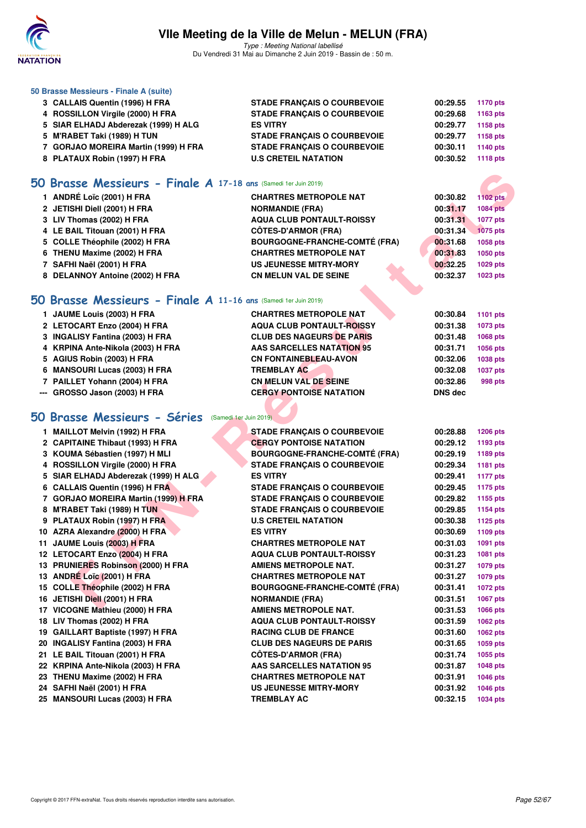

Type : Meeting National labellisé Du Vendredi 31 Mai au Dimanche 2 Juin 2019 - Bassin de : 50 m.

| 50 Brasse Messieurs - Finale A (suite)                          |                                    |          |          |
|-----------------------------------------------------------------|------------------------------------|----------|----------|
| 3 CALLAIS Quentin (1996) H FRA                                  | <b>STADE FRANCAIS O COURBEVOIE</b> | 00:29.55 | 1170 pts |
| 4 ROSSILLON Virgile (2000) H FRA                                | <b>STADE FRANCAIS O COURBEVOIE</b> | 00:29.68 | 1163 pts |
| 5 SIAR ELHADJ Abderezak (1999) H ALG                            | <b>ES VITRY</b>                    | 00:29.77 | 1158 pts |
| 5 M'RABET Taki (1989) H TUN                                     | <b>STADE FRANCAIS O COURBEVOIE</b> | 00:29.77 | 1158 pts |
| 7 GORJAO MOREIRA Martin (1999) H FRA                            | <b>STADE FRANCAIS O COURBEVOIE</b> | 00:30.11 | 1140 pts |
| 8 PLATAUX Robin (1997) H FRA                                    | <b>U.S CRETEIL NATATION</b>        | 00:30.52 | 1118 pts |
| 50 Brasse Messieurs - Finale A 17-18 ans (Samedi 1er Juin 2019) |                                    |          |          |

| 1 ANDRÉ Loïc (2001) H FRA       | <b>CHARTRES METROPOLE NAT</b>        | 00:30.82 | <b>1102 pts</b> |
|---------------------------------|--------------------------------------|----------|-----------------|
| 2 JETISHI Diell (2001) H FRA    | <b>NORMANDIE (FRA)</b>               | 00:31.17 | <b>1084 pts</b> |
| 3 LIV Thomas (2002) H FRA       | <b>AQUA CLUB PONTAULT-ROISSY</b>     | 00:31.31 | <b>1077 pts</b> |
| 4 LE BAIL Titouan (2001) H FRA  | <b>CÔTES-D'ARMOR (FRA)</b>           | 00:31.34 | 1075 pts        |
| 5 COLLE Théophile (2002) H FRA  | <b>BOURGOGNE-FRANCHE-COMTÉ (FRA)</b> | 00:31.68 | 1058 pts        |
| 6 THENU Maxime (2002) H FRA     | <b>CHARTRES METROPOLE NAT</b>        | 00:31.83 | 1050 pts        |
| 7 SAFHI Naël (2001) H FRA       | <b>US JEUNESSE MITRY-MORY</b>        | 00:32.25 | 1029 pts        |
| 8 DELANNOY Antoine (2002) H FRA | <b>CN MELUN VAL DE SEINE</b>         | 00:32.37 | 1023 pts        |

### **[50 Brasse Messieurs - Finale A](http://www.ffnatation.fr/webffn/resultats.php?idact=nat&go=epr&idcpt=57771&idepr=71) 11-16 ans** (Samedi 1er Juin 2019)

|                                  | 00:30.84<br>1101 pts                                              |
|----------------------------------|-------------------------------------------------------------------|
|                                  |                                                                   |
|                                  | 00:31.38<br>1073 pts                                              |
| <b>CLUB DES NAGEURS DE PARIS</b> | 00:31.48<br>1068 pts                                              |
| AAS SARCELLES NATATION 95        | 00:31.71<br>1056 pts                                              |
| <b>CN FONTAINEBLEAU-AVON</b>     | 00:32.06<br>1038 pts                                              |
| <b>TREMBLAY AC</b>               | 00:32.08<br>1037 pts                                              |
| <b>CN MELUN VAL DE SEINE</b>     | 00:32.86<br>998 pts                                               |
| <b>CERGY PONTOISE NATATION</b>   | <b>DNS</b> dec                                                    |
|                                  | <b>CHARTRES METROPOLE NAT</b><br><b>AQUA CLUB PONTAULT-ROISSY</b> |

# **[50 Brasse Messieurs - Séries](http://www.ffnatation.fr/webffn/resultats.php?idact=nat&go=epr&idcpt=57771&idepr=71)** (Samedi 1er Juin 2019)

| 50 Brasse Messieurs - Finale A 17-18 ans (Samedi 1er Juin 2019) |                                      |                |                 |
|-----------------------------------------------------------------|--------------------------------------|----------------|-----------------|
| 1 ANDRÉ Loïc (2001) H FRA                                       | <b>CHARTRES METROPOLE NAT</b>        | 00:30.82       | <b>1102 pts</b> |
| 2 JETISHI Diell (2001) H FRA                                    | <b>NORMANDIE (FRA)</b>               | 00:31.17       | <b>1084 pts</b> |
| 3 LIV Thomas (2002) H FRA                                       | <b>AQUA CLUB PONTAULT-ROISSY</b>     | 00:31.31       | <b>1077 pts</b> |
| 4 LE BAIL Titouan (2001) H FRA                                  | <b>CÖTES-D'ARMOR (FRA)</b>           | 00:31.34       | <b>1075 pts</b> |
| 5 COLLE Théophile (2002) H FRA                                  | <b>BOURGOGNE-FRANCHE-COMTÉ (FRA)</b> | 00:31.68       | 1058 pts        |
| 6 THENU Maxime (2002) H FRA                                     | <b>CHARTRES METROPOLE NAT</b>        | 00:31.83       | 1050 pts        |
| 7 SAFHI Naël (2001) H FRA                                       | US JEUNESSE MITRY-MORY               | 00:32.25       | 1029 pts        |
| 8 DELANNOY Antoine (2002) H FRA                                 | <b>CN MELUN VAL DE SEINE</b>         | 00:32.37       | 1023 pts        |
|                                                                 |                                      |                |                 |
| 50 Brasse Messieurs - Finale A 11-16 ans (Samedi 1er Juin 2019) |                                      |                |                 |
| 1 JAUME Louis (2003) H FRA                                      | <b>CHARTRES METROPOLE NAT</b>        | 00:30.84       | <b>1101 pts</b> |
| 2 LETOCART Enzo (2004) H FRA                                    | <b>AQUA CLUB PONTAULT-ROISSY</b>     | 00:31.38       | 1073 pts        |
| 3 INGALISY Fantina (2003) H FRA                                 | <b>CLUB DES NAGEURS DE PARIS</b>     | 00:31.48       | 1068 pts        |
| 4 KRPINA Ante-Nikola (2003) H FRA                               | <b>AAS SARCELLES NATATION 95</b>     | 00:31.71       | 1056 pts        |
| 5 AGIUS Robin (2003) H FRA                                      | <b>CN FONTAINEBLEAU-AVON</b>         | 00:32.06       | 1038 pts        |
| 6 MANSOURI Lucas (2003) H FRA                                   | <b>TREMBLAY AC</b>                   | 00:32.08       | <b>1037 pts</b> |
| 7 PAILLET Yohann (2004) H FRA                                   | <b>CN MELUN VAL DE SEINE</b>         | 00:32.86       | 998 pts         |
| --- GROSSO Jason (2003) H FRA                                   | <b>CERGY PONTOISE NATATION</b>       | <b>DNS dec</b> |                 |
|                                                                 |                                      |                |                 |
| 50 Brasse Messieurs - Séries                                    | (Samedi 1er Juin 2019)               |                |                 |
| 1 MAILLOT Melvin (1992) H FRA                                   | <b>STADE FRANÇAIS O COURBEVOIE</b>   | 00:28.88       | <b>1206 pts</b> |
| 2 CAPITAINE Thibaut (1993) H FRA                                | <b>CERGY PONTOISE NATATION</b>       | 00:29.12       | 1193 pts        |
| 3 KOUMA Sébastien (1997) H MLI                                  | <b>BOURGOGNE-FRANCHE-COMTÉ (FRA)</b> | 00:29.19       | 1189 pts        |
| 4 ROSSILLON Virgile (2000) H FRA                                | <b>STADE FRANÇAIS O COURBEVOIE</b>   | 00:29.34       | 1181 pts        |
| 5 SIAR ELHADJ Abderezak (1999) H ALG                            | <b>ES VITRY</b>                      | 00:29.41       | <b>1177 pts</b> |
| 6 CALLAIS Quentin (1996) H FRA                                  | <b>STADE FRANÇAIS O COURBEVOIE</b>   | 00:29.45       | <b>1175 pts</b> |
| 7 GORJAO MOREIRA Martin (1999) H FRA                            | <b>STADE FRANÇAIS O COURBEVOIE</b>   | 00:29.82       | 1155 pts        |
| 8 M'RABET Taki (1989) H TUN                                     | <b>STADE FRANÇAIS O COURBEVOIE</b>   | 00:29.85       | 1154 pts        |
| 9 PLATAUX Robin (1997) H FRA                                    | <b>U.S CRETEIL NATATION</b>          | 00:30.38       | 1125 pts        |
| 10 AZRA Alexandre (2000) H FRA                                  | <b>ES VITRY</b>                      | 00:30.69       | 1109 pts        |
| 11 JAUME Louis (2003) H FRA                                     | <b>CHARTRES METROPOLE NAT</b>        | 00:31.03       | 1091 pts        |
| 12 LETOCART Enzo (2004) H FRA                                   | <b>AQUA CLUB PONTAULT-ROISSY</b>     | 00:31.23       | 1081 pts        |
| 13 PRUNIERES Robinson (2000) H FRA                              | <b>AMIENS METROPOLE NAT.</b>         | 00:31.27       | 1079 pts        |
| 13 ANDRÉ Loïc (2001) H FRA                                      | <b>CHARTRES METROPOLE NAT</b>        | 00:31.27       | 1079 pts        |
| 15 COLLE Théophile (2002) H FRA                                 | <b>BOURGOGNE-FRANCHE-COMTÉ (FRA)</b> | 00:31.41       | <b>1072 pts</b> |
| 16 JETISHI Diell (2001) H FRA                                   | <b>NORMANDIE (FRA)</b>               | 00:31.51       | <b>1067 pts</b> |
| 17 VICOGNE Mathieu (2000) H FRA                                 | AMIENS METROPOLE NAT.                | 00:31.53       | 1066 pts        |
| 18 LIV Thomas (2002) H FRA                                      | <b>AQUA CLUB PONTAULT-ROISSY</b>     | 00:31.59       | 1062 pts        |
| 19 GAILLART Baptiste (1997) H FRA                               | <b>RACING CLUB DE FRANCE</b>         | 00:31.60       | 1062 pts        |
| 20 INGALISY Fantina (2003) H FRA                                | <b>CLUB DES NAGEURS DE PARIS</b>     | 00:31.65       | 1059 pts        |
| 21 LE BAIL Titouan (2001) H FRA                                 | <b>CÔTES-D'ARMOR (FRA)</b>           | 00:31.74       | 1055 pts        |
| 22 KRPINA Ante-Nikola (2003) H FRA                              | <b>AAS SARCELLES NATATION 95</b>     | 00:31.87       | 1048 pts        |
| 23 THENU Maxime (2002) H FRA                                    | <b>CHARTRES METROPOLE NAT</b>        | 00:31.91       | <b>1046 pts</b> |
| 24 SAFHI Naël (2001) H FRA                                      | US JEUNESSE MITRY-MORY               | 00:31.92       | 1046 pts        |
| 25 MANSOURI Lucas (2003) H FRA                                  | <b>TREMBLAY AC</b>                   | 00:32.15       | 1034 pts        |
|                                                                 |                                      |                |                 |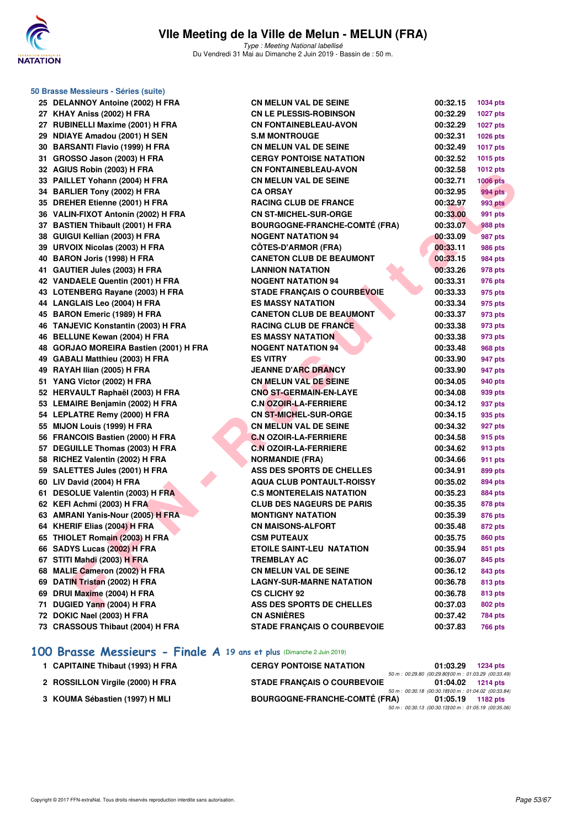

Type : Meeting National labellisé Du Vendredi 31 Mai au Dimanche 2 Juin 2019 - Bassin de : 50 m.

| 50 Brasse Messieurs - Séries (suite)   |                                      |          |                 |  |  |  |  |
|----------------------------------------|--------------------------------------|----------|-----------------|--|--|--|--|
| 25 DELANNOY Antoine (2002) H FRA       | <b>CN MELUN VAL DE SEINE</b>         | 00:32.15 | <b>1034 pts</b> |  |  |  |  |
| 27 KHAY Aniss (2002) H FRA             | <b>CN LE PLESSIS-ROBINSON</b>        | 00:32.29 | <b>1027 pts</b> |  |  |  |  |
| 27 RUBINELLI Maxime (2001) H FRA       | <b>CN FONTAINEBLEAU-AVON</b>         | 00:32.29 | <b>1027 pts</b> |  |  |  |  |
| 29 NDIAYE Amadou (2001) H SEN          | <b>S.M MONTROUGE</b>                 | 00:32.31 | 1026 pts        |  |  |  |  |
| 30 BARSANTI Flavio (1999) H FRA        | <b>CN MELUN VAL DE SEINE</b>         | 00:32.49 | <b>1017 pts</b> |  |  |  |  |
| 31 GROSSO Jason (2003) H FRA           | <b>CERGY PONTOISE NATATION</b>       | 00:32.52 | 1015 pts        |  |  |  |  |
| 32 AGIUS Robin (2003) H FRA            | <b>CN FONTAINEBLEAU-AVON</b>         | 00:32.58 | <b>1012 pts</b> |  |  |  |  |
| 33 PAILLET Yohann (2004) H FRA         | <b>CN MELUN VAL DE SEINE</b>         | 00:32.71 | <b>1006 pts</b> |  |  |  |  |
| 34 BARLIER Tony (2002) H FRA           | <b>CA ORSAY</b>                      | 00:32.95 | <b>994 pts</b>  |  |  |  |  |
| 35 DREHER Etienne (2001) H FRA         | <b>RACING CLUB DE FRANCE</b>         | 00:32.97 | <b>993 pts</b>  |  |  |  |  |
| 36 VALIN-FIXOT Antonin (2002) H FRA    | <b>CN ST-MICHEL-SUR-ORGE</b>         | 00:33.00 | 991 pts         |  |  |  |  |
| 37 BASTIEN Thibault (2001) H FRA       | <b>BOURGOGNE-FRANCHE-COMTÉ (FRA)</b> | 00:33.07 | 988 pts         |  |  |  |  |
| 38 GUIGUI Kellian (2003) H FRA         | <b>NOGENT NATATION 94</b>            | 00:33.09 | 987 pts         |  |  |  |  |
| 39 URVOIX Nicolas (2003) H FRA         | <b>CÖTES-D'ARMOR (FRA)</b>           | 00:33.11 | <b>986 pts</b>  |  |  |  |  |
| 40 BARON Joris (1998) H FRA            | <b>CANETON CLUB DE BEAUMONT</b>      | 00:33.15 | 984 pts         |  |  |  |  |
| 41 GAUTIER Jules (2003) H FRA          | <b>LANNION NATATION</b>              | 00:33.26 | 978 pts         |  |  |  |  |
| 42 VANDAELE Quentin (2001) H FRA       | <b>NOGENT NATATION 94</b>            | 00:33.31 | 976 pts         |  |  |  |  |
| 43 LOTENBERG Rayane (2003) H FRA       | <b>STADE FRANCAIS O COURBEVOIE</b>   | 00:33.33 | 975 pts         |  |  |  |  |
| 44 LANGLAIS Leo (2004) H FRA           | <b>ES MASSY NATATION</b>             | 00:33.34 | 975 pts         |  |  |  |  |
| 45 BARON Emeric (1989) H FRA           | <b>CANETON CLUB DE BEAUMONT</b>      | 00:33.37 | 973 pts         |  |  |  |  |
| 46 TANJEVIC Konstantin (2003) H FRA    | <b>RACING CLUB DE FRANCE</b>         | 00:33.38 | 973 pts         |  |  |  |  |
| 46 BELLUNE Kewan (2004) H FRA          | <b>ES MASSY NATATION</b>             | 00:33.38 | 973 pts         |  |  |  |  |
| 48 GORJAO MOREIRA Bastien (2001) H FRA | <b>NOGENT NATATION 94</b>            | 00:33.48 | 968 pts         |  |  |  |  |
| 49 GABALI Matthieu (2003) H FRA        | <b>ES VITRY</b>                      | 00:33.90 | 947 pts         |  |  |  |  |
| 49 RAYAH Ilian (2005) H FRA            | <b>JEANNE D'ARC DRANCY</b>           | 00:33.90 | 947 pts         |  |  |  |  |
| 51 YANG Victor (2002) H FRA            | <b>CN MELUN VAL DE SEINE</b>         | 00:34.05 | 940 pts         |  |  |  |  |
| 52 HERVAULT Raphaël (2003) H FRA       | <b>CNO ST-GERMAIN-EN-LAYE</b>        | 00:34.08 | 939 pts         |  |  |  |  |
| 53 LEMAIRE Benjamin (2002) H FRA       | <b>C.N OZOIR-LA-FERRIERE</b>         | 00:34.12 | 937 pts         |  |  |  |  |
| 54 LEPLATRE Remy (2000) H FRA          | <b>CN ST-MICHEL-SUR-ORGE</b>         | 00:34.15 | 935 pts         |  |  |  |  |
| 55 MIJON Louis (1999) H FRA            | <b>CN MELUN VAL DE SEINE</b>         | 00:34.32 | 927 pts         |  |  |  |  |
| 56 FRANCOIS Bastien (2000) H FRA       | <b>C.N OZOIR-LA-FERRIERE</b>         | 00:34.58 | 915 pts         |  |  |  |  |
| 57 DEGUILLE Thomas (2003) H FRA        | <b>C.N OZOIR-LA-FERRIERE</b>         | 00:34.62 | 913 pts         |  |  |  |  |
| 58 RICHEZ Valentin (2002) H FRA        | <b>NORMANDIE (FRA)</b>               | 00:34.66 | 911 pts         |  |  |  |  |
| 59 SALETTES Jules (2001) H FRA         | ASS DES SPORTS DE CHELLES            | 00:34.91 | 899 pts         |  |  |  |  |
| 60 LIV David (2004) H FRA              | <b>AQUA CLUB PONTAULT-ROISSY</b>     | 00:35.02 | 894 pts         |  |  |  |  |
| 61 DESOLUE Valentin (2003) H FRA       | <b>C.S MONTERELAIS NATATION</b>      | 00:35.23 | 884 pts         |  |  |  |  |
| 62 KEFI Achmi (2003) H FRA             | <b>CLUB DES NAGEURS DE PARIS</b>     | 00:35.35 | 878 pts         |  |  |  |  |
| 63 AMRANI Yanis-Nour (2005) H FRA      | <b>MONTIGNY NATATION</b>             | 00:35.39 | 876 pts         |  |  |  |  |
| 64 KHERIF Elias (2004) H FRA           | <b>CN MAISONS-ALFORT</b>             | 00:35.48 | <b>872 pts</b>  |  |  |  |  |
| 65 THIOLET Romain (2003) H FRA         | <b>CSM PUTEAUX</b>                   | 00:35.75 | 860 pts         |  |  |  |  |
| 66 SADYS Lucas (2002) H FRA            | ETOILE SAINT-LEU NATATION            | 00:35.94 | 851 pts         |  |  |  |  |
| 67 STITI Mahdi (2003) H FRA            | <b>TREMBLAY AC</b>                   | 00:36.07 | 845 pts         |  |  |  |  |
| 68 MALIE Cameron (2002) H FRA          | <b>CN MELUN VAL DE SEINE</b>         | 00:36.12 | 843 pts         |  |  |  |  |
| 69 DATIN Tristan (2002) H FRA          | <b>LAGNY-SUR-MARNE NATATION</b>      | 00:36.78 | 813 pts         |  |  |  |  |
| 69 DRUI Maxime (2004) H FRA            | <b>CS CLICHY 92</b>                  | 00:36.78 | 813 pts         |  |  |  |  |
| 71 DUGIED Yann (2004) H FRA            | ASS DES SPORTS DE CHELLES            | 00:37.03 | 802 pts         |  |  |  |  |
| 72 DOKIC Nael (2003) H FRA             | <b>CN ASNIÈRES</b>                   | 00:37.42 | <b>784 pts</b>  |  |  |  |  |
| 73 CRASSOUS Thibaut (2004) H FRA       | <b>STADE FRANÇAIS O COURBEVOIE</b>   | 00:37.83 | <b>766 pts</b>  |  |  |  |  |
|                                        |                                      |          |                 |  |  |  |  |

### **[100 Brasse Messieurs - Finale A](http://www.ffnatation.fr/webffn/resultats.php?idact=nat&go=epr&idcpt=57771&idepr=72) 19 ans et plus** (Dimanche 2 Juin 2019)

| 1 CAPITAINE Thibaut (1993) H FRA | <b>CERGY PONTOISE NATATION</b>       | 01:03.29                                                         | 1234 pts    |
|----------------------------------|--------------------------------------|------------------------------------------------------------------|-------------|
| 2 ROSSILLON Virgile (2000) H FRA | <b>STADE FRANCAIS O COURBEVOIE</b>   | 50 m : 00:29.80 (00:29.80100 m : 01:03.29 (00:33.49)<br>01:04.02 | 1214 pts    |
| 3 KOUMA Sébastien (1997) H MLI   | <b>BOURGOGNE-FRANCHE-COMTÉ (FRA)</b> | 50 m : 00:30.18 (00:30.18100 m : 01:04.02 (00:33.84)<br>01:05.19 | 1182 $p$ ts |
|                                  |                                      | 50 m : 00:30.13 (00:30.13100 m : 01:05.19 (00:35.06              |             |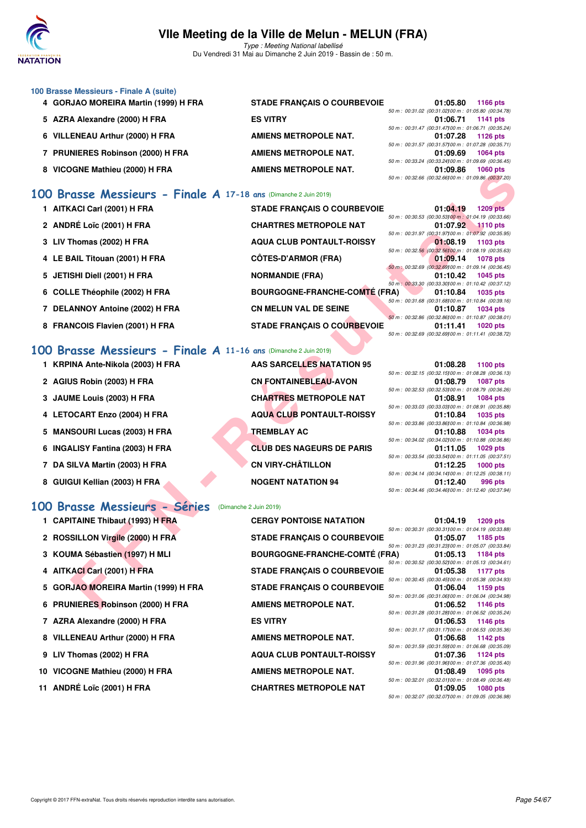

Type : Meeting National labellisé Du Vendredi 31 Mai au Dimanche 2 Juin 2019 - Bassin de : 50 m.

#### **100 Brasse Messieurs - Finale A (suite)**

- 4 GORJAO MOREIRA Martin (1999) H FRA STADE FRANÇAIS O COURBEVOIE
- **5 AZRA Alexandre (2000) H FRA ES VITRY 01:06.71 1141 pts**
- 
- **7 PRUNIERES Robinson (2000) H FRA AMIENS METROPOLE NAT.**
- 

### **[100 Brasse Messieurs - Finale A](http://www.ffnatation.fr/webffn/resultats.php?idact=nat&go=epr&idcpt=57771&idepr=72) 17-18 ans** (Dimanche 2 Juin 2019)

- 1 AITKACI Carl (2001) H FRA STADE FRANÇAIS O COURI
- 2 ANDRÉ Loïc (2001) H FRA **CHARTRES METROPOLE N**
- 3 LIV Thomas (2002) H FRA AQUA CLUB PONTAULT-RC
- 4 LE BAIL Titouan (2001) H FRA CÔTES-D'ARMOR (FRA)
- 5 JETISHI Diell (2001) H FRA NORMANDIE (FRA)
- 6 COLLE Théophile (2002) H FRA BOURGOGNE-FRANCHE-CO
- **7 DELANNOY Antoine (2002) H FRA CN MELUN VAL DE SEINE**
- 8 FRANCOIS Flavien (2001) H FRA STADE FRANÇAIS O COURI

#### **[100 Brasse Messieurs - Finale A](http://www.ffnatation.fr/webffn/resultats.php?idact=nat&go=epr&idcpt=57771&idepr=72) 11-16 ans** (Dimanche 2 Juin 2019)

- **1 KRPINA Ante-Nikola (2003) H FRA AAS SARCELLES NATATION 95 01:08.28 1100 pts**
- 
- 
- 
- **5 MANSOURI Lucas (2003) H FRA TREMBLAY AC**
- 
- 
- 

#### **[100 Brasse Messieurs - Séries](http://www.ffnatation.fr/webffn/resultats.php?idact=nat&go=epr&idcpt=57771&idepr=72)** (Dimanche 2 Juin 2019)

- 
- 2 ROSSILLON Virgile (2000) H FRA STADE FRANÇAIS O COURBEVOI
- 3 KOUMA Sébastien (1997) H MLI BOURGOGNE-FRANCHE-COMTÉ
- 
- 5 GORJAO MOREIRA Martin (1999) H FRA STADE FRANÇAIS O COURBEVOI
- 6 PRUNIERES Robinson (2000) H FRA **AMIENS METROPOLE NAT.**
- **7 AZRA Alexandre (2000) H FRA ES VITRY 01:06.53 1146 pts**
- 8 VILLENEAU Arthur (2000) H FRA **AMIENS METROPOLE NAT.**
- 
- **10 VICOGNE Mathieu (2000) H FRA AMIENS METROPOLE NAT.**
- **11 ANDRÉ Loïc (2001) H FRA CHARTRES METROPOLE NAT**

**6 VILLENEAU Arthur (2000) H FRA AMIENS METROPOLE NAT.** 8 VICOGNE Mathieu (2000) H FRA AMIENS METROPOLE NAT.

|  |  | 01:05.80 1166 pts                                  |
|--|--|----------------------------------------------------|
|  |  | 50 m: 00:31.02 (00:31.02100 m: 01:05.80 (00:34.78) |
|  |  | 01:06.71 1141 pts                                  |
|  |  | 50 m: 00:31.47 (00:31.47100 m: 01:06.71 (00:35.24) |
|  |  | 01:07.28 1126 pts                                  |
|  |  | 50 m: 00:31.57 (00:31.57100 m: 01:07.28 (00:35.71) |
|  |  | 01:09.69 1064 pts                                  |
|  |  | 50 m: 00:33.24 (00:33.24)00 m: 01:09.69 (00:36.45) |
|  |  | 01:09.86 1060 pts                                  |
|  |  | 50 m: 00:32.66 (00:32.66100 m: 01:09.86 (00:37.20) |

| AND MOUNT (2000) IT FAR                                    | AMILING METRUFULE INAT.              | <u>u i .ug.ou</u><br>50 m : 00:32.66 (00:32.66100 m : 01:09.86 (00:37.20) | ່າ ບບບ ນເວ      |
|------------------------------------------------------------|--------------------------------------|---------------------------------------------------------------------------|-----------------|
| asse Messieurs - Finale A 17-18 ans (Dimanche 2 Juin 2019) |                                      |                                                                           |                 |
| ACI Carl (2001) H FRA                                      | <b>STADE FRANÇAIS O COURBEVOIE</b>   | 01:04.19                                                                  | <b>1209 pts</b> |
|                                                            |                                      | 50 m : 00:30.53 (00:30.53100 m : 01:04.19 (00:33.66)                      |                 |
| RÉ Loïc (2001) H FRA                                       | <b>CHARTRES METROPOLE NAT</b>        | 01:07.92<br>50 m : 00:31.97 (00:31.97) 00 m : 01:07.92 (00:35.95)         | $1110$ pts      |
| [homas (2002) H FRA                                        | <b>AQUA CLUB PONTAULT-ROISSY</b>     | 01:08.19                                                                  | 1103 pts        |
| AIL Titouan (2001) H FRA                                   | <b>CÔTES-D'ARMOR (FRA)</b>           | 50 m : 00:32.56 (00:32.56100 m : 01:08.19 (00:35.63)<br>01:09.14          | <b>1078 pts</b> |
|                                                            |                                      | 50 m : 00:32.69 (00:32.69) 00 m : 01:09.14 (00:36.45)                     |                 |
| SHI Diell (2001) H FRA                                     | <b>NORMANDIE (FRA)</b>               | 01:10.42                                                                  | <b>1045 pts</b> |
| <b>LE Théophile (2002) H FRA</b>                           | <b>BOURGOGNE-FRANCHE-COMTÉ (FRA)</b> | 50 m: 00:33.30 (00:33.30) 00 m: 01:10.42 (00:37.12)<br>01:10.84           | <b>1035 pts</b> |
|                                                            |                                      | 50 m : 00:31.68 (00:31.68) 00 m : 01:10.84 (00:39.16)                     |                 |
| <b>ANNOY Antoine (2002) H FRA</b>                          | <b>CN MELUN VAL DE SEINE</b>         | 01:10.87                                                                  | <b>1034 pts</b> |
| NCOIS Flavien (2001) H FRA                                 | <b>STADE FRANÇAIS O COURBEVOIE</b>   | 50 m: 00:32.86 (00:32.86) 00 m: 01:10.87 (00:38.01)<br>01:11.41           | <b>1020 pts</b> |
|                                                            |                                      | 50 m : 00:32.69 (00:32.69) 00 m : 01:11.41 (00:38.72)                     |                 |
|                                                            |                                      |                                                                           |                 |
| asse Messieurs - Finale A 11-16 ans (Dimanche 2 Juin 2019) |                                      |                                                                           |                 |
| INA Ante-Nikola (2003) H FRA                               | <b>AAS SARCELLES NATATION 95</b>     | 01:08.28                                                                  | 1100 $pts$      |
|                                                            |                                      | 50 m : 00:32.15 (00:32.15) 00 m : 01:08.28 (00:36.13)                     |                 |
| JS Robin (2003) H FRA                                      | <b>CN FONTAINEBLEAU-AVON</b>         | 01:08.79                                                                  | <b>1087 pts</b> |
| ME Louis (2003) H FRA                                      | <b>CHARTRES METROPOLE NAT</b>        | 50 m: 00:32.53 (00:32.53) 00 m: 01:08.79 (00:36.26)<br>01:08.91           | <b>1084 pts</b> |
|                                                            |                                      | 50 m : 00:33.03 (00:33.03) 00 m : 01:08.91 (00:35.88)                     |                 |
| <b>DCART Enzo (2004) H FRA</b>                             | <b>AQUA CLUB PONTAULT-ROISSY</b>     | 01:10.84                                                                  | <b>1035 pts</b> |
|                                                            |                                      | 50 m : 00:33.86 (00:33.86) 00 m : 01:10.84 (00:36.98)                     |                 |
| SOURI Lucas (2003) H FRA                                   | <b>TREMBLAY AC</b>                   | 01:10.88<br>50 m : 00:34.02 (00:34.02) 00 m : 01:10.88 (00:36.86)         | <b>1034 pts</b> |
| <b>LLISY Fantina (2003) H FRA</b>                          | <b>CLUB DES NAGEURS DE PARIS</b>     | 01:11.05                                                                  | $1029$ pts      |
|                                                            |                                      | 50 m: 00:33.54 (00:33.54)00 m: 01:11.05 (00:37.51)                        |                 |
| <b>SILVA Martin (2003) H FRA</b>                           | <b>CN VIRY-CHÂTILLON</b>             | 01:12.25                                                                  | $1000$ pts      |
| <b>GUI Kellian (2003) H FRA</b>                            | <b>NOGENT NATATION 94</b>            | 50 m: 00:34.14 (00:34.14100 m: 01:12.25 (00:38.11)<br>01:12.40            | 996 pts         |
|                                                            |                                      | 50 m : 00:34.46 (00:34.46) 00 m : 01:12.40 (00:37.94)                     |                 |
|                                                            |                                      |                                                                           |                 |
| asse Messieurs - Séries                                    | (Dimanche 2 Juin 2019)               |                                                                           |                 |
| <b>ITAINE Thibaut (1993) H FRA</b>                         | <b>CERGY PONTOISE NATATION</b>       | 01:04.19                                                                  | <b>1209 pts</b> |
|                                                            |                                      | 50 m: 00:30.31 (00:30.31100 m: 01:04.19 (00:33.88)                        |                 |
| SILLON Virgile (2000) H FRA                                | <b>STADE FRANÇAIS O COURBEVOIE</b>   | 01:05.07<br>50 m: 00:31.23 (00:31.23) 00 m: 01:05.07 (00:33.84)           | 1185 pts        |
| MA Sébastien (1997) H MLI                                  | <b>BOURGOGNE-FRANCHE-COMTÉ (FRA)</b> | 01:05.13                                                                  | 1184 pts        |
|                                                            |                                      | 50 m : 00:30.52 (00:30.52) 00 m : 01:05.13 (00:34.61)                     |                 |
| <b>ACI Carl (2001) H FRA</b>                               | <b>STADE FRANÇAIS O COURBEVOIE</b>   | 01:05.38                                                                  | <b>1177 pts</b> |
| JAO MOREIRA Martin (1999) H FRA                            | <b>STADE FRANÇAIS O COURBEVOIE</b>   | 50 m : 00:30.45 (00:30.45) 00 m : 01:05.38 (00:34.93)<br>01:06.04         | 1159 pts        |
|                                                            |                                      | 50 m : 00:31.06 (00:31.06) 00 m : 01:06.04 (00:34.98)                     |                 |
| NIERES Robinson (2000) H FRA                               | <b>AMIENS METROPOLE NAT.</b>         | 01:06.52                                                                  | <b>1146 pts</b> |

2 AGIUS Robin (2003) H FRA CN FONTAINEBLEAU-AVON 3 JAUME Louis (2003) H FRA **CHARTRES METROPOLE NAT 4 LETOCART Enzo (2004) H FRA AQUA CLUB PONTAULT-ROISSY 01:10.84 1035 pts 6 INGALISY Fantina (2003) H FRA CLUB DES NAGEURS DE PARIS 01:11.05 1029 pts 7 DA SILVA Martin (2003) H FRA CN VIRY-CHÂTILLON 01:12.25 1000 pts 8 GUIGUI Kellian (2003) H FRA NOGENT NATATION 94 01:12.40 996 pts**

**1 CAPITAINE Thibaut (1993) H FRA CERGY PONTOISE NATATION 01:04.19 1209 pts 4 AITKACI Carl (2001) H FRA STADE FRANÇAIS O COURBEVOIL** 9 LIV Thomas (2002) H FRA **AQUA CLUB PONTAULT-ROISSY** 

|    |       |  | 50 m : 00:30.31 (00:30.31100 m : 01:04.19 (00:33.88)  |
|----|-------|--|-------------------------------------------------------|
| ΙE |       |  | 01:05.07 1185 pts                                     |
|    |       |  | 50 m: 00:31.23 (00:31.23)00 m: 01:05.07 (00:33.84)    |
|    | (FRA) |  | 01:05.13 1184 pts                                     |
|    |       |  | 50 m: 00:30.52 (00:30.52) 00 m: 01:05.13 (00:34.61)   |
| ΙE |       |  | 01:05.38 1177 pts                                     |
|    |       |  | 50 m: 00:30.45 (00:30.45) 00 m: 01:05.38 (00:34.93)   |
| ΙE |       |  | 01:06.04 1159 pts                                     |
|    |       |  | 50 m : 00:31.06 (00:31.06) 00 m : 01:06.04 (00:34.98) |
|    |       |  | 01:06.52 1146 pts                                     |
|    |       |  | 50 m: 00:31.28 (00:31.28) 00 m: 01:06.52 (00:35.24)   |
|    |       |  | 01:06.53 1146 pts                                     |
|    |       |  | 50 m: 00:31.17 (00:31.17100 m: 01:06.53 (00:35.36)    |
|    |       |  | 01:06.68 1142 pts                                     |
|    |       |  | 50 m: 00:31.59 (00:31.59)00 m: 01:06.68 (00:35.09)    |
|    |       |  | 01:07.36 1124 pts                                     |
|    |       |  | 50 m: 00:31.96 (00:31.96100 m: 01:07.36 (00:35.40)    |
|    |       |  | 01:08.49 1095 pts                                     |
|    |       |  | 50 m : 00:32.01 (00:32.01100 m : 01:08.49 (00:36.48)  |
|    |       |  | 01:09.05 1080 pts                                     |
|    |       |  |                                                       |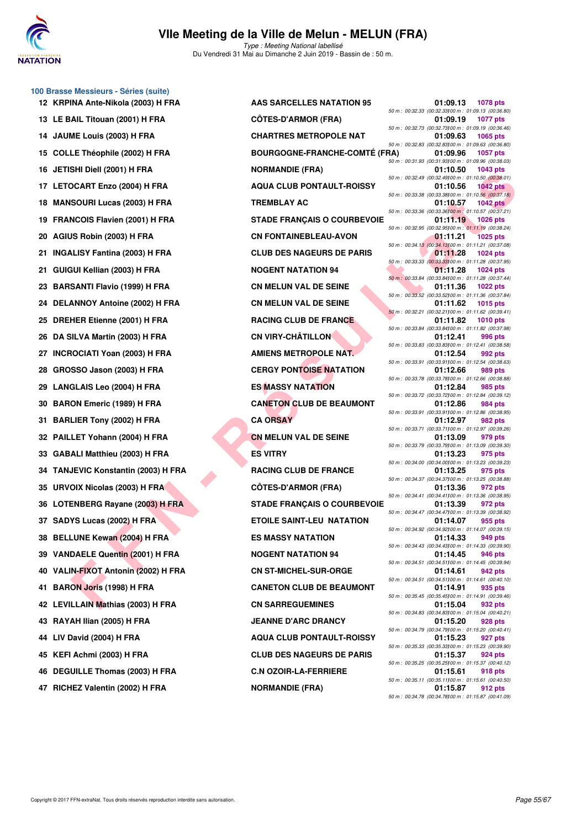

**100 Brasse Messieurs - Séries (suite)**

#### **VIIe Meeting de la Ville de Melun - MELUN (FRA)** Type : Meeting National labellisé

Du Vendredi 31 Mai au Dimanche 2 Juin 2019 - Bassin de : 50 m.

|     | 12 KRPINA Ante-Nikola (2003) H FRA   | AAS SARCELLES NATATION 95            | 01:09.13                                                       | 1078 pts        |
|-----|--------------------------------------|--------------------------------------|----------------------------------------------------------------|-----------------|
|     | 13 LE BAIL Titouan (2001) H FRA      | <b>CÖTES-D'ARMOR (FRA)</b>           | 50 m : 00:32.33 (00:32.33)00 m : 01:09.13 (00:36.<br>01:09.19  | 1077 pts        |
|     | 14 JAUME Louis (2003) H FRA          | <b>CHARTRES METROPOLE NAT</b>        | 50 m : 00:32.73 (00:32.73) 00 m : 01:09.19 (00:36.<br>01:09.63 | 1065 pts        |
|     | 15 COLLE Théophile (2002) H FRA      | <b>BOURGOGNE-FRANCHE-COMTÉ (FRA)</b> | 50 m : 00:32.83 (00:32.83) 00 m : 01:09.63 (00:36.<br>01:09.96 | 1057 pts        |
|     | 16 JETISHI Diell (2001) H FRA        | <b>NORMANDIE (FRA)</b>               | 50 m : 00:31.93 (00:31.93)00 m : 01:09.96 (00:38.<br>01:10.50  | 1043 pts        |
|     | 17 LETOCART Enzo (2004) H FRA        | <b>AQUA CLUB PONTAULT-ROISSY</b>     | 50 m : 00:32.49 (00:32.49) 00 m : 01:10.50 (00:38.<br>01:10.56 | <b>1042 pts</b> |
|     | 18 MANSOURI Lucas (2003) H FRA       | <b>TREMBLAY AC</b>                   | 50 m : 00:33.38 (00:33.38)00 m : 01:10.56 (00:37.<br>01:10.57  | <b>1042 pts</b> |
|     | 19 FRANCOIS Flavien (2001) H FRA     | <b>STADE FRANÇAIS O COURBEVOIE</b>   | 50 m: 00:33.36 (00:33.36)00 m: 01:10.57 (00:37.<br>01:11.19    |                 |
|     |                                      |                                      | 50 m : 00:32.95 (00:32.95) 00 m : 01:11.19 (00:38.             | 1026 pts        |
|     | 20 AGIUS Robin (2003) H FRA          | <b>CN FONTAINEBLEAU-AVON</b>         | 01:11.21<br>50 m : 00:34.13 (00:34.13100 m : 01:11.21 (00:37.  | <b>1025 pts</b> |
| 21. | <b>INGALISY Fantina (2003) H FRA</b> | <b>CLUB DES NAGEURS DE PARIS</b>     | 01:11.28<br>50 m : 00:33.33 (00:33.33) 00 m : 01:11.28 (00:37. | 1024 pts        |
|     | 21 GUIGUI Kellian (2003) H FRA       | <b>NOGENT NATATION 94</b>            | 01:11.28<br>50 m: 00:33.84 (00:33.84) 00 m: 01:11.28 (00:37.   | 1024 pts        |
|     | 23 BARSANTI Flavio (1999) H FRA      | <b>CN MELUN VAL DE SEINE</b>         | 01:11.36<br>50 m : 00:33.52 (00:33.52) 00 m : 01:11.36 (00:37. | 1022 pts        |
|     | 24 DELANNOY Antoine (2002) H FRA     | <b>CN MELUN VAL DE SEINE</b>         | 01:11.62<br>50 m : 00:32.21 (00:32.21100 m : 01:11.62 (00:39.  | 1015 pts        |
|     | 25 DREHER Etienne (2001) H FRA       | <b>RACING CLUB DE FRANCE</b>         | 01:11.82                                                       | <b>1010 pts</b> |
|     | 26 DA SILVA Martin (2003) H FRA      | <b>CN VIRY-CHÂTILLON</b>             | 50 m : 00:33.84 (00:33.84) 00 m : 01:11.82 (00:37.<br>01:12.41 | 996 pts         |
|     | 27 INCROCIATI Yoan (2003) H FRA      | AMIENS METROPOLE NAT.                | 50 m : 00:33.83 (00:33.83) 00 m : 01:12.41 (00:38.<br>01:12.54 | 992 pts         |
|     | 28 GROSSO Jason (2003) H FRA         | <b>CERGY PONTOISE NATATION</b>       | 50 m: 00:33.91 (00:33.91100 m: 01:12.54 (00:38.<br>01:12.66    | 989 pts         |
|     | 29 LANGLAIS Leo (2004) H FRA         | <b>ES MASSY NATATION</b>             | 50 m : 00:33.78 (00:33.78)00 m : 01:12.66 (00:38.<br>01:12.84  | 985 pts         |
|     | 30 BARON Emeric (1989) H FRA         | <b>CANETON CLUB DE BEAUMONT</b>      | 50 m : 00:33.72 (00:33.72) 00 m : 01:12.84 (00:39.<br>01:12.86 | 984 pts         |
| 31. | <b>BARLIER Tony (2002) H FRA</b>     | <b>CA ORSAY</b>                      | 50 m : 00:33.91 (00:33.91100 m : 01:12.86 (00:38.<br>01:12.97  | 982 pts         |
|     | 32 PAILLET Yohann (2004) H FRA       | <b>CN MELUN VAL DE SEINE</b>         | 50 m : 00:33.71 (00:33.71100 m : 01:12.97 (00:39.<br>01:13.09  | 979 pts         |
|     |                                      |                                      | 50 m : 00:33.79 (00:33.79)00 m : 01:13.09 (00:39.              |                 |
|     | 33 GABALI Matthieu (2003) H FRA      | <b>ES VITRY</b>                      | 01:13.23<br>50 m : 00:34.00 (00:34.00) 00 m : 01:13.23 (00:39. | 975 pts         |
|     | 34 TANJEVIC Konstantin (2003) H FRA  | <b>RACING CLUB DE FRANCE</b>         | 01:13.25<br>50 m: 00:34.37 (00:34.37) 00 m: 01:13.25 (00:38.   | 975 pts         |
|     | 35 URVOIX Nicolas (2003) H FRA       | <b>CÖTES-D'ARMOR (FRA)</b>           | 01:13.36<br>50 m: 00:34.41 (00:34.41100 m: 01:13.36 (00:38.    | 972 pts         |
|     | 36 LOTENBERG Rayane (2003) H FRA     | <b>STADE FRANÇAIS O COURBEVOIE</b>   | 01:13.39<br>50 m : 00:34.47 (00:34.47) 00 m : 01:13.39 (00:38. | 972 pts         |
|     | 37 SADYS Lucas (2002) H FRA          | <b>ETOILE SAINT-LEU NATATION</b>     | 01:14.07<br>50 m : 00:34.92 (00:34.92) 00 m : 01:14.07 (00:39. | 955 pts         |
|     | 38 BELLUNE Kewan (2004) H FRA        | <b>ES MASSY NATATION</b>             | 01:14.33<br>50 m: 00:34.43 (00:34.43)00 m: 01:14.33 (00:39.    | 949 pts         |
|     | 39 VANDAELE Quentin (2001) H FRA     | <b>NOGENT NATATION 94</b>            | 01:14.45                                                       | 946 pts         |
|     | 40 VALIN-FIXOT Antonin (2002) H FRA  | <b>CN ST-MICHEL-SUR-ORGE</b>         | 50 m: 00:34.51 (00:34.51100 m: 01:14.45 (00:39.<br>01:14.61    | 942 pts         |
| 41  | <b>BARON Joris (1998) H FRA</b>      | <b>CANETON CLUB DE BEAUMONT</b>      | 50 m: 00:34.51 (00:34.51100 m: 01:14.61 (00:40.<br>01:14.91    | 935 pts         |
|     | 42 LEVILLAIN Mathias (2003) H FRA    | <b>CN SARREGUEMINES</b>              | 50 m: 00:35.45 (00:35.45)00 m: 01:14.91 (00:39.<br>01:15.04    | 932 pts         |
| 43. | RAYAH Ilian (2005) H FRA             | <b>JEANNE D'ARC DRANCY</b>           | 50 m: 00:34.83 (00:34.83) 00 m: 01:15.04 (00:40.<br>01:15.20   | 928 pts         |
| 44  | LIV David (2004) H FRA               | <b>AQUA CLUB PONTAULT-ROISSY</b>     | 50 m : 00:34.79 (00:34.79) 00 m : 01:15.20 (00:40.<br>01:15.23 | 927 pts         |
| 45  | KEFI Achmi (2003) H FRA              | <b>CLUB DES NAGEURS DE PARIS</b>     | 50 m : 00:35.33 (00:35.33)00 m : 01:15.23 (00:39.<br>01:15.37  | 924 pts         |
|     |                                      |                                      | 50 m: 00:35.25 (00:35.25)00 m: 01:15.37 (00:40.                |                 |
| 46  | DEGUILLE Thomas (2003) H FRA         | <b>C.N OZOIR-LA-FERRIERE</b>         | 01:15.61<br>50 m: 00:35.11 (00:35.11100 m: 01:15.61 (00:40.    | 918 pts         |

| INA Ante-Nikola (2003) H FRA                    | <b>AAS SARCELLES NATATION 95</b>     | 01:09.13<br><b>1078 pts</b>                                                                                                            |
|-------------------------------------------------|--------------------------------------|----------------------------------------------------------------------------------------------------------------------------------------|
| AIL Titouan (2001) H FRA                        | <b>CÔTES-D'ARMOR (FRA)</b>           | 50 m : 00:32.33 (00:32.33) 00 m : 01:09.13 (00:36.80)<br>01:09.19<br><b>1077 pts</b>                                                   |
| ME Louis (2003) H FRA                           | <b>CHARTRES METROPOLE NAT</b>        | 50 m : 00:32.73 (00:32.73) 00 m : 01:09.19 (00:36.46)<br>01:09.63<br><b>1065 pts</b>                                                   |
| LE Théophile (2002) H FRA                       | <b>BOURGOGNE-FRANCHE-COMTÉ (FRA)</b> | 50 m : 00:32.83 (00:32.83) 00 m : 01:09.63 (00:36.80)<br>01:09.96<br><b>1057 pts</b>                                                   |
| SHI Diell (2001) H FRA                          | <b>NORMANDIE (FRA)</b>               | 50 m : 00:31.93 (00:31.93) 00 m : 01:09.96 (00:38.03)<br><b>1043 pts</b><br>01:10.50                                                   |
| <b>OCART Enzo (2004) H FRA</b>                  | <b>AQUA CLUB PONTAULT-ROISSY</b>     | 50 m : 00:32.49 (00:32.49) 00 m : 01:10.50 (00:38.01)<br>01:10.56<br>1042 $pts$                                                        |
| SOURI Lucas (2003) H FRA                        | <b>TREMBLAY AC</b>                   | 50 m : 00:33.38 (00:33.38) 00 m : 01:10.56 (00:37.18)<br>01:10.57<br>1042 $pts$                                                        |
| NCOIS Flavien (2001) H FRA                      | <b>STADE FRANÇAIS O COURBEVOIE</b>   | 50 m : 00:33.36 (00:33.36) 00 m : 01:10.57 (00:37.21)<br>01:11.19<br>1026 pts                                                          |
| JS Robin (2003) H FRA                           | <b>CN FONTAINEBLEAU-AVON</b>         | 50 m : 00:32.95 (00:32.95) 00 m : 01:11.19 (00:38.24)<br>01:11.21<br><b>1025 pts</b>                                                   |
| LISY Fantina (2003) H FRA                       | <b>CLUB DES NAGEURS DE PARIS</b>     | 50 m : 00:34.13 (00:34.13) 00 m : 01:11.21 (00:37.08)<br>01:11.28<br><b>1024 pts</b>                                                   |
| <b>ìUl Kellian (2003) H FRA</b>                 | <b>NOGENT NATATION 94</b>            | 50 m : 00:33.33 (00:33.33) 00 m : 01:11.28 (00:37.95)<br>01:11.28<br>1024 $pts$                                                        |
| SANTI Flavio (1999) H FRA                       | <b>CN MELUN VAL DE SEINE</b>         | 50 m : 00:33.84 (00:33.84) 00 m : 01:11.28 (00:37.44)<br>01:11.36<br><b>1022 pts</b>                                                   |
| <b>ANNOY Antoine (2002) H FRA</b>               | <b>CN MELUN VAL DE SEINE</b>         | 50 m : 00:33.52 (00:33.52) 00 m : 01:11.36 (00:37.84)<br>01:11.62<br>1015 $pts$                                                        |
| HER Etienne (2001) H FRA                        | <b>RACING CLUB DE FRANCE</b>         | 50 m : 00:32.21 (00:32.21100 m : 01:11.62 (00:39.41)<br>01:11.82<br>1010 $pts$                                                         |
| <b>SILVA Martin (2003) H FRA</b>                | <b>CN VIRY-CHÂTILLON</b>             | 50 m: 00:33.84 (00:33.84) 00 m: 01:11.82 (00:37.98)<br>01:12.41<br>996 pts                                                             |
| <b>ROCIATI Yoan (2003) H FRA</b>                | AMIENS METROPOLE NAT.                | 50 m: 00:33.83 (00:33.83100 m: 01:12.41 (00:38.58)<br>01:12.54<br>992 pts                                                              |
| SSO Jason (2003) H FRA                          | <b>CERGY PONTOISE NATATION</b>       | 50 m: 00:33.91 (00:33.91100 m: 01:12.54 (00:38.63)<br>01:12.66<br>989 pts                                                              |
| <b>GLAIS Leo (2004) H FRA</b>                   | <b>ES MASSY NATATION</b>             | 50 m : 00:33.78 (00:33.78) 00 m : 01:12.66 (00:38.88)<br>01:12.84<br>985 pts                                                           |
| ON Emeric (1989) H FRA                          | <b>CANETON CLUB DE BEAUMONT</b>      | 50 m : 00:33.72 (00:33.72) 00 m : 01:12.84 (00:39.12)<br>01:12.86<br>984 pts                                                           |
| LIER Tony (2002) H FRA                          | <b>CA ORSAY</b>                      | 50 m : 00:33.91 (00:33.91100 m : 01:12.86 (00:38.95)<br>01:12.97<br>982 pts                                                            |
| LET Yohann (2004) H FRA                         | <b>CN MELUN VAL DE SEINE</b>         | 50 m: 00:33.71 (00:33.71100 m: 01:12.97 (00:39.26)<br>01:13.09<br>979 pts                                                              |
| ALI Matthieu (2003) H FRA                       | <b>ES VITRY</b>                      | 50 m : 00:33.79 (00:33.79) 00 m : 01:13.09 (00:39.30)<br>01:13.23<br>975 pts                                                           |
|                                                 |                                      |                                                                                                                                        |
| JEVIC Konstantin (2003) H FRA                   | <b>RACING CLUB DE FRANCE</b>         | 50 m : 00:34.00 (00:34.00) 00 m : 01:13.23 (00:39.23)<br>01:13.25<br>975 pts                                                           |
| OIX Nicolas (2003) H FRA                        | <b>CÔTES-D'ARMOR (FRA)</b>           | 50 m: 00:34.37 (00:34.37) 00 m: 01:13.25 (00:38.88)<br>01:13.36<br>972 pts                                                             |
| ENBERG Rayane (2003) H FRA                      | <b>STADE FRANÇAIS O COURBEVOIE</b>   | 50 m: 00:34.41 (00:34.41100 m: 01:13.36 (00:38.95)<br>01:13.39<br>972 pts                                                              |
| YS Lucas (2002) H FRA`                          | <b>ETOILE SAINT-LEU NATATION</b>     | 50 m: 00:34.47 (00:34.47) 00 m: 01:13.39 (00:38.92)<br>01:14.07<br>955 pts                                                             |
| LUNE Kewan (2004) H FRA                         | <b>ES MASSY NATATION</b>             | 50 m: 00:34.92 (00:34.92) 00 m: 01:14.07 (00:39.15)<br>01:14.33<br>949 pts                                                             |
| DAELE Quentin (2001) H FRA                      | <b>NOGENT NATATION 94</b>            | 50 m: 00:34.43 (00:34.43) 00 m: 01:14.33 (00:39.90)<br>01:14.45<br>946 pts                                                             |
| N-FIXOT Antonin (2002) H FRA                    | <b>CN ST-MICHEL-SUR-ORGE</b>         | 50 m: 00:34.51 (00:34.51100 m: 01:14.45 (00:39.94)<br>942 pts<br>01:14.61                                                              |
| ON Joris (1998) H FRA                           | <b>CANETON CLUB DE BEAUMONT</b>      | 50 m: 00:34.51 (00:34.51100 m: 01:14.61 (00:40.10)<br>01:14.91<br>935 pts                                                              |
| LLAIN Mathias (2003) H FRA                      | <b>CN SARREGUEMINES</b>              | 50 m: 00:35.45 (00:35.45) 00 m: 01:14.91 (00:39.46)<br>01:15.04<br>932 pts                                                             |
| AH Ilian (2005) H FRA                           | <b>JEANNE D'ARC DRANCY</b>           | 50 m: 00:34.83 (00:34.83) 00 m: 01:15.04 (00:40.21)<br>01:15.20<br>928 pts                                                             |
| 0avid (2004) H FRA                              | <b>AQUA CLUB PONTAULT-ROISSY</b>     | 50 m : 00:34.79 (00:34.79) 00 m : 01:15.20 (00:40.41)<br>01:15.23<br>927 pts                                                           |
|                                                 | <b>CLUB DES NAGEURS DE PARIS</b>     | 50 m: 00:35.33 (00:35.33)00 m: 01:15.23 (00:39.90)<br>01:15.37<br>924 pts                                                              |
| Achmi (2003) H FRA<br>UILLE Thomas (2003) H FRA | <b>C.N OZOIR-LA-FERRIERE</b>         | 50 m: 00:35.25 (00:35.25) 00 m: 01:15.37 (00:40.12)<br>01:15.61<br>918 pts                                                             |
| <b>IEZ Valentin (2002) H FRA</b>                | <b>NORMANDIE (FRA)</b>               | 50 m: 00:35.11 (00:35.11100 m: 01:15.61 (00:40.50)<br>01:15.87<br>912 pts<br>$50 m \cdot 00:3478$ (00:34 78100 m · 01:15 87 (00:41 09) |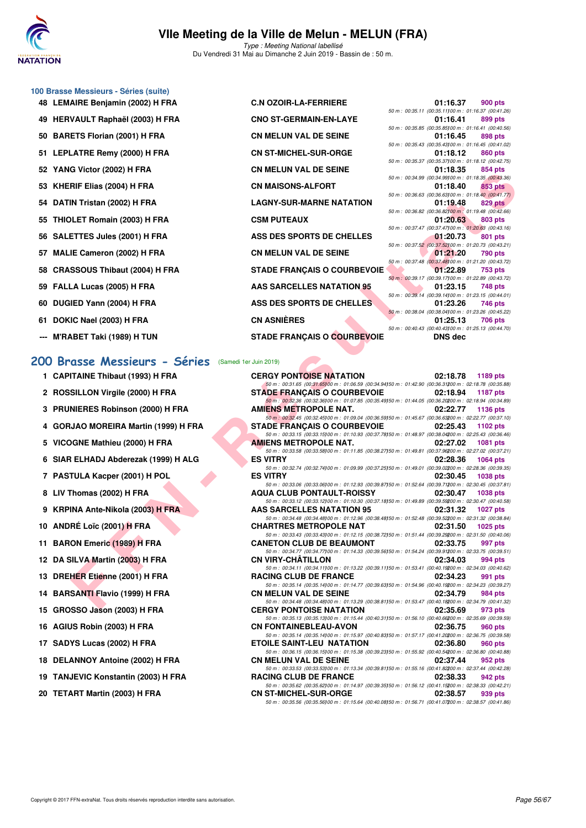

Du Vendredi 31 Mai au Dimanche 2 Juin 2019 - Bassin de : 50 m.

#### **100 Brasse Messieurs - Séries (suite)**

- 
- 
- **50 BARETS Florian (2001) H FRA CN MELLUI CON MELLUI CON MELLUI CON MELLUI CON MELLUI CON MELLUI CON MELLUI CON M**
- 
- 
- 
- 
- 
- 
- 
- 
- 
- 
- 
- 

### **[200 Brasse Messieurs - Séries](http://www.ffnatation.fr/webffn/resultats.php?idact=nat&go=epr&idcpt=57771&idepr=73)** (Samedi 1er Juin 2019)

- **1 CAPITAINE Thibaut (1993) H FRA**
- 2 **ROSSILLON Virgile (2000) H FRA**
- **3 PRUNIERES Robinson (2000) H FRA**
- 4 GORJAO MOREIRA Martin (1999) H FRA
- **5 VICOGNE Mathieu (2000) H FRA**
- **6 SIAR ELHADJ Abderezak (1999) H ALG**
- **7 PASTULA Kacper (2001) H POL**
- **8 LIV Thomas (2002) H FRA**
- **9 KRPINA Ante-Nikola (2003) H FRA**
- **10 ANDRÉ Loïc (2001) H FRA**
- **11 BARON Emeric (1989) H FRA**
- **12 DA SILVA Martin (2003) H FRA**
- 13 DREHER Etienne (2001) H FRA
- **14 BARSANTI Flavio (1999) H FRA**
- **15 GROSSO Jason (2003) H FRA**
- **16 AGIUS Robin (2003) H FRA**
- **17 SADYS Lucas (2002) H FRA**
- **18 DELANNOY Antoine (2002) H FRA**
- **19 TANJEVIC Konstantin (2003) H FRA**
- **20 TETART Martin (2003) H FRA**

| J0 Brasse Messieurs - Series (suite) |                                    |                                                                |                |
|--------------------------------------|------------------------------------|----------------------------------------------------------------|----------------|
| 48 LEMAIRE Benjamin (2002) H FRA     | <b>C.N OZOIR-LA-FERRIERE</b>       | 01:16.37                                                       | 900 pts        |
|                                      |                                    | 50 m: 00:35.11 (00:35.11100 m: 01:16.37 (00:41.26)             |                |
| 49 HERVAULT Raphaël (2003) H FRA     | <b>CNO ST-GERMAIN-EN-LAYE</b>      | 01:16.41                                                       | 899 pts        |
|                                      |                                    | 50 m: 00:35.85 (00:35.85100 m: 01:16.41 (00:40.56)             |                |
| 50 BARETS Florian (2001) H FRA       | <b>CN MELUN VAL DE SEINE</b>       | 01:16.45                                                       | 898 pts        |
|                                      |                                    | 50 m: 00:35.43 (00:35.43) 00 m: 01:16.45 (00:41.02)            |                |
| 51 LEPLATRE Remy (2000) H FRA        | <b>CN ST-MICHEL-SUR-ORGE</b>       | 01:18.12                                                       | 860 pts        |
| 52 YANG Victor (2002) H FRA          | <b>CN MELUN VAL DE SEINE</b>       | 50 m: 00:35.37 (00:35.37100 m: 01:18.12 (00:42.75)<br>01:18.35 | 854 pts        |
|                                      |                                    | 50 m: 00:34.99 (00:34.99100 m: 01:18.35 (00:43.36)             |                |
| 53 KHERIF Elias (2004) H FRA         | <b>CN MAISONS-ALFORT</b>           | 01:18.40                                                       | 853 pts        |
|                                      |                                    | 50 m: 00:36.63 (00:36.63100 m: 01:18.40 (00:41.77)             |                |
| 54 DATIN Tristan (2002) H FRA        | <b>LAGNY-SUR-MARNE NATATION</b>    | 01:19.48                                                       | 829 pts        |
|                                      |                                    | 50 m : 00:36.82 (00:36.82) 00 m : 01:19.48 (00:42.66)          |                |
| 55 THIOLET Romain (2003) H FRA       | <b>CSM PUTEAUX</b>                 | 01:20.63                                                       | <b>803 pts</b> |
|                                      |                                    | 50 m: 00:37.47 (00:37.47) 00 m: 01:20.63 (00:43.16)            |                |
| 56 SALETTES Jules (2001) H FRA       | ASS DES SPORTS DE CHELLES          | 01:20.73                                                       | 801 pts        |
|                                      |                                    | 50 m : 00:37.52 (00:37.52) 00 m : 01:20.73 (00:43.21)          |                |
| 57 MALIE Cameron (2002) H FRA        | <b>CN MELUN VAL DE SEINE</b>       | 01:21.20                                                       | 790 pts        |
|                                      |                                    | 50 m : 00:37.48 (00:37.48100 m : 01:21.20 (00:43.72)           |                |
| 58 CRASSOUS Thibaut (2004) H FRA     | <b>STADE FRANÇAIS O COURBEVOIE</b> | 01:22.89                                                       | 753 pts        |
| 59 FALLA Lucas (2005) H FRA          | AAS SARCELLES NATATION 95          | 50 m: 00:39.17 (00:39.17100 m: 01:22.89 (00:43.72)<br>01:23.15 | 748 pts        |
|                                      |                                    | 50 m: 00:39.14 (00:39.14100 m: 01:23.15 (00:44.01)             |                |
| 60 DUGIED Yann (2004) H FRA          | ASS DES SPORTS DE CHELLES          | 01:23.26                                                       | 746 pts        |
|                                      |                                    | 50 m : 00:38.04 (00:38.04100 m : 01:23.26 (00:45.22)           |                |
| 61 DOKIC Nael (2003) H FRA           | <b>CN ASNIÈRES</b>                 | 01:25.13                                                       | 706 pts        |
|                                      |                                    | 50 m: 00:40.43 (00:40.43) 00 m: 01:25.13 (00:44.70)            |                |
| --- M'RABET Taki (1989) H TUN        | <b>STADE FRANÇAIS O COURBEVOIE</b> | <b>DNS</b> dec                                                 |                |
|                                      |                                    |                                                                |                |

| G VICIOI (2002) II FRA            | <b>CIA MELOIA ANT DE SEIIAE</b>                                                                                                                  | 01.10.JJ       | OU+ PIS                                                          |
|-----------------------------------|--------------------------------------------------------------------------------------------------------------------------------------------------|----------------|------------------------------------------------------------------|
| RIF Elias (2004) H FRA            | <b>CN MAISONS-ALFORT</b>                                                                                                                         | 01:18.40       | 50 m : 00:34.99 (00:34.99) 00 m : 01:18.35 (00:43.36)<br>853 pts |
| IN Tristan (2002) H FRA           | <b>LAGNY-SUR-MARNE NATATION</b>                                                                                                                  | 01:19.48       | 50 m : 00:36.63 (00:36.63) 00 m : 01:18.40 (00:41.77)<br>829 pts |
| )LET Romain (2003) H FRA          | <b>CSM PUTEAUX</b>                                                                                                                               | 01:20.63       | 50 m : 00:36.82 (00:36.82) 00 m : 01:19.48 (00:42.66)<br>803 pts |
|                                   |                                                                                                                                                  |                | 50 m : 00:37.47 (00:37.47) 00 m : 01:20.63 (00:43.16)            |
| ETTES Jules (2001) H FRA          | ASS DES SPORTS DE CHELLES                                                                                                                        | 01:20.73       | 801 pts<br>50 m : 00:37.52 (00:37.52) 00 m : 01:20.73 (00:43.21) |
| IE Cameron (2002) H FRA           | <b>CN MELUN VAL DE SEINE</b>                                                                                                                     | 01:21.20       | 790 pts<br>50 m : 00:37.48 (00:37.48) 00 m : 01:21.20 (00:43.72) |
| SSOUS Thibaut (2004) H FRA        | <b>STADE FRANÇAIS O COURBEVOIE</b>                                                                                                               | 01:22.89       | 753 pts                                                          |
| LA Lucas (2005) H FRA             | <b>AAS SARCELLES NATATION 95</b>                                                                                                                 | 01:23.15       | 50 m: 00:39.17 (00:39.17) 00 m: 01:22.89 (00:43.72)<br>748 pts   |
| IED Yann (2004) H FRA             | ASS DES SPORTS DE CHELLES                                                                                                                        | 01:23.26       | 50 m : 00:39.14 (00:39.14100 m : 01:23.15 (00:44.01)<br>746 pts  |
| IC Nael (2003) H FRA              | <b>CN ASNIÈRES</b>                                                                                                                               |                | 50 m : 00:38.04 (00:38.04) 00 m : 01:23.26 (00:45.22)            |
|                                   |                                                                                                                                                  | 01:25.13       | 706 pts<br>50 m : 00:40.43 (00:40.43) 00 m : 01:25.13 (00:44.70) |
| <b>ABET Taki (1989) H TUN</b>     | STADE FRANÇAIS O COURBEVOIE                                                                                                                      | <b>DNS</b> dec |                                                                  |
|                                   |                                                                                                                                                  |                |                                                                  |
| asse Messieurs - Séries           | (Samedi 1er Juin 2019)                                                                                                                           |                |                                                                  |
| ITAINE Thibaut (1993) H FRA       | <b>CERGY PONTOISE NATATION</b><br>50 m : 00:31.65 (00:31.65)00 m : 01:06.59 (00:34.94)50 m : 01:42.90 (00:36.31200 m : 02:18.78 (00:35.88)       | 02:18.78       | 1189 pts                                                         |
| SILLON Virgile (2000) H FRA       | <b>STADE FRANÇAIS O COURBEVOIE</b>                                                                                                               | 02:18.94       | <b>1187 pts</b>                                                  |
| NIERES Robinson (2000) H FRA      | 50 m : 00:32.36 (00:32.36) 00 m : 01:07.85 (00:35.49) 50 m : 01:44.05 (00:36.20200 m : 02:18.94 (00:34.89)<br><b>AMIENS METROPOLE NAT.</b>       | 02:22.77       | 1136 pts                                                         |
|                                   | 50 m : 00:32.45 (00:32.45)00 m : 01:09.04 (00:36.59)50 m : 01:45.67 (00:36.63200 m : 02:22.77 (00:37.10)                                         |                |                                                                  |
| JAO MOREIRA Martin (1999) H FRA   | <b>STADE FRANÇAIS O COURBEVOIE</b><br>50 m : 00:33.15 (00:33.15) 00 m : 01:10.93 (00:37.78) 50 m : 01:48.97 (00:38.04200 m : 02:25.43 (00:36.46) | 02:25.43       | 1102 pts                                                         |
| <b>OGNE Mathieu (2000) H FRA</b>  | AMIENS METROPOLE NAT.                                                                                                                            | 02:27.02       | 1081 pts                                                         |
| l ELHADJ Abderezak (1999) H ALG   | 50 m : 00:33.58 (00:33.58) 00 m : 01:11.85 (00:38.27) 50 m : 01:49.81 (00:37.96200 m : 02:27.02 (00:37.21)<br><b>ES VITRY</b>                    | 02:28.36       | 1064 pts                                                         |
| TULA Kacper (2001) H POL          | 50 m : 00:32.74 (00:32.74)00 m : 01:09.99 (00:37.25)50 m : 01:49.01 (00:39.02200 m : 02:28.36 (00:39.35)<br><b>ES VITRY</b>                      | 02:30.45       | <b>1038 pts</b>                                                  |
|                                   | 50 m : 00:33.06 (00:33.06) 00 m : 01:12.93 (00:39.87) 50 m : 01:52.64 (00:39.71200 m : 02:30.45 (00:37.81)                                       |                |                                                                  |
| 「homas (2002) H FRA               | <b>AQUA CLUB PONTAULT-ROISSY</b><br>50 m : 00:33.12 (00:33.12) 00 m : 01:10.30 (00:37.18) 50 m : 01:49.89 (00:39.59200 m : 02:30.47 (00:40.58)   | 02:30.47       | <b>1038 pts</b>                                                  |
| INA Ante-Nikola (2003) H FRA      | AAS SARCELLES NATATION 95                                                                                                                        | 02:31.32       | <b>1027 pts</b>                                                  |
| RÉ Loïc (2001) <del>H</del> FRA   | 50 m : 00:34.48 (00:34.48) 00 m : 01:12.96 (00:38.48) 50 m : 01:52.48 (00:39.52200 m : 02:31.32 (00:38.84)<br><b>CHARTRES METROPOLE NAT</b>      | 02:31.50       | $1025$ pts                                                       |
|                                   | 50 m : 00:33.43 (00:33.43) 00 m : 01:12.15 (00:38.72) 50 m : 01:51.44 (00:39.29200 m : 02:31.50 (00:40.06)<br><b>CANETON CLUB DE BEAUMONT</b>    |                |                                                                  |
| ON Emeric (1989) H FRA            | 50 m : 00:34.77 (00:34.77) 00 m : 01:14.33 (00:39.56) 50 m : 01:54.24 (00:39.91200 m : 02:33.75 (00:39.51)                                       | 02:33.75       | 997 pts                                                          |
| <b>SILVA Martin (2003) H FRA</b>  | <b>CN VIRY-CHATILLON</b>                                                                                                                         | 02:34.03       | 994 pts                                                          |
| <b>HER Etienne (2001) H FRA</b>   | 50 m : 00:34.11 (00:34.11) 00 m : 01:13.22 (00:39.11) 50 m : 01:53.41 (00:40.19200 m : 02:34.03 (00:40.62)<br><b>RACING CLUB DE FRANCE</b>       | 02:34.23       | 991 pts                                                          |
| SANTI Flavio (1999) H FRA         | 50 m : 00:35.14 (00:35.14) 00 m : 01:14.77 (00:39.63) 50 m : 01:54.96 (00:40.19200 m : 02:34.23 (00:39.27)<br><b>CN MELUN VAL DE SEINE</b>       | 02:34.79       | 984 pts                                                          |
|                                   | 50 m : 00:34.48 (00:34.48) 00 m : 01:13.29 (00:38.81) 50 m : 01:53.47 (00:40.18200 m : 02:34.79 (00:41.32)                                       |                |                                                                  |
| SSO Jason (2003) H FRA            | <b>CERGY PONTOISE NATATION</b><br>50 m : 00:35.13 (00:35.13) 00 m : 01:15.44 (00:40.31) 50 m : 01:56.10 (00:40.66200 m : 02:35.69 (00:39.59)     | 02:35.69       | 973 pts                                                          |
| JS Robin (2003) H FRA             | <b>CN FONTAINEBLEAU-AVON</b>                                                                                                                     | 02:36.75       | 960 pts                                                          |
| YS Lucas (2002) H FRA             | 50 m : 00:35.14 (00:35.14)00 m : 01:15.97 (00:40.83)50 m : 01:57.17 (00:41.20200 m : 02:36.75 (00:39.58)<br>ETOILE SAINT-LEU NATATION            | 02:36.80       | 960 pts                                                          |
| <b>ANNOY Antoine (2002) H FRA</b> | 50 m : 00:36.15 (00:36.15) 00 m : 01:15.38 (00:39.23) 50 m : 01:55.92 (00:40.54200 m : 02:36.80 (00:40.88)<br><b>CN MELUN VAL DE SEINE</b>       | 02:37.44       | 952 pts                                                          |
|                                   | 50 m : 00:33.53 (00:33.53) 00 m : 01:13.34 (00:39.81) 50 m : 01:55.16 (00:41.82200 m : 02:37.44 (00:42.28)                                       |                |                                                                  |
| JEVIC Konstantin (2003) H FRA     | <b>RACING CLUB DE FRANCE</b>                                                                                                                     | 02:38.33       | 942 pts                                                          |
| <b>ART Martin (2003) H FRA</b>    | 50 m : 00:35.62 (00:35.62)00 m : 01:14.97 (00:39.35)50 m : 01:56.12 (00:41.15200 m : 02:38.33 (00:42.21)<br><b>CN ST-MICHEL-SUR-ORGE</b>         | 02:38.57       | 939 pts                                                          |
|                                   | 50 m : 00:35.56 (00:35.56) 00 m : 01:15.64 (00:40.08) 50 m : 01:56.71 (00:41.07200 m : 02:38.57 (00:41.86)                                       |                |                                                                  |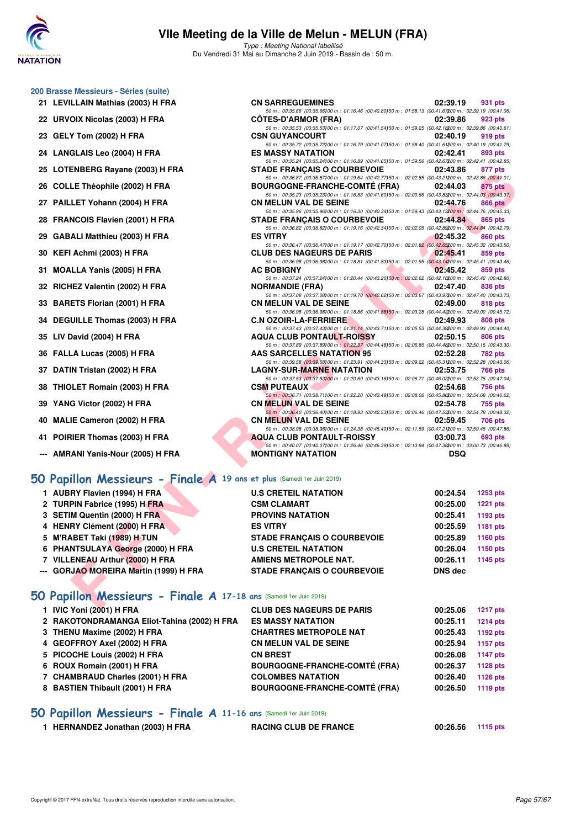

Type : Meeting National labellisé Du Vendredi 31 Mai au Dimanche 2 Juin 2019 - Bassin de : 50 m.

50 m : 00:35.66 (00:35.66)100 m : 01:16.46 (00:40.80)150 m : 01:58.13 (00:41.67)200 m : 02:39.19 (00:41.06)

50 m : 00:35.72 (00:35.72)100 m : 01:16.79 (00:41.07)150 m : 01:58.40 (00:41.61)200 m : 02:40.19 (00:41.79)

50 m : 00:35.24 (00:35.24)100 m : 01:16.89 (00:41.65)150 m : 01:59.56 (00:42.67)200 m : 02:42.41 (00:42.85)

50 m : 00:35.53 (00:35.53)00 m : 01:17.07 (00:41.54)50 m : 01:59.25 (00:42.18200 m : 02:39.86 (00:40.61)<br>CSN GUYANCOURT 02:40.19 919 pts

#### **200 Brasse Messieurs - Séries (suite)**

- **21 LEVILLAIN Mathias (2003) H FRA CN SARREGUEMINES 02:39.19 931 pts**
- **22 URVOIX Nicolas (2003) H FRA CÔTES-D'ARMOR (FRA) 02:39.86 923 pts**
- **23 GELY Tom (2002) H FRA CSN GUYANCOURT CONGLESS CO2:40.19** 919 pts
- **24 LANGLAIS Leo (2004) H FRA ES MASSY NATATION 02:42.41 893 pts**
- **25 LOTENBERG Rayane (2003) H FRA STADE FRANÇAIS O COURBEVOIE 02:43.86 877 pts**
- **26 COLLE Théophile (2002) H FRA BOURGOGNE-FRANCHE-COMTÉ (FRA) 02:44.03 875 pts**
- **27 PAILLET Yohann (2004) H FRA CN MELUN VAL DE SEINE 02:44.76 866 pts**
- **28 FRANCOIS Flavien (2001) H FRA STADE FRANÇAIS O COURBEVOIE 02:44.84 865 pts**
- **29 GABALI Matthieu (2003) H FRA ES VITRY 02:45.32 860 pts**
- **30 KEFI Achmi (2003) H FRA CLUB DES NAGEURS DE PARIS 02:45.41 859 pts**
- **31 MOALLA Yanis (2005) H FRA AC BOBIGNY 02:45.42 859 pts**
- **32 RICHEZ Valentin (2002) H FRA NORMANDIE (FRA) 02:47.40 836 pts**
- **33 BARETS Florian (2001) H FRA CN MELUN VAL DE SEINE 02:49.00 818 pts**
- **34 DEGUILLE Thomas (2003) H FRA C.N OZOIR-LA-FERRIERE 02:49.93**
- **35 LIV David (2004) H FRA AQUA CLUB PONTAULT-ROISSY 02:50.15 806 pts**
- **36 FALLA Lucas (2005) H FRA AAS SARCELLES NATATION 95 02:52.28 782 pts**
- **37 DATIN Tristan (2002) H FRA LAGNY-SUR-MARNE NATATION 02:53.75 766 pts**
- **38 THIOLET Romain (2003) H FRA CSM PUTEAUX 02:54.68 756 pts**
- **39 YANG Victor (2002) H FRA CN MELUN VAL DE SEINE 02:54.78 755 pts**
- **40 MALIE Cameron (2002) H FRA CN MELUN VAL DE SEINE 02:59.45 706 pts**
- **41 POIRIER Thomas (2003) H FRA AQUA CLUB PONTAULT-ROISSY 03:00.73 693 pts**
- **--- AMRANI Yanis-Nour (2005) H FRA MONTIGNY NATATION DSQ**

#### **[50 Papillon Messieurs - Finale A](http://www.ffnatation.fr/webffn/resultats.php?idact=nat&go=epr&idcpt=57771&idepr=81) 19 ans et plus** (Samedi 1er Juin 2019)

| 23 LOTENBERG Rayane (2003) IT FRA                                        | STADE FRANÇAIS O COURBEVOIE                                                                                                                        | <b>04.40.00</b> | $011$ pm        |
|--------------------------------------------------------------------------|----------------------------------------------------------------------------------------------------------------------------------------------------|-----------------|-----------------|
| 26 COLLE Théophile (2002) H FRA                                          | 50 m : 00:36.87 (00:36.87) 00 m : 01:19.64 (00:42.77) 50 m : 02:02.85 (00:43.21200 m : 02:43.86 (00:41.01)<br><b>BOURGOGNE-FRANCHE-COMTÉ (FRA)</b> | 02:44.03        | <b>875 pts</b>  |
|                                                                          | 50 m : 00:35.23 (00:35.23) 00 m : 01:16.83 (00:41.60) 50 m : 02:00.66 (00:43.83200 m : 02:44.03 (00:43.37)                                         |                 |                 |
| 27 PAILLET Yohann (2004) H FRA                                           | <b>CN MELUN VAL DE SEINE</b>                                                                                                                       | 02:44.76        | 866 pts         |
| 28 FRANCOIS Flavien (2001) H FRA                                         | 50 m : 00:35.96 (00:35.96) 00 m : 01:16.30 (00:40.34) 50 m : 01:59.43 (00:43.13200 m : 02:44.76 (00:45.33)<br><b>STADE FRANCAIS O COURBEVOIE</b>   | 02:44.84        | 865 pts         |
|                                                                          | 50 m : 00:36.82 (00:36.82)00 m : 01:19.16 (00:42.34)50 m : 02:02.05 (00:42.89200 m : 02:44.84 (00:42.79)                                           |                 |                 |
| 29 GABALI Matthieu (2003) H FRA                                          | <b>ES VITRY</b>                                                                                                                                    | 02:45.32        | 860 pts         |
|                                                                          | 50 m : 00:36.47 (00:36.47) 00 m : 01:19.17 (00:42.70) 50 m : 02:01.82 (00:42.65200 m : 02:45.32 (00:43.50)                                         |                 |                 |
| 30 KEFI Achmi (2003) H FRA                                               | <b>CLUB DES NAGEURS DE PARIS</b><br>50 m : 00:36.98 (00:36.98) 00 m : 01:18.81 (00:41.83) 50 m : 02:01.95 (00:43.14200 m : 02:45.41 (00:43.46)     | 02:45.41        | 859 pts         |
| 31 MOALLA Yanis (2005) H FRA                                             | <b>AC BOBIGNY</b>                                                                                                                                  | 02:45.42        | 859 pts         |
|                                                                          | 50 m : 00:37.24 (00:37.24)00 m : 01:20.44 (00:43.20)50 m : 02:02.62 (00:42.18200 m : 02:45.42 (00:42.80)                                           |                 |                 |
| 32 RICHEZ Valentin (2002) H FRA                                          | <b>NORMANDIE (FRA)</b>                                                                                                                             | 02:47.40        | 836 pts         |
|                                                                          | 50 m : 00:37.08 (00:37.08)00 m : 01:19.70 (00:42.62)50 m : 02:03.67 (00:43.97200 m : 02:47.40 (00:43.73)                                           |                 |                 |
| 33 BARETS Florian (2001) H FRA                                           | <b>CN MELUN VAL DE SEINE</b><br>50 m : 00:36.98 (00:36.98)00 m : 01:18.86 (00:41.88)50 m : 02:03.28 (00:44.42200 m : 02:49.00 (00:45.72)           | 02:49.00        | 818 pts         |
| 34 DEGUILLE Thomas (2003) H FRA                                          | <b>C.N OZOIR-LA-FERRIERE</b>                                                                                                                       | 02:49.93        | <b>808 pts</b>  |
|                                                                          | 50 m : 00:37.43 (00:37.43)00 m : 01:21.14 (00:43.71)50 m : 02:05.53 (00:44.39200 m : 02:49.93 (00:44.40)                                           |                 |                 |
| 35 LIV David (2004) H FRA                                                | <b>AQUA CLUB PONTAULT-ROISSY</b>                                                                                                                   | 02:50.15        | <b>806 pts</b>  |
|                                                                          | 50 m : 00:37.89 (00:37.89) 00 m : 01:22.37 (00:44.48) 50 m : 02:06.85 (00:44.48200 m : 02:50.15 (00:43.30)                                         |                 |                 |
| 36 FALLA Lucas (2005) H FRA                                              | <b>AAS SARCELLES NATATION 95</b><br>50 m : 00:39.58 (00:39.58) 00 m : 01:23.91 (00:44.33) 50 m : 02:09.22 (00:45.31200 m : 02:52.28 (00:43.06)     | 02:52.28        | 782 pts         |
| 37 DATIN Tristan (2002) H FRA                                            | <b>LAGNY-SUR-MARNE NATATION</b>                                                                                                                    | 02:53.75        | 766 pts         |
|                                                                          | 50 m : 00:37.53 (00:37.53) 00 m : 01:20.69 (00:43.16) 50 m : 02:06.71 (00:46.02200 m : 02:53.75 (00:47.04)                                         |                 |                 |
| 38 THIOLET Romain (2003) H FRA                                           | <b>CSM PUTEAUX</b>                                                                                                                                 | 02:54.68        | 756 pts         |
|                                                                          | 50 m : 00:38.71 (00:38.71100 m : 01:22.20 (00:43.49150 m : 02:08.06 (00:45.86200 m : 02:54.68 (00:46.62)                                           |                 |                 |
| 39 YANG Victor (2002) H FRA                                              | <b>CN MELUN VAL DE SEINE</b>                                                                                                                       | 02:54.78        | 755 pts         |
| 40 MALIE Cameron (2002) H FRA                                            | 50 m : 00:36.40 (00:36.40) 00 m : 01:18.93 (00:42.53) 50 m : 02:06.46 (00:47.53200 m : 02:54.78 (00:48.32)<br><b>CN MELUN VAL DE SEINE</b>         | 02:59.45        | 706 pts         |
|                                                                          | 50 m : 00:38.98 (00:38.98) 00 m : 01:24.38 (00:45.40) 50 m : 02:11.59 (00:47.21200 m : 02:59.45 (00:47.86)                                         |                 |                 |
| 41 POIRIER Thomas (2003) H FRA                                           | <b>AQUA CLUB PONTAULT-ROISSY</b>                                                                                                                   | 03:00.73        | 693 pts         |
|                                                                          | 50 m : 00:40.07 (00:40.07) 00 m : 01:26.46 (00:46.39) 50 m : 02:13.84 (00:47.38200 m : 03:00.73 (00:46.89)                                         |                 |                 |
| --- AMRANI Yanis-Nour (2005) H FRA                                       | <b>MONTIGNY NATATION</b>                                                                                                                           | <b>DSQ</b>      |                 |
|                                                                          |                                                                                                                                                    |                 |                 |
| 60 Papillon Messieurs - Finale A 19 ans et plus (Samedi 1er Juin 2019)   |                                                                                                                                                    |                 |                 |
| 1 AUBRY Flavien (1994) H FRA                                             | <b>U.S CRETEIL NATATION</b>                                                                                                                        | 00:24.54        | <b>1253 pts</b> |
| 2 TURPIN Fabrice (1995) H FRA                                            | <b>CSM CLAMART</b>                                                                                                                                 | 00:25.00        | <b>1221 pts</b> |
| 3 SETIM Quentin (2000) H FRA                                             | <b>PROVINS NATATION</b>                                                                                                                            | 00:25.41        | 1193 pts        |
| 4 HENRY Clément (2000) H FRA                                             | <b>ES VITRY</b>                                                                                                                                    | 00:25.59        | 1181 pts        |
| 5 M'RABET Taki (1989) H TUN                                              | <b>STADE FRANÇAIS O COURBEVOIE</b>                                                                                                                 | 00:25.89        | <b>1160 pts</b> |
|                                                                          |                                                                                                                                                    |                 |                 |
| 6 PHANTSULAYA George (2000) H FRA                                        | <b>U.S CRETEIL NATATION</b>                                                                                                                        | 00:26.04        | 1150 pts        |
| 7 VILLENEAU Arthur (2000) H FRA                                          | <b>AMIENS METROPOLE NAT.</b>                                                                                                                       | 00:26.11        | 1145 pts        |
| --- GORJAO MOREIRA Martin (1999) H FRA                                   | <b>STADE FRANÇAIS O COURBEVOIE</b>                                                                                                                 | <b>DNS dec</b>  |                 |
|                                                                          |                                                                                                                                                    |                 |                 |
| <b>iO Papillon Messieurs - Finale A 17-18 ans (Samedi 1er Juin 2019)</b> |                                                                                                                                                    |                 |                 |
| $\overline{A}$ <b>IND</b> V <sub>an</sub> : (0004) U EDA                 | CLUB BEC MACEURO BE BABIC                                                                                                                          |                 |                 |

#### **[50 Papillon Messieurs - Finale A](http://www.ffnatation.fr/webffn/resultats.php?idact=nat&go=epr&idcpt=57771&idepr=81) 17-18 ans** (Samedi 1er Juin 2019)

| 1 IVIC Yoni (2001) H FRA                    | <b>CLUB DES NAGEURS DE PARIS</b>     | 00:25.06 | <b>1217 pts</b> |
|---------------------------------------------|--------------------------------------|----------|-----------------|
| 2 RAKOTONDRAMANGA Eliot-Tahina (2002) H FRA | <b>ES MASSY NATATION</b>             | 00:25.11 | <b>1214 pts</b> |
| 3 THENU Maxime (2002) H FRA                 | <b>CHARTRES METROPOLE NAT</b>        | 00:25.43 | 1192 pts        |
| 4 GEOFFROY Axel (2002) H FRA                | <b>CN MELUN VAL DE SEINE</b>         | 00:25.94 | 1157 pts        |
| 5 PICOCHE Louis (2002) H FRA                | <b>CN BREST</b>                      | 00:26.08 | 1147 pts        |
| 6 ROUX Romain (2001) H FRA                  | <b>BOURGOGNE-FRANCHE-COMTÉ (FRA)</b> | 00:26.37 | <b>1128 pts</b> |
| 7 CHAMBRAUD Charles (2001) H FRA            | <b>COLOMBES NATATION</b>             | 00:26.40 | 1126 pts        |
| 8 BASTIEN Thibault (2001) H FRA             | <b>BOURGOGNE-FRANCHE-COMTÉ (FRA)</b> | 00:26.50 | <b>1119 pts</b> |
|                                             |                                      |          |                 |

#### **[50 Papillon Messieurs - Finale A](http://www.ffnatation.fr/webffn/resultats.php?idact=nat&go=epr&idcpt=57771&idepr=81) 11-16 ans** (Samedi 1er Juin 2019)

| HERNANDEZ Jonathan (2003) H FRA | <b>RACING CLUB DE FRANCE</b> | 00:26.56 1115 pts |  |
|---------------------------------|------------------------------|-------------------|--|
|                                 |                              |                   |  |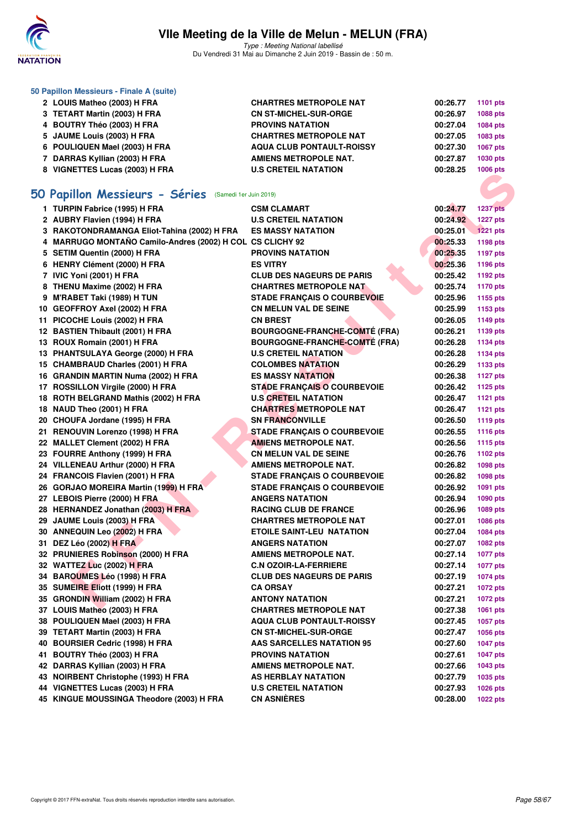

Type : Meeting National labellisé Du Vendredi 31 Mai au Dimanche 2 Juin 2019 - Bassin de : 50 m.

| 50 Papillon Messieurs - Finale A (suite) |                                  |          |          |
|------------------------------------------|----------------------------------|----------|----------|
| 2 LOUIS Matheo (2003) H FRA              | <b>CHARTRES METROPOLE NAT</b>    | 00:26.77 | 1101 pts |
| 3 TETART Martin (2003) H FRA             | <b>CN ST-MICHEL-SUR-ORGE</b>     | 00:26.97 | 1088 pts |
| 4 BOUTRY Théo (2003) H FRA               | <b>PROVINS NATATION</b>          | 00:27.04 | 1084 pts |
| 5 JAUME Louis (2003) H FRA               | <b>CHARTRES METROPOLE NAT</b>    | 00:27.05 | 1083 pts |
| 6 POULIQUEN Mael (2003) H FRA            | <b>AQUA CLUB PONTAULT-ROISSY</b> | 00:27.30 | 1067 pts |
| 7 DARRAS Kyllian (2003) H FRA            | AMIENS METROPOLE NAT.            | 00:27.87 | 1030 pts |
| 8 VIGNETTES Lucas (2003) H FRA           | <b>U.S CRETEIL NATATION</b>      | 00:28.25 | 1006 pts |

# **[50 Papillon Messieurs - Séries](http://www.ffnatation.fr/webffn/resultats.php?idact=nat&go=epr&idcpt=57771&idepr=81)** (Samedi 1er Juin 2019)

| $\sigma$ vighet i.e. Lucas (2003) II FRA                  | <b>VALI LIL MATATIVN</b>             |          | <b>TUUU PIS</b> |
|-----------------------------------------------------------|--------------------------------------|----------|-----------------|
|                                                           |                                      |          |                 |
| iO Papillon Messieurs - Séries (Samedi 1er Juin 2019)     |                                      |          |                 |
| 1 TURPIN Fabrice (1995) H FRA                             | <b>CSM CLAMART</b>                   | 00:24.77 | <b>1237 pts</b> |
| 2 AUBRY Flavien (1994) H FRA                              | <b>U.S CRETEIL NATATION</b>          | 00:24.92 | <b>1227 pts</b> |
| 3 RAKOTONDRAMANGA Eliot-Tahina (2002) H FRA               | <b>ES MASSY NATATION</b>             | 00:25.01 | <b>1221 pts</b> |
| 4 MARRUGO MONTAÑO Camilo-Andres (2002) H COL CS CLICHY 92 |                                      | 00:25.33 | <b>1198 pts</b> |
| 5 SETIM Quentin (2000) H FRA                              | <b>PROVINS NATATION</b>              | 00:25.35 | <b>1197 pts</b> |
| 6 HENRY Clément (2000) H FRA                              | <b>ES VITRY</b>                      | 00:25.36 | <b>1196 pts</b> |
| 7 IVIC Yoni (2001) H FRA                                  | <b>CLUB DES NAGEURS DE PARIS</b>     | 00:25.42 | 1192 pts        |
| 8 THENU Maxime (2002) H FRA                               | <b>CHARTRES METROPOLE NAT</b>        | 00:25.74 | <b>1170 pts</b> |
| 9 M'RABET Taki (1989) H TUN                               | <b>STADE FRANÇAIS O COURBEVOIE</b>   | 00:25.96 | 1155 pts        |
| 10 GEOFFROY Axel (2002) H FRA                             | <b>CN MELUN VAL DE SEINE</b>         | 00:25.99 | 1153 pts        |
| 11 PICOCHE Louis (2002) H FRA                             | <b>CN BREST</b>                      | 00:26.05 | <b>1149 pts</b> |
| 12 BASTIEN Thibault (2001) H FRA                          | <b>BOURGOGNE-FRANCHE-COMTÉ (FRA)</b> | 00:26.21 | 1139 pts        |
| 13 ROUX Romain (2001) H FRA                               | <b>BOURGOGNE-FRANCHE-COMTÉ (FRA)</b> | 00:26.28 | 1134 pts        |
| 13 PHANTSULAYA George (2000) H FRA                        | <b>U.S CRETEIL NATATION</b>          | 00:26.28 | <b>1134 pts</b> |
| 15 CHAMBRAUD Charles (2001) H FRA                         | <b>COLOMBES NATATION</b>             | 00:26.29 | 1133 pts        |
| 16 GRANDIN MARTIN Numa (2002) H FRA                       | <b>ES MASSY NATATION</b>             | 00:26.38 | <b>1127 pts</b> |
| 17 ROSSILLON Virgile (2000) H FRA                         | <b>STADE FRANÇAIS O COURBEVOIE</b>   | 00:26.42 | <b>1125 pts</b> |
| 18 ROTH BELGRAND Mathis (2002) H FRA                      | <b>U.S CRETEIL NATATION</b>          | 00:26.47 | 1121 pts        |
| 18 NAUD Theo (2001) H FRA                                 | <b>CHARTRES METROPOLE NAT</b>        | 00:26.47 | <b>1121 pts</b> |
| 20 CHOUFA Jordane (1995) H FRA                            | <b>SN FRANCONVILLE</b>               | 00:26.50 | <b>1119 pts</b> |
| 21 RENOUVIN Lorenzo (1998) H FRA                          | <b>STADE FRANÇAIS O COURBEVOIE</b>   | 00:26.55 | 1116 pts        |
| 22 MALLET Clement (2002) H FRA                            | <b>AMIENS METROPOLE NAT.</b>         | 00:26.56 | <b>1115 pts</b> |
| 23 FOURRE Anthony (1999) H FRA                            | <b>CN MELUN VAL DE SEINE</b>         | 00:26.76 | 1102 pts        |
| 24 VILLENEAU Arthur (2000) H FRA                          | AMIENS METROPOLE NAT.                | 00:26.82 | 1098 pts        |
| 24 FRANCOIS Flavien (2001) H FRA                          | <b>STADE FRANÇAIS O COURBEVOIE</b>   | 00:26.82 | <b>1098 pts</b> |
| 26 GORJAO MOREIRA Martin (1999) H FRA                     | <b>STADE FRANÇAIS O COURBEVOIE</b>   | 00:26.92 | 1091 pts        |
| 27 LEBOIS Pierre (2000) H FRA                             | <b>ANGERS NATATION</b>               | 00:26.94 | 1090 pts        |
| 28 HERNANDEZ Jonathan (2003) H FRA                        | <b>RACING CLUB DE FRANCE</b>         | 00:26.96 | 1089 pts        |
| 29 JAUME Louis (2003) H FRA                               | <b>CHARTRES METROPOLE NAT</b>        | 00:27.01 | 1086 pts        |
| 30 ANNEQUIN Leo (2002) H FRA                              | <b>ETOILE SAINT-LEU NATATION</b>     | 00:27.04 | 1084 pts        |
| 31 DEZ Léo (2002) H FRA                                   | <b>ANGERS NATATION</b>               | 00:27.07 | 1082 pts        |
| 32 PRUNIERES Robinson (2000) H FRA                        | <b>AMIENS METROPOLE NAT.</b>         | 00:27.14 | <b>1077 pts</b> |
| 32 WATTEZ Luc (2002) H FRA                                | <b>C.N OZOIR-LA-FERRIERE</b>         | 00:27.14 | <b>1077 pts</b> |
| 34 BAROUMES Léo (1998) H FRA                              | <b>CLUB DES NAGEURS DE PARIS</b>     | 00:27.19 | <b>1074 pts</b> |
| 35 SUMEIRE Eliott (1999) H FRA                            | <b>CA ORSAY</b>                      | 00:27.21 | 1072 pts        |
| 35 GRONDIN William (2002) H FRA                           | <b>ANTONY NATATION</b>               | 00:27.21 | <b>1072 pts</b> |
| 37 LOUIS Matheo (2003) H FRA                              | <b>CHARTRES METROPOLE NAT</b>        | 00:27.38 | 1061 pts        |
| 38 POULIQUEN Mael (2003) H FRA                            | AQUA CLUB PONTAULT-ROISSY            | 00:27.45 | <b>1057 pts</b> |
| 39 TETART Martin (2003) H FRA                             | <b>CN ST-MICHEL-SUR-ORGE</b>         | 00:27.47 | 1056 pts        |
| 40 BOURSIER Cedric (1998) H FRA                           | <b>AAS SARCELLES NATATION 95</b>     | 00:27.60 | <b>1047 pts</b> |
| 41 BOUTRY Théo (2003) H FRA                               | <b>PROVINS NATATION</b>              | 00:27.61 | <b>1047 pts</b> |
| 42 DARRAS Kyllian (2003) H FRA                            | <b>AMIENS METROPOLE NAT.</b>         | 00:27.66 | 1043 pts        |
| 43 NOIRBENT Christophe (1993) H FRA                       | AS HERBLAY NATATION                  | 00:27.79 | 1035 pts        |
| 44 VIGNETTES Lucas (2003) H FRA                           | <b>U.S CRETEIL NATATION</b>          | 00:27.93 | 1026 pts        |
| 45 KINGUE MOUSSINGA Theodore (2003) H FRA                 | <b>CN ASNIÈRES</b>                   | 00:28.00 | <b>1022 pts</b> |
|                                                           |                                      |          |                 |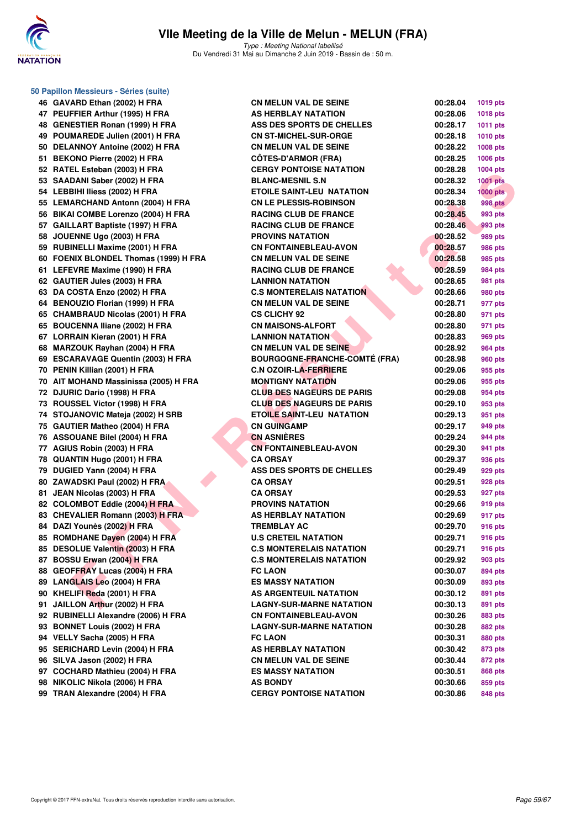

**50 Papillon Messieurs - Séries (suite)**

Type : Meeting National labellisé Du Vendredi 31 Mai au Dimanche 2 Juin 2019 - Bassin de : 50 m.

| 46 GAVARD Ethan (2002) H FRA          | <b>CN MELUN VAL DE SEINE</b>         | 00:28.04 | <b>1019 pts</b> |
|---------------------------------------|--------------------------------------|----------|-----------------|
| 47 PEUFFIER Arthur (1995) H FRA       | AS HERBLAY NATATION                  | 00:28.06 | <b>1018 pts</b> |
| 48 GENESTIER Ronan (1999) H FRA       | <b>ASS DES SPORTS DE CHELLES</b>     | 00:28.17 | 1011 pts        |
| 49 POUMAREDE Julien (2001) H FRA      | <b>CN ST-MICHEL-SUR-ORGE</b>         | 00:28.18 | 1010 pts        |
| 50 DELANNOY Antoine (2002) H FRA      | <b>CN MELUN VAL DE SEINE</b>         | 00:28.22 | 1008 pts        |
| 51 BEKONO Pierre (2002) H FRA         | <b>CÖTES-D'ARMOR (FRA)</b>           | 00:28.25 | 1006 pts        |
| 52 RATEL Esteban (2003) H FRA         | <b>CERGY PONTOISE NATATION</b>       | 00:28.28 | 1004 pts        |
| 53 SAADANI Saber (2002) H FRA         | <b>BLANC-MESNIL S.N</b>              | 00:28.32 | 1001 pts        |
| 54 LEBBIHI Iliess (2002) H FRA        | <b>ETOILE SAINT-LEU NATATION</b>     | 00:28.34 | $1000$ pts      |
| 55 LEMARCHAND Antonn (2004) H FRA     | <b>CN LE PLESSIS-ROBINSON</b>        | 00:28.38 | <b>998 pts</b>  |
| 56 BIKAI COMBE Lorenzo (2004) H FRA   | <b>RACING CLUB DE FRANCE</b>         | 00:28.45 | 993 pts         |
| 57 GAILLART Baptiste (1997) H FRA     | <b>RACING CLUB DE FRANCE</b>         | 00:28.46 | 993 pts         |
| 58 JOUENNE Ugo (2003) H FRA           | <b>PROVINS NATATION</b>              | 00:28.52 | 989 pts         |
| 59 RUBINELLI Maxime (2001) H FRA      | <b>CN FONTAINEBLEAU-AVON</b>         | 00:28.57 | 986 pts         |
| 60 FOENIX BLONDEL Thomas (1999) H FRA | <b>CN MELUN VAL DE SEINE</b>         | 00:28.58 | 985 pts         |
| 61 LEFEVRE Maxime (1990) H FRA        | <b>RACING CLUB DE FRANCE</b>         | 00:28.59 | 984 pts         |
| 62 GAUTIER Jules (2003) H FRA         | <b>LANNION NATATION</b>              | 00:28.65 | 981 pts         |
| 63 DA COSTA Enzo (2002) H FRA         | <b>C.S MONTERELAIS NATATION</b>      | 00:28.66 | 980 pts         |
| 64 BENOUZIO Florian (1999) H FRA      | <b>CN MELUN VAL DE SEINE</b>         | 00:28.71 | 977 pts         |
| 65 CHAMBRAUD Nicolas (2001) H FRA     | <b>CS CLICHY 92</b>                  | 00:28.80 | 971 pts         |
| 65 BOUCENNA Iliane (2002) H FRA       | <b>CN MAISONS-ALFORT</b>             | 00:28.80 | 971 pts         |
| 67 LORRAIN Kieran (2001) H FRA        | <b>LANNION NATATION</b>              | 00:28.83 | 969 pts         |
| 68 MARZOUK Rayhan (2004) H FRA        | <b>CN MELUN VAL DE SEINE</b>         | 00:28.92 | 964 pts         |
| 69 ESCARAVAGE Quentin (2003) H FRA    | <b>BOURGOGNE-FRANCHE-COMTÉ (FRA)</b> | 00:28.98 | 960 pts         |
| 70 PENIN Killian (2001) H FRA         | <b>C.N OZOIR-LA-FERRIERE</b>         | 00:29.06 | 955 pts         |
| 70 AIT MOHAND Massinissa (2005) H FRA | <b>MONTIGNY NATATION</b>             | 00:29.06 | 955 pts         |
| 72 DJURIC Dario (1998) H FRA          | <b>CLUB DES NAGEURS DE PARIS</b>     | 00:29.08 | 954 pts         |
| 73 ROUSSEL Victor (1998) H FRA        | <b>CLUB DES NAGEURS DE PARIS</b>     | 00:29.10 | 953 pts         |
| 74 STOJANOVIC Mateja (2002) H SRB     | <b>ETOILE SAINT-LEU NATATION</b>     | 00:29.13 | 951 pts         |
| 75 GAUTIER Matheo (2004) H FRA        | <b>CN GUINGAMP</b>                   | 00:29.17 | 949 pts         |
| 76 ASSOUANE Bilel (2004) H FRA        | <b>CN ASNIÈRES</b>                   | 00:29.24 | 944 pts         |
| 77 AGIUS Robin (2003) H FRA           | <b>CN FONTAINEBLEAU-AVON</b>         | 00:29.30 | 941 pts         |
| 78 QUANTIN Hugo (2001) H FRA          | <b>CA ORSAY</b>                      | 00:29.37 | 936 pts         |
| 79 DUGIED Yann (2004) H FRA           | <b>ASS DES SPORTS DE CHELLES</b>     | 00:29.49 | 929 pts         |
| 80 ZAWADSKI Paul (2002) H FRA         | <b>CA ORSAY</b>                      | 00:29.51 | 928 pts         |
| 81 JEAN Nicolas (2003) H FRA          | <b>CA ORSAY</b>                      | 00:29.53 | 927 pts         |
| 82 COLOMBOT Eddie (2004) H FRA        | <b>PROVINS NATATION</b>              | 00:29.66 | 919 pts         |
| 83 CHEVALIER Romann (2003) H FRA      | AS HERBLAY NATATION                  | 00:29.69 | 917 pts         |
| 84 DAZI Younès (2002) H FRA           | <b>TREMBLAY AC</b>                   | 00:29.70 | 916 pts         |
| 85 ROMDHANE Dayen (2004) H FRA        | <b>U.S CRETEIL NATATION</b>          | 00:29.71 | 916 pts         |
| 85 DESOLUE Valentin (2003) H FRA      | <b>C.S MONTERELAIS NATATION</b>      | 00:29.71 | 916 pts         |
| 87 BOSSU Erwan (2004) H FRA           | <b>C.S MONTERELAIS NATATION</b>      | 00:29.92 | 903 pts         |
| 88 GEOFFRAY Lucas (2004) H FRA        | <b>FC LAON</b>                       | 00:30.07 | 894 pts         |
| 89 LANGLAIS Leo (2004) H FRA          | <b>ES MASSY NATATION</b>             | 00:30.09 | 893 pts         |
| 90 KHELIFI Reda (2001) H FRA          | AS ARGENTEUIL NATATION               | 00:30.12 | 891 pts         |
| 91 JAILLON Arthur (2002) H FRA        | <b>LAGNY-SUR-MARNE NATATION</b>      | 00:30.13 | 891 pts         |
| 92 RUBINELLI Alexandre (2006) H FRA   | <b>CN FONTAINEBLEAU-AVON</b>         | 00:30.26 | 883 pts         |
| 93 BONNET Louis (2002) H FRA          | <b>LAGNY-SUR-MARNE NATATION</b>      | 00:30.28 | 882 pts         |
| 94 VELLY Sacha (2005) H FRA           | <b>FC LAON</b>                       | 00:30.31 | 880 pts         |
| 95 SERICHARD Levin (2004) H FRA       | AS HERBLAY NATATION                  | 00:30.42 | 873 pts         |
| 96 SILVA Jason (2002) H FRA           | <b>CN MELUN VAL DE SEINE</b>         | 00:30.44 | 872 pts         |
| 97 COCHARD Mathieu (2004) H FRA       | <b>ES MASSY NATATION</b>             | 00:30.51 | 868 pts         |
| 98 NIKOLIC Nikola (2006) H FRA        | <b>AS BONDY</b>                      | 00:30.66 | 859 pts         |
| 99 TRAN Alexandre (2004) H FRA        | <b>CERGY PONTOISE NATATION</b>       | 00:30.86 | 848 pts         |
|                                       |                                      |          |                 |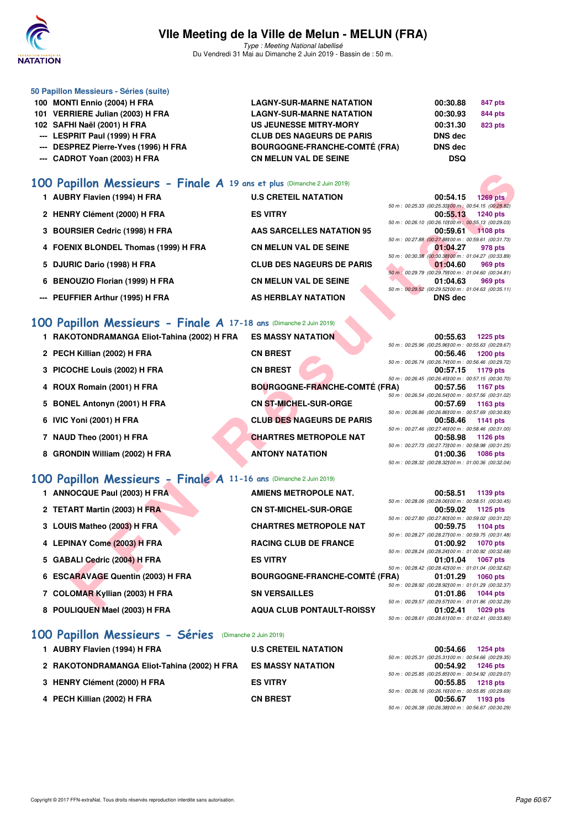

Type : Meeting National labellisé Du Vendredi 31 Mai au Dimanche 2 Juin 2019 - Bassin de : 50 m.

| 50 Papillon Messieurs - Séries (suite) |                                      |                |                |
|----------------------------------------|--------------------------------------|----------------|----------------|
| 100 MONTI Ennio (2004) H FRA           | <b>LAGNY-SUR-MARNE NATATION</b>      | 00:30.88       | 847 pts        |
| 101 VERRIERE Julian (2003) H FRA       | <b>LAGNY-SUR-MARNE NATATION</b>      | 00:30.93       | 844 pts        |
| 102 SAFHI Naël (2001) H FRA            | US JEUNESSE MITRY-MORY               | 00:31.30       | <b>823 pts</b> |
| --- LESPRIT Paul (1999) H FRA          | <b>CLUB DES NAGEURS DE PARIS</b>     | <b>DNS</b> dec |                |
| --- DESPREZ Pierre-Yves (1996) H FRA   | <b>BOURGOGNE-FRANCHE-COMTÉ (FRA)</b> | <b>DNS</b> dec |                |
| --- CADROT Yoan (2003) H FRA           | <b>CN MELUN VAL DE SEINE</b>         | <b>DSQ</b>     |                |
|                                        |                                      |                |                |

## **[100 Papillon Messieurs - Finale A](http://www.ffnatation.fr/webffn/resultats.php?idact=nat&go=epr&idcpt=57771&idepr=82) 19 ans et plus** (Dimanche 2 Juin 2019)

| 1 AUBRY Flavien (1994) H FRA         | <b>U.S CRETEIL NATATION</b>      | 00:54.15                                             | $1269$ pts |
|--------------------------------------|----------------------------------|------------------------------------------------------|------------|
|                                      |                                  | 50 m : 00:25.33 (00:25.33100 m : 00:54.15 (00:28.82) |            |
| 2 HENRY Clément (2000) H FRA         | <b>ES VITRY</b>                  | 00:55.13                                             | 1240 pts   |
|                                      |                                  | 50 m : 00:26.10 (00:26.10100 m : 00:55.13 (00:29.03) |            |
| 3 BOURSIER Cedric (1998) H FRA       | <b>AAS SARCELLES NATATION 95</b> | 00:59.61                                             | $1108$ pts |
|                                      |                                  | 50 m : 00:27.88 (00:27.88100 m : 00:59.61 (00:31.73) |            |
| 4 FOENIX BLONDEL Thomas (1999) H FRA | <b>CN MELUN VAL DE SEINE</b>     | 01:04.27                                             | 978 pts    |
|                                      |                                  | 50 m : 00:30.38 (00:30.38100 m : 01:04.27 (00:33.89) |            |
| 5 DJURIC Dario (1998) H FRA          | <b>CLUB DES NAGEURS DE PARIS</b> | 01:04.60                                             | 969 pts    |
|                                      |                                  | 50 m : 00:29.79 (00:29.79100 m : 01:04.60 (00:34.81) |            |
| 6 BENOUZIO Florian (1999) H FRA      | <b>CN MELUN VAL DE SEINE</b>     | 01:04.63                                             | 969 pts    |
|                                      |                                  | 50 m : 00:29.52 (00:29.52100 m : 01:04.63 (00:35.11) |            |
| --- PEUFFIER Arthur (1995) H FRA     | AS HERBLAY NATATION              | DNS dec                                              |            |
|                                      |                                  |                                                      |            |

## **[100 Papillon Messieurs - Finale A](http://www.ffnatation.fr/webffn/resultats.php?idact=nat&go=epr&idcpt=57771&idepr=82) 17-18 ans** (Dimanche 2 Juin 2019)

| 100 Papillon Messieurs - Finale A 19 ans et plus (Dimanche 2 Juin 2019) |                                      |                                                                                     |
|-------------------------------------------------------------------------|--------------------------------------|-------------------------------------------------------------------------------------|
| 1 AUBRY Flavien (1994) H FRA                                            | <b>U.S CRETEIL NATATION</b>          | 00:54.15<br><b>1269 pts</b>                                                         |
|                                                                         |                                      | 50 m : 00:25.33 (00:25.33100 m : 00:54.15 (00:28.82)                                |
| 2 HENRY Clément (2000) H FRA                                            | <b>ES VITRY</b>                      | 00:55.13<br>1240 pts<br>50 m : 00:26.10 (00:26.10100 m : 00:55.13 (00:29.03)        |
| 3 BOURSIER Cedric (1998) H FRA                                          | <b>AAS SARCELLES NATATION 95</b>     | 00:59.61<br><b>1108 pts</b>                                                         |
|                                                                         |                                      | 50 m : 00:27.88 (00:27.88100 m : 00:59.61 (00:31.73)                                |
| 4 FOENIX BLONDEL Thomas (1999) H FRA                                    | <b>CN MELUN VAL DE SEINE</b>         | 01:04.27<br>978 pts                                                                 |
| 5 DJURIC Dario (1998) H FRA                                             | <b>CLUB DES NAGEURS DE PARIS</b>     | 50 m : 00:30.38 (00:30.38100 m : 01:04.27 (00:33.89)<br>01:04.60<br>969 pts         |
|                                                                         |                                      | 50 m : 00:29.79 (00:29.79) 00 m : 01:04.60 (00:34.81)                               |
| <b>BENOUZIO Florian (1999) H FRA</b><br>6                               | <b>CN MELUN VAL DE SEINE</b>         | 01:04.63<br>969 pts                                                                 |
|                                                                         |                                      | 50 m : 00:29.52 (00:29.52) 00 m : 01:04.63 (00:35.11)                               |
| PEUFFIER Arthur (1995) H FRA                                            | AS HERBLAY NATATION                  | <b>DNS</b> dec                                                                      |
| 100 Papillon Messieurs - Finale A 17-18 ans (Dimanche 2 Juin 2019)      |                                      |                                                                                     |
| 1 RAKOTONDRAMANGA Eliot-Tahina (2002) H FRA                             | <b>ES MASSY NATATION</b>             | 00:55.63<br><b>1225 pts</b>                                                         |
|                                                                         |                                      | 50 m : 00:25.96 (00:25.96100 m : 00:55.63 (00:29.67)                                |
| 2 PECH Killian (2002) H FRA                                             | <b>CN BREST</b>                      | 00:56.46<br><b>1200 pts</b>                                                         |
|                                                                         |                                      | 50 m : 00:26.74 (00:26.74100 m : 00:56.46 (00:29.72)                                |
| 3 PICOCHE Louis (2002) H FRA                                            | <b>CN BREST</b>                      | 00:57.15<br>1179 pts<br>50 m : 00:26.45 (00:26.45) 00 m : 00:57.15 (00:30.70)       |
| 4 ROUX Romain (2001) H FRA                                              | <b>BOURGOGNE-FRANCHE-COMTÉ (FRA)</b> | 00:57.56<br>1167 pts                                                                |
|                                                                         |                                      | 50 m : 00:26.54 (00:26.54) 00 m : 00:57.56 (00:31.02)                               |
| 5 BONEL Antonyn (2001) H FRA                                            | CN ST-MICHEL-SUR-ORGE                | 00:57.69<br>1163 pts                                                                |
| 6 IVIC Yoni (2001) H FRA                                                | <b>CLUB DES NAGEURS DE PARIS</b>     | 50 m : 00:26.86 (00:26.86100 m : 00:57.69 (00:30.83)<br>00:58.46<br>1141 pts        |
|                                                                         |                                      | 50 m : 00:27.46 (00:27.46) 00 m : 00:58.46 (00:31.00)                               |
| 7 NAUD Theo (2001) H FRA                                                | <b>CHARTRES METROPOLE NAT</b>        | 00:58.98<br>1126 pts                                                                |
|                                                                         |                                      | 50 m : 00:27.73 (00:27.73100 m : 00:58.98 (00:31.25)                                |
| 8 GRONDIN William (2002) H FRA                                          | <b>ANTONY NATATION</b>               | 01:00.36<br><b>1086 pts</b><br>50 m: 00:28.32 (00:28.32) 00 m: 01:00.36 (00:32.04)  |
|                                                                         |                                      |                                                                                     |
| 100 Papillon Messieurs - Finale A 11-16 ans (Dimanche 2 Juin 2019)      |                                      |                                                                                     |
| 1 ANNOCQUE Paul (2003) H FRA                                            | <b>AMIENS METROPOLE NAT.</b>         | 00:58.51<br>1139 pts                                                                |
|                                                                         |                                      | 50 m : 00:28.06 (00:28.06) 00 m : 00:58.51 (00:30.45)                               |
| 2 TETART Martin (2003) H FRA                                            | <b>CN ST-MICHEL-SUR-ORGE</b>         | 00:59.02<br>1125 pts<br>50 m : 00:27.80 (00:27.80) 00 m : 00:59.02 (00:31.22)       |
| 3 LOUIS Matheo (2003) H FRA                                             | <b>CHARTRES METROPOLE NAT</b>        | 00:59.75<br>1104 pts                                                                |
|                                                                         |                                      | 50 m : 00:28.27 (00:28.27) 00 m : 00:59.75 (00:31.48)                               |
| 4 LEPINAY Come (2003) H FRA                                             | <b>RACING CLUB DE FRANCE</b>         | 01:00.92<br><b>1070 pts</b>                                                         |
| 5 GABALI Cedric (2004) H FRA                                            | <b>ES VITRY</b>                      | 50 m : 00:28.24 (00:28.24)00 m : 01:00.92 (00:32.68)<br>01:01.04<br><b>1067 pts</b> |
|                                                                         |                                      | 50 m: 00:28.42 (00:28.42) 00 m: 01:01.04 (00:32.62)                                 |
| 6 ESCARAVAGE Quentin (2003) H FRA                                       | <b>BOURGOGNE-FRANCHE-COMTÉ (FRA)</b> | 01:01.29<br>1060 pts                                                                |
|                                                                         |                                      | 50 m : 00:28.92 (00:28.92) 00 m : 01:01.29 (00:32.37)                               |
| 7 COLOMAR Kyllian (2003) H FRA                                          | <b>SN VERSAILLES</b>                 | 01:01.86<br>1044 pts<br>50 m : 00:29.57 (00:29.57)00 m : 01:01.86 (00:32.29)        |
| <b>C. DOULIOUEN Meel (2002) H EDA</b>                                   | <b>AOUA OLUB BONTAULT BOICCV</b>     | 04.09.44<br>$1000 - 1$                                                              |

| 1 ANNOCQUE Paul (2003) H FRA      | <b>AMIENS METROPOLE NAT.</b>         | 00:58.51                                              | 1139 pts   |
|-----------------------------------|--------------------------------------|-------------------------------------------------------|------------|
|                                   |                                      | 50 m : 00:28.06 (00:28.06100 m : 00:58.51 (00:30.45)  |            |
| 2 TETART Martin (2003) H FRA      | <b>CN ST-MICHEL-SUR-ORGE</b>         | 00:59.02                                              | 1125 pts   |
|                                   |                                      | 50 m : 00:27.80 (00:27.80100 m : 00:59.02 (00:31.22)  |            |
| 3 LOUIS Matheo (2003) H FRA       | <b>CHARTRES METROPOLE NAT</b>        | 00:59.75                                              | 1104 pts   |
|                                   |                                      | 50 m : 00:28.27 (00:28.27) 00 m : 00:59.75 (00:31.48) |            |
| 4 LEPINAY Come (2003) H FRA       | <b>RACING CLUB DE FRANCE</b>         | 01:00.92                                              | 1070 pts   |
|                                   |                                      | 50 m : 00:28.24 (00:28.24100 m : 01:00.92 (00:32.68)  |            |
| 5 GABALI Cedric (2004) H FRA      | <b>ES VITRY</b>                      | 01:01.04                                              | 1067 pts   |
|                                   |                                      | 50 m : 00:28.42 (00:28.42) 00 m : 01:01.04 (00:32.62) |            |
| 6 ESCARAVAGE Quentin (2003) H FRA | <b>BOURGOGNE-FRANCHE-COMTÉ (FRA)</b> | 01:01.29                                              | $1060$ pts |
|                                   |                                      | 50 m : 00:28.92 (00:28.92100 m : 01:01.29 (00:32.37)  |            |
| 7 COLOMAR Kyllian (2003) H FRA    | <b>SN VERSAILLES</b>                 | 01:01.86                                              | 1044 pts   |
|                                   |                                      | 50 m : 00:29.57 (00:29.57100 m : 01:01.86 (00:32.29)  |            |
| 8 POULIQUEN Mael (2003) H FRA     | <b>AQUA CLUB PONTAULT-ROISSY</b>     | 01:02.41                                              | 1029 pts   |
|                                   |                                      | 50 m: 00:28.61 (00:28.61100 m: 01:02.41 (00:33.80)    |            |
|                                   |                                      |                                                       |            |

## **[100 Papillon Messieurs - Séries](http://www.ffnatation.fr/webffn/resultats.php?idact=nat&go=epr&idcpt=57771&idepr=82)** (Dimanche 2 Juin 2019)

| 1 AUBRY Flavien (1994) H FRA                | <b>U.S CRETEIL NATATION</b> | 00:54.66                                                         | <b>1254 pts</b>   |
|---------------------------------------------|-----------------------------|------------------------------------------------------------------|-------------------|
|                                             | <b>ES MASSY NATATION</b>    | 50 m : 00:25.31 (00:25.31100 m : 00:54.66 (00:29.35)<br>00:54.92 | 1246 pts          |
| 2 RAKOTONDRAMANGA Eliot-Tahina (2002) H FRA |                             | 50 m : 00:25.85 (00:25.85100 m : 00:54.92 (00:29.07)             |                   |
| 3 HENRY Clément (2000) H FRA                | <b>ES VITRY</b>             |                                                                  | 00:55.85 1218 pts |
| 4 PECH Killian (2002) H FRA                 | <b>CN BREST</b>             | 50 m : 00:26.16 (00:26.16100 m : 00:55.85 (00:29.69)<br>00:56.67 | 1193 pts          |
|                                             |                             | 50 m : 00:26.38 (00:26.38100 m : 00:56.67 (00:30.29)             |                   |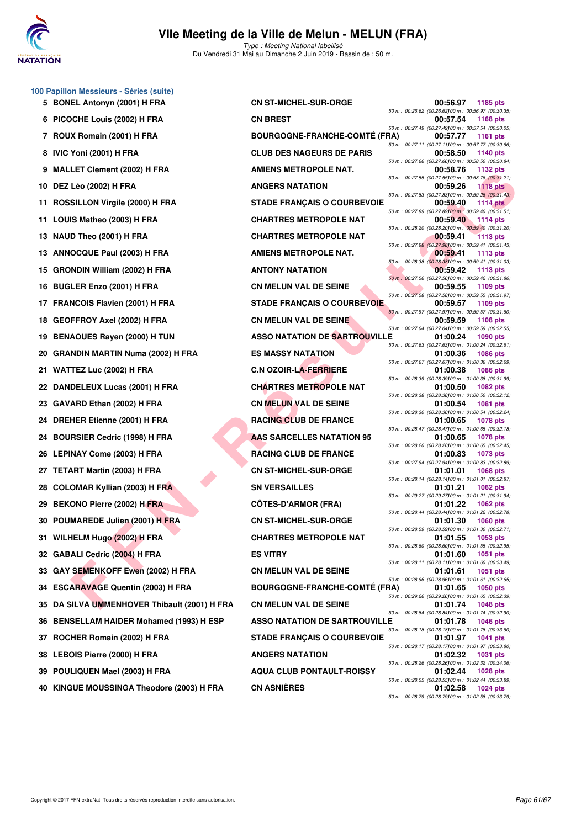

Type : Meeting National labellisé Du Vendredi 31 Mai au Dimanche 2 Juin 2019 - Bassin de : 50 m.

| 100 Papillon Messieurs - Séries (suite) |  |  |  |
|-----------------------------------------|--|--|--|
|-----------------------------------------|--|--|--|

- 
- 
- 
- 
- 
- 
- 
- 
- 
- 
- 
- 
- 
- 
- 
- 
- 
- 
- 
- 
- 
- 
- 
- 
- 
- 
- 
- 
- 
- 
- **35 DA SILVA UMMENHOVER Thibault (2001) H FRA CN MELUN VAL DE SEINE 01:01.74 1048 pts**
- **36 BENSELLAM HAIDER Mohamed (1993) H ESP**
- 
- 
- 
- **40 KINGUE MOUSSINGA Theodore (2003) H FRA CN ASNIÈRES 01:02.58 1024 pts**

LE THE THE READ (2003) H FRA ANIENES METROPOLE NAT<br>
SILLON Virgile (2009) H FRA STADE FRANÇAIS O COURIEVOIR COMERNATION<br>
SILLON Virgile (2009) H FRA CHATTERS METROPOLE NAT<br>
SILLON Virgile (2009) H FRA CHATTERS METROPOLE N **5 BONEL Antonyn (2001) H FRA CN ST-MICHEL-SUR-ORGE 00:56.97 1185 pts 6 PICOCHE Louis (2002) H FRA CN BREST 00:57.54 1168 pts 7 ROUX Romain (2001) H FRA BOURGOGNE-FRANCHE-COMTÉ (FRA) 00:57.77 1161 pts** 8 IVIC Yoni (2001) H FRA **CLUB DES NAGEURS DE PARIS 9 MALLET Clement (2002) H FRA AMIENS METROPOLE NAT. 00:58.76 1132 pts 10 DEZ Léo (2002) H FRA ANGERS NATATION 00:59.26 1118 pts** 11 ROSSILLON Virgile (2000) H FRA STADE FRANÇAIS O COURBEVOIE **11 LOUIS Matheo (2003) H FRA CHARTRES METROPOLE NAT 00:59.40 1114 pts 13 NAUD Theo (2001) H FRA CHARTRES METROPOLE NAT 00:59.41** 1113 pts **13 ANNOCQUE Paul (2003) H FRA AMIENS METROPOLE NAT.** 00:59.41 **1113** pts **15 GRONDIN William (2002) H FRA ANTONY NATATION 60:59.42 1113 pts 16 BUGLER Enzo (2001) H FRA CN MELUN VAL DE SEINE 00:59.55 1109 pts 17 FRANCOIS Flavien (2001) H FRA STADE FRANÇAIS O COURBEVOIE 00:59.57 1109 pts 18 GEOFFROY Axel (2002) H FRA CN MELUN VAL DE SEINE 60:59.59 PTS 19 BENAOUES Rayen (2000) H TUN ASSO NATATION DE SARTROUVILLE 01:00.24 1090 pts 20 GRANDIN MARTIN Numa (2002) H FRA ES MASSY NATATION 01:00.36 1086 pts 21 WATTEZ Luc (2002) H FRA C.N OZOIR-LA-FERRIERE 01:00.38 1086 pts 22 DANDELEUX Lucas (2001) H FRA CHARTRES METROPOLE NAT 01:00.50 1082 pts 23 GAVARD Ethan (2002) H FRA CN MELUN VAL DE SEINE 01:00.54 1081 pts 24 DREHER Etienne (2001) H FRA RACING CLUB DE FRANCE 01:00.65 1078 pts 24 BOURSIER Cedric (1998) H FRA AAS SARCELLES NATATION 95 01:00.65 1078 pts 26 LEPINAY Come (2003) H FRA RACING CLUB DE FRANCE 01:00.83 1073 pts 27 TETART Martin (2003) H FRA CN ST-MICHEL-SUR-ORGE 01:01.01 1068 pts 28 COLOMAR Kyllian (2003) H FRA SN VERSAILLES 01:01.21 1062 pts 29 BEKONO Pierre (2002) H FRA CÔTES-D'ARMOR (FRA) 01:01.22 1062 pts 30 POUMAREDE Julien (2001) H FRA CN ST-MICHEL-SUR-ORGE 01:01.30 1060 pts 31 WILHELM Hugo (2002) H FRA** CHARTRES METROPOLE NAT 01:01.55 1053 pts **32 GABALI Cedric (2004) H FRA ES VITRY 01:01.60 1051 pts 33 GAY SEMENKOFF Ewen (2002) H FRA CN MELUN VAL DE SEINE 01:01.61 1051 pts** 50 m: 00:28.96 (00:28.96)20 m: 00:28.96<br>BOURGOGNE-FRANCHE-COMTÉ (FRA) 01:01.65 1050 pts 34 ESCARAVAGE Quentin (2003) H FRA BOURGOGNE-FRANCHE-COMTÉ (FRA) 01:01.65 50 m: 00:28.84 (00:28.84)100 m: 01:01.74 (00:28.84)<br>ASSO NATATION DE SARTROUVILLE 01:01.78 1046 pts **37 ROCHER Romain (2002) H FRA STADE FRANÇAIS O COURBEVOIE 01:01.97 1041 pts 38 LEBOIS Pierre (2000) H FRA ANGERS NATATION 1:02.32 1031 pts 39 POULIQUEN Mael (2003) H FRA AQUA CLUB PONTAULT-ROISSY 01:02.44 1028 pts**

50 m : 00:26.62 (00:26.62)100 m : 00:56.97 (00:30.35) 50 m : 00:27.49 (00:27.49)00 m : 00:57.54 (00:30.05)<br> **RA 00:57.77** 1161 pts 50 m : 00:27.11 (00:27.11100 m : 00:57.77 (00:30.66)<br>**00:58.50** 1140 pts 50 m : 00:27.66 (00:27.66)100 m : 00:58.50 (00:30.84) 50 m : 00:27.55 (00:27.55)100 m : 00:58.76 (00:31.21) 50 m : 00:27.83 (00:27.83)00 m : 00:59.26 (00:31.43)<br>**00:59.40** 1114 pts 50 m : 00:27.89 (00:27.89)100 m : 00:59.40 (00:31.51) 50 m : 00:28.20 (00:28.20)100 m : 00:59.40 (00:31.20) 50 m : 00:27.98 (00:27.98)100 m : 00:59.41 (00:31.43) 50 m : 00:28.38 (00:28.38)100 m : 00:59.41 (00:31.03) 50 m : 00:27.56 (00:27.56)00 m : 00:59.42 (00:31.86)<br>**00:59.55 1109 pts** 50 m : 00:27.58 (00:27.58)100 m : 00:59.55 (00:31.97) 50 m : 00:27.97 (00:27.97)100 m : 00:59.57 (00:31.60) 50 m : 00:27.04 (00:27.04)100 m : 00:59.59 (00:32.55) 50 m : 00:27.63 (00:27.63)100 m : 01:00.24 (00:32.61) 50 m : 00:27.67 (00:27.67100 m : 01:00.36 (00:32.69)<br>**01:00.38** 1086 pts 50 m : 00:28.39 (00:28.39)100 m : 01:00.38 (00:31.99) 50 m : 00:28.38 (00:28.38)00 m : 01:00.50 (00:32.12)<br>**01:00.54** 1081 pts 50 m : 00:28.30 (00:28.30)100 m : 01:00.54 (00:32.24) 50 m : 00:28.47 (00:28.47)100 m : 01:00.65 (00:32.18) 50 m : 00:28.20 (00:28.20)100 m : 01:00.65 (00:32.45) 50 m : 00:27.94 (00:27.94)100 m : 01:00.83 (00:32.89) 50 m : 00:28.14 (00:28.14)100 m : 01:01.01 (00:32.87) 50 m : 00:29.27 (00:29.27)100 m : 01:01.21 (00:31.94) 50 m : 00:28.44 (00:28.44)100 m : 01:01.22 (00:32.78) 50 m : 00:28.59 (00:28.59)100 m : 01:01.30 (00:32.71) 50 m : 00:28.60 (00:28.60)100 m : 01:01.55 (00:32.95) 50 m : 00:28.11 (00:28.11)100 m : 01:01.60 (00:33.49) 50 m : 00:29.26 (00:29.26)100 m : 01:01.65 (00:32.39) 50 m : 00:28.18 (00:28.18)100 m : 01:01.78 (00:33.60) 50 m : 00:28.17 (00:28.17)100 m : 01:01.97 (00:33.80) 50 m : 00:28.26 (00:28.26)00 m : 01:02.32 (00:34.06)<br>**01:02.44** 1028 pts 50 m : 00:28.55 (00:28.55)00 m : 01:02.44 (00:33.89)<br>**01:02.58** 1024 pts 50 m : 00:28.79 (00:28.79)100 m : 01:02.58 (00:33.79)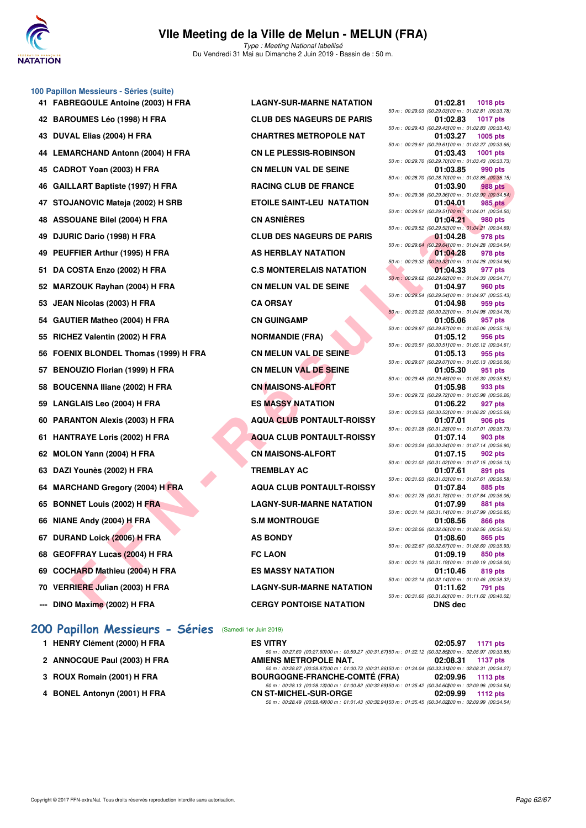

#### **100 Papillon Messieurs - Séries (suite)**

- 
- 
- 
- **44 LEMARCHAND Antonn (2004) H FRA CN LE PLESSIS-ROBINSON 01:03.43 1001 pts**
- 
- 
- 
- 
- 
- 
- 52 MARZOUK Rayhan (2004) H FRA **CN MELUN VAL DE SEINE**
- **53 JEAN Nicolas (2003) H FRA CA ORSAY 01:04.98 959 pts**
- 54 GAUTIER Matheo (2004) H FRA CN GUINGAMP
- 55 RICHEZ Valentin (2002) H FRA NORMANDIE (FRA)
- **56 FOENIX BLONDEL Thomas (1999) H FRA CN MELUN VAL DE SEINE**
- **57 BENOUZIO Florian (1999) H FRA CN MELUN VAL DE SEINE**
- **58 BOUCENNA Iliane (2002) H FRA CN MAISONS-ALFORT**
- **59 LANGLAIS Leo (2004) H FRA ES MASSY NATATION**
- 
- 
- **62 MOLON Yann (2004) H FRA CN MAISONS-ALFORT**
- **63 DAZI Younès (2002) H FRA TREMBLAY AC**
- **64 MARCHAND Gregory (2004) H FRA AQUA CLUB PONTAULT-ROISSY**
- 
- **66 NIANE Andy (2004) H FRA S.M MONTROUGE**
- **67 DURAND Loick (2006) H FRA AS BONDY**
- **68 GEOFFRAY Lucas (2004) H FRA FC LAON**
- **69 COCHARD Mathieu (2004) H FRA ES MASSY NATATION**
- 
- **--- DINO Maxime (2002) H FRA CERGY PONTOISE NATATION**

#### **[200 Papillon Messieurs - Séries](http://www.ffnatation.fr/webffn/resultats.php?idact=nat&go=epr&idcpt=57771&idepr=83)** (Samedi 1er Juin 2019)

- **1 HENRY Clément (2000) H FRA**
- 2 ANNOCQUE Paul (2003) H FRA
- **3 ROUX Romain (2001) H FRA**
- **4 BONEL Antonyn (2001) H FRA**

**41 FABREGOULE Antoine (2003) H FRA LAGNY-SUR-MARNE NATATION 01:02.81 1018 pts 42 BAROUMES Léo (1998) H FRA CLUB DES NAGEURS DE PARIS 01:02.83 1017 pts 43 DUVAL Elias (2004) H FRA CHARTRES METROPOLE NAT 01:03.27 1005 pts** 45 CADROT Yoan (2003) H FRA CN MELUN VAL DE SEINE **46 GAILLART Baptiste (1997) H FRA RACING CLUB DE FRANCE 47 STOJANOVIC Mateja (2002) H SRB ETOILE SAINT-LEU NATATION 01:04.01 985 pts 48 ASSOUANE Bilel (2004) H FRA CN ASNIÈRES 01:04.21 980 pts** 49 DJURIC Dario (1998) H FRA CLUB DES NAGEURS DE PARIS 49 PEUFFIER Arthur (1995) H FRA AS HERBLAY NATATION 51 DA COSTA Enzo (2002) H FRA **C.S MONTERELAIS NATATION 60 PARANTON Alexis (2003) H FRA AQUA CLUB PONTAULT-ROISSY 61 HANTRAYE Loris (2002) H FRA AQUA CLUB PONTAULT-ROISSY 65 BONNET Louis (2002) H FRA LAGNY-SUR-MARNE NATATION 70 VERRIERE Julian (2003) H FRA LAGNY-SUR-MARNE NATATION 01:11.62 791 pts**

| <b>REGOULE Antoine (2003) H FRA</b> | <b>LAGNY-SUR-MARNE NATATION</b>  | 01:02.81<br><b>1018 pts</b>                                                          |
|-------------------------------------|----------------------------------|--------------------------------------------------------------------------------------|
| OUMES Léo (1998) H FRA              | <b>CLUB DES NAGEURS DE PARIS</b> | 50 m : 00:29.03 (00:29.03) 00 m : 01:02.81 (00:33.78)<br>01:02.83<br><b>1017 pts</b> |
| AL Elias (2004) H FRA               | <b>CHARTRES METROPOLE NAT</b>    | 50 m : 00:29.43 (00:29.43) 00 m : 01:02.83 (00:33.40)<br>01:03.27<br>$1005$ pts      |
| <b>ARCHAND Antonn (2004) H FRA</b>  | <b>CN LE PLESSIS-ROBINSON</b>    | 50 m : 00:29.61 (00:29.61100 m : 01:03.27 (00:33.66)<br>01:03.43                     |
|                                     |                                  | <b>1001 pts</b><br>50 m : 00:29.70 (00:29.70) 00 m : 01:03.43 (00:33.73)             |
| ROT Yoan (2003) H FRA               | <b>CN MELUN VAL DE SEINE</b>     | 990 pts<br>01:03.85<br>50 m : 00:28.70 (00:28.70) 00 m : 01:03.85 (00:35.15)         |
| LART Baptiste (1997) H FRA          | <b>RACING CLUB DE FRANCE</b>     | <b>988 pts</b><br>01:03.90                                                           |
| JANOVIC Mateja (2002) H SRB         | <b>ETOILE SAINT-LEU NATATION</b> | 50 m : 00:29.36 (00:29.36) 00 m : 01:03.90 (00:34.54)<br>01:04.01<br>985 pts         |
| <b>OUANE Bilel (2004) H FRA</b>     | <b>CN ASNIÈRES</b>               | 50 m : 00:29.51 (00:29.51100 m : 01:04.01 (00:34.50)<br>01:04.21<br>980 pts          |
| RIC Dario (1998) H FRA              | <b>CLUB DES NAGEURS DE PARIS</b> | 50 m : 00:29.52 (00:29.52) 00 m : 01:04.21 (00:34.69)<br>01:04.28<br>978 pts         |
| FFIER Arthur (1995) H FRA           | AS HERBLAY NATATION              | 50 m : 00:29.64 (00:29.64100 m : 01:04.28 (00:34.64)<br>01:04.28<br>978 pts          |
|                                     |                                  | 50 m : 00:29.32 (00:29.32) 00 m : 01:04.28 (00:34.96)                                |
| <b>COSTA Enzo (2002) H FRA</b>      | <b>C.S MONTERELAIS NATATION</b>  | 01:04.33<br>977 pts<br>50 m : 00:29.62 (00:29.62) 00 m : 01:04.33 (00:34.71)         |
| <b>ZOUK Rayhan (2004) H FRA</b>     | <b>CN MELUN VAL DE SEINE</b>     | 01:04.97<br>960 pts                                                                  |
| <b>N Nicolas (2003) H FRA</b>       | <b>CA ORSAY</b>                  | 50 m : 00:29.54 (00:29.54) 00 m : 01:04.97 (00:35.43)<br>01:04.98<br>959 pts         |
|                                     | <b>CN GUINGAMP</b>               | 50 m : 00:30.22 (00:30.22) 00 m : 01:04.98 (00:34.76)                                |
| TIER Matheo (2004) H FRA            |                                  | 01:05.06<br>957 pts<br>50 m : 00:29.87 (00:29.87) 00 m : 01:05.06 (00:35.19)         |
| IEZ Valentin (2002) H FRA           | <b>NORMANDIE (FRA)</b>           | 01:05.12<br>956 pts                                                                  |
| NIX BLONDEL Thomas (1999) H FRA     | <b>CN MELUN VAL DE SEINE</b>     | 50 m: 00:30.51 (00:30.51100 m: 01:05.12 (00:34.61)<br>01:05.13<br>955 pts            |
| OUZIO Florian (1999) H FRA          | CN MELUN VAL DE SEINE            | 50 m : 00:29.07 (00:29.07) 00 m : 01:05.13 (00:36.06)<br>01:05.30<br>951 pts         |
|                                     |                                  | 50 m : 00:29.48 (00:29.48) 00 m : 01:05.30 (00:35.82)                                |
| CENNA Iliane (2002) H FRA           | <b>CN MAISONS-ALFORT</b>         | 01:05.98<br>933 pts<br>50 m : 00:29.72 (00:29.72) 00 m : 01:05.98 (00:36.26)         |
| <b>GLAIS Leo (2004) H FRA</b>       | <b>ES MASSY NATATION</b>         | 01:06.22<br>927 pts                                                                  |
| ANTON Alexis (2003) H FRA           | <b>AQUA CLUB PONTAULT-ROISSY</b> | 50 m : 00:30.53 (00:30.53) 00 m : 01:06.22 (00:35.69)<br>01:07.01<br>906 pts         |
| TRAYE Loris (2002) H FRA            | <b>AQUA CLUB PONTAULT-ROISSY</b> | 50 m: 00:31.28 (00:31.28)00 m: 01:07.01 (00:35.73)<br>01:07.14<br>903 pts            |
|                                     |                                  | 50 m : 00:30.24 (00:30.24)00 m : 01:07.14 (00:36.90)                                 |
| ON Yann (2004) H FRA                | <b>CN MAISONS-ALFORT</b>         | 01:07.15<br>902 pts<br>50 m : 00:31.02 (00:31.02) 00 m : 01:07.15 (00:36.13)         |
| l Younès (2002) H FRA               | <b>TREMBLAY AC</b>               | 01:07.61<br>891 pts                                                                  |
| <b>CHAND Gregory (2004) H FRA</b>   | <b>AQUA CLUB PONTAULT-ROISSY</b> | 50 m : 00:31.03 (00:31.03) 00 m : 01:07.61 (00:36.58)<br>01:07.84<br>885 pts         |
|                                     |                                  | 50 m : 00:31.78 (00:31.78) 00 m : 01:07.84 (00:36.06)                                |
| <b>NET Louis (2002) H FRA</b>       | <b>LAGNY-SUR-MARNE NATATION</b>  | 01:07.99<br>881 pts<br>50 m: 00:31.14 (00:31.14)00 m: 01:07.99 (00:36.85)            |
| IE Andy (2004) <u>H</u> FRA         | <b>S.M MONTROUGE</b>             | 01:08.56<br>866 pts                                                                  |
| AND Loick (2006) H FRA              | <b>AS BONDY</b>                  | 50 m : 00:32.06 (00:32.06) 00 m : 01:08.56 (00:36.50)<br>01:08.60<br>865 pts         |
| FFRAY Lucas (2004) H FRA            | <b>FC LAON</b>                   | 50 m : 00:32.67 (00:32.67) 00 m : 01:08.60 (00:35.93)<br>01:09.19<br>850 pts         |
| HARD Mathieu (2004) H FRA           | <b>ES MASSY NATATION</b>         | 50 m: 00:31.19 (00:31.19)00 m: 01:09.19 (00:38.00)<br>01:10.46<br>819 pts            |
| RIERE Julian (2003) H FRA           | <b>LAGNY-SUR-MARNE NATATION</b>  | 50 m : 00:32.14 (00:32.14)00 m : 01:10.46 (00:38.32)<br>01:11.62<br>791 pts          |
|                                     |                                  | 50 m : 00:31.60 (00:31.60) 00 m : 01:11.62 (00:40.02)                                |
| ) Maxime (2002) H FRA               | <b>CERGY PONTOISE NATATION</b>   | <b>DNS</b> dec                                                                       |

| <b>ES VITRY</b>                                                                                            | 02:05.97 1171 pts |
|------------------------------------------------------------------------------------------------------------|-------------------|
| 50 m : 00:27.60 (00:27.60100 m : 00:59.27 (00:31.67150 m : 01:32.12 (00:32.85200 m : 02:05.97 (00:33.85)   |                   |
| <b>AMIENS METROPOLE NAT.</b>                                                                               | 02:08.31 1137 pts |
| 50 m: 00:28.87 (00:28.87100 m: 01:00.73 (00:31.86) 50 m: 01:34.04 (00:33.31200 m: 02:08.31 (00:34.27)      |                   |
| <b>BOURGOGNE-FRANCHE-COMTÉ (FRA)</b>                                                                       | 02:09.96 1113 pts |
| 50 m : 00:28.13 (00:28.13) 00 m : 01:00.82 (00:32.69) 50 m : 01:35.42 (00:34.60200 m : 02:09.96 (00:34.54) |                   |
| <b>CN ST-MICHEL-SUR-ORGE</b>                                                                               | 02:09.99 1112 pts |
| 50 m: 00:28.49 (00:28.49) 00 m: 01:01.43 (00:32.94) 50 m: 01:35.45 (00:34.02200 m: 02:09.99 (00:34.54)     |                   |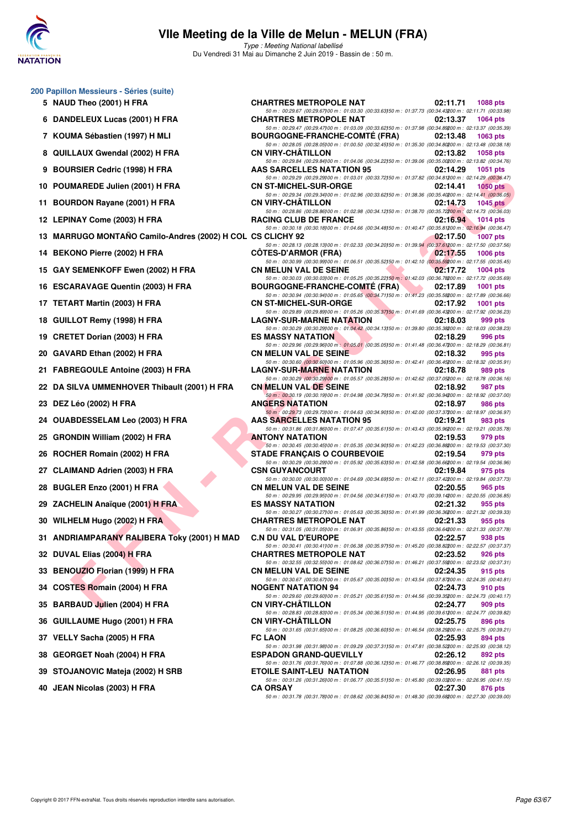

**200 Papillon Messieurs - Séries (suite)**

# **VIIe Meeting de la Ville de Melun - MELUN (FRA)**

Type : Meeting National labellisé Du Vendredi 31 Mai au Dimanche 2 Juin 2019 - Bassin de : 50 m.

|    | 5 NAUD Theo (2001) H FRA                                   | <b>CHARTRES METROPOLE NAT</b>                                                                                                                                                                                                                             | 02:11.71<br>1088 pts        |
|----|------------------------------------------------------------|-----------------------------------------------------------------------------------------------------------------------------------------------------------------------------------------------------------------------------------------------------------|-----------------------------|
|    | 6 DANDELEUX Lucas (2001) H FRA                             | 50 m : 00:29.67 (00:29.67) 00 m : 01:03.30 (00:33.63) 50 m : 01:37.73 (00:34.43200 m : 02:11.71 (00:33.98)<br><b>CHARTRES METROPOLE NAT</b><br>50 m : 00:29.47 (00:29.47) 00 m : 01:03.09 (00:33.62) 50 m : 01:37.98 (00:34.89200 m : 02:13.37 (00:35.39) | 02:13.37<br>1064 $pts$      |
|    | 7 KOUMA Sébastien (1997) H MLI                             | <b>BOURGOGNE-FRANCHE-COMTE (FRA)</b>                                                                                                                                                                                                                      | 02:13.48<br>1063 pts        |
| 8  | QUILLAUX Gwendal (2002) H FRA                              | 50 m : 00:28.05 (00:28.05)00 m : 01:00.50 (00:32.45)50 m : 01:35.30 (00:34.80200 m : 02:13.48 (00:38.18)<br><b>CN VIRY-CHATILLON</b>                                                                                                                      | 02:13.82<br>1058 pts        |
| 9  | <b>BOURSIER Cedric (1998) H FRA</b>                        | 50 m : 00:29.84 (00:29.84) 00 m : 01:04.06 (00:34.22) 50 m : 01:39.06 (00:35.00200 m : 02:13.82 (00:34.76)<br><b>AAS SARCELLES NATATION 95</b>                                                                                                            | 02:14.29<br>1051 pts        |
| 10 | POUMAREDE Julien (2001) H FRA                              | 50 m : 00:29.29 (00:29.29) 00 m : 01:03.01 (00:33.72) 50 m : 01:37.82 (00:34.81200 m : 02:14.29 (00:36.47)<br><b>CN ST-MICHEL-SUR-ORGE</b>                                                                                                                | 02:14.41<br>1050 pts        |
| 11 | <b>BOURDON Rayane (2001) H FRA</b>                         | 50 m : 00:29.34 (00:29.34) 00 m : 01:02.96 (00:33.62) 50 m : 01:38.36 (00:35.40200 m : 02:14.41 (00:36.05)<br><b>CN VIRY-CHATILLON</b>                                                                                                                    | 02:14.73<br>1045 $pts$      |
|    | 12 LEPINAY Come (2003) H FRA                               | 50 m : 00:28.86 (00:28.86) 00 m : 01:02.98 (00:34.12) 50 m : 01:38.70 (00:35.72200 m : 02:14.73 (00:36.03)<br><b>RACING CLUB DE FRANCE</b>                                                                                                                | 02:16.94<br>1014 $pts$      |
|    | 13 MARRUGO MONTAÑO Camilo-Andres (2002) H COL CS CLICHY 92 | 50 m : 00:30.18 (00:30.18) 00 m : 01:04.66 (00:34.48) 50 m : 01:40.47 (00:35.81200 m : 02:16.94 (00:36.47)                                                                                                                                                | 02:17.50<br><b>1007 pts</b> |
|    | 14 BEKONO Pierre (2002) H FRA                              | 50 m : 00:28.13 (00:28.13) 00 m : 01:02.33 (00:34.20) 50 m : 01:39.94 (00:37.61200 m : 02:17.50 (00:37.56)<br><b>COTES-D'ARMOR (FRA)</b>                                                                                                                  | 02:17.55<br>1006 pts        |
|    | 15 GAY SEMENKOFF Ewen (2002) H FRA                         | 50 m : 00:30.99 (00:30.99)00 m : 01:06.51 (00:35.52)50 m : 01:42.10 (00:35.59200 m : 02:17.55 (00:35.45)<br><b>CN MELUN VAL DE SEINE</b>                                                                                                                  | 02:17.72<br>1004 pts        |
|    | 16 ESCARAVAGE Quentin (2003) H FRA                         | 50 m : 00:30.03 (00:30.03) 00 m : 01:05.25 (00:35.22) 50 m : 01:42.03 (00:36.78200 m : 02:17.72 (00:35.69)<br><b>BOURGOGNE-FRANCHE-COMTÉ (FRA)</b>                                                                                                        | 02:17.89<br>1001 pts        |
|    | 17 TETART Martin (2003) H FRA                              | 50 m : 00:30.94 (00:30.94)00 m : 01:05.65 (00:34.71)50 m : 01:41.23 (00:35.58200 m : 02:17.89 (00:36.66)<br><b>CN ST-MICHEL-SUR-ORGE</b>                                                                                                                  | 02:17.92<br>1001 pts        |
| 18 | GUILLOT Remy (1998) H FRA                                  | 50 m : 00:29.89 (00:29.89)00 m : 01:05.26 (00:35.37)50 m : 01:41.69 (00:36.43200 m : 02:17.92 (00:36.23)<br><b>LAGNY-SUR-MARNE NATATION</b>                                                                                                               | 02:18.03<br>999 pts         |
| 19 | <b>CRETET Dorian (2003) H FRA</b>                          | 50 m : 00:30.29 (00:30.29)00 m : 01:04.42 (00:34.13)50 m : 01:39.80 (00:35.38200 m : 02:18.03 (00:38.23)<br><b>ES MASSY NATATION</b>                                                                                                                      | 02:18.29<br>996 pts         |
| 20 | GAVARD Ethan (2002) H FRA                                  | 50 m : 00:29.96 (00:29.96) 00 m : 01:05.01 (00:35.05) 50 m : 01:41.48 (00:36.47200 m : 02:18.29 (00:36.81)<br><b>CN MELUN VAL DE SEINE</b>                                                                                                                | 02:18.32<br>995 pts         |
|    | 21 FABREGOULE Antoine (2003) H FRA                         | 50 m : 00:30.60 (00:30.60) 00 m : 01:05.96 (00:35.36) 50 m : 01:42.41 (00:36.45200 m : 02:18.32 (00:35.91)<br><b>LAGNY-SUR-MARNE NATATION</b>                                                                                                             | 02:18.78<br>989 pts         |
|    | 22 DA SILVA UMMENHOVER Thibault (2001) H FRA               | 50 m : 00:30.29 (00:30.29) 00 m : 01:05.57 (00:35.28) 50 m : 01:42.62 (00:37.05200 m : 02:18.78 (00:36.16)<br><b>CN MELUN VAL DE SEINE</b>                                                                                                                | 987 pts<br>02:18.92         |
| 23 | <b>DEZ Léo (2002) H FRA</b>                                | 50 m : 00:30.19 (00:30.19) 00 m : 01:04.98 (00:34.79) 50 m : 01:41.92 (00:36.94200 m : 02:18.92 (00:37.00)<br><b>ANGERS NATATION</b>                                                                                                                      | 02:18.97<br>986 pts         |
|    | 24 OUABDESSELAM Leo (2003) H FRA                           | 50 m : 00:29.73 (00:29.73)00 m : 01:04.63 (00:34.90)50 m : 01:42.00 (00:37.37200 m : 02:18.97 (00:36.97)<br><b>AAS SARCELLES NATATION 95</b>                                                                                                              | 02:19.21<br>983 pts         |
| 25 | <b>GRONDIN William (2002) H FRA</b>                        | 50 m : 00:31.86 (00:31.86) 00 m : 01:07.47 (00:35.61) 50 m : 01:43.43 (00:35.96200 m : 02:19.21 (00:35.78)<br><b>ANTONY NATATION</b>                                                                                                                      | 02:19.53<br>979 pts         |
| 26 | ROCHER Romain (2002) H FRA                                 | 50 m : 00:30.45 (00:30.45)00 m : 01:05.35 (00:34.90)50 m : 01:42.23 (00:36.88200 m : 02:19.53 (00:37.30)<br><b>STADE FRANÇAIS O COURBEVOIE</b>                                                                                                            | 02:19.54<br>979 pts         |
|    | <b>CLAIMAND Adrien (2003) H FRA</b>                        | 50 m : 00:30.29 (00:30.29) 00 m : 01:05.92 (00:35.63) 50 m : 01:42.58 (00:36.66200 m : 02:19.54 (00:36.96)<br><b>CSN GUYANCOURT</b>                                                                                                                       | 02:19.84<br>975 pts         |
| 28 | <b>BUGLER Enzo (2001) H FRA</b>                            | 50 m : 00:30.00 (00:30.00) 00 m : 01:04.69 (00:34.69) 50 m : 01:42.11 (00:37.42200 m : 02:19.84 (00:37.73)<br><b>CN MELUN VAL DE SEINE</b>                                                                                                                | 02:20.55<br>965 pts         |
|    | 29 ZACHELIN Anaïque (2001) H FRA                           | 50 m : 00:29.95 (00:29.95)00 m : 01:04.56 (00:34.61)50 m : 01:43.70 (00:39.14200 m : 02:20.55 (00:36.85)<br><b>ES MASSY NATATION</b>                                                                                                                      | 02:21.32<br>955 pts         |
|    | 30 WILHELM Hugo (2002) H FRA                               | 50 m : 00:30.27 (00:30.27)00 m : 01:05.63 (00:35.36)50 m : 01:41.99 (00:36.36200 m : 02:21.32 (00:39.33)<br><b>CHARTRES METROPOLE NAT</b>                                                                                                                 | 02:21.33<br>955 pts         |
|    | 31 ANDRIAMPARANY RALIBERA Toky (2001) H MAD                | 50 m : 00:31.05 (00:31.05) 00 m : 01:06.91 (00:35.86) 50 m : 01:43.55 (00:36.64200 m : 02:21.33 (00:37.78)<br>C.N DU VAL D'EUROPE 02:22.57 938 pts                                                                                                        |                             |
|    | 32 DUVAL Elias (2004) H FRA                                | 50 m : 00:30.41 (00:30.41) 00 m : 01:06.38 (00:35.97) 50 m : 01:45.20 (00:38.82200 m : 02:22.57 (00:37.37)<br><b>CHARTRES METROPOLE NAT</b>                                                                                                               | 02:23.52<br>926 pts         |
|    | 33 BENOUZIO Florian (1999) H FRA                           | 50 m : 00:32.55 (00:32.55)00 m : 01:08.62 (00:36.07)50 m : 01:46.21 (00:37.59200 m : 02:23.52 (00:37.31)<br><b>CN MELUN VAL DE SEINE</b>                                                                                                                  | 02:24.35<br>915 pts         |
|    | 34 COSTES Romain (2004) H FRA                              | 50 m : 00:30.67 (00:30.67) 00 m : 01:05.67 (00:35.00) 50 m : 01:43.54 (00:37.87200 m : 02:24.35 (00:40.81)<br><b>NOGENT NATATION 94</b>                                                                                                                   | 02:24.73<br>910 pts         |
| 35 | <b>BARBAUD Julien (2004) H FRA</b>                         | 50 m : 00:29.60 (00:29.60) 00 m : 01:05.21 (00:35.61) 50 m : 01:44.56 (00:39.35200 m : 02:24.73 (00:40.17)<br>CN VIRY-CHATILLON                                                                                                                           | 02:24.77<br>909 pts         |
| 36 | <b>GUILLAUME Hugo (2001) H FRA</b>                         | 50 m : 00:28.83 (00:28.83) 00 m : 01:05.34 (00:36.51) 50 m : 01:44.95 (00:39.61200 m : 02:24.77 (00:39.82)<br><b>CN VIRY-CHATILLON</b>                                                                                                                    | 02:25.75<br>896 pts         |
|    | 37 VELLY Sacha (2005) H FRA                                | 50 m : 00:31.65 (00:31.65)00 m : 01:08.25 (00:36.60)50 m : 01:46.54 (00:38.29200 m : 02:25.75 (00:39.21)<br><b>FC LAON</b>                                                                                                                                | 02:25.93<br>894 pts         |
| 38 | <b>GEORGET Noah (2004) H FRA</b>                           | 50 m : 00:31.98 (00:31.98)00 m : 01:09.29 (00:37.31)50 m : 01:47.81 (00:38.52200 m : 02:25.93 (00:38.12)<br><b>ESPADON GRAND-QUEVILLY</b>                                                                                                                 | 02:26.12<br>892 pts         |
|    | 39 STOJANOVIC Mateja (2002) H SRB                          | 50 m : 00:31.76 (00:31.76) 00 m : 01:07.88 (00:36.12) 50 m : 01:46.77 (00:38.89200 m : 02:26.12 (00:39.35)<br><b>ETOILE SAINT-LEU NATATION</b>                                                                                                            | 02:26.95<br>881 pts         |
|    | 40 JEAN Nicolas (2003) H FRA                               | 50 m : 00:31.26 (00:31.26) 00 m : 01:06.77 (00:35.51) 50 m : 01:45.80 (00:39.03200 m : 02:26.95 (00:41.15)<br><b>CA ORSAY</b>                                                                                                                             | 02:27.30<br>876 pts         |
|    |                                                            | 50 m: 00:31.78 (00:31.78) 00 m: 01:08.62 (00:36.84) 50 m: 01:48.30 (00:39.68200 m: 02:27.30 (00:39.00)                                                                                                                                                    |                             |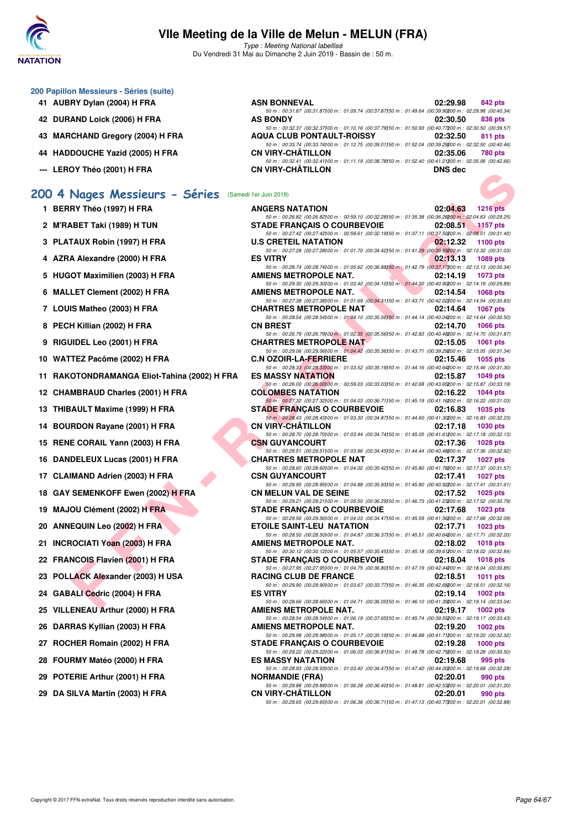

Type : Meeting National labellisé Du Vendredi 31 Mai au Dimanche 2 Juin 2019 - Bassin de : 50 m.

| 200 Papillon Messieurs - Séries (suite) |  |  |  |
|-----------------------------------------|--|--|--|
|-----------------------------------------|--|--|--|

- **41 AUBRY Dylan (2004) H FRA**
- **42 DURAND Loick (2006) H FRA**
- **43 MARCHAND Gregory (2004) H FRA**
- **44 HADDOUCHE Yazid (2005) H FRA**
- **--- LEROY Théo (2001) H FRA**

## **[200 4 Nages Messieurs - Séries](http://www.ffnatation.fr/webffn/resultats.php?idact=nat&go=epr&idcpt=57771&idepr=91)** (Samedi 1er Juin 2019)

- **1 BERRY Théo (1997) H FRA**
- **2 M'RABET Taki (1989) H TUN**
- **3 PLATAUX Robin (1997) H FRA**
- **4 AZRA Alexandre (2000) H FRA**
- 5 HUGOT Maximilien (2003) H FRA
- **6 MALLET Clement (2002) H FRA**
- **7 LOUIS Matheo (2003) H FRA CHARTRES METROPOLE NAT 02:14.64 1067 pts**
- **8 PECH Killian (2002) H FRA**
- **9 RIGUIDEL Leo (2001) H FRA**
- **10 WATTEZ Pacôme (2002) H FRA**
- 11 RAKOTONDRAMANGA Eliot-Tahina (2002) H FRA
- **12 CHAMBRAUD Charles (2001) H FRA**
- **13 THIBAULT Maxime (1999) H FRA**
- 14 BOURDON Rayane (2001) H FRA
- 15 RENE CORAIL Yann (2003) H FRA
- **16 DANDELEUX Lucas (2001) H FRA**
- 17 CLAIMAND Adrien (2003) H FRA
- **18 GAY SEMENKOFF Ewen (2002) H FRA**
- 19 MAJOU Clément (2002) H FRA
- **20 ANNEQUIN Leo (2002) H FRA**
- 21 **INCROCIATI Yoan (2003) H FRA**
- 22 FRANCOIS Flavien (2001) H FRA
- 23 POLLACK Alexander (2003) H USA
- **24 GABALI Cedric (2004) H FRA**
- 25 VILLENEAU Arthur (2000) H FRA
- 26 DARRAS Kyllian (2003) H FRA
- 27 ROCHER Romain (2002) H FRA
- **28 FOURMY Matéo (2000) H FRA**
- 29 POTERIE Arthur (2001) H FRA
- 29 DA SILVA Martin (2003) **H FRA**

| ASN BONNEVAL                                                                                         | 02:29.98       | <b>842 pts</b> |
|------------------------------------------------------------------------------------------------------|----------------|----------------|
| 50 m: 00:31.87 (00:31.87100 m: 01:09.74 (00:37.87150 m: 01:49.64 (00:39.90200 m: 02:29.98 (00:40.34) |                |                |
| <b>AS BONDY</b>                                                                                      | 02:30.50       | 836 pts        |
| 50 m: 00:32.37 (00:32.37100 m: 01:10.16 (00:37.79150 m: 01:50.93 (00:40.77200 m: 02:30.50 (00:39.57) |                |                |
| <b>AQUA CLUB PONTAULT-ROISSY</b>                                                                     | 02:32.50       | 811 pts        |
| 50 m: 00:33.74 (00:33.74100 m: 01:12.75 (00:39.01150 m: 01:52.04 (00:39.29200 m: 02:32.50 (00:40.46) |                |                |
| CN VIRY-CHÂTILLON                                                                                    | 02:35.06       | <b>780 pts</b> |
| 50 m: 00:32.41 (00:32.41100 m: 01:11.19 (00:38.78150 m: 01:52.40 (00:41.21200 m: 02:35.06 (00:42.66) |                |                |
| CN VIRY-CHÂTILLON                                                                                    | <b>DNS</b> dec |                |
|                                                                                                      |                |                |

| <u>ם ווופט (</u> בעטון וורא                     | <b>UN VIRT-UIMILLUN</b>                                                                                                                          | <b>DIAS AGC</b>                            |
|-------------------------------------------------|--------------------------------------------------------------------------------------------------------------------------------------------------|--------------------------------------------|
| Nages Messieurs - Séries (Samedi 1er Juin 2019) |                                                                                                                                                  |                                            |
| RY Théo (1997) H FRA                            | <b>ANGERS NATATION</b>                                                                                                                           | 02:04.63<br><b>1216 pts</b>                |
| <b>\BET Taki (1989) H TUN</b>                   | 50 m : 00:26.82 (00:26.82)00 m : 00:59.10 (00:32.28)50 m : 01:35.38 (00:36.28200 m : 02:04.63 (00:29.25)<br><b>STADE FRANCAIS O COURBEVOIE</b>   | 02:08.51                                   |
|                                                 | 50 m : 00:27.42 (00:27.42) 00 m : 00:59.61 (00:32.19) 50 m : 01:37.11 (00:37.50200 m : 02:08.51 (00:31.40)                                       | <b>1157 pts</b>                            |
| TAUX Robin (1997) H FRA                         | <b>U.S CRETEIL NATATION</b>                                                                                                                      | 02:12.32<br>1100 pts                       |
| A Alexandre (2000) H FRA                        | 50 m : 00:27.28 (00:27.28)00 m : 01:01.70 (00:34.42)50 m : 01:41.29 (00:39.59200 m : 02:12.32 (00:31.03)<br><b>ES VITRY</b>                      | 02:13.13<br>1089 pts                       |
| OT Maximilien (2003) H FRA                      | 50 m : 00:28.74 (00:28.74)00 m : 01:05.62 (00:36.88)50 m : 01:42.79 (00:37.17200 m : 02:13.13 (00:30.34)<br>AMIENS METROPOLE NAT.                | 02:14.19<br>1073 pts                       |
|                                                 | 50 m : 00:29.30 (00:29.30) 00 m : 01:03.40 (00:34.10) 50 m : 01:44.30 (00:40.90200 m : 02:14.19 (00:29.89)                                       |                                            |
| LET Clement (2002) H FRA                        | <b>AMIENS METROPOLE NAT.</b><br>50 m : 00:27.38 (00:27.38)00 m : 01:01.69 (00:34.31)50 m : 01:43.71 (00:42.02200 m : 02:14.54 (00:30.83)         | <b>Card</b><br>02:14.54<br><b>1068 pts</b> |
| IS Matheo (2003) H FRA                          | <b>CHARTRES METROPOLE NAT</b>                                                                                                                    | 02:14.64<br><b>1067 pts</b>                |
| H Killian (2002) H FRA                          | 50 m : 00:28.54 (00:28.54)00 m : 01:04.10 (00:35.56)50 m : 01:44.14 (00:40.04200 m : 02:14.64 (00:30.50)<br><b>CN BREST</b>                      | 02:14.70<br><b>1066 pts</b>                |
|                                                 | 50 m : 00:26.79 (00:26.79) 00 m : 01:02.35 (00:35.56) 50 m : 01:42.83 (00:40.48200 m : 02:14.70 (00:31.87)                                       |                                            |
| JIDEL Leo (2001) H FRA                          | <b>CHARTRES METROPOLE NAT</b><br>50 m : 00:29.06 (00:29.06) 00 m : 01:04.42 (00:35.36) 50 m : 01:43.71 (00:39.29200 m : 02:15.05 (00:31.34)      | 02:15.05<br><b>1061 pts</b>                |
| TEZ Pacôme (2002) H FRA                         | <b>C.N OZOIR-LA-FERRIERE</b>                                                                                                                     | 02:15.46<br>1055 pts                       |
|                                                 | 50 m : 00:28.33 (00:28.33) 00 m : 01:03.52 (00:35.19) 50 m : 01:44.16 (00:40.64200 m : 02:15.46 (00:31.30)                                       |                                            |
| OTONDRAMANGA Eliot-Tahina (2002) H FRA          | <b>ES MASSY NATATION</b><br>50 m : 00:26.00 (00:26.00100 m : 00:59.03 (00:33.03)50 m : 01:42.68 (00:43.65200 m : 02:15.87 (00:33.19)             | 02:15.87<br>1049 pts                       |
| MBRAUD Charles (2001) H FRA                     | <b>COLOMBES NATATION</b>                                                                                                                         | 02:16.22<br>$1044$ pts                     |
| AULT Maxime (1999) H FRA                        | 50 m : 00:27.32 (00:27.32) 00 m : 01:04.03 (00:36.71) 50 m : 01:45.19 (00:41.16200 m : 02:16.22 (00:31.03)<br><b>STADE FRANÇAIS O COURBEVOIE</b> | 02:16.83<br><b>1035 pts</b>                |
|                                                 | 50 m : 00:28.43 (00:28.43) 00 m : 01:03.30 (00:34.87) 50 m : 01:44.60 (00:41.30200 m : 02:16.83 (00:32.23)                                       |                                            |
| RDON Rayane (2001) H FRA                        | <b>CN VIRY-CHATILLON</b><br>50 m : 00:28.70 (00:28.70) 00 m : 01:03.44 (00:34.74) 50 m : 01:45.05 (00:41.61200 m : 02:17.18 (00:32.13)           | 02:17.18<br><b>1030 pts</b>                |
| E CORAIL Yann (2003) H FRA                      | <b>CSN GUYANCOURT</b>                                                                                                                            | 02:17.36<br><b>1028 pts</b>                |
| DELEUX Lucas (2001) H FRA                       | 50 m : 00:29.51 (00:29.51)00 m : 01:03.96 (00:34.45)50 m : 01:44.44 (00:40.48200 m : 02:17.36 (00:32.92)<br><b>CHARTRES METROPOLE NAT</b>        | 02:17.37<br>1027 pts                       |
|                                                 | 50 m : 00:28.60 (00:28.60) 00 m : 01:04.02 (00:35.42) 50 m : 01:45.80 (00:41.78200 m : 02:17.37 (00:31.57)                                       |                                            |
| IMAND Adrien (2003) H FRA                       | <b>CSN GUYANCOURT</b>                                                                                                                            | 02:17.41<br><b>1027 pts</b>                |
| SEMENKOFF Ewen (2002) H FRA                     | 50 m : 00:28.95 (00:28.95)00 m : 01:04.88 (00:35.93)50 m : 01:45.80 (00:40.92200 m : 02:17.41 (00:31.61)<br><b>CN MELUN VAL DE SEINE</b>         | 02:17.52<br><b>1025 pts</b>                |
|                                                 | 50 m : 00:29.21 (00:29.21)00 m : 01:05.50 (00:36.29)50 m : 01:46.73 (00:41.23200 m : 02:17.52 (00:30.79)                                         |                                            |
| OU Clément (2002) H FRA                         | <b>STADE FRANÇAIS O COURBEVOIE</b><br>50 m : 00:29.56 (00:29.56) 00 m : 01:04.03 (00:34.47) 50 m : 01:45.59 (00:41.56200 m : 02:17.68 (00:32.09) | 02:17.68<br>$1023$ pts                     |
| <b>EQUIN Leo (2002) H FRA</b>                   | <b>ETOILE SAINT-LEU NATATION</b>                                                                                                                 | 02:17.71<br>$1023$ pts                     |
| ROCIATI Yoan (2003) H FRA                       | 50 m : 00:28.50 (00:28.50) 00 m : 01:04.87 (00:36.37) 50 m : 01:45.51 (00:40.64200 m : 02:17.71 (00:32.20)<br>AMIENS METROPOLE NAT.              | 02:18.02<br><b>1018 pts</b>                |
|                                                 | 50 m : 00:30.12 (00:30.12)00 m : 01:05.57 (00:35.45)50 m : 01:45.18 (00:39.61200 m : 02:18.02 (00:32.84)                                         |                                            |
| NCOIS Flavien (2001) H FRA                      | <b>STADE FRANÇAIS O COURBEVOIE</b><br>50 m : 00:27.95 (00:27.95)00 m : 01:04.75 (00:36.80)50 m : 01:47.19 (00:42.44200 m : 02:18.04 (00:30.85)   | 02:18.04<br><b>1018 pts</b>                |
| LACK Alexander (2003) H USA                     | <b>RACING CLUB DE FRANCE</b>                                                                                                                     | 02:18.51<br>1011 pts                       |
|                                                 | 50 m : 00:29.90 (00:29.90)00 m : 01:03.67 (00:33.77)50 m : 01:46.35 (00:42.68200 m : 02:18.51 (00:32.16)                                         |                                            |
| ALI Cedric (2004) H FRA                         | <b>ES VITRY</b><br>50 m : 00:28.66 (00:28.66) 00 m : 01:04.71 (00:36.05) 50 m : 01:46.10 (00:41.39200 m : 02:19.14 (00:33.04)                    | 02:19.14<br>1002 pts                       |
| ENEAU Arthur (2000) H FRA                       | AMIENS METROPOLE NAT. 02:19.17 1002 pts                                                                                                          |                                            |
| RAS Kyllian (2003) H FRA                        | 50 m : 00:28.54 (00:28.54)00 m : 01:06.19 (00:37.65)50 m : 01:45.74 (00:39.55700 m : 02:19.17 (00:33.43)<br>AMIENS METROPOLE NAT.                | 02:19.20<br><b>1002 pts</b>                |
|                                                 | 50 m : 00:29.98 (00:29.98)00 m : 01:05.17 (00:35.19)50 m : 01:46.88 (00:41.71200 m : 02:19.20 (00:32.32)                                         |                                            |
| HER Romain (2002) H FRA                         | <b>STADE FRANCAIS O COURBEVOIE</b><br>50 m : 00:29.22 (00:29.22)00 m : 01:06.03 (00:36.81)50 m : 01:48.78 (00:42.75200 m : 02:19.28 (00:30.50)   | 02:19.28<br><b>1000 pts</b>                |
| RMY Matéo (2000) H FRA                          | <b>ES MASSY NATATION</b>                                                                                                                         | 02:19.68<br>995 pts                        |
| ERIE Arthur (2001) H FRA                        | 50 m : 00:28.93 (00:28.93) 00 m : 01:03.40 (00:34.47) 50 m : 01:47.40 (00:44.00200 m : 02:19.68 (00:32.28)<br><b>NORMANDIE (FRA)</b>             | 02:20.01<br>990 pts                        |
|                                                 | 50 m : 00:29.88 (00:29.88)00 m : 01:06.28 (00:36.40)50 m : 01:48.81 (00:42.53200 m : 02:20.01 (00:31.20)                                         |                                            |
| <b>SILVA Martin (2003) H FRA</b>                | <b>CN VIRY-CHATILLON</b><br>50 m : 00:29.65 (00:29.65) 00 m : 01:06.36 (00:36.71) 50 m : 01:47.13 (00:40.77200 m : 02:20.01 (00:32.88)           | 02:20.01<br>990 pts                        |
|                                                 |                                                                                                                                                  |                                            |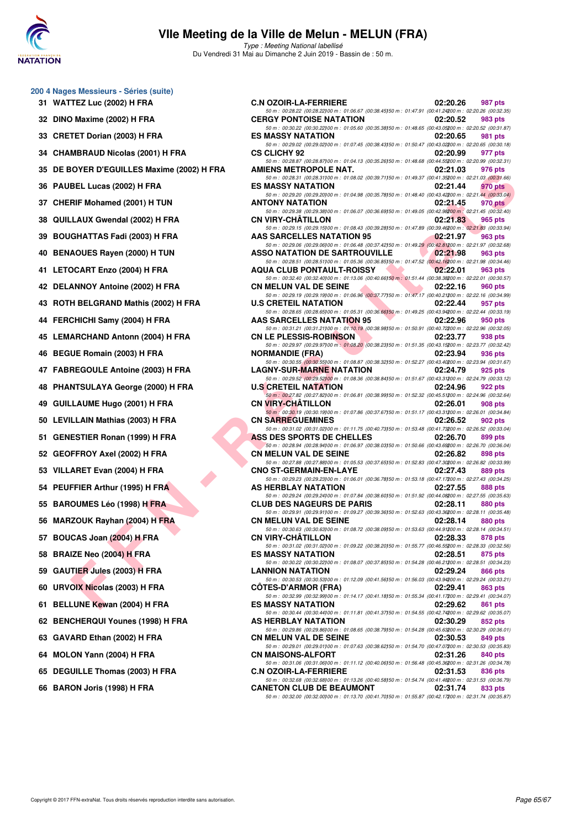

**200 4 Nages Messieurs - Séries (suite)**

# **VIIe Meeting de la Ville de Melun - MELUN (FRA)**

Type : Meeting National labellisé Du Vendredi 31 Mai au Dimanche 2 Juin 2019 - Bassin de : 50 m.

| 31 | <b>WATTEZ Luc (2002) H FRA</b>        |
|----|---------------------------------------|
| 32 | DINO Maxime (2002) H FRA              |
|    | 33 CRETET Dorian (2003) H FRA         |
|    | 34 CHAMBRAUD Nicolas (2001) H FRA     |
| 35 | DE BOYER D'EGUILLES Maxime (2002) H   |
| 36 | PAUBEL Lucas (2002) H FRA             |
| 37 | <b>CHERIF Mohamed (2001) H TUN</b>    |
| 38 | QUILLAUX Gwendal (2002) H FRA         |
|    | 39 BOUGHATTAS Fadi (2003) H FRA       |
| 40 | <b>BENAOUES Rayen (2000) H TUN</b>    |
| 41 | <b>LETOCART Enzo (2004) H FRA</b>     |
| 42 | <b>DELANNOY Antoine (2002) H FRA</b>  |
| 43 | ROTH BELGRAND Mathis (2002) H FRA     |
|    | 44 FERCHICHI Samy (2004) H FRA        |
| 45 | <b>LEMARCHAND Antonn (2004) H FRA</b> |
| 46 | BEGUE Romain (2003) H FRA             |
|    | 47 FABREGOULE Antoine (2003) H FRA    |
| 48 | PHANTSULAYA George (2000) H FRA       |
| 49 | <b>GUILLAUME Hugo (2001) H FRA</b>    |
| 50 | LEVILLAIN Mathias (2003) H FRA        |
| 51 | <b>GENESTIER Ronan (1999) H FRA</b>   |
|    | 52 GEOFFROY Axel (2002) H FRA         |
|    | 53 VILLARET Evan (2004) H FRA         |
| 54 | PEUFFIER Arthur (1995) H FRA          |
| 55 | <b>BAROUMES Léo (1998) H FRA</b>      |
| 56 | MARZOUK Rayhan (2004) H FRA           |
| 57 | BOUCAS Joan (2004) H FRA              |
| 58 | <b>BRAIZE Neo (2004) H FRA</b>        |
| 59 | <b>GAUTIER Jules (2003) H FRA</b>     |
| 60 | <b>URVOIX Nicolas (2003) H FRA</b>    |
| 61 | <b>BELLUNE Kewan (2004) H FRA</b>     |
| 62 | <b>BENCHERQUI Younes (1998) H FRA</b> |
| 63 | GAVARD Ethan (2002) H FRA             |
| 64 | MOLON Yann (2004) H FRA               |
| 65 | <b>DEGUILLE Thomas (2003) H FRA</b>   |
| 66 | BARON Joris (1998) H FRA              |

| 31 WATTEZ Luc (2002) H FRA                 | <b>C.N OZOIR-LA-FERRIERE</b>                                                                                                                                                                                                                                        | 02:20.26 | 987 pts        |
|--------------------------------------------|---------------------------------------------------------------------------------------------------------------------------------------------------------------------------------------------------------------------------------------------------------------------|----------|----------------|
| 32 DINO Maxime (2002) H FRA                | 50 m : 00:28.22 (00:28.22) 00 m : 01:06.67 (00:38.45) 50 m : 01:47.91 (00:41.24200 m : 02:20.26 (00:32.35)<br><b>CERGY PONTOISE NATATION</b><br>50 m : 00:30.22 (00:30.22)00 m : 01:05.60 (00:35.38)50 m : 01:48.65 (00:43.05200 m : 02:20.52 (00:31.87)            | 02:20.52 | 983 pts        |
| 33 CRETET Dorian (2003) H FRA              | <b>ES MASSY NATATION</b><br>50 m : 00:29.02 (00:29.02) 00 m : 01:07.45 (00:38.43) 50 m : 01:50.47 (00:43.02200 m : 02:20.65 (00:30.18)                                                                                                                              | 02:20.65 | 981 pts        |
| 34 CHAMBRAUD Nicolas (2001) H FRA          | <b>CS CLICHY 92</b>                                                                                                                                                                                                                                                 | 02:20.99 | 977 pts        |
| 35 DE BOYER D'EGUILLES Maxime (2002) H FRA | 50 m : 00:28.87 (00:28.87) 00 m : 01:04.13 (00:35.26) 50 m : 01:48.68 (00:44.55200 m : 02:20.99 (00:32.31)<br>AMIENS METROPOLE NAT.<br>50 m : 00:28.31 (00:28.31) 00 m : 01:08.02 (00:39.71) 50 m : 01:49.37 (00:41.35200 m : 02:21.03 (00:31.66)                   | 02:21.03 | 976 pts        |
| 36 PAUBEL Lucas (2002) H FRA               | <b>ES MASSY NATATION</b>                                                                                                                                                                                                                                            | 02:21.44 | 970 pts        |
| 37 CHERIF Mohamed (2001) H TUN             | 50 m : 00:29.20 (00:29.20) 00 m : 01:04.98 (00:35.78) 50 m : 01:48.40 (00:43.42200 m : 02:21.44 (00:33.04)<br><b>ANTONY NATATION</b>                                                                                                                                | 02:21.45 | 970 pts        |
| 38   QUILLAUX Gwendal (2002) H FRA         | 50 m : 00:29.38 (00:29.38) 00 m : 01:06.07 (00:36.69) 50 m : 01:49.05 (00:42.98200 m : 02:21.45 (00:32.40)<br><b>CN VIRY-CHATILLON</b><br>50 m : 00:29.15 (00:29.15)00 m : 01:08.43 (00:39.28)50 m : 01:47.89 (00:39.46200 m : 02:21.83 (00:33.94)                  | 02:21.83 | 965 pts        |
| 39 BOUGHATTAS Fadi (2003) H FRA            | <b>AAS SARCELLES NATATION 95</b>                                                                                                                                                                                                                                    | 02:21.97 | 963 pts        |
| 40 BENAOUES Rayen (2000) H TUN             | 50 m : 00:29.06 (00:29.06) 00 m : 01:06.48 (00:37.42) 50 m : 01:49.29 (00:42.81200 m : 02:21.97 (00:32.68)<br>ASSO NATATION DE SARTROUVILLE 202:21.98<br>50 m : 00:28.51 (00:28.51) 00 m : 01:05.36 (00:36.85) 50 m : 01:47.52 (00:42.16200 m : 02:21.98 (00:34.46) |          | 963 pts        |
| 41 LETOCART Enzo (2004) H FRA              | <b>START COMPANY</b><br><b>AQUA CLUB PONTAULT-ROISSY</b>                                                                                                                                                                                                            | 02:22.01 | 963 pts        |
| 42 DELANNOY Antoine (2002) H FRA           | 50 m : 00:32.40 (00:32.40) 00 m : 01:13.06 (00:40.66) 50 m : 01:51.44 (00:38.38200 m : 02:22.01 (00:30.57)<br><b>CN MELUN VAL DE SEINE</b>                                                                                                                          | 02:22.16 | 960 pts        |
| 43   ROTH BELGRAND Mathis (2002) H FRA     | 50 m : 00:29.19 (00:29.19)00 m : 01:06.96 (00:37.77)50 m : 01:47.17 (00:40.21200 m : 02:22.16 (00:34.99)<br><b>U.S CRETEIL NATATION</b>                                                                                                                             | 02:22.44 | 957 pts        |
| 44 FERCHICHI Samy (2004) H FRA             | 50 m : 00:28.65 (00:28.65) 00 m : 01:05.31 (00:36.66) 50 m : 01:49.25 (00:43.94200 m : 02:22.44 (00:33.19)<br>AAS SARCELLES NATATION 95                                                                                                                             | 02:22.96 | 950 pts        |
| 45 LEMARCHAND Antonn (2004) H FRA          | 50 m : 00:31.21 (00:31.21) 00 m : 01:10.19 (00:38.98) 50 m : 01:50.91 (00:40.72200 m : 02:22.96 (00:32.05)<br><b>CN LE PLESSIS-ROBINSON</b>                                                                                                                         | 02:23.77 | 938 pts        |
| 46 BEGUE Romain (2003) H FRA               | 50 m : 00:29.97 (00:29.97)00 m : 01:08.20 (00:38.23)50 m : 01:51.35 (00:43.15200 m : 02:23.77 (00:32.42)<br><b>NORMANDIE (FRA)</b>                                                                                                                                  | 02:23.94 | 936 pts        |
| 47 FABREGOULE Antoine (2003) H FRA         | 50 m : 00:30.55 (00:30.55) 00 m : 01:08.87 (00:38.32) 50 m : 01:52.27 (00:43.40200 m : 02:23.94 (00:31.67)<br><b>LAGNY-SUR-MARNE NATATION</b>                                                                                                                       | 02:24.79 | 925 pts        |
| 48   PHANTSULAYA George (2000) H FRA       | 50 m : 00:29.52 (00:29.52) 00 m : 01:08.36 (00:38.84) 50 m : 01:51.67 (00:43.31200 m : 02:24.79 (00:33.12)<br><b>U.S CRETEIL NATATION</b>                                                                                                                           | 02:24.96 | 922 pts        |
| 49 GUILLAUME Hugo (2001) H FRA             | 50 m : 00:27.82 (00:27.82)00 m : 01:06.81 (00:38.99)50 m : 01:52.32 (00:45.51200 m : 02:24.96 (00:32.64)<br><b>CN VIRY-CHATILLON</b>                                                                                                                                | 02:26.01 | 908 pts        |
| 50 LEVILLAIN Mathias (2003) H FRA          | 50 m : 00:30.19 (00:30.19)00 m : 01:07.86 (00:37.67)50 m : 01:51.17 (00:43.31200 m : 02:26.01 (00:34.84)<br><b>CN SARREGUEMINES</b>                                                                                                                                 | 02:26.52 | 902 pts        |
| 51 GENESTIER Ronan (1999) H FRA            | 50 m : 00:31.02 (00:31.02) 00 m : 01:11.75 (00:40.73) 50 m : 01:53.48 (00:41.73200 m : 02:26.52 (00:33.04)<br>ASS DES SPORTS DE CHELLES                                                                                                                             | 02:26.70 | 899 pts        |
| 52   GEOFFROY Axel (2002) H FRA            | 50 m : 00:28.94 (00:28.94)00 m : 01:06.97 (00:38.03)50 m : 01:50.66 (00:43.69200 m : 02:26.70 (00:36.04)<br><b>CN MELUN VAL DE SEINE</b>                                                                                                                            | 02:26.82 | 898 pts        |
| 53 VILLARET Evan (2004) H FRA              | 50 m : 00:27.88 (00:27.88) 00 m : 01:05.53 (00:37.65) 50 m : 01:52.83 (00:47.30200 m : 02:26.82 (00:33.99)<br><b>CNO ST-GERMAIN-EN-LAYE</b>                                                                                                                         | 02:27.43 | 889 pts        |
| 54 PEUFFIER Arthur (1995) H FRA            | 50 m : 00:29.23 (00:29.23) 00 m : 01:06.01 (00:36.78) 50 m : 01:53.18 (00:47.17200 m : 02:27.43 (00:34.25)<br>AS HERBLAY NATATION                                                                                                                                   | 02:27.55 | 888 pts        |
| 55   BAROUMES Léo (1998) H FRA             | 50 m : 00:29.24 (00:29.24)00 m : 01:07.84 (00:38.60)50 m : 01:51.92 (00:44.08200 m : 02:27.55 (00:35.63)<br><b>CLUB DES NAGEURS DE PARIS</b>                                                                                                                        | 02:28.11 | <b>880 pts</b> |
| 56 MARZOUK Rayhan (2004) H FRA             | 50 m : 00:29.91 (00:29.91)00 m : 01:09.27 (00:39.36)50 m : 01:52.63 (00:43.36200 m : 02:28.11 (00:35.48)<br><b>CN MELUN VAL DE SEINE</b>                                                                                                                            | 02:28.14 | 880 pts        |
| 57 BOUCAS Joan (2004) H FRA                | 50 m : 00:30.63 (00:30.63) 00 m : 01:08.72 (00:38.09) 50 m : 01:53.63 (00:44.91200 m : 02:28.14 (00:34.51)<br><b>CN VIRY-CHATILLON</b>                                                                                                                              | 02:28.33 | 878 pts        |
| 58   BRAIZE Neo (2004) H FRA               | 50 m : 00:31.02 (00:31.02) 00 m : 01:09.22 (00:38.20) 50 m : 01:55.77 (00:46.55200 m : 02:28.33 (00:32.56)<br><b>ES MASSY NATATION</b>                                                                                                                              | 02:28.51 | <b>875 pts</b> |
| 59 GAUTIER Jules (2003) H FRA              | 50 m : 00:30.22 (00:30.22)00 m : 01:08.07 (00:37.85)50 m : 01:54.28 (00:46.21200 m : 02:28.51 (00:34.23)<br><b>LANNION NATATION</b>                                                                                                                                 | 02:29.24 | 866 pts        |
| 60 URVOIX Nicolas (2003) H FRA             | 50 m : 00:30.53 (00:30.53)00 m : 01:12.09 (00:41.56)50 m : 01:56.03 (00:43.94200 m : 02:29.24 (00:33.21)<br><b>COTES-D'ARMOR (FRA)</b>                                                                                                                              | 02:29.41 | 863 pts        |
| 61 BELLUNE Kewan (2004) H FRA              | 50 m : 00:32.99 (00:32.99)00 m : 01:14.17 (00:41.18)50 m : 01:55.34 (00:41.17200 m : 02:29.41 (00:34.07)<br><b>ES MASSY NATATION</b>                                                                                                                                | 02:29.62 | 861 pts        |
|                                            | 50 m : 00:30.44 (00:30.44) 00 m : 01:11.81 (00:41.37) 50 m : 01:54.55 (00:42.74200 m : 02:29.62 (00:35.07)                                                                                                                                                          |          |                |
| 62 BENCHERQUI Younes (1998) H FRA          | AS HERBLAY NATATION<br>50 m : 00:29.86 (00:29.86) 00 m : 01:08.65 (00:38.79) 50 m : 01:54.28 (00:45.63200 m : 02:30.29 (00:36.01)                                                                                                                                   | 02:30.29 | 852 pts        |
| 63   GAVARD Ethan (2002) H FRA             | <b>CN MELUN VAL DE SEINE</b><br>50 m : 00:29.01 (00:29.01)00 m : 01:07.63 (00:38.62)50 m : 01:54.70 (00:47.07200 m : 02:30.53 (00:35.83)                                                                                                                            | 02:30.53 | 849 pts        |
| 64 MOLON Yann (2004) H FRA                 | <b>CN MAISONS-ALFORT</b><br>50 m : 00:31.06 (00:31.06) 00 m : 01:11.12 (00:40.06) 50 m : 01:56.48 (00:45.36200 m : 02:31.26 (00:34.78)                                                                                                                              | 02:31.26 | 840 pts        |
| 65 DEGUILLE Thomas (2003) H FRA            | <b>C.N OZOIR-LA-FERRIERE</b><br>50 m : 00:32.68 (00:32.68)00 m : 01:13.26 (00:40.58)50 m : 01:54.74 (00:41.48200 m : 02:31.53 (00:36.79)                                                                                                                            | 02:31.53 | 836 pts        |
| 66 BARON Joris (1998) H FRA                | <b>CANETON CLUB DE BEAUMONT</b><br>50 m : 00:32.00 (00:32.00) 00 m : 01:13.70 (00:41.70) 50 m : 01:55.87 (00:42.17200 m : 02:31.74 (00:35.87)                                                                                                                       | 02:31.74 | 833 pts        |
|                                            |                                                                                                                                                                                                                                                                     |          |                |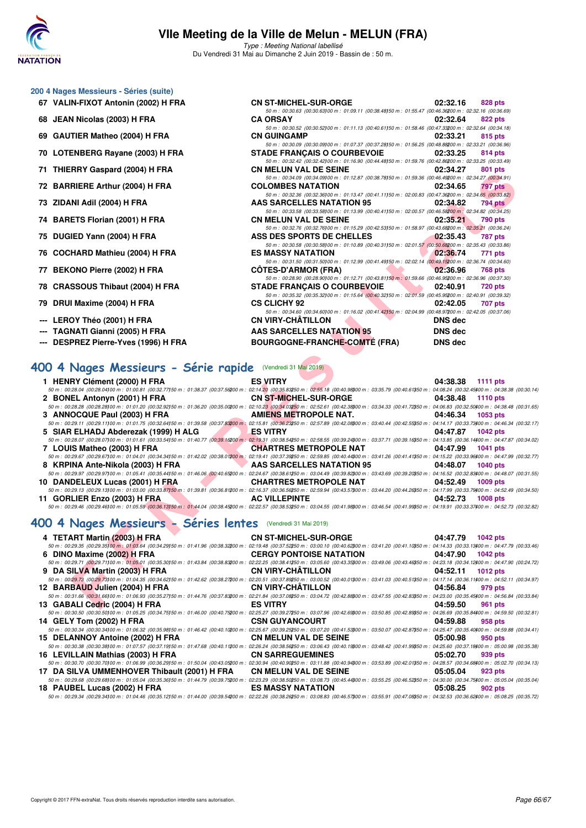

Type : Meeting National labellisé Du Vendredi 31 Mai au Dimanche 2 Juin 2019 - Bassin de : 50 m.

50 m : 00:30.63 (00:30.63)100 m : 01:09.11 (00:38.48)150 m : 01:55.47 (00:46.36)200 m : 02:32.16 (00:36.69)

50 m : 00:30.52 (00:30.52)100 m : 01:11.13 (00:40.61)50 m : 01:58.46 (00:47.33200 m : 02:32.64 (00:34.18)<br>CN GUINGAMP 02:33.21 815 pts

50 m : 00:30.09 (00:30.09)00 m : 01:07.37 (00:37.28)50 m : 01:56.25 (00:48.88200 m : 02:33.21 (00:36.96)<br> **STADE FRANCAIS O COURBEVOIE** 02:33.25 814 pts

50 m : 00:32.42 (00:32.42)100 m : 01:16.90 (00:44.48)50 m : 01:59.76 (00:42.86200 m : 02:33.45 (00:32.49)<br>CN MELUN VAL DE SEINE 02:34.27 801 pts

#### **200 4 Nages Messieurs - Séries (suite)**

- **67 VALIN-FIXOT Antonin (2002) H FRA CN ST-MICHEL-SUR-ORGE 02:32.16 828 pts**
- **68 JEAN Nicolas (2003) H FRA CA ORSAY 02:32.64 822 pts**
- **69 GAUTIER Matheo (2004) H FRA CN GUINGAMP CN GUING AND COSS 21 815 pts**
- **70 LOTENBERG Rayane (2003) H FRA STADE FRANÇAIS O COURBEVOIE 02:33.25 814 pts**
- **71 THIERRY Gaspard (2004) H FRA CN MELUN VAL DE SEINE 02:34.27 801 pts**
- **72 BARRIERE Arthur (2004) H FRA COLOMBES NATATION 02:34.65 797 pts**
- **73 ZIDANI Adil (2004) H FRA AAS SARCELLES NATATION 95 02:34.82 794 pts**
- **74 BARETS Florian (2001) H FRA CN MELUN VAL DE SEINE 02:35.21 790 pts**
- **75 DUGIED Yann (2004) H FRA ASS DES SPORTS DE CHELLES 02:35.43 787 pts**
- **76 COCHARD Mathieu (2004) H FRA ES MASSY NATATION 12:36.74 771 pts**
- **77 BEKONO Pierre (2002) H FRA CÔTES-D'ARMOR (FRA) 02:36.96 768 pts**
- **78 CRASSOUS Thibaut (2004) H FRA STADE FRANÇAIS O COURBEVOIE 02:40.91 720 pts**
- **79 DRUI Maxime (2004) H FRA CS CLICHY 92 02:42.05 707 pts**
- **--- LEROY Théo (2001) H FRA CN VIRY-CHÂTILLON DNS dec**
- **--- TAGNATI Gianni (2005) H FRA AAS SARCELLES NATATION 95 DNS dec**
- **--- DESPREZ Pierre-Yves (1996) H FRA BOURGOGNE-FRANCHE-COMTÉ (FRA) DNS dec**

#### **[400 4 Nages Messieurs - Série rapide](http://www.ffnatation.fr/webffn/resultats.php?idact=nat&go=epr&idcpt=57771&idepr=92)** (Vendredi 31 Mai 2019)

| $\overline{1}$ $\overline{1}$ $\overline{1}$ $\overline{1}$ $\overline{1}$ $\overline{1}$ $\overline{1}$ $\overline{1}$ $\overline{1}$ $\overline{1}$ $\overline{1}$ $\overline{1}$ $\overline{1}$ $\overline{1}$ $\overline{1}$ $\overline{1}$ $\overline{1}$ $\overline{1}$ $\overline{1}$ $\overline{1}$ $\overline{1}$ $\overline{1}$ $\overline{1}$ $\overline{1}$ $\overline{$ | CN MELON VAL DE SEINE                                                                                                                                                                                                                                                    | <u>04.94.21</u><br><b>OUT DIS</b> |
|--------------------------------------------------------------------------------------------------------------------------------------------------------------------------------------------------------------------------------------------------------------------------------------------------------------------------------------------------------------------------------------|--------------------------------------------------------------------------------------------------------------------------------------------------------------------------------------------------------------------------------------------------------------------------|-----------------------------------|
| 72 BARRIERE Arthur (2004) H FRA                                                                                                                                                                                                                                                                                                                                                      | 50 m : 00:34.09 (00:34.09) 00 m : 01:12.87 (00:38.78) 50 m : 01:59.36 (00:46.49200 m : 02:34.27 (00:34.91)<br><b>COLOMBES NATATION</b>                                                                                                                                   | 02:34.65<br>797 pts               |
|                                                                                                                                                                                                                                                                                                                                                                                      | 50 m : 00:32.36 (00:32.36)00 m : 01:13.47 (00:41.11)50 m : 02:00.83 (00:47.36200 m : 02:34.65 (00:33.82)                                                                                                                                                                 |                                   |
| 73 ZIDANI Adil (2004) H FRA                                                                                                                                                                                                                                                                                                                                                          | <b>AAS SARCELLES NATATION 95</b>                                                                                                                                                                                                                                         | 02:34.82<br>794 pts               |
|                                                                                                                                                                                                                                                                                                                                                                                      | 50 m : 00:33.58 (00:33.58) 00 m : 01:13.99 (00:40.41) 50 m : 02:00.57 (00:46.58200 m : 02:34.82 (00:34.25)                                                                                                                                                               |                                   |
| 74 BARETS Florian (2001) H FRA                                                                                                                                                                                                                                                                                                                                                       | <b>CN MELUN VAL DE SEINE</b>                                                                                                                                                                                                                                             | 02:35.21<br>790 pts               |
| 75 DUGIED Yann (2004) H FRA                                                                                                                                                                                                                                                                                                                                                          | 50 m : 00:32.76 (00:32.76)00 m : 01:15.29 (00:42.53)50 m : 01:58.97 (00:43.68200 m : 02:35.21 (00:36.24)<br>ASS DES SPORTS DE CHELLES                                                                                                                                    | 02:35.43<br>787 pts               |
|                                                                                                                                                                                                                                                                                                                                                                                      | 50 m : 00:30.58 (00:30.58)00 m : 01:10.89 (00:40.31)50 m : 02:01.57 (00:50.68200 m : 02:35.43 (00:33.86)                                                                                                                                                                 |                                   |
| 76 COCHARD Mathieu (2004) H FRA                                                                                                                                                                                                                                                                                                                                                      | <b>ES MASSY NATATION</b>                                                                                                                                                                                                                                                 | 02:36.74<br>771 pts               |
|                                                                                                                                                                                                                                                                                                                                                                                      | 50 m : 00:31.50 (00:31.50)00 m : 01:12.99 (00:41.49)50 m : 02:02.14 (00:49.15200 m : 02:36.74 (00:34.60)                                                                                                                                                                 |                                   |
| 77 BEKONO Pierre (2002) H FRA                                                                                                                                                                                                                                                                                                                                                        | <b><i>Contract Contract Contract Contract Contract Contract Contract Contract Contract Contract Contract Contract Contract Contract Contract Contract Contract Contract Contract Contract Contract Contract Contract Contract Cont</i></b><br><b>COTES-D'ARMOR (FRA)</b> | 02:36.96<br>768 pts               |
| 78 CRASSOUS Thibaut (2004) H FRA                                                                                                                                                                                                                                                                                                                                                     | 50 m : 00:28.90 (00:28.90) 00 m : 01:12.71 (00:43.81) 50 m : 01:59.66 (00:46.95200 m : 02:36.96 (00:37.30)<br>STADE FRANÇAIS O COURBEVOIE                                                                                                                                | 02:40.91<br>720 pts               |
|                                                                                                                                                                                                                                                                                                                                                                                      | 50 m : 00:35.32 (00:35.32)00 m : 01:15.64 (00:40.32)50 m : 02:01.59 (00:45.95200 m : 02:40.91 (00:39.32)                                                                                                                                                                 |                                   |
| 79 DRUI Maxime (2004) H FRA                                                                                                                                                                                                                                                                                                                                                          | <b>CS CLICHY 92</b>                                                                                                                                                                                                                                                      | 02:42.05<br>707 pts               |
|                                                                                                                                                                                                                                                                                                                                                                                      | 50 m : 00:34.60 (00:34.60) 00 m : 01:16.02 (00:41.42) 50 m : 02:04.99 (00:48.97200 m : 02:42.05 (00:37.06)                                                                                                                                                               |                                   |
| --- LEROY Théo (2001) H FRA                                                                                                                                                                                                                                                                                                                                                          | <b>CN VIRY-CHÂTILLON</b>                                                                                                                                                                                                                                                 | <b>DNS</b> dec                    |
| --- TAGNATI Gianni (2005) H FRA                                                                                                                                                                                                                                                                                                                                                      | <b>AAS SARCELLES NATATION 95</b>                                                                                                                                                                                                                                         | <b>DNS</b> dec                    |
| --- DESPREZ Pierre-Yves (1996) H FRA                                                                                                                                                                                                                                                                                                                                                 | <b>BOURGOGNE-FRANCHE-COMTÉ (FRA)</b>                                                                                                                                                                                                                                     | <b>DNS</b> dec                    |
| 100 4 Nages Messieurs - Série rapide (Vendredi 31 Mai 2019)<br>1 HENRY Clément (2000) H FRA<br>50 m : 00:28.04 (00:28.04)00 m : 01:00.81 (00:32.77)50 m : 01:38.37 (00:37.56200 m : 02:14.20 (00:35.83250 m : 02:55.18 (00:40.88300 m : 03:35.79 (00:40.61350 m : 04:08.24 (00:32.45400 m : 04:38.38 (00:30.14)                                                                      | <b>ES VITRY</b>                                                                                                                                                                                                                                                          | 04:38.38<br><b>1111 pts</b>       |
| 2 BONEL Antonyn (2001) H FRA<br>$50\,m:\,00.28.28\,\,(00.28.28)\,00\,m:\,01.01.20\,\,(00.32.92)\\ 50\,m:\,01.36.20\,\,(00.35.00200\,m:\,02.10.23\,\,(00.34.03)\\ 50.28.03\\20.29.50\,m:\,02.52.61\,\,(00.42.38)\,000\,m:\,03.34.33\,\,(00.41.72)\,50\,m:\,04.06.83\,\,(00.32.50)\,000\,m:\$                                                                                          | <b>CN ST-MICHEL-SUR-ORGE</b>                                                                                                                                                                                                                                             | 04:38.48<br>1110 pts              |
| 3 ANNOCQUE Paul (2003) H FRA                                                                                                                                                                                                                                                                                                                                                         | AMIENS METROPOLE NAT.                                                                                                                                                                                                                                                    | 04:46.34<br>1053 pts              |
| $50\,m:\,00.29.11\,(00.29.11)\\ 00\,m:\,01.01.75\,\,(00.32.64)\\ 50\,m:\,01.39.58\,\,(00.37.8\\ \mathcal{R}00\,m:\,02.15.81\,\,(00.36.23)\\ \mathcal{R}00\,m:\,02.57.89\,\,(00.42.08)\\ 00\,m:\,03.40.44\,\,(00.42.5\\ \mathcal{S}050\,m:\,04.14.17\,\,(00.33.73)\\ 00\,m:\$                                                                                                         |                                                                                                                                                                                                                                                                          |                                   |
| 5 SIAR ELHADJ Abderezak (1999) H ALG                                                                                                                                                                                                                                                                                                                                                 | <b>ES VITRY</b>                                                                                                                                                                                                                                                          | 04:47.87<br><b>1042 pts</b>       |
| $50\,m:\,00.28.07\,(00.28.07)\\ 00\,m:\,01.01.61\,(00.33.54)\\ 50\,m:\,01.40.77\,(00.39.16\\ 200\,m:\,02.19.31\,(00.38.54\\ 250\,m:\,02.58.55\,(00.39.24)\\ 00\,m:\,03.37.71\,(00.39.16)\\ 50\,m:\,04.13.85\,(00.36.14)\\ 00\,m:\,04.47.87\,(00.39.1$                                                                                                                                |                                                                                                                                                                                                                                                                          |                                   |
| 7 LOUIS Matheo (2003) H FRA                                                                                                                                                                                                                                                                                                                                                          | <b>CHARTRES METROPOLE NAT</b>                                                                                                                                                                                                                                            | 04:47.99<br><b>1041 pts</b>       |
| $50\,m:\,00.29.67\,(00.29.67) \,00\,m:\,01.04.01\,(00.34.34) \,50\,m:\,01.42.02\,(00.38.01200\,m:\,02.19.41\,(00.37.39250\,m:\,02.59.85\,(00.40.44300\,m:\,03.41.26\,(00.41.41350\,m:\,04.15.22\,(00.33.96400\,m:\,04.47.99\,(00.32.77)\,00.42.0$<br>8 KRPINA Ante-Nikola (2003) H FRA                                                                                               | AAS SARCELLES NATATION 95                                                                                                                                                                                                                                                | 04:48.07<br><b>1040 pts</b>       |
| $50\,m:\,00.29.97\,(00.29.97) \,00\,m:\,01.05.41\,(00.35.44) \,50\,m:\,01.46.06\,(00.40.65200\,m:\,02.24.67\,(00.39.61250\,m:\,03.04.49\,(00.39.82900\,m:\,03.43.69\,(00.39.20350\,m:\,04.16.52\,(00.32.83400\,m:\,04.48.07\,(00.31.55)$                                                                                                                                             |                                                                                                                                                                                                                                                                          |                                   |
| 10 DANDELEUX Lucas (2001) H FRA CHARTRES METROPOLE NAT                                                                                                                                                                                                                                                                                                                               |                                                                                                                                                                                                                                                                          | 04:52.49<br><b>1009 pts</b>       |
| $50\,m:\,00.29.13\,(00.29.13)\\ 00\,m:\,01.03.00\,(00.33.87)\\ 50\,m:\,01.39.81\,(00.36.81)\\ 200\,m:\,02.16.37\,(00.36.56)\\ 50\,m:\,02.59.94\,(00.43.57)\\ 00\,m:\,03.44.20\,(00.44.26)\\ 50\,m:\,04.17.99\,(00.33.79)\\ 00\,m:\,04.52.49\,(00.34.$                                                                                                                                |                                                                                                                                                                                                                                                                          |                                   |
| 11 GORLIER Enzo (2003) H FRA                                                                                                                                                                                                                                                                                                                                                         | <b>AC VILLEPINTE</b>                                                                                                                                                                                                                                                     | 04:52.73<br><b>1008 pts</b>       |
| $50 m : 00:29.46 (00:29.46) 00 m : 01:05.59 (00:36.13) 50 m : 01:44.04 (00:38.45200 m : 02:22.57 (00:38.53250 m : 03:04.55 (00:41.98300 m : 03:46.54 (00:41.99350 m : 04:19.91 (00:33.37400 m : 04:52.73 (00:32.82))$                                                                                                                                                                |                                                                                                                                                                                                                                                                          |                                   |
| 100 4 Nages Messieurs - Séries lentes (Vendredi 31 Mai 2019)                                                                                                                                                                                                                                                                                                                         |                                                                                                                                                                                                                                                                          |                                   |
| 4 TETART Martin (2003) H FRA                                                                                                                                                                                                                                                                                                                                                         | <b>CN ST-MICHEL-SUR-ORGE</b>                                                                                                                                                                                                                                             | 04:47.79<br><b>1042 pts</b>       |
| $50\,m:\,00.29.35\,(00.29.35)\,00\,m:\,01.03.64\,(00.34.29)\\ 50\,m:\,01.41.96\,(00.36.32200\,m:\,02.19.48\,(00.37.52250\,m:\,03.00.10\,(00.40.62200\,m:\,03.41.20\,(00.41.10)\\ 50\,m:\,04.14.33\,(00.33.13)\\ 00\,m:\,04.47.79\,(00.33.46)$                                                                                                                                        |                                                                                                                                                                                                                                                                          |                                   |
| 6 DINO Maxime (2002) H FRA<br>50 m : 00:29.71 (00:29.71100 m : 01:05.01 (00:35.30)50 m : 01:43.84 (00:38.83200 m : 02:22.25 (00:38.41250 m : 03:05.60 (00:43.35300 m : 03:49.06 (00:43.46350 m : 04:23.18 (00:34.12400 m : 04:47.90 (00:24.72)                                                                                                                                       | <b>CERGY PONTOISE NATATION</b>                                                                                                                                                                                                                                           | 04:47.90<br><b>1042 pts</b>       |
| 9 DA SILVA Martin (2003) H FRA                                                                                                                                                                                                                                                                                                                                                       | <b>CN VIRY-CHATILLON</b>                                                                                                                                                                                                                                                 | 04:52.11<br><b>1012 pts</b>       |
| $50\,m:\,00.29.73\,(00.29.73) \,00\,m:\,01.04.35\,(00.34.62) \,50\,m:\,01.42.62\,(00.38.27200\,m:\,02.20.51\,(00.37.89250\,m:\,03.00.52\,(00.40.01800\,m:\,03.41.03\,(00.40.51850\,m:\,04.17.14\,(00.36.11400\,m:\,04.52.11\,(00.34.97)\,00.42.5$                                                                                                                                    |                                                                                                                                                                                                                                                                          |                                   |
| 12 BARBAUD Julien (2004) H FRA                                                                                                                                                                                                                                                                                                                                                       | <b>CN VIRY-CHATILLON</b>                                                                                                                                                                                                                                                 | 04:56.84<br>979 pts               |
| 50 m : 00:31.66 (00:31.66)00 m : 01:06.93 (00:35.27)50 m : 01:44.76 (00:37.83200 m : 02:21.84 (00:37.08250 m : 03:04.72 (00:42.8300 m : 03:47.55 (00:42.83350 m : 04:23.00 (00:35.45400 m : 04:26.84 (00:33.84)                                                                                                                                                                      |                                                                                                                                                                                                                                                                          |                                   |
| 13 GABALI Cedric (2004) H FRA                                                                                                                                                                                                                                                                                                                                                        | <b>ES VITRY</b>                                                                                                                                                                                                                                                          | 04:59.50<br>961 pts               |

#### **[400 4 Nages Messieurs - Séries lentes](http://www.ffnatation.fr/webffn/resultats.php?idact=nat&go=epr&idcpt=57771&idepr=92)** (Vendredi 31 Mai 2019)

| 4 TETART Martin (2003) H FRA                 | CN ST-MICHEL-SUR-ORGE                                                                                                                                                                                                          | 04:47.79<br><b>1042 pts</b> |
|----------------------------------------------|--------------------------------------------------------------------------------------------------------------------------------------------------------------------------------------------------------------------------------|-----------------------------|
|                                              | 50 m : 00:29.35 (00:29.35)00 m : 01:03.64 (00:34.29)50 m : 01:41.96 (00:38.32200 m : 02:19.48 (00:37.52250 m : 03:00.10 (00:40.62300 m : 03:41.20 (00:41.10350 m : 04:41.33 (00:33.13400 m : 04:47.79 (00:33.46)               |                             |
| 6 DINO Maxime (2002) H FRA                   | <b>CERGY PONTOISE NATATION</b>                                                                                                                                                                                                 | 04:47.90<br><b>1042 pts</b> |
|                                              | 50 m : 00:29.71 (00:29.71100 m : 01:05.01 (00:35.30150 m : 01:43.84 (00:38.83200 m : 02:22.25 (00:38.41250 m : 03:05.60 (00:43.35300 m : 03:49.06 (00:43.46350 m : 04:42.31 (00:34.12900 m : 04:47.90 (00:24.72)               |                             |
| 9 DA SILVA Martin (2003) H FRA               | <b>CN VIRY-CHÂTILLON</b>                                                                                                                                                                                                       | 04:52.11<br><b>1012 pts</b> |
|                                              | 50 m : 00:29.73 (00:29.73)00 m : 01:04.35 (00:34.62)50 m : 01:42.62 (00:38.27200 m : 02:20.51 (00:37.89250 m : 03:00.52 (00:40.01300 m : 03:41.03 (00:40.51350 m : 04:17.14 (00:36.11400 m : 04:52.11 (00:34.87)               |                             |
| 12 BARBAUD Julien (2004) H FRA               | <b>CN VIRY-CHÂTILLON</b>                                                                                                                                                                                                       | 04:56.84<br>979 pts         |
|                                              | 50 m : 00:31.66 (00:31.66)00 m : 01:06.93 (00:35.27)50 m : 01:44.76 (00:37.83200 m : 02:21.84 (00:37.08250 m : 03:04.72 (00:42.8800 m : 03:47.55 (00:42.83)50 m : 04:23.00 (00:35.45)00 m : 04:56.84 (00:33.84)                |                             |
| 13 GABALI Cedric (2004) H FRA                | <b>ES VITRY</b>                                                                                                                                                                                                                | 04:59.50<br>961 pts         |
|                                              | 50 m : 00:30.50 (00:30.50)00 m : 01:05.25 (00:34.75)50 m : 01:46.00 (00:40.75200 m : 02:25.27 (00:39.27250 m : 03:07.96 (00:42.63300 m : 03:50.85 (00:42.83350 m : 04:26.69 (00:35.84400 m : 04:56.90 (00:35.84400 m : 04:59.5 |                             |
| 14 GELY Tom (2002) H FRA                     | <b>CSN GUYANCOURT</b>                                                                                                                                                                                                          | 04:59.88<br>958 pts         |
|                                              | 50 m : 00:30.34 (00:30.34)00 m : 01:06.32 (00:35.98)50 m : 01:46.42 (00:40.10200 m : 02:25.67 (00:39.25250 m : 03:07.20 (00:41.53300 m : 03:50.07 (00:42.87350 m : 04:25.47 (00:35.40400 m : 04:55.88 (00:34.41)               |                             |
| 15 DELANNOY Antoine (2002) H FRA             | <b>CN MELUN VAL DE SEINE</b>                                                                                                                                                                                                   | 05:00.98<br>950 pts         |
|                                              | 50 m : 00:30.38 (00:30.38)00 m : 01:07.57 (00:37.19150 m : 01:47.68 (00:40.11200 m : 02:26.24 (00:38.56250 m : 03:06.43 (00:40.19300 m : 03:48.42 (00:41.99350 m : 04:25.60 (00:37.18400 m : 05:00.98 (00:35.38)               |                             |
| 16 LEVILLAIN Mathias (2003) H FRA            | <b>CN SARREGUEMINES</b>                                                                                                                                                                                                        | 05:02.70<br>939 pts         |
|                                              | 50 m : 00:30.70 (00:30.70) 00 m : 01:06.99 (00:36.29) 50 m : 01:50.04 (00:43.05200 m : 02:30.94 (00:40.90250 m : 03:11.88 (00:40.94300 m : 03:53.89 (00:42.01350 m : 04:28.57 (00:34.68400 m : 05:02.70 (00:34.13)             |                             |
| 17 DA SILVA UMMENHOVER Thibault (2001) H FRA | <b>CN MELUN VAL DE SEINE</b>                                                                                                                                                                                                   | 05:05.04<br>923 pts         |
|                                              | 50 m : 00:29.68 (00:29.68)00 m : 01:05.04 (00:35.36)50 m : 01:44.79 (00:39.75200 m : 02:23.29 (00:38.50250 m : 03:08.73 (00:45.44300 m : 03:55.25 (00:46.52350 m : 04:30.00 (00:34.75400 m : 05:05.04 (00:35.04)               |                             |
| 18 PAUBEL Lucas (2002) H FRA                 | <b>ES MASSY NATATION</b>                                                                                                                                                                                                       | 05:08.25<br>902 pts         |
|                                              | 50 m : 00:29.34 (00:29.34)00 m : 01:04.46 (00:35.12)50 m : 01:44.00 (00:39.54200 m : 02:22.26 (00:38.26250 m : 03:08.83 (00:46.5700 m : 03:55.91 (00:47.08350 m : 04:32.53 (00:36.62400 m : 05:08.25 (00:35.72)                |                             |